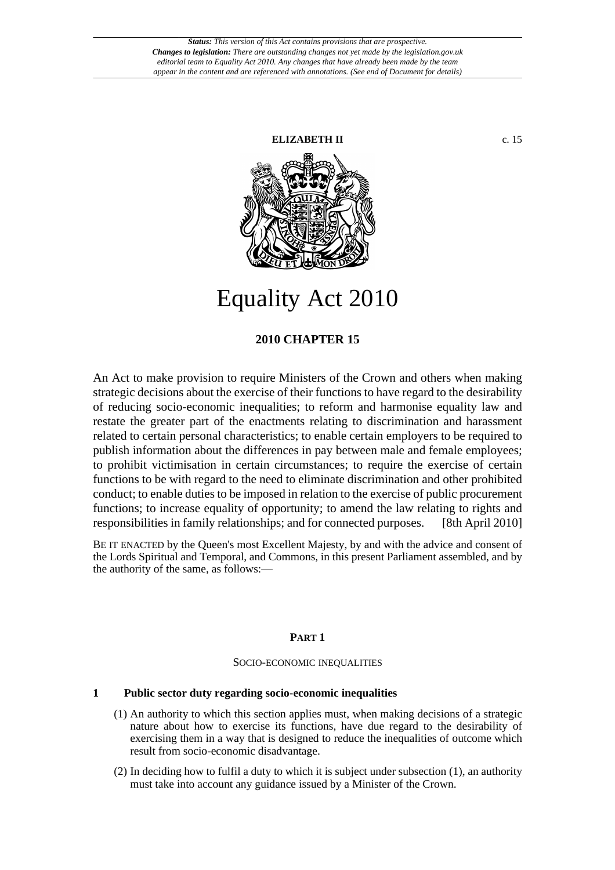### **ELIZABETH II** c. 15



Equality Act 2010

# **2010 CHAPTER 15**

An Act to make provision to require Ministers of the Crown and others when making strategic decisions about the exercise of their functions to have regard to the desirability of reducing socio-economic inequalities; to reform and harmonise equality law and restate the greater part of the enactments relating to discrimination and harassment related to certain personal characteristics; to enable certain employers to be required to publish information about the differences in pay between male and female employees; to prohibit victimisation in certain circumstances; to require the exercise of certain functions to be with regard to the need to eliminate discrimination and other prohibited conduct; to enable duties to be imposed in relation to the exercise of public procurement functions; to increase equality of opportunity; to amend the law relating to rights and responsibilities in family relationships; and for connected purposes. [8th April 2010]

BE IT ENACTED by the Queen's most Excellent Majesty, by and with the advice and consent of the Lords Spiritual and Temporal, and Commons, in this present Parliament assembled, and by the authority of the same, as follows:—

### **PART 1**

### SOCIO-ECONOMIC INEQUALITIES

### **1 Public sector duty regarding socio-economic inequalities**

- (1) An authority to which this section applies must, when making decisions of a strategic nature about how to exercise its functions, have due regard to the desirability of exercising them in a way that is designed to reduce the inequalities of outcome which result from socio-economic disadvantage.
- (2) In deciding how to fulfil a duty to which it is subject under subsection (1), an authority must take into account any guidance issued by a Minister of the Crown.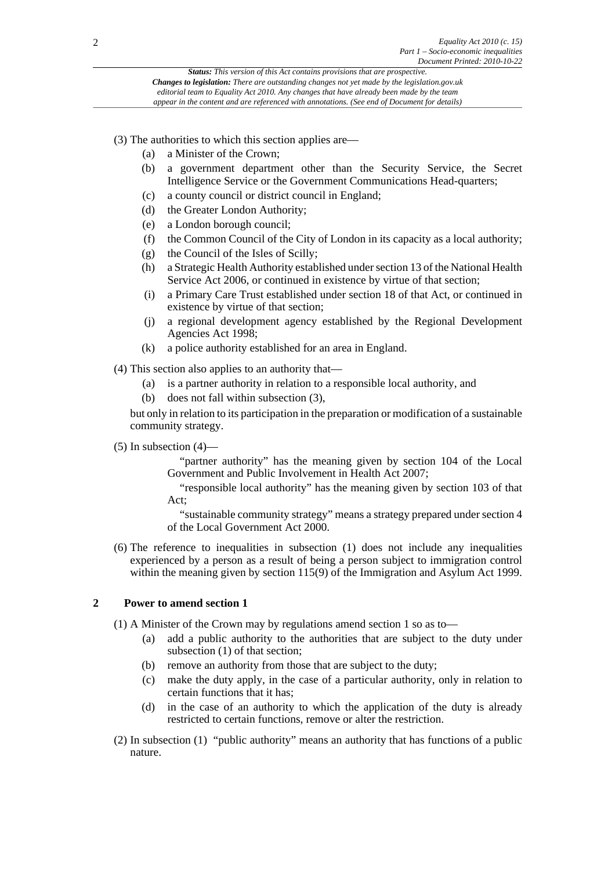(3) The authorities to which this section applies are—

- (a) a Minister of the Crown;
- (b) a government department other than the Security Service, the Secret Intelligence Service or the Government Communications Head-quarters;
- (c) a county council or district council in England;
- (d) the Greater London Authority;
- (e) a London borough council;
- (f) the Common Council of the City of London in its capacity as a local authority;
- (g) the Council of the Isles of Scilly;
- (h) a Strategic Health Authority established under section 13 of the National Health Service Act 2006, or continued in existence by virtue of that section;
- (i) a Primary Care Trust established under section 18 of that Act, or continued in existence by virtue of that section;
- (j) a regional development agency established by the Regional Development Agencies Act 1998;
- (k) a police authority established for an area in England.
- (4) This section also applies to an authority that—
	- (a) is a partner authority in relation to a responsible local authority, and
	- (b) does not fall within subsection (3),

but only in relation to its participation in the preparation or modification of a sustainable community strategy.

 $(5)$  In subsection  $(4)$ —

"partner authority" has the meaning given by section 104 of the Local Government and Public Involvement in Health Act 2007;

"responsible local authority" has the meaning given by section 103 of that Act;

"sustainable community strategy" means a strategy prepared under section 4 of the Local Government Act 2000.

(6) The reference to inequalities in subsection (1) does not include any inequalities experienced by a person as a result of being a person subject to immigration control within the meaning given by section 115(9) of the Immigration and Asylum Act 1999.

# **2 Power to amend section 1**

(1) A Minister of the Crown may by regulations amend section 1 so as to—

- (a) add a public authority to the authorities that are subject to the duty under subsection (1) of that section;
- (b) remove an authority from those that are subject to the duty;
- (c) make the duty apply, in the case of a particular authority, only in relation to certain functions that it has;
- (d) in the case of an authority to which the application of the duty is already restricted to certain functions, remove or alter the restriction.
- (2) In subsection (1) "public authority" means an authority that has functions of a public nature.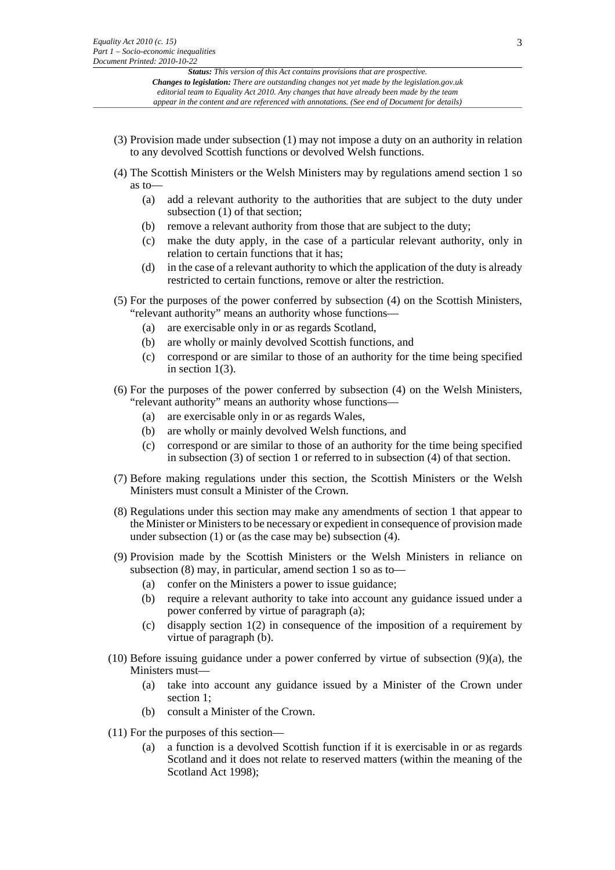- (3) Provision made under subsection (1) may not impose a duty on an authority in relation to any devolved Scottish functions or devolved Welsh functions.
- (4) The Scottish Ministers or the Welsh Ministers may by regulations amend section 1 so as to—
	- (a) add a relevant authority to the authorities that are subject to the duty under subsection (1) of that section;
	- (b) remove a relevant authority from those that are subject to the duty;
	- (c) make the duty apply, in the case of a particular relevant authority, only in relation to certain functions that it has;
	- (d) in the case of a relevant authority to which the application of the duty is already restricted to certain functions, remove or alter the restriction.
- (5) For the purposes of the power conferred by subsection (4) on the Scottish Ministers, "relevant authority" means an authority whose functions—
	- (a) are exercisable only in or as regards Scotland,
	- (b) are wholly or mainly devolved Scottish functions, and
	- (c) correspond or are similar to those of an authority for the time being specified in section 1(3).
- (6) For the purposes of the power conferred by subsection (4) on the Welsh Ministers, "relevant authority" means an authority whose functions—
	- (a) are exercisable only in or as regards Wales,
	- (b) are wholly or mainly devolved Welsh functions, and
	- (c) correspond or are similar to those of an authority for the time being specified in subsection (3) of section 1 or referred to in subsection (4) of that section.
- (7) Before making regulations under this section, the Scottish Ministers or the Welsh Ministers must consult a Minister of the Crown.
- (8) Regulations under this section may make any amendments of section 1 that appear to the Minister or Ministers to be necessary or expedient in consequence of provision made under subsection (1) or (as the case may be) subsection (4).
- (9) Provision made by the Scottish Ministers or the Welsh Ministers in reliance on subsection (8) may, in particular, amend section 1 so as to—
	- (a) confer on the Ministers a power to issue guidance;
	- (b) require a relevant authority to take into account any guidance issued under a power conferred by virtue of paragraph (a);
	- (c) disapply section 1(2) in consequence of the imposition of a requirement by virtue of paragraph (b).
- $(10)$  Before issuing guidance under a power conferred by virtue of subsection  $(9)(a)$ , the Ministers must—
	- (a) take into account any guidance issued by a Minister of the Crown under section 1;
	- (b) consult a Minister of the Crown.
- (11) For the purposes of this section—
	- (a) a function is a devolved Scottish function if it is exercisable in or as regards Scotland and it does not relate to reserved matters (within the meaning of the Scotland Act 1998);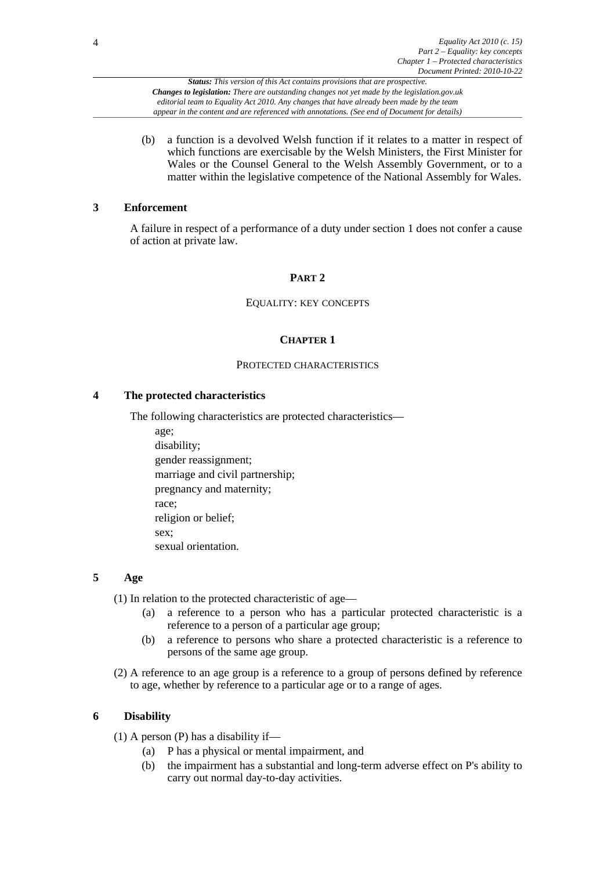(b) a function is a devolved Welsh function if it relates to a matter in respect of which functions are exercisable by the Welsh Ministers, the First Minister for Wales or the Counsel General to the Welsh Assembly Government, or to a matter within the legislative competence of the National Assembly for Wales.

# **3 Enforcement**

A failure in respect of a performance of a duty under section 1 does not confer a cause of action at private law.

# **PART 2**

# EQUALITY: KEY CONCEPTS

# **CHAPTER 1**

## PROTECTED CHARACTERISTICS

# **4 The protected characteristics**

The following characteristics are protected characteristics—

age; disability; gender reassignment; marriage and civil partnership; pregnancy and maternity; race; religion or belief; sex; sexual orientation.

# **5 Age**

(1) In relation to the protected characteristic of age—

- (a) a reference to a person who has a particular protected characteristic is a reference to a person of a particular age group;
- (b) a reference to persons who share a protected characteristic is a reference to persons of the same age group.
- (2) A reference to an age group is a reference to a group of persons defined by reference to age, whether by reference to a particular age or to a range of ages.

# **6 Disability**

(1) A person (P) has a disability if—

- (a) P has a physical or mental impairment, and
- (b) the impairment has a substantial and long-term adverse effect on P's ability to carry out normal day-to-day activities.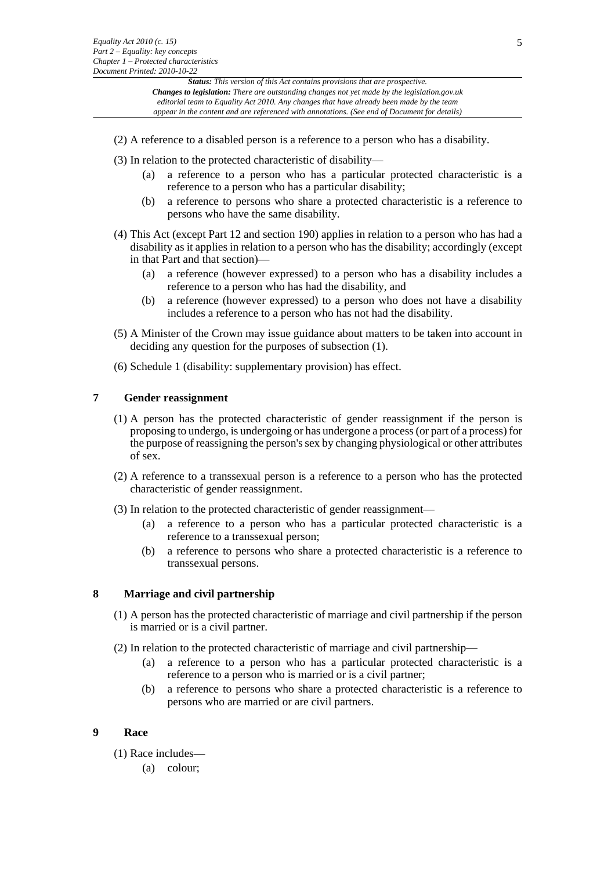- (2) A reference to a disabled person is a reference to a person who has a disability.
- (3) In relation to the protected characteristic of disability—
	- (a) a reference to a person who has a particular protected characteristic is a reference to a person who has a particular disability;
	- (b) a reference to persons who share a protected characteristic is a reference to persons who have the same disability.
- (4) This Act (except Part 12 and section 190) applies in relation to a person who has had a disability as it applies in relation to a person who has the disability; accordingly (except in that Part and that section)—
	- (a) a reference (however expressed) to a person who has a disability includes a reference to a person who has had the disability, and
	- (b) a reference (however expressed) to a person who does not have a disability includes a reference to a person who has not had the disability.
- (5) A Minister of the Crown may issue guidance about matters to be taken into account in deciding any question for the purposes of subsection (1).
- (6) Schedule 1 (disability: supplementary provision) has effect.

#### **7 Gender reassignment**

- (1) A person has the protected characteristic of gender reassignment if the person is proposing to undergo, is undergoing or has undergone a process (or part of a process) for the purpose of reassigning the person's sex by changing physiological or other attributes of sex.
- (2) A reference to a transsexual person is a reference to a person who has the protected characteristic of gender reassignment.
- (3) In relation to the protected characteristic of gender reassignment—
	- (a) a reference to a person who has a particular protected characteristic is a reference to a transsexual person;
	- (b) a reference to persons who share a protected characteristic is a reference to transsexual persons.

#### **8 Marriage and civil partnership**

- (1) A person has the protected characteristic of marriage and civil partnership if the person is married or is a civil partner.
- (2) In relation to the protected characteristic of marriage and civil partnership—
	- (a) a reference to a person who has a particular protected characteristic is a reference to a person who is married or is a civil partner;
	- (b) a reference to persons who share a protected characteristic is a reference to persons who are married or are civil partners.

# **9 Race**

- (1) Race includes—
	- (a) colour;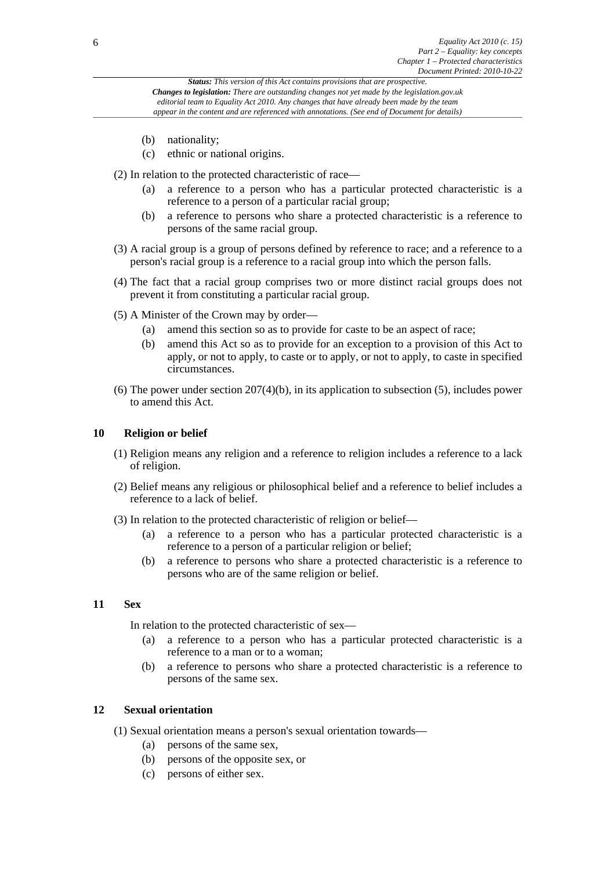- (b) nationality;
- (c) ethnic or national origins.

(2) In relation to the protected characteristic of race—

- (a) a reference to a person who has a particular protected characteristic is a reference to a person of a particular racial group;
- (b) a reference to persons who share a protected characteristic is a reference to persons of the same racial group.
- (3) A racial group is a group of persons defined by reference to race; and a reference to a person's racial group is a reference to a racial group into which the person falls.
- (4) The fact that a racial group comprises two or more distinct racial groups does not prevent it from constituting a particular racial group.
- (5) A Minister of the Crown may by order—
	- (a) amend this section so as to provide for caste to be an aspect of race;
	- (b) amend this Act so as to provide for an exception to a provision of this Act to apply, or not to apply, to caste or to apply, or not to apply, to caste in specified circumstances.
- (6) The power under section 207(4)(b), in its application to subsection (5), includes power to amend this Act.

## **10 Religion or belief**

- (1) Religion means any religion and a reference to religion includes a reference to a lack of religion.
- (2) Belief means any religious or philosophical belief and a reference to belief includes a reference to a lack of belief.
- (3) In relation to the protected characteristic of religion or belief—
	- (a) a reference to a person who has a particular protected characteristic is a reference to a person of a particular religion or belief;
	- (b) a reference to persons who share a protected characteristic is a reference to persons who are of the same religion or belief.

# **11 Sex**

In relation to the protected characteristic of sex—

- (a) a reference to a person who has a particular protected characteristic is a reference to a man or to a woman;
- (b) a reference to persons who share a protected characteristic is a reference to persons of the same sex.

### **12 Sexual orientation**

- (1) Sexual orientation means a person's sexual orientation towards—
	- (a) persons of the same sex,
	- (b) persons of the opposite sex, or
	- (c) persons of either sex.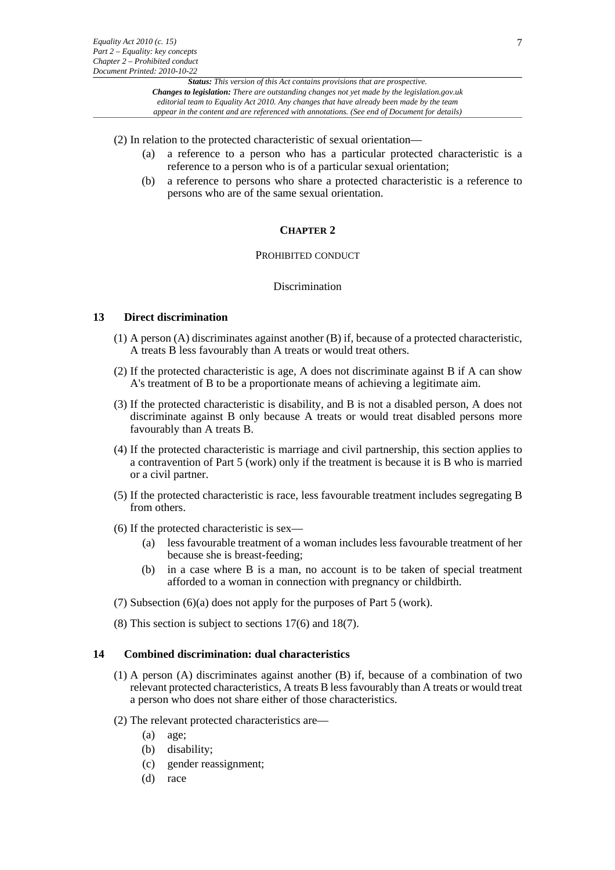(2) In relation to the protected characteristic of sexual orientation—

- (a) a reference to a person who has a particular protected characteristic is a reference to a person who is of a particular sexual orientation;
- (b) a reference to persons who share a protected characteristic is a reference to persons who are of the same sexual orientation.

### **CHAPTER 2**

#### PROHIBITED CONDUCT

### Discrimination

## **13 Direct discrimination**

- (1) A person (A) discriminates against another (B) if, because of a protected characteristic, A treats B less favourably than A treats or would treat others.
- (2) If the protected characteristic is age, A does not discriminate against B if A can show A's treatment of B to be a proportionate means of achieving a legitimate aim.
- (3) If the protected characteristic is disability, and B is not a disabled person, A does not discriminate against B only because A treats or would treat disabled persons more favourably than A treats B.
- (4) If the protected characteristic is marriage and civil partnership, this section applies to a contravention of Part 5 (work) only if the treatment is because it is B who is married or a civil partner.
- (5) If the protected characteristic is race, less favourable treatment includes segregating B from others.
- (6) If the protected characteristic is sex—
	- (a) less favourable treatment of a woman includes less favourable treatment of her because she is breast-feeding;
	- (b) in a case where B is a man, no account is to be taken of special treatment afforded to a woman in connection with pregnancy or childbirth.
- (7) Subsection (6)(a) does not apply for the purposes of Part 5 (work).
- (8) This section is subject to sections 17(6) and 18(7).

### **14 Combined discrimination: dual characteristics**

- (1) A person (A) discriminates against another (B) if, because of a combination of two relevant protected characteristics, A treats B less favourably than A treats or would treat a person who does not share either of those characteristics.
- (2) The relevant protected characteristics are—
	- (a) age;
	- (b) disability;
	- (c) gender reassignment;
	- (d) race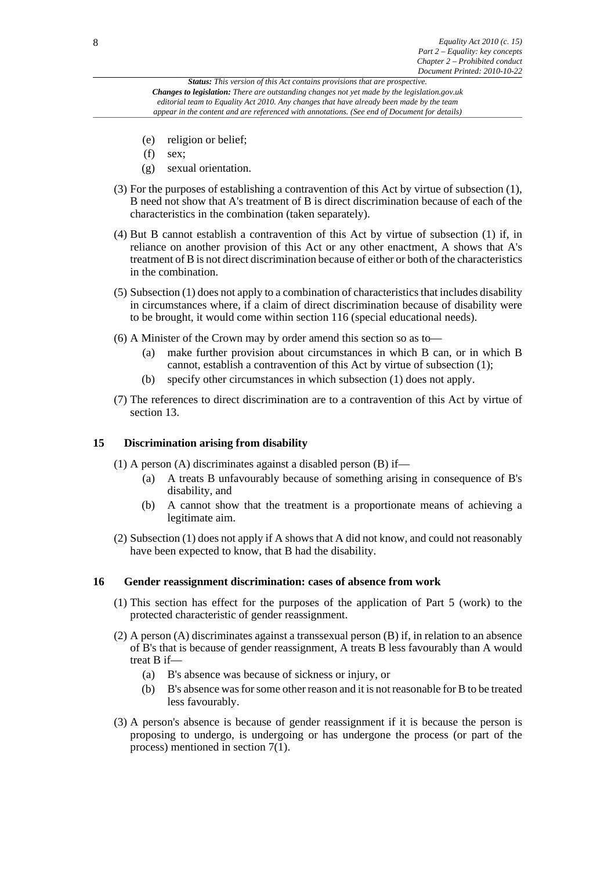- (e) religion or belief;
- (f) sex;
- (g) sexual orientation.
- (3) For the purposes of establishing a contravention of this Act by virtue of subsection (1), B need not show that A's treatment of B is direct discrimination because of each of the characteristics in the combination (taken separately).
- (4) But B cannot establish a contravention of this Act by virtue of subsection (1) if, in reliance on another provision of this Act or any other enactment, A shows that A's treatment of B is not direct discrimination because of either or both of the characteristics in the combination.
- (5) Subsection (1) does not apply to a combination of characteristics that includes disability in circumstances where, if a claim of direct discrimination because of disability were to be brought, it would come within section 116 (special educational needs).
- (6) A Minister of the Crown may by order amend this section so as to—
	- (a) make further provision about circumstances in which B can, or in which B cannot, establish a contravention of this Act by virtue of subsection (1);
	- (b) specify other circumstances in which subsection (1) does not apply.
- (7) The references to direct discrimination are to a contravention of this Act by virtue of section 13.

# **15 Discrimination arising from disability**

- (1) A person (A) discriminates against a disabled person (B) if—
	- (a) A treats B unfavourably because of something arising in consequence of B's disability, and
	- (b) A cannot show that the treatment is a proportionate means of achieving a legitimate aim.
- (2) Subsection (1) does not apply if A shows that A did not know, and could not reasonably have been expected to know, that B had the disability.

### **16 Gender reassignment discrimination: cases of absence from work**

- (1) This section has effect for the purposes of the application of Part 5 (work) to the protected characteristic of gender reassignment.
- (2) A person (A) discriminates against a transsexual person (B) if, in relation to an absence of B's that is because of gender reassignment, A treats B less favourably than A would treat B if—
	- (a) B's absence was because of sickness or injury, or
	- (b) B's absence was for some other reason and it is not reasonable for B to be treated less favourably.
- (3) A person's absence is because of gender reassignment if it is because the person is proposing to undergo, is undergoing or has undergone the process (or part of the process) mentioned in section 7(1).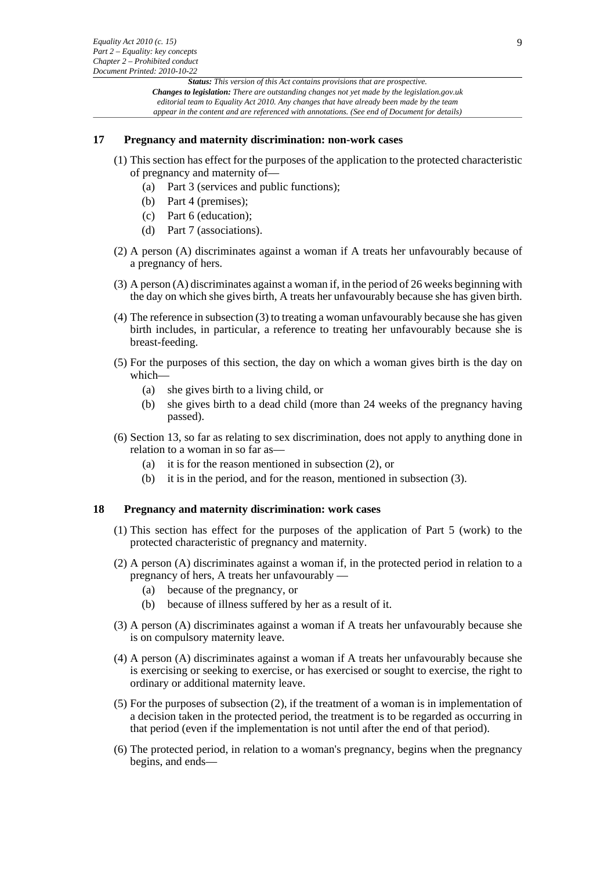#### **17 Pregnancy and maternity discrimination: non-work cases**

- (1) This section has effect for the purposes of the application to the protected characteristic of pregnancy and maternity of—
	- (a) Part 3 (services and public functions);
	- (b) Part 4 (premises);
	- (c) Part 6 (education);
	- (d) Part 7 (associations).
- (2) A person (A) discriminates against a woman if A treats her unfavourably because of a pregnancy of hers.
- (3) A person (A) discriminates against a woman if, in the period of 26 weeks beginning with the day on which she gives birth, A treats her unfavourably because she has given birth.
- (4) The reference in subsection (3) to treating a woman unfavourably because she has given birth includes, in particular, a reference to treating her unfavourably because she is breast-feeding.
- (5) For the purposes of this section, the day on which a woman gives birth is the day on which—
	- (a) she gives birth to a living child, or
	- (b) she gives birth to a dead child (more than 24 weeks of the pregnancy having passed).
- (6) Section 13, so far as relating to sex discrimination, does not apply to anything done in relation to a woman in so far as—
	- (a) it is for the reason mentioned in subsection (2), or
	- (b) it is in the period, and for the reason, mentioned in subsection (3).

#### **18 Pregnancy and maternity discrimination: work cases**

- (1) This section has effect for the purposes of the application of Part 5 (work) to the protected characteristic of pregnancy and maternity.
- (2) A person (A) discriminates against a woman if, in the protected period in relation to a pregnancy of hers, A treats her unfavourably —
	- (a) because of the pregnancy, or
	- (b) because of illness suffered by her as a result of it.
- (3) A person (A) discriminates against a woman if A treats her unfavourably because she is on compulsory maternity leave.
- (4) A person (A) discriminates against a woman if A treats her unfavourably because she is exercising or seeking to exercise, or has exercised or sought to exercise, the right to ordinary or additional maternity leave.
- (5) For the purposes of subsection (2), if the treatment of a woman is in implementation of a decision taken in the protected period, the treatment is to be regarded as occurring in that period (even if the implementation is not until after the end of that period).
- (6) The protected period, in relation to a woman's pregnancy, begins when the pregnancy begins, and ends—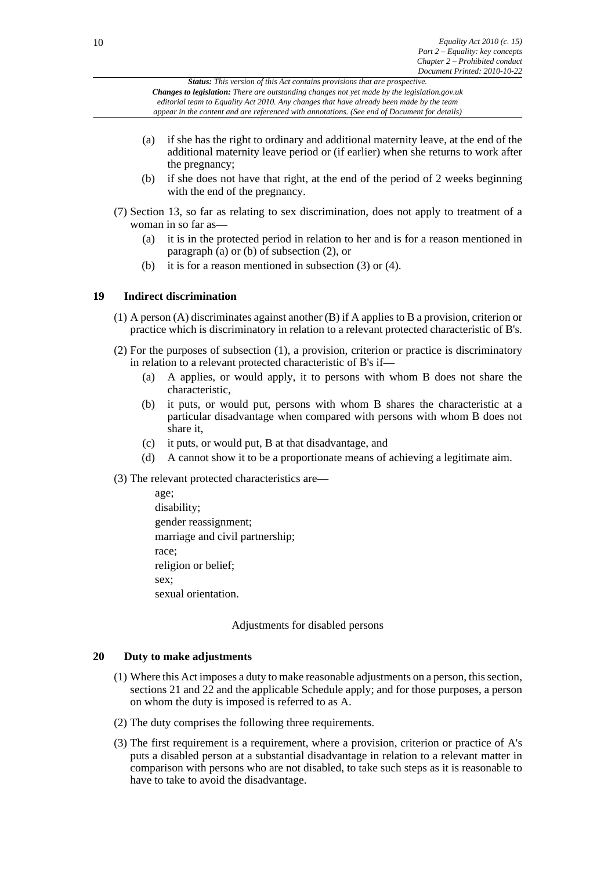- (a) if she has the right to ordinary and additional maternity leave, at the end of the additional maternity leave period or (if earlier) when she returns to work after the pregnancy;
- (b) if she does not have that right, at the end of the period of 2 weeks beginning with the end of the pregnancy.
- (7) Section 13, so far as relating to sex discrimination, does not apply to treatment of a woman in so far as—
	- (a) it is in the protected period in relation to her and is for a reason mentioned in paragraph (a) or (b) of subsection (2), or
	- (b) it is for a reason mentioned in subsection (3) or (4).

## **19 Indirect discrimination**

- (1) A person (A) discriminates against another (B) if A applies to B a provision, criterion or practice which is discriminatory in relation to a relevant protected characteristic of B's.
- (2) For the purposes of subsection (1), a provision, criterion or practice is discriminatory in relation to a relevant protected characteristic of B's if—
	- (a) A applies, or would apply, it to persons with whom B does not share the characteristic,
	- (b) it puts, or would put, persons with whom B shares the characteristic at a particular disadvantage when compared with persons with whom B does not share it,
	- (c) it puts, or would put, B at that disadvantage, and
	- (d) A cannot show it to be a proportionate means of achieving a legitimate aim.
- (3) The relevant protected characteristics are—

| age;                            |
|---------------------------------|
| disability;                     |
| gender reassignment;            |
| marriage and civil partnership; |
| race:                           |
| religion or belief;             |
| sex:                            |
| sexual orientation.             |

Adjustments for disabled persons

### **20 Duty to make adjustments**

- (1) Where this Act imposes a duty to make reasonable adjustments on a person, this section, sections 21 and 22 and the applicable Schedule apply; and for those purposes, a person on whom the duty is imposed is referred to as A.
- (2) The duty comprises the following three requirements.
- (3) The first requirement is a requirement, where a provision, criterion or practice of A's puts a disabled person at a substantial disadvantage in relation to a relevant matter in comparison with persons who are not disabled, to take such steps as it is reasonable to have to take to avoid the disadvantage.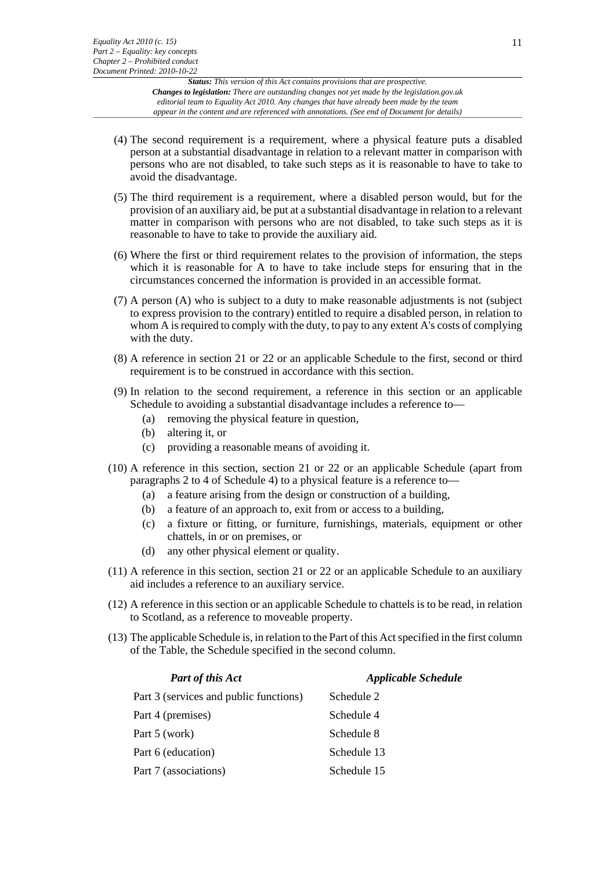- (4) The second requirement is a requirement, where a physical feature puts a disabled person at a substantial disadvantage in relation to a relevant matter in comparison with persons who are not disabled, to take such steps as it is reasonable to have to take to avoid the disadvantage.
- (5) The third requirement is a requirement, where a disabled person would, but for the provision of an auxiliary aid, be put at a substantial disadvantage in relation to a relevant matter in comparison with persons who are not disabled, to take such steps as it is reasonable to have to take to provide the auxiliary aid.
- (6) Where the first or third requirement relates to the provision of information, the steps which it is reasonable for A to have to take include steps for ensuring that in the circumstances concerned the information is provided in an accessible format.
- (7) A person (A) who is subject to a duty to make reasonable adjustments is not (subject to express provision to the contrary) entitled to require a disabled person, in relation to whom A is required to comply with the duty, to pay to any extent A's costs of complying with the duty.
- (8) A reference in section 21 or 22 or an applicable Schedule to the first, second or third requirement is to be construed in accordance with this section.
- (9) In relation to the second requirement, a reference in this section or an applicable Schedule to avoiding a substantial disadvantage includes a reference to—
	- (a) removing the physical feature in question,
	- (b) altering it, or
	- (c) providing a reasonable means of avoiding it.
- (10) A reference in this section, section 21 or 22 or an applicable Schedule (apart from paragraphs 2 to 4 of Schedule 4) to a physical feature is a reference to—
	- (a) a feature arising from the design or construction of a building,
	- (b) a feature of an approach to, exit from or access to a building,
	- (c) a fixture or fitting, or furniture, furnishings, materials, equipment or other chattels, in or on premises, or
	- (d) any other physical element or quality.
- (11) A reference in this section, section 21 or 22 or an applicable Schedule to an auxiliary aid includes a reference to an auxiliary service.
- (12) A reference in this section or an applicable Schedule to chattels is to be read, in relation to Scotland, as a reference to moveable property.
- (13) The applicable Schedule is, in relation to the Part of this Act specified in the first column of the Table, the Schedule specified in the second column.

| <b>Part of this Act</b>                | <b>Applicable Schedule</b> |
|----------------------------------------|----------------------------|
| Part 3 (services and public functions) | Schedule 2                 |
| Part 4 (premises)                      | Schedule 4                 |
| Part 5 (work)                          | Schedule 8                 |
| Part 6 (education)                     | Schedule 13                |
| Part 7 (associations)                  | Schedule 15                |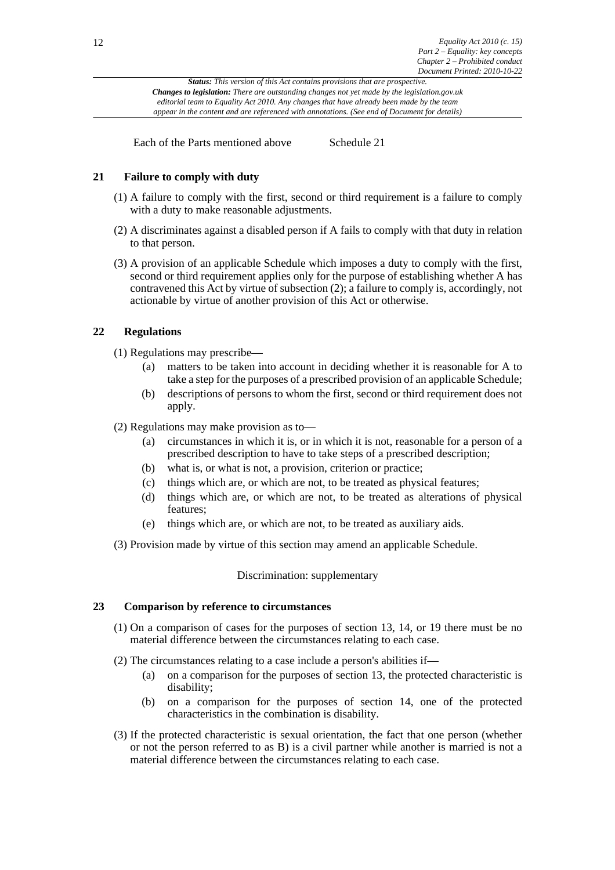Each of the Parts mentioned above Schedule 21

# **21 Failure to comply with duty**

- (1) A failure to comply with the first, second or third requirement is a failure to comply with a duty to make reasonable adjustments.
- (2) A discriminates against a disabled person if A fails to comply with that duty in relation to that person.
- (3) A provision of an applicable Schedule which imposes a duty to comply with the first, second or third requirement applies only for the purpose of establishing whether A has contravened this Act by virtue of subsection (2); a failure to comply is, accordingly, not actionable by virtue of another provision of this Act or otherwise.

# **22 Regulations**

(1) Regulations may prescribe—

- (a) matters to be taken into account in deciding whether it is reasonable for A to take a step for the purposes of a prescribed provision of an applicable Schedule;
- (b) descriptions of persons to whom the first, second or third requirement does not apply.
- (2) Regulations may make provision as to—
	- (a) circumstances in which it is, or in which it is not, reasonable for a person of a prescribed description to have to take steps of a prescribed description;
	- (b) what is, or what is not, a provision, criterion or practice;
	- (c) things which are, or which are not, to be treated as physical features;
	- (d) things which are, or which are not, to be treated as alterations of physical features;
	- (e) things which are, or which are not, to be treated as auxiliary aids.
- (3) Provision made by virtue of this section may amend an applicable Schedule.

# Discrimination: supplementary

# **23 Comparison by reference to circumstances**

- (1) On a comparison of cases for the purposes of section 13, 14, or 19 there must be no material difference between the circumstances relating to each case.
- (2) The circumstances relating to a case include a person's abilities if—
	- (a) on a comparison for the purposes of section 13, the protected characteristic is disability;
	- (b) on a comparison for the purposes of section 14, one of the protected characteristics in the combination is disability.
- (3) If the protected characteristic is sexual orientation, the fact that one person (whether or not the person referred to as B) is a civil partner while another is married is not a material difference between the circumstances relating to each case.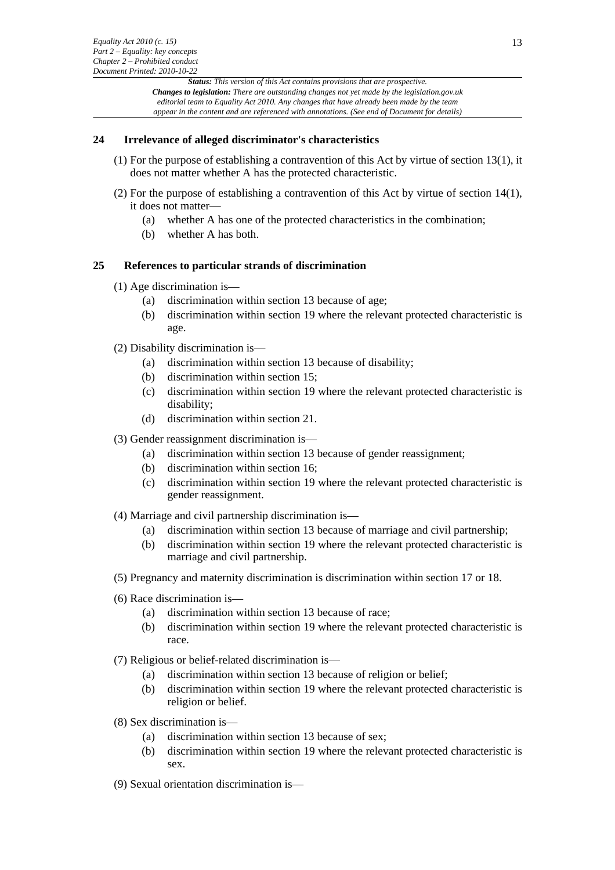### **24 Irrelevance of alleged discriminator's characteristics**

- (1) For the purpose of establishing a contravention of this Act by virtue of section 13(1), it does not matter whether A has the protected characteristic.
- (2) For the purpose of establishing a contravention of this Act by virtue of section 14(1), it does not matter—
	- (a) whether A has one of the protected characteristics in the combination;
	- (b) whether A has both.

### **25 References to particular strands of discrimination**

- (1) Age discrimination is—
	- (a) discrimination within section 13 because of age;
	- (b) discrimination within section 19 where the relevant protected characteristic is age.

(2) Disability discrimination is—

- (a) discrimination within section 13 because of disability;
- (b) discrimination within section 15;
- (c) discrimination within section 19 where the relevant protected characteristic is disability;
- (d) discrimination within section 21.
- (3) Gender reassignment discrimination is—
	- (a) discrimination within section 13 because of gender reassignment;
	- (b) discrimination within section 16;
	- (c) discrimination within section 19 where the relevant protected characteristic is gender reassignment.
- (4) Marriage and civil partnership discrimination is—
	- (a) discrimination within section 13 because of marriage and civil partnership;
	- (b) discrimination within section 19 where the relevant protected characteristic is marriage and civil partnership.
- (5) Pregnancy and maternity discrimination is discrimination within section 17 or 18.
- (6) Race discrimination is—
	- (a) discrimination within section 13 because of race;
	- (b) discrimination within section 19 where the relevant protected characteristic is race.
- (7) Religious or belief-related discrimination is—
	- (a) discrimination within section 13 because of religion or belief;
	- (b) discrimination within section 19 where the relevant protected characteristic is religion or belief.
- (8) Sex discrimination is—
	- (a) discrimination within section 13 because of sex;
	- (b) discrimination within section 19 where the relevant protected characteristic is sex.
- (9) Sexual orientation discrimination is—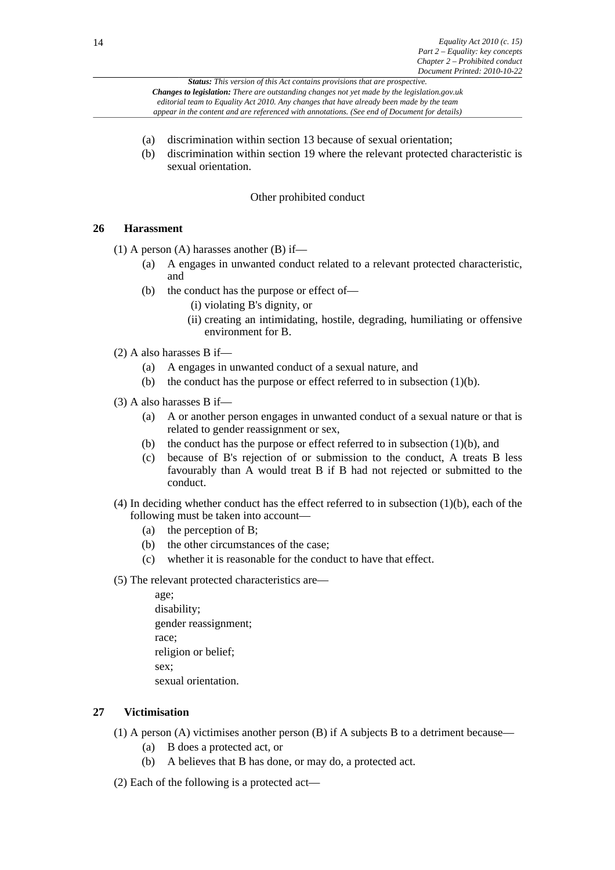- (a) discrimination within section 13 because of sexual orientation;
- (b) discrimination within section 19 where the relevant protected characteristic is sexual orientation.

## Other prohibited conduct

# **26 Harassment**

- (1) A person (A) harasses another (B) if—
	- (a) A engages in unwanted conduct related to a relevant protected characteristic, and
	- (b) the conduct has the purpose or effect of—
		- (i) violating B's dignity, or
		- (ii) creating an intimidating, hostile, degrading, humiliating or offensive environment for B.

### (2) A also harasses B if—

- (a) A engages in unwanted conduct of a sexual nature, and
- (b) the conduct has the purpose or effect referred to in subsection  $(1)(b)$ .
- (3) A also harasses B if—
	- (a) A or another person engages in unwanted conduct of a sexual nature or that is related to gender reassignment or sex,
	- (b) the conduct has the purpose or effect referred to in subsection  $(1)(b)$ , and
	- (c) because of B's rejection of or submission to the conduct, A treats B less favourably than A would treat B if B had not rejected or submitted to the conduct.
- $(4)$  In deciding whether conduct has the effect referred to in subsection  $(1)(b)$ , each of the following must be taken into account—
	- (a) the perception of B;
	- (b) the other circumstances of the case;
	- (c) whether it is reasonable for the conduct to have that effect.
- (5) The relevant protected characteristics are—

age; disability; gender reassignment; race; religion or belief; sex; sexual orientation.

# **27 Victimisation**

- (1) A person (A) victimises another person (B) if A subjects B to a detriment because—
	- (a) B does a protected act, or
	- (b) A believes that B has done, or may do, a protected act.
- (2) Each of the following is a protected act—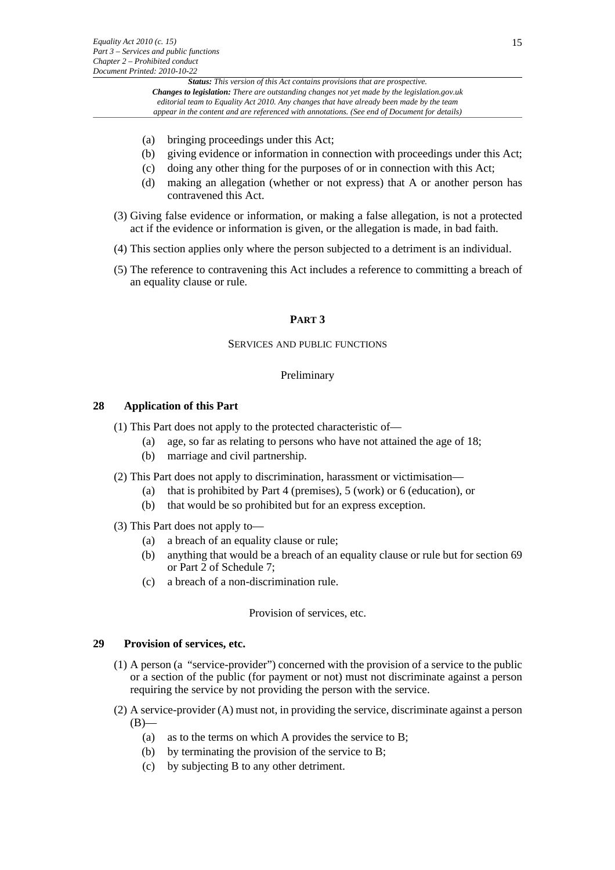- (a) bringing proceedings under this Act;
- (b) giving evidence or information in connection with proceedings under this Act;
- (c) doing any other thing for the purposes of or in connection with this Act;
- (d) making an allegation (whether or not express) that A or another person has contravened this Act.
- (3) Giving false evidence or information, or making a false allegation, is not a protected act if the evidence or information is given, or the allegation is made, in bad faith.
- (4) This section applies only where the person subjected to a detriment is an individual.
- (5) The reference to contravening this Act includes a reference to committing a breach of an equality clause or rule.

### **PART 3**

#### SERVICES AND PUBLIC FUNCTIONS

### Preliminary

### **28 Application of this Part**

- (1) This Part does not apply to the protected characteristic of—
	- (a) age, so far as relating to persons who have not attained the age of 18;
	- (b) marriage and civil partnership.
- (2) This Part does not apply to discrimination, harassment or victimisation—
	- (a) that is prohibited by Part 4 (premises), 5 (work) or 6 (education), or
	- (b) that would be so prohibited but for an express exception.
- (3) This Part does not apply to—
	- (a) a breach of an equality clause or rule;
	- (b) anything that would be a breach of an equality clause or rule but for section 69 or Part 2 of Schedule 7;
	- (c) a breach of a non-discrimination rule.

### Provision of services, etc.

#### **29 Provision of services, etc.**

- (1) A person (a "service-provider") concerned with the provision of a service to the public or a section of the public (for payment or not) must not discriminate against a person requiring the service by not providing the person with the service.
- (2) A service-provider (A) must not, in providing the service, discriminate against a person  $(B)$ —
	- (a) as to the terms on which A provides the service to B;
	- (b) by terminating the provision of the service to B;
	- (c) by subjecting B to any other detriment.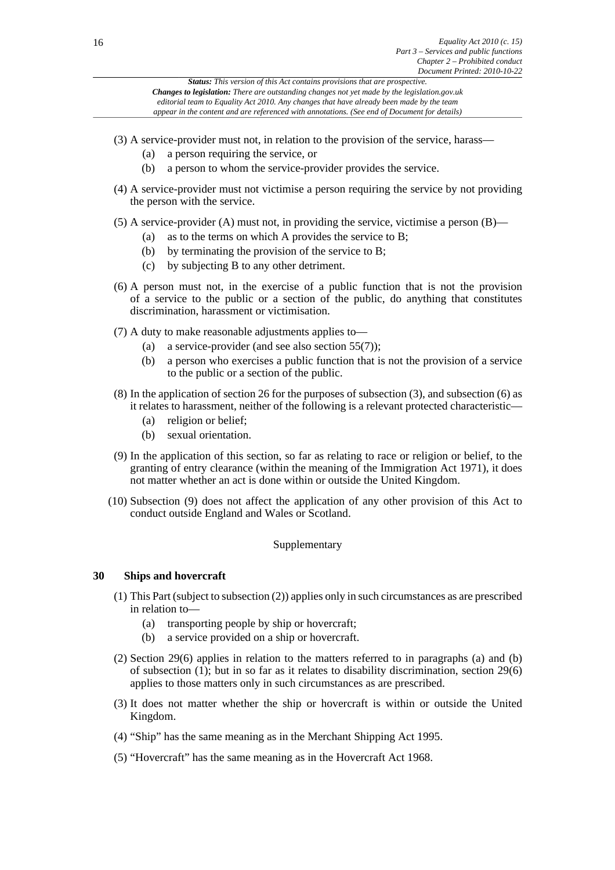- (3) A service-provider must not, in relation to the provision of the service, harass—
	- (a) a person requiring the service, or
	- (b) a person to whom the service-provider provides the service.
- (4) A service-provider must not victimise a person requiring the service by not providing the person with the service.
- (5) A service-provider (A) must not, in providing the service, victimise a person  $(B)$ 
	- (a) as to the terms on which A provides the service to B;
	- (b) by terminating the provision of the service to B;
	- (c) by subjecting B to any other detriment.
- (6) A person must not, in the exercise of a public function that is not the provision of a service to the public or a section of the public, do anything that constitutes discrimination, harassment or victimisation.
- (7) A duty to make reasonable adjustments applies to—
	- (a) a service-provider (and see also section 55(7));
	- (b) a person who exercises a public function that is not the provision of a service to the public or a section of the public.
- (8) In the application of section 26 for the purposes of subsection (3), and subsection (6) as it relates to harassment, neither of the following is a relevant protected characteristic—
	- (a) religion or belief;
	- (b) sexual orientation.
- (9) In the application of this section, so far as relating to race or religion or belief, to the granting of entry clearance (within the meaning of the Immigration Act 1971), it does not matter whether an act is done within or outside the United Kingdom.
- (10) Subsection (9) does not affect the application of any other provision of this Act to conduct outside England and Wales or Scotland.

#### Supplementary

#### **30 Ships and hovercraft**

- (1) This Part (subject to subsection (2)) applies only in such circumstances as are prescribed in relation to—
	- (a) transporting people by ship or hovercraft;
	- (b) a service provided on a ship or hovercraft.
- (2) Section 29(6) applies in relation to the matters referred to in paragraphs (a) and (b) of subsection  $(1)$ ; but in so far as it relates to disability discrimination, section  $29(6)$ applies to those matters only in such circumstances as are prescribed.
- (3) It does not matter whether the ship or hovercraft is within or outside the United Kingdom.
- (4) "Ship" has the same meaning as in the Merchant Shipping Act 1995.
- (5) "Hovercraft" has the same meaning as in the Hovercraft Act 1968.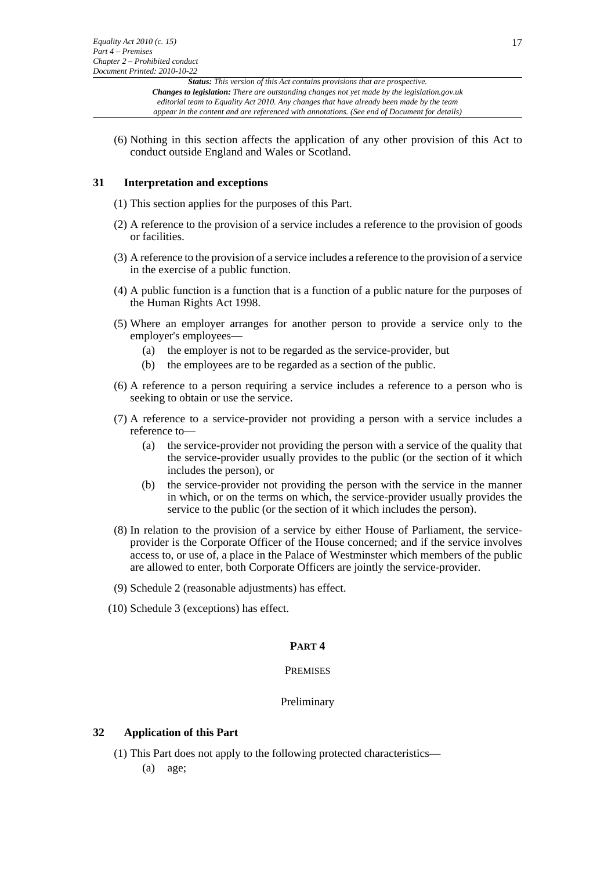(6) Nothing in this section affects the application of any other provision of this Act to conduct outside England and Wales or Scotland.

## **31 Interpretation and exceptions**

- (1) This section applies for the purposes of this Part.
- (2) A reference to the provision of a service includes a reference to the provision of goods or facilities.
- (3) A reference to the provision of a service includes a reference to the provision of a service in the exercise of a public function.
- (4) A public function is a function that is a function of a public nature for the purposes of the Human Rights Act 1998.
- (5) Where an employer arranges for another person to provide a service only to the employer's employees—
	- (a) the employer is not to be regarded as the service-provider, but
	- (b) the employees are to be regarded as a section of the public.
- (6) A reference to a person requiring a service includes a reference to a person who is seeking to obtain or use the service.
- (7) A reference to a service-provider not providing a person with a service includes a reference to—
	- (a) the service-provider not providing the person with a service of the quality that the service-provider usually provides to the public (or the section of it which includes the person), or
	- (b) the service-provider not providing the person with the service in the manner in which, or on the terms on which, the service-provider usually provides the service to the public (or the section of it which includes the person).
- (8) In relation to the provision of a service by either House of Parliament, the serviceprovider is the Corporate Officer of the House concerned; and if the service involves access to, or use of, a place in the Palace of Westminster which members of the public are allowed to enter, both Corporate Officers are jointly the service-provider.
- (9) Schedule 2 (reasonable adjustments) has effect.
- (10) Schedule 3 (exceptions) has effect.

### **PART 4**

#### **PREMISES**

### Preliminary

### **32 Application of this Part**

- (1) This Part does not apply to the following protected characteristics—
	- (a) age;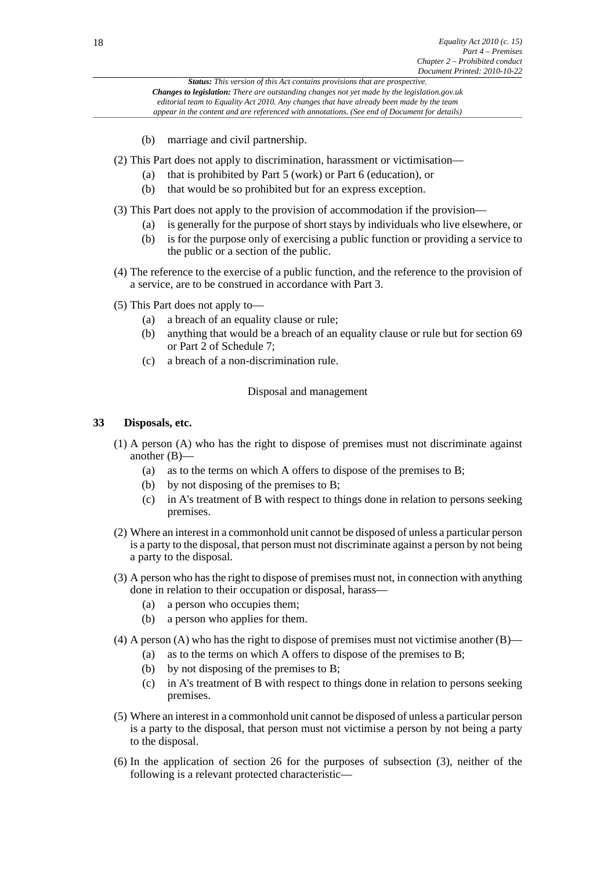- (b) marriage and civil partnership.
- (2) This Part does not apply to discrimination, harassment or victimisation—
	- (a) that is prohibited by Part 5 (work) or Part 6 (education), or
	- (b) that would be so prohibited but for an express exception.
- (3) This Part does not apply to the provision of accommodation if the provision—
	- (a) is generally for the purpose of short stays by individuals who live elsewhere, or
	- (b) is for the purpose only of exercising a public function or providing a service to the public or a section of the public.
- (4) The reference to the exercise of a public function, and the reference to the provision of a service, are to be construed in accordance with Part 3.
- (5) This Part does not apply to—
	- (a) a breach of an equality clause or rule;
	- (b) anything that would be a breach of an equality clause or rule but for section 69 or Part 2 of Schedule 7;
	- (c) a breach of a non-discrimination rule.

## Disposal and management

# **33 Disposals, etc.**

- (1) A person (A) who has the right to dispose of premises must not discriminate against another (B)—
	- (a) as to the terms on which A offers to dispose of the premises to B;
	- (b) by not disposing of the premises to B;
	- (c) in A's treatment of B with respect to things done in relation to persons seeking premises.
- (2) Where an interest in a commonhold unit cannot be disposed of unless a particular person is a party to the disposal, that person must not discriminate against a person by not being a party to the disposal.
- (3) A person who has the right to dispose of premises must not, in connection with anything done in relation to their occupation or disposal, harass—
	- (a) a person who occupies them;
	- (b) a person who applies for them.
- (4) A person (A) who has the right to dispose of premises must not victimise another  $(B)$ 
	- (a) as to the terms on which A offers to dispose of the premises to B;
	- (b) by not disposing of the premises to B;
	- (c) in A's treatment of B with respect to things done in relation to persons seeking premises.
- (5) Where an interest in a commonhold unit cannot be disposed of unless a particular person is a party to the disposal, that person must not victimise a person by not being a party to the disposal.
- (6) In the application of section 26 for the purposes of subsection (3), neither of the following is a relevant protected characteristic—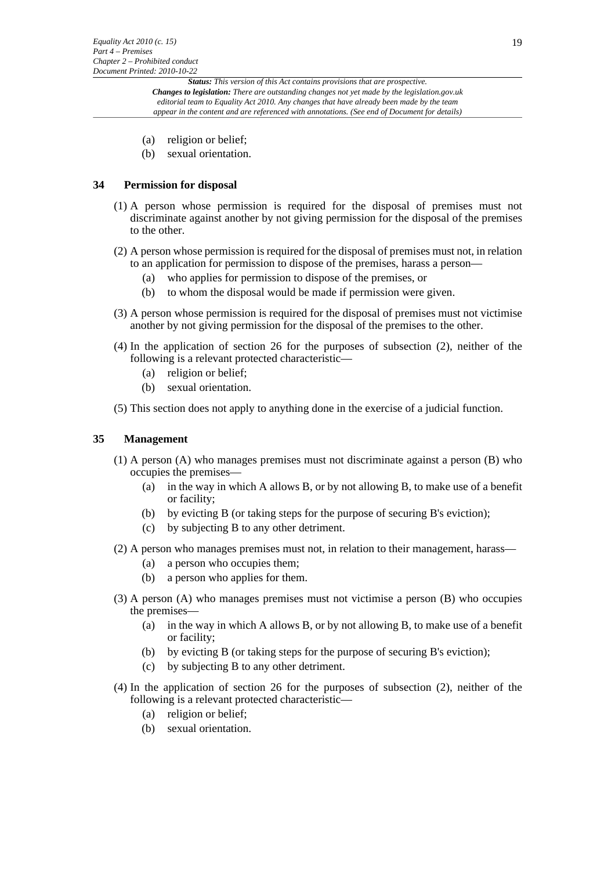- (a) religion or belief;
- (b) sexual orientation.

## **34 Permission for disposal**

- (1) A person whose permission is required for the disposal of premises must not discriminate against another by not giving permission for the disposal of the premises to the other.
- (2) A person whose permission is required for the disposal of premises must not, in relation to an application for permission to dispose of the premises, harass a person—
	- (a) who applies for permission to dispose of the premises, or
	- (b) to whom the disposal would be made if permission were given.
- (3) A person whose permission is required for the disposal of premises must not victimise another by not giving permission for the disposal of the premises to the other.
- (4) In the application of section 26 for the purposes of subsection (2), neither of the following is a relevant protected characteristic—
	- (a) religion or belief;
	- (b) sexual orientation.
- (5) This section does not apply to anything done in the exercise of a judicial function.

### **35 Management**

- (1) A person (A) who manages premises must not discriminate against a person (B) who occupies the premises—
	- (a) in the way in which A allows B, or by not allowing B, to make use of a benefit or facility;
	- (b) by evicting B (or taking steps for the purpose of securing B's eviction);
	- (c) by subjecting B to any other detriment.
- (2) A person who manages premises must not, in relation to their management, harass—
	- (a) a person who occupies them;
	- (b) a person who applies for them.
- (3) A person (A) who manages premises must not victimise a person (B) who occupies the premises—
	- (a) in the way in which A allows B, or by not allowing B, to make use of a benefit or facility;
	- (b) by evicting B (or taking steps for the purpose of securing B's eviction);
	- (c) by subjecting B to any other detriment.
- (4) In the application of section 26 for the purposes of subsection (2), neither of the following is a relevant protected characteristic—
	- (a) religion or belief;
	- (b) sexual orientation.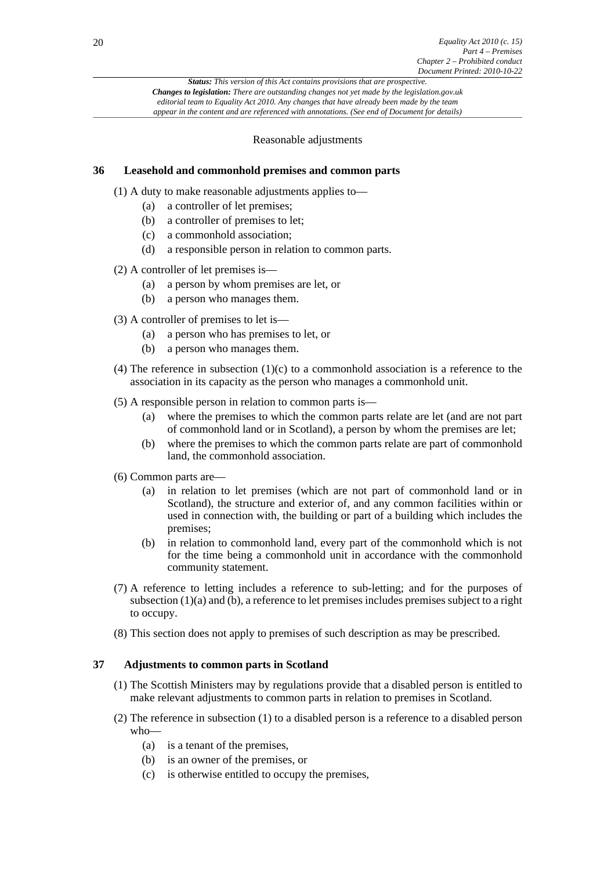Reasonable adjustments

## **36 Leasehold and commonhold premises and common parts**

(1) A duty to make reasonable adjustments applies to—

- (a) a controller of let premises;
- (b) a controller of premises to let;
- (c) a commonhold association;
- (d) a responsible person in relation to common parts.
- (2) A controller of let premises is—
	- (a) a person by whom premises are let, or
	- (b) a person who manages them.
- (3) A controller of premises to let is—
	- (a) a person who has premises to let, or
	- (b) a person who manages them.
- (4) The reference in subsection  $(1)(c)$  to a commonhold association is a reference to the association in its capacity as the person who manages a commonhold unit.
- (5) A responsible person in relation to common parts is—
	- (a) where the premises to which the common parts relate are let (and are not part of commonhold land or in Scotland), a person by whom the premises are let;
	- (b) where the premises to which the common parts relate are part of commonhold land, the commonhold association.
- (6) Common parts are—
	- (a) in relation to let premises (which are not part of commonhold land or in Scotland), the structure and exterior of, and any common facilities within or used in connection with, the building or part of a building which includes the premises;
	- (b) in relation to commonhold land, every part of the commonhold which is not for the time being a commonhold unit in accordance with the commonhold community statement.
- (7) A reference to letting includes a reference to sub-letting; and for the purposes of subsection  $(1)(a)$  and  $(b)$ , a reference to let premises includes premises subject to a right to occupy.
- (8) This section does not apply to premises of such description as may be prescribed.

### **37 Adjustments to common parts in Scotland**

- (1) The Scottish Ministers may by regulations provide that a disabled person is entitled to make relevant adjustments to common parts in relation to premises in Scotland.
- (2) The reference in subsection (1) to a disabled person is a reference to a disabled person who—
	- (a) is a tenant of the premises,
	- (b) is an owner of the premises, or
	- (c) is otherwise entitled to occupy the premises,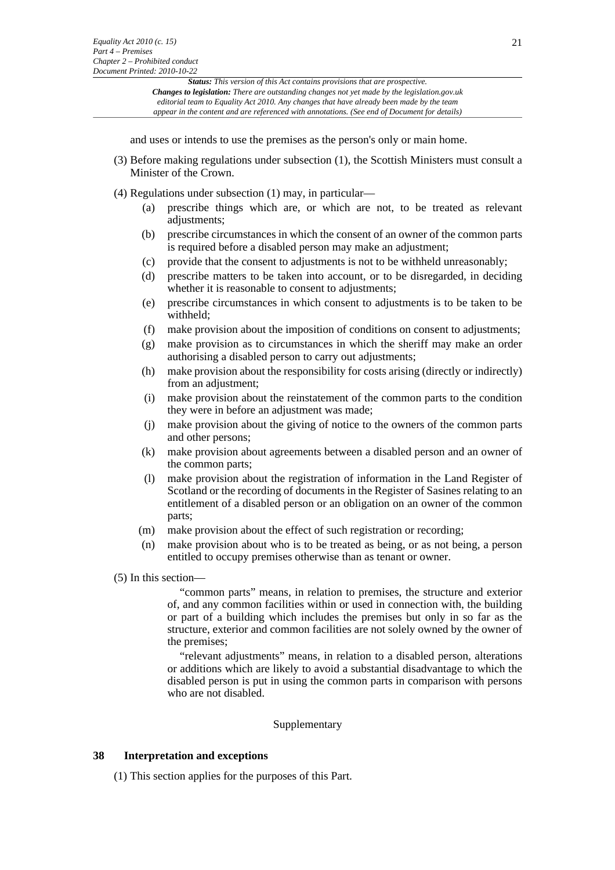and uses or intends to use the premises as the person's only or main home.

- (3) Before making regulations under subsection (1), the Scottish Ministers must consult a Minister of the Crown.
- (4) Regulations under subsection (1) may, in particular—
	- (a) prescribe things which are, or which are not, to be treated as relevant adjustments;
	- (b) prescribe circumstances in which the consent of an owner of the common parts is required before a disabled person may make an adjustment;
	- (c) provide that the consent to adjustments is not to be withheld unreasonably;
	- (d) prescribe matters to be taken into account, or to be disregarded, in deciding whether it is reasonable to consent to adjustments;
	- (e) prescribe circumstances in which consent to adjustments is to be taken to be withheld;
	- (f) make provision about the imposition of conditions on consent to adjustments;
	- (g) make provision as to circumstances in which the sheriff may make an order authorising a disabled person to carry out adjustments;
	- (h) make provision about the responsibility for costs arising (directly or indirectly) from an adjustment;
	- (i) make provision about the reinstatement of the common parts to the condition they were in before an adjustment was made;
	- (j) make provision about the giving of notice to the owners of the common parts and other persons;
	- (k) make provision about agreements between a disabled person and an owner of the common parts;
	- (l) make provision about the registration of information in the Land Register of Scotland or the recording of documents in the Register of Sasines relating to an entitlement of a disabled person or an obligation on an owner of the common parts;
	- (m) make provision about the effect of such registration or recording;
	- (n) make provision about who is to be treated as being, or as not being, a person entitled to occupy premises otherwise than as tenant or owner.
- (5) In this section—

"common parts" means, in relation to premises, the structure and exterior of, and any common facilities within or used in connection with, the building or part of a building which includes the premises but only in so far as the structure, exterior and common facilities are not solely owned by the owner of the premises;

"relevant adjustments" means, in relation to a disabled person, alterations or additions which are likely to avoid a substantial disadvantage to which the disabled person is put in using the common parts in comparison with persons who are not disabled.

#### Supplementary

### **38 Interpretation and exceptions**

(1) This section applies for the purposes of this Part.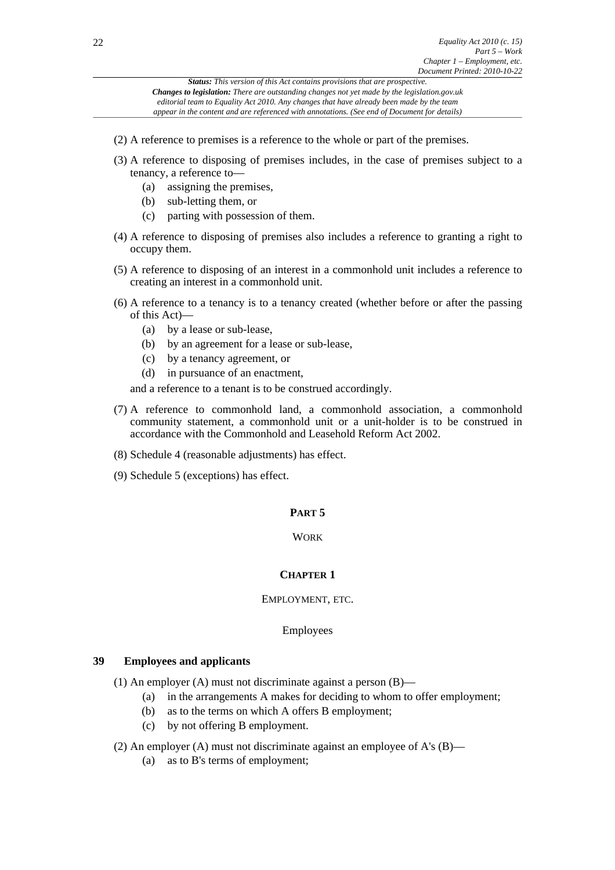- (2) A reference to premises is a reference to the whole or part of the premises.
- (3) A reference to disposing of premises includes, in the case of premises subject to a tenancy, a reference to—
	- (a) assigning the premises,
	- (b) sub-letting them, or
	- (c) parting with possession of them.
- (4) A reference to disposing of premises also includes a reference to granting a right to occupy them.
- (5) A reference to disposing of an interest in a commonhold unit includes a reference to creating an interest in a commonhold unit.
- (6) A reference to a tenancy is to a tenancy created (whether before or after the passing of this Act)—
	- (a) by a lease or sub-lease,
	- (b) by an agreement for a lease or sub-lease,
	- (c) by a tenancy agreement, or
	- (d) in pursuance of an enactment,

and a reference to a tenant is to be construed accordingly.

- (7) A reference to commonhold land, a commonhold association, a commonhold community statement, a commonhold unit or a unit-holder is to be construed in accordance with the Commonhold and Leasehold Reform Act 2002.
- (8) Schedule 4 (reasonable adjustments) has effect.
- (9) Schedule 5 (exceptions) has effect.

### **PART 5**

**WORK** 

# **CHAPTER 1**

### EMPLOYMENT, ETC.

### Employees

## **39 Employees and applicants**

- (1) An employer (A) must not discriminate against a person (B)—
	- (a) in the arrangements A makes for deciding to whom to offer employment;
	- (b) as to the terms on which A offers B employment;
	- (c) by not offering B employment.
- (2) An employer (A) must not discriminate against an employee of A's (B)—
	- (a) as to B's terms of employment;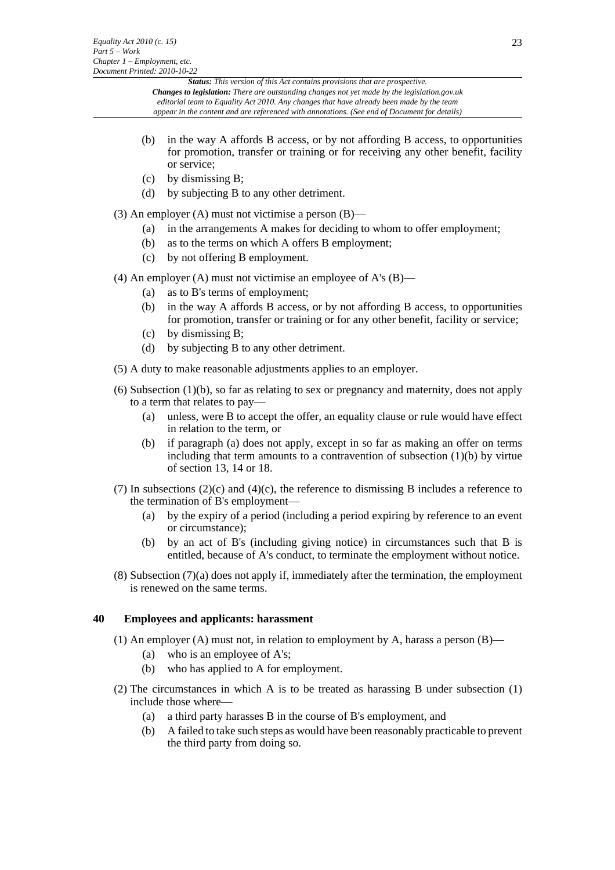- (b) in the way A affords B access, or by not affording B access, to opportunities for promotion, transfer or training or for receiving any other benefit, facility or service;
- (c) by dismissing B;
- (d) by subjecting B to any other detriment.

(3) An employer (A) must not victimise a person (B)—

- (a) in the arrangements A makes for deciding to whom to offer employment;
- (b) as to the terms on which A offers B employment;
- (c) by not offering B employment.

(4) An employer (A) must not victimise an employee of A's (B)—

- (a) as to B's terms of employment;
- (b) in the way A affords B access, or by not affording B access, to opportunities for promotion, transfer or training or for any other benefit, facility or service;
- (c) by dismissing B;
- (d) by subjecting B to any other detriment.
- (5) A duty to make reasonable adjustments applies to an employer.
- (6) Subsection (1)(b), so far as relating to sex or pregnancy and maternity, does not apply to a term that relates to pay—
	- (a) unless, were B to accept the offer, an equality clause or rule would have effect in relation to the term, or
	- (b) if paragraph (a) does not apply, except in so far as making an offer on terms including that term amounts to a contravention of subsection  $(1)(b)$  by virtue of section 13, 14 or 18.
- (7) In subsections (2)(c) and (4)(c), the reference to dismissing B includes a reference to the termination of B's employment—
	- (a) by the expiry of a period (including a period expiring by reference to an event or circumstance);
	- (b) by an act of B's (including giving notice) in circumstances such that B is entitled, because of A's conduct, to terminate the employment without notice.
- (8) Subsection (7)(a) does not apply if, immediately after the termination, the employment is renewed on the same terms.

### **40 Employees and applicants: harassment**

- (1) An employer (A) must not, in relation to employment by A, harass a person  $(B)$ 
	- (a) who is an employee of A's;
	- (b) who has applied to A for employment.
- (2) The circumstances in which A is to be treated as harassing B under subsection (1) include those where—
	- (a) a third party harasses B in the course of B's employment, and
	- (b) A failed to take such steps as would have been reasonably practicable to prevent the third party from doing so.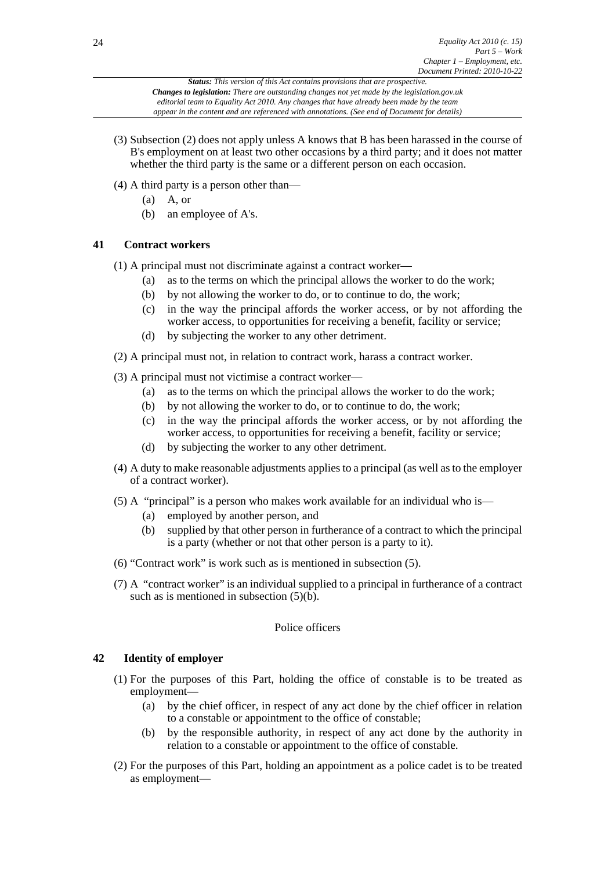- (3) Subsection (2) does not apply unless A knows that B has been harassed in the course of B's employment on at least two other occasions by a third party; and it does not matter whether the third party is the same or a different person on each occasion.
- (4) A third party is a person other than—
	- (a) A, or
	- (b) an employee of A's.

# **41 Contract workers**

- (1) A principal must not discriminate against a contract worker—
	- (a) as to the terms on which the principal allows the worker to do the work;
	- (b) by not allowing the worker to do, or to continue to do, the work;
	- (c) in the way the principal affords the worker access, or by not affording the worker access, to opportunities for receiving a benefit, facility or service;
	- (d) by subjecting the worker to any other detriment.
- (2) A principal must not, in relation to contract work, harass a contract worker.
- (3) A principal must not victimise a contract worker—
	- (a) as to the terms on which the principal allows the worker to do the work;
	- (b) by not allowing the worker to do, or to continue to do, the work;
	- (c) in the way the principal affords the worker access, or by not affording the worker access, to opportunities for receiving a benefit, facility or service;
	- (d) by subjecting the worker to any other detriment.
- (4) A duty to make reasonable adjustments applies to a principal (as well as to the employer of a contract worker).
- (5) A "principal" is a person who makes work available for an individual who is—
	- (a) employed by another person, and
	- (b) supplied by that other person in furtherance of a contract to which the principal is a party (whether or not that other person is a party to it).
- (6) "Contract work" is work such as is mentioned in subsection (5).
- (7) A "contract worker" is an individual supplied to a principal in furtherance of a contract such as is mentioned in subsection  $(5)(\overline{b})$ .

# Police officers

# **42 Identity of employer**

- (1) For the purposes of this Part, holding the office of constable is to be treated as employment—
	- (a) by the chief officer, in respect of any act done by the chief officer in relation to a constable or appointment to the office of constable;
	- (b) by the responsible authority, in respect of any act done by the authority in relation to a constable or appointment to the office of constable.
- (2) For the purposes of this Part, holding an appointment as a police cadet is to be treated as employment—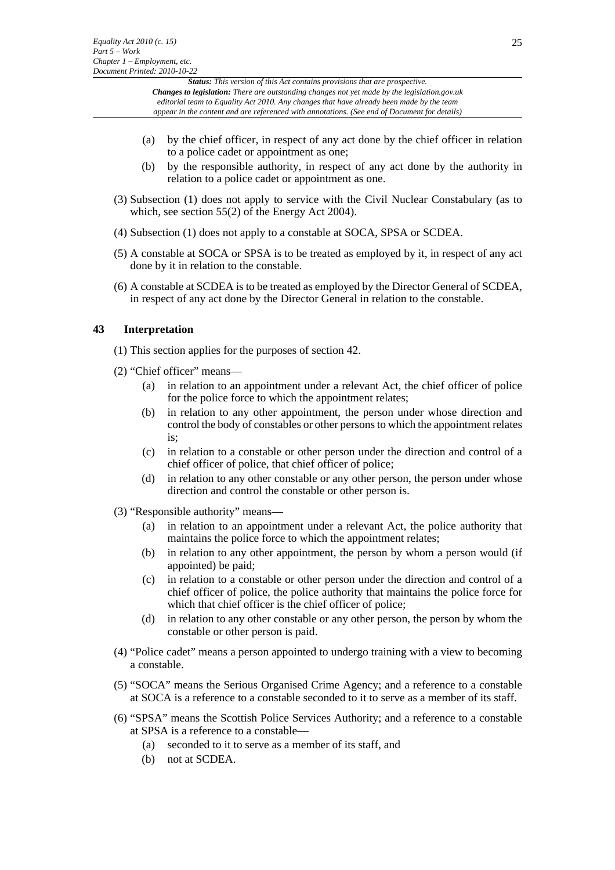- (a) by the chief officer, in respect of any act done by the chief officer in relation to a police cadet or appointment as one;
- (b) by the responsible authority, in respect of any act done by the authority in relation to a police cadet or appointment as one.
- (3) Subsection (1) does not apply to service with the Civil Nuclear Constabulary (as to which, see section 55(2) of the Energy Act 2004).
- (4) Subsection (1) does not apply to a constable at SOCA, SPSA or SCDEA.
- (5) A constable at SOCA or SPSA is to be treated as employed by it, in respect of any act done by it in relation to the constable.
- (6) A constable at SCDEA is to be treated as employed by the Director General of SCDEA, in respect of any act done by the Director General in relation to the constable.

### **43 Interpretation**

- (1) This section applies for the purposes of section 42.
- (2) "Chief officer" means—
	- (a) in relation to an appointment under a relevant Act, the chief officer of police for the police force to which the appointment relates;
	- (b) in relation to any other appointment, the person under whose direction and control the body of constables or other persons to which the appointment relates is;
	- (c) in relation to a constable or other person under the direction and control of a chief officer of police, that chief officer of police;
	- (d) in relation to any other constable or any other person, the person under whose direction and control the constable or other person is.
- (3) "Responsible authority" means—
	- (a) in relation to an appointment under a relevant Act, the police authority that maintains the police force to which the appointment relates;
	- (b) in relation to any other appointment, the person by whom a person would (if appointed) be paid;
	- (c) in relation to a constable or other person under the direction and control of a chief officer of police, the police authority that maintains the police force for which that chief officer is the chief officer of police;
	- (d) in relation to any other constable or any other person, the person by whom the constable or other person is paid.
- (4) "Police cadet" means a person appointed to undergo training with a view to becoming a constable.
- (5) "SOCA" means the Serious Organised Crime Agency; and a reference to a constable at SOCA is a reference to a constable seconded to it to serve as a member of its staff.
- (6) "SPSA" means the Scottish Police Services Authority; and a reference to a constable at SPSA is a reference to a constable—
	- (a) seconded to it to serve as a member of its staff, and
	- (b) not at SCDEA.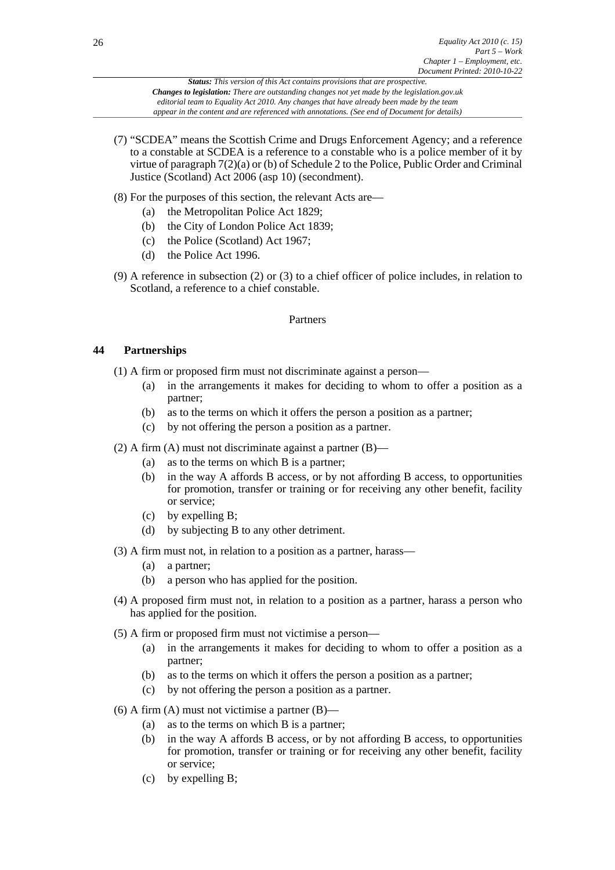- (7) "SCDEA" means the Scottish Crime and Drugs Enforcement Agency; and a reference to a constable at SCDEA is a reference to a constable who is a police member of it by virtue of paragraph  $7(2)(a)$  or (b) of Schedule 2 to the Police, Public Order and Criminal Justice (Scotland) Act 2006 (asp 10) (secondment).
- (8) For the purposes of this section, the relevant Acts are—
	- (a) the Metropolitan Police Act 1829;
	- (b) the City of London Police Act 1839;
	- (c) the Police (Scotland) Act 1967;
	- (d) the Police Act 1996.
- (9) A reference in subsection (2) or (3) to a chief officer of police includes, in relation to Scotland, a reference to a chief constable.

#### Partners

## **44 Partnerships**

- (1) A firm or proposed firm must not discriminate against a person—
	- (a) in the arrangements it makes for deciding to whom to offer a position as a partner;
	- (b) as to the terms on which it offers the person a position as a partner;
	- (c) by not offering the person a position as a partner.
- (2) A firm (A) must not discriminate against a partner  $(B)$ 
	- (a) as to the terms on which B is a partner;
	- (b) in the way A affords B access, or by not affording B access, to opportunities for promotion, transfer or training or for receiving any other benefit, facility or service;
	- (c) by expelling B;
	- (d) by subjecting B to any other detriment.
- (3) A firm must not, in relation to a position as a partner, harass—
	- (a) a partner;
	- (b) a person who has applied for the position.
- (4) A proposed firm must not, in relation to a position as a partner, harass a person who has applied for the position.
- (5) A firm or proposed firm must not victimise a person—
	- (a) in the arrangements it makes for deciding to whom to offer a position as a partner;
	- (b) as to the terms on which it offers the person a position as a partner;
	- (c) by not offering the person a position as a partner.
- $(6)$  A firm  $(A)$  must not victimise a partner  $(B)$ 
	- (a) as to the terms on which B is a partner;
	- (b) in the way A affords B access, or by not affording B access, to opportunities for promotion, transfer or training or for receiving any other benefit, facility or service;
	- (c) by expelling B;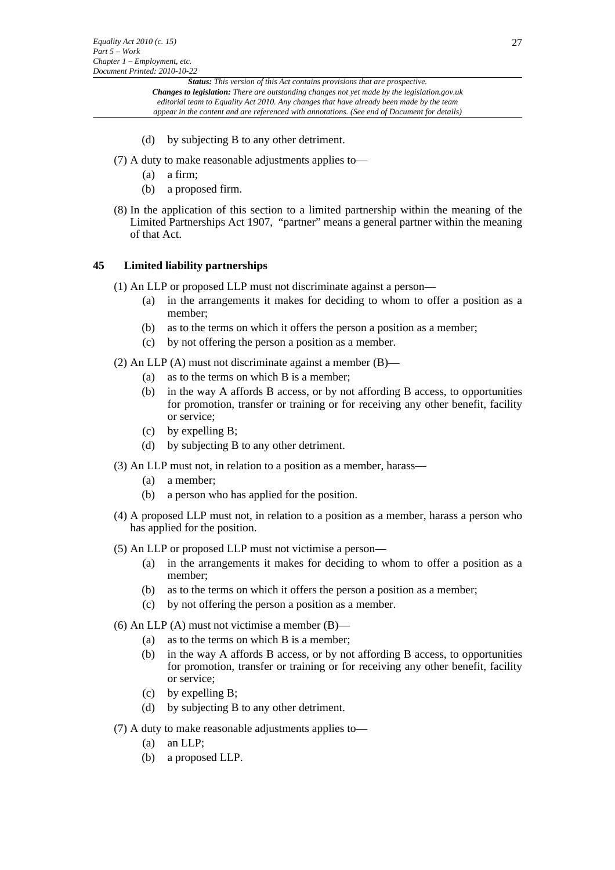- (d) by subjecting B to any other detriment.
- (7) A duty to make reasonable adjustments applies to—
	- (a) a firm;
	- (b) a proposed firm.
- (8) In the application of this section to a limited partnership within the meaning of the Limited Partnerships Act 1907, "partner" means a general partner within the meaning of that Act.

#### **45 Limited liability partnerships**

- (1) An LLP or proposed LLP must not discriminate against a person—
	- (a) in the arrangements it makes for deciding to whom to offer a position as a member;
	- (b) as to the terms on which it offers the person a position as a member;
	- (c) by not offering the person a position as a member.

(2) An LLP (A) must not discriminate against a member  $(B)$ —

- (a) as to the terms on which B is a member;
- (b) in the way A affords B access, or by not affording B access, to opportunities for promotion, transfer or training or for receiving any other benefit, facility or service;
- (c) by expelling B;
- (d) by subjecting B to any other detriment.
- (3) An LLP must not, in relation to a position as a member, harass—
	- (a) a member;
	- (b) a person who has applied for the position.
- (4) A proposed LLP must not, in relation to a position as a member, harass a person who has applied for the position.
- (5) An LLP or proposed LLP must not victimise a person—
	- (a) in the arrangements it makes for deciding to whom to offer a position as a member;
	- (b) as to the terms on which it offers the person a position as a member;
	- (c) by not offering the person a position as a member.
- $(6)$  An LLP  $(A)$  must not victimise a member  $(B)$ 
	- (a) as to the terms on which B is a member;
	- (b) in the way A affords B access, or by not affording B access, to opportunities for promotion, transfer or training or for receiving any other benefit, facility or service;
	- (c) by expelling B;
	- (d) by subjecting B to any other detriment.
- (7) A duty to make reasonable adjustments applies to—
	- (a) an LLP;
	- (b) a proposed LLP.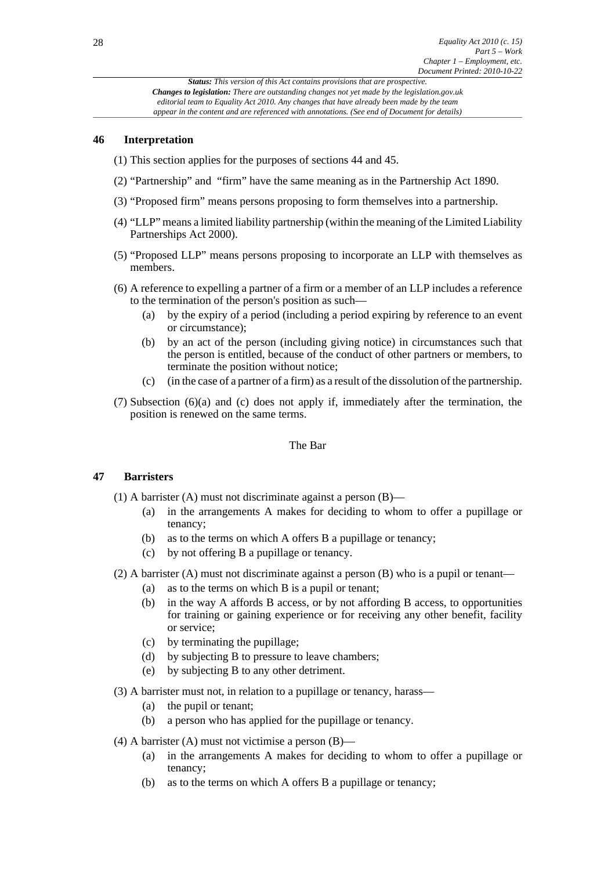## **46 Interpretation**

- (1) This section applies for the purposes of sections 44 and 45.
- (2) "Partnership" and "firm" have the same meaning as in the Partnership Act 1890.
- (3) "Proposed firm" means persons proposing to form themselves into a partnership.
- (4) "LLP" means a limited liability partnership (within the meaning of the Limited Liability Partnerships Act 2000).
- (5) "Proposed LLP" means persons proposing to incorporate an LLP with themselves as members.
- (6) A reference to expelling a partner of a firm or a member of an LLP includes a reference to the termination of the person's position as such—
	- (a) by the expiry of a period (including a period expiring by reference to an event or circumstance);
	- (b) by an act of the person (including giving notice) in circumstances such that the person is entitled, because of the conduct of other partners or members, to terminate the position without notice;
	- (c) (in the case of a partner of a firm) as a result of the dissolution of the partnership.
- (7) Subsection (6)(a) and (c) does not apply if, immediately after the termination, the position is renewed on the same terms.

## The Bar

# **47 Barristers**

- (1) A barrister (A) must not discriminate against a person (B)—
	- (a) in the arrangements A makes for deciding to whom to offer a pupillage or tenancy;
	- (b) as to the terms on which A offers B a pupillage or tenancy;
	- (c) by not offering B a pupillage or tenancy.
- (2) A barrister (A) must not discriminate against a person (B) who is a pupil or tenant—
	- (a) as to the terms on which B is a pupil or tenant;
	- (b) in the way A affords B access, or by not affording B access, to opportunities for training or gaining experience or for receiving any other benefit, facility or service;
	- (c) by terminating the pupillage;
	- (d) by subjecting B to pressure to leave chambers;
	- (e) by subjecting B to any other detriment.
- (3) A barrister must not, in relation to a pupillage or tenancy, harass—
	- (a) the pupil or tenant;
	- (b) a person who has applied for the pupillage or tenancy.
- (4) A barrister (A) must not victimise a person (B)—
	- (a) in the arrangements A makes for deciding to whom to offer a pupillage or tenancy;
	- (b) as to the terms on which A offers B a pupillage or tenancy;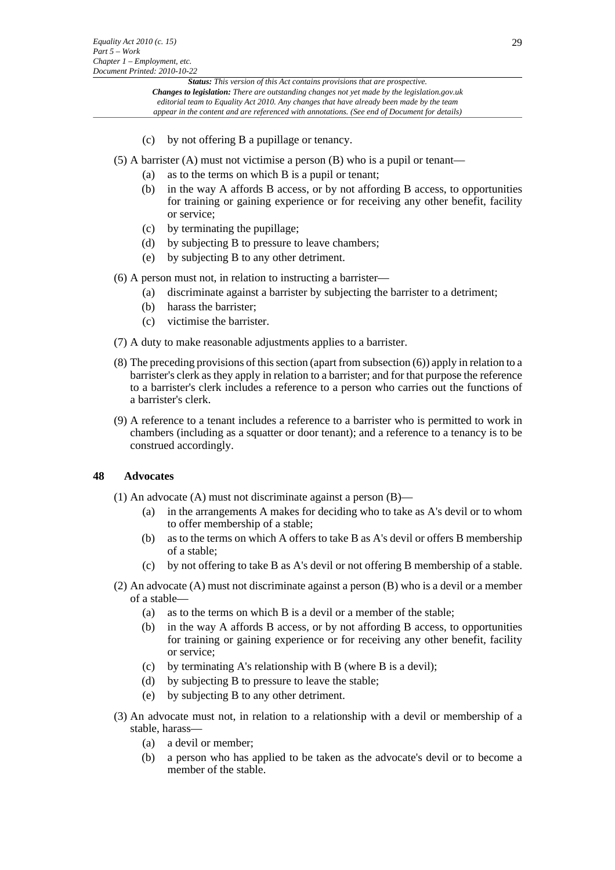- (c) by not offering B a pupillage or tenancy.
- (5) A barrister (A) must not victimise a person (B) who is a pupil or tenant—
	- (a) as to the terms on which B is a pupil or tenant;
	- (b) in the way A affords B access, or by not affording B access, to opportunities for training or gaining experience or for receiving any other benefit, facility or service;
	- (c) by terminating the pupillage;
	- (d) by subjecting B to pressure to leave chambers;
	- (e) by subjecting B to any other detriment.

### (6) A person must not, in relation to instructing a barrister—

- (a) discriminate against a barrister by subjecting the barrister to a detriment;
- (b) harass the barrister;
- (c) victimise the barrister.
- (7) A duty to make reasonable adjustments applies to a barrister.
- (8) The preceding provisions of this section (apart from subsection (6)) apply in relation to a barrister's clerk as they apply in relation to a barrister; and for that purpose the reference to a barrister's clerk includes a reference to a person who carries out the functions of a barrister's clerk.
- (9) A reference to a tenant includes a reference to a barrister who is permitted to work in chambers (including as a squatter or door tenant); and a reference to a tenancy is to be construed accordingly.

#### **48 Advocates**

- (1) An advocate (A) must not discriminate against a person (B)—
	- (a) in the arrangements A makes for deciding who to take as A's devil or to whom to offer membership of a stable;
	- (b) as to the terms on which A offers to take B as A's devil or offers B membership of a stable;
	- (c) by not offering to take B as A's devil or not offering B membership of a stable.
- (2) An advocate (A) must not discriminate against a person (B) who is a devil or a member of a stable—
	- (a) as to the terms on which B is a devil or a member of the stable;
	- (b) in the way A affords B access, or by not affording B access, to opportunities for training or gaining experience or for receiving any other benefit, facility or service;
	- (c) by terminating A's relationship with B (where B is a devil);
	- (d) by subjecting B to pressure to leave the stable;
	- (e) by subjecting B to any other detriment.
- (3) An advocate must not, in relation to a relationship with a devil or membership of a stable, harass—
	- (a) a devil or member;
	- (b) a person who has applied to be taken as the advocate's devil or to become a member of the stable.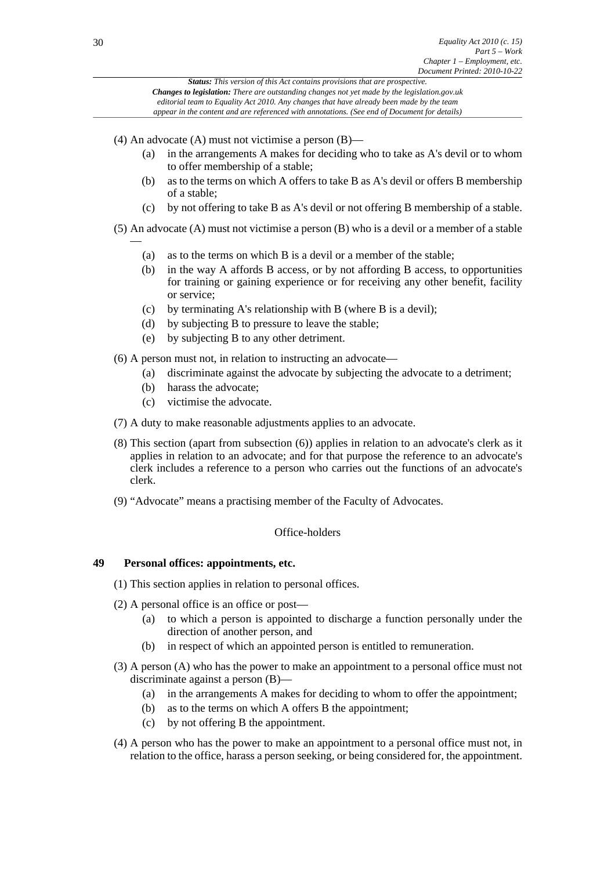(4) An advocate (A) must not victimise a person (B)—

- (a) in the arrangements A makes for deciding who to take as A's devil or to whom to offer membership of a stable;
- (b) as to the terms on which A offers to take B as A's devil or offers B membership of a stable;
- (c) by not offering to take B as A's devil or not offering B membership of a stable.
- (5) An advocate (A) must not victimise a person (B) who is a devil or a member of a stable —
	- (a) as to the terms on which B is a devil or a member of the stable;
	- (b) in the way A affords B access, or by not affording B access, to opportunities for training or gaining experience or for receiving any other benefit, facility or service;
	- (c) by terminating A's relationship with B (where B is a devil);
	- (d) by subjecting B to pressure to leave the stable;
	- (e) by subjecting B to any other detriment.

(6) A person must not, in relation to instructing an advocate—

- (a) discriminate against the advocate by subjecting the advocate to a detriment;
- (b) harass the advocate;
- (c) victimise the advocate.
- (7) A duty to make reasonable adjustments applies to an advocate.
- (8) This section (apart from subsection (6)) applies in relation to an advocate's clerk as it applies in relation to an advocate; and for that purpose the reference to an advocate's clerk includes a reference to a person who carries out the functions of an advocate's clerk.
- (9) "Advocate" means a practising member of the Faculty of Advocates.

# Office-holders

# **49 Personal offices: appointments, etc.**

(1) This section applies in relation to personal offices.

- (2) A personal office is an office or post—
	- (a) to which a person is appointed to discharge a function personally under the direction of another person, and
	- in respect of which an appointed person is entitled to remuneration.
- (3) A person (A) who has the power to make an appointment to a personal office must not discriminate against a person (B)—
	- (a) in the arrangements A makes for deciding to whom to offer the appointment;
	- (b) as to the terms on which A offers B the appointment;
	- (c) by not offering B the appointment.
- (4) A person who has the power to make an appointment to a personal office must not, in relation to the office, harass a person seeking, or being considered for, the appointment.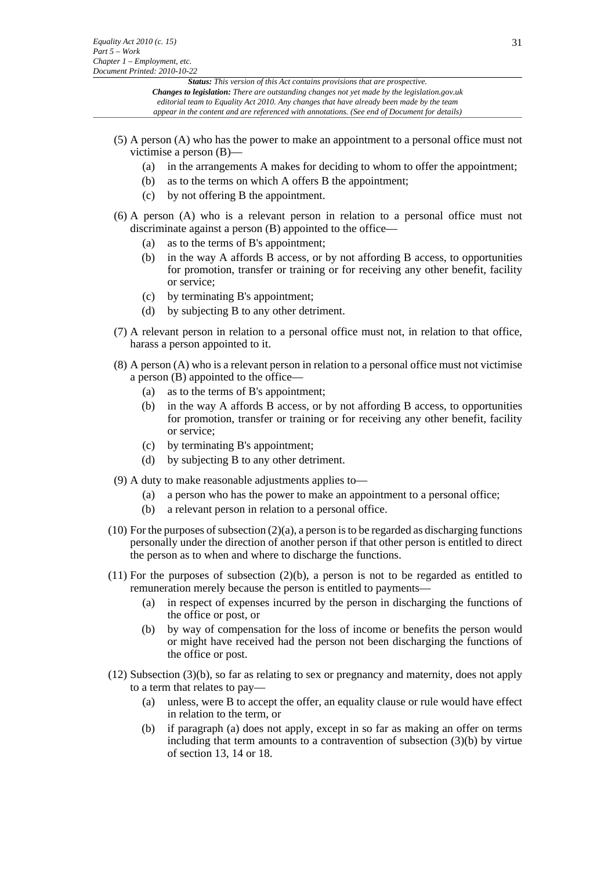- (5) A person (A) who has the power to make an appointment to a personal office must not victimise a person (B)—
	- (a) in the arrangements A makes for deciding to whom to offer the appointment;
	- (b) as to the terms on which A offers B the appointment;
	- (c) by not offering B the appointment.
- (6) A person (A) who is a relevant person in relation to a personal office must not discriminate against a person (B) appointed to the office—
	- (a) as to the terms of B's appointment;
	- (b) in the way A affords B access, or by not affording B access, to opportunities for promotion, transfer or training or for receiving any other benefit, facility or service;
	- (c) by terminating B's appointment;
	- (d) by subjecting B to any other detriment.
- (7) A relevant person in relation to a personal office must not, in relation to that office, harass a person appointed to it.
- (8) A person (A) who is a relevant person in relation to a personal office must not victimise a person (B) appointed to the office—
	- (a) as to the terms of B's appointment;
	- (b) in the way A affords B access, or by not affording B access, to opportunities for promotion, transfer or training or for receiving any other benefit, facility or service;
	- (c) by terminating B's appointment;
	- (d) by subjecting B to any other detriment.
- (9) A duty to make reasonable adjustments applies to—
	- (a) a person who has the power to make an appointment to a personal office;
	- (b) a relevant person in relation to a personal office.
- $(10)$  For the purposes of subsection  $(2)(a)$ , a person is to be regarded as discharging functions personally under the direction of another person if that other person is entitled to direct the person as to when and where to discharge the functions.
- (11) For the purposes of subsection (2)(b), a person is not to be regarded as entitled to remuneration merely because the person is entitled to payments—
	- (a) in respect of expenses incurred by the person in discharging the functions of the office or post, or
	- (b) by way of compensation for the loss of income or benefits the person would or might have received had the person not been discharging the functions of the office or post.
- (12) Subsection (3)(b), so far as relating to sex or pregnancy and maternity, does not apply to a term that relates to pay—
	- (a) unless, were B to accept the offer, an equality clause or rule would have effect in relation to the term, or
	- (b) if paragraph (a) does not apply, except in so far as making an offer on terms including that term amounts to a contravention of subsection (3)(b) by virtue of section 13, 14 or 18.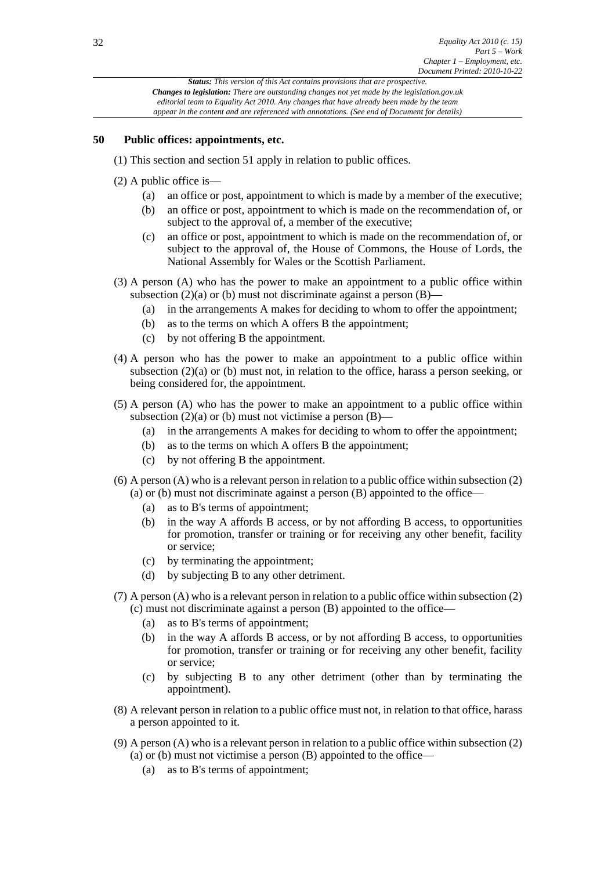## **50 Public offices: appointments, etc.**

- (1) This section and section 51 apply in relation to public offices.
- (2) A public office is—
	- (a) an office or post, appointment to which is made by a member of the executive;
	- (b) an office or post, appointment to which is made on the recommendation of, or subject to the approval of, a member of the executive;
	- (c) an office or post, appointment to which is made on the recommendation of, or subject to the approval of, the House of Commons, the House of Lords, the National Assembly for Wales or the Scottish Parliament.
- (3) A person (A) who has the power to make an appointment to a public office within subsection  $(2)(a)$  or (b) must not discriminate against a person  $(B)$ —
	- (a) in the arrangements A makes for deciding to whom to offer the appointment;
	- (b) as to the terms on which A offers B the appointment;
	- (c) by not offering B the appointment.
- (4) A person who has the power to make an appointment to a public office within subsection (2)(a) or (b) must not, in relation to the office, harass a person seeking, or being considered for, the appointment.
- (5) A person (A) who has the power to make an appointment to a public office within subsection (2)(a) or (b) must not victimise a person  $(B)$ —
	- (a) in the arrangements A makes for deciding to whom to offer the appointment;
	- (b) as to the terms on which A offers B the appointment;
	- (c) by not offering B the appointment.
- (6) A person (A) who is a relevant person in relation to a public office within subsection (2) (a) or (b) must not discriminate against a person (B) appointed to the office—
	- (a) as to B's terms of appointment;
	- (b) in the way A affords B access, or by not affording B access, to opportunities for promotion, transfer or training or for receiving any other benefit, facility or service;
	- (c) by terminating the appointment;
	- (d) by subjecting B to any other detriment.
- (7) A person (A) who is a relevant person in relation to a public office within subsection (2)  $(c)$  must not discriminate against a person  $(B)$  appointed to the office—
	- (a) as to B's terms of appointment;
	- (b) in the way A affords B access, or by not affording B access, to opportunities for promotion, transfer or training or for receiving any other benefit, facility or service;
	- (c) by subjecting B to any other detriment (other than by terminating the appointment).
- (8) A relevant person in relation to a public office must not, in relation to that office, harass a person appointed to it.
- (9) A person (A) who is a relevant person in relation to a public office within subsection (2) (a) or (b) must not victimise a person (B) appointed to the office—
	- (a) as to B's terms of appointment;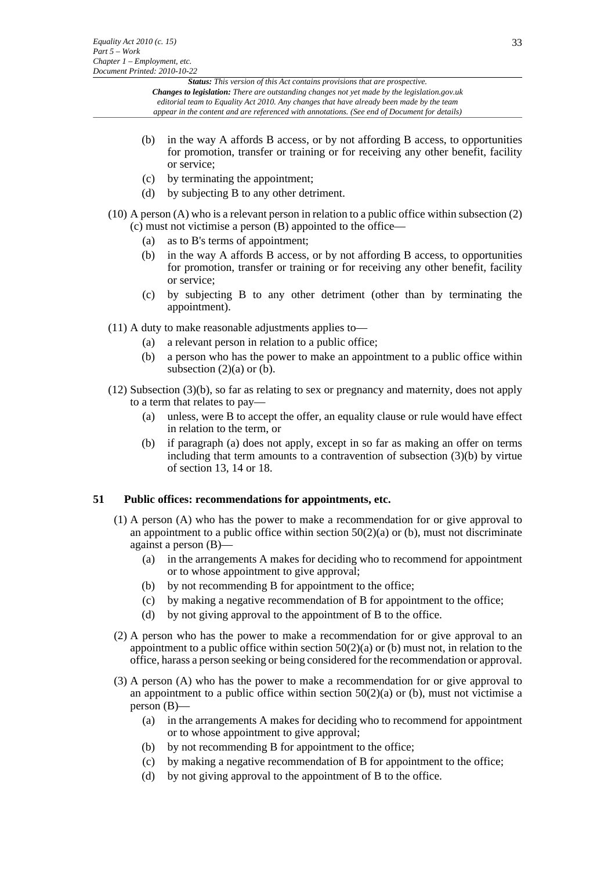- (b) in the way A affords B access, or by not affording B access, to opportunities for promotion, transfer or training or for receiving any other benefit, facility or service;
- (c) by terminating the appointment;
- (d) by subjecting B to any other detriment.
- $(10)$  A person (A) who is a relevant person in relation to a public office within subsection  $(2)$ (c) must not victimise a person (B) appointed to the office—
	- (a) as to B's terms of appointment;
	- (b) in the way A affords B access, or by not affording B access, to opportunities for promotion, transfer or training or for receiving any other benefit, facility or service;
	- (c) by subjecting B to any other detriment (other than by terminating the appointment).
- (11) A duty to make reasonable adjustments applies to—
	- (a) a relevant person in relation to a public office;
	- (b) a person who has the power to make an appointment to a public office within subsection  $(2)(a)$  or  $(b)$ .
- (12) Subsection (3)(b), so far as relating to sex or pregnancy and maternity, does not apply to a term that relates to pay—
	- (a) unless, were B to accept the offer, an equality clause or rule would have effect in relation to the term, or
	- (b) if paragraph (a) does not apply, except in so far as making an offer on terms including that term amounts to a contravention of subsection (3)(b) by virtue of section 13, 14 or 18.

### **51 Public offices: recommendations for appointments, etc.**

- (1) A person (A) who has the power to make a recommendation for or give approval to an appointment to a public office within section  $50(2)(a)$  or (b), must not discriminate against a person (B)—
	- (a) in the arrangements A makes for deciding who to recommend for appointment or to whose appointment to give approval;
	- (b) by not recommending B for appointment to the office;
	- (c) by making a negative recommendation of B for appointment to the office;
	- (d) by not giving approval to the appointment of B to the office.
- (2) A person who has the power to make a recommendation for or give approval to an appointment to a public office within section  $50(2)(a)$  or (b) must not, in relation to the office, harass a person seeking or being considered for the recommendation or approval.
- (3) A person (A) who has the power to make a recommendation for or give approval to an appointment to a public office within section  $50(2)(a)$  or (b), must not victimise a person (B)—
	- (a) in the arrangements A makes for deciding who to recommend for appointment or to whose appointment to give approval;
	- (b) by not recommending B for appointment to the office;
	- (c) by making a negative recommendation of B for appointment to the office;
	- (d) by not giving approval to the appointment of B to the office.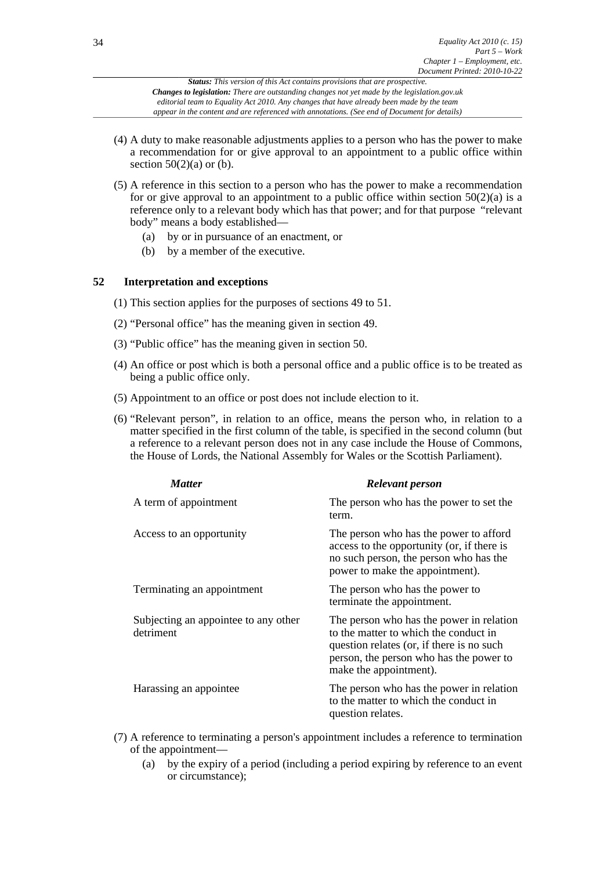- (4) A duty to make reasonable adjustments applies to a person who has the power to make a recommendation for or give approval to an appointment to a public office within section  $50(2)(a)$  or (b).
- (5) A reference in this section to a person who has the power to make a recommendation for or give approval to an appointment to a public office within section  $50(2)(a)$  is a reference only to a relevant body which has that power; and for that purpose "relevant body" means a body established—
	- (a) by or in pursuance of an enactment, or
	- (b) by a member of the executive.

# **52 Interpretation and exceptions**

- (1) This section applies for the purposes of sections 49 to 51.
- (2) "Personal office" has the meaning given in section 49.
- (3) "Public office" has the meaning given in section 50.
- (4) An office or post which is both a personal office and a public office is to be treated as being a public office only.
- (5) Appointment to an office or post does not include election to it.
- (6) "Relevant person", in relation to an office, means the person who, in relation to a matter specified in the first column of the table, is specified in the second column (but a reference to a relevant person does not in any case include the House of Commons, the House of Lords, the National Assembly for Wales or the Scottish Parliament).

| <i>Matter</i>                                     | <b>Relevant person</b>                                                                                                                                                                              |
|---------------------------------------------------|-----------------------------------------------------------------------------------------------------------------------------------------------------------------------------------------------------|
| A term of appointment                             | The person who has the power to set the<br>term.                                                                                                                                                    |
| Access to an opportunity                          | The person who has the power to afford<br>access to the opportunity (or, if there is<br>no such person, the person who has the<br>power to make the appointment).                                   |
| Terminating an appointment                        | The person who has the power to<br>terminate the appointment.                                                                                                                                       |
| Subjecting an appointee to any other<br>detriment | The person who has the power in relation<br>to the matter to which the conduct in<br>question relates (or, if there is no such<br>person, the person who has the power to<br>make the appointment). |
| Harassing an appointee                            | The person who has the power in relation<br>to the matter to which the conduct in<br>question relates.                                                                                              |

- (7) A reference to terminating a person's appointment includes a reference to termination of the appointment—
	- (a) by the expiry of a period (including a period expiring by reference to an event or circumstance);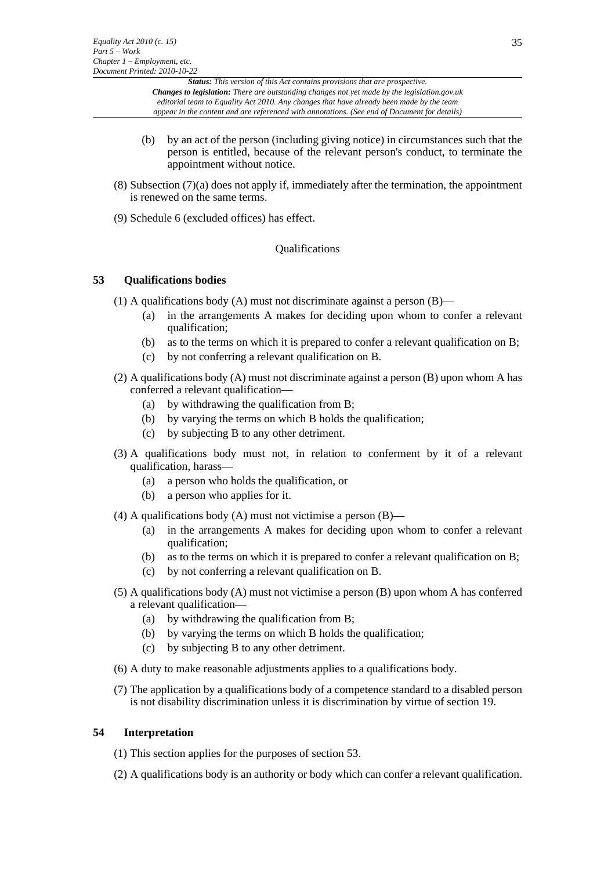- (b) by an act of the person (including giving notice) in circumstances such that the person is entitled, because of the relevant person's conduct, to terminate the appointment without notice.
- $(8)$  Subsection  $(7)(a)$  does not apply if, immediately after the termination, the appointment is renewed on the same terms.
- (9) Schedule 6 (excluded offices) has effect.

## Qualifications

# **53 Qualifications bodies**

- (1) A qualifications body (A) must not discriminate against a person (B)—
	- (a) in the arrangements A makes for deciding upon whom to confer a relevant qualification;
	- (b) as to the terms on which it is prepared to confer a relevant qualification on B;
	- (c) by not conferring a relevant qualification on B.
- (2) A qualifications body (A) must not discriminate against a person (B) upon whom A has conferred a relevant qualification—
	- (a) by withdrawing the qualification from B;
	- (b) by varying the terms on which B holds the qualification;
	- (c) by subjecting B to any other detriment.
- (3) A qualifications body must not, in relation to conferment by it of a relevant qualification, harass—
	- (a) a person who holds the qualification, or
	- (b) a person who applies for it.
- (4) A qualifications body (A) must not victimise a person (B)—
	- (a) in the arrangements A makes for deciding upon whom to confer a relevant qualification;
	- (b) as to the terms on which it is prepared to confer a relevant qualification on B;
	- (c) by not conferring a relevant qualification on B.
- (5) A qualifications body (A) must not victimise a person (B) upon whom A has conferred a relevant qualification—
	- (a) by withdrawing the qualification from B;
	- (b) by varying the terms on which B holds the qualification;
	- (c) by subjecting B to any other detriment.
- (6) A duty to make reasonable adjustments applies to a qualifications body.
- (7) The application by a qualifications body of a competence standard to a disabled person is not disability discrimination unless it is discrimination by virtue of section 19.

# **54 Interpretation**

- (1) This section applies for the purposes of section 53.
- (2) A qualifications body is an authority or body which can confer a relevant qualification.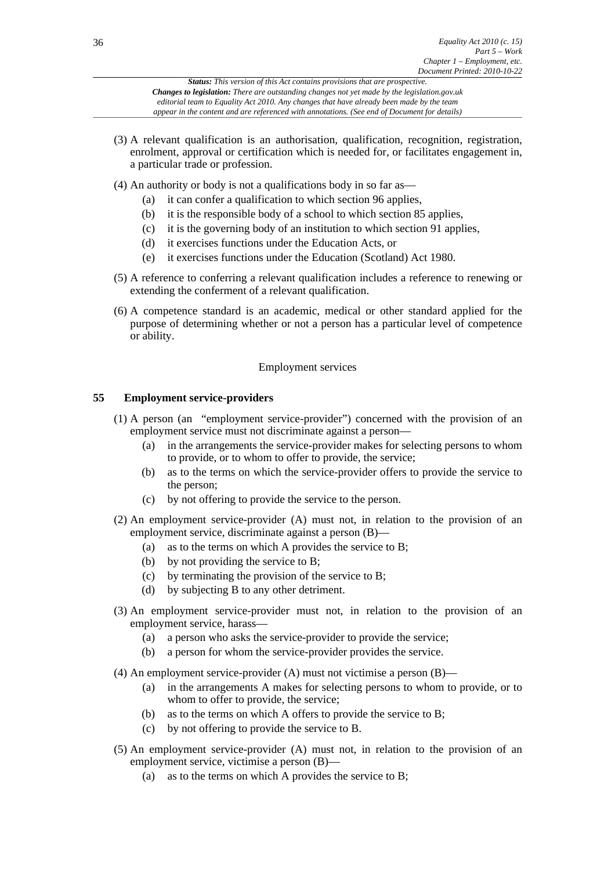- (3) A relevant qualification is an authorisation, qualification, recognition, registration, enrolment, approval or certification which is needed for, or facilitates engagement in, a particular trade or profession.
- (4) An authority or body is not a qualifications body in so far as—
	- (a) it can confer a qualification to which section 96 applies,
	- (b) it is the responsible body of a school to which section 85 applies,
	- (c) it is the governing body of an institution to which section 91 applies,
	- (d) it exercises functions under the Education Acts, or
	- (e) it exercises functions under the Education (Scotland) Act 1980.
- (5) A reference to conferring a relevant qualification includes a reference to renewing or extending the conferment of a relevant qualification.
- (6) A competence standard is an academic, medical or other standard applied for the purpose of determining whether or not a person has a particular level of competence or ability.

## Employment services

### **55 Employment service-providers**

- (1) A person (an "employment service-provider") concerned with the provision of an employment service must not discriminate against a person—
	- (a) in the arrangements the service-provider makes for selecting persons to whom to provide, or to whom to offer to provide, the service;
	- (b) as to the terms on which the service-provider offers to provide the service to the person;
	- (c) by not offering to provide the service to the person.
- (2) An employment service-provider (A) must not, in relation to the provision of an employment service, discriminate against a person (B)—
	- (a) as to the terms on which A provides the service to B;
	- (b) by not providing the service to B;
	- (c) by terminating the provision of the service to B;
	- (d) by subjecting B to any other detriment.
- (3) An employment service-provider must not, in relation to the provision of an employment service, harass—
	- (a) a person who asks the service-provider to provide the service;
	- (b) a person for whom the service-provider provides the service.
- (4) An employment service-provider (A) must not victimise a person (B)—
	- (a) in the arrangements A makes for selecting persons to whom to provide, or to whom to offer to provide, the service;
	- (b) as to the terms on which A offers to provide the service to B;
	- (c) by not offering to provide the service to B.
- (5) An employment service-provider (A) must not, in relation to the provision of an employment service, victimise a person (B)—
	- (a) as to the terms on which A provides the service to B;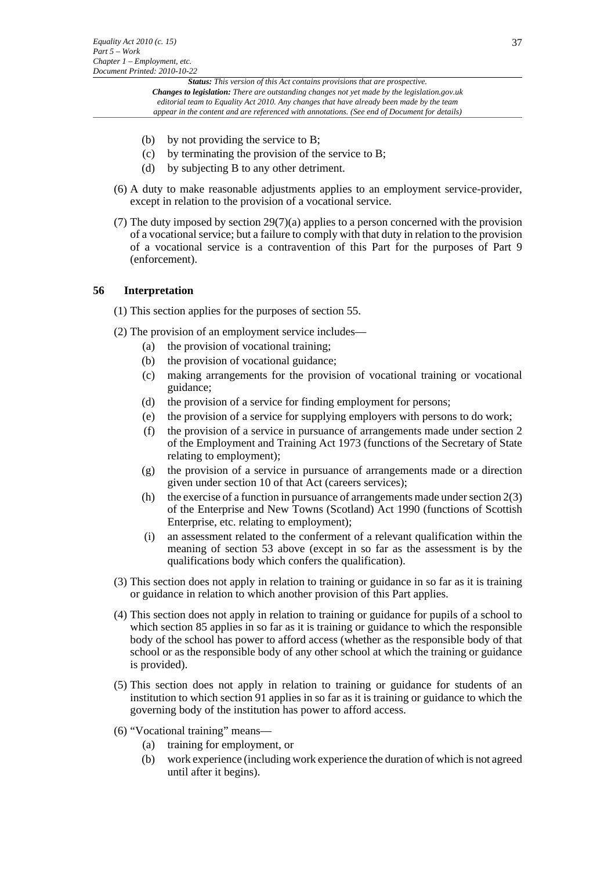- (b) by not providing the service to B;
- (c) by terminating the provision of the service to B;
- (d) by subjecting B to any other detriment.
- (6) A duty to make reasonable adjustments applies to an employment service-provider, except in relation to the provision of a vocational service.
- (7) The duty imposed by section 29(7)(a) applies to a person concerned with the provision of a vocational service; but a failure to comply with that duty in relation to the provision of a vocational service is a contravention of this Part for the purposes of Part 9 (enforcement).

# **56 Interpretation**

- (1) This section applies for the purposes of section 55.
- (2) The provision of an employment service includes—
	- (a) the provision of vocational training;
	- (b) the provision of vocational guidance;
	- (c) making arrangements for the provision of vocational training or vocational guidance;
	- (d) the provision of a service for finding employment for persons;
	- (e) the provision of a service for supplying employers with persons to do work;
	- (f) the provision of a service in pursuance of arrangements made under section 2 of the Employment and Training Act 1973 (functions of the Secretary of State relating to employment);
	- (g) the provision of a service in pursuance of arrangements made or a direction given under section 10 of that Act (careers services);
	- (h) the exercise of a function in pursuance of arrangements made under section  $2(3)$ of the Enterprise and New Towns (Scotland) Act 1990 (functions of Scottish Enterprise, etc. relating to employment);
	- (i) an assessment related to the conferment of a relevant qualification within the meaning of section 53 above (except in so far as the assessment is by the qualifications body which confers the qualification).
- (3) This section does not apply in relation to training or guidance in so far as it is training or guidance in relation to which another provision of this Part applies.
- (4) This section does not apply in relation to training or guidance for pupils of a school to which section 85 applies in so far as it is training or guidance to which the responsible body of the school has power to afford access (whether as the responsible body of that school or as the responsible body of any other school at which the training or guidance is provided).
- (5) This section does not apply in relation to training or guidance for students of an institution to which section 91 applies in so far as it is training or guidance to which the governing body of the institution has power to afford access.
- (6) "Vocational training" means—
	- (a) training for employment, or
	- (b) work experience (including work experience the duration of which is not agreed until after it begins).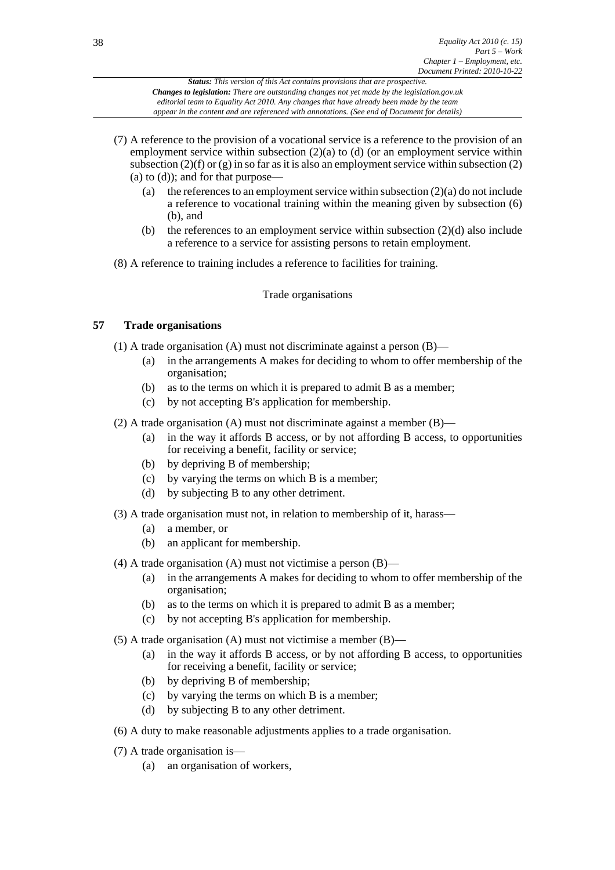- (7) A reference to the provision of a vocational service is a reference to the provision of an employment service within subsection  $(2)(a)$  to  $(d)$  (or an employment service within subsection (2)(f) or (g) in so far as it is also an employment service within subsection (2)  $(a)$  to  $(d)$ ; and for that purpose—
	- (a) the references to an employment service within subsection  $(2)(a)$  do not include a reference to vocational training within the meaning given by subsection (6) (b), and
	- (b) the references to an employment service within subsection  $(2)(d)$  also include a reference to a service for assisting persons to retain employment.
- (8) A reference to training includes a reference to facilities for training.

# Trade organisations

# **57 Trade organisations**

- (1) A trade organisation (A) must not discriminate against a person  $(B)$ 
	- (a) in the arrangements A makes for deciding to whom to offer membership of the organisation;
	- (b) as to the terms on which it is prepared to admit B as a member;
	- (c) by not accepting B's application for membership.
- (2) A trade organisation (A) must not discriminate against a member (B)—
	- (a) in the way it affords B access, or by not affording B access, to opportunities for receiving a benefit, facility or service;
	- (b) by depriving B of membership;
	- (c) by varying the terms on which B is a member;
	- (d) by subjecting B to any other detriment.
- (3) A trade organisation must not, in relation to membership of it, harass—
	- (a) a member, or
	- (b) an applicant for membership.
- (4) A trade organisation (A) must not victimise a person (B)—
	- (a) in the arrangements A makes for deciding to whom to offer membership of the organisation;
	- (b) as to the terms on which it is prepared to admit B as a member;
	- (c) by not accepting B's application for membership.
- (5) A trade organisation (A) must not victimise a member  $(B)$ 
	- (a) in the way it affords B access, or by not affording B access, to opportunities for receiving a benefit, facility or service;
	- (b) by depriving B of membership;
	- (c) by varying the terms on which B is a member;
	- (d) by subjecting B to any other detriment.
- (6) A duty to make reasonable adjustments applies to a trade organisation.
- (7) A trade organisation is—
	- (a) an organisation of workers,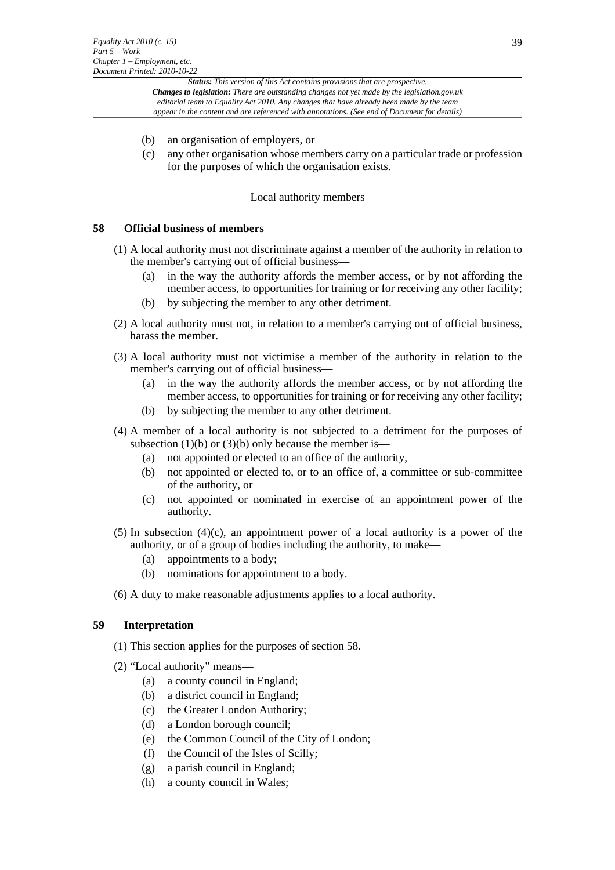- (b) an organisation of employers, or
- (c) any other organisation whose members carry on a particular trade or profession for the purposes of which the organisation exists.

## Local authority members

## **58 Official business of members**

- (1) A local authority must not discriminate against a member of the authority in relation to the member's carrying out of official business—
	- (a) in the way the authority affords the member access, or by not affording the member access, to opportunities for training or for receiving any other facility;
	- (b) by subjecting the member to any other detriment.
- (2) A local authority must not, in relation to a member's carrying out of official business, harass the member.
- (3) A local authority must not victimise a member of the authority in relation to the member's carrying out of official business—
	- (a) in the way the authority affords the member access, or by not affording the member access, to opportunities for training or for receiving any other facility;
	- (b) by subjecting the member to any other detriment.
- (4) A member of a local authority is not subjected to a detriment for the purposes of subsection (1)(b) or (3)(b) only because the member is—
	- (a) not appointed or elected to an office of the authority,
	- (b) not appointed or elected to, or to an office of, a committee or sub-committee of the authority, or
	- (c) not appointed or nominated in exercise of an appointment power of the authority.
- $(5)$  In subsection  $(4)(c)$ , an appointment power of a local authority is a power of the authority, or of a group of bodies including the authority, to make—
	- (a) appointments to a body;
	- (b) nominations for appointment to a body.
- (6) A duty to make reasonable adjustments applies to a local authority.

# **59 Interpretation**

- (1) This section applies for the purposes of section 58.
- (2) "Local authority" means—
	- (a) a county council in England;
	- (b) a district council in England;
	- (c) the Greater London Authority;
	- (d) a London borough council;
	- (e) the Common Council of the City of London;
	- (f) the Council of the Isles of Scilly;
	- (g) a parish council in England;
	- (h) a county council in Wales;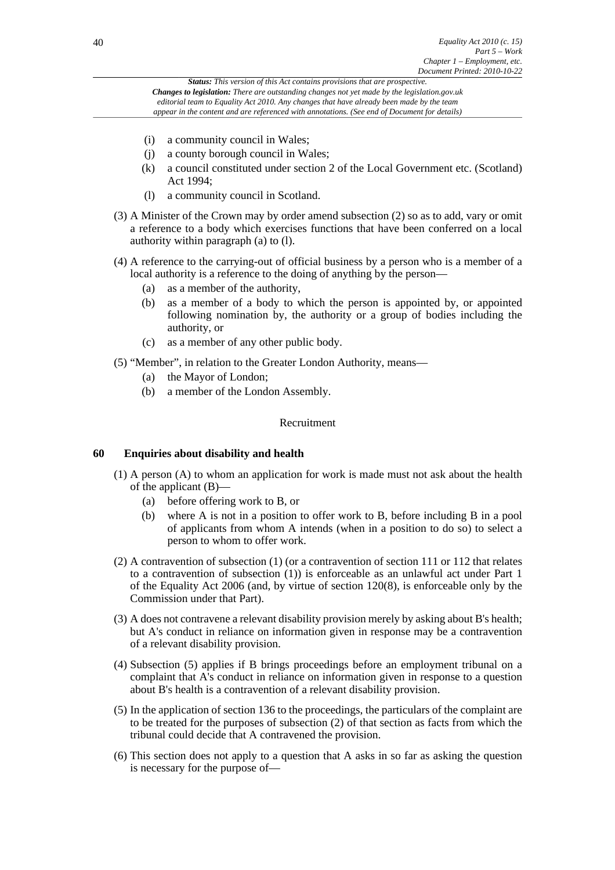- (i) a community council in Wales;
- (j) a county borough council in Wales;
- (k) a council constituted under section 2 of the Local Government etc. (Scotland) Act 1994;
- (l) a community council in Scotland.
- (3) A Minister of the Crown may by order amend subsection (2) so as to add, vary or omit a reference to a body which exercises functions that have been conferred on a local authority within paragraph (a) to (l).
- (4) A reference to the carrying-out of official business by a person who is a member of a local authority is a reference to the doing of anything by the person—
	- (a) as a member of the authority,
	- (b) as a member of a body to which the person is appointed by, or appointed following nomination by, the authority or a group of bodies including the authority, or
	- (c) as a member of any other public body.
- (5) "Member", in relation to the Greater London Authority, means—
	- (a) the Mayor of London;
	- (b) a member of the London Assembly.

## Recruitment

# **60 Enquiries about disability and health**

- (1) A person (A) to whom an application for work is made must not ask about the health of the applicant (B)—
	- (a) before offering work to B, or
	- (b) where A is not in a position to offer work to B, before including B in a pool of applicants from whom A intends (when in a position to do so) to select a person to whom to offer work.
- (2) A contravention of subsection (1) (or a contravention of section 111 or 112 that relates to a contravention of subsection (1)) is enforceable as an unlawful act under Part 1 of the Equality Act 2006 (and, by virtue of section 120(8), is enforceable only by the Commission under that Part).
- (3) A does not contravene a relevant disability provision merely by asking about B's health; but A's conduct in reliance on information given in response may be a contravention of a relevant disability provision.
- (4) Subsection (5) applies if B brings proceedings before an employment tribunal on a complaint that A's conduct in reliance on information given in response to a question about B's health is a contravention of a relevant disability provision.
- (5) In the application of section 136 to the proceedings, the particulars of the complaint are to be treated for the purposes of subsection (2) of that section as facts from which the tribunal could decide that A contravened the provision.
- (6) This section does not apply to a question that A asks in so far as asking the question is necessary for the purpose of—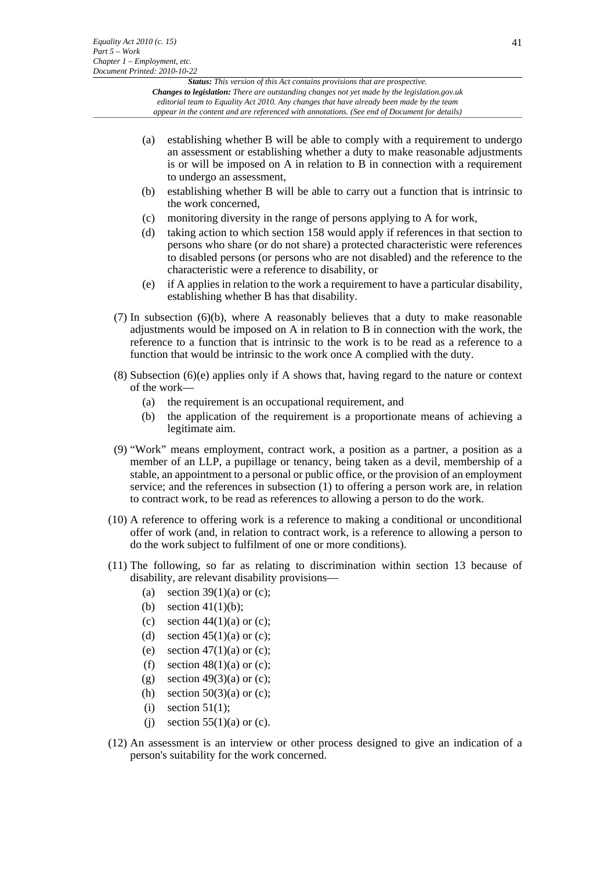- (a) establishing whether B will be able to comply with a requirement to undergo an assessment or establishing whether a duty to make reasonable adjustments is or will be imposed on A in relation to B in connection with a requirement to undergo an assessment,
- (b) establishing whether B will be able to carry out a function that is intrinsic to the work concerned,
- (c) monitoring diversity in the range of persons applying to A for work,
- (d) taking action to which section 158 would apply if references in that section to persons who share (or do not share) a protected characteristic were references to disabled persons (or persons who are not disabled) and the reference to the characteristic were a reference to disability, or
- (e) if A applies in relation to the work a requirement to have a particular disability, establishing whether B has that disability.
- (7) In subsection (6)(b), where A reasonably believes that a duty to make reasonable adjustments would be imposed on A in relation to B in connection with the work, the reference to a function that is intrinsic to the work is to be read as a reference to a function that would be intrinsic to the work once A complied with the duty.
- (8) Subsection (6)(e) applies only if A shows that, having regard to the nature or context of the work—
	- (a) the requirement is an occupational requirement, and
	- (b) the application of the requirement is a proportionate means of achieving a legitimate aim.
- (9) "Work" means employment, contract work, a position as a partner, a position as a member of an LLP, a pupillage or tenancy, being taken as a devil, membership of a stable, an appointment to a personal or public office, or the provision of an employment service; and the references in subsection (1) to offering a person work are, in relation to contract work, to be read as references to allowing a person to do the work.
- (10) A reference to offering work is a reference to making a conditional or unconditional offer of work (and, in relation to contract work, is a reference to allowing a person to do the work subject to fulfilment of one or more conditions).
- (11) The following, so far as relating to discrimination within section 13 because of disability, are relevant disability provisions—
	- (a) section  $39(1)(a)$  or (c);
	- (b) section  $41(1)(b)$ ;
	- (c) section  $44(1)(a)$  or (c);
	- (d) section  $45(1)(a)$  or (c);
	- (e) section  $47(1)(a)$  or (c);
	- (f) section  $48(1)(a)$  or (c);
	- (g) section  $49(3)(a)$  or (c);
	- (h) section  $50(3)(a)$  or (c);
	- $(i)$  section 51(1);
	- (i) section  $55(1)(a)$  or (c).
- (12) An assessment is an interview or other process designed to give an indication of a person's suitability for the work concerned.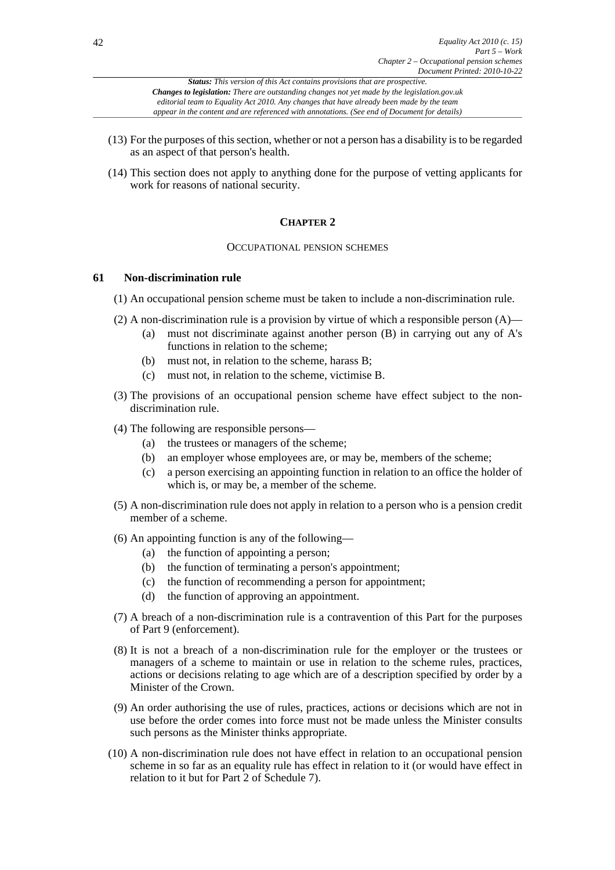- (13) For the purposes of this section, whether or not a person has a disability is to be regarded as an aspect of that person's health.
- (14) This section does not apply to anything done for the purpose of vetting applicants for work for reasons of national security.

## **CHAPTER 2**

#### OCCUPATIONAL PENSION SCHEMES

## **61 Non-discrimination rule**

- (1) An occupational pension scheme must be taken to include a non-discrimination rule.
- (2) A non-discrimination rule is a provision by virtue of which a responsible person  $(A)$ 
	- (a) must not discriminate against another person (B) in carrying out any of A's functions in relation to the scheme;
	- (b) must not, in relation to the scheme, harass B;
	- (c) must not, in relation to the scheme, victimise B.
- (3) The provisions of an occupational pension scheme have effect subject to the nondiscrimination rule.
- (4) The following are responsible persons—
	- (a) the trustees or managers of the scheme;
	- (b) an employer whose employees are, or may be, members of the scheme;
	- (c) a person exercising an appointing function in relation to an office the holder of which is, or may be, a member of the scheme.
- (5) A non-discrimination rule does not apply in relation to a person who is a pension credit member of a scheme.
- (6) An appointing function is any of the following—
	- (a) the function of appointing a person;
	- (b) the function of terminating a person's appointment;
	- (c) the function of recommending a person for appointment;
	- (d) the function of approving an appointment.
- (7) A breach of a non-discrimination rule is a contravention of this Part for the purposes of Part 9 (enforcement).
- (8) It is not a breach of a non-discrimination rule for the employer or the trustees or managers of a scheme to maintain or use in relation to the scheme rules, practices, actions or decisions relating to age which are of a description specified by order by a Minister of the Crown.
- (9) An order authorising the use of rules, practices, actions or decisions which are not in use before the order comes into force must not be made unless the Minister consults such persons as the Minister thinks appropriate.
- (10) A non-discrimination rule does not have effect in relation to an occupational pension scheme in so far as an equality rule has effect in relation to it (or would have effect in relation to it but for Part 2 of Schedule 7).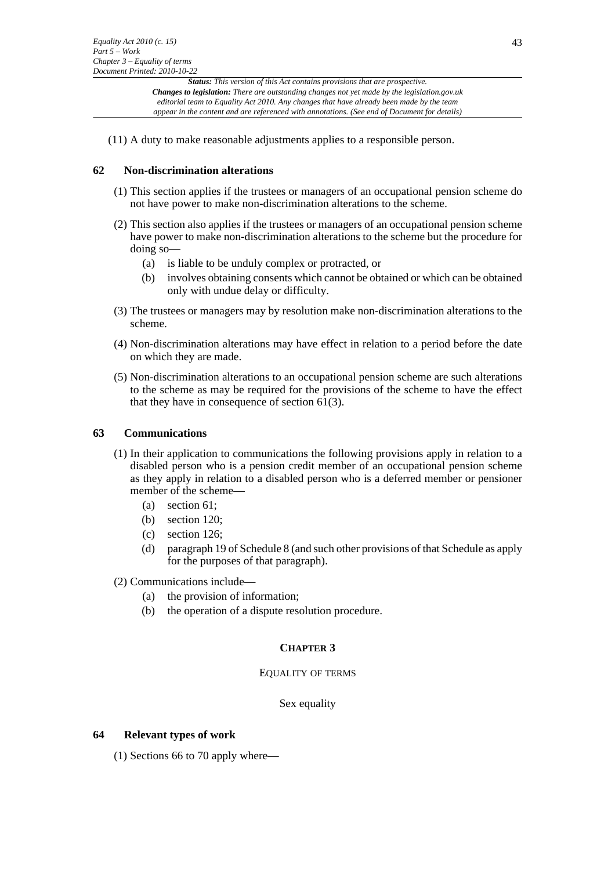(11) A duty to make reasonable adjustments applies to a responsible person.

# **62 Non-discrimination alterations**

- (1) This section applies if the trustees or managers of an occupational pension scheme do not have power to make non-discrimination alterations to the scheme.
- (2) This section also applies if the trustees or managers of an occupational pension scheme have power to make non-discrimination alterations to the scheme but the procedure for doing so—
	- (a) is liable to be unduly complex or protracted, or
	- (b) involves obtaining consents which cannot be obtained or which can be obtained only with undue delay or difficulty.
- (3) The trustees or managers may by resolution make non-discrimination alterations to the scheme.
- (4) Non-discrimination alterations may have effect in relation to a period before the date on which they are made.
- (5) Non-discrimination alterations to an occupational pension scheme are such alterations to the scheme as may be required for the provisions of the scheme to have the effect that they have in consequence of section  $61(3)$ .

# **63 Communications**

- (1) In their application to communications the following provisions apply in relation to a disabled person who is a pension credit member of an occupational pension scheme as they apply in relation to a disabled person who is a deferred member or pensioner member of the scheme—
	- (a) section 61;
	- (b) section 120;
	- (c) section 126;
	- (d) paragraph 19 of Schedule 8 (and such other provisions of that Schedule as apply for the purposes of that paragraph).

(2) Communications include—

- (a) the provision of information;
- (b) the operation of a dispute resolution procedure.

## **CHAPTER 3**

# EQUALITY OF TERMS

## Sex equality

## **64 Relevant types of work**

(1) Sections 66 to 70 apply where—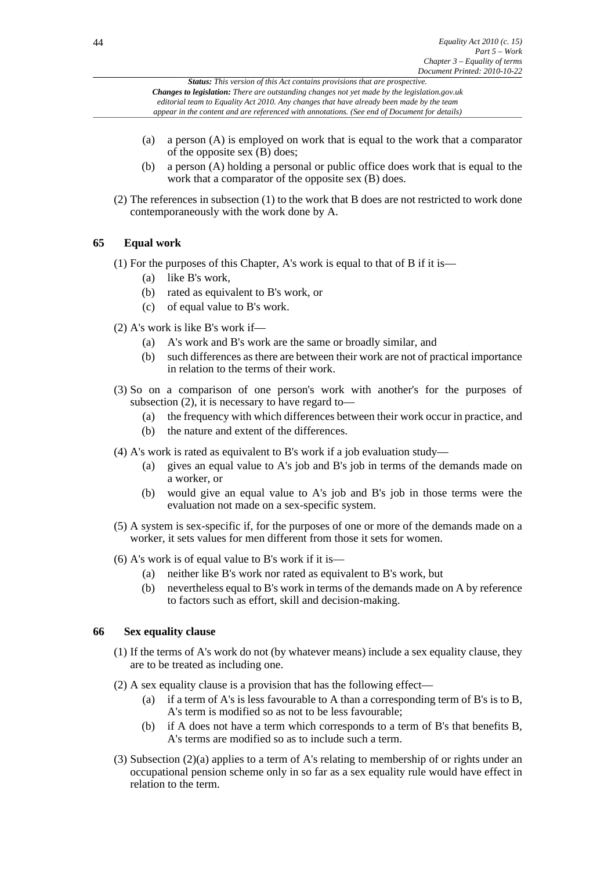- (a) a person (A) is employed on work that is equal to the work that a comparator of the opposite sex  $(B)$  does;
- (b) a person (A) holding a personal or public office does work that is equal to the work that a comparator of the opposite sex (B) does.
- (2) The references in subsection (1) to the work that B does are not restricted to work done contemporaneously with the work done by A.

# **65 Equal work**

- (1) For the purposes of this Chapter, A's work is equal to that of B if it is—
	- (a) like B's work,
	- (b) rated as equivalent to B's work, or
	- (c) of equal value to B's work.
- (2) A's work is like B's work if—
	- (a) A's work and B's work are the same or broadly similar, and
	- (b) such differences as there are between their work are not of practical importance in relation to the terms of their work.
- (3) So on a comparison of one person's work with another's for the purposes of subsection (2), it is necessary to have regard to—
	- (a) the frequency with which differences between their work occur in practice, and
	- (b) the nature and extent of the differences.
- (4) A's work is rated as equivalent to B's work if a job evaluation study—
	- (a) gives an equal value to A's job and B's job in terms of the demands made on a worker, or
	- (b) would give an equal value to A's job and B's job in those terms were the evaluation not made on a sex-specific system.
- (5) A system is sex-specific if, for the purposes of one or more of the demands made on a worker, it sets values for men different from those it sets for women.
- (6) A's work is of equal value to B's work if it is—
	- (a) neither like B's work nor rated as equivalent to B's work, but
	- (b) nevertheless equal to B's work in terms of the demands made on A by reference to factors such as effort, skill and decision-making.

# **66 Sex equality clause**

- (1) If the terms of A's work do not (by whatever means) include a sex equality clause, they are to be treated as including one.
- (2) A sex equality clause is a provision that has the following effect—
	- (a) if a term of A's is less favourable to A than a corresponding term of B's is to B, A's term is modified so as not to be less favourable;
	- (b) if A does not have a term which corresponds to a term of B's that benefits B, A's terms are modified so as to include such a term.
- (3) Subsection (2)(a) applies to a term of A's relating to membership of or rights under an occupational pension scheme only in so far as a sex equality rule would have effect in relation to the term.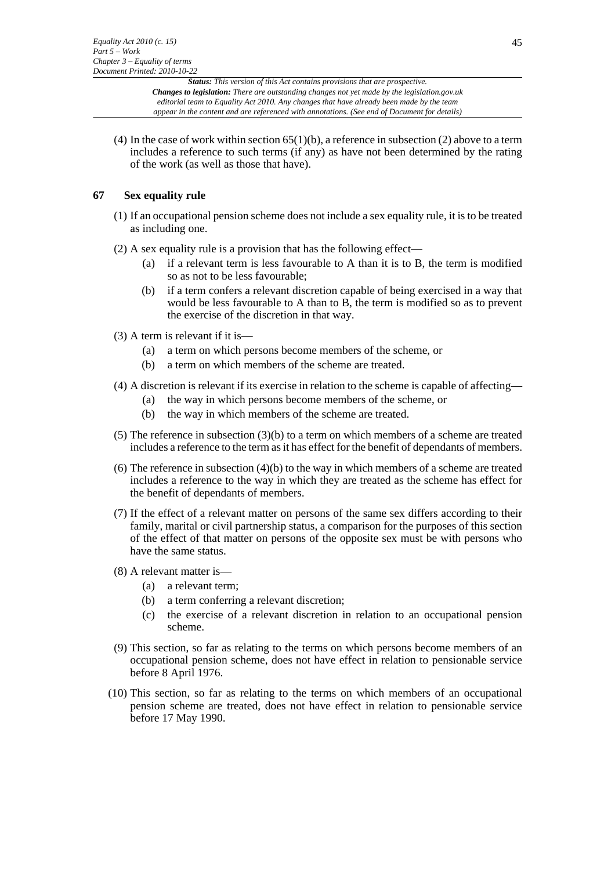(4) In the case of work within section  $(5(1)(b))$ , a reference in subsection (2) above to a term includes a reference to such terms (if any) as have not been determined by the rating of the work (as well as those that have).

# **67 Sex equality rule**

- (1) If an occupational pension scheme does not include a sex equality rule, it is to be treated as including one.
- (2) A sex equality rule is a provision that has the following effect
	- if a relevant term is less favourable to A than it is to B, the term is modified so as not to be less favourable;
	- (b) if a term confers a relevant discretion capable of being exercised in a way that would be less favourable to A than to B, the term is modified so as to prevent the exercise of the discretion in that way.
- (3) A term is relevant if it is—
	- (a) a term on which persons become members of the scheme, or
	- (b) a term on which members of the scheme are treated.
- (4) A discretion is relevant if its exercise in relation to the scheme is capable of affecting—
	- (a) the way in which persons become members of the scheme, or
	- (b) the way in which members of the scheme are treated.
- (5) The reference in subsection (3)(b) to a term on which members of a scheme are treated includes a reference to the term as it has effect for the benefit of dependants of members.
- (6) The reference in subsection  $(4)(b)$  to the way in which members of a scheme are treated includes a reference to the way in which they are treated as the scheme has effect for the benefit of dependants of members.
- (7) If the effect of a relevant matter on persons of the same sex differs according to their family, marital or civil partnership status, a comparison for the purposes of this section of the effect of that matter on persons of the opposite sex must be with persons who have the same status.
- (8) A relevant matter is—
	- (a) a relevant term;
	- (b) a term conferring a relevant discretion;
	- (c) the exercise of a relevant discretion in relation to an occupational pension scheme.
- (9) This section, so far as relating to the terms on which persons become members of an occupational pension scheme, does not have effect in relation to pensionable service before 8 April 1976.
- (10) This section, so far as relating to the terms on which members of an occupational pension scheme are treated, does not have effect in relation to pensionable service before 17 May 1990.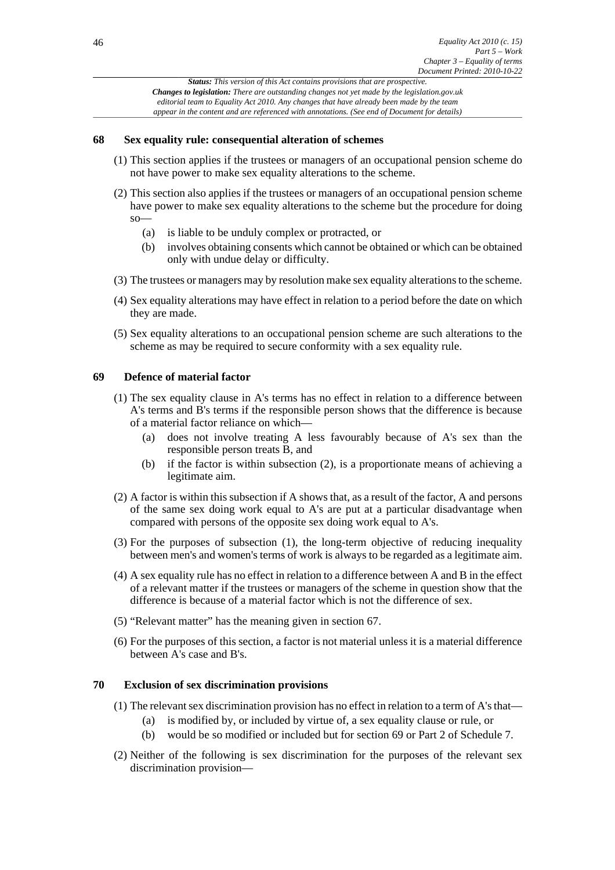## **68 Sex equality rule: consequential alteration of schemes**

- (1) This section applies if the trustees or managers of an occupational pension scheme do not have power to make sex equality alterations to the scheme.
- (2) This section also applies if the trustees or managers of an occupational pension scheme have power to make sex equality alterations to the scheme but the procedure for doing so—
	- (a) is liable to be unduly complex or protracted, or
	- (b) involves obtaining consents which cannot be obtained or which can be obtained only with undue delay or difficulty.
- (3) The trustees or managers may by resolution make sex equality alterations to the scheme.
- (4) Sex equality alterations may have effect in relation to a period before the date on which they are made.
- (5) Sex equality alterations to an occupational pension scheme are such alterations to the scheme as may be required to secure conformity with a sex equality rule.

#### **69 Defence of material factor**

- (1) The sex equality clause in A's terms has no effect in relation to a difference between A's terms and B's terms if the responsible person shows that the difference is because of a material factor reliance on which—
	- (a) does not involve treating A less favourably because of A's sex than the responsible person treats B, and
	- (b) if the factor is within subsection (2), is a proportionate means of achieving a legitimate aim.
- (2) A factor is within this subsection if A shows that, as a result of the factor, A and persons of the same sex doing work equal to A's are put at a particular disadvantage when compared with persons of the opposite sex doing work equal to A's.
- (3) For the purposes of subsection (1), the long-term objective of reducing inequality between men's and women's terms of work is always to be regarded as a legitimate aim.
- (4) A sex equality rule has no effect in relation to a difference between A and B in the effect of a relevant matter if the trustees or managers of the scheme in question show that the difference is because of a material factor which is not the difference of sex.
- (5) "Relevant matter" has the meaning given in section 67.
- (6) For the purposes of this section, a factor is not material unless it is a material difference between A's case and B's.

# **70 Exclusion of sex discrimination provisions**

- (1) The relevant sex discrimination provision has no effect in relation to a term of A's that—
	- (a) is modified by, or included by virtue of, a sex equality clause or rule, or
	- (b) would be so modified or included but for section 69 or Part 2 of Schedule 7.
- (2) Neither of the following is sex discrimination for the purposes of the relevant sex discrimination provision—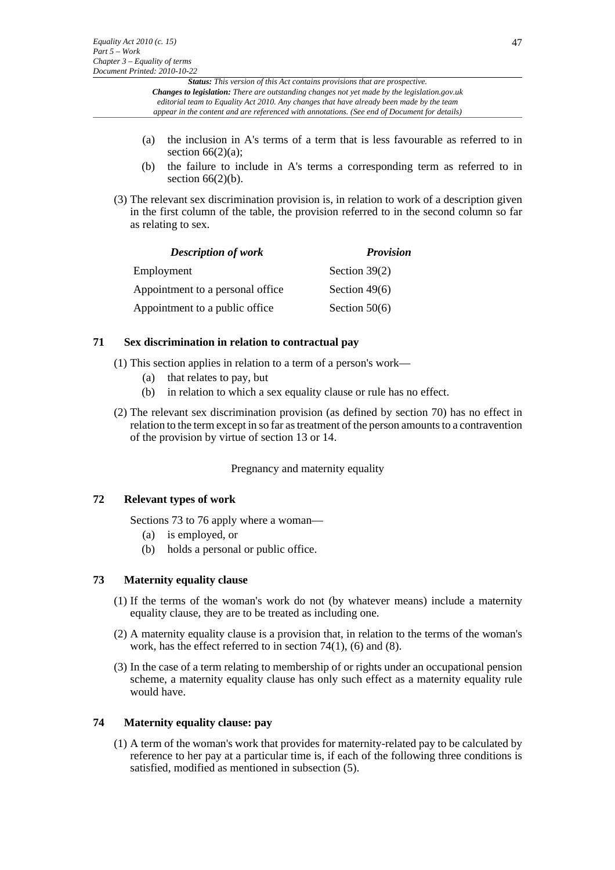- (a) the inclusion in A's terms of a term that is less favourable as referred to in section  $66(2)(a)$ ;
- (b) the failure to include in A's terms a corresponding term as referred to in section  $66(2)(b)$ .
- (3) The relevant sex discrimination provision is, in relation to work of a description given in the first column of the table, the provision referred to in the second column so far as relating to sex.

| <b>Description of work</b>        | <b>Provision</b> |
|-----------------------------------|------------------|
| Employment                        | Section $39(2)$  |
| Appointment to a personal office. | Section $49(6)$  |
| Appointment to a public office    | Section $50(6)$  |

# **71 Sex discrimination in relation to contractual pay**

- (1) This section applies in relation to a term of a person's work—
	- (a) that relates to pay, but
	- (b) in relation to which a sex equality clause or rule has no effect.
- (2) The relevant sex discrimination provision (as defined by section 70) has no effect in relation to the term except in so far as treatment of the person amounts to a contravention of the provision by virtue of section 13 or 14.

Pregnancy and maternity equality

## **72 Relevant types of work**

Sections 73 to 76 apply where a woman—

- (a) is employed, or
- (b) holds a personal or public office.

# **73 Maternity equality clause**

- (1) If the terms of the woman's work do not (by whatever means) include a maternity equality clause, they are to be treated as including one.
- (2) A maternity equality clause is a provision that, in relation to the terms of the woman's work, has the effect referred to in section 74(1), (6) and (8).
- (3) In the case of a term relating to membership of or rights under an occupational pension scheme, a maternity equality clause has only such effect as a maternity equality rule would have.

## **74 Maternity equality clause: pay**

(1) A term of the woman's work that provides for maternity-related pay to be calculated by reference to her pay at a particular time is, if each of the following three conditions is satisfied, modified as mentioned in subsection (5).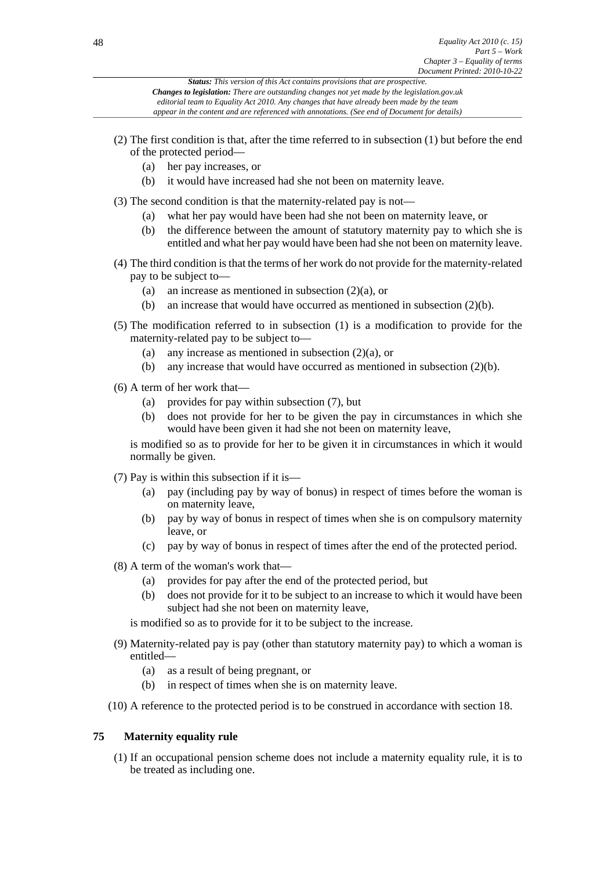- (2) The first condition is that, after the time referred to in subsection (1) but before the end of the protected period—
	- (a) her pay increases, or
	- (b) it would have increased had she not been on maternity leave.
- (3) The second condition is that the maternity-related pay is not—
	- (a) what her pay would have been had she not been on maternity leave, or
	- (b) the difference between the amount of statutory maternity pay to which she is entitled and what her pay would have been had she not been on maternity leave.
- (4) The third condition is that the terms of her work do not provide for the maternity-related pay to be subject to—
	- (a) an increase as mentioned in subsection (2)(a), or
	- (b) an increase that would have occurred as mentioned in subsection (2)(b).
- (5) The modification referred to in subsection (1) is a modification to provide for the maternity-related pay to be subject to—
	- (a) any increase as mentioned in subsection  $(2)(a)$ , or
	- (b) any increase that would have occurred as mentioned in subsection (2)(b).
- (6) A term of her work that—
	- (a) provides for pay within subsection (7), but
	- (b) does not provide for her to be given the pay in circumstances in which she would have been given it had she not been on maternity leave,

is modified so as to provide for her to be given it in circumstances in which it would normally be given.

- (7) Pay is within this subsection if it is—
	- (a) pay (including pay by way of bonus) in respect of times before the woman is on maternity leave,
	- (b) pay by way of bonus in respect of times when she is on compulsory maternity leave, or
	- (c) pay by way of bonus in respect of times after the end of the protected period.
- (8) A term of the woman's work that—
	- (a) provides for pay after the end of the protected period, but
	- (b) does not provide for it to be subject to an increase to which it would have been subject had she not been on maternity leave,

is modified so as to provide for it to be subject to the increase.

- (9) Maternity-related pay is pay (other than statutory maternity pay) to which a woman is entitled—
	- (a) as a result of being pregnant, or
	- (b) in respect of times when she is on maternity leave.
- (10) A reference to the protected period is to be construed in accordance with section 18.

# **75 Maternity equality rule**

(1) If an occupational pension scheme does not include a maternity equality rule, it is to be treated as including one.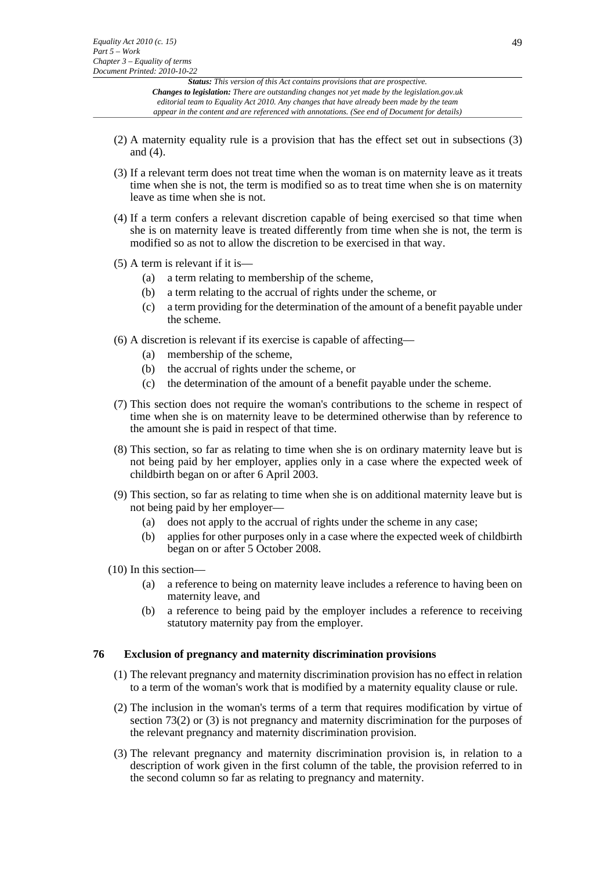- (2) A maternity equality rule is a provision that has the effect set out in subsections (3) and (4).
- (3) If a relevant term does not treat time when the woman is on maternity leave as it treats time when she is not, the term is modified so as to treat time when she is on maternity leave as time when she is not.
- (4) If a term confers a relevant discretion capable of being exercised so that time when she is on maternity leave is treated differently from time when she is not, the term is modified so as not to allow the discretion to be exercised in that way.
- (5) A term is relevant if it is—
	- (a) a term relating to membership of the scheme,
	- (b) a term relating to the accrual of rights under the scheme, or
	- (c) a term providing for the determination of the amount of a benefit payable under the scheme.
- (6) A discretion is relevant if its exercise is capable of affecting—
	- (a) membership of the scheme,
	- (b) the accrual of rights under the scheme, or
	- (c) the determination of the amount of a benefit payable under the scheme.
- (7) This section does not require the woman's contributions to the scheme in respect of time when she is on maternity leave to be determined otherwise than by reference to the amount she is paid in respect of that time.
- (8) This section, so far as relating to time when she is on ordinary maternity leave but is not being paid by her employer, applies only in a case where the expected week of childbirth began on or after 6 April 2003.
- (9) This section, so far as relating to time when she is on additional maternity leave but is not being paid by her employer—
	- (a) does not apply to the accrual of rights under the scheme in any case;
	- (b) applies for other purposes only in a case where the expected week of childbirth began on or after 5 October 2008.
- (10) In this section—
	- (a) a reference to being on maternity leave includes a reference to having been on maternity leave, and
	- (b) a reference to being paid by the employer includes a reference to receiving statutory maternity pay from the employer.

# **76 Exclusion of pregnancy and maternity discrimination provisions**

- (1) The relevant pregnancy and maternity discrimination provision has no effect in relation to a term of the woman's work that is modified by a maternity equality clause or rule.
- (2) The inclusion in the woman's terms of a term that requires modification by virtue of section 73(2) or (3) is not pregnancy and maternity discrimination for the purposes of the relevant pregnancy and maternity discrimination provision.
- (3) The relevant pregnancy and maternity discrimination provision is, in relation to a description of work given in the first column of the table, the provision referred to in the second column so far as relating to pregnancy and maternity.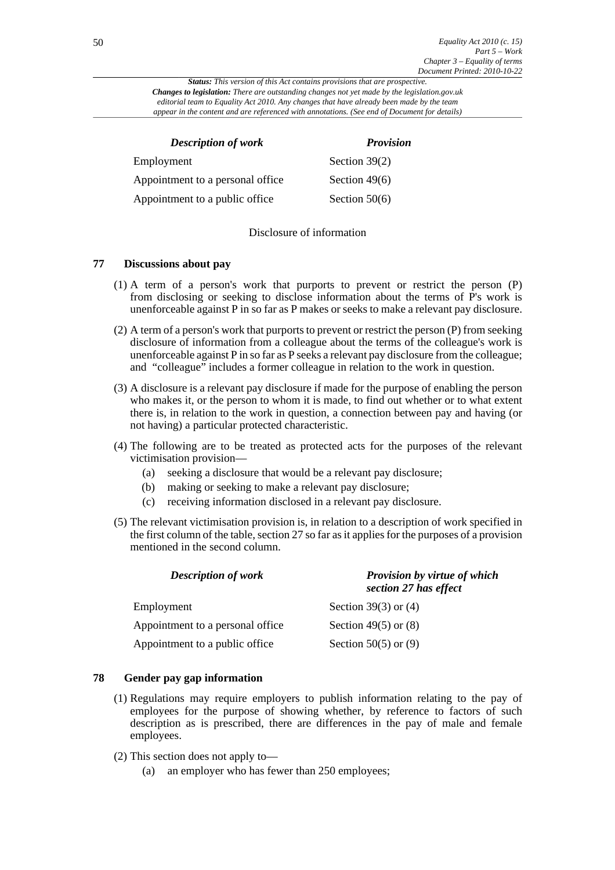| <b>Description of work</b>       | <b>Provision</b> |
|----------------------------------|------------------|
| Employment                       | Section $39(2)$  |
| Appointment to a personal office | Section $49(6)$  |
| Appointment to a public office.  | Section $50(6)$  |

# Disclosure of information

# **77 Discussions about pay**

- (1) A term of a person's work that purports to prevent or restrict the person (P) from disclosing or seeking to disclose information about the terms of P's work is unenforceable against P in so far as P makes or seeks to make a relevant pay disclosure.
- (2) A term of a person's work that purports to prevent or restrict the person (P) from seeking disclosure of information from a colleague about the terms of the colleague's work is unenforceable against P in so far as P seeks a relevant pay disclosure from the colleague; and "colleague" includes a former colleague in relation to the work in question.
- (3) A disclosure is a relevant pay disclosure if made for the purpose of enabling the person who makes it, or the person to whom it is made, to find out whether or to what extent there is, in relation to the work in question, a connection between pay and having (or not having) a particular protected characteristic.
- (4) The following are to be treated as protected acts for the purposes of the relevant victimisation provision—
	- (a) seeking a disclosure that would be a relevant pay disclosure;
	- (b) making or seeking to make a relevant pay disclosure;
	- (c) receiving information disclosed in a relevant pay disclosure.
- (5) The relevant victimisation provision is, in relation to a description of work specified in the first column of the table, section 27 so far as it applies for the purposes of a provision mentioned in the second column.

| <b>Description of work</b>       | <b>Provision by virtue of which</b><br>section 27 has effect |
|----------------------------------|--------------------------------------------------------------|
| Employment                       | Section 39 $(3)$ or $(4)$                                    |
| Appointment to a personal office | Section 49 $(5)$ or $(8)$                                    |
| Appointment to a public office.  | Section 50(5) or $(9)$                                       |

# **78 Gender pay gap information**

- (1) Regulations may require employers to publish information relating to the pay of employees for the purpose of showing whether, by reference to factors of such description as is prescribed, there are differences in the pay of male and female employees.
- (2) This section does not apply to—
	- (a) an employer who has fewer than 250 employees;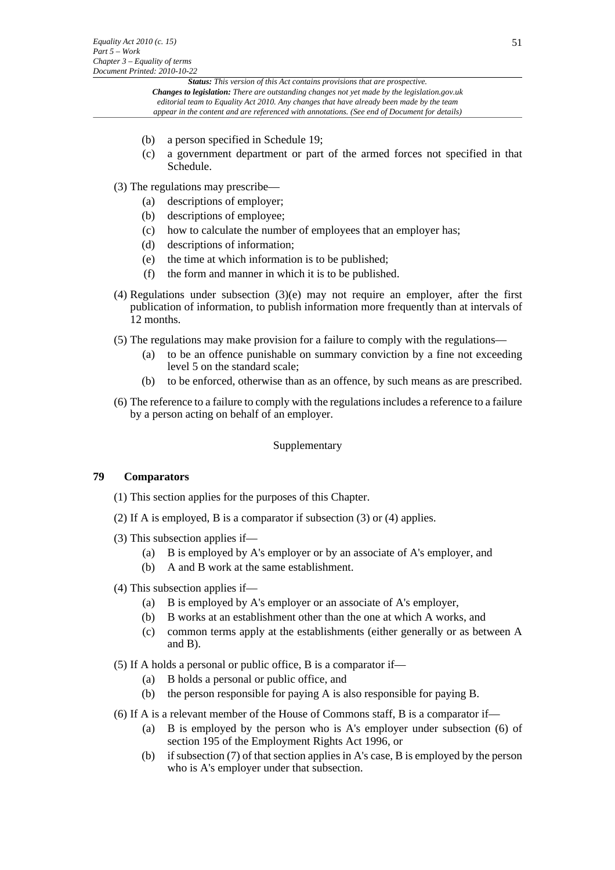- (b) a person specified in Schedule 19;
- (c) a government department or part of the armed forces not specified in that Schedule.

(3) The regulations may prescribe—

- (a) descriptions of employer;
- (b) descriptions of employee;
- (c) how to calculate the number of employees that an employer has;
- (d) descriptions of information;
- (e) the time at which information is to be published;
- (f) the form and manner in which it is to be published.
- (4) Regulations under subsection (3)(e) may not require an employer, after the first publication of information, to publish information more frequently than at intervals of 12 months.
- (5) The regulations may make provision for a failure to comply with the regulations—
	- (a) to be an offence punishable on summary conviction by a fine not exceeding level 5 on the standard scale;
	- (b) to be enforced, otherwise than as an offence, by such means as are prescribed.
- (6) The reference to a failure to comply with the regulations includes a reference to a failure by a person acting on behalf of an employer.

## Supplementary

# **79 Comparators**

- (1) This section applies for the purposes of this Chapter.
- (2) If A is employed, B is a comparator if subsection (3) or (4) applies.
- (3) This subsection applies if—
	- (a) B is employed by A's employer or by an associate of A's employer, and
	- (b) A and B work at the same establishment.
- (4) This subsection applies if—
	- (a) B is employed by A's employer or an associate of A's employer,
	- (b) B works at an establishment other than the one at which A works, and
	- (c) common terms apply at the establishments (either generally or as between A and B).
- (5) If A holds a personal or public office, B is a comparator if—
	- (a) B holds a personal or public office, and
	- (b) the person responsible for paying A is also responsible for paying B.
- (6) If A is a relevant member of the House of Commons staff, B is a comparator if—
	- (a) B is employed by the person who is A's employer under subsection (6) of section 195 of the Employment Rights Act 1996, or
	- (b) if subsection (7) of that section applies in A's case, B is employed by the person who is A's employer under that subsection.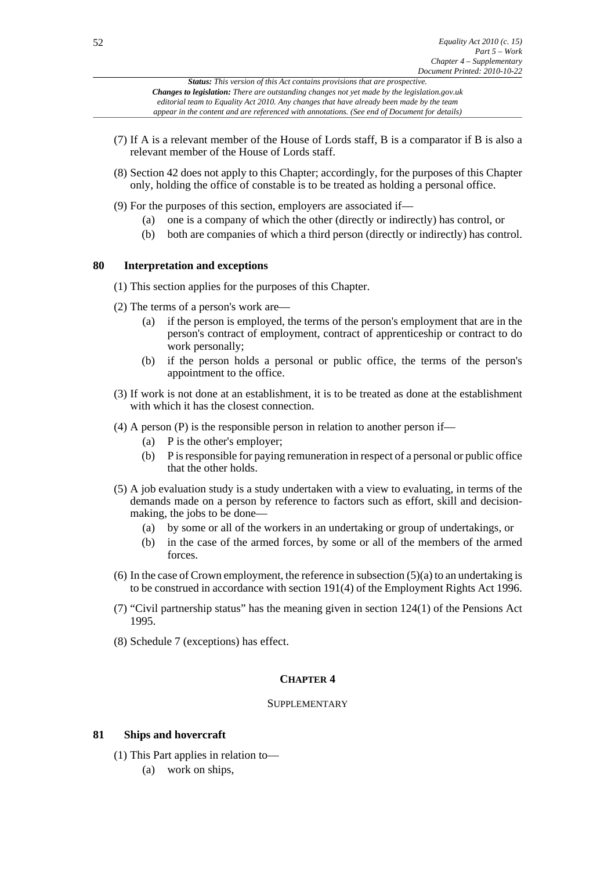- (7) If A is a relevant member of the House of Lords staff, B is a comparator if B is also a relevant member of the House of Lords staff.
- (8) Section 42 does not apply to this Chapter; accordingly, for the purposes of this Chapter only, holding the office of constable is to be treated as holding a personal office.
- (9) For the purposes of this section, employers are associated if—
	- (a) one is a company of which the other (directly or indirectly) has control, or
	- (b) both are companies of which a third person (directly or indirectly) has control.

# **80 Interpretation and exceptions**

- (1) This section applies for the purposes of this Chapter.
- (2) The terms of a person's work are—
	- (a) if the person is employed, the terms of the person's employment that are in the person's contract of employment, contract of apprenticeship or contract to do work personally;
	- (b) if the person holds a personal or public office, the terms of the person's appointment to the office.
- (3) If work is not done at an establishment, it is to be treated as done at the establishment with which it has the closest connection.
- (4) A person (P) is the responsible person in relation to another person if—
	- (a) P is the other's employer;
	- (b) P is responsible for paying remuneration in respect of a personal or public office that the other holds.
- (5) A job evaluation study is a study undertaken with a view to evaluating, in terms of the demands made on a person by reference to factors such as effort, skill and decisionmaking, the jobs to be done—
	- (a) by some or all of the workers in an undertaking or group of undertakings, or
	- (b) in the case of the armed forces, by some or all of the members of the armed forces.
- (6) In the case of Crown employment, the reference in subsection  $(5)(a)$  to an undertaking is to be construed in accordance with section 191(4) of the Employment Rights Act 1996.
- (7) "Civil partnership status" has the meaning given in section 124(1) of the Pensions Act 1995.
- (8) Schedule 7 (exceptions) has effect.

# **CHAPTER 4**

#### SUPPLEMENTARY

## **81 Ships and hovercraft**

- (1) This Part applies in relation to—
	- (a) work on ships,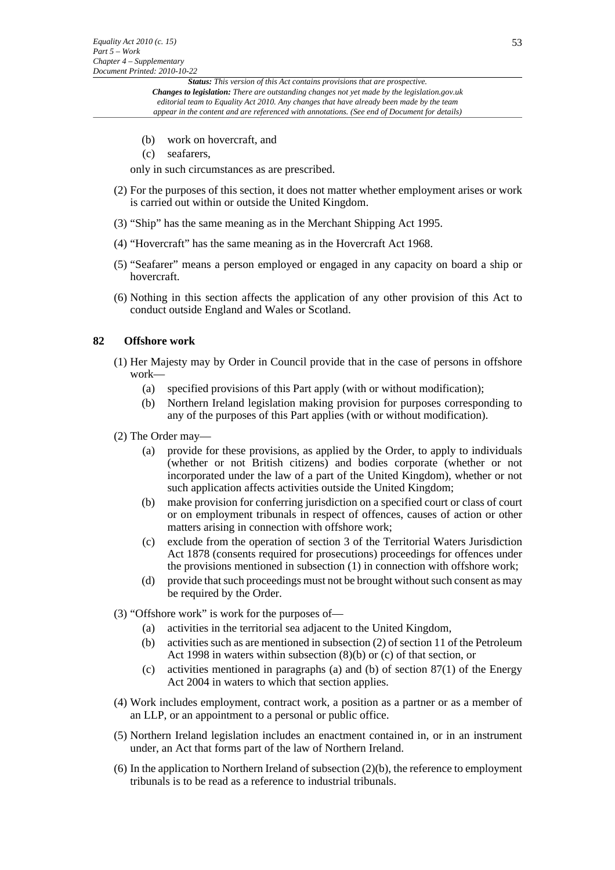- (b) work on hovercraft, and
- (c) seafarers,

only in such circumstances as are prescribed.

- (2) For the purposes of this section, it does not matter whether employment arises or work is carried out within or outside the United Kingdom.
- (3) "Ship" has the same meaning as in the Merchant Shipping Act 1995.
- (4) "Hovercraft" has the same meaning as in the Hovercraft Act 1968.
- (5) "Seafarer" means a person employed or engaged in any capacity on board a ship or hovercraft.
- (6) Nothing in this section affects the application of any other provision of this Act to conduct outside England and Wales or Scotland.

#### **82 Offshore work**

- (1) Her Majesty may by Order in Council provide that in the case of persons in offshore work—
	- (a) specified provisions of this Part apply (with or without modification);
	- (b) Northern Ireland legislation making provision for purposes corresponding to any of the purposes of this Part applies (with or without modification).
- (2) The Order may—
	- (a) provide for these provisions, as applied by the Order, to apply to individuals (whether or not British citizens) and bodies corporate (whether or not incorporated under the law of a part of the United Kingdom), whether or not such application affects activities outside the United Kingdom;
	- (b) make provision for conferring jurisdiction on a specified court or class of court or on employment tribunals in respect of offences, causes of action or other matters arising in connection with offshore work;
	- (c) exclude from the operation of section 3 of the Territorial Waters Jurisdiction Act 1878 (consents required for prosecutions) proceedings for offences under the provisions mentioned in subsection (1) in connection with offshore work;
	- (d) provide that such proceedings must not be brought without such consent as may be required by the Order.
- (3) "Offshore work" is work for the purposes of—
	- (a) activities in the territorial sea adjacent to the United Kingdom,
	- (b) activities such as are mentioned in subsection (2) of section 11 of the Petroleum Act 1998 in waters within subsection (8)(b) or (c) of that section, or
	- (c) activities mentioned in paragraphs (a) and (b) of section 87(1) of the Energy Act 2004 in waters to which that section applies.
- (4) Work includes employment, contract work, a position as a partner or as a member of an LLP, or an appointment to a personal or public office.
- (5) Northern Ireland legislation includes an enactment contained in, or in an instrument under, an Act that forms part of the law of Northern Ireland.
- (6) In the application to Northern Ireland of subsection  $(2)(b)$ , the reference to employment tribunals is to be read as a reference to industrial tribunals.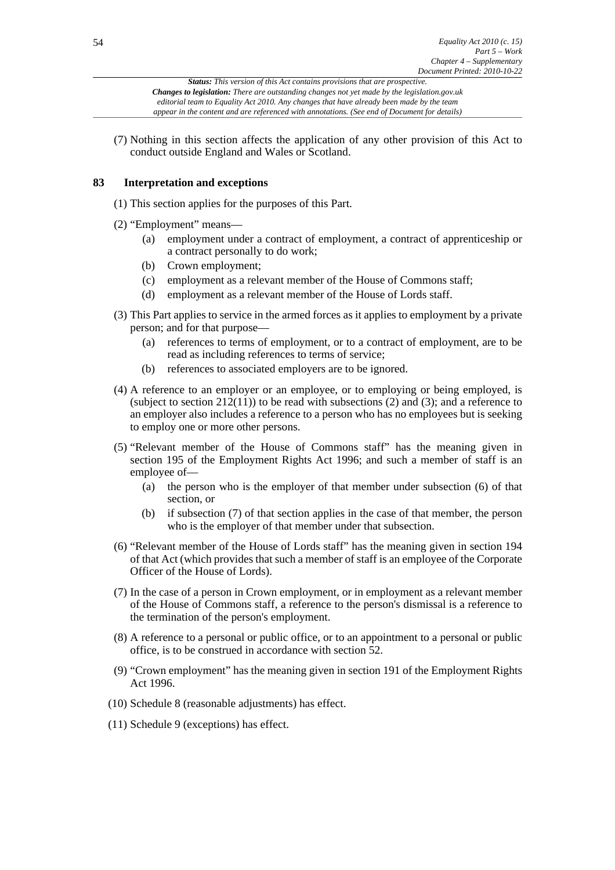(7) Nothing in this section affects the application of any other provision of this Act to conduct outside England and Wales or Scotland.

# **83 Interpretation and exceptions**

- (1) This section applies for the purposes of this Part.
- (2) "Employment" means—
	- (a) employment under a contract of employment, a contract of apprenticeship or a contract personally to do work;
	- (b) Crown employment;
	- (c) employment as a relevant member of the House of Commons staff;
	- (d) employment as a relevant member of the House of Lords staff.
- (3) This Part applies to service in the armed forces as it applies to employment by a private person; and for that purpose—
	- (a) references to terms of employment, or to a contract of employment, are to be read as including references to terms of service;
	- (b) references to associated employers are to be ignored.
- (4) A reference to an employer or an employee, or to employing or being employed, is (subject to section  $212(11)$ ) to be read with subsections (2) and (3); and a reference to an employer also includes a reference to a person who has no employees but is seeking to employ one or more other persons.
- (5) "Relevant member of the House of Commons staff" has the meaning given in section 195 of the Employment Rights Act 1996; and such a member of staff is an employee of—
	- (a) the person who is the employer of that member under subsection (6) of that section, or
	- (b) if subsection (7) of that section applies in the case of that member, the person who is the employer of that member under that subsection.
- (6) "Relevant member of the House of Lords staff" has the meaning given in section 194 of that Act (which provides that such a member of staff is an employee of the Corporate Officer of the House of Lords).
- (7) In the case of a person in Crown employment, or in employment as a relevant member of the House of Commons staff, a reference to the person's dismissal is a reference to the termination of the person's employment.
- (8) A reference to a personal or public office, or to an appointment to a personal or public office, is to be construed in accordance with section 52.
- (9) "Crown employment" has the meaning given in section 191 of the Employment Rights Act 1996.
- (10) Schedule 8 (reasonable adjustments) has effect.
- (11) Schedule 9 (exceptions) has effect.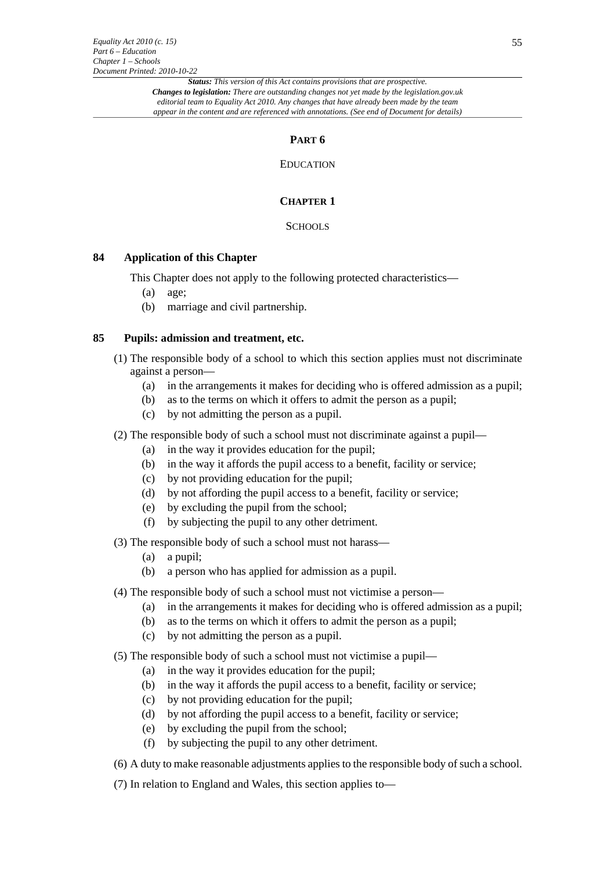#### **PART 6**

#### EDUCATION

# **CHAPTER 1**

# SCHOOLS

# **84 Application of this Chapter**

This Chapter does not apply to the following protected characteristics—

- (a) age;
- (b) marriage and civil partnership.

# **85 Pupils: admission and treatment, etc.**

- (1) The responsible body of a school to which this section applies must not discriminate against a person—
	- (a) in the arrangements it makes for deciding who is offered admission as a pupil;
	- (b) as to the terms on which it offers to admit the person as a pupil;
	- (c) by not admitting the person as a pupil.

# (2) The responsible body of such a school must not discriminate against a pupil—

- (a) in the way it provides education for the pupil;
- (b) in the way it affords the pupil access to a benefit, facility or service;
- (c) by not providing education for the pupil;
- (d) by not affording the pupil access to a benefit, facility or service;
- (e) by excluding the pupil from the school;
- (f) by subjecting the pupil to any other detriment.
- (3) The responsible body of such a school must not harass—
	- (a) a pupil;
	- (b) a person who has applied for admission as a pupil.
- (4) The responsible body of such a school must not victimise a person—
	- (a) in the arrangements it makes for deciding who is offered admission as a pupil;
	- (b) as to the terms on which it offers to admit the person as a pupil;
	- (c) by not admitting the person as a pupil.
- (5) The responsible body of such a school must not victimise a pupil—
	- (a) in the way it provides education for the pupil;
	- (b) in the way it affords the pupil access to a benefit, facility or service;
	- (c) by not providing education for the pupil;
	- (d) by not affording the pupil access to a benefit, facility or service;
	- (e) by excluding the pupil from the school;
	- (f) by subjecting the pupil to any other detriment.
- (6) A duty to make reasonable adjustments applies to the responsible body of such a school.
- (7) In relation to England and Wales, this section applies to—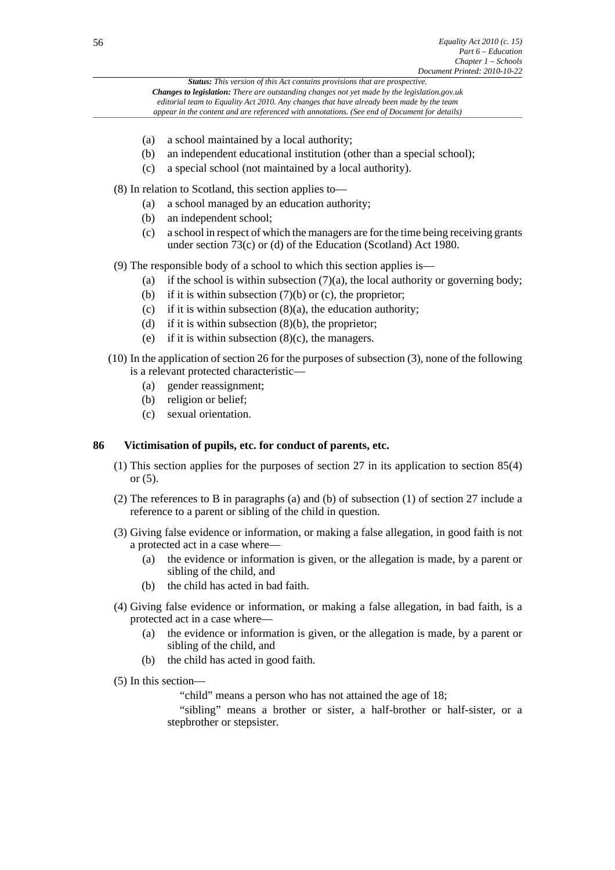- (a) a school maintained by a local authority;
- (b) an independent educational institution (other than a special school);
- (c) a special school (not maintained by a local authority).

(8) In relation to Scotland, this section applies to—

- (a) a school managed by an education authority;
- (b) an independent school;
- (c) a school in respect of which the managers are for the time being receiving grants under section 73(c) or (d) of the Education (Scotland) Act 1980.
- (9) The responsible body of a school to which this section applies is—
	- (a) if the school is within subsection  $(7)(a)$ , the local authority or governing body;
	- (b) if it is within subsection  $(7)(b)$  or (c), the proprietor;
	- (c) if it is within subsection  $(8)(a)$ , the education authority;
	- (d) if it is within subsection  $(8)(b)$ , the proprietor;
	- (e) if it is within subsection  $(8)(c)$ , the managers.
- (10) In the application of section 26 for the purposes of subsection (3), none of the following is a relevant protected characteristic—
	- (a) gender reassignment;
	- (b) religion or belief;
	- (c) sexual orientation.

# **86 Victimisation of pupils, etc. for conduct of parents, etc.**

- (1) This section applies for the purposes of section 27 in its application to section 85(4) or (5).
- (2) The references to B in paragraphs (a) and (b) of subsection (1) of section 27 include a reference to a parent or sibling of the child in question.
- (3) Giving false evidence or information, or making a false allegation, in good faith is not a protected act in a case where—
	- (a) the evidence or information is given, or the allegation is made, by a parent or sibling of the child, and
	- (b) the child has acted in bad faith.
- (4) Giving false evidence or information, or making a false allegation, in bad faith, is a protected act in a case where—
	- (a) the evidence or information is given, or the allegation is made, by a parent or sibling of the child, and
	- (b) the child has acted in good faith.
- (5) In this section—

"child" means a person who has not attained the age of 18;

"sibling" means a brother or sister, a half-brother or half-sister, or a stepbrother or stepsister.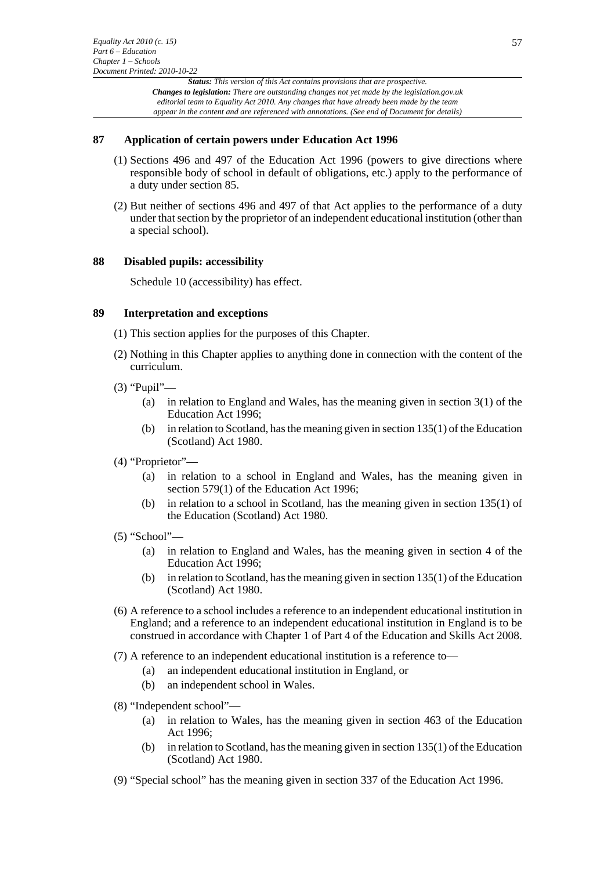## **87 Application of certain powers under Education Act 1996**

- (1) Sections 496 and 497 of the Education Act 1996 (powers to give directions where responsible body of school in default of obligations, etc.) apply to the performance of a duty under section 85.
- (2) But neither of sections 496 and 497 of that Act applies to the performance of a duty under that section by the proprietor of an independent educational institution (other than a special school).

#### **88 Disabled pupils: accessibility**

Schedule 10 (accessibility) has effect.

#### **89 Interpretation and exceptions**

(1) This section applies for the purposes of this Chapter.

- (2) Nothing in this Chapter applies to anything done in connection with the content of the curriculum.
- (3) "Pupil"—
	- (a) in relation to England and Wales, has the meaning given in section 3(1) of the Education Act 1996;
	- (b) in relation to Scotland, has the meaning given in section 135(1) of the Education (Scotland) Act 1980.
- (4) "Proprietor"—
	- (a) in relation to a school in England and Wales, has the meaning given in section 579(1) of the Education Act 1996;
	- (b) in relation to a school in Scotland, has the meaning given in section 135(1) of the Education (Scotland) Act 1980.
- (5) "School"—
	- (a) in relation to England and Wales, has the meaning given in section 4 of the Education Act 1996;
	- (b) in relation to Scotland, has the meaning given in section 135(1) of the Education (Scotland) Act 1980.
- (6) A reference to a school includes a reference to an independent educational institution in England; and a reference to an independent educational institution in England is to be construed in accordance with Chapter 1 of Part 4 of the Education and Skills Act 2008.
- (7) A reference to an independent educational institution is a reference to—
	- (a) an independent educational institution in England, or
	- (b) an independent school in Wales.
- (8) "Independent school"—
	- (a) in relation to Wales, has the meaning given in section 463 of the Education Act 1996;
	- (b) in relation to Scotland, has the meaning given in section  $135(1)$  of the Education (Scotland) Act 1980.
- (9) "Special school" has the meaning given in section 337 of the Education Act 1996.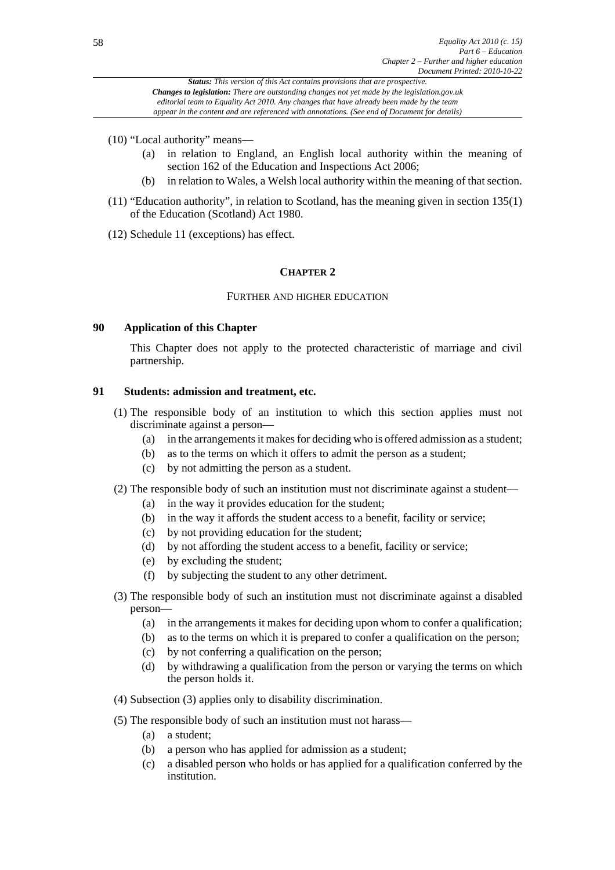(10) "Local authority" means—

- (a) in relation to England, an English local authority within the meaning of section 162 of the Education and Inspections Act 2006;
- (b) in relation to Wales, a Welsh local authority within the meaning of that section.
- (11) "Education authority", in relation to Scotland, has the meaning given in section 135(1) of the Education (Scotland) Act 1980.

(12) Schedule 11 (exceptions) has effect.

# **CHAPTER 2**

## FURTHER AND HIGHER EDUCATION

## **90 Application of this Chapter**

This Chapter does not apply to the protected characteristic of marriage and civil partnership.

# **91 Students: admission and treatment, etc.**

- (1) The responsible body of an institution to which this section applies must not discriminate against a person—
	- (a) in the arrangements it makes for deciding who is offered admission as a student;
	- (b) as to the terms on which it offers to admit the person as a student;
	- (c) by not admitting the person as a student.
- (2) The responsible body of such an institution must not discriminate against a student—
	- (a) in the way it provides education for the student;
	- (b) in the way it affords the student access to a benefit, facility or service;
	- (c) by not providing education for the student;
	- (d) by not affording the student access to a benefit, facility or service;
	- (e) by excluding the student;
	- (f) by subjecting the student to any other detriment.
- (3) The responsible body of such an institution must not discriminate against a disabled person—
	- (a) in the arrangements it makes for deciding upon whom to confer a qualification;
	- (b) as to the terms on which it is prepared to confer a qualification on the person;
	- (c) by not conferring a qualification on the person;
	- (d) by withdrawing a qualification from the person or varying the terms on which the person holds it.
- (4) Subsection (3) applies only to disability discrimination.
- (5) The responsible body of such an institution must not harass—
	- (a) a student;
	- (b) a person who has applied for admission as a student;
	- (c) a disabled person who holds or has applied for a qualification conferred by the institution.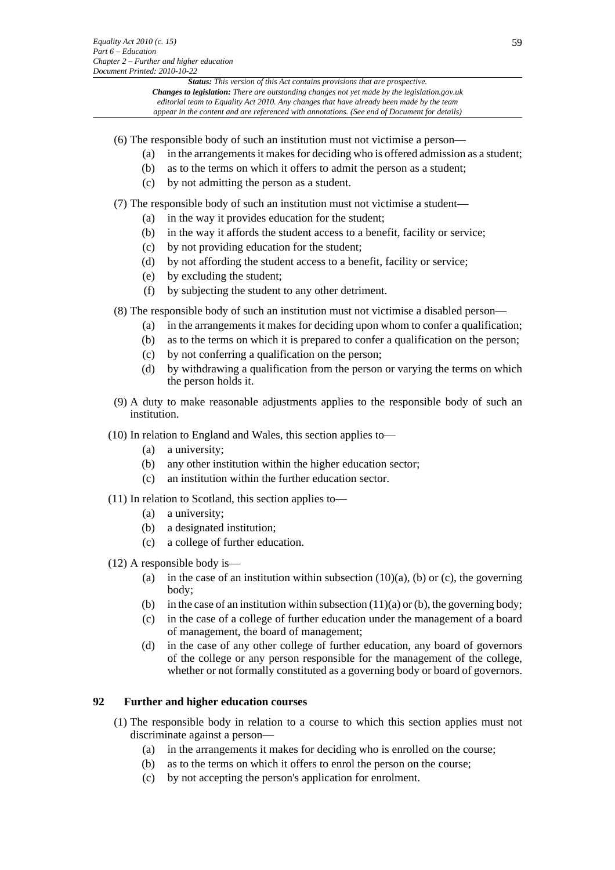- (6) The responsible body of such an institution must not victimise a person—
	- (a) in the arrangements it makes for deciding who is offered admission as a student;
	- (b) as to the terms on which it offers to admit the person as a student;
	- (c) by not admitting the person as a student.
- (7) The responsible body of such an institution must not victimise a student—
	- (a) in the way it provides education for the student;
	- (b) in the way it affords the student access to a benefit, facility or service;
	- (c) by not providing education for the student;
	- (d) by not affording the student access to a benefit, facility or service;
	- (e) by excluding the student;
	- (f) by subjecting the student to any other detriment.
- (8) The responsible body of such an institution must not victimise a disabled person—
	- (a) in the arrangements it makes for deciding upon whom to confer a qualification;
	- (b) as to the terms on which it is prepared to confer a qualification on the person;
	- (c) by not conferring a qualification on the person;
	- (d) by withdrawing a qualification from the person or varying the terms on which the person holds it.
- (9) A duty to make reasonable adjustments applies to the responsible body of such an institution.
- (10) In relation to England and Wales, this section applies to—
	- (a) a university;
	- (b) any other institution within the higher education sector;
	- (c) an institution within the further education sector.
- (11) In relation to Scotland, this section applies to—
	- (a) a university;
	- (b) a designated institution;
	- (c) a college of further education.
- (12) A responsible body is—
	- (a) in the case of an institution within subsection  $(10)(a)$ , (b) or (c), the governing body;
	- (b) in the case of an institution within subsection  $(11)(a)$  or (b), the governing body;
	- (c) in the case of a college of further education under the management of a board of management, the board of management;
	- (d) in the case of any other college of further education, any board of governors of the college or any person responsible for the management of the college, whether or not formally constituted as a governing body or board of governors.

#### **92 Further and higher education courses**

- (1) The responsible body in relation to a course to which this section applies must not discriminate against a person—
	- (a) in the arrangements it makes for deciding who is enrolled on the course;
	- (b) as to the terms on which it offers to enrol the person on the course;
	- (c) by not accepting the person's application for enrolment.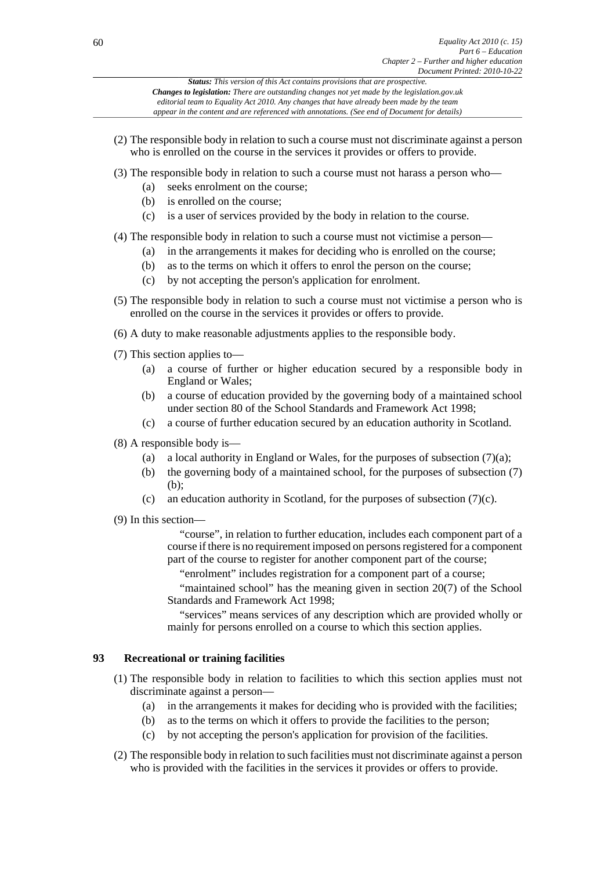- (2) The responsible body in relation to such a course must not discriminate against a person who is enrolled on the course in the services it provides or offers to provide.
- (3) The responsible body in relation to such a course must not harass a person who—
	- (a) seeks enrolment on the course;
	- (b) is enrolled on the course;
	- (c) is a user of services provided by the body in relation to the course.
- (4) The responsible body in relation to such a course must not victimise a person—
	- (a) in the arrangements it makes for deciding who is enrolled on the course;
	- (b) as to the terms on which it offers to enrol the person on the course;
	- (c) by not accepting the person's application for enrolment.
- (5) The responsible body in relation to such a course must not victimise a person who is enrolled on the course in the services it provides or offers to provide.
- (6) A duty to make reasonable adjustments applies to the responsible body.
- (7) This section applies to—
	- (a) a course of further or higher education secured by a responsible body in England or Wales;
	- (b) a course of education provided by the governing body of a maintained school under section 80 of the School Standards and Framework Act 1998;
	- (c) a course of further education secured by an education authority in Scotland.
- (8) A responsible body is—
	- (a) a local authority in England or Wales, for the purposes of subsection  $(7)(a)$ ;
	- (b) the governing body of a maintained school, for the purposes of subsection (7) (b);
	- (c) an education authority in Scotland, for the purposes of subsection (7)(c).
- (9) In this section—

"course", in relation to further education, includes each component part of a course if there is no requirement imposed on persons registered for a component part of the course to register for another component part of the course;

"enrolment" includes registration for a component part of a course;

"maintained school" has the meaning given in section 20(7) of the School Standards and Framework Act 1998;

"services" means services of any description which are provided wholly or mainly for persons enrolled on a course to which this section applies.

# **93 Recreational or training facilities**

- (1) The responsible body in relation to facilities to which this section applies must not discriminate against a person—
	- (a) in the arrangements it makes for deciding who is provided with the facilities;
	- (b) as to the terms on which it offers to provide the facilities to the person;
	- (c) by not accepting the person's application for provision of the facilities.
- (2) The responsible body in relation to such facilities must not discriminate against a person who is provided with the facilities in the services it provides or offers to provide.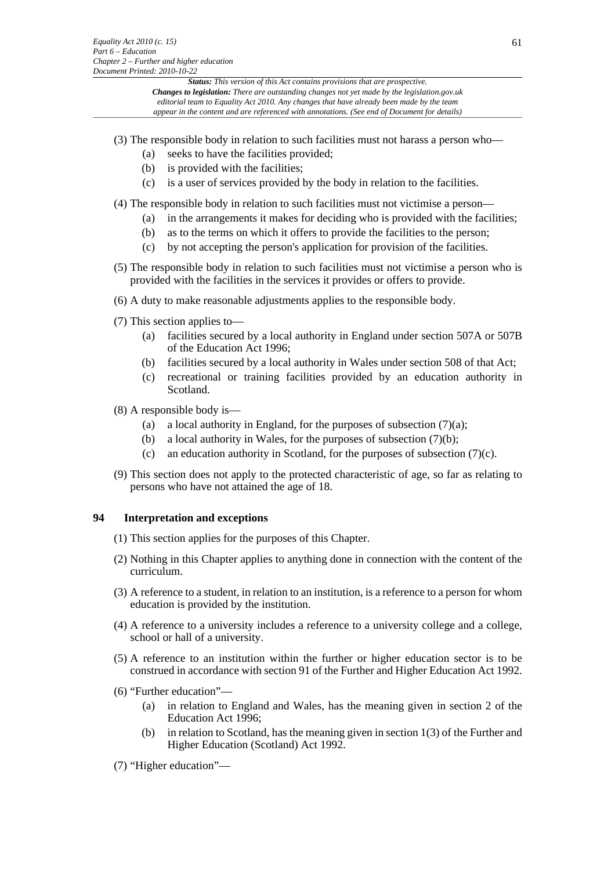# (3) The responsible body in relation to such facilities must not harass a person who—

- (a) seeks to have the facilities provided;
- (b) is provided with the facilities;
- (c) is a user of services provided by the body in relation to the facilities.
- (4) The responsible body in relation to such facilities must not victimise a person—
	- (a) in the arrangements it makes for deciding who is provided with the facilities;
	- (b) as to the terms on which it offers to provide the facilities to the person;
	- (c) by not accepting the person's application for provision of the facilities.
- (5) The responsible body in relation to such facilities must not victimise a person who is provided with the facilities in the services it provides or offers to provide.
- (6) A duty to make reasonable adjustments applies to the responsible body.
- (7) This section applies to—
	- (a) facilities secured by a local authority in England under section 507A or 507B of the Education Act 1996;
	- (b) facilities secured by a local authority in Wales under section 508 of that Act;
	- (c) recreational or training facilities provided by an education authority in Scotland.
- (8) A responsible body is—
	- (a) a local authority in England, for the purposes of subsection  $(7)(a)$ ;
	- (b) a local authority in Wales, for the purposes of subsection  $(7)(b)$ ;
	- (c) an education authority in Scotland, for the purposes of subsection (7)(c).
- (9) This section does not apply to the protected characteristic of age, so far as relating to persons who have not attained the age of 18.

# **94 Interpretation and exceptions**

- (1) This section applies for the purposes of this Chapter.
- (2) Nothing in this Chapter applies to anything done in connection with the content of the curriculum.
- (3) A reference to a student, in relation to an institution, is a reference to a person for whom education is provided by the institution.
- (4) A reference to a university includes a reference to a university college and a college, school or hall of a university.
- (5) A reference to an institution within the further or higher education sector is to be construed in accordance with section 91 of the Further and Higher Education Act 1992.
- (6) "Further education"—
	- (a) in relation to England and Wales, has the meaning given in section 2 of the Education Act 1996;
	- (b) in relation to Scotland, has the meaning given in section 1(3) of the Further and Higher Education (Scotland) Act 1992.
- (7) "Higher education"—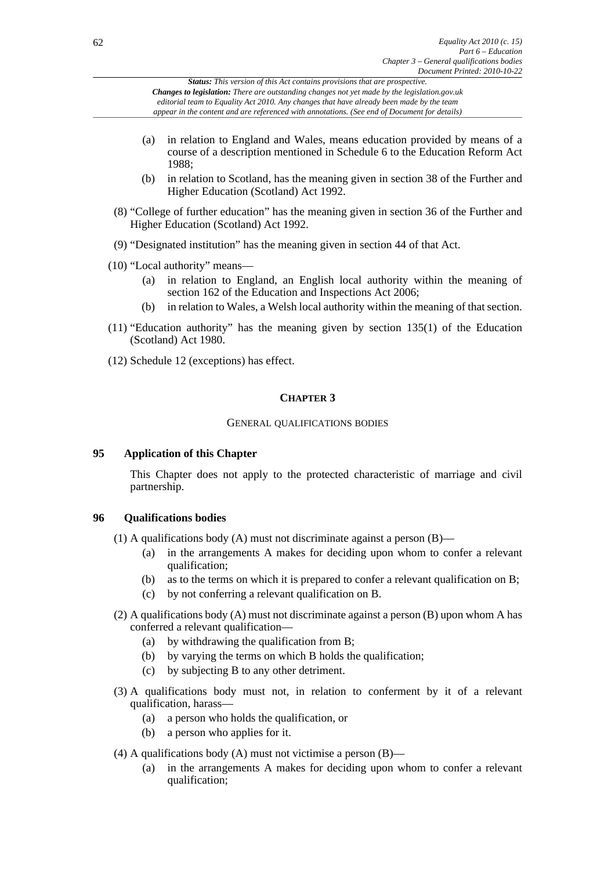- (a) in relation to England and Wales, means education provided by means of a course of a description mentioned in Schedule 6 to the Education Reform Act 1988;
- (b) in relation to Scotland, has the meaning given in section 38 of the Further and Higher Education (Scotland) Act 1992.
- (8) "College of further education" has the meaning given in section 36 of the Further and Higher Education (Scotland) Act 1992.
- (9) "Designated institution" has the meaning given in section 44 of that Act.
- (10) "Local authority" means—
	- (a) in relation to England, an English local authority within the meaning of section 162 of the Education and Inspections Act 2006;
	- (b) in relation to Wales, a Welsh local authority within the meaning of that section.
- (11) "Education authority" has the meaning given by section 135(1) of the Education (Scotland) Act 1980.
- (12) Schedule 12 (exceptions) has effect.

# **CHAPTER 3**

#### GENERAL QUALIFICATIONS BODIES

## **95 Application of this Chapter**

This Chapter does not apply to the protected characteristic of marriage and civil partnership.

# **96 Qualifications bodies**

- (1) A qualifications body (A) must not discriminate against a person  $(B)$ 
	- (a) in the arrangements A makes for deciding upon whom to confer a relevant qualification;
	- (b) as to the terms on which it is prepared to confer a relevant qualification on B;
	- (c) by not conferring a relevant qualification on B.
- (2) A qualifications body (A) must not discriminate against a person (B) upon whom A has conferred a relevant qualification—
	- (a) by withdrawing the qualification from B;
	- (b) by varying the terms on which B holds the qualification;
	- (c) by subjecting B to any other detriment.
- (3) A qualifications body must not, in relation to conferment by it of a relevant qualification, harass—
	- (a) a person who holds the qualification, or
	- (b) a person who applies for it.
- (4) A qualifications body (A) must not victimise a person  $(B)$ 
	- (a) in the arrangements A makes for deciding upon whom to confer a relevant qualification;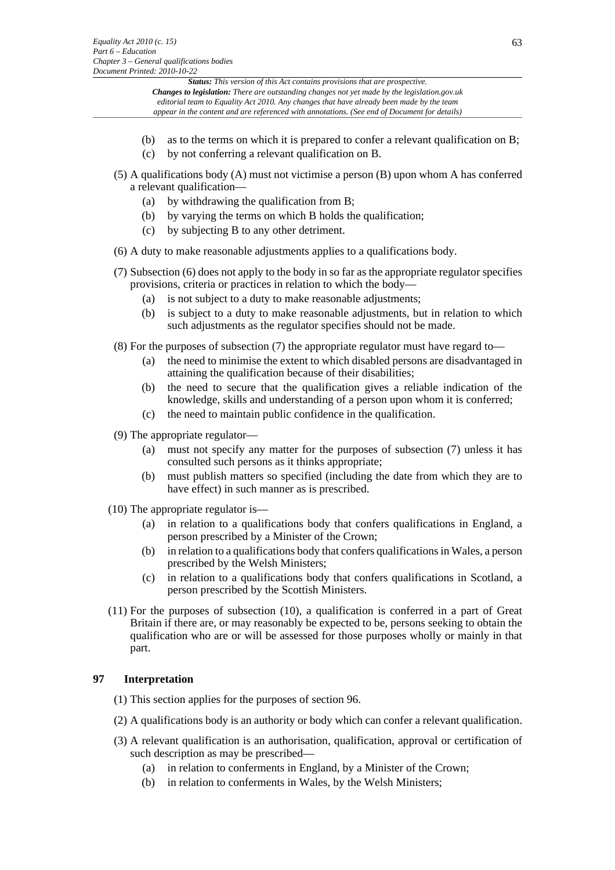- (b) as to the terms on which it is prepared to confer a relevant qualification on B;
- (c) by not conferring a relevant qualification on B.
- (5) A qualifications body (A) must not victimise a person (B) upon whom A has conferred a relevant qualification—
	- (a) by withdrawing the qualification from B;
	- (b) by varying the terms on which B holds the qualification;
	- (c) by subjecting B to any other detriment.
- (6) A duty to make reasonable adjustments applies to a qualifications body.
- (7) Subsection (6) does not apply to the body in so far as the appropriate regulator specifies provisions, criteria or practices in relation to which the body—
	- (a) is not subject to a duty to make reasonable adjustments;
	- (b) is subject to a duty to make reasonable adjustments, but in relation to which such adjustments as the regulator specifies should not be made.
- (8) For the purposes of subsection (7) the appropriate regulator must have regard to—
	- (a) the need to minimise the extent to which disabled persons are disadvantaged in attaining the qualification because of their disabilities;
	- (b) the need to secure that the qualification gives a reliable indication of the knowledge, skills and understanding of a person upon whom it is conferred;
	- (c) the need to maintain public confidence in the qualification.
- (9) The appropriate regulator—
	- (a) must not specify any matter for the purposes of subsection (7) unless it has consulted such persons as it thinks appropriate;
	- (b) must publish matters so specified (including the date from which they are to have effect) in such manner as is prescribed.
- (10) The appropriate regulator is—
	- (a) in relation to a qualifications body that confers qualifications in England, a person prescribed by a Minister of the Crown;
	- (b) in relation to a qualifications body that confers qualifications in Wales, a person prescribed by the Welsh Ministers;
	- (c) in relation to a qualifications body that confers qualifications in Scotland, a person prescribed by the Scottish Ministers.
- (11) For the purposes of subsection (10), a qualification is conferred in a part of Great Britain if there are, or may reasonably be expected to be, persons seeking to obtain the qualification who are or will be assessed for those purposes wholly or mainly in that part.

#### **97 Interpretation**

- (1) This section applies for the purposes of section 96.
- (2) A qualifications body is an authority or body which can confer a relevant qualification.
- (3) A relevant qualification is an authorisation, qualification, approval or certification of such description as may be prescribed—
	- (a) in relation to conferments in England, by a Minister of the Crown;
	- (b) in relation to conferments in Wales, by the Welsh Ministers;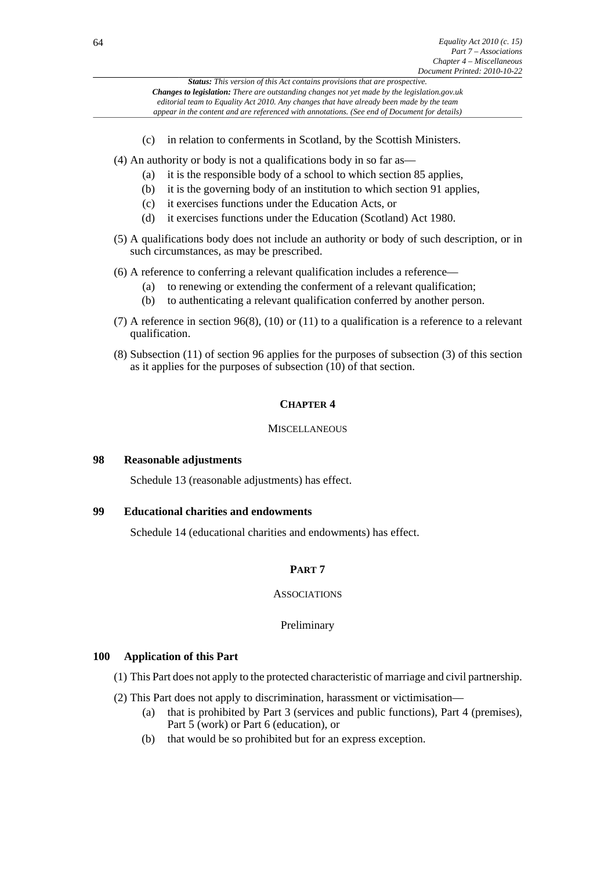- (c) in relation to conferments in Scotland, by the Scottish Ministers.
- (4) An authority or body is not a qualifications body in so far as—
	- (a) it is the responsible body of a school to which section 85 applies,
	- (b) it is the governing body of an institution to which section 91 applies,
	- (c) it exercises functions under the Education Acts, or
	- (d) it exercises functions under the Education (Scotland) Act 1980.
- (5) A qualifications body does not include an authority or body of such description, or in such circumstances, as may be prescribed.
- (6) A reference to conferring a relevant qualification includes a reference—
	- (a) to renewing or extending the conferment of a relevant qualification;
	- (b) to authenticating a relevant qualification conferred by another person.
- (7) A reference in section 96(8), (10) or (11) to a qualification is a reference to a relevant qualification.
- (8) Subsection (11) of section 96 applies for the purposes of subsection (3) of this section as it applies for the purposes of subsection (10) of that section.

# **CHAPTER 4**

#### **MISCELLANEOUS**

# **98 Reasonable adjustments**

Schedule 13 (reasonable adjustments) has effect.

# **99 Educational charities and endowments**

Schedule 14 (educational charities and endowments) has effect.

# **PART 7**

## **ASSOCIATIONS**

## Preliminary

## **100 Application of this Part**

- (1) This Part does not apply to the protected characteristic of marriage and civil partnership.
- (2) This Part does not apply to discrimination, harassment or victimisation—
	- (a) that is prohibited by Part 3 (services and public functions), Part 4 (premises), Part 5 (work) or Part 6 (education), or
	- (b) that would be so prohibited but for an express exception.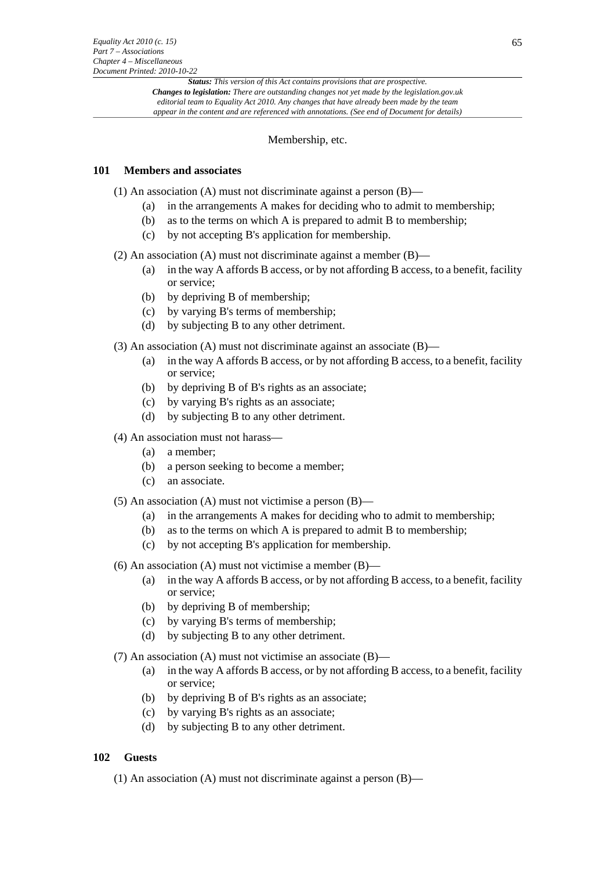# Membership, etc.

# **101 Members and associates**

(1) An association (A) must not discriminate against a person (B)—

- (a) in the arrangements A makes for deciding who to admit to membership;
- (b) as to the terms on which A is prepared to admit B to membership;
- (c) by not accepting B's application for membership.

(2) An association (A) must not discriminate against a member (B)—

- (a) in the way A affords B access, or by not affording B access, to a benefit, facility or service;
- (b) by depriving B of membership;
- (c) by varying B's terms of membership;
- (d) by subjecting B to any other detriment.
- (3) An association (A) must not discriminate against an associate (B)—
	- (a) in the way A affords B access, or by not affording B access, to a benefit, facility or service;
	- (b) by depriving B of B's rights as an associate;
	- (c) by varying B's rights as an associate;
	- (d) by subjecting B to any other detriment.
- (4) An association must not harass—
	- (a) a member;
	- (b) a person seeking to become a member;
	- (c) an associate.
- (5) An association (A) must not victimise a person (B)—
	- (a) in the arrangements A makes for deciding who to admit to membership;
	- (b) as to the terms on which A is prepared to admit B to membership;
	- (c) by not accepting B's application for membership.
- (6) An association (A) must not victimise a member (B)—
	- (a) in the way A affords B access, or by not affording B access, to a benefit, facility or service;
	- (b) by depriving B of membership;
	- (c) by varying B's terms of membership;
	- (d) by subjecting B to any other detriment.

(7) An association (A) must not victimise an associate (B)—

- (a) in the way A affords B access, or by not affording B access, to a benefit, facility or service;
- (b) by depriving B of B's rights as an associate;
- (c) by varying B's rights as an associate;
- (d) by subjecting B to any other detriment.

# **102 Guests**

(1) An association (A) must not discriminate against a person (B)—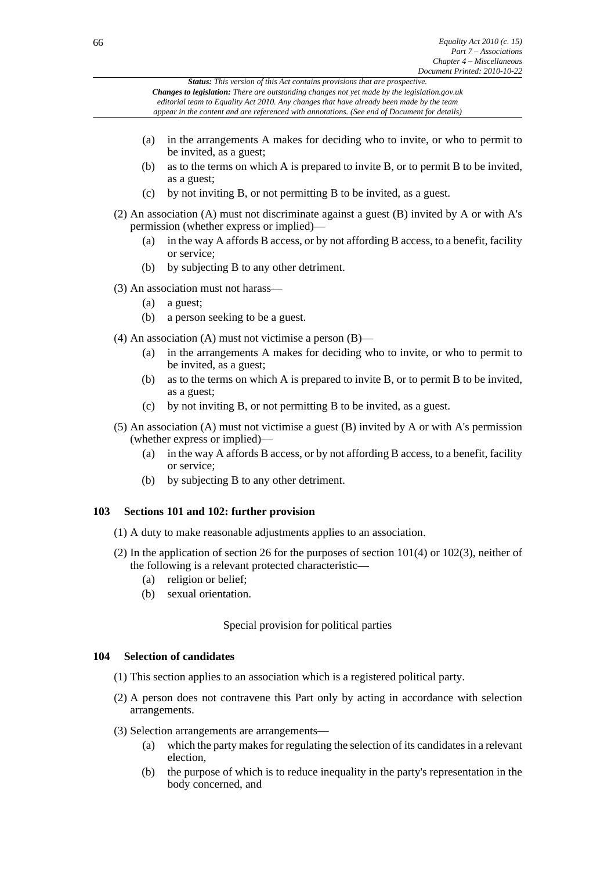- (a) in the arrangements A makes for deciding who to invite, or who to permit to be invited, as a guest;
- (b) as to the terms on which A is prepared to invite B, or to permit B to be invited, as a guest;
- (c) by not inviting B, or not permitting B to be invited, as a guest.
- (2) An association (A) must not discriminate against a guest (B) invited by A or with A's permission (whether express or implied)—
	- (a) in the way A affords B access, or by not affording B access, to a benefit, facility or service;
	- (b) by subjecting B to any other detriment.
- (3) An association must not harass—
	- (a) a guest;
	- (b) a person seeking to be a guest.
- (4) An association (A) must not victimise a person (B)—
	- (a) in the arrangements A makes for deciding who to invite, or who to permit to be invited, as a guest;
	- (b) as to the terms on which A is prepared to invite B, or to permit B to be invited, as a guest;
	- (c) by not inviting B, or not permitting B to be invited, as a guest.
- (5) An association (A) must not victimise a guest (B) invited by A or with A's permission (whether express or implied)—
	- (a) in the way A affords B access, or by not affording B access, to a benefit, facility or service;
	- (b) by subjecting B to any other detriment.

## **103 Sections 101 and 102: further provision**

- (1) A duty to make reasonable adjustments applies to an association.
- (2) In the application of section 26 for the purposes of section 101(4) or 102(3), neither of the following is a relevant protected characteristic—
	- (a) religion or belief;
	- (b) sexual orientation.

Special provision for political parties

# **104 Selection of candidates**

- (1) This section applies to an association which is a registered political party.
- (2) A person does not contravene this Part only by acting in accordance with selection arrangements.
- (3) Selection arrangements are arrangements—
	- (a) which the party makes for regulating the selection of its candidates in a relevant election,
	- (b) the purpose of which is to reduce inequality in the party's representation in the body concerned, and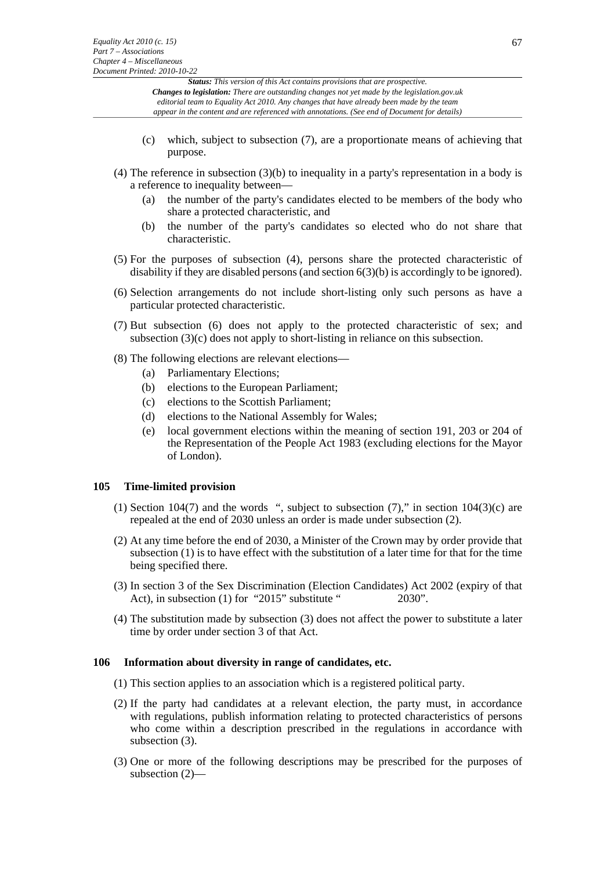- (c) which, subject to subsection (7), are a proportionate means of achieving that purpose.
- (4) The reference in subsection  $(3)(b)$  to inequality in a party's representation in a body is a reference to inequality between—
	- (a) the number of the party's candidates elected to be members of the body who share a protected characteristic, and
	- (b) the number of the party's candidates so elected who do not share that characteristic.
- (5) For the purposes of subsection (4), persons share the protected characteristic of disability if they are disabled persons (and section  $6(3)(b)$ ) is accordingly to be ignored).
- (6) Selection arrangements do not include short-listing only such persons as have a particular protected characteristic.
- (7) But subsection (6) does not apply to the protected characteristic of sex; and subsection (3)(c) does not apply to short-listing in reliance on this subsection.
- (8) The following elections are relevant elections—
	- (a) Parliamentary Elections;
	- (b) elections to the European Parliament;
	- (c) elections to the Scottish Parliament;
	- (d) elections to the National Assembly for Wales;
	- (e) local government elections within the meaning of section 191, 203 or 204 of the Representation of the People Act 1983 (excluding elections for the Mayor of London).

## **105 Time-limited provision**

- (1) Section 104(7) and the words ", subject to subsection (7)," in section  $104(3)(c)$  are repealed at the end of 2030 unless an order is made under subsection (2).
- (2) At any time before the end of 2030, a Minister of the Crown may by order provide that subsection (1) is to have effect with the substitution of a later time for that for the time being specified there.
- (3) In section 3 of the Sex Discrimination (Election Candidates) Act 2002 (expiry of that Act), in subsection (1) for "2015" substitute " 2030".
- (4) The substitution made by subsection (3) does not affect the power to substitute a later time by order under section 3 of that Act.

## **106 Information about diversity in range of candidates, etc.**

- (1) This section applies to an association which is a registered political party.
- (2) If the party had candidates at a relevant election, the party must, in accordance with regulations, publish information relating to protected characteristics of persons who come within a description prescribed in the regulations in accordance with subsection (3).
- (3) One or more of the following descriptions may be prescribed for the purposes of subsection (2)—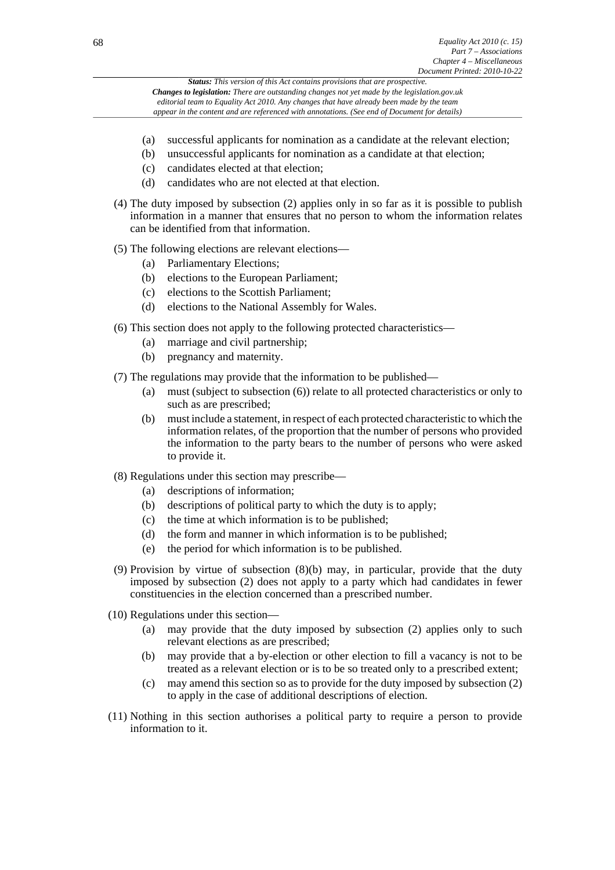- (a) successful applicants for nomination as a candidate at the relevant election;
- (b) unsuccessful applicants for nomination as a candidate at that election;
- (c) candidates elected at that election;
- (d) candidates who are not elected at that election.
- (4) The duty imposed by subsection (2) applies only in so far as it is possible to publish information in a manner that ensures that no person to whom the information relates can be identified from that information.
- (5) The following elections are relevant elections—
	- (a) Parliamentary Elections;
	- (b) elections to the European Parliament;
	- (c) elections to the Scottish Parliament;
	- (d) elections to the National Assembly for Wales.
- (6) This section does not apply to the following protected characteristics—
	- (a) marriage and civil partnership;
	- (b) pregnancy and maternity.
- (7) The regulations may provide that the information to be published—
	- (a) must (subject to subsection (6)) relate to all protected characteristics or only to such as are prescribed;
	- (b) must include a statement, in respect of each protected characteristic to which the information relates, of the proportion that the number of persons who provided the information to the party bears to the number of persons who were asked to provide it.
- (8) Regulations under this section may prescribe—
	- (a) descriptions of information;
	- (b) descriptions of political party to which the duty is to apply;
	- (c) the time at which information is to be published;
	- (d) the form and manner in which information is to be published;
	- (e) the period for which information is to be published.
- (9) Provision by virtue of subsection (8)(b) may, in particular, provide that the duty imposed by subsection (2) does not apply to a party which had candidates in fewer constituencies in the election concerned than a prescribed number.
- (10) Regulations under this section—
	- (a) may provide that the duty imposed by subsection (2) applies only to such relevant elections as are prescribed;
	- (b) may provide that a by-election or other election to fill a vacancy is not to be treated as a relevant election or is to be so treated only to a prescribed extent;
	- (c) may amend this section so as to provide for the duty imposed by subsection (2) to apply in the case of additional descriptions of election.
- (11) Nothing in this section authorises a political party to require a person to provide information to it.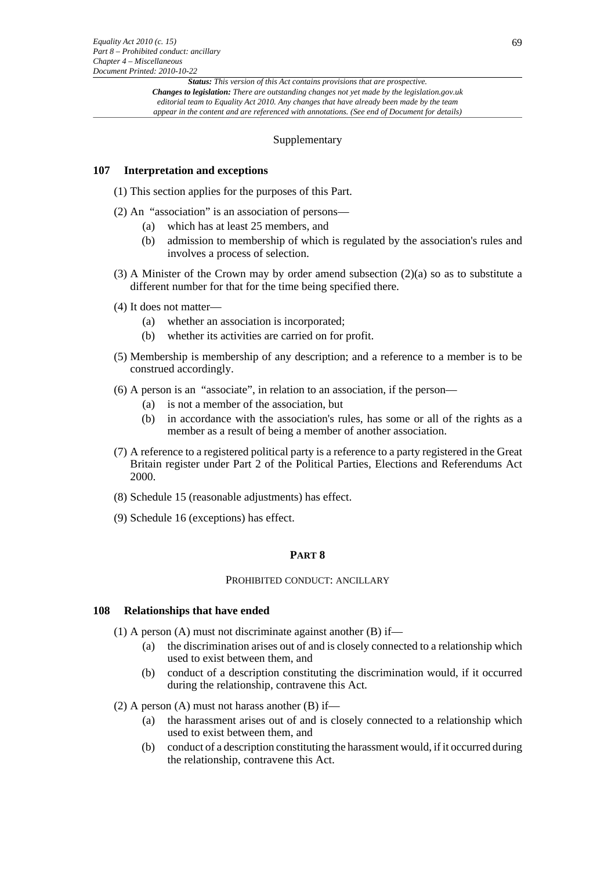#### Supplementary

#### **107 Interpretation and exceptions**

- (1) This section applies for the purposes of this Part.
- (2) An "association" is an association of persons—
	- (a) which has at least 25 members, and
	- (b) admission to membership of which is regulated by the association's rules and involves a process of selection.
- (3) A Minister of the Crown may by order amend subsection (2)(a) so as to substitute a different number for that for the time being specified there.
- (4) It does not matter—
	- (a) whether an association is incorporated;
	- (b) whether its activities are carried on for profit.
- (5) Membership is membership of any description; and a reference to a member is to be construed accordingly.
- (6) A person is an "associate", in relation to an association, if the person—
	- (a) is not a member of the association, but
	- (b) in accordance with the association's rules, has some or all of the rights as a member as a result of being a member of another association.
- (7) A reference to a registered political party is a reference to a party registered in the Great Britain register under Part 2 of the Political Parties, Elections and Referendums Act 2000.
- (8) Schedule 15 (reasonable adjustments) has effect.
- (9) Schedule 16 (exceptions) has effect.

# **PART 8**

#### PROHIBITED CONDUCT: ANCILLARY

#### **108 Relationships that have ended**

- (1) A person (A) must not discriminate against another (B) if—
	- (a) the discrimination arises out of and is closely connected to a relationship which used to exist between them, and
	- (b) conduct of a description constituting the discrimination would, if it occurred during the relationship, contravene this Act.
- $(2)$  A person  $(A)$  must not harass another  $(B)$  if—
	- (a) the harassment arises out of and is closely connected to a relationship which used to exist between them, and
	- (b) conduct of a description constituting the harassment would, if it occurred during the relationship, contravene this Act.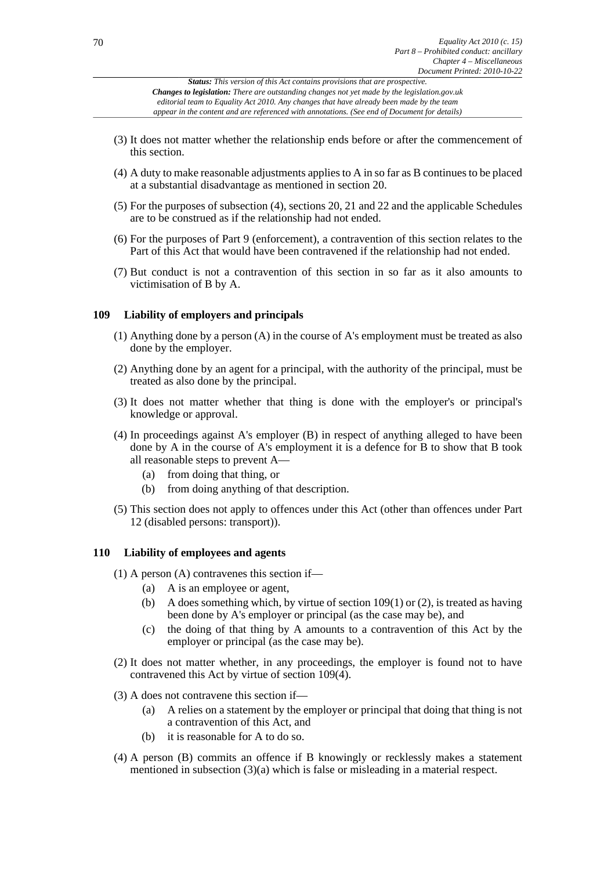- (3) It does not matter whether the relationship ends before or after the commencement of this section.
- (4) A duty to make reasonable adjustments applies to A in so far as B continues to be placed at a substantial disadvantage as mentioned in section 20.
- (5) For the purposes of subsection (4), sections 20, 21 and 22 and the applicable Schedules are to be construed as if the relationship had not ended.
- (6) For the purposes of Part 9 (enforcement), a contravention of this section relates to the Part of this Act that would have been contravened if the relationship had not ended.
- (7) But conduct is not a contravention of this section in so far as it also amounts to victimisation of B by A.

## **109 Liability of employers and principals**

- (1) Anything done by a person (A) in the course of A's employment must be treated as also done by the employer.
- (2) Anything done by an agent for a principal, with the authority of the principal, must be treated as also done by the principal.
- (3) It does not matter whether that thing is done with the employer's or principal's knowledge or approval.
- (4) In proceedings against A's employer (B) in respect of anything alleged to have been done by A in the course of A's employment it is a defence for B to show that B took all reasonable steps to prevent A—
	- (a) from doing that thing, or
	- (b) from doing anything of that description.
- (5) This section does not apply to offences under this Act (other than offences under Part 12 (disabled persons: transport)).

## **110 Liability of employees and agents**

- (1) A person (A) contravenes this section if—
	- (a) A is an employee or agent,
	- (b) A does something which, by virtue of section 109(1) or (2), is treated as having been done by A's employer or principal (as the case may be), and
	- (c) the doing of that thing by A amounts to a contravention of this Act by the employer or principal (as the case may be).
- (2) It does not matter whether, in any proceedings, the employer is found not to have contravened this Act by virtue of section 109(4).
- (3) A does not contravene this section if—
	- (a) A relies on a statement by the employer or principal that doing that thing is not a contravention of this Act, and
	- (b) it is reasonable for A to do so.
- (4) A person (B) commits an offence if B knowingly or recklessly makes a statement mentioned in subsection (3)(a) which is false or misleading in a material respect.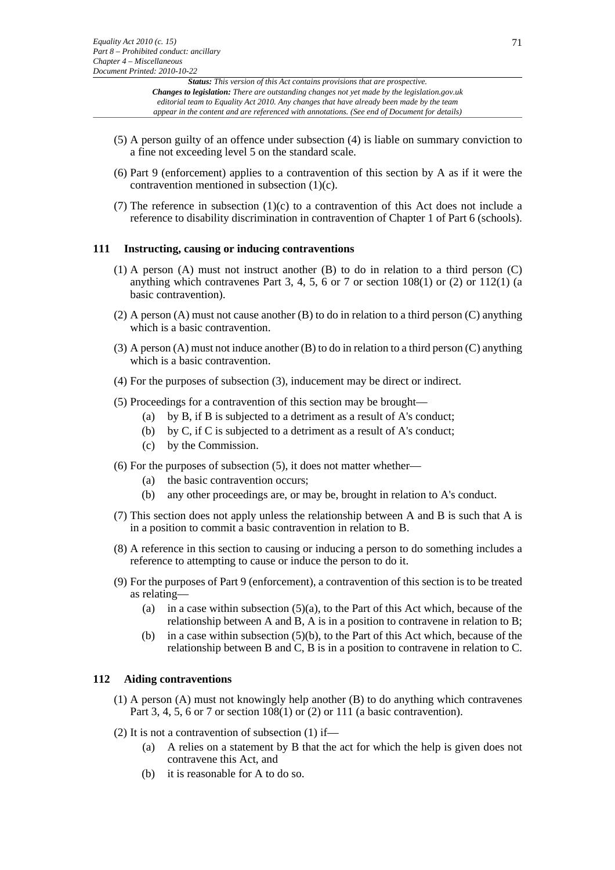- (5) A person guilty of an offence under subsection (4) is liable on summary conviction to a fine not exceeding level 5 on the standard scale.
- (6) Part 9 (enforcement) applies to a contravention of this section by A as if it were the contravention mentioned in subsection (1)(c).
- (7) The reference in subsection (1)(c) to a contravention of this Act does not include a reference to disability discrimination in contravention of Chapter 1 of Part 6 (schools).

## **111 Instructing, causing or inducing contraventions**

- (1) A person (A) must not instruct another (B) to do in relation to a third person (C) anything which contravenes Part 3, 4, 5, 6 or 7 or section  $108(1)$  or (2) or  $112(1)$  (a basic contravention).
- $(2)$  A person (A) must not cause another (B) to do in relation to a third person (C) anything which is a basic contravention.
- (3) A person (A) must not induce another (B) to do in relation to a third person (C) anything which is a basic contravention.
- (4) For the purposes of subsection (3), inducement may be direct or indirect.
- (5) Proceedings for a contravention of this section may be brought—
	- (a) by B, if B is subjected to a detriment as a result of A's conduct;
	- (b) by C, if C is subjected to a detriment as a result of A's conduct;
	- (c) by the Commission.
- (6) For the purposes of subsection (5), it does not matter whether—
	- (a) the basic contravention occurs;
	- (b) any other proceedings are, or may be, brought in relation to A's conduct.
- (7) This section does not apply unless the relationship between A and B is such that A is in a position to commit a basic contravention in relation to B.
- (8) A reference in this section to causing or inducing a person to do something includes a reference to attempting to cause or induce the person to do it.
- (9) For the purposes of Part 9 (enforcement), a contravention of this section is to be treated as relating—
	- (a) in a case within subsection  $(5)(a)$ , to the Part of this Act which, because of the relationship between A and B, A is in a position to contravene in relation to B;
	- (b) in a case within subsection (5)(b), to the Part of this Act which, because of the relationship between B and C, B is in a position to contravene in relation to C.

## **112 Aiding contraventions**

- (1) A person (A) must not knowingly help another (B) to do anything which contravenes Part 3, 4, 5, 6 or 7 or section 108(1) or (2) or 111 (a basic contravention).
- (2) It is not a contravention of subsection  $(1)$  if—
	- (a) A relies on a statement by B that the act for which the help is given does not contravene this Act, and
	- (b) it is reasonable for A to do so.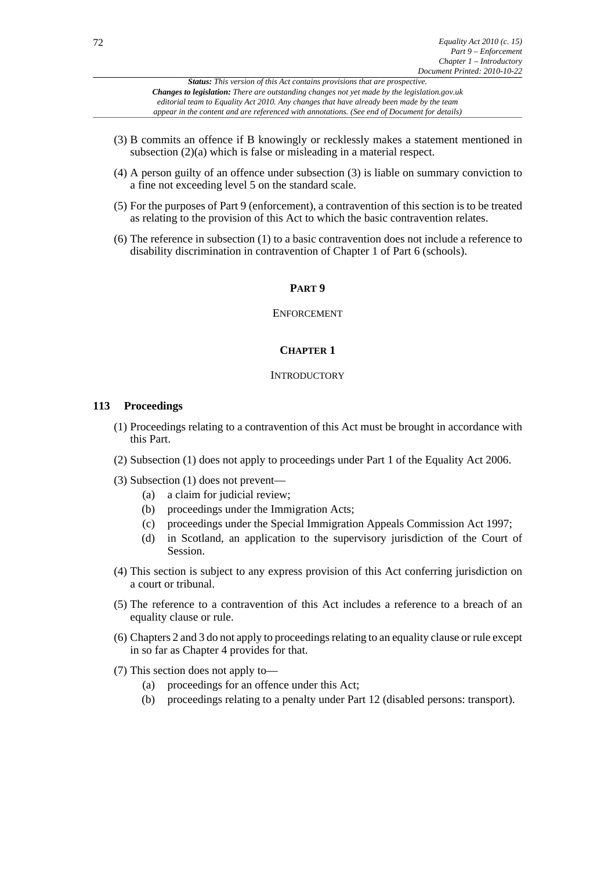- (3) B commits an offence if B knowingly or recklessly makes a statement mentioned in subsection (2)(a) which is false or misleading in a material respect.
- (4) A person guilty of an offence under subsection (3) is liable on summary conviction to a fine not exceeding level 5 on the standard scale.
- (5) For the purposes of Part 9 (enforcement), a contravention of this section is to be treated as relating to the provision of this Act to which the basic contravention relates.
- (6) The reference in subsection (1) to a basic contravention does not include a reference to disability discrimination in contravention of Chapter 1 of Part 6 (schools).

## **PART 9**

## ENFORCEMENT

# **CHAPTER 1**

## **INTRODUCTORY**

## **113 Proceedings**

- (1) Proceedings relating to a contravention of this Act must be brought in accordance with this Part.
- (2) Subsection (1) does not apply to proceedings under Part 1 of the Equality Act 2006.
- (3) Subsection (1) does not prevent—
	- (a) a claim for judicial review;
	- (b) proceedings under the Immigration Acts;
	- (c) proceedings under the Special Immigration Appeals Commission Act 1997;
	- (d) in Scotland, an application to the supervisory jurisdiction of the Court of Session.
- (4) This section is subject to any express provision of this Act conferring jurisdiction on a court or tribunal.
- (5) The reference to a contravention of this Act includes a reference to a breach of an equality clause or rule.
- (6) Chapters 2 and 3 do not apply to proceedings relating to an equality clause or rule except in so far as Chapter 4 provides for that.
- (7) This section does not apply to—
	- (a) proceedings for an offence under this Act;
	- (b) proceedings relating to a penalty under Part 12 (disabled persons: transport).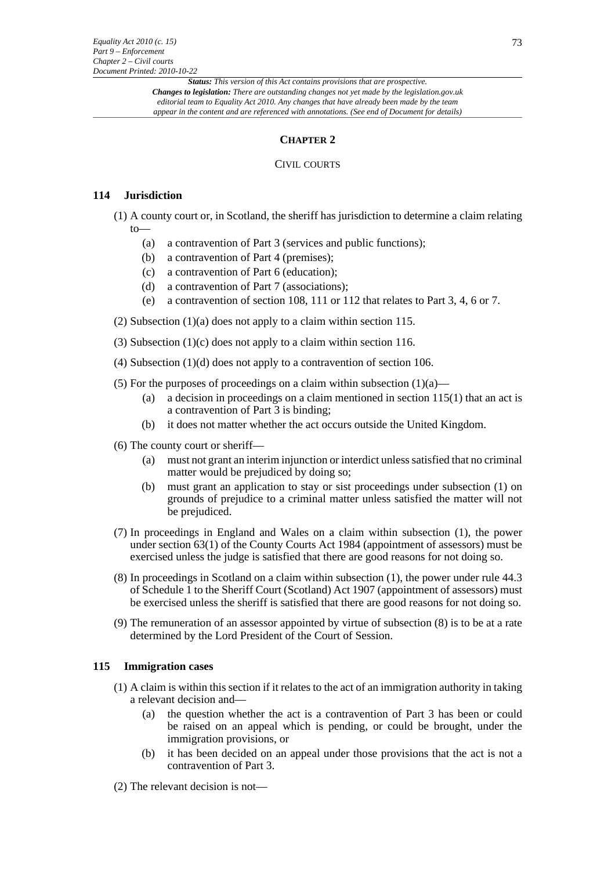### **CHAPTER 2**

### CIVIL COURTS

## **114 Jurisdiction**

- (1) A county court or, in Scotland, the sheriff has jurisdiction to determine a claim relating to—
	- (a) a contravention of Part 3 (services and public functions);
	- (b) a contravention of Part 4 (premises);
	- (c) a contravention of Part 6 (education);
	- (d) a contravention of Part 7 (associations);
	- (e) a contravention of section 108, 111 or 112 that relates to Part 3, 4, 6 or 7.
- (2) Subsection (1)(a) does not apply to a claim within section 115.
- (3) Subsection (1)(c) does not apply to a claim within section 116.
- (4) Subsection (1)(d) does not apply to a contravention of section 106.
- (5) For the purposes of proceedings on a claim within subsection  $(1)(a)$ 
	- (a) a decision in proceedings on a claim mentioned in section 115(1) that an act is a contravention of Part 3 is binding;
	- (b) it does not matter whether the act occurs outside the United Kingdom.
- (6) The county court or sheriff—
	- (a) must not grant an interim injunction or interdict unless satisfied that no criminal matter would be prejudiced by doing so:
	- (b) must grant an application to stay or sist proceedings under subsection (1) on grounds of prejudice to a criminal matter unless satisfied the matter will not be prejudiced.
- (7) In proceedings in England and Wales on a claim within subsection (1), the power under section 63(1) of the County Courts Act 1984 (appointment of assessors) must be exercised unless the judge is satisfied that there are good reasons for not doing so.
- (8) In proceedings in Scotland on a claim within subsection (1), the power under rule 44.3 of Schedule 1 to the Sheriff Court (Scotland) Act 1907 (appointment of assessors) must be exercised unless the sheriff is satisfied that there are good reasons for not doing so.
- (9) The remuneration of an assessor appointed by virtue of subsection (8) is to be at a rate determined by the Lord President of the Court of Session.

### **115 Immigration cases**

- (1) A claim is within this section if it relates to the act of an immigration authority in taking a relevant decision and—
	- (a) the question whether the act is a contravention of Part 3 has been or could be raised on an appeal which is pending, or could be brought, under the immigration provisions, or
	- (b) it has been decided on an appeal under those provisions that the act is not a contravention of Part 3.
- (2) The relevant decision is not—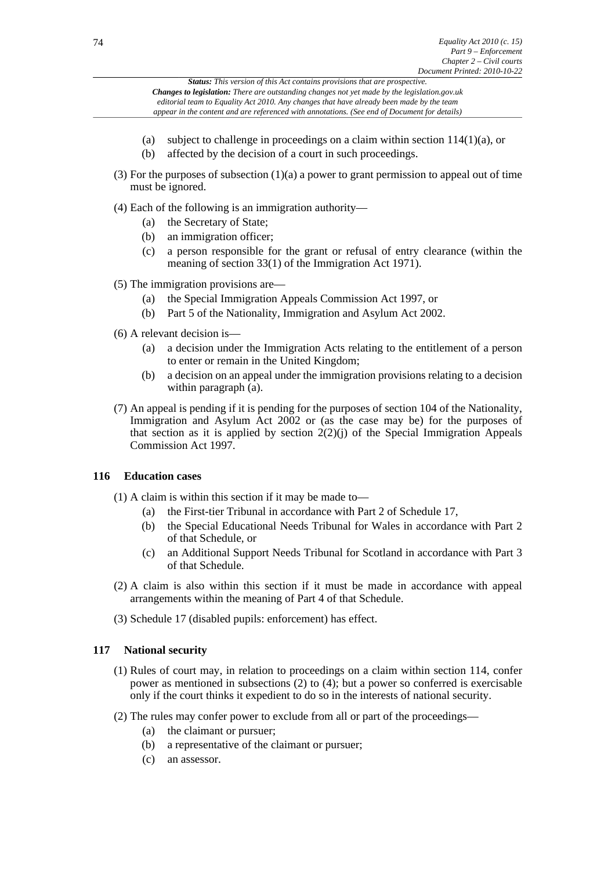- (a) subject to challenge in proceedings on a claim within section  $114(1)(a)$ , or
- (b) affected by the decision of a court in such proceedings.
- (3) For the purposes of subsection  $(1)(a)$  a power to grant permission to appeal out of time must be ignored.
- (4) Each of the following is an immigration authority—
	- (a) the Secretary of State;
	- (b) an immigration officer;
	- (c) a person responsible for the grant or refusal of entry clearance (within the meaning of section 33(1) of the Immigration Act 1971).
- (5) The immigration provisions are—
	- (a) the Special Immigration Appeals Commission Act 1997, or
	- (b) Part 5 of the Nationality, Immigration and Asylum Act 2002.
- (6) A relevant decision is—
	- (a) a decision under the Immigration Acts relating to the entitlement of a person to enter or remain in the United Kingdom;
	- (b) a decision on an appeal under the immigration provisions relating to a decision within paragraph (a).
- (7) An appeal is pending if it is pending for the purposes of section 104 of the Nationality, Immigration and Asylum Act 2002 or (as the case may be) for the purposes of that section as it is applied by section  $2(2)(j)$  of the Special Immigration Appeals Commission Act 1997.

# **116 Education cases**

- (1) A claim is within this section if it may be made to—
	- (a) the First-tier Tribunal in accordance with Part 2 of Schedule 17,
	- (b) the Special Educational Needs Tribunal for Wales in accordance with Part 2 of that Schedule, or
	- (c) an Additional Support Needs Tribunal for Scotland in accordance with Part 3 of that Schedule.
- (2) A claim is also within this section if it must be made in accordance with appeal arrangements within the meaning of Part 4 of that Schedule.
- (3) Schedule 17 (disabled pupils: enforcement) has effect.

## **117 National security**

- (1) Rules of court may, in relation to proceedings on a claim within section 114, confer power as mentioned in subsections (2) to (4); but a power so conferred is exercisable only if the court thinks it expedient to do so in the interests of national security.
- (2) The rules may confer power to exclude from all or part of the proceedings—
	- (a) the claimant or pursuer;
	- (b) a representative of the claimant or pursuer;
	- (c) an assessor.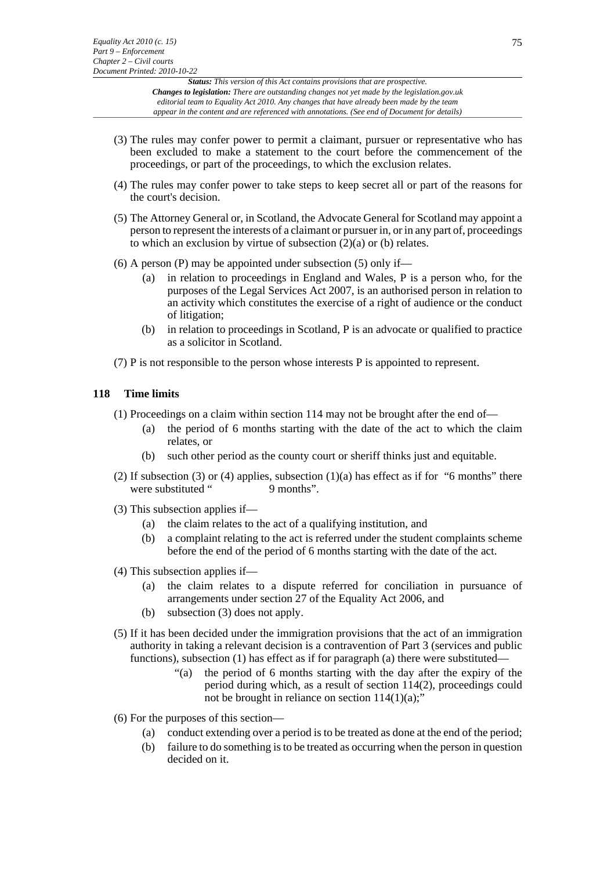- (3) The rules may confer power to permit a claimant, pursuer or representative who has been excluded to make a statement to the court before the commencement of the proceedings, or part of the proceedings, to which the exclusion relates.
- (4) The rules may confer power to take steps to keep secret all or part of the reasons for the court's decision.
- (5) The Attorney General or, in Scotland, the Advocate General for Scotland may appoint a person to represent the interests of a claimant or pursuer in, or in any part of, proceedings to which an exclusion by virtue of subsection  $(2)(a)$  or (b) relates.
- $(6)$  A person (P) may be appointed under subsection  $(5)$  only if—
	- (a) in relation to proceedings in England and Wales, P is a person who, for the purposes of the Legal Services Act 2007, is an authorised person in relation to an activity which constitutes the exercise of a right of audience or the conduct of litigation;
	- (b) in relation to proceedings in Scotland, P is an advocate or qualified to practice as a solicitor in Scotland.
- (7) P is not responsible to the person whose interests P is appointed to represent.

## **118 Time limits**

- (1) Proceedings on a claim within section 114 may not be brought after the end of—
	- (a) the period of 6 months starting with the date of the act to which the claim relates, or
	- (b) such other period as the county court or sheriff thinks just and equitable.
- (2) If subsection (3) or (4) applies, subsection (1)(a) has effect as if for "6 months" there were substituted " 9 months".
- (3) This subsection applies if—
	- (a) the claim relates to the act of a qualifying institution, and
	- (b) a complaint relating to the act is referred under the student complaints scheme before the end of the period of 6 months starting with the date of the act.
- (4) This subsection applies if—
	- (a) the claim relates to a dispute referred for conciliation in pursuance of arrangements under section 27 of the Equality Act 2006, and
	- (b) subsection (3) does not apply.
- (5) If it has been decided under the immigration provisions that the act of an immigration authority in taking a relevant decision is a contravention of Part 3 (services and public functions), subsection (1) has effect as if for paragraph (a) there were substituted—
	- "(a) the period of 6 months starting with the day after the expiry of the period during which, as a result of section 114(2), proceedings could not be brought in reliance on section  $114(1)(a)$ ;"
- (6) For the purposes of this section—
	- (a) conduct extending over a period is to be treated as done at the end of the period;
	- (b) failure to do something is to be treated as occurring when the person in question decided on it.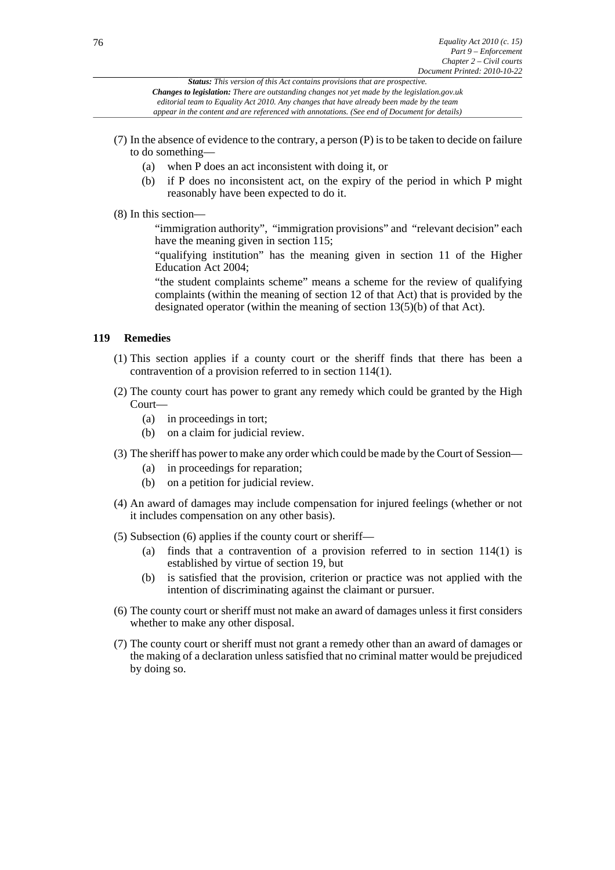- (7) In the absence of evidence to the contrary, a person (P) is to be taken to decide on failure to do something—
	- (a) when P does an act inconsistent with doing it, or
	- (b) if P does no inconsistent act, on the expiry of the period in which P might reasonably have been expected to do it.
- (8) In this section—

"immigration authority", "immigration provisions" and "relevant decision" each have the meaning given in section 115;

"qualifying institution" has the meaning given in section 11 of the Higher Education Act 2004;

"the student complaints scheme" means a scheme for the review of qualifying complaints (within the meaning of section 12 of that Act) that is provided by the designated operator (within the meaning of section 13(5)(b) of that Act).

# **119 Remedies**

- (1) This section applies if a county court or the sheriff finds that there has been a contravention of a provision referred to in section 114(1).
- (2) The county court has power to grant any remedy which could be granted by the High Court—
	- (a) in proceedings in tort;
	- (b) on a claim for judicial review.
- (3) The sheriff has power to make any order which could be made by the Court of Session—
	- (a) in proceedings for reparation;
	- (b) on a petition for judicial review.
- (4) An award of damages may include compensation for injured feelings (whether or not it includes compensation on any other basis).
- (5) Subsection (6) applies if the county court or sheriff—
	- (a) finds that a contravention of a provision referred to in section 114(1) is established by virtue of section 19, but
	- (b) is satisfied that the provision, criterion or practice was not applied with the intention of discriminating against the claimant or pursuer.
- (6) The county court or sheriff must not make an award of damages unless it first considers whether to make any other disposal.
- (7) The county court or sheriff must not grant a remedy other than an award of damages or the making of a declaration unless satisfied that no criminal matter would be prejudiced by doing so.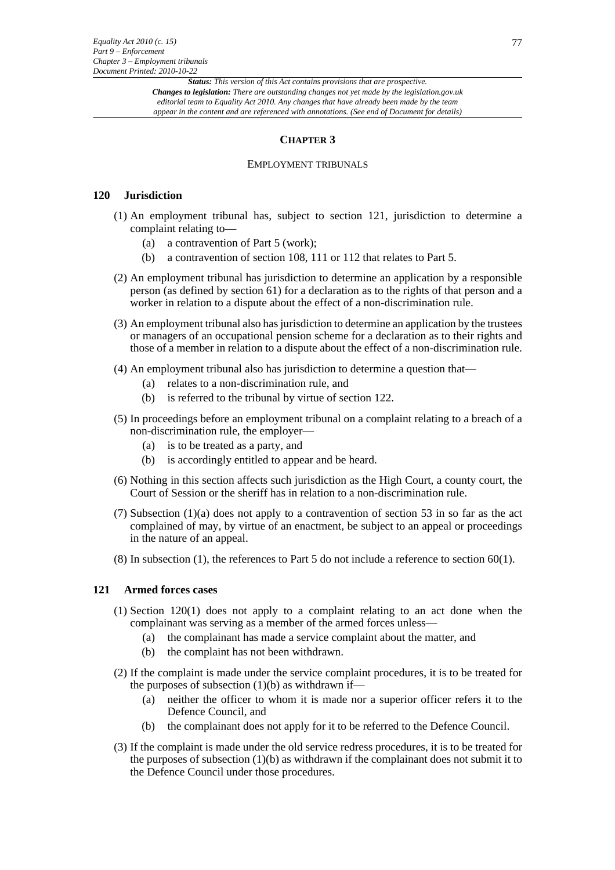### **CHAPTER 3**

#### EMPLOYMENT TRIBUNALS

#### **120 Jurisdiction**

- (1) An employment tribunal has, subject to section 121, jurisdiction to determine a complaint relating to—
	- (a) a contravention of Part 5 (work);
	- (b) a contravention of section 108, 111 or 112 that relates to Part 5.
- (2) An employment tribunal has jurisdiction to determine an application by a responsible person (as defined by section 61) for a declaration as to the rights of that person and a worker in relation to a dispute about the effect of a non-discrimination rule.
- (3) An employment tribunal also has jurisdiction to determine an application by the trustees or managers of an occupational pension scheme for a declaration as to their rights and those of a member in relation to a dispute about the effect of a non-discrimination rule.
- (4) An employment tribunal also has jurisdiction to determine a question that—
	- (a) relates to a non-discrimination rule, and
	- (b) is referred to the tribunal by virtue of section 122.
- (5) In proceedings before an employment tribunal on a complaint relating to a breach of a non-discrimination rule, the employer—
	- (a) is to be treated as a party, and
	- (b) is accordingly entitled to appear and be heard.
- (6) Nothing in this section affects such jurisdiction as the High Court, a county court, the Court of Session or the sheriff has in relation to a non-discrimination rule.
- (7) Subsection (1)(a) does not apply to a contravention of section 53 in so far as the act complained of may, by virtue of an enactment, be subject to an appeal or proceedings in the nature of an appeal.
- (8) In subsection (1), the references to Part 5 do not include a reference to section 60(1).

#### **121 Armed forces cases**

- (1) Section 120(1) does not apply to a complaint relating to an act done when the complainant was serving as a member of the armed forces unless—
	- (a) the complainant has made a service complaint about the matter, and
	- (b) the complaint has not been withdrawn.
- (2) If the complaint is made under the service complaint procedures, it is to be treated for the purposes of subsection  $(1)(b)$  as withdrawn if—
	- (a) neither the officer to whom it is made nor a superior officer refers it to the Defence Council, and
	- (b) the complainant does not apply for it to be referred to the Defence Council.
- (3) If the complaint is made under the old service redress procedures, it is to be treated for the purposes of subsection  $(1)(b)$  as withdrawn if the complainant does not submit it to the Defence Council under those procedures.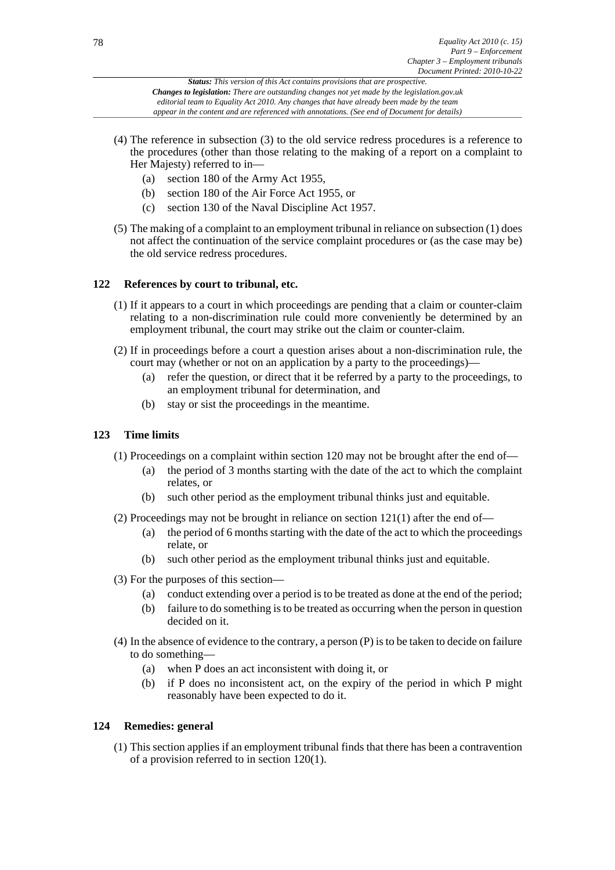- (4) The reference in subsection (3) to the old service redress procedures is a reference to the procedures (other than those relating to the making of a report on a complaint to Her Majesty) referred to in—
	- (a) section 180 of the Army Act 1955,
	- (b) section 180 of the Air Force Act 1955, or
	- (c) section 130 of the Naval Discipline Act 1957.
- (5) The making of a complaint to an employment tribunal in reliance on subsection (1) does not affect the continuation of the service complaint procedures or (as the case may be) the old service redress procedures.

# **122 References by court to tribunal, etc.**

- (1) If it appears to a court in which proceedings are pending that a claim or counter-claim relating to a non-discrimination rule could more conveniently be determined by an employment tribunal, the court may strike out the claim or counter-claim.
- (2) If in proceedings before a court a question arises about a non-discrimination rule, the court may (whether or not on an application by a party to the proceedings)—
	- (a) refer the question, or direct that it be referred by a party to the proceedings, to an employment tribunal for determination, and
	- (b) stay or sist the proceedings in the meantime.

# **123 Time limits**

- (1) Proceedings on a complaint within section 120 may not be brought after the end of—
	- (a) the period of 3 months starting with the date of the act to which the complaint relates, or
	- (b) such other period as the employment tribunal thinks just and equitable.
- (2) Proceedings may not be brought in reliance on section  $121(1)$  after the end of—
	- (a) the period of 6 months starting with the date of the act to which the proceedings relate, or
	- (b) such other period as the employment tribunal thinks just and equitable.
- (3) For the purposes of this section—
	- (a) conduct extending over a period is to be treated as done at the end of the period;
	- (b) failure to do something is to be treated as occurring when the person in question decided on it.
- (4) In the absence of evidence to the contrary, a person (P) is to be taken to decide on failure to do something—
	- (a) when P does an act inconsistent with doing it, or
	- (b) if P does no inconsistent act, on the expiry of the period in which P might reasonably have been expected to do it.

# **124 Remedies: general**

(1) This section applies if an employment tribunal finds that there has been a contravention of a provision referred to in section 120(1).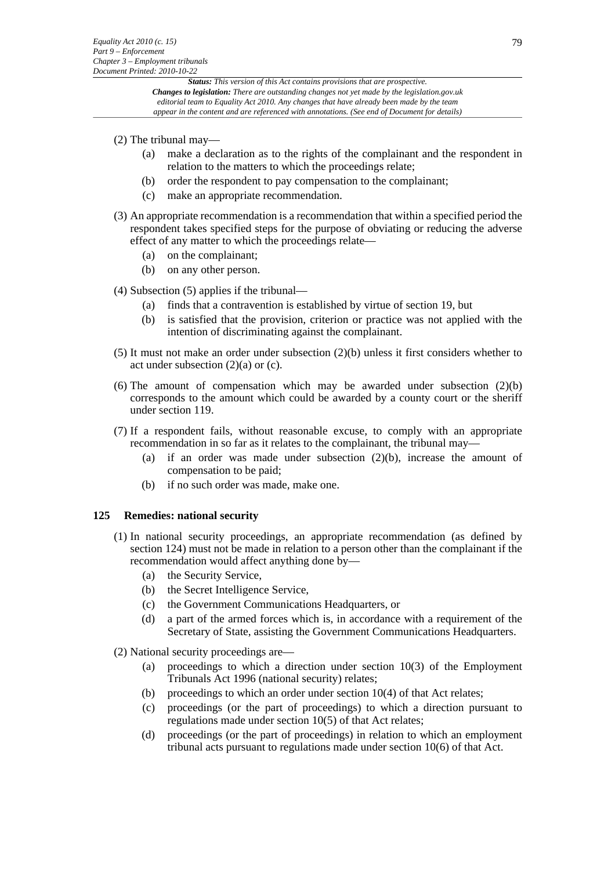(2) The tribunal may—

- (a) make a declaration as to the rights of the complainant and the respondent in relation to the matters to which the proceedings relate;
- (b) order the respondent to pay compensation to the complainant;
- (c) make an appropriate recommendation.
- (3) An appropriate recommendation is a recommendation that within a specified period the respondent takes specified steps for the purpose of obviating or reducing the adverse effect of any matter to which the proceedings relate—
	- (a) on the complainant;
	- (b) on any other person.
- (4) Subsection (5) applies if the tribunal—
	- (a) finds that a contravention is established by virtue of section 19, but
	- (b) is satisfied that the provision, criterion or practice was not applied with the intention of discriminating against the complainant.
- (5) It must not make an order under subsection  $(2)(b)$  unless it first considers whether to act under subsection  $(2)(a)$  or  $(c)$ .
- (6) The amount of compensation which may be awarded under subsection (2)(b) corresponds to the amount which could be awarded by a county court or the sheriff under section 119.
- (7) If a respondent fails, without reasonable excuse, to comply with an appropriate recommendation in so far as it relates to the complainant, the tribunal may—
	- (a) if an order was made under subsection  $(2)(b)$ , increase the amount of compensation to be paid;
	- (b) if no such order was made, make one.

### **125 Remedies: national security**

- (1) In national security proceedings, an appropriate recommendation (as defined by section 124) must not be made in relation to a person other than the complainant if the recommendation would affect anything done by—
	- (a) the Security Service,
	- (b) the Secret Intelligence Service,
	- (c) the Government Communications Headquarters, or
	- (d) a part of the armed forces which is, in accordance with a requirement of the Secretary of State, assisting the Government Communications Headquarters.
- (2) National security proceedings are—
	- (a) proceedings to which a direction under section 10(3) of the Employment Tribunals Act 1996 (national security) relates;
	- (b) proceedings to which an order under section 10(4) of that Act relates;
	- (c) proceedings (or the part of proceedings) to which a direction pursuant to regulations made under section 10(5) of that Act relates;
	- (d) proceedings (or the part of proceedings) in relation to which an employment tribunal acts pursuant to regulations made under section 10(6) of that Act.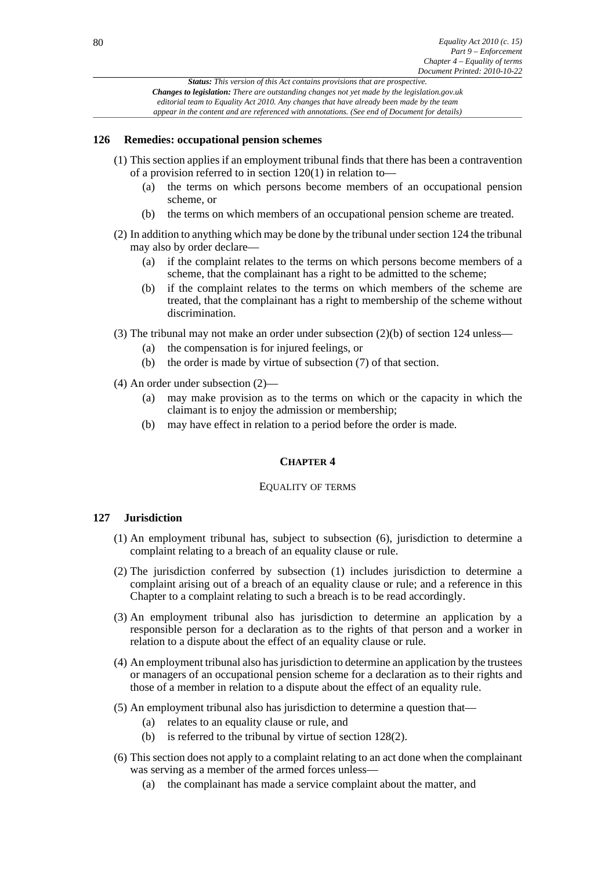## **126 Remedies: occupational pension schemes**

- (1) This section applies if an employment tribunal finds that there has been a contravention of a provision referred to in section 120(1) in relation to—
	- (a) the terms on which persons become members of an occupational pension scheme, or
	- (b) the terms on which members of an occupational pension scheme are treated.
- (2) In addition to anything which may be done by the tribunal under section 124 the tribunal may also by order declare—
	- (a) if the complaint relates to the terms on which persons become members of a scheme, that the complainant has a right to be admitted to the scheme;
	- (b) if the complaint relates to the terms on which members of the scheme are treated, that the complainant has a right to membership of the scheme without discrimination.
- (3) The tribunal may not make an order under subsection (2)(b) of section 124 unless—
	- (a) the compensation is for injured feelings, or
	- (b) the order is made by virtue of subsection (7) of that section.
- (4) An order under subsection (2)—
	- (a) may make provision as to the terms on which or the capacity in which the claimant is to enjoy the admission or membership;
	- (b) may have effect in relation to a period before the order is made.

# **CHAPTER 4**

### EQUALITY OF TERMS

## **127 Jurisdiction**

- (1) An employment tribunal has, subject to subsection (6), jurisdiction to determine a complaint relating to a breach of an equality clause or rule.
- (2) The jurisdiction conferred by subsection (1) includes jurisdiction to determine a complaint arising out of a breach of an equality clause or rule; and a reference in this Chapter to a complaint relating to such a breach is to be read accordingly.
- (3) An employment tribunal also has jurisdiction to determine an application by a responsible person for a declaration as to the rights of that person and a worker in relation to a dispute about the effect of an equality clause or rule.
- (4) An employment tribunal also has jurisdiction to determine an application by the trustees or managers of an occupational pension scheme for a declaration as to their rights and those of a member in relation to a dispute about the effect of an equality rule.
- (5) An employment tribunal also has jurisdiction to determine a question that—
	- (a) relates to an equality clause or rule, and
	- (b) is referred to the tribunal by virtue of section 128(2).
- (6) This section does not apply to a complaint relating to an act done when the complainant was serving as a member of the armed forces unless—
	- (a) the complainant has made a service complaint about the matter, and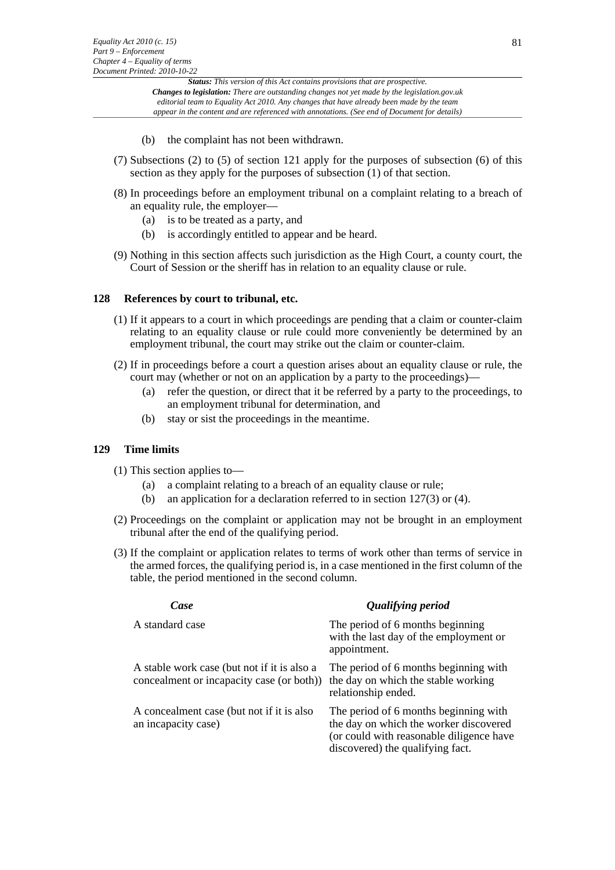- (b) the complaint has not been withdrawn.
- (7) Subsections (2) to (5) of section 121 apply for the purposes of subsection (6) of this section as they apply for the purposes of subsection (1) of that section.
- (8) In proceedings before an employment tribunal on a complaint relating to a breach of an equality rule, the employer—
	- (a) is to be treated as a party, and
	- (b) is accordingly entitled to appear and be heard.
- (9) Nothing in this section affects such jurisdiction as the High Court, a county court, the Court of Session or the sheriff has in relation to an equality clause or rule.

#### **128 References by court to tribunal, etc.**

- (1) If it appears to a court in which proceedings are pending that a claim or counter-claim relating to an equality clause or rule could more conveniently be determined by an employment tribunal, the court may strike out the claim or counter-claim.
- (2) If in proceedings before a court a question arises about an equality clause or rule, the court may (whether or not on an application by a party to the proceedings)—
	- (a) refer the question, or direct that it be referred by a party to the proceedings, to an employment tribunal for determination, and
	- (b) stay or sist the proceedings in the meantime.

# **129 Time limits**

- (1) This section applies to—
	- (a) a complaint relating to a breach of an equality clause or rule;
	- (b) an application for a declaration referred to in section 127(3) or (4).
- (2) Proceedings on the complaint or application may not be brought in an employment tribunal after the end of the qualifying period.
- (3) If the complaint or application relates to terms of work other than terms of service in the armed forces, the qualifying period is, in a case mentioned in the first column of the table, the period mentioned in the second column.

| Case                                                                                     | <b>Qualifying period</b>                                                                                                                                        |
|------------------------------------------------------------------------------------------|-----------------------------------------------------------------------------------------------------------------------------------------------------------------|
| A standard case                                                                          | The period of 6 months beginning<br>with the last day of the employment or<br>appointment.                                                                      |
| A stable work case (but not if it is also a<br>concealment or incapacity case (or both)) | The period of 6 months beginning with<br>the day on which the stable working<br>relationship ended.                                                             |
| A concealment case (but not if it is also<br>an incapacity case)                         | The period of 6 months beginning with<br>the day on which the worker discovered<br>(or could with reasonable diligence have<br>discovered) the qualifying fact. |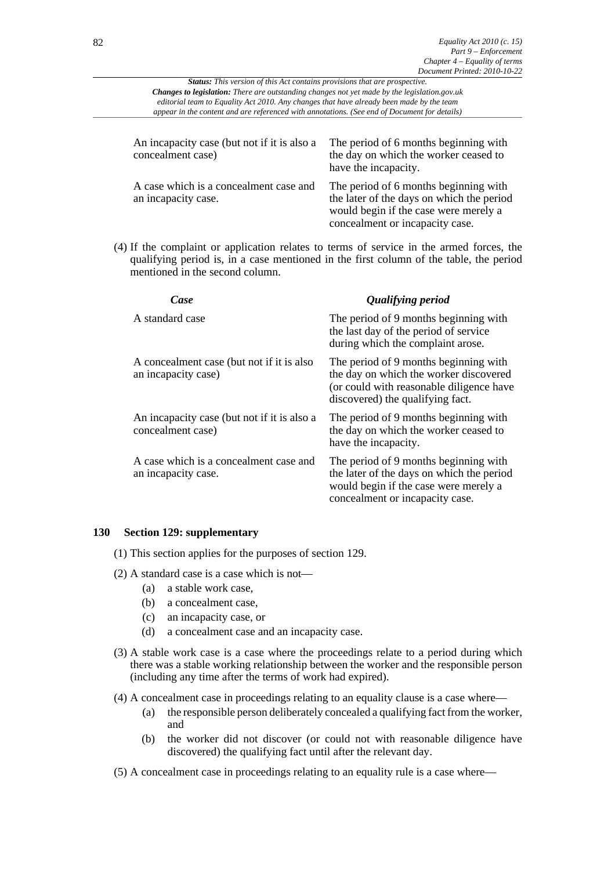| <b>Status:</b> This version of this Act contains provisions that are prospective.                   |
|-----------------------------------------------------------------------------------------------------|
| <b>Changes to legislation:</b> There are outstanding changes not yet made by the legislation.gov.uk |
| editorial team to Equality Act 2010. Any changes that have already been made by the team            |
| appear in the content and are referenced with annotations. (See end of Document for details)        |

| An incapacity case (but not if it is also a<br>concealment case) | The period of 6 months beginning with<br>the day on which the worker ceased to<br>have the incapacity.                                                         |
|------------------------------------------------------------------|----------------------------------------------------------------------------------------------------------------------------------------------------------------|
| A case which is a concealment case and<br>an incapacity case.    | The period of 6 months beginning with<br>the later of the days on which the period<br>would begin if the case were merely a<br>concealment or incapacity case. |

(4) If the complaint or application relates to terms of service in the armed forces, the qualifying period is, in a case mentioned in the first column of the table, the period mentioned in the second column.

| Case                                                             | <b>Qualifying period</b>                                                                                                                                        |
|------------------------------------------------------------------|-----------------------------------------------------------------------------------------------------------------------------------------------------------------|
| A standard case                                                  | The period of 9 months beginning with<br>the last day of the period of service<br>during which the complaint arose.                                             |
| A concealment case (but not if it is also<br>an incapacity case) | The period of 9 months beginning with<br>the day on which the worker discovered<br>(or could with reasonable diligence have<br>discovered) the qualifying fact. |
| An incapacity case (but not if it is also a<br>concealment case) | The period of 9 months beginning with<br>the day on which the worker ceased to<br>have the incapacity.                                                          |
| A case which is a concealment case and<br>an incapacity case.    | The period of 9 months beginning with<br>the later of the days on which the period<br>would begin if the case were merely a<br>concealment or incapacity case.  |

### **130 Section 129: supplementary**

- (1) This section applies for the purposes of section 129.
- (2) A standard case is a case which is not—
	- (a) a stable work case,
	- (b) a concealment case,
	- (c) an incapacity case, or
	- (d) a concealment case and an incapacity case.
- (3) A stable work case is a case where the proceedings relate to a period during which there was a stable working relationship between the worker and the responsible person (including any time after the terms of work had expired).
- (4) A concealment case in proceedings relating to an equality clause is a case where—
	- (a) the responsible person deliberately concealed a qualifying fact from the worker, and
	- (b) the worker did not discover (or could not with reasonable diligence have discovered) the qualifying fact until after the relevant day.
- (5) A concealment case in proceedings relating to an equality rule is a case where—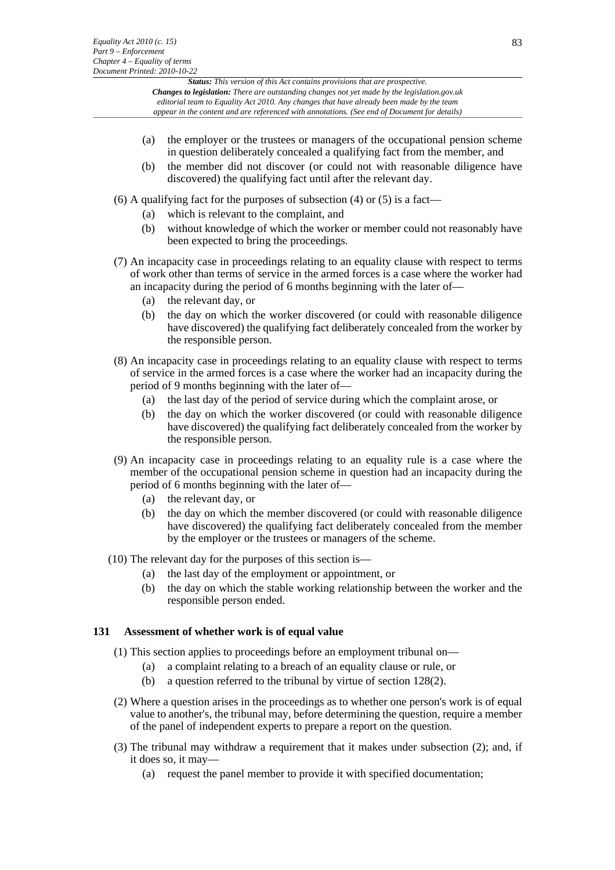- (a) the employer or the trustees or managers of the occupational pension scheme in question deliberately concealed a qualifying fact from the member, and
- (b) the member did not discover (or could not with reasonable diligence have discovered) the qualifying fact until after the relevant day.
- (6) A qualifying fact for the purposes of subsection (4) or (5) is a fact—
	- (a) which is relevant to the complaint, and
	- (b) without knowledge of which the worker or member could not reasonably have been expected to bring the proceedings.
- (7) An incapacity case in proceedings relating to an equality clause with respect to terms of work other than terms of service in the armed forces is a case where the worker had an incapacity during the period of 6 months beginning with the later of—
	- (a) the relevant day, or
	- (b) the day on which the worker discovered (or could with reasonable diligence have discovered) the qualifying fact deliberately concealed from the worker by the responsible person.
- (8) An incapacity case in proceedings relating to an equality clause with respect to terms of service in the armed forces is a case where the worker had an incapacity during the period of 9 months beginning with the later of—
	- (a) the last day of the period of service during which the complaint arose, or
	- (b) the day on which the worker discovered (or could with reasonable diligence have discovered) the qualifying fact deliberately concealed from the worker by the responsible person.
- (9) An incapacity case in proceedings relating to an equality rule is a case where the member of the occupational pension scheme in question had an incapacity during the period of 6 months beginning with the later of—
	- (a) the relevant day, or
	- (b) the day on which the member discovered (or could with reasonable diligence have discovered) the qualifying fact deliberately concealed from the member by the employer or the trustees or managers of the scheme.
- (10) The relevant day for the purposes of this section is—
	- (a) the last day of the employment or appointment, or
	- (b) the day on which the stable working relationship between the worker and the responsible person ended.

## **131 Assessment of whether work is of equal value**

- (1) This section applies to proceedings before an employment tribunal on—
	- (a) a complaint relating to a breach of an equality clause or rule, or
	- (b) a question referred to the tribunal by virtue of section 128(2).
- (2) Where a question arises in the proceedings as to whether one person's work is of equal value to another's, the tribunal may, before determining the question, require a member of the panel of independent experts to prepare a report on the question.
- (3) The tribunal may withdraw a requirement that it makes under subsection (2); and, if it does so, it may—
	- (a) request the panel member to provide it with specified documentation;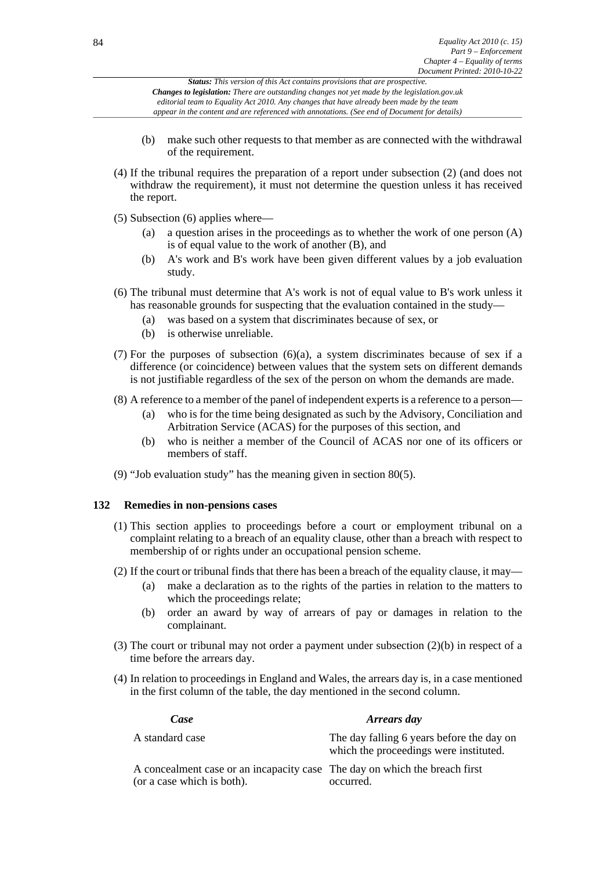- (b) make such other requests to that member as are connected with the withdrawal of the requirement.
- (4) If the tribunal requires the preparation of a report under subsection (2) (and does not withdraw the requirement), it must not determine the question unless it has received the report.
- (5) Subsection (6) applies where—
	- (a) a question arises in the proceedings as to whether the work of one person (A) is of equal value to the work of another (B), and
	- (b) A's work and B's work have been given different values by a job evaluation study.
- (6) The tribunal must determine that A's work is not of equal value to B's work unless it has reasonable grounds for suspecting that the evaluation contained in the study—
	- (a) was based on a system that discriminates because of sex, or
	- (b) is otherwise unreliable.
- (7) For the purposes of subsection (6)(a), a system discriminates because of sex if a difference (or coincidence) between values that the system sets on different demands is not justifiable regardless of the sex of the person on whom the demands are made.
- (8) A reference to a member of the panel of independent experts is a reference to a person—
	- (a) who is for the time being designated as such by the Advisory, Conciliation and Arbitration Service (ACAS) for the purposes of this section, and
	- (b) who is neither a member of the Council of ACAS nor one of its officers or members of staff.
- (9) "Job evaluation study" has the meaning given in section 80(5).

## **132 Remedies in non-pensions cases**

- (1) This section applies to proceedings before a court or employment tribunal on a complaint relating to a breach of an equality clause, other than a breach with respect to membership of or rights under an occupational pension scheme.
- (2) If the court or tribunal finds that there has been a breach of the equality clause, it may—
	- (a) make a declaration as to the rights of the parties in relation to the matters to which the proceedings relate;
	- (b) order an award by way of arrears of pay or damages in relation to the complainant.
- (3) The court or tribunal may not order a payment under subsection (2)(b) in respect of a time before the arrears day.
- (4) In relation to proceedings in England and Wales, the arrears day is, in a case mentioned in the first column of the table, the day mentioned in the second column.

| Case                                                                                                     | Arrears day                                                                         |
|----------------------------------------------------------------------------------------------------------|-------------------------------------------------------------------------------------|
| A standard case                                                                                          | The day falling 6 years before the day on<br>which the proceedings were instituted. |
| A concealment case or an incapacity case The day on which the breach first<br>(or a case which is both). | occurred.                                                                           |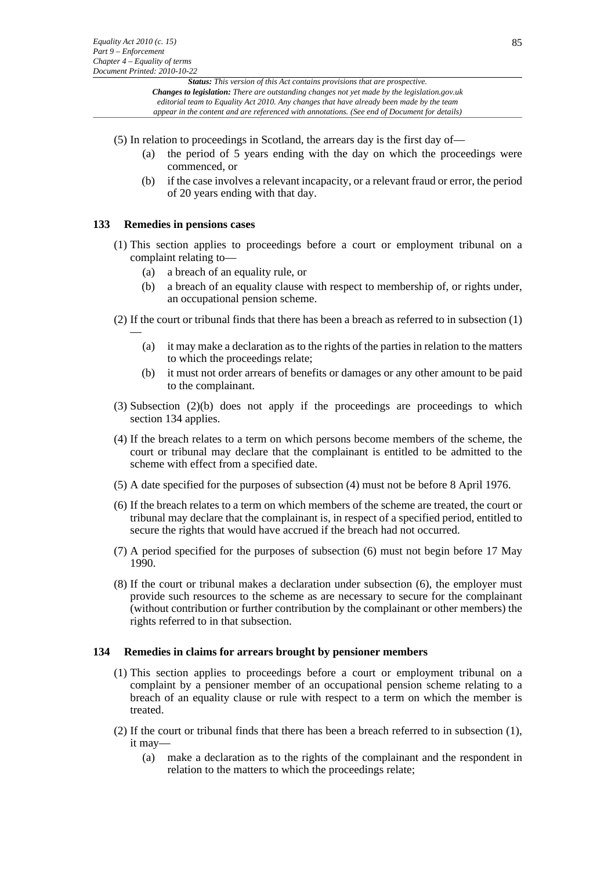- (5) In relation to proceedings in Scotland, the arrears day is the first day of—
	- (a) the period of 5 years ending with the day on which the proceedings were commenced, or
	- (b) if the case involves a relevant incapacity, or a relevant fraud or error, the period of 20 years ending with that day.

## **133 Remedies in pensions cases**

—

- (1) This section applies to proceedings before a court or employment tribunal on a complaint relating to—
	- (a) a breach of an equality rule, or
	- (b) a breach of an equality clause with respect to membership of, or rights under, an occupational pension scheme.
- (2) If the court or tribunal finds that there has been a breach as referred to in subsection (1)
	- (a) it may make a declaration as to the rights of the parties in relation to the matters to which the proceedings relate;
	- (b) it must not order arrears of benefits or damages or any other amount to be paid to the complainant.
- (3) Subsection (2)(b) does not apply if the proceedings are proceedings to which section 134 applies.
- (4) If the breach relates to a term on which persons become members of the scheme, the court or tribunal may declare that the complainant is entitled to be admitted to the scheme with effect from a specified date.
- (5) A date specified for the purposes of subsection (4) must not be before 8 April 1976.
- (6) If the breach relates to a term on which members of the scheme are treated, the court or tribunal may declare that the complainant is, in respect of a specified period, entitled to secure the rights that would have accrued if the breach had not occurred.
- (7) A period specified for the purposes of subsection (6) must not begin before 17 May 1990.
- (8) If the court or tribunal makes a declaration under subsection (6), the employer must provide such resources to the scheme as are necessary to secure for the complainant (without contribution or further contribution by the complainant or other members) the rights referred to in that subsection.

### **134 Remedies in claims for arrears brought by pensioner members**

- (1) This section applies to proceedings before a court or employment tribunal on a complaint by a pensioner member of an occupational pension scheme relating to a breach of an equality clause or rule with respect to a term on which the member is treated.
- (2) If the court or tribunal finds that there has been a breach referred to in subsection (1), it may—
	- (a) make a declaration as to the rights of the complainant and the respondent in relation to the matters to which the proceedings relate;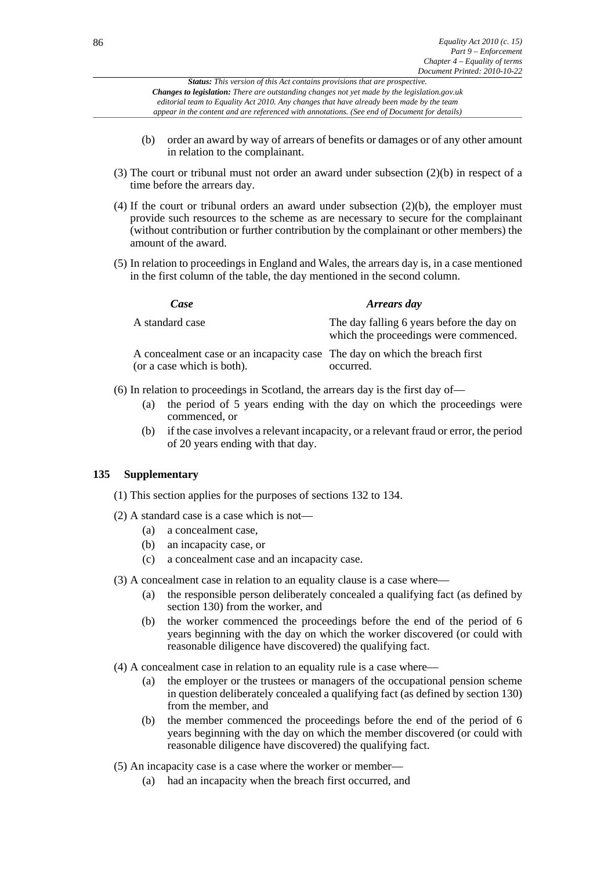- (b) order an award by way of arrears of benefits or damages or of any other amount in relation to the complainant.
- (3) The court or tribunal must not order an award under subsection (2)(b) in respect of a time before the arrears day.
- (4) If the court or tribunal orders an award under subsection (2)(b), the employer must provide such resources to the scheme as are necessary to secure for the complainant (without contribution or further contribution by the complainant or other members) the amount of the award.
- (5) In relation to proceedings in England and Wales, the arrears day is, in a case mentioned in the first column of the table, the day mentioned in the second column.

| Case                                                                                                     | Arrears day                                                                        |
|----------------------------------------------------------------------------------------------------------|------------------------------------------------------------------------------------|
| A standard case                                                                                          | The day falling 6 years before the day on<br>which the proceedings were commenced. |
| A concealment case or an incapacity case The day on which the breach first<br>(or a case which is both). | occurred.                                                                          |

- (6) In relation to proceedings in Scotland, the arrears day is the first day of—
	- (a) the period of 5 years ending with the day on which the proceedings were commenced, or
	- (b) if the case involves a relevant incapacity, or a relevant fraud or error, the period of 20 years ending with that day.

# **135 Supplementary**

- (1) This section applies for the purposes of sections 132 to 134.
- (2) A standard case is a case which is not—
	- (a) a concealment case,
	- (b) an incapacity case, or
	- (c) a concealment case and an incapacity case.
- (3) A concealment case in relation to an equality clause is a case where—
	- (a) the responsible person deliberately concealed a qualifying fact (as defined by section 130) from the worker, and
	- (b) the worker commenced the proceedings before the end of the period of 6 years beginning with the day on which the worker discovered (or could with reasonable diligence have discovered) the qualifying fact.
- (4) A concealment case in relation to an equality rule is a case where—
	- (a) the employer or the trustees or managers of the occupational pension scheme in question deliberately concealed a qualifying fact (as defined by section 130) from the member, and
	- (b) the member commenced the proceedings before the end of the period of 6 years beginning with the day on which the member discovered (or could with reasonable diligence have discovered) the qualifying fact.
- (5) An incapacity case is a case where the worker or member—
	- (a) had an incapacity when the breach first occurred, and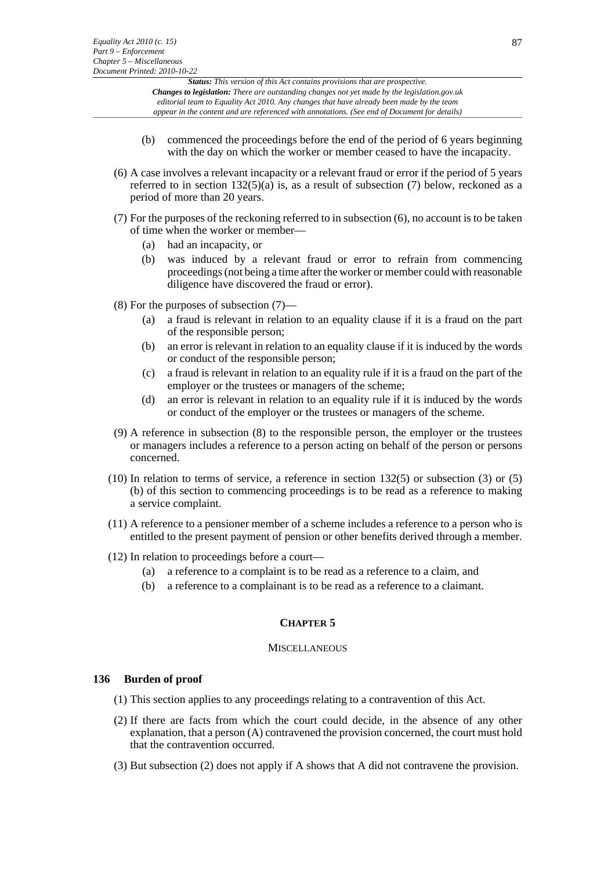- (b) commenced the proceedings before the end of the period of 6 years beginning with the day on which the worker or member ceased to have the incapacity.
- (6) A case involves a relevant incapacity or a relevant fraud or error if the period of 5 years referred to in section  $132(5)(a)$  is, as a result of subsection (7) below, reckoned as a period of more than 20 years.
- (7) For the purposes of the reckoning referred to in subsection (6), no account is to be taken of time when the worker or member—
	- (a) had an incapacity, or
	- (b) was induced by a relevant fraud or error to refrain from commencing proceedings (not being a time after the worker or member could with reasonable diligence have discovered the fraud or error).
- (8) For the purposes of subsection (7)—
	- (a) a fraud is relevant in relation to an equality clause if it is a fraud on the part of the responsible person;
	- (b) an error is relevant in relation to an equality clause if it is induced by the words or conduct of the responsible person;
	- (c) a fraud is relevant in relation to an equality rule if it is a fraud on the part of the employer or the trustees or managers of the scheme;
	- (d) an error is relevant in relation to an equality rule if it is induced by the words or conduct of the employer or the trustees or managers of the scheme.
- (9) A reference in subsection (8) to the responsible person, the employer or the trustees or managers includes a reference to a person acting on behalf of the person or persons concerned.
- $(10)$  In relation to terms of service, a reference in section 132(5) or subsection (3) or (5) (b) of this section to commencing proceedings is to be read as a reference to making a service complaint.
- (11) A reference to a pensioner member of a scheme includes a reference to a person who is entitled to the present payment of pension or other benefits derived through a member.
- (12) In relation to proceedings before a court—
	- (a) a reference to a complaint is to be read as a reference to a claim, and
	- (b) a reference to a complainant is to be read as a reference to a claimant.

### **CHAPTER 5**

#### **MISCELLANEOUS**

### **136 Burden of proof**

- (1) This section applies to any proceedings relating to a contravention of this Act.
- (2) If there are facts from which the court could decide, in the absence of any other explanation, that a person (A) contravened the provision concerned, the court must hold that the contravention occurred.
- (3) But subsection (2) does not apply if A shows that A did not contravene the provision.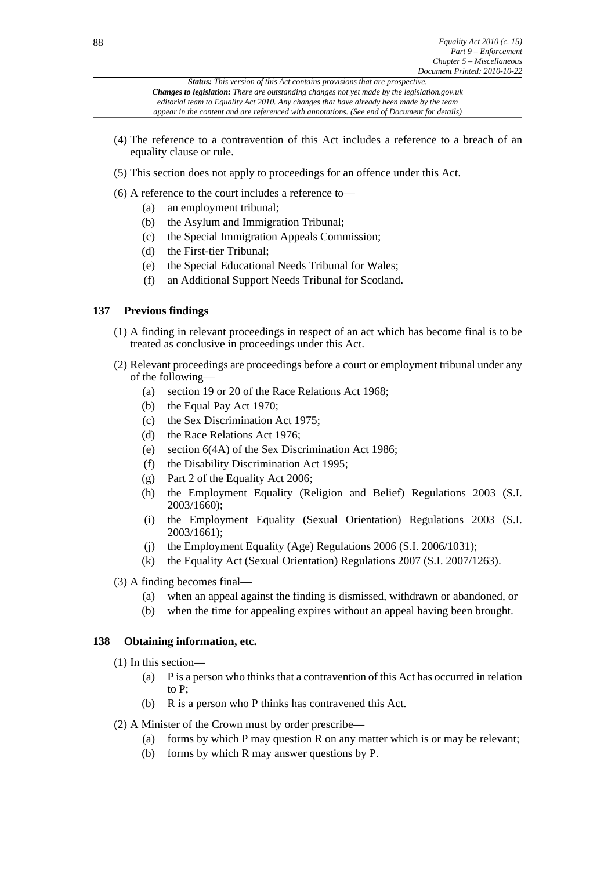- (4) The reference to a contravention of this Act includes a reference to a breach of an equality clause or rule.
- (5) This section does not apply to proceedings for an offence under this Act.
- (6) A reference to the court includes a reference to—
	- (a) an employment tribunal;
	- (b) the Asylum and Immigration Tribunal;
	- (c) the Special Immigration Appeals Commission;
	- (d) the First-tier Tribunal;
	- (e) the Special Educational Needs Tribunal for Wales;
	- (f) an Additional Support Needs Tribunal for Scotland.

## **137 Previous findings**

- (1) A finding in relevant proceedings in respect of an act which has become final is to be treated as conclusive in proceedings under this Act.
- (2) Relevant proceedings are proceedings before a court or employment tribunal under any of the following—
	- (a) section 19 or 20 of the Race Relations Act 1968;
	- (b) the Equal Pay Act 1970;
	- (c) the Sex Discrimination Act 1975;
	- (d) the Race Relations Act 1976;
	- (e) section 6(4A) of the Sex Discrimination Act 1986;
	- (f) the Disability Discrimination Act 1995;
	- (g) Part 2 of the Equality Act 2006;
	- (h) the Employment Equality (Religion and Belief) Regulations 2003 (S.I. 2003/1660);
	- (i) the Employment Equality (Sexual Orientation) Regulations 2003 (S.I. 2003/1661);
	- (j) the Employment Equality (Age) Regulations 2006 (S.I. 2006/1031);
	- (k) the Equality Act (Sexual Orientation) Regulations 2007 (S.I. 2007/1263).
- (3) A finding becomes final—
	- (a) when an appeal against the finding is dismissed, withdrawn or abandoned, or
	- (b) when the time for appealing expires without an appeal having been brought.

### **138 Obtaining information, etc.**

- (1) In this section—
	- (a) P is a person who thinks that a contravention of this Act has occurred in relation to P;
	- (b) R is a person who P thinks has contravened this Act.
- (2) A Minister of the Crown must by order prescribe—
	- (a) forms by which P may question R on any matter which is or may be relevant;
	- (b) forms by which R may answer questions by P.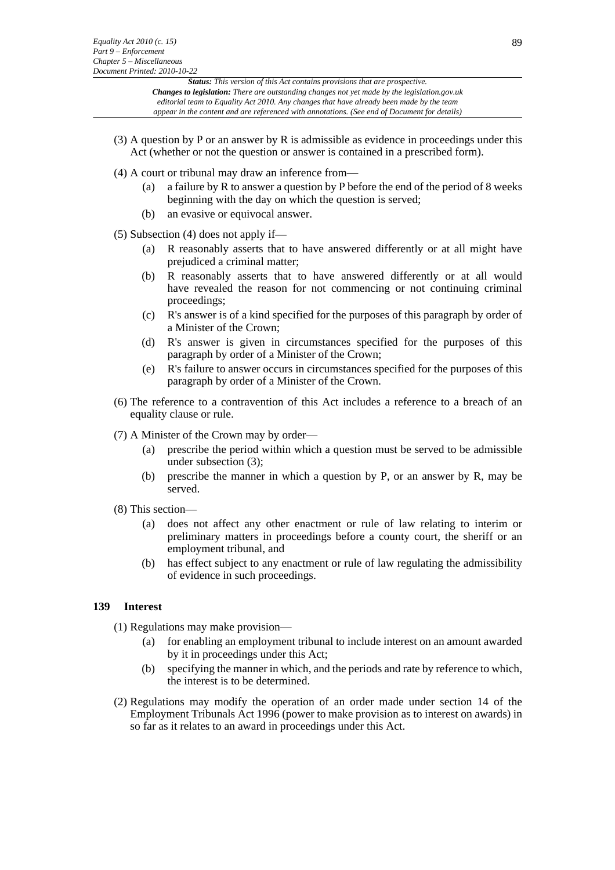- (3) A question by P or an answer by R is admissible as evidence in proceedings under this Act (whether or not the question or answer is contained in a prescribed form).
- (4) A court or tribunal may draw an inference from—
	- (a) a failure by R to answer a question by P before the end of the period of 8 weeks beginning with the day on which the question is served;
	- (b) an evasive or equivocal answer.

(5) Subsection (4) does not apply if—

- (a) R reasonably asserts that to have answered differently or at all might have prejudiced a criminal matter;
- (b) R reasonably asserts that to have answered differently or at all would have revealed the reason for not commencing or not continuing criminal proceedings;
- (c) R's answer is of a kind specified for the purposes of this paragraph by order of a Minister of the Crown;
- (d) R's answer is given in circumstances specified for the purposes of this paragraph by order of a Minister of the Crown;
- (e) R's failure to answer occurs in circumstances specified for the purposes of this paragraph by order of a Minister of the Crown.
- (6) The reference to a contravention of this Act includes a reference to a breach of an equality clause or rule.
- (7) A Minister of the Crown may by order—
	- (a) prescribe the period within which a question must be served to be admissible under subsection (3);
	- (b) prescribe the manner in which a question by P, or an answer by R, may be served.
- (8) This section—
	- (a) does not affect any other enactment or rule of law relating to interim or preliminary matters in proceedings before a county court, the sheriff or an employment tribunal, and
	- (b) has effect subject to any enactment or rule of law regulating the admissibility of evidence in such proceedings.

## **139 Interest**

- (1) Regulations may make provision—
	- (a) for enabling an employment tribunal to include interest on an amount awarded by it in proceedings under this Act;
	- (b) specifying the manner in which, and the periods and rate by reference to which, the interest is to be determined.
- (2) Regulations may modify the operation of an order made under section 14 of the Employment Tribunals Act 1996 (power to make provision as to interest on awards) in so far as it relates to an award in proceedings under this Act.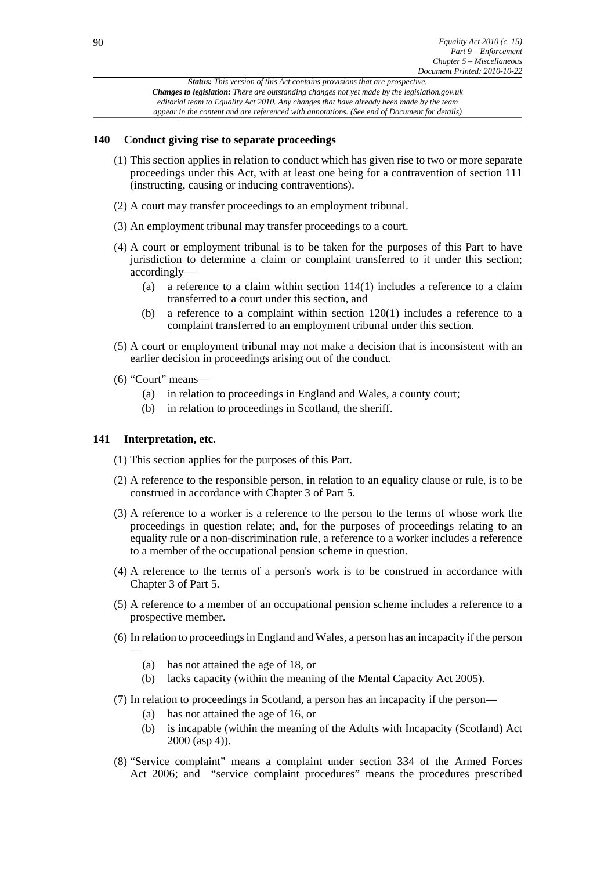## **140 Conduct giving rise to separate proceedings**

- (1) This section applies in relation to conduct which has given rise to two or more separate proceedings under this Act, with at least one being for a contravention of section 111 (instructing, causing or inducing contraventions).
- (2) A court may transfer proceedings to an employment tribunal.
- (3) An employment tribunal may transfer proceedings to a court.
- (4) A court or employment tribunal is to be taken for the purposes of this Part to have jurisdiction to determine a claim or complaint transferred to it under this section; accordingly—
	- (a) a reference to a claim within section 114(1) includes a reference to a claim transferred to a court under this section, and
	- (b) a reference to a complaint within section 120(1) includes a reference to a complaint transferred to an employment tribunal under this section.
- (5) A court or employment tribunal may not make a decision that is inconsistent with an earlier decision in proceedings arising out of the conduct.
- (6) "Court" means—
	- (a) in relation to proceedings in England and Wales, a county court;
	- (b) in relation to proceedings in Scotland, the sheriff.

### **141 Interpretation, etc.**

 $\overline{\phantom{a}}$ 

- (1) This section applies for the purposes of this Part.
- (2) A reference to the responsible person, in relation to an equality clause or rule, is to be construed in accordance with Chapter 3 of Part 5.
- (3) A reference to a worker is a reference to the person to the terms of whose work the proceedings in question relate; and, for the purposes of proceedings relating to an equality rule or a non-discrimination rule, a reference to a worker includes a reference to a member of the occupational pension scheme in question.
- (4) A reference to the terms of a person's work is to be construed in accordance with Chapter 3 of Part 5.
- (5) A reference to a member of an occupational pension scheme includes a reference to a prospective member.
- (6) In relation to proceedings in England and Wales, a person has an incapacity if the person
	- (a) has not attained the age of 18, or
	- (b) lacks capacity (within the meaning of the Mental Capacity Act 2005).
- (7) In relation to proceedings in Scotland, a person has an incapacity if the person—
	- (a) has not attained the age of 16, or
	- (b) is incapable (within the meaning of the Adults with Incapacity (Scotland) Act 2000 (asp 4)).
- (8) "Service complaint" means a complaint under section 334 of the Armed Forces Act 2006; and "service complaint procedures" means the procedures prescribed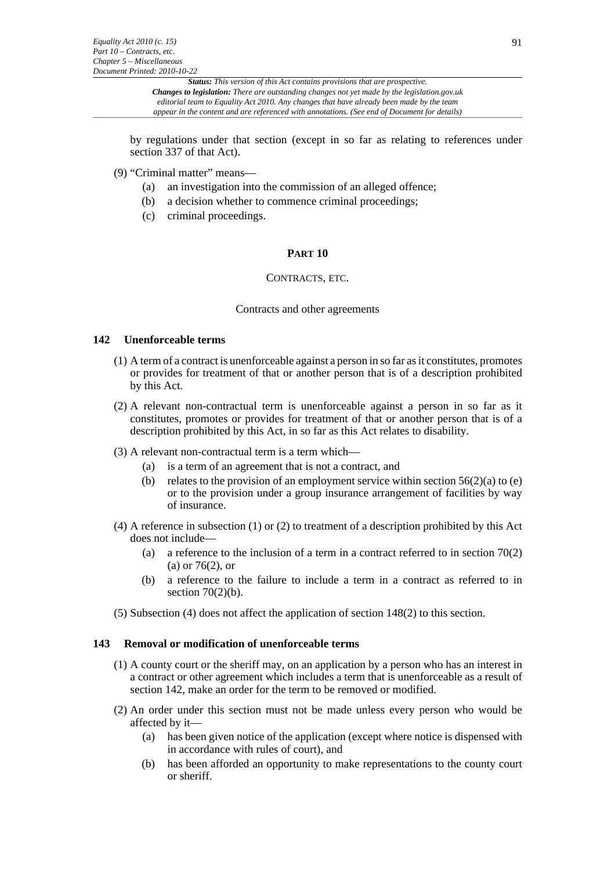by regulations under that section (except in so far as relating to references under section 337 of that Act).

- (9) "Criminal matter" means—
	- (a) an investigation into the commission of an alleged offence;
	- (b) a decision whether to commence criminal proceedings;
	- (c) criminal proceedings.

## **PART 10**

## CONTRACTS, ETC.

### Contracts and other agreements

### **142 Unenforceable terms**

- (1) A term of a contract is unenforceable against a person in so far as it constitutes, promotes or provides for treatment of that or another person that is of a description prohibited by this Act.
- (2) A relevant non-contractual term is unenforceable against a person in so far as it constitutes, promotes or provides for treatment of that or another person that is of a description prohibited by this Act, in so far as this Act relates to disability.
- (3) A relevant non-contractual term is a term which—
	- (a) is a term of an agreement that is not a contract, and
	- (b) relates to the provision of an employment service within section  $56(2)(a)$  to (e) or to the provision under a group insurance arrangement of facilities by way of insurance.
- (4) A reference in subsection (1) or (2) to treatment of a description prohibited by this Act does not include—
	- (a) a reference to the inclusion of a term in a contract referred to in section  $70(2)$ (a) or 76(2), or
	- (b) a reference to the failure to include a term in a contract as referred to in section  $70(2)(b)$ .
- (5) Subsection (4) does not affect the application of section 148(2) to this section.

### **143 Removal or modification of unenforceable terms**

- (1) A county court or the sheriff may, on an application by a person who has an interest in a contract or other agreement which includes a term that is unenforceable as a result of section 142, make an order for the term to be removed or modified.
- (2) An order under this section must not be made unless every person who would be affected by it—
	- (a) has been given notice of the application (except where notice is dispensed with in accordance with rules of court), and
	- (b) has been afforded an opportunity to make representations to the county court or sheriff.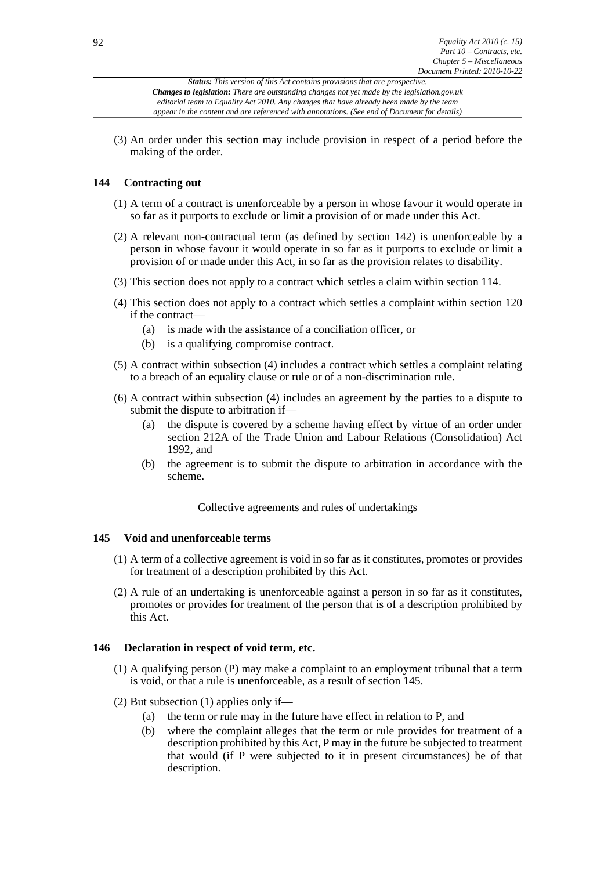(3) An order under this section may include provision in respect of a period before the making of the order.

# **144 Contracting out**

- (1) A term of a contract is unenforceable by a person in whose favour it would operate in so far as it purports to exclude or limit a provision of or made under this Act.
- (2) A relevant non-contractual term (as defined by section 142) is unenforceable by a person in whose favour it would operate in so far as it purports to exclude or limit a provision of or made under this Act, in so far as the provision relates to disability.
- (3) This section does not apply to a contract which settles a claim within section 114.
- (4) This section does not apply to a contract which settles a complaint within section 120 if the contract—
	- (a) is made with the assistance of a conciliation officer, or
	- (b) is a qualifying compromise contract.
- (5) A contract within subsection (4) includes a contract which settles a complaint relating to a breach of an equality clause or rule or of a non-discrimination rule.
- (6) A contract within subsection (4) includes an agreement by the parties to a dispute to submit the dispute to arbitration if—
	- (a) the dispute is covered by a scheme having effect by virtue of an order under section 212A of the Trade Union and Labour Relations (Consolidation) Act 1992, and
	- (b) the agreement is to submit the dispute to arbitration in accordance with the scheme.

Collective agreements and rules of undertakings

## **145 Void and unenforceable terms**

- (1) A term of a collective agreement is void in so far as it constitutes, promotes or provides for treatment of a description prohibited by this Act.
- (2) A rule of an undertaking is unenforceable against a person in so far as it constitutes, promotes or provides for treatment of the person that is of a description prohibited by this Act.

### **146 Declaration in respect of void term, etc.**

- (1) A qualifying person (P) may make a complaint to an employment tribunal that a term is void, or that a rule is unenforceable, as a result of section 145.
- (2) But subsection (1) applies only if—
	- (a) the term or rule may in the future have effect in relation to P, and
	- (b) where the complaint alleges that the term or rule provides for treatment of a description prohibited by this Act, P may in the future be subjected to treatment that would (if P were subjected to it in present circumstances) be of that description.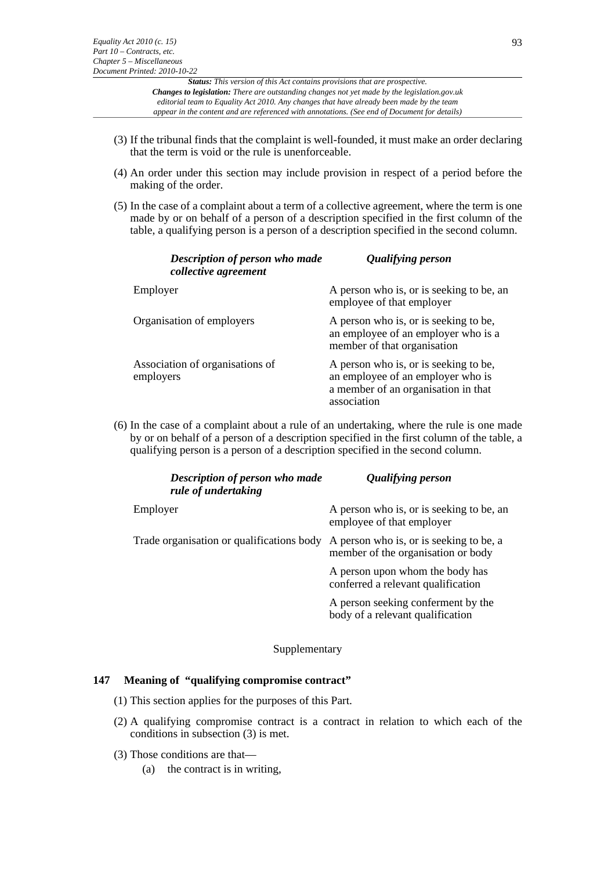- (3) If the tribunal finds that the complaint is well-founded, it must make an order declaring that the term is void or the rule is unenforceable.
- (4) An order under this section may include provision in respect of a period before the making of the order.
- (5) In the case of a complaint about a term of a collective agreement, where the term is one made by or on behalf of a person of a description specified in the first column of the table, a qualifying person is a person of a description specified in the second column.

| Description of person who made<br>collective agreement | <b>Qualifying person</b>                                                                                                         |
|--------------------------------------------------------|----------------------------------------------------------------------------------------------------------------------------------|
| Employer                                               | A person who is, or is seeking to be, an<br>employee of that employer                                                            |
| Organisation of employers                              | A person who is, or is seeking to be,<br>an employee of an employer who is a<br>member of that organisation                      |
| Association of organisations of<br>employers           | A person who is, or is seeking to be,<br>an employee of an employer who is<br>a member of an organisation in that<br>association |

(6) In the case of a complaint about a rule of an undertaking, where the rule is one made by or on behalf of a person of a description specified in the first column of the table, a qualifying person is a person of a description specified in the second column.

| Description of person who made<br>rule of undertaking | <b>Qualifying person</b>                                                      |
|-------------------------------------------------------|-------------------------------------------------------------------------------|
| Employer                                              | A person who is, or is seeking to be, an<br>employee of that employer         |
| Trade organisation or qualifications body             | A person who is, or is seeking to be, a<br>member of the organisation or body |
|                                                       | A person upon whom the body has<br>conferred a relevant qualification         |
|                                                       | A person seeking conferment by the<br>body of a relevant qualification        |

Supplementary

### **147 Meaning of "qualifying compromise contract"**

- (1) This section applies for the purposes of this Part.
- (2) A qualifying compromise contract is a contract in relation to which each of the conditions in subsection (3) is met.
- (3) Those conditions are that—
	- (a) the contract is in writing,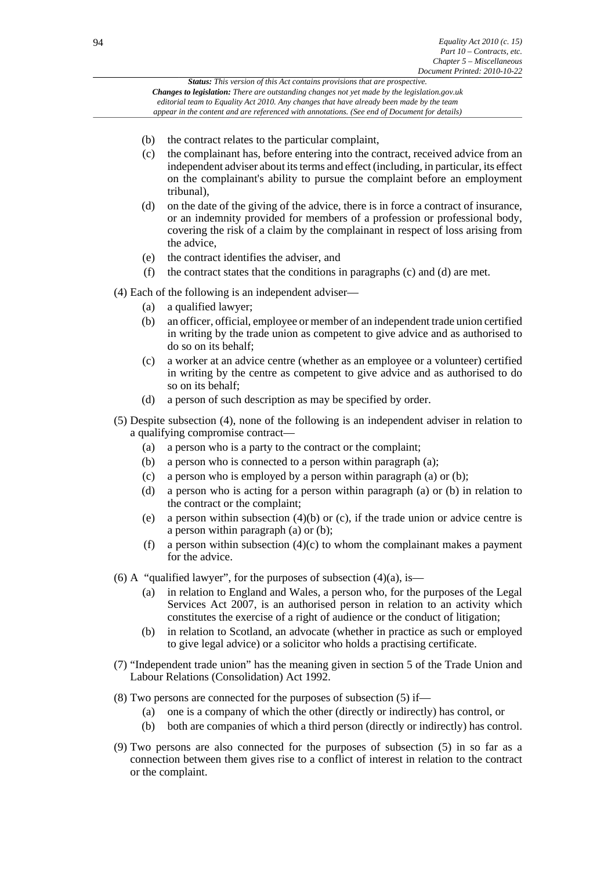- (b) the contract relates to the particular complaint,
- (c) the complainant has, before entering into the contract, received advice from an independent adviser about its terms and effect (including, in particular, its effect on the complainant's ability to pursue the complaint before an employment tribunal),
- (d) on the date of the giving of the advice, there is in force a contract of insurance, or an indemnity provided for members of a profession or professional body, covering the risk of a claim by the complainant in respect of loss arising from the advice,
- (e) the contract identifies the adviser, and
- (f) the contract states that the conditions in paragraphs  $(c)$  and  $(d)$  are met.

(4) Each of the following is an independent adviser—

- (a) a qualified lawyer;
- (b) an officer, official, employee or member of an independent trade union certified in writing by the trade union as competent to give advice and as authorised to do so on its behalf;
- (c) a worker at an advice centre (whether as an employee or a volunteer) certified in writing by the centre as competent to give advice and as authorised to do so on its behalf;
- (d) a person of such description as may be specified by order.
- (5) Despite subsection (4), none of the following is an independent adviser in relation to a qualifying compromise contract—
	- (a) a person who is a party to the contract or the complaint;
	- (b) a person who is connected to a person within paragraph (a);
	- (c) a person who is employed by a person within paragraph (a) or (b);
	- (d) a person who is acting for a person within paragraph (a) or (b) in relation to the contract or the complaint;
	- (e) a person within subsection (4)(b) or (c), if the trade union or advice centre is a person within paragraph (a) or (b);
	- (f) a person within subsection  $(4)(c)$  to whom the complainant makes a payment for the advice.
- (6) A "qualified lawyer", for the purposes of subsection  $(4)(a)$ , is—
	- (a) in relation to England and Wales, a person who, for the purposes of the Legal Services Act 2007, is an authorised person in relation to an activity which constitutes the exercise of a right of audience or the conduct of litigation;
	- (b) in relation to Scotland, an advocate (whether in practice as such or employed to give legal advice) or a solicitor who holds a practising certificate.
- (7) "Independent trade union" has the meaning given in section 5 of the Trade Union and Labour Relations (Consolidation) Act 1992.
- (8) Two persons are connected for the purposes of subsection (5) if—
	- (a) one is a company of which the other (directly or indirectly) has control, or
	- (b) both are companies of which a third person (directly or indirectly) has control.
- (9) Two persons are also connected for the purposes of subsection (5) in so far as a connection between them gives rise to a conflict of interest in relation to the contract or the complaint.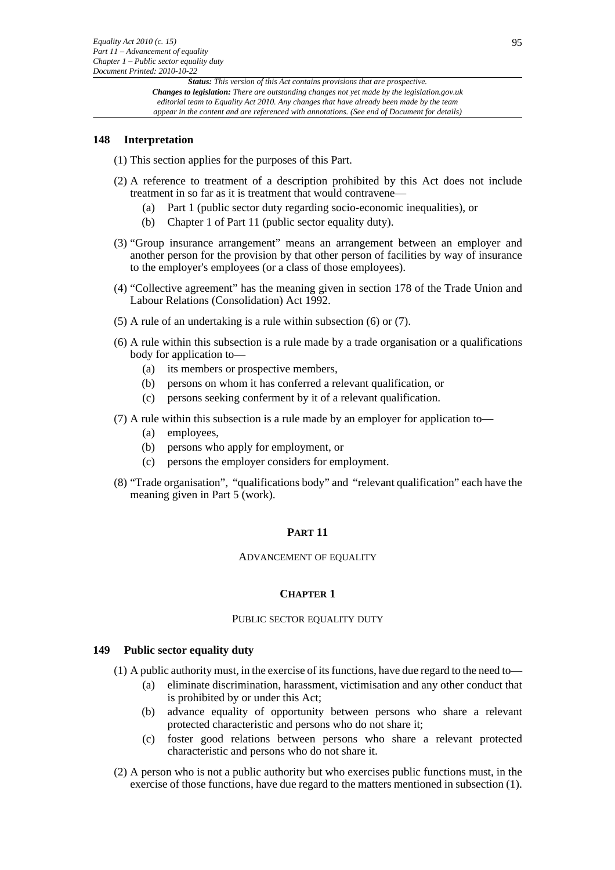### **148 Interpretation**

- (1) This section applies for the purposes of this Part.
- (2) A reference to treatment of a description prohibited by this Act does not include treatment in so far as it is treatment that would contravene—
	- (a) Part 1 (public sector duty regarding socio-economic inequalities), or
	- (b) Chapter 1 of Part 11 (public sector equality duty).
- (3) "Group insurance arrangement" means an arrangement between an employer and another person for the provision by that other person of facilities by way of insurance to the employer's employees (or a class of those employees).
- (4) "Collective agreement" has the meaning given in section 178 of the Trade Union and Labour Relations (Consolidation) Act 1992.
- (5) A rule of an undertaking is a rule within subsection (6) or (7).
- (6) A rule within this subsection is a rule made by a trade organisation or a qualifications body for application to—
	- (a) its members or prospective members,
	- (b) persons on whom it has conferred a relevant qualification, or
	- (c) persons seeking conferment by it of a relevant qualification.
- (7) A rule within this subsection is a rule made by an employer for application to—
	- (a) employees,
	- (b) persons who apply for employment, or
	- (c) persons the employer considers for employment.
- (8) "Trade organisation", "qualifications body" and "relevant qualification" each have the meaning given in Part 5 (work).

#### **PART 11**

#### ADVANCEMENT OF EQUALITY

#### **CHAPTER 1**

### PUBLIC SECTOR EQUALITY DUTY

## **149 Public sector equality duty**

- (1) A public authority must, in the exercise of its functions, have due regard to the need to—
	- (a) eliminate discrimination, harassment, victimisation and any other conduct that is prohibited by or under this Act;
	- (b) advance equality of opportunity between persons who share a relevant protected characteristic and persons who do not share it;
	- (c) foster good relations between persons who share a relevant protected characteristic and persons who do not share it.
- (2) A person who is not a public authority but who exercises public functions must, in the exercise of those functions, have due regard to the matters mentioned in subsection (1).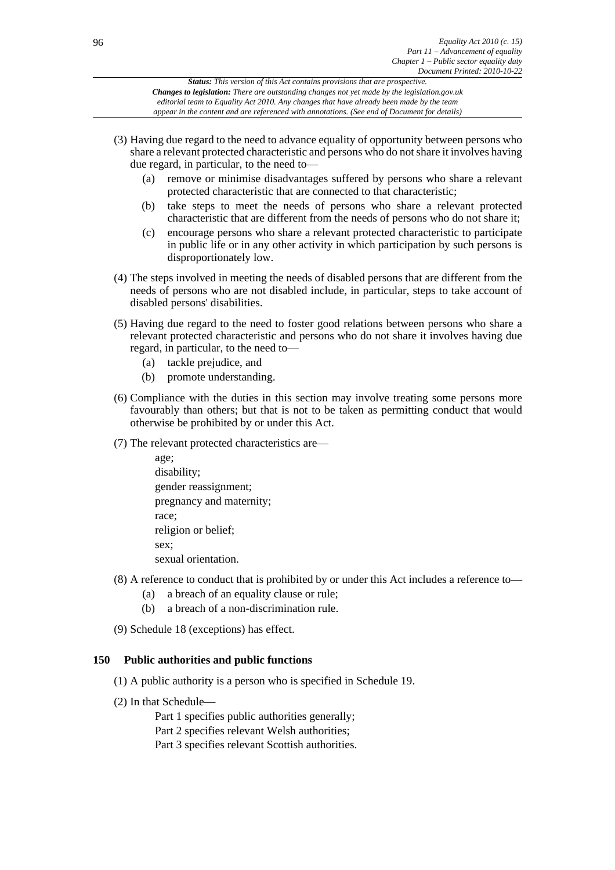- (3) Having due regard to the need to advance equality of opportunity between persons who share a relevant protected characteristic and persons who do not share it involves having due regard, in particular, to the need to—
	- (a) remove or minimise disadvantages suffered by persons who share a relevant protected characteristic that are connected to that characteristic;
	- (b) take steps to meet the needs of persons who share a relevant protected characteristic that are different from the needs of persons who do not share it;
	- (c) encourage persons who share a relevant protected characteristic to participate in public life or in any other activity in which participation by such persons is disproportionately low.
- (4) The steps involved in meeting the needs of disabled persons that are different from the needs of persons who are not disabled include, in particular, steps to take account of disabled persons' disabilities.
- (5) Having due regard to the need to foster good relations between persons who share a relevant protected characteristic and persons who do not share it involves having due regard, in particular, to the need to—
	- (a) tackle prejudice, and
	- (b) promote understanding.
- (6) Compliance with the duties in this section may involve treating some persons more favourably than others; but that is not to be taken as permitting conduct that would otherwise be prohibited by or under this Act.
- (7) The relevant protected characteristics are—

age; disability; gender reassignment; pregnancy and maternity; race; religion or belief; sex; sexual orientation.

- (8) A reference to conduct that is prohibited by or under this Act includes a reference to—
	- (a) a breach of an equality clause or rule;
	- (b) a breach of a non-discrimination rule.
- (9) Schedule 18 (exceptions) has effect.

# **150 Public authorities and public functions**

- (1) A public authority is a person who is specified in Schedule 19.
- (2) In that Schedule—

Part 1 specifies public authorities generally;

Part 2 specifies relevant Welsh authorities;

Part 3 specifies relevant Scottish authorities.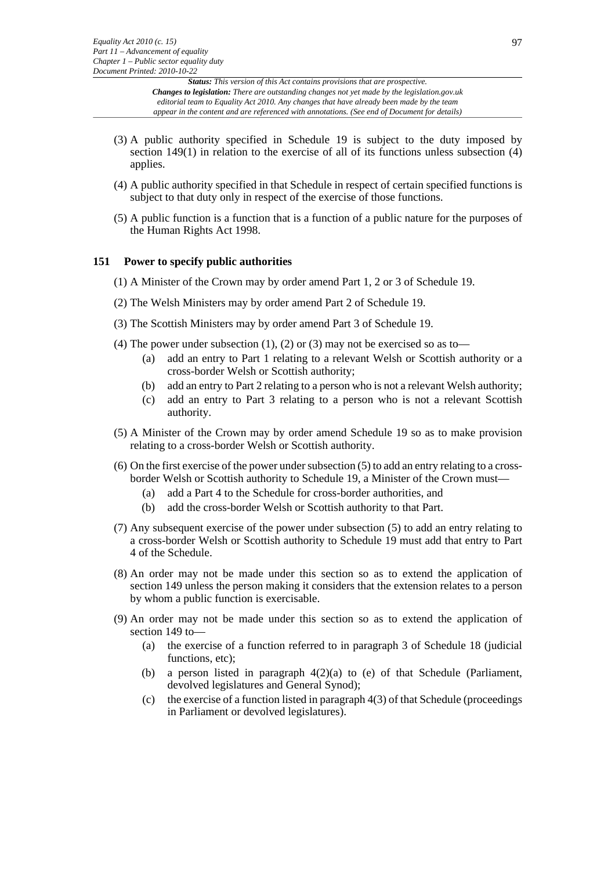- (3) A public authority specified in Schedule 19 is subject to the duty imposed by section 149(1) in relation to the exercise of all of its functions unless subsection (4) applies.
- (4) A public authority specified in that Schedule in respect of certain specified functions is subject to that duty only in respect of the exercise of those functions.
- (5) A public function is a function that is a function of a public nature for the purposes of the Human Rights Act 1998.

### **151 Power to specify public authorities**

- (1) A Minister of the Crown may by order amend Part 1, 2 or 3 of Schedule 19.
- (2) The Welsh Ministers may by order amend Part 2 of Schedule 19.
- (3) The Scottish Ministers may by order amend Part 3 of Schedule 19.
- (4) The power under subsection (1), (2) or (3) may not be exercised so as to—
	- (a) add an entry to Part 1 relating to a relevant Welsh or Scottish authority or a cross-border Welsh or Scottish authority;
	- (b) add an entry to Part 2 relating to a person who is not a relevant Welsh authority;
	- (c) add an entry to Part 3 relating to a person who is not a relevant Scottish authority.
- (5) A Minister of the Crown may by order amend Schedule 19 so as to make provision relating to a cross-border Welsh or Scottish authority.
- (6) On the first exercise of the power under subsection (5) to add an entry relating to a crossborder Welsh or Scottish authority to Schedule 19, a Minister of the Crown must—
	- (a) add a Part 4 to the Schedule for cross-border authorities, and
	- (b) add the cross-border Welsh or Scottish authority to that Part.
- (7) Any subsequent exercise of the power under subsection (5) to add an entry relating to a cross-border Welsh or Scottish authority to Schedule 19 must add that entry to Part 4 of the Schedule.
- (8) An order may not be made under this section so as to extend the application of section 149 unless the person making it considers that the extension relates to a person by whom a public function is exercisable.
- (9) An order may not be made under this section so as to extend the application of section 149 to—
	- (a) the exercise of a function referred to in paragraph 3 of Schedule 18 (judicial functions, etc);
	- (b) a person listed in paragraph 4(2)(a) to (e) of that Schedule (Parliament, devolved legislatures and General Synod);
	- (c) the exercise of a function listed in paragraph 4(3) of that Schedule (proceedings in Parliament or devolved legislatures).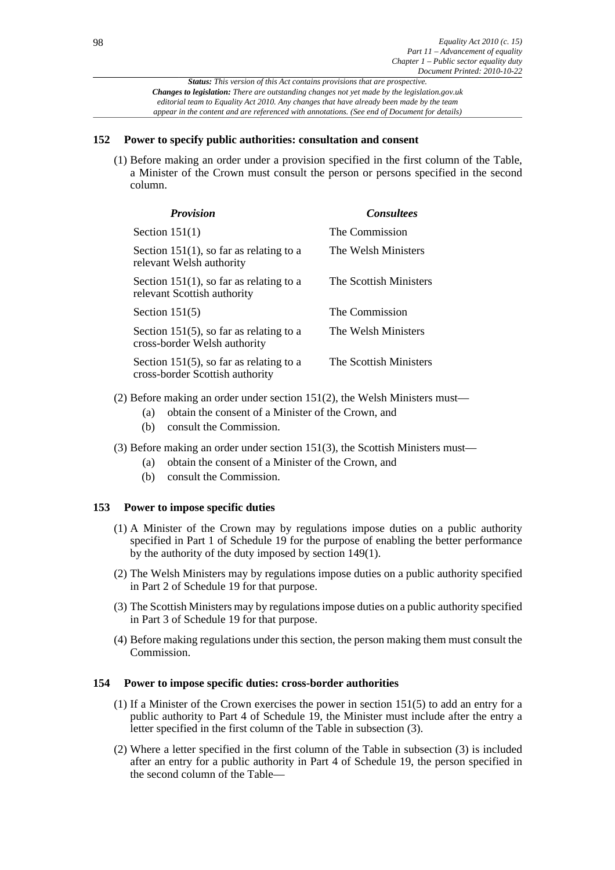## **152 Power to specify public authorities: consultation and consent**

(1) Before making an order under a provision specified in the first column of the Table, a Minister of the Crown must consult the person or persons specified in the second column.

| <b>Provision</b>                                                           | <b>Consultees</b>      |
|----------------------------------------------------------------------------|------------------------|
| Section $151(1)$                                                           | The Commission         |
| Section 151(1), so far as relating to a<br>relevant Welsh authority        | The Welsh Ministers    |
| Section 151(1), so far as relating to a<br>relevant Scottish authority     | The Scottish Ministers |
| Section $151(5)$                                                           | The Commission         |
| Section 151(5), so far as relating to a<br>cross-border Welsh authority    | The Welsh Ministers    |
| Section 151(5), so far as relating to a<br>cross-border Scottish authority | The Scottish Ministers |

- (2) Before making an order under section 151(2), the Welsh Ministers must—
	- (a) obtain the consent of a Minister of the Crown, and
	- (b) consult the Commission.
- (3) Before making an order under section 151(3), the Scottish Ministers must—
	- (a) obtain the consent of a Minister of the Crown, and
	- (b) consult the Commission.

# **153 Power to impose specific duties**

- (1) A Minister of the Crown may by regulations impose duties on a public authority specified in Part 1 of Schedule 19 for the purpose of enabling the better performance by the authority of the duty imposed by section 149(1).
- (2) The Welsh Ministers may by regulations impose duties on a public authority specified in Part 2 of Schedule 19 for that purpose.
- (3) The Scottish Ministers may by regulations impose duties on a public authority specified in Part 3 of Schedule 19 for that purpose.
- (4) Before making regulations under this section, the person making them must consult the Commission.

### **154 Power to impose specific duties: cross-border authorities**

- (1) If a Minister of the Crown exercises the power in section 151(5) to add an entry for a public authority to Part 4 of Schedule 19, the Minister must include after the entry a letter specified in the first column of the Table in subsection (3).
- (2) Where a letter specified in the first column of the Table in subsection (3) is included after an entry for a public authority in Part 4 of Schedule 19, the person specified in the second column of the Table—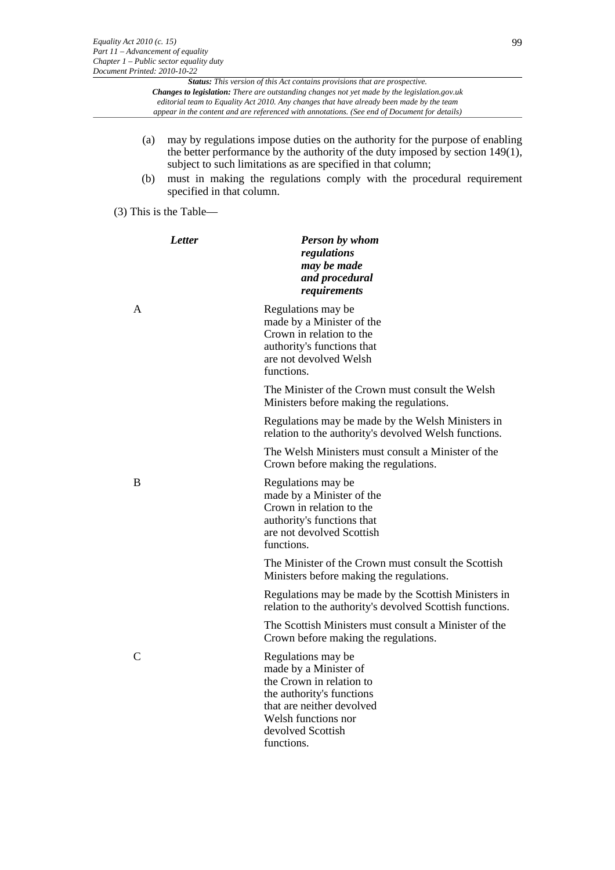- (a) may by regulations impose duties on the authority for the purpose of enabling the better performance by the authority of the duty imposed by section 149(1), subject to such limitations as are specified in that column;
- (b) must in making the regulations comply with the procedural requirement specified in that column.

(3) This is the Table—

| Letter | <b>Person by whom</b><br>regulations<br>may be made<br>and procedural<br>requirements                                                                                                       |
|--------|---------------------------------------------------------------------------------------------------------------------------------------------------------------------------------------------|
| A      | Regulations may be<br>made by a Minister of the<br>Crown in relation to the<br>authority's functions that<br>are not devolved Welsh<br>functions.                                           |
|        | The Minister of the Crown must consult the Welsh<br>Ministers before making the regulations.                                                                                                |
|        | Regulations may be made by the Welsh Ministers in<br>relation to the authority's devolved Welsh functions.                                                                                  |
|        | The Welsh Ministers must consult a Minister of the<br>Crown before making the regulations.                                                                                                  |
| B      | Regulations may be<br>made by a Minister of the<br>Crown in relation to the<br>authority's functions that<br>are not devolved Scottish<br>functions.                                        |
|        | The Minister of the Crown must consult the Scottish<br>Ministers before making the regulations.                                                                                             |
|        | Regulations may be made by the Scottish Ministers in<br>relation to the authority's devolved Scottish functions.                                                                            |
|        | The Scottish Ministers must consult a Minister of the<br>Crown before making the regulations.                                                                                               |
| C      | Regulations may be<br>made by a Minister of<br>the Crown in relation to<br>the authority's functions<br>that are neither devolved<br>Welsh functions nor<br>devolved Scottish<br>functions. |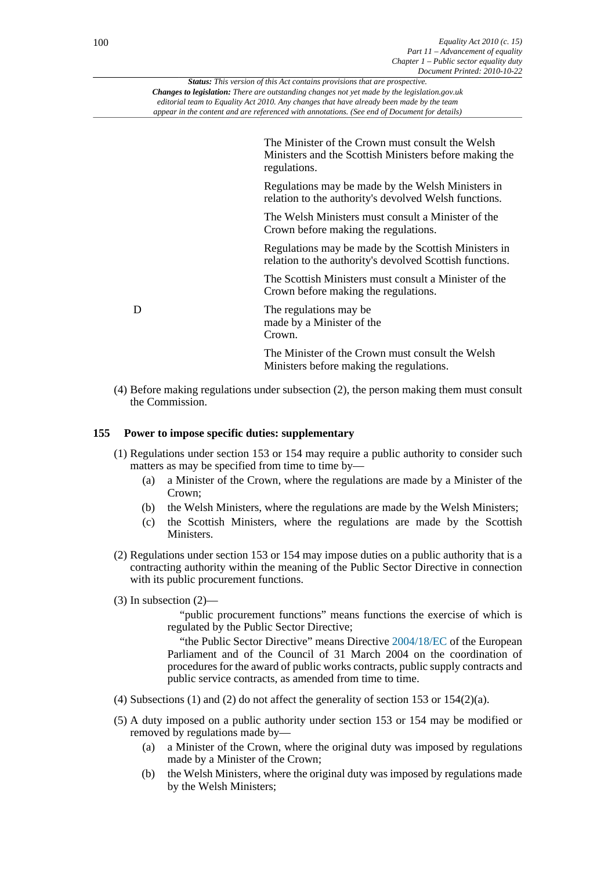> The Minister of the Crown must consult the Welsh Ministers and the Scottish Ministers before making the regulations.

Regulations may be made by the Welsh Ministers in relation to the authority's devolved Welsh functions.

The Welsh Ministers must consult a Minister of the Crown before making the regulations.

Regulations may be made by the Scottish Ministers in relation to the authority's devolved Scottish functions.

The Scottish Ministers must consult a Minister of the Crown before making the regulations.

D

The regulations may be made by a Minister of the Crown.

The Minister of the Crown must consult the Welsh Ministers before making the regulations.

(4) Before making regulations under subsection (2), the person making them must consult the Commission.

# **155 Power to impose specific duties: supplementary**

- (1) Regulations under section 153 or 154 may require a public authority to consider such matters as may be specified from time to time by—
	- (a) a Minister of the Crown, where the regulations are made by a Minister of the Crown;
	- (b) the Welsh Ministers, where the regulations are made by the Welsh Ministers;
	- (c) the Scottish Ministers, where the regulations are made by the Scottish Ministers.
- (2) Regulations under section 153 or 154 may impose duties on a public authority that is a contracting authority within the meaning of the Public Sector Directive in connection with its public procurement functions.
- (3) In subsection (2)—

"public procurement functions" means functions the exercise of which is regulated by the Public Sector Directive;

"the Public Sector Directive" means Directive [2004/18/EC](http://www.opsi.gov.uk/legislation/european/directive/2004/0018) of the European Parliament and of the Council of 31 March 2004 on the coordination of procedures for the award of public works contracts, public supply contracts and public service contracts, as amended from time to time.

- (4) Subsections (1) and (2) do not affect the generality of section 153 or 154(2)(a).
- (5) A duty imposed on a public authority under section 153 or 154 may be modified or removed by regulations made by—
	- (a) a Minister of the Crown, where the original duty was imposed by regulations made by a Minister of the Crown;
	- (b) the Welsh Ministers, where the original duty was imposed by regulations made by the Welsh Ministers;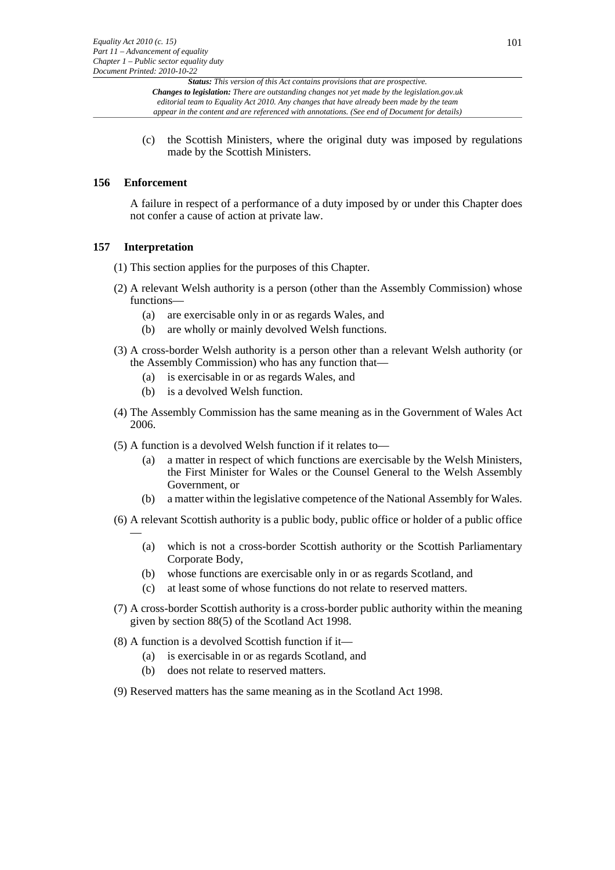(c) the Scottish Ministers, where the original duty was imposed by regulations made by the Scottish Ministers.

# **156 Enforcement**

A failure in respect of a performance of a duty imposed by or under this Chapter does not confer a cause of action at private law.

## **157 Interpretation**

 $\overline{\phantom{a}}$ 

- (1) This section applies for the purposes of this Chapter.
- (2) A relevant Welsh authority is a person (other than the Assembly Commission) whose functions—
	- (a) are exercisable only in or as regards Wales, and
	- (b) are wholly or mainly devolved Welsh functions.
- (3) A cross-border Welsh authority is a person other than a relevant Welsh authority (or the Assembly Commission) who has any function that—
	- (a) is exercisable in or as regards Wales, and
	- (b) is a devolved Welsh function.
- (4) The Assembly Commission has the same meaning as in the Government of Wales Act 2006.
- (5) A function is a devolved Welsh function if it relates to—
	- (a) a matter in respect of which functions are exercisable by the Welsh Ministers, the First Minister for Wales or the Counsel General to the Welsh Assembly Government, or
	- (b) a matter within the legislative competence of the National Assembly for Wales.
- (6) A relevant Scottish authority is a public body, public office or holder of a public office
	- (a) which is not a cross-border Scottish authority or the Scottish Parliamentary Corporate Body,
	- (b) whose functions are exercisable only in or as regards Scotland, and
	- (c) at least some of whose functions do not relate to reserved matters.
- (7) A cross-border Scottish authority is a cross-border public authority within the meaning given by section 88(5) of the Scotland Act 1998.
- (8) A function is a devolved Scottish function if it—
	- (a) is exercisable in or as regards Scotland, and
	- (b) does not relate to reserved matters.
- (9) Reserved matters has the same meaning as in the Scotland Act 1998.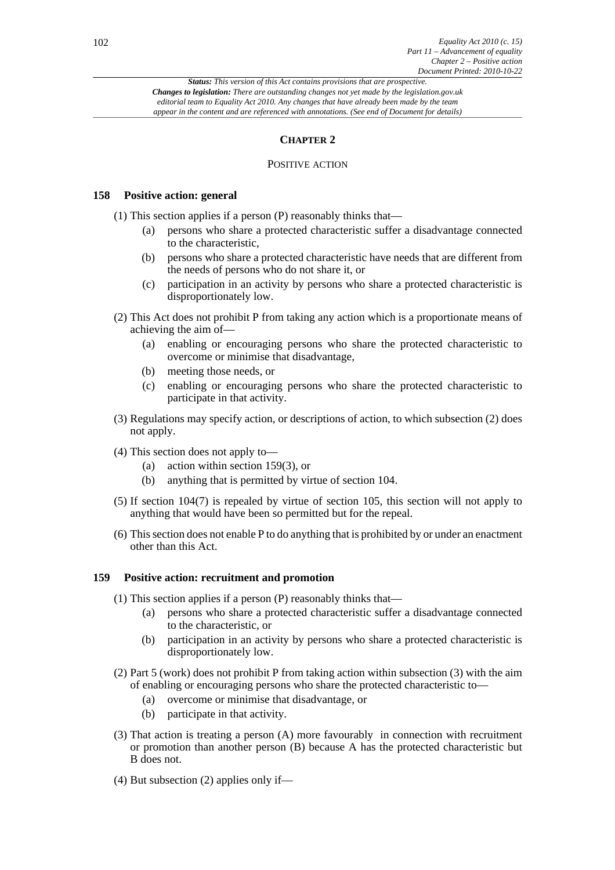## **CHAPTER 2**

### POSITIVE ACTION

### **158 Positive action: general**

(1) This section applies if a person (P) reasonably thinks that—

- (a) persons who share a protected characteristic suffer a disadvantage connected to the characteristic,
- (b) persons who share a protected characteristic have needs that are different from the needs of persons who do not share it, or
- (c) participation in an activity by persons who share a protected characteristic is disproportionately low.
- (2) This Act does not prohibit P from taking any action which is a proportionate means of achieving the aim of—
	- (a) enabling or encouraging persons who share the protected characteristic to overcome or minimise that disadvantage,
	- (b) meeting those needs, or
	- (c) enabling or encouraging persons who share the protected characteristic to participate in that activity.
- (3) Regulations may specify action, or descriptions of action, to which subsection (2) does not apply.
- (4) This section does not apply to—
	- (a) action within section 159(3), or
	- (b) anything that is permitted by virtue of section 104.
- (5) If section 104(7) is repealed by virtue of section 105, this section will not apply to anything that would have been so permitted but for the repeal.
- (6) This section does not enable P to do anything that is prohibited by or under an enactment other than this Act.

#### **159 Positive action: recruitment and promotion**

- (1) This section applies if a person (P) reasonably thinks that—
	- (a) persons who share a protected characteristic suffer a disadvantage connected to the characteristic, or
	- (b) participation in an activity by persons who share a protected characteristic is disproportionately low.
- (2) Part 5 (work) does not prohibit P from taking action within subsection (3) with the aim of enabling or encouraging persons who share the protected characteristic to—
	- (a) overcome or minimise that disadvantage, or
	- (b) participate in that activity.
- (3) That action is treating a person (A) more favourably in connection with recruitment or promotion than another person (B) because A has the protected characteristic but B does not.
- (4) But subsection (2) applies only if—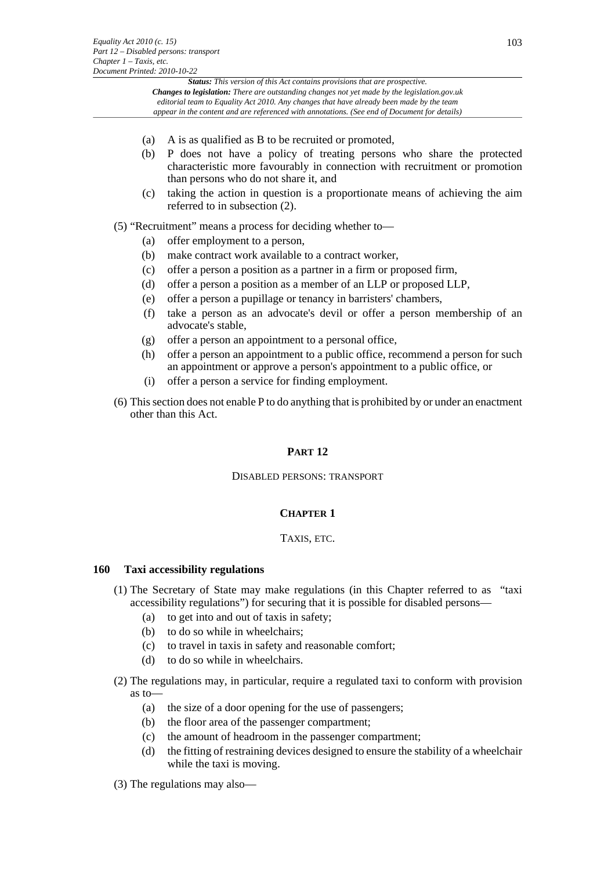- (a) A is as qualified as B to be recruited or promoted,
- (b) P does not have a policy of treating persons who share the protected characteristic more favourably in connection with recruitment or promotion than persons who do not share it, and
- (c) taking the action in question is a proportionate means of achieving the aim referred to in subsection (2).

(5) "Recruitment" means a process for deciding whether to—

- (a) offer employment to a person,
- (b) make contract work available to a contract worker,
- (c) offer a person a position as a partner in a firm or proposed firm,
- (d) offer a person a position as a member of an LLP or proposed LLP,
- (e) offer a person a pupillage or tenancy in barristers' chambers,
- (f) take a person as an advocate's devil or offer a person membership of an advocate's stable,
- (g) offer a person an appointment to a personal office,
- (h) offer a person an appointment to a public office, recommend a person for such an appointment or approve a person's appointment to a public office, or
- (i) offer a person a service for finding employment.
- (6) This section does not enable P to do anything that is prohibited by or under an enactment other than this Act.

### **PART 12**

### DISABLED PERSONS: TRANSPORT

## **CHAPTER 1**

## TAXIS, ETC.

### **160 Taxi accessibility regulations**

- (1) The Secretary of State may make regulations (in this Chapter referred to as "taxi accessibility regulations") for securing that it is possible for disabled persons—
	- (a) to get into and out of taxis in safety;
	- (b) to do so while in wheelchairs;
	- (c) to travel in taxis in safety and reasonable comfort;
	- (d) to do so while in wheelchairs.
- (2) The regulations may, in particular, require a regulated taxi to conform with provision as to—
	- (a) the size of a door opening for the use of passengers;
	- (b) the floor area of the passenger compartment;
	- (c) the amount of headroom in the passenger compartment;
	- (d) the fitting of restraining devices designed to ensure the stability of a wheelchair while the taxi is moving.
- (3) The regulations may also—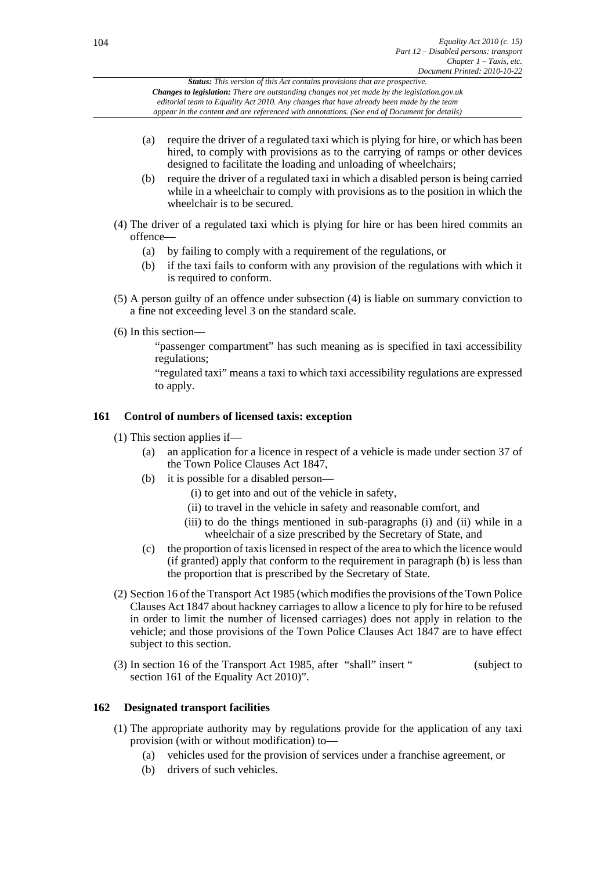- (a) require the driver of a regulated taxi which is plying for hire, or which has been hired, to comply with provisions as to the carrying of ramps or other devices designed to facilitate the loading and unloading of wheelchairs;
- (b) require the driver of a regulated taxi in which a disabled person is being carried while in a wheelchair to comply with provisions as to the position in which the wheelchair is to be secured.
- (4) The driver of a regulated taxi which is plying for hire or has been hired commits an offence—
	- (a) by failing to comply with a requirement of the regulations, or
	- (b) if the taxi fails to conform with any provision of the regulations with which it is required to conform.
- (5) A person guilty of an offence under subsection (4) is liable on summary conviction to a fine not exceeding level 3 on the standard scale.
- (6) In this section—

"passenger compartment" has such meaning as is specified in taxi accessibility regulations;

"regulated taxi" means a taxi to which taxi accessibility regulations are expressed to apply.

# **161 Control of numbers of licensed taxis: exception**

- (1) This section applies if—
	- (a) an application for a licence in respect of a vehicle is made under section 37 of the Town Police Clauses Act 1847,
	- (b) it is possible for a disabled person—
		- (i) to get into and out of the vehicle in safety,
		- (ii) to travel in the vehicle in safety and reasonable comfort, and
		- (iii) to do the things mentioned in sub-paragraphs (i) and (ii) while in a wheelchair of a size prescribed by the Secretary of State, and
	- (c) the proportion of taxis licensed in respect of the area to which the licence would (if granted) apply that conform to the requirement in paragraph (b) is less than the proportion that is prescribed by the Secretary of State.
- (2) Section 16 of the Transport Act 1985 (which modifies the provisions of the Town Police Clauses Act 1847 about hackney carriages to allow a licence to ply for hire to be refused in order to limit the number of licensed carriages) does not apply in relation to the vehicle; and those provisions of the Town Police Clauses Act 1847 are to have effect subject to this section.
- (3) In section 16 of the Transport Act 1985, after "shall" insert " (subject to section 161 of the Equality Act 2010)".

# **162 Designated transport facilities**

- (1) The appropriate authority may by regulations provide for the application of any taxi provision (with or without modification) to—
	- (a) vehicles used for the provision of services under a franchise agreement, or
	- (b) drivers of such vehicles.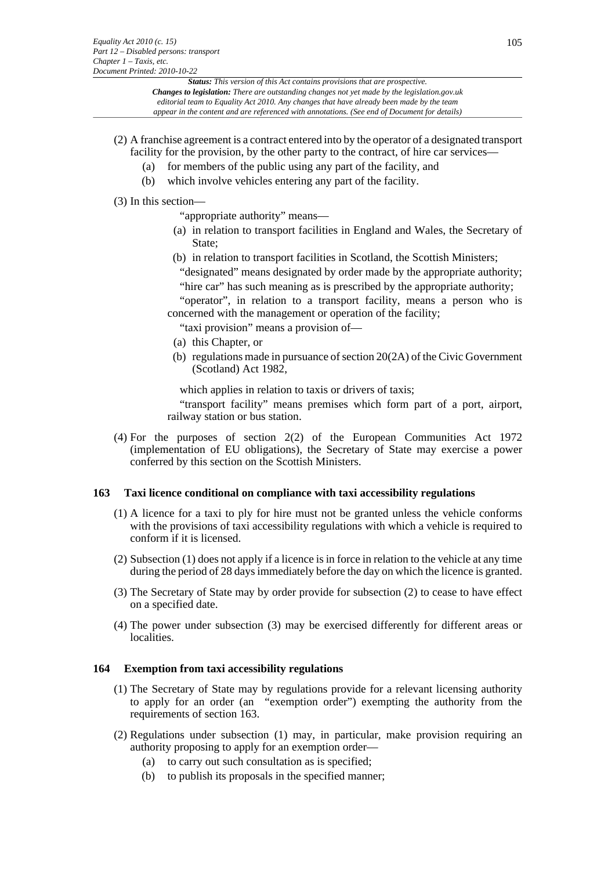- (2) A franchise agreement is a contract entered into by the operator of a designated transport facility for the provision, by the other party to the contract, of hire car services—
	- (a) for members of the public using any part of the facility, and
	- (b) which involve vehicles entering any part of the facility.
- (3) In this section—
	- "appropriate authority" means—
	- (a) in relation to transport facilities in England and Wales, the Secretary of State;
	- (b) in relation to transport facilities in Scotland, the Scottish Ministers;

"designated" means designated by order made by the appropriate authority; "hire car" has such meaning as is prescribed by the appropriate authority;

"operator", in relation to a transport facility, means a person who is concerned with the management or operation of the facility;

"taxi provision" means a provision of—

- (a) this Chapter, or
- (b) regulations made in pursuance of section 20(2A) of the Civic Government (Scotland) Act 1982,

which applies in relation to taxis or drivers of taxis;

"transport facility" means premises which form part of a port, airport, railway station or bus station.

(4) For the purposes of section 2(2) of the European Communities Act 1972 (implementation of EU obligations), the Secretary of State may exercise a power conferred by this section on the Scottish Ministers.

# **163 Taxi licence conditional on compliance with taxi accessibility regulations**

- (1) A licence for a taxi to ply for hire must not be granted unless the vehicle conforms with the provisions of taxi accessibility regulations with which a vehicle is required to conform if it is licensed.
- (2) Subsection (1) does not apply if a licence is in force in relation to the vehicle at any time during the period of 28 days immediately before the day on which the licence is granted.
- (3) The Secretary of State may by order provide for subsection (2) to cease to have effect on a specified date.
- (4) The power under subsection (3) may be exercised differently for different areas or localities.

### **164 Exemption from taxi accessibility regulations**

- (1) The Secretary of State may by regulations provide for a relevant licensing authority to apply for an order (an "exemption order") exempting the authority from the requirements of section 163.
- (2) Regulations under subsection (1) may, in particular, make provision requiring an authority proposing to apply for an exemption order—
	- (a) to carry out such consultation as is specified;
	- (b) to publish its proposals in the specified manner;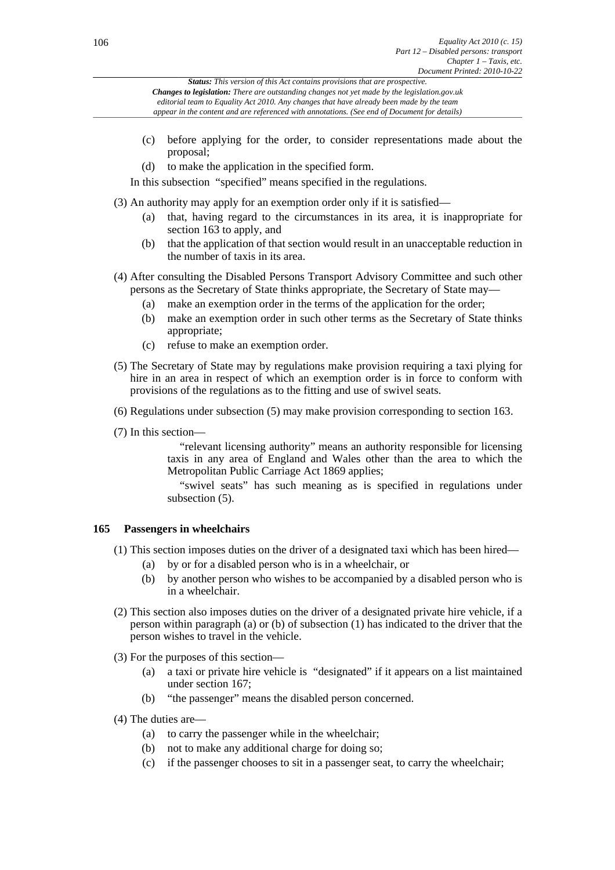- (c) before applying for the order, to consider representations made about the proposal;
- (d) to make the application in the specified form.

In this subsection "specified" means specified in the regulations.

(3) An authority may apply for an exemption order only if it is satisfied—

- (a) that, having regard to the circumstances in its area, it is inappropriate for section 163 to apply, and
- (b) that the application of that section would result in an unacceptable reduction in the number of taxis in its area.
- (4) After consulting the Disabled Persons Transport Advisory Committee and such other persons as the Secretary of State thinks appropriate, the Secretary of State may—
	- (a) make an exemption order in the terms of the application for the order;
	- (b) make an exemption order in such other terms as the Secretary of State thinks appropriate;
	- (c) refuse to make an exemption order.
- (5) The Secretary of State may by regulations make provision requiring a taxi plying for hire in an area in respect of which an exemption order is in force to conform with provisions of the regulations as to the fitting and use of swivel seats.
- (6) Regulations under subsection (5) may make provision corresponding to section 163.
- (7) In this section—

"relevant licensing authority" means an authority responsible for licensing taxis in any area of England and Wales other than the area to which the Metropolitan Public Carriage Act 1869 applies;

"swivel seats" has such meaning as is specified in regulations under subsection (5).

## **165 Passengers in wheelchairs**

- (1) This section imposes duties on the driver of a designated taxi which has been hired—
	- (a) by or for a disabled person who is in a wheelchair, or
	- (b) by another person who wishes to be accompanied by a disabled person who is in a wheelchair.
- (2) This section also imposes duties on the driver of a designated private hire vehicle, if a person within paragraph (a) or (b) of subsection (1) has indicated to the driver that the person wishes to travel in the vehicle.
- (3) For the purposes of this section—
	- (a) a taxi or private hire vehicle is "designated" if it appears on a list maintained under section 167;
	- (b) "the passenger" means the disabled person concerned.
- (4) The duties are—
	- (a) to carry the passenger while in the wheelchair;
	- (b) not to make any additional charge for doing so;
	- (c) if the passenger chooses to sit in a passenger seat, to carry the wheelchair;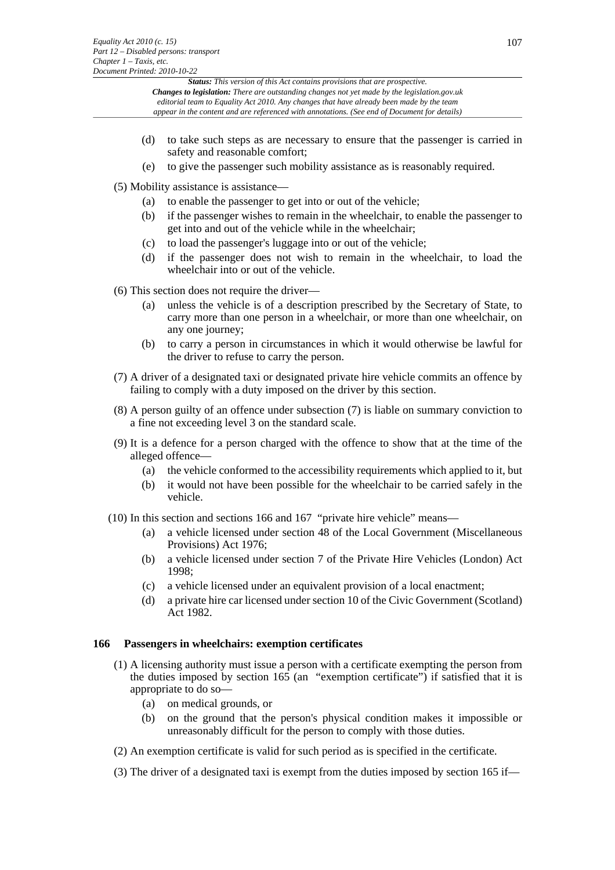- (d) to take such steps as are necessary to ensure that the passenger is carried in safety and reasonable comfort;
- (e) to give the passenger such mobility assistance as is reasonably required.

(5) Mobility assistance is assistance—

- (a) to enable the passenger to get into or out of the vehicle;
- (b) if the passenger wishes to remain in the wheelchair, to enable the passenger to get into and out of the vehicle while in the wheelchair;
- (c) to load the passenger's luggage into or out of the vehicle;
- (d) if the passenger does not wish to remain in the wheelchair, to load the wheelchair into or out of the vehicle.
- (6) This section does not require the driver—
	- (a) unless the vehicle is of a description prescribed by the Secretary of State, to carry more than one person in a wheelchair, or more than one wheelchair, on any one journey;
	- (b) to carry a person in circumstances in which it would otherwise be lawful for the driver to refuse to carry the person.
- (7) A driver of a designated taxi or designated private hire vehicle commits an offence by failing to comply with a duty imposed on the driver by this section.
- (8) A person guilty of an offence under subsection (7) is liable on summary conviction to a fine not exceeding level 3 on the standard scale.
- (9) It is a defence for a person charged with the offence to show that at the time of the alleged offence—
	- (a) the vehicle conformed to the accessibility requirements which applied to it, but
	- (b) it would not have been possible for the wheelchair to be carried safely in the vehicle.
- (10) In this section and sections 166 and 167 "private hire vehicle" means—
	- (a) a vehicle licensed under section 48 of the Local Government (Miscellaneous Provisions) Act 1976;
	- (b) a vehicle licensed under section 7 of the Private Hire Vehicles (London) Act 1998;
	- (c) a vehicle licensed under an equivalent provision of a local enactment;
	- (d) a private hire car licensed under section 10 of the Civic Government (Scotland) Act 1982.

### **166 Passengers in wheelchairs: exemption certificates**

- (1) A licensing authority must issue a person with a certificate exempting the person from the duties imposed by section  $165$  (an "exemption certificate") if satisfied that it is appropriate to do so—
	- (a) on medical grounds, or
	- (b) on the ground that the person's physical condition makes it impossible or unreasonably difficult for the person to comply with those duties.
- (2) An exemption certificate is valid for such period as is specified in the certificate.
- (3) The driver of a designated taxi is exempt from the duties imposed by section 165 if—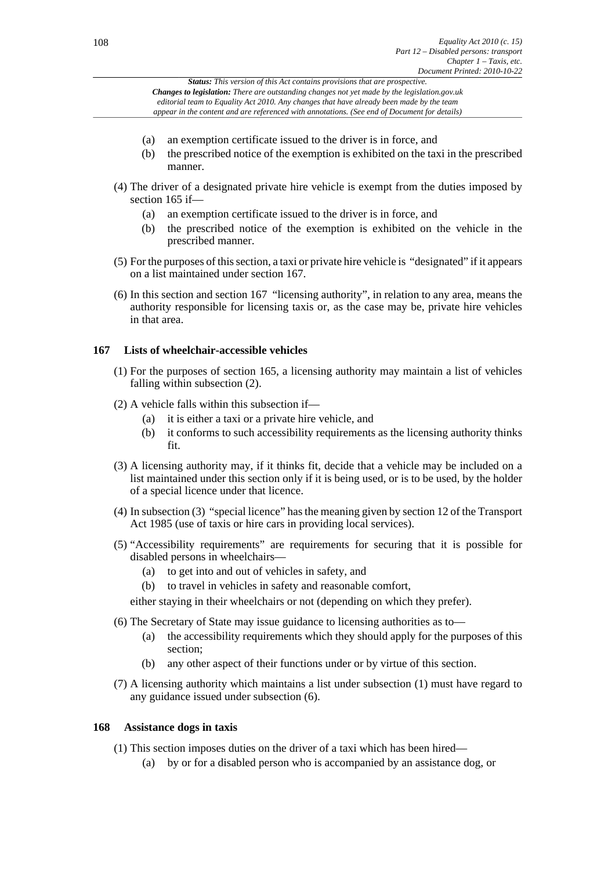- (a) an exemption certificate issued to the driver is in force, and
- (b) the prescribed notice of the exemption is exhibited on the taxi in the prescribed manner.
- (4) The driver of a designated private hire vehicle is exempt from the duties imposed by section 165 if—
	- (a) an exemption certificate issued to the driver is in force, and
	- (b) the prescribed notice of the exemption is exhibited on the vehicle in the prescribed manner.
- (5) For the purposes of this section, a taxi or private hire vehicle is "designated" if it appears on a list maintained under section 167.
- (6) In this section and section 167 "licensing authority", in relation to any area, means the authority responsible for licensing taxis or, as the case may be, private hire vehicles in that area.

## **167 Lists of wheelchair-accessible vehicles**

- (1) For the purposes of section 165, a licensing authority may maintain a list of vehicles falling within subsection (2).
- (2) A vehicle falls within this subsection if—
	- (a) it is either a taxi or a private hire vehicle, and
	- (b) it conforms to such accessibility requirements as the licensing authority thinks fit.
- (3) A licensing authority may, if it thinks fit, decide that a vehicle may be included on a list maintained under this section only if it is being used, or is to be used, by the holder of a special licence under that licence.
- (4) In subsection (3) "special licence" has the meaning given by section 12 of the Transport Act 1985 (use of taxis or hire cars in providing local services).
- (5) "Accessibility requirements" are requirements for securing that it is possible for disabled persons in wheelchairs—
	- (a) to get into and out of vehicles in safety, and
	- (b) to travel in vehicles in safety and reasonable comfort,

either staying in their wheelchairs or not (depending on which they prefer).

- (6) The Secretary of State may issue guidance to licensing authorities as to—
	- (a) the accessibility requirements which they should apply for the purposes of this section;
	- (b) any other aspect of their functions under or by virtue of this section.
- (7) A licensing authority which maintains a list under subsection (1) must have regard to any guidance issued under subsection (6).

### **168 Assistance dogs in taxis**

(1) This section imposes duties on the driver of a taxi which has been hired—

(a) by or for a disabled person who is accompanied by an assistance dog, or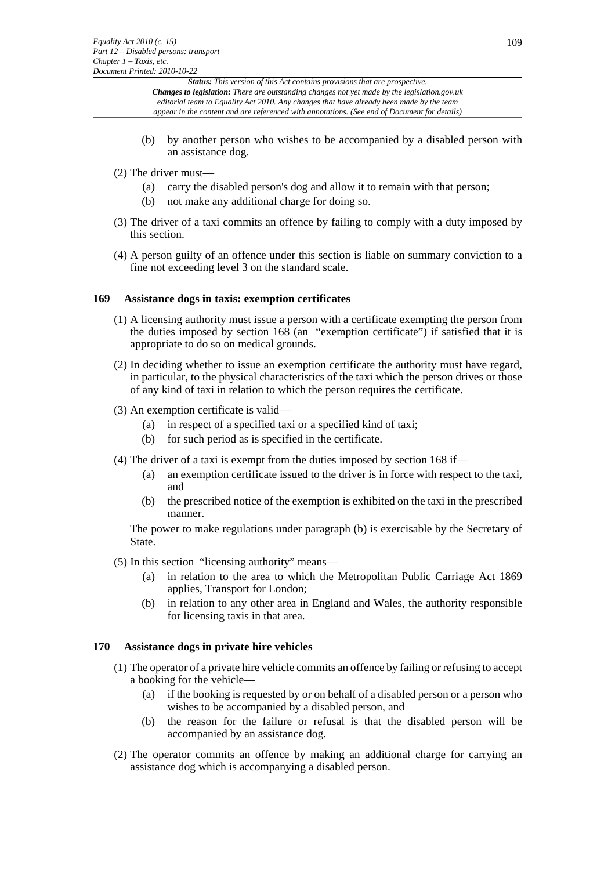- (b) by another person who wishes to be accompanied by a disabled person with an assistance dog.
- (2) The driver must—
	- (a) carry the disabled person's dog and allow it to remain with that person;
	- (b) not make any additional charge for doing so.
- (3) The driver of a taxi commits an offence by failing to comply with a duty imposed by this section.
- (4) A person guilty of an offence under this section is liable on summary conviction to a fine not exceeding level 3 on the standard scale.

## **169 Assistance dogs in taxis: exemption certificates**

- (1) A licensing authority must issue a person with a certificate exempting the person from the duties imposed by section 168 (an "exemption certificate") if satisfied that it is appropriate to do so on medical grounds.
- (2) In deciding whether to issue an exemption certificate the authority must have regard, in particular, to the physical characteristics of the taxi which the person drives or those of any kind of taxi in relation to which the person requires the certificate.
- (3) An exemption certificate is valid—
	- (a) in respect of a specified taxi or a specified kind of taxi;
	- (b) for such period as is specified in the certificate.
- (4) The driver of a taxi is exempt from the duties imposed by section 168 if—
	- (a) an exemption certificate issued to the driver is in force with respect to the taxi, and
	- (b) the prescribed notice of the exemption is exhibited on the taxi in the prescribed manner.

The power to make regulations under paragraph (b) is exercisable by the Secretary of State.

- (5) In this section "licensing authority" means—
	- (a) in relation to the area to which the Metropolitan Public Carriage Act 1869 applies, Transport for London;
	- (b) in relation to any other area in England and Wales, the authority responsible for licensing taxis in that area.

## **170 Assistance dogs in private hire vehicles**

- (1) The operator of a private hire vehicle commits an offence by failing or refusing to accept a booking for the vehicle—
	- (a) if the booking is requested by or on behalf of a disabled person or a person who wishes to be accompanied by a disabled person, and
	- (b) the reason for the failure or refusal is that the disabled person will be accompanied by an assistance dog.
- (2) The operator commits an offence by making an additional charge for carrying an assistance dog which is accompanying a disabled person.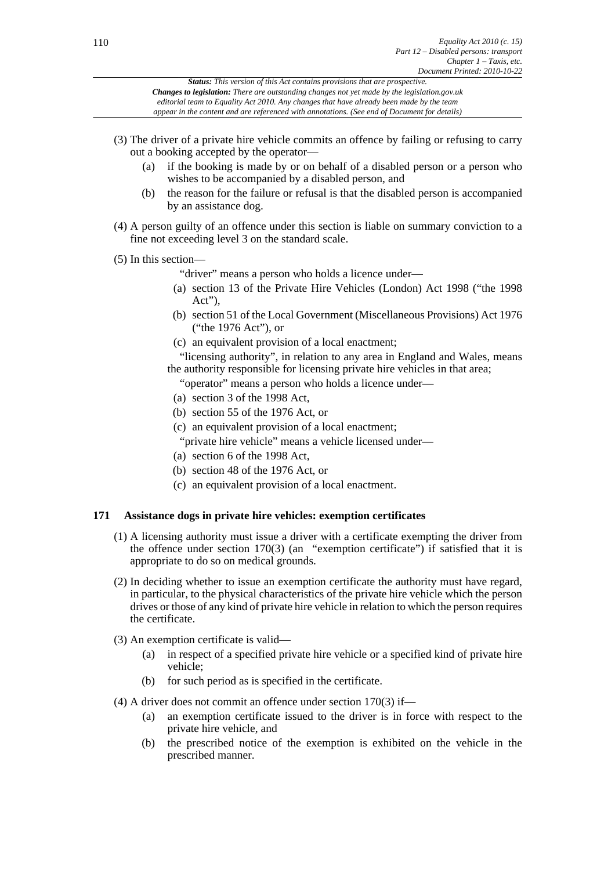- (3) The driver of a private hire vehicle commits an offence by failing or refusing to carry out a booking accepted by the operator—
	- (a) if the booking is made by or on behalf of a disabled person or a person who wishes to be accompanied by a disabled person, and
	- (b) the reason for the failure or refusal is that the disabled person is accompanied by an assistance dog.
- (4) A person guilty of an offence under this section is liable on summary conviction to a fine not exceeding level 3 on the standard scale.
- (5) In this section—

"driver" means a person who holds a licence under—

- (a) section 13 of the Private Hire Vehicles (London) Act 1998 ("the 1998 Act"),
- (b) section 51 of the Local Government (Miscellaneous Provisions) Act 1976 ("the 1976 Act"), or
- (c) an equivalent provision of a local enactment;

"licensing authority", in relation to any area in England and Wales, means the authority responsible for licensing private hire vehicles in that area;

"operator" means a person who holds a licence under—

- (a) section 3 of the 1998 Act,
- (b) section 55 of the 1976 Act, or
- (c) an equivalent provision of a local enactment;

"private hire vehicle" means a vehicle licensed under—

- (a) section 6 of the 1998 Act,
- (b) section 48 of the 1976 Act, or
- (c) an equivalent provision of a local enactment.

## **171 Assistance dogs in private hire vehicles: exemption certificates**

- (1) A licensing authority must issue a driver with a certificate exempting the driver from the offence under section 170(3) (an "exemption certificate") if satisfied that it is appropriate to do so on medical grounds.
- (2) In deciding whether to issue an exemption certificate the authority must have regard, in particular, to the physical characteristics of the private hire vehicle which the person drives or those of any kind of private hire vehicle in relation to which the person requires the certificate.
- (3) An exemption certificate is valid—
	- (a) in respect of a specified private hire vehicle or a specified kind of private hire vehicle;
	- (b) for such period as is specified in the certificate.
- (4) A driver does not commit an offence under section 170(3) if—
	- (a) an exemption certificate issued to the driver is in force with respect to the private hire vehicle, and
	- (b) the prescribed notice of the exemption is exhibited on the vehicle in the prescribed manner.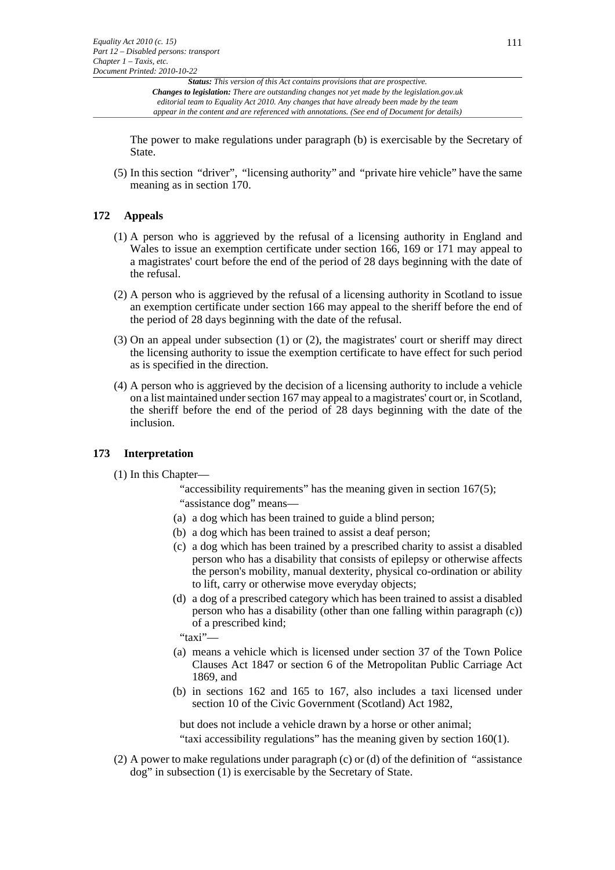The power to make regulations under paragraph (b) is exercisable by the Secretary of State.

(5) In this section "driver", "licensing authority" and "private hire vehicle" have the same meaning as in section 170.

# **172 Appeals**

- (1) A person who is aggrieved by the refusal of a licensing authority in England and Wales to issue an exemption certificate under section 166, 169 or 171 may appeal to a magistrates' court before the end of the period of 28 days beginning with the date of the refusal.
- (2) A person who is aggrieved by the refusal of a licensing authority in Scotland to issue an exemption certificate under section 166 may appeal to the sheriff before the end of the period of 28 days beginning with the date of the refusal.
- (3) On an appeal under subsection (1) or (2), the magistrates' court or sheriff may direct the licensing authority to issue the exemption certificate to have effect for such period as is specified in the direction.
- (4) A person who is aggrieved by the decision of a licensing authority to include a vehicle on a list maintained under section 167 may appeal to a magistrates' court or, in Scotland, the sheriff before the end of the period of 28 days beginning with the date of the inclusion.

## **173 Interpretation**

(1) In this Chapter—

"accessibility requirements" has the meaning given in section 167(5); "assistance dog" means—

- (a) a dog which has been trained to guide a blind person;
- (b) a dog which has been trained to assist a deaf person;
- (c) a dog which has been trained by a prescribed charity to assist a disabled person who has a disability that consists of epilepsy or otherwise affects the person's mobility, manual dexterity, physical co-ordination or ability to lift, carry or otherwise move everyday objects;
- (d) a dog of a prescribed category which has been trained to assist a disabled person who has a disability (other than one falling within paragraph (c)) of a prescribed kind;

"taxi"—

- (a) means a vehicle which is licensed under section 37 of the Town Police Clauses Act 1847 or section 6 of the Metropolitan Public Carriage Act 1869, and
- (b) in sections 162 and 165 to 167, also includes a taxi licensed under section 10 of the Civic Government (Scotland) Act 1982,

but does not include a vehicle drawn by a horse or other animal;

"taxi accessibility regulations" has the meaning given by section 160(1).

(2) A power to make regulations under paragraph (c) or (d) of the definition of "assistance dog" in subsection (1) is exercisable by the Secretary of State.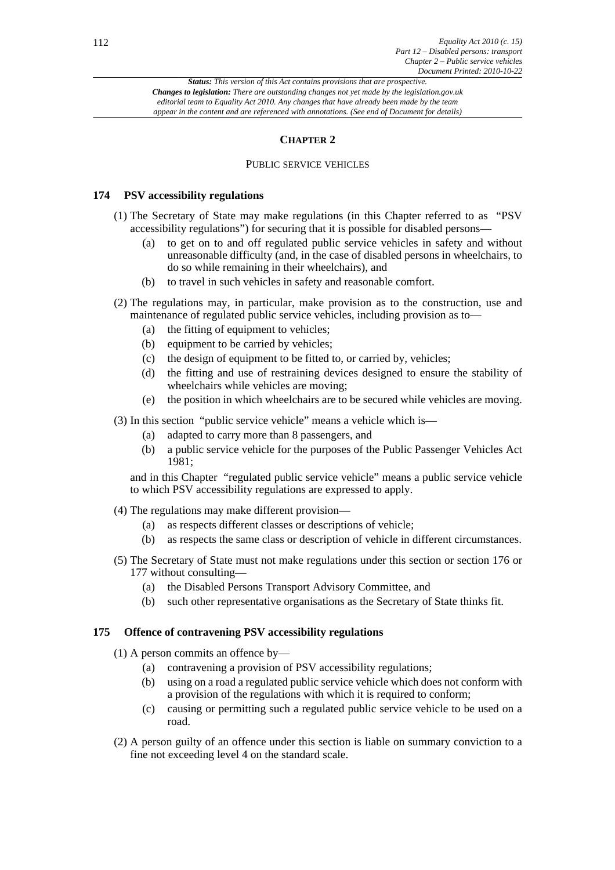## **CHAPTER 2**

#### PUBLIC SERVICE VEHICLES

## **174 PSV accessibility regulations**

- (1) The Secretary of State may make regulations (in this Chapter referred to as "PSV accessibility regulations") for securing that it is possible for disabled persons—
	- (a) to get on to and off regulated public service vehicles in safety and without unreasonable difficulty (and, in the case of disabled persons in wheelchairs, to do so while remaining in their wheelchairs), and
	- (b) to travel in such vehicles in safety and reasonable comfort.
- (2) The regulations may, in particular, make provision as to the construction, use and maintenance of regulated public service vehicles, including provision as to—
	- (a) the fitting of equipment to vehicles;
	- (b) equipment to be carried by vehicles;
	- (c) the design of equipment to be fitted to, or carried by, vehicles;
	- (d) the fitting and use of restraining devices designed to ensure the stability of wheelchairs while vehicles are moving;
	- (e) the position in which wheelchairs are to be secured while vehicles are moving.
- (3) In this section "public service vehicle" means a vehicle which is—
	- (a) adapted to carry more than 8 passengers, and
	- (b) a public service vehicle for the purposes of the Public Passenger Vehicles Act 1981;

and in this Chapter "regulated public service vehicle" means a public service vehicle to which PSV accessibility regulations are expressed to apply.

- (4) The regulations may make different provision—
	- (a) as respects different classes or descriptions of vehicle;
	- (b) as respects the same class or description of vehicle in different circumstances.
- (5) The Secretary of State must not make regulations under this section or section 176 or 177 without consulting—
	- (a) the Disabled Persons Transport Advisory Committee, and
	- (b) such other representative organisations as the Secretary of State thinks fit.

## **175 Offence of contravening PSV accessibility regulations**

- (1) A person commits an offence by—
	- (a) contravening a provision of PSV accessibility regulations;
	- (b) using on a road a regulated public service vehicle which does not conform with a provision of the regulations with which it is required to conform;
	- (c) causing or permitting such a regulated public service vehicle to be used on a road.
- (2) A person guilty of an offence under this section is liable on summary conviction to a fine not exceeding level 4 on the standard scale.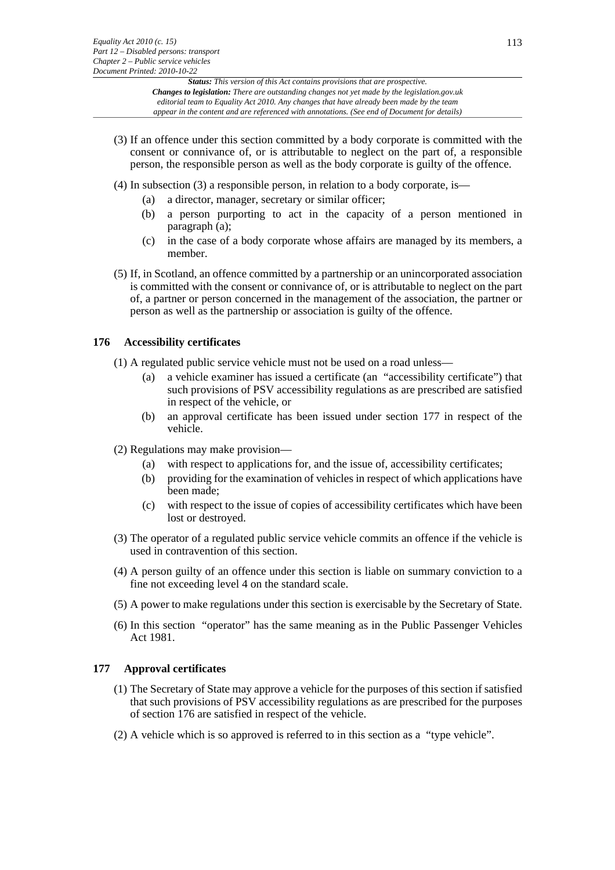- (3) If an offence under this section committed by a body corporate is committed with the consent or connivance of, or is attributable to neglect on the part of, a responsible person, the responsible person as well as the body corporate is guilty of the offence.
- (4) In subsection (3) a responsible person, in relation to a body corporate, is—
	- (a) a director, manager, secretary or similar officer;
	- (b) a person purporting to act in the capacity of a person mentioned in paragraph (a);
	- (c) in the case of a body corporate whose affairs are managed by its members, a member.
- (5) If, in Scotland, an offence committed by a partnership or an unincorporated association is committed with the consent or connivance of, or is attributable to neglect on the part of, a partner or person concerned in the management of the association, the partner or person as well as the partnership or association is guilty of the offence.

# **176 Accessibility certificates**

- (1) A regulated public service vehicle must not be used on a road unless—
	- (a) a vehicle examiner has issued a certificate (an "accessibility certificate") that such provisions of PSV accessibility regulations as are prescribed are satisfied in respect of the vehicle, or
	- (b) an approval certificate has been issued under section 177 in respect of the vehicle.
- (2) Regulations may make provision—
	- (a) with respect to applications for, and the issue of, accessibility certificates;
	- (b) providing for the examination of vehicles in respect of which applications have been made;
	- (c) with respect to the issue of copies of accessibility certificates which have been lost or destroyed.
- (3) The operator of a regulated public service vehicle commits an offence if the vehicle is used in contravention of this section.
- (4) A person guilty of an offence under this section is liable on summary conviction to a fine not exceeding level 4 on the standard scale.
- (5) A power to make regulations under this section is exercisable by the Secretary of State.
- (6) In this section "operator" has the same meaning as in the Public Passenger Vehicles Act 1981.

## **177 Approval certificates**

- (1) The Secretary of State may approve a vehicle for the purposes of this section if satisfied that such provisions of PSV accessibility regulations as are prescribed for the purposes of section 176 are satisfied in respect of the vehicle.
- (2) A vehicle which is so approved is referred to in this section as a "type vehicle".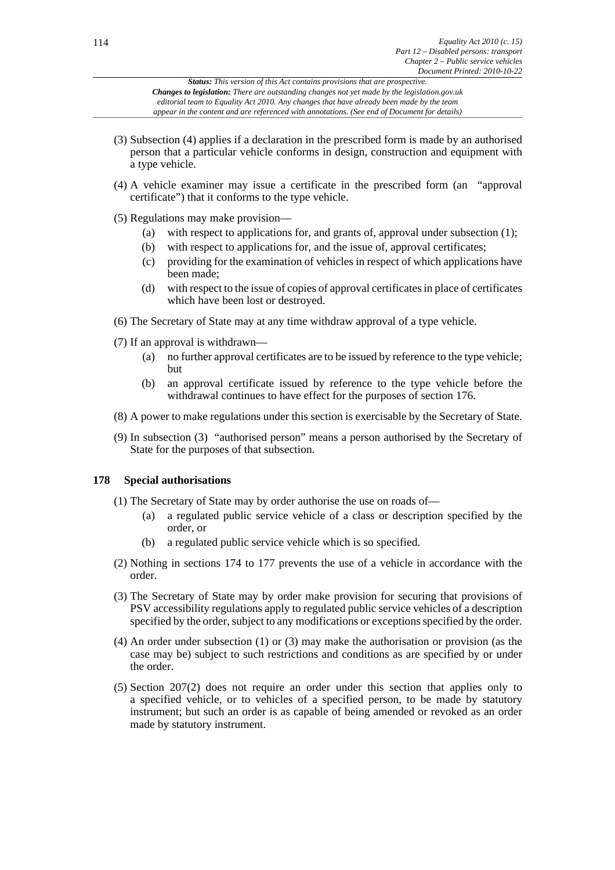- (3) Subsection (4) applies if a declaration in the prescribed form is made by an authorised person that a particular vehicle conforms in design, construction and equipment with a type vehicle.
- (4) A vehicle examiner may issue a certificate in the prescribed form (an "approval certificate") that it conforms to the type vehicle.
- (5) Regulations may make provision—
	- (a) with respect to applications for, and grants of, approval under subsection (1);
	- (b) with respect to applications for, and the issue of, approval certificates;
	- (c) providing for the examination of vehicles in respect of which applications have been made;
	- (d) with respect to the issue of copies of approval certificates in place of certificates which have been lost or destroyed.
- (6) The Secretary of State may at any time withdraw approval of a type vehicle.
- (7) If an approval is withdrawn—
	- (a) no further approval certificates are to be issued by reference to the type vehicle; but
	- (b) an approval certificate issued by reference to the type vehicle before the withdrawal continues to have effect for the purposes of section 176.
- (8) A power to make regulations under this section is exercisable by the Secretary of State.
- (9) In subsection (3) "authorised person" means a person authorised by the Secretary of State for the purposes of that subsection.

## **178 Special authorisations**

- (1) The Secretary of State may by order authorise the use on roads of—
	- (a) a regulated public service vehicle of a class or description specified by the order, or
	- (b) a regulated public service vehicle which is so specified.
- (2) Nothing in sections 174 to 177 prevents the use of a vehicle in accordance with the order.
- (3) The Secretary of State may by order make provision for securing that provisions of PSV accessibility regulations apply to regulated public service vehicles of a description specified by the order, subject to any modifications or exceptions specified by the order.
- (4) An order under subsection (1) or (3) may make the authorisation or provision (as the case may be) subject to such restrictions and conditions as are specified by or under the order.
- (5) Section 207(2) does not require an order under this section that applies only to a specified vehicle, or to vehicles of a specified person, to be made by statutory instrument; but such an order is as capable of being amended or revoked as an order made by statutory instrument.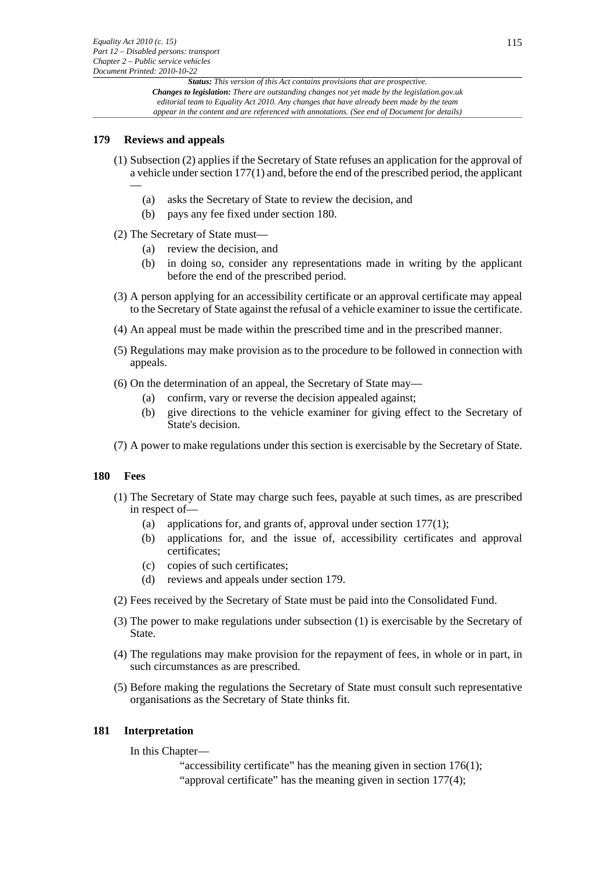# **179 Reviews and appeals**

- (1) Subsection (2) applies if the Secretary of State refuses an application for the approval of a vehicle under section 177(1) and, before the end of the prescribed period, the applicant —
	- (a) asks the Secretary of State to review the decision, and
	- (b) pays any fee fixed under section 180.
- (2) The Secretary of State must—
	- (a) review the decision, and
	- (b) in doing so, consider any representations made in writing by the applicant before the end of the prescribed period.
- (3) A person applying for an accessibility certificate or an approval certificate may appeal to the Secretary of State against the refusal of a vehicle examiner to issue the certificate.
- (4) An appeal must be made within the prescribed time and in the prescribed manner.
- (5) Regulations may make provision as to the procedure to be followed in connection with appeals.
- (6) On the determination of an appeal, the Secretary of State may—
	- (a) confirm, vary or reverse the decision appealed against;
	- (b) give directions to the vehicle examiner for giving effect to the Secretary of State's decision.
- (7) A power to make regulations under this section is exercisable by the Secretary of State.

## **180 Fees**

- (1) The Secretary of State may charge such fees, payable at such times, as are prescribed in respect of—
	- (a) applications for, and grants of, approval under section  $177(1)$ ;
	- (b) applications for, and the issue of, accessibility certificates and approval certificates;
	- (c) copies of such certificates;
	- (d) reviews and appeals under section 179.
- (2) Fees received by the Secretary of State must be paid into the Consolidated Fund.
- (3) The power to make regulations under subsection (1) is exercisable by the Secretary of State.
- (4) The regulations may make provision for the repayment of fees, in whole or in part, in such circumstances as are prescribed.
- (5) Before making the regulations the Secretary of State must consult such representative organisations as the Secretary of State thinks fit.

## **181 Interpretation**

In this Chapter—

"accessibility certificate" has the meaning given in section 176(1); "approval certificate" has the meaning given in section 177(4);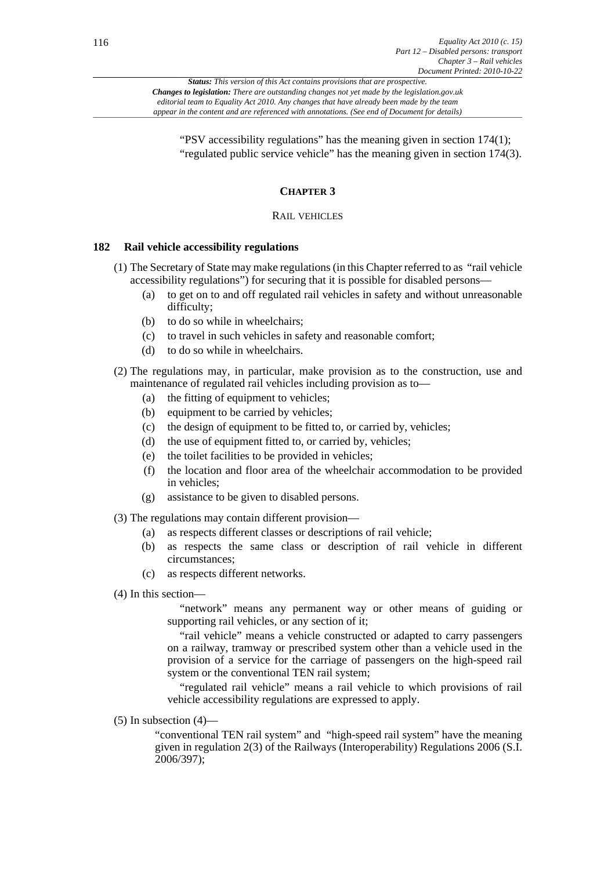"PSV accessibility regulations" has the meaning given in section 174(1); "regulated public service vehicle" has the meaning given in section 174(3).

# **CHAPTER 3**

# RAIL VEHICLES

# **182 Rail vehicle accessibility regulations**

- (1) The Secretary of State may make regulations (in this Chapter referred to as "rail vehicle accessibility regulations") for securing that it is possible for disabled persons—
	- (a) to get on to and off regulated rail vehicles in safety and without unreasonable difficulty;
	- (b) to do so while in wheelchairs;
	- (c) to travel in such vehicles in safety and reasonable comfort;
	- (d) to do so while in wheelchairs.
- (2) The regulations may, in particular, make provision as to the construction, use and maintenance of regulated rail vehicles including provision as to—
	- (a) the fitting of equipment to vehicles;
	- (b) equipment to be carried by vehicles;
	- (c) the design of equipment to be fitted to, or carried by, vehicles;
	- (d) the use of equipment fitted to, or carried by, vehicles;
	- (e) the toilet facilities to be provided in vehicles;
	- (f) the location and floor area of the wheelchair accommodation to be provided in vehicles;
	- (g) assistance to be given to disabled persons.
- (3) The regulations may contain different provision—
	- (a) as respects different classes or descriptions of rail vehicle;
	- (b) as respects the same class or description of rail vehicle in different circumstances;
	- (c) as respects different networks.
- (4) In this section—

"network" means any permanent way or other means of guiding or supporting rail vehicles, or any section of it;

"rail vehicle" means a vehicle constructed or adapted to carry passengers on a railway, tramway or prescribed system other than a vehicle used in the provision of a service for the carriage of passengers on the high-speed rail system or the conventional TEN rail system;

"regulated rail vehicle" means a rail vehicle to which provisions of rail vehicle accessibility regulations are expressed to apply.

 $(5)$  In subsection  $(4)$ —

"conventional TEN rail system" and "high-speed rail system" have the meaning given in regulation 2(3) of the Railways (Interoperability) Regulations 2006 (S.I. 2006/397);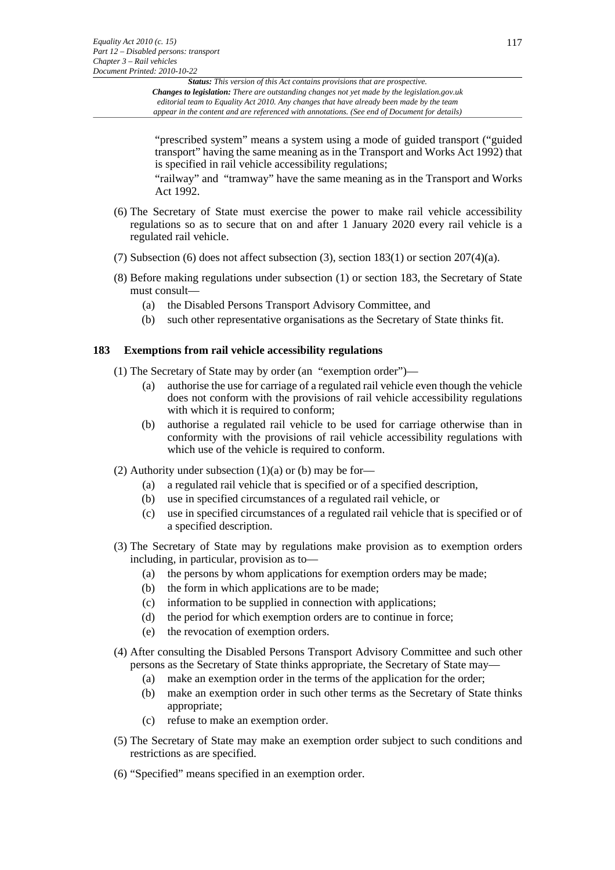"prescribed system" means a system using a mode of guided transport ("guided transport" having the same meaning as in the Transport and Works Act 1992) that is specified in rail vehicle accessibility regulations;

"railway" and "tramway" have the same meaning as in the Transport and Works Act 1992.

- (6) The Secretary of State must exercise the power to make rail vehicle accessibility regulations so as to secure that on and after 1 January 2020 every rail vehicle is a regulated rail vehicle.
- (7) Subsection (6) does not affect subsection (3), section  $183(1)$  or section  $207(4)(a)$ .
- (8) Before making regulations under subsection (1) or section 183, the Secretary of State must consult—
	- (a) the Disabled Persons Transport Advisory Committee, and
	- (b) such other representative organisations as the Secretary of State thinks fit.

# **183 Exemptions from rail vehicle accessibility regulations**

- (1) The Secretary of State may by order (an "exemption order")—
	- (a) authorise the use for carriage of a regulated rail vehicle even though the vehicle does not conform with the provisions of rail vehicle accessibility regulations with which it is required to conform;
	- (b) authorise a regulated rail vehicle to be used for carriage otherwise than in conformity with the provisions of rail vehicle accessibility regulations with which use of the vehicle is required to conform.
- (2) Authority under subsection  $(1)(a)$  or  $(b)$  may be for-
	- (a) a regulated rail vehicle that is specified or of a specified description,
	- (b) use in specified circumstances of a regulated rail vehicle, or
	- (c) use in specified circumstances of a regulated rail vehicle that is specified or of a specified description.
- (3) The Secretary of State may by regulations make provision as to exemption orders including, in particular, provision as to—
	- (a) the persons by whom applications for exemption orders may be made;
	- (b) the form in which applications are to be made;
	- (c) information to be supplied in connection with applications;
	- (d) the period for which exemption orders are to continue in force;
	- (e) the revocation of exemption orders.
- (4) After consulting the Disabled Persons Transport Advisory Committee and such other persons as the Secretary of State thinks appropriate, the Secretary of State may—
	- (a) make an exemption order in the terms of the application for the order;
	- (b) make an exemption order in such other terms as the Secretary of State thinks appropriate;
	- (c) refuse to make an exemption order.
- (5) The Secretary of State may make an exemption order subject to such conditions and restrictions as are specified.
- (6) "Specified" means specified in an exemption order.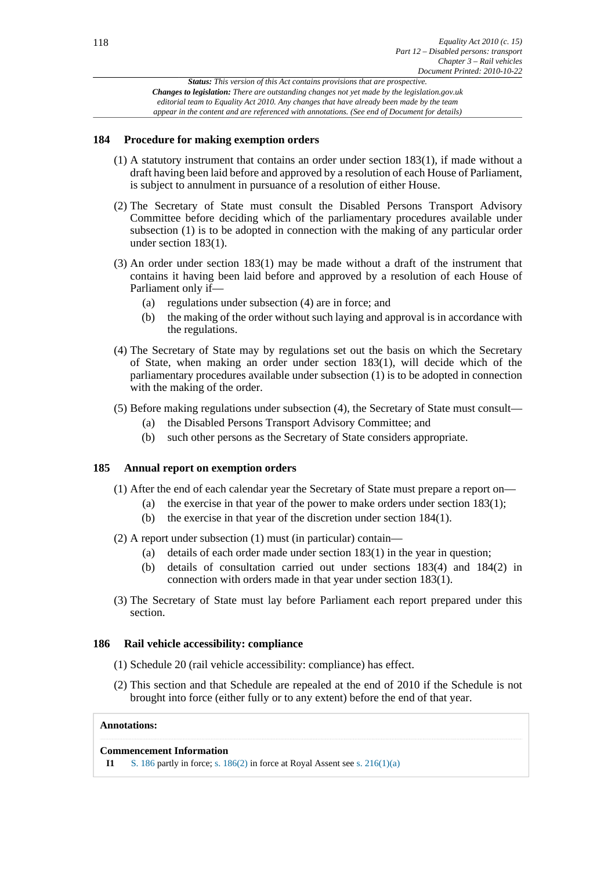# **184 Procedure for making exemption orders**

- (1) A statutory instrument that contains an order under section 183(1), if made without a draft having been laid before and approved by a resolution of each House of Parliament, is subject to annulment in pursuance of a resolution of either House.
- (2) The Secretary of State must consult the Disabled Persons Transport Advisory Committee before deciding which of the parliamentary procedures available under subsection (1) is to be adopted in connection with the making of any particular order under section 183(1).
- (3) An order under section 183(1) may be made without a draft of the instrument that contains it having been laid before and approved by a resolution of each House of Parliament only if—
	- (a) regulations under subsection (4) are in force; and
	- (b) the making of the order without such laying and approval is in accordance with the regulations.
- (4) The Secretary of State may by regulations set out the basis on which the Secretary of State, when making an order under section 183(1), will decide which of the parliamentary procedures available under subsection (1) is to be adopted in connection with the making of the order.
- (5) Before making regulations under subsection (4), the Secretary of State must consult—
	- (a) the Disabled Persons Transport Advisory Committee; and
	- (b) such other persons as the Secretary of State considers appropriate.

# **185 Annual report on exemption orders**

- (1) After the end of each calendar year the Secretary of State must prepare a report on—
	- (a) the exercise in that year of the power to make orders under section 183(1);
	- (b) the exercise in that year of the discretion under section 184(1).
- (2) A report under subsection (1) must (in particular) contain—
	- (a) details of each order made under section 183(1) in the year in question;
	- (b) details of consultation carried out under sections 183(4) and 184(2) in connection with orders made in that year under section 183(1).
- (3) The Secretary of State must lay before Parliament each report prepared under this section.

## **186 Rail vehicle accessibility: compliance**

- (1) Schedule 20 (rail vehicle accessibility: compliance) has effect.
- (2) This section and that Schedule are repealed at the end of 2010 if the Schedule is not brought into force (either fully or to any extent) before the end of that year.

# **Annotations:**

#### **Commencement Information**

**I1** [S. 186](http://www.legislation.gov.uk/id/ukpga/2010/15/section/186) partly in force; [s. 186\(2\)](http://www.legislation.gov.uk/id/ukpga/2010/15/section/186/2) in force at Royal Assent see s.  $216(1)(a)$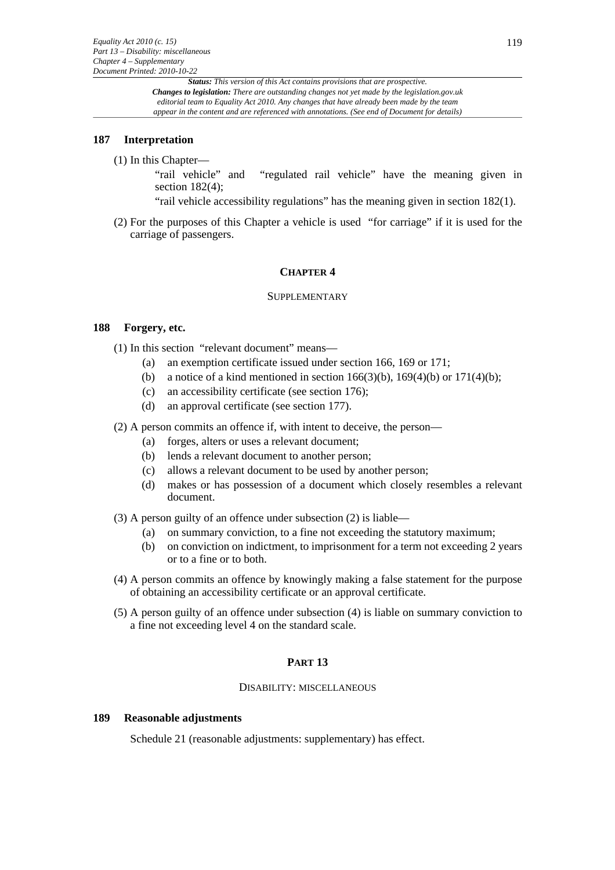## **187 Interpretation**

- (1) In this Chapter—
	- "rail vehicle" and "regulated rail vehicle" have the meaning given in section 182(4);

"rail vehicle accessibility regulations" has the meaning given in section 182(1).

(2) For the purposes of this Chapter a vehicle is used "for carriage" if it is used for the carriage of passengers.

## **CHAPTER 4**

#### SUPPLEMENTARY

## **188 Forgery, etc.**

- (1) In this section "relevant document" means—
	- (a) an exemption certificate issued under section 166, 169 or 171;
	- (b) a notice of a kind mentioned in section  $166(3)(b)$ ,  $169(4)(b)$  or  $171(4)(b)$ ;
	- (c) an accessibility certificate (see section 176);
	- (d) an approval certificate (see section 177).
- (2) A person commits an offence if, with intent to deceive, the person—
	- (a) forges, alters or uses a relevant document;
	- (b) lends a relevant document to another person;
	- (c) allows a relevant document to be used by another person;
	- (d) makes or has possession of a document which closely resembles a relevant document.
- (3) A person guilty of an offence under subsection (2) is liable—
	- (a) on summary conviction, to a fine not exceeding the statutory maximum;
	- (b) on conviction on indictment, to imprisonment for a term not exceeding 2 years or to a fine or to both.
- (4) A person commits an offence by knowingly making a false statement for the purpose of obtaining an accessibility certificate or an approval certificate.
- (5) A person guilty of an offence under subsection (4) is liable on summary conviction to a fine not exceeding level 4 on the standard scale.

#### **PART 13**

#### DISABILITY: MISCELLANEOUS

#### **189 Reasonable adjustments**

Schedule 21 (reasonable adjustments: supplementary) has effect.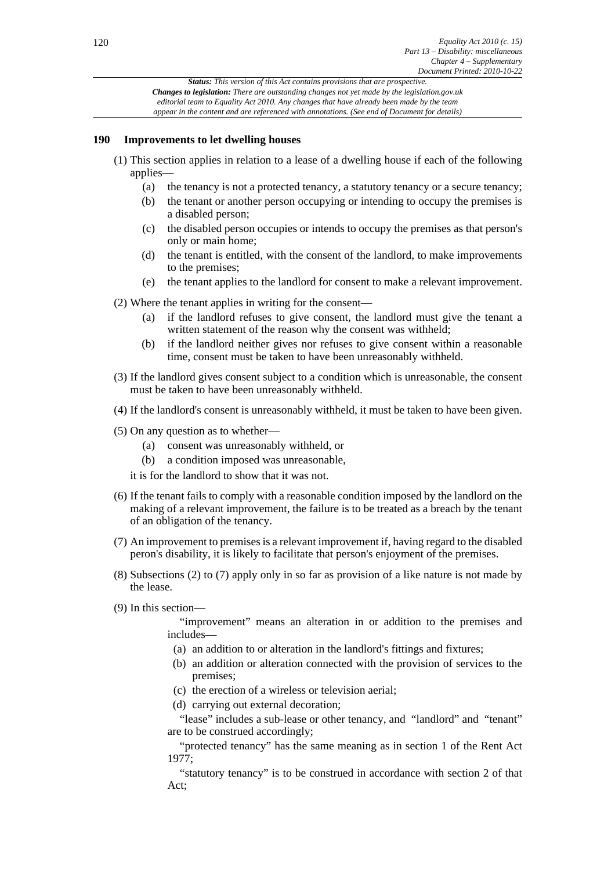# **190 Improvements to let dwelling houses**

- (1) This section applies in relation to a lease of a dwelling house if each of the following applies—
	- (a) the tenancy is not a protected tenancy, a statutory tenancy or a secure tenancy;
	- (b) the tenant or another person occupying or intending to occupy the premises is a disabled person;
	- (c) the disabled person occupies or intends to occupy the premises as that person's only or main home;
	- (d) the tenant is entitled, with the consent of the landlord, to make improvements to the premises;
	- (e) the tenant applies to the landlord for consent to make a relevant improvement.
- (2) Where the tenant applies in writing for the consent—
	- (a) if the landlord refuses to give consent, the landlord must give the tenant a written statement of the reason why the consent was withheld;
	- (b) if the landlord neither gives nor refuses to give consent within a reasonable time, consent must be taken to have been unreasonably withheld.
- (3) If the landlord gives consent subject to a condition which is unreasonable, the consent must be taken to have been unreasonably withheld.
- (4) If the landlord's consent is unreasonably withheld, it must be taken to have been given.
- (5) On any question as to whether—
	- (a) consent was unreasonably withheld, or
	- (b) a condition imposed was unreasonable,
	- it is for the landlord to show that it was not.
- (6) If the tenant fails to comply with a reasonable condition imposed by the landlord on the making of a relevant improvement, the failure is to be treated as a breach by the tenant of an obligation of the tenancy.
- (7) An improvement to premises is a relevant improvement if, having regard to the disabled peron's disability, it is likely to facilitate that person's enjoyment of the premises.
- (8) Subsections (2) to (7) apply only in so far as provision of a like nature is not made by the lease.
- (9) In this section—

"improvement" means an alteration in or addition to the premises and includes—

- (a) an addition to or alteration in the landlord's fittings and fixtures;
- (b) an addition or alteration connected with the provision of services to the premises;
- (c) the erection of a wireless or television aerial;
- (d) carrying out external decoration;

"lease" includes a sub-lease or other tenancy, and "landlord" and "tenant" are to be construed accordingly;

"protected tenancy" has the same meaning as in section 1 of the Rent Act 1977;

"statutory tenancy" is to be construed in accordance with section 2 of that Act;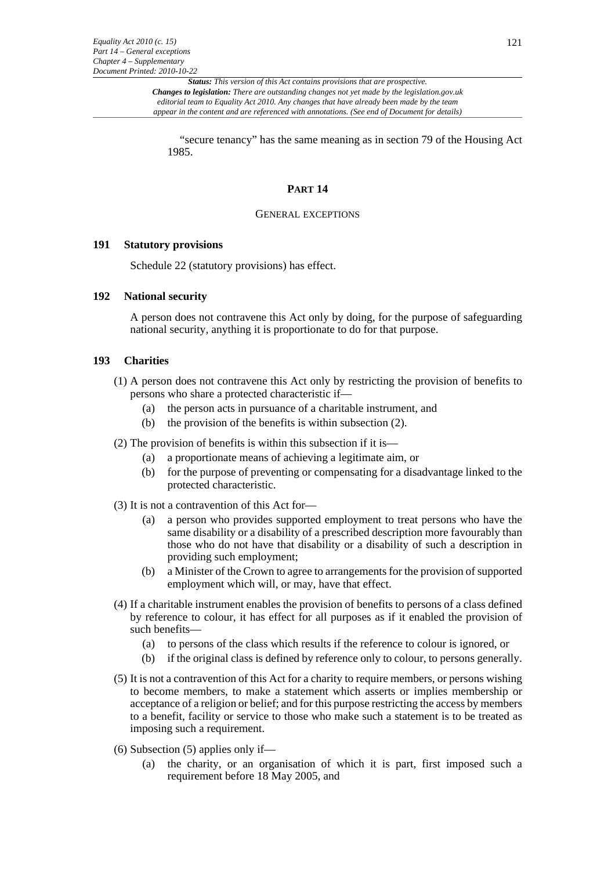"secure tenancy" has the same meaning as in section 79 of the Housing Act 1985.

## **PART 14**

#### GENERAL EXCEPTIONS

#### **191 Statutory provisions**

Schedule 22 (statutory provisions) has effect.

## **192 National security**

A person does not contravene this Act only by doing, for the purpose of safeguarding national security, anything it is proportionate to do for that purpose.

# **193 Charities**

- (1) A person does not contravene this Act only by restricting the provision of benefits to persons who share a protected characteristic if—
	- (a) the person acts in pursuance of a charitable instrument, and
	- (b) the provision of the benefits is within subsection (2).
- (2) The provision of benefits is within this subsection if it is—
	- (a) a proportionate means of achieving a legitimate aim, or
	- (b) for the purpose of preventing or compensating for a disadvantage linked to the protected characteristic.
- (3) It is not a contravention of this Act for—
	- (a) a person who provides supported employment to treat persons who have the same disability or a disability of a prescribed description more favourably than those who do not have that disability or a disability of such a description in providing such employment;
	- (b) a Minister of the Crown to agree to arrangements for the provision of supported employment which will, or may, have that effect.
- (4) If a charitable instrument enables the provision of benefits to persons of a class defined by reference to colour, it has effect for all purposes as if it enabled the provision of such benefits—
	- (a) to persons of the class which results if the reference to colour is ignored, or
	- (b) if the original class is defined by reference only to colour, to persons generally.
- (5) It is not a contravention of this Act for a charity to require members, or persons wishing to become members, to make a statement which asserts or implies membership or acceptance of a religion or belief; and for this purpose restricting the access by members to a benefit, facility or service to those who make such a statement is to be treated as imposing such a requirement.
- (6) Subsection (5) applies only if—
	- (a) the charity, or an organisation of which it is part, first imposed such a requirement before 18 May 2005, and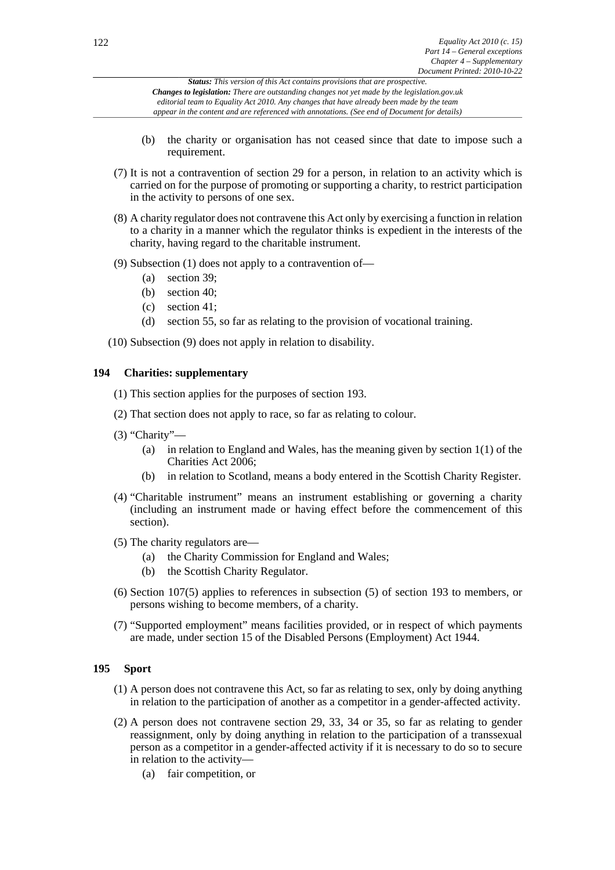- (b) the charity or organisation has not ceased since that date to impose such a requirement.
- (7) It is not a contravention of section 29 for a person, in relation to an activity which is carried on for the purpose of promoting or supporting a charity, to restrict participation in the activity to persons of one sex.
- (8) A charity regulator does not contravene this Act only by exercising a function in relation to a charity in a manner which the regulator thinks is expedient in the interests of the charity, having regard to the charitable instrument.
- (9) Subsection (1) does not apply to a contravention of—
	- (a) section 39;
	- (b) section 40;
	- (c) section 41;
	- (d) section 55, so far as relating to the provision of vocational training.

(10) Subsection (9) does not apply in relation to disability.

# **194 Charities: supplementary**

- (1) This section applies for the purposes of section 193.
- (2) That section does not apply to race, so far as relating to colour.
- (3) "Charity"—
	- (a) in relation to England and Wales, has the meaning given by section 1(1) of the Charities Act 2006;
	- (b) in relation to Scotland, means a body entered in the Scottish Charity Register.
- (4) "Charitable instrument" means an instrument establishing or governing a charity (including an instrument made or having effect before the commencement of this section).
- (5) The charity regulators are—
	- (a) the Charity Commission for England and Wales;
	- (b) the Scottish Charity Regulator.
- (6) Section 107(5) applies to references in subsection (5) of section 193 to members, or persons wishing to become members, of a charity.
- (7) "Supported employment" means facilities provided, or in respect of which payments are made, under section 15 of the Disabled Persons (Employment) Act 1944.

# **195 Sport**

- (1) A person does not contravene this Act, so far as relating to sex, only by doing anything in relation to the participation of another as a competitor in a gender-affected activity.
- (2) A person does not contravene section 29, 33, 34 or 35, so far as relating to gender reassignment, only by doing anything in relation to the participation of a transsexual person as a competitor in a gender-affected activity if it is necessary to do so to secure in relation to the activity—
	- (a) fair competition, or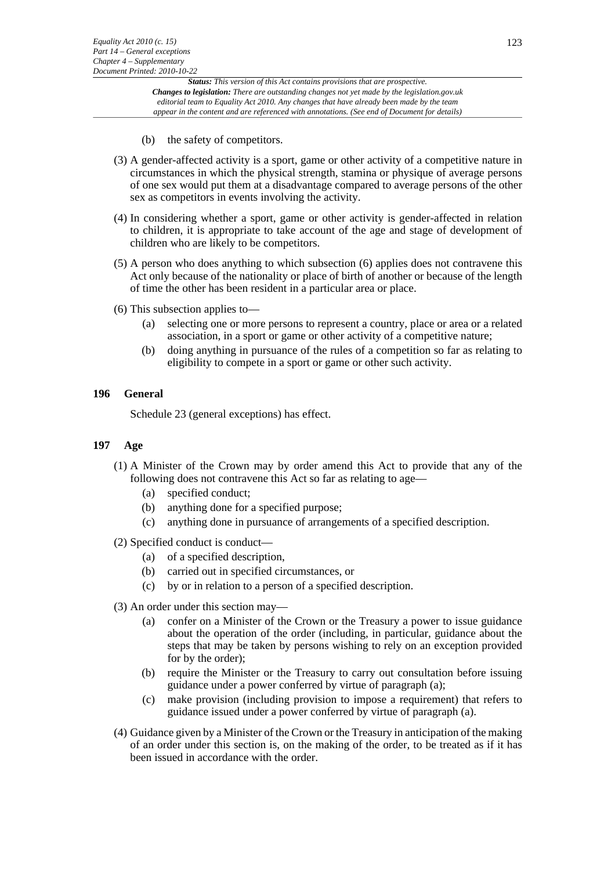- (b) the safety of competitors.
- (3) A gender-affected activity is a sport, game or other activity of a competitive nature in circumstances in which the physical strength, stamina or physique of average persons of one sex would put them at a disadvantage compared to average persons of the other sex as competitors in events involving the activity.
- (4) In considering whether a sport, game or other activity is gender-affected in relation to children, it is appropriate to take account of the age and stage of development of children who are likely to be competitors.
- (5) A person who does anything to which subsection (6) applies does not contravene this Act only because of the nationality or place of birth of another or because of the length of time the other has been resident in a particular area or place.
- (6) This subsection applies to—
	- (a) selecting one or more persons to represent a country, place or area or a related association, in a sport or game or other activity of a competitive nature;
	- (b) doing anything in pursuance of the rules of a competition so far as relating to eligibility to compete in a sport or game or other such activity.

# **196 General**

Schedule 23 (general exceptions) has effect.

## **197 Age**

- (1) A Minister of the Crown may by order amend this Act to provide that any of the following does not contravene this Act so far as relating to age—
	- (a) specified conduct;
	- (b) anything done for a specified purpose;
	- (c) anything done in pursuance of arrangements of a specified description.
- (2) Specified conduct is conduct—
	- (a) of a specified description,
	- (b) carried out in specified circumstances, or
	- (c) by or in relation to a person of a specified description.
- (3) An order under this section may—
	- (a) confer on a Minister of the Crown or the Treasury a power to issue guidance about the operation of the order (including, in particular, guidance about the steps that may be taken by persons wishing to rely on an exception provided for by the order);
	- (b) require the Minister or the Treasury to carry out consultation before issuing guidance under a power conferred by virtue of paragraph (a);
	- (c) make provision (including provision to impose a requirement) that refers to guidance issued under a power conferred by virtue of paragraph (a).
- (4) Guidance given by a Minister of the Crown or the Treasury in anticipation of the making of an order under this section is, on the making of the order, to be treated as if it has been issued in accordance with the order.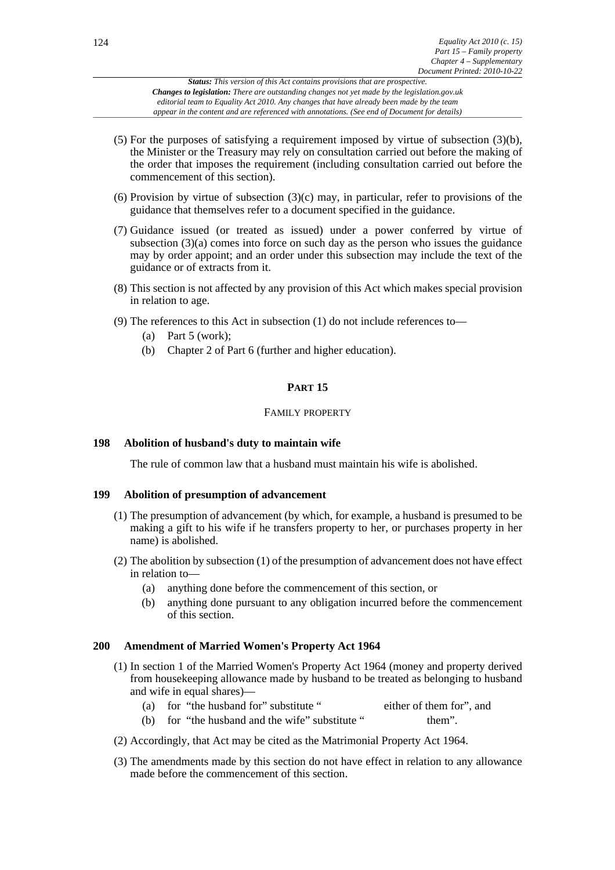- (5) For the purposes of satisfying a requirement imposed by virtue of subsection (3)(b), the Minister or the Treasury may rely on consultation carried out before the making of the order that imposes the requirement (including consultation carried out before the commencement of this section).
- (6) Provision by virtue of subsection (3)(c) may, in particular, refer to provisions of the guidance that themselves refer to a document specified in the guidance.
- (7) Guidance issued (or treated as issued) under a power conferred by virtue of subsection  $(3)(a)$  comes into force on such day as the person who issues the guidance may by order appoint; and an order under this subsection may include the text of the guidance or of extracts from it.
- (8) This section is not affected by any provision of this Act which makes special provision in relation to age.
- (9) The references to this Act in subsection (1) do not include references to—
	- (a) Part 5 (work);
	- (b) Chapter 2 of Part 6 (further and higher education).

# **PART 15**

## FAMILY PROPERTY

#### **198 Abolition of husband's duty to maintain wife**

The rule of common law that a husband must maintain his wife is abolished.

#### **199 Abolition of presumption of advancement**

- (1) The presumption of advancement (by which, for example, a husband is presumed to be making a gift to his wife if he transfers property to her, or purchases property in her name) is abolished.
- (2) The abolition by subsection (1) of the presumption of advancement does not have effect in relation to—
	- (a) anything done before the commencement of this section, or
	- (b) anything done pursuant to any obligation incurred before the commencement of this section.

#### **200 Amendment of Married Women's Property Act 1964**

- (1) In section 1 of the Married Women's Property Act 1964 (money and property derived from housekeeping allowance made by husband to be treated as belonging to husband and wife in equal shares)—
	- (a) for "the husband for" substitute " either of them for", and
	- (b) for "the husband and the wife" substitute " them".
- (2) Accordingly, that Act may be cited as the Matrimonial Property Act 1964.
- (3) The amendments made by this section do not have effect in relation to any allowance made before the commencement of this section.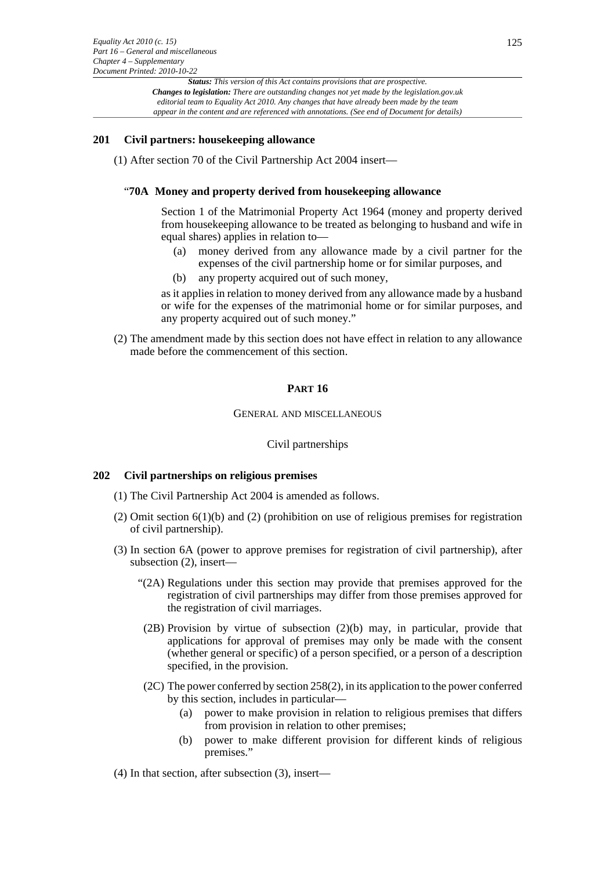#### **201 Civil partners: housekeeping allowance**

(1) After section 70 of the Civil Partnership Act 2004 insert—

#### "**70A Money and property derived from housekeeping allowance**

Section 1 of the Matrimonial Property Act 1964 (money and property derived from housekeeping allowance to be treated as belonging to husband and wife in equal shares) applies in relation to—

- (a) money derived from any allowance made by a civil partner for the expenses of the civil partnership home or for similar purposes, and
- (b) any property acquired out of such money,

as it applies in relation to money derived from any allowance made by a husband or wife for the expenses of the matrimonial home or for similar purposes, and any property acquired out of such money."

(2) The amendment made by this section does not have effect in relation to any allowance made before the commencement of this section.

#### **PART 16**

#### GENERAL AND MISCELLANEOUS

#### Civil partnerships

#### **202 Civil partnerships on religious premises**

- (1) The Civil Partnership Act 2004 is amended as follows.
- (2) Omit section 6(1)(b) and (2) (prohibition on use of religious premises for registration of civil partnership).
- (3) In section 6A (power to approve premises for registration of civil partnership), after subsection (2), insert—
	- "(2A) Regulations under this section may provide that premises approved for the registration of civil partnerships may differ from those premises approved for the registration of civil marriages.
	- (2B) Provision by virtue of subsection (2)(b) may, in particular, provide that applications for approval of premises may only be made with the consent (whether general or specific) of a person specified, or a person of a description specified, in the provision.
	- (2C) The power conferred by section 258(2), in its application to the power conferred by this section, includes in particular—
		- (a) power to make provision in relation to religious premises that differs from provision in relation to other premises;
		- (b) power to make different provision for different kinds of religious premises."

(4) In that section, after subsection (3), insert—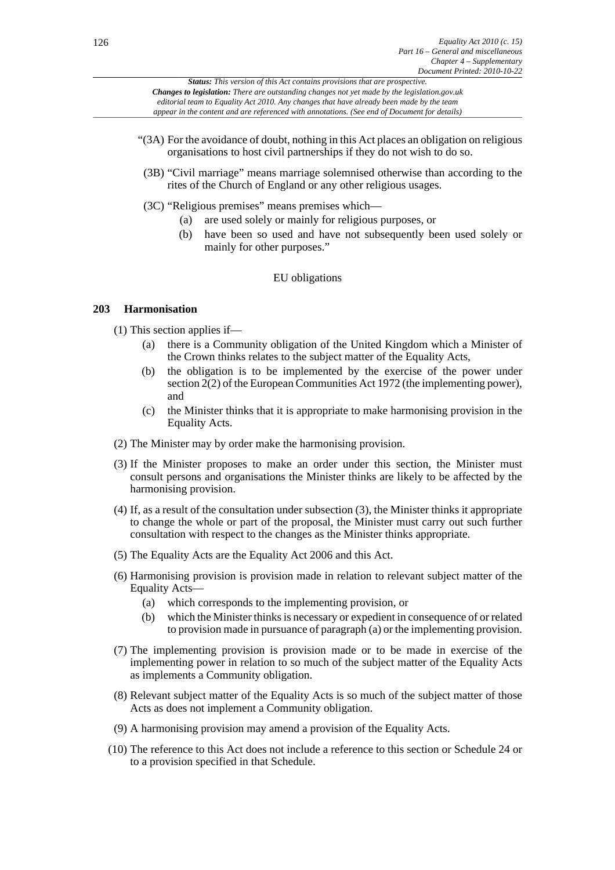- "(3A) For the avoidance of doubt, nothing in this Act places an obligation on religious organisations to host civil partnerships if they do not wish to do so.
- (3B) "Civil marriage" means marriage solemnised otherwise than according to the rites of the Church of England or any other religious usages.
- (3C) "Religious premises" means premises which—
	- (a) are used solely or mainly for religious purposes, or
	- (b) have been so used and have not subsequently been used solely or mainly for other purposes."

# EU obligations

## **203 Harmonisation**

(1) This section applies if—

- (a) there is a Community obligation of the United Kingdom which a Minister of the Crown thinks relates to the subject matter of the Equality Acts,
- (b) the obligation is to be implemented by the exercise of the power under section 2(2) of the European Communities Act 1972 (the implementing power), and
- (c) the Minister thinks that it is appropriate to make harmonising provision in the Equality Acts.
- (2) The Minister may by order make the harmonising provision.
- (3) If the Minister proposes to make an order under this section, the Minister must consult persons and organisations the Minister thinks are likely to be affected by the harmonising provision.
- (4) If, as a result of the consultation under subsection (3), the Minister thinks it appropriate to change the whole or part of the proposal, the Minister must carry out such further consultation with respect to the changes as the Minister thinks appropriate.
- (5) The Equality Acts are the Equality Act 2006 and this Act.
- (6) Harmonising provision is provision made in relation to relevant subject matter of the Equality Acts—
	- (a) which corresponds to the implementing provision, or
	- (b) which the Minister thinks is necessary or expedient in consequence of or related to provision made in pursuance of paragraph (a) or the implementing provision.
- (7) The implementing provision is provision made or to be made in exercise of the implementing power in relation to so much of the subject matter of the Equality Acts as implements a Community obligation.
- (8) Relevant subject matter of the Equality Acts is so much of the subject matter of those Acts as does not implement a Community obligation.
- (9) A harmonising provision may amend a provision of the Equality Acts.
- (10) The reference to this Act does not include a reference to this section or Schedule 24 or to a provision specified in that Schedule.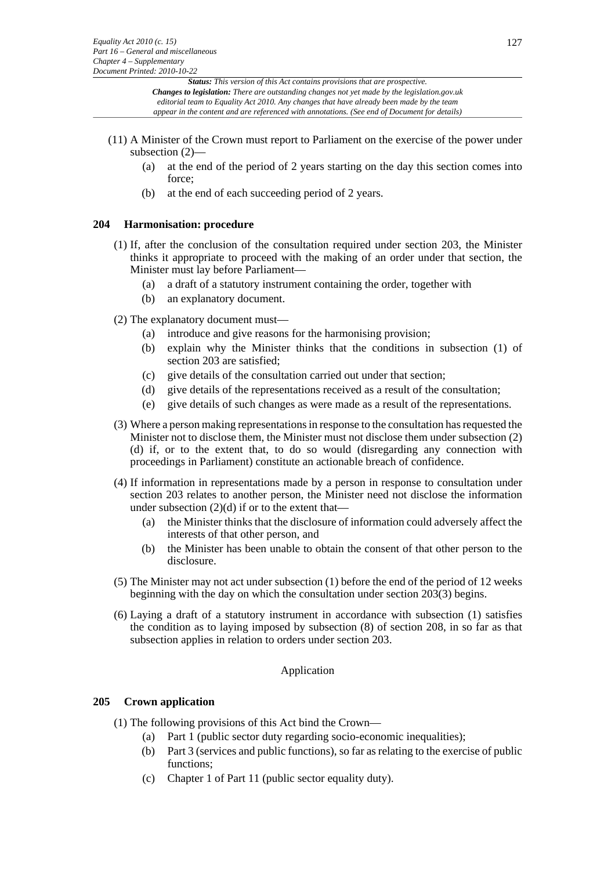- (11) A Minister of the Crown must report to Parliament on the exercise of the power under subsection (2)—
	- (a) at the end of the period of 2 years starting on the day this section comes into force;
	- (b) at the end of each succeeding period of 2 years.

# **204 Harmonisation: procedure**

- (1) If, after the conclusion of the consultation required under section 203, the Minister thinks it appropriate to proceed with the making of an order under that section, the Minister must lay before Parliament—
	- (a) a draft of a statutory instrument containing the order, together with
	- (b) an explanatory document.
- (2) The explanatory document must—
	- (a) introduce and give reasons for the harmonising provision;
	- (b) explain why the Minister thinks that the conditions in subsection (1) of section 203 are satisfied;
	- (c) give details of the consultation carried out under that section;
	- (d) give details of the representations received as a result of the consultation;
	- (e) give details of such changes as were made as a result of the representations.
- (3) Where a person making representations in response to the consultation has requested the Minister not to disclose them, the Minister must not disclose them under subsection (2) (d) if, or to the extent that, to do so would (disregarding any connection with proceedings in Parliament) constitute an actionable breach of confidence.
- (4) If information in representations made by a person in response to consultation under section 203 relates to another person, the Minister need not disclose the information under subsection  $(2)(d)$  if or to the extent that—
	- (a) the Minister thinks that the disclosure of information could adversely affect the interests of that other person, and
	- (b) the Minister has been unable to obtain the consent of that other person to the disclosure.
- (5) The Minister may not act under subsection (1) before the end of the period of 12 weeks beginning with the day on which the consultation under section 203(3) begins.
- (6) Laying a draft of a statutory instrument in accordance with subsection (1) satisfies the condition as to laying imposed by subsection (8) of section 208, in so far as that subsection applies in relation to orders under section 203.

## Application

# **205 Crown application**

- (1) The following provisions of this Act bind the Crown—
	- (a) Part 1 (public sector duty regarding socio-economic inequalities);
	- (b) Part 3 (services and public functions), so far as relating to the exercise of public functions;
	- (c) Chapter 1 of Part 11 (public sector equality duty).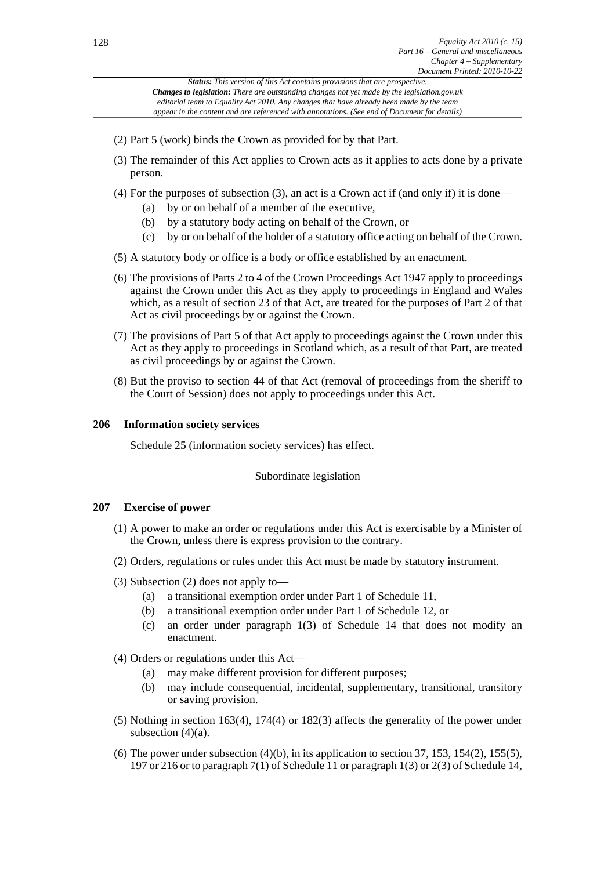- (2) Part 5 (work) binds the Crown as provided for by that Part.
- (3) The remainder of this Act applies to Crown acts as it applies to acts done by a private person.
- (4) For the purposes of subsection (3), an act is a Crown act if (and only if) it is done—
	- (a) by or on behalf of a member of the executive,
	- (b) by a statutory body acting on behalf of the Crown, or
	- (c) by or on behalf of the holder of a statutory office acting on behalf of the Crown.
- (5) A statutory body or office is a body or office established by an enactment.
- (6) The provisions of Parts 2 to 4 of the Crown Proceedings Act 1947 apply to proceedings against the Crown under this Act as they apply to proceedings in England and Wales which, as a result of section 23 of that Act, are treated for the purposes of Part 2 of that Act as civil proceedings by or against the Crown.
- (7) The provisions of Part 5 of that Act apply to proceedings against the Crown under this Act as they apply to proceedings in Scotland which, as a result of that Part, are treated as civil proceedings by or against the Crown.
- (8) But the proviso to section 44 of that Act (removal of proceedings from the sheriff to the Court of Session) does not apply to proceedings under this Act.

# **206 Information society services**

Schedule 25 (information society services) has effect.

## Subordinate legislation

# **207 Exercise of power**

- (1) A power to make an order or regulations under this Act is exercisable by a Minister of the Crown, unless there is express provision to the contrary.
- (2) Orders, regulations or rules under this Act must be made by statutory instrument.
- (3) Subsection (2) does not apply to—
	- (a) a transitional exemption order under Part 1 of Schedule 11,
	- (b) a transitional exemption order under Part 1 of Schedule 12, or
	- (c) an order under paragraph 1(3) of Schedule 14 that does not modify an enactment.
- (4) Orders or regulations under this Act—
	- (a) may make different provision for different purposes;
	- (b) may include consequential, incidental, supplementary, transitional, transitory or saving provision.
- (5) Nothing in section 163(4), 174(4) or 182(3) affects the generality of the power under subsection  $(4)(a)$ .
- (6) The power under subsection  $(4)(b)$ , in its application to section 37, 153, 154(2), 155(5), 197 or 216 or to paragraph 7(1) of Schedule 11 or paragraph 1(3) or 2(3) of Schedule 14,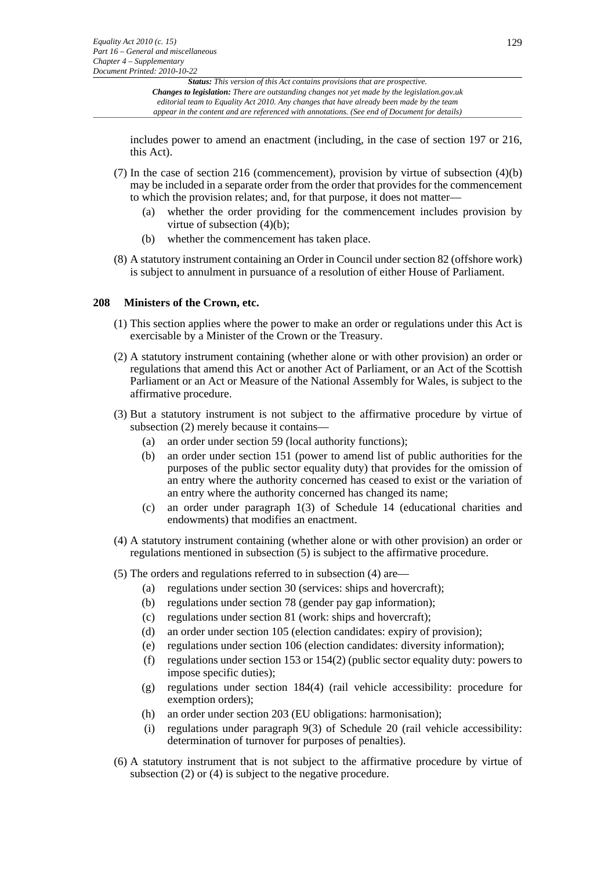includes power to amend an enactment (including, in the case of section 197 or 216, this Act).

- (7) In the case of section 216 (commencement), provision by virtue of subsection (4)(b) may be included in a separate order from the order that provides for the commencement to which the provision relates; and, for that purpose, it does not matter—
	- (a) whether the order providing for the commencement includes provision by virtue of subsection  $(4)(b)$ ;
	- (b) whether the commencement has taken place.
- (8) A statutory instrument containing an Order in Council under section 82 (offshore work) is subject to annulment in pursuance of a resolution of either House of Parliament.

## **208 Ministers of the Crown, etc.**

- (1) This section applies where the power to make an order or regulations under this Act is exercisable by a Minister of the Crown or the Treasury.
- (2) A statutory instrument containing (whether alone or with other provision) an order or regulations that amend this Act or another Act of Parliament, or an Act of the Scottish Parliament or an Act or Measure of the National Assembly for Wales, is subject to the affirmative procedure.
- (3) But a statutory instrument is not subject to the affirmative procedure by virtue of subsection (2) merely because it contains—
	- (a) an order under section 59 (local authority functions);
	- (b) an order under section 151 (power to amend list of public authorities for the purposes of the public sector equality duty) that provides for the omission of an entry where the authority concerned has ceased to exist or the variation of an entry where the authority concerned has changed its name;
	- (c) an order under paragraph 1(3) of Schedule 14 (educational charities and endowments) that modifies an enactment.
- (4) A statutory instrument containing (whether alone or with other provision) an order or regulations mentioned in subsection (5) is subject to the affirmative procedure.
- (5) The orders and regulations referred to in subsection (4) are—
	- (a) regulations under section 30 (services: ships and hovercraft);
	- (b) regulations under section 78 (gender pay gap information);
	- (c) regulations under section 81 (work: ships and hovercraft);
	- (d) an order under section 105 (election candidates: expiry of provision);
	- (e) regulations under section 106 (election candidates: diversity information);
	- (f) regulations under section 153 or 154(2) (public sector equality duty: powers to impose specific duties);
	- (g) regulations under section 184(4) (rail vehicle accessibility: procedure for exemption orders);
	- (h) an order under section 203 (EU obligations: harmonisation);
	- (i) regulations under paragraph 9(3) of Schedule 20 (rail vehicle accessibility: determination of turnover for purposes of penalties).
- (6) A statutory instrument that is not subject to the affirmative procedure by virtue of subsection (2) or (4) is subject to the negative procedure.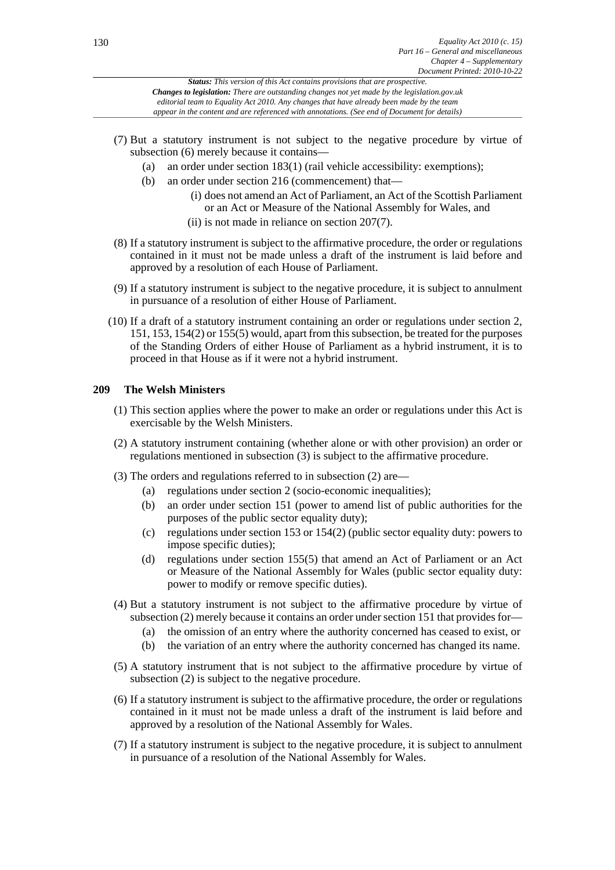- (7) But a statutory instrument is not subject to the negative procedure by virtue of subsection (6) merely because it contains—
	- (a) an order under section 183(1) (rail vehicle accessibility: exemptions);
	- (b) an order under section 216 (commencement) that—
		- (i) does not amend an Act of Parliament, an Act of the Scottish Parliament or an Act or Measure of the National Assembly for Wales, and
		- (ii) is not made in reliance on section 207(7).
- (8) If a statutory instrument is subject to the affirmative procedure, the order or regulations contained in it must not be made unless a draft of the instrument is laid before and approved by a resolution of each House of Parliament.
- (9) If a statutory instrument is subject to the negative procedure, it is subject to annulment in pursuance of a resolution of either House of Parliament.
- (10) If a draft of a statutory instrument containing an order or regulations under section 2, 151, 153, 154(2) or 155(5) would, apart from this subsection, be treated for the purposes of the Standing Orders of either House of Parliament as a hybrid instrument, it is to proceed in that House as if it were not a hybrid instrument.

# **209 The Welsh Ministers**

- (1) This section applies where the power to make an order or regulations under this Act is exercisable by the Welsh Ministers.
- (2) A statutory instrument containing (whether alone or with other provision) an order or regulations mentioned in subsection (3) is subject to the affirmative procedure.
- (3) The orders and regulations referred to in subsection (2) are—
	- (a) regulations under section 2 (socio-economic inequalities);
	- (b) an order under section 151 (power to amend list of public authorities for the purposes of the public sector equality duty);
	- (c) regulations under section 153 or 154(2) (public sector equality duty: powers to impose specific duties);
	- (d) regulations under section 155(5) that amend an Act of Parliament or an Act or Measure of the National Assembly for Wales (public sector equality duty: power to modify or remove specific duties).
- (4) But a statutory instrument is not subject to the affirmative procedure by virtue of subsection (2) merely because it contains an order under section 151 that provides for—
	- (a) the omission of an entry where the authority concerned has ceased to exist, or
	- (b) the variation of an entry where the authority concerned has changed its name.
- (5) A statutory instrument that is not subject to the affirmative procedure by virtue of subsection (2) is subject to the negative procedure.
- (6) If a statutory instrument is subject to the affirmative procedure, the order or regulations contained in it must not be made unless a draft of the instrument is laid before and approved by a resolution of the National Assembly for Wales.
- (7) If a statutory instrument is subject to the negative procedure, it is subject to annulment in pursuance of a resolution of the National Assembly for Wales.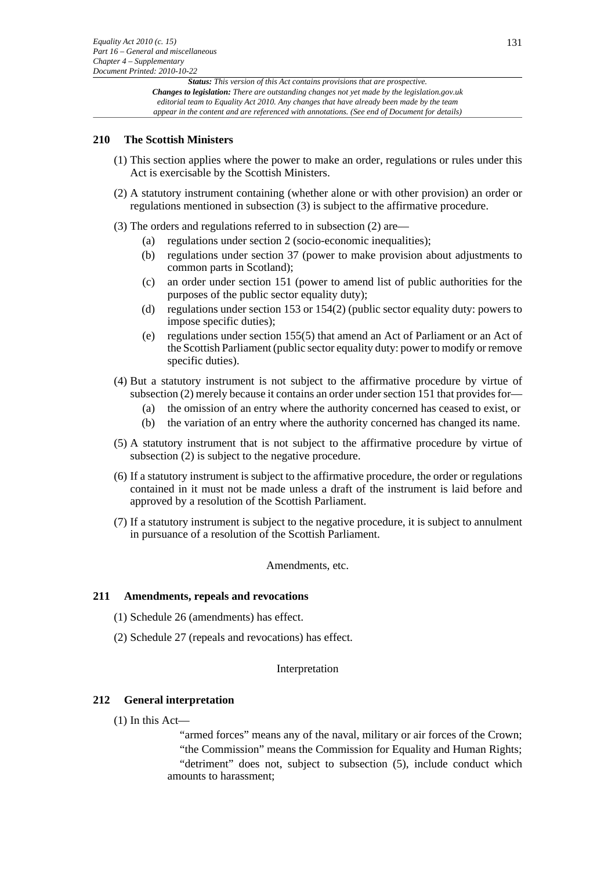## **210 The Scottish Ministers**

- (1) This section applies where the power to make an order, regulations or rules under this Act is exercisable by the Scottish Ministers.
- (2) A statutory instrument containing (whether alone or with other provision) an order or regulations mentioned in subsection (3) is subject to the affirmative procedure.
- (3) The orders and regulations referred to in subsection (2) are—
	- (a) regulations under section 2 (socio-economic inequalities);
	- (b) regulations under section 37 (power to make provision about adjustments to common parts in Scotland);
	- (c) an order under section 151 (power to amend list of public authorities for the purposes of the public sector equality duty);
	- (d) regulations under section 153 or 154(2) (public sector equality duty: powers to impose specific duties);
	- (e) regulations under section 155(5) that amend an Act of Parliament or an Act of the Scottish Parliament (public sector equality duty: power to modify or remove specific duties).
- (4) But a statutory instrument is not subject to the affirmative procedure by virtue of subsection (2) merely because it contains an order under section 151 that provides for
	- the omission of an entry where the authority concerned has ceased to exist, or
	- (b) the variation of an entry where the authority concerned has changed its name.
- (5) A statutory instrument that is not subject to the affirmative procedure by virtue of subsection (2) is subject to the negative procedure.
- (6) If a statutory instrument is subject to the affirmative procedure, the order or regulations contained in it must not be made unless a draft of the instrument is laid before and approved by a resolution of the Scottish Parliament.
- (7) If a statutory instrument is subject to the negative procedure, it is subject to annulment in pursuance of a resolution of the Scottish Parliament.

## Amendments, etc.

## **211 Amendments, repeals and revocations**

- (1) Schedule 26 (amendments) has effect.
- (2) Schedule 27 (repeals and revocations) has effect.

Interpretation

## **212 General interpretation**

(1) In this Act—

"armed forces" means any of the naval, military or air forces of the Crown; "the Commission" means the Commission for Equality and Human Rights; "detriment" does not, subject to subsection (5), include conduct which amounts to harassment;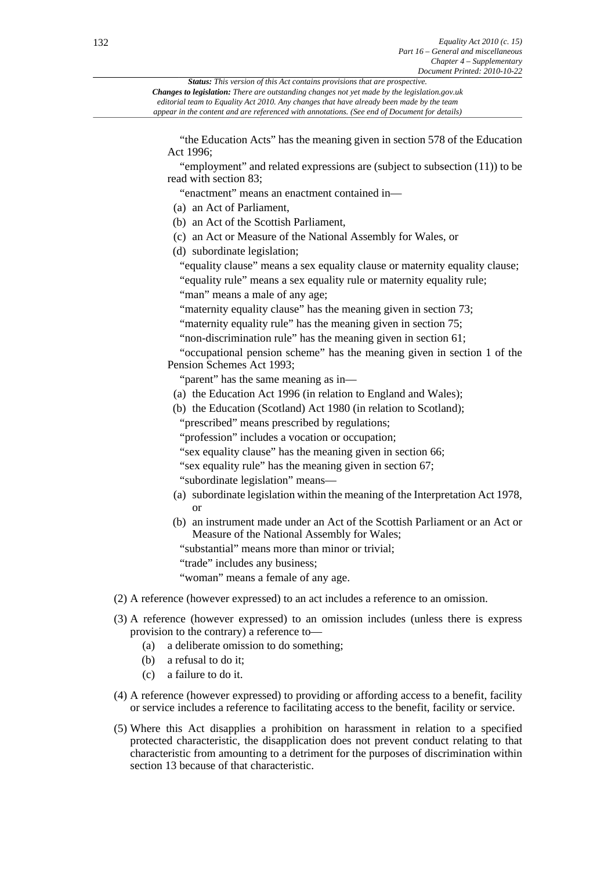"the Education Acts" has the meaning given in section 578 of the Education Act 1996;

"employment" and related expressions are (subject to subsection (11)) to be read with section 83;

"enactment" means an enactment contained in—

- (a) an Act of Parliament,
- (b) an Act of the Scottish Parliament,
- (c) an Act or Measure of the National Assembly for Wales, or
- (d) subordinate legislation;
	- "equality clause" means a sex equality clause or maternity equality clause; "equality rule" means a sex equality rule or maternity equality rule;

"man" means a male of any age;

"maternity equality clause" has the meaning given in section 73;

"maternity equality rule" has the meaning given in section 75;

"non-discrimination rule" has the meaning given in section 61;

"occupational pension scheme" has the meaning given in section 1 of the Pension Schemes Act 1993;

"parent" has the same meaning as in—

- (a) the Education Act 1996 (in relation to England and Wales);
- (b) the Education (Scotland) Act 1980 (in relation to Scotland);
	- "prescribed" means prescribed by regulations;
	- "profession" includes a vocation or occupation;
	- "sex equality clause" has the meaning given in section 66;
	- "sex equality rule" has the meaning given in section 67;

"subordinate legislation" means—

- (a) subordinate legislation within the meaning of the Interpretation Act 1978, or
- (b) an instrument made under an Act of the Scottish Parliament or an Act or Measure of the National Assembly for Wales;

"substantial" means more than minor or trivial;

"trade" includes any business;

"woman" means a female of any age.

- (2) A reference (however expressed) to an act includes a reference to an omission.
- (3) A reference (however expressed) to an omission includes (unless there is express provision to the contrary) a reference to—
	- (a) a deliberate omission to do something;
	- (b) a refusal to do it;
	- (c) a failure to do it.
- (4) A reference (however expressed) to providing or affording access to a benefit, facility or service includes a reference to facilitating access to the benefit, facility or service.
- (5) Where this Act disapplies a prohibition on harassment in relation to a specified protected characteristic, the disapplication does not prevent conduct relating to that characteristic from amounting to a detriment for the purposes of discrimination within section 13 because of that characteristic.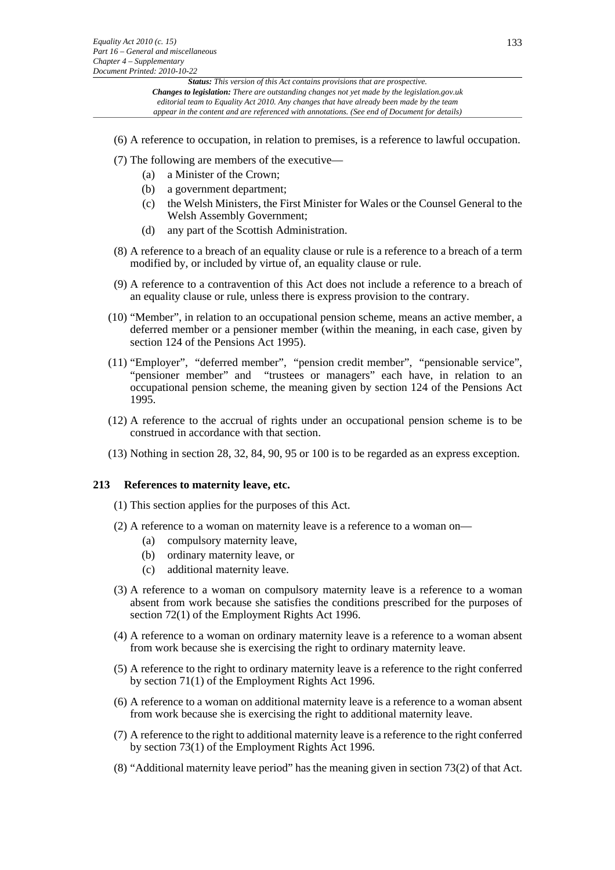- (6) A reference to occupation, in relation to premises, is a reference to lawful occupation.
- (7) The following are members of the executive—
	- (a) a Minister of the Crown;
	- (b) a government department;
	- (c) the Welsh Ministers, the First Minister for Wales or the Counsel General to the Welsh Assembly Government;
	- (d) any part of the Scottish Administration.
- (8) A reference to a breach of an equality clause or rule is a reference to a breach of a term modified by, or included by virtue of, an equality clause or rule.
- (9) A reference to a contravention of this Act does not include a reference to a breach of an equality clause or rule, unless there is express provision to the contrary.
- (10) "Member", in relation to an occupational pension scheme, means an active member, a deferred member or a pensioner member (within the meaning, in each case, given by section 124 of the Pensions Act 1995).
- (11) "Employer", "deferred member", "pension credit member", "pensionable service", "pensioner member" and "trustees or managers" each have, in relation to an occupational pension scheme, the meaning given by section 124 of the Pensions Act 1995.
- (12) A reference to the accrual of rights under an occupational pension scheme is to be construed in accordance with that section.
- (13) Nothing in section 28, 32, 84, 90, 95 or 100 is to be regarded as an express exception.

#### **213 References to maternity leave, etc.**

- (1) This section applies for the purposes of this Act.
- (2) A reference to a woman on maternity leave is a reference to a woman on—
	- (a) compulsory maternity leave,
	- (b) ordinary maternity leave, or
	- (c) additional maternity leave.
- (3) A reference to a woman on compulsory maternity leave is a reference to a woman absent from work because she satisfies the conditions prescribed for the purposes of section 72(1) of the Employment Rights Act 1996.
- (4) A reference to a woman on ordinary maternity leave is a reference to a woman absent from work because she is exercising the right to ordinary maternity leave.
- (5) A reference to the right to ordinary maternity leave is a reference to the right conferred by section 71(1) of the Employment Rights Act 1996.
- (6) A reference to a woman on additional maternity leave is a reference to a woman absent from work because she is exercising the right to additional maternity leave.
- (7) A reference to the right to additional maternity leave is a reference to the right conferred by section 73(1) of the Employment Rights Act 1996.
- (8) "Additional maternity leave period" has the meaning given in section 73(2) of that Act.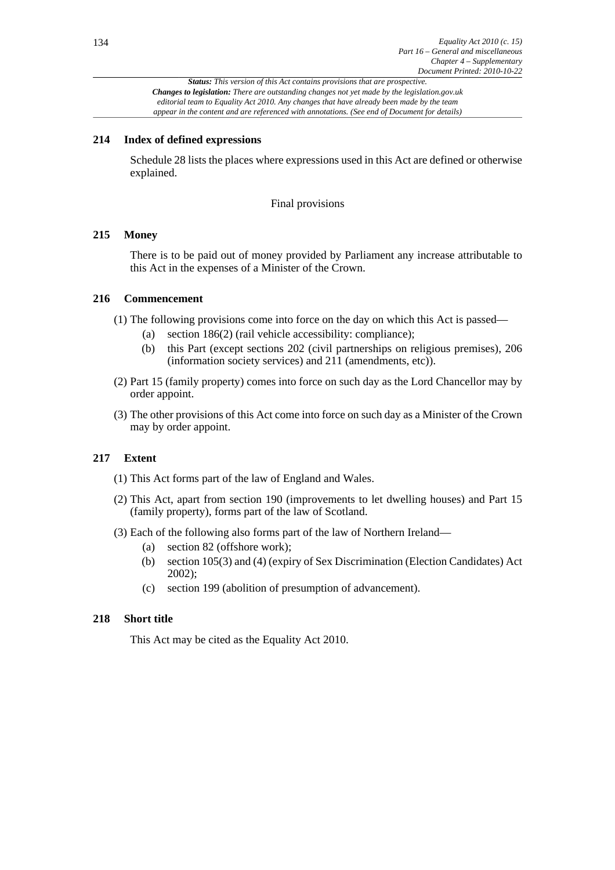# **214 Index of defined expressions**

Schedule 28 lists the places where expressions used in this Act are defined or otherwise explained.

Final provisions

## **215 Money**

There is to be paid out of money provided by Parliament any increase attributable to this Act in the expenses of a Minister of the Crown.

# **216 Commencement**

- (1) The following provisions come into force on the day on which this Act is passed—
	- (a) section 186(2) (rail vehicle accessibility: compliance);
	- (b) this Part (except sections 202 (civil partnerships on religious premises), 206 (information society services) and 211 (amendments, etc)).
- (2) Part 15 (family property) comes into force on such day as the Lord Chancellor may by order appoint.
- (3) The other provisions of this Act come into force on such day as a Minister of the Crown may by order appoint.

# **217 Extent**

- (1) This Act forms part of the law of England and Wales.
- (2) This Act, apart from section 190 (improvements to let dwelling houses) and Part 15 (family property), forms part of the law of Scotland.
- (3) Each of the following also forms part of the law of Northern Ireland—
	- (a) section 82 (offshore work);
	- (b) section 105(3) and (4) (expiry of Sex Discrimination (Election Candidates) Act 2002);
	- (c) section 199 (abolition of presumption of advancement).

## **218 Short title**

This Act may be cited as the Equality Act 2010.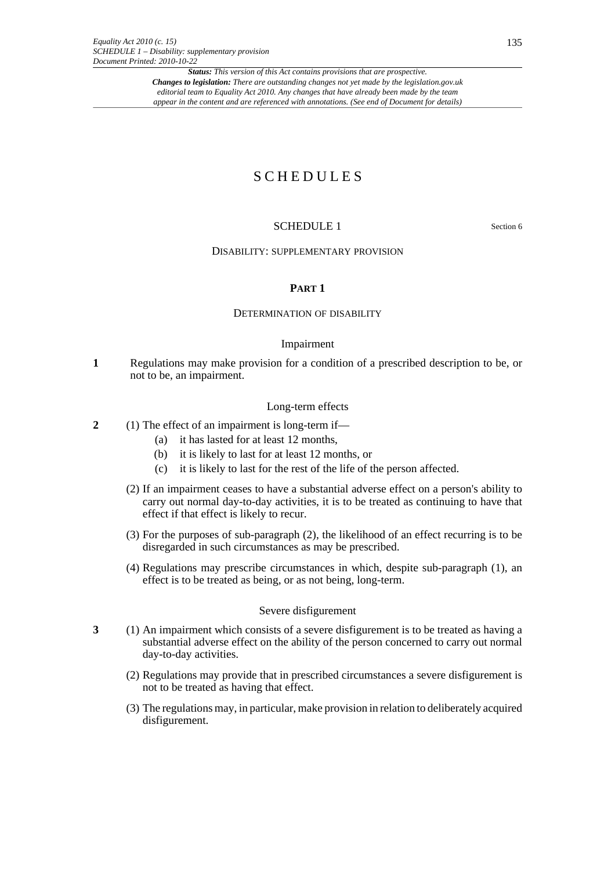# S C H E D U L E S

# SCHEDULE 1 Section 6

## DISABILITY: SUPPLEMENTARY PROVISION

## **PART 1**

#### DETERMINATION OF DISABILITY

## Impairment

**1** Regulations may make provision for a condition of a prescribed description to be, or not to be, an impairment.

#### Long-term effects

- **2** (1) The effect of an impairment is long-term if—
	- (a) it has lasted for at least 12 months,
	- (b) it is likely to last for at least 12 months, or
	- (c) it is likely to last for the rest of the life of the person affected.
	- (2) If an impairment ceases to have a substantial adverse effect on a person's ability to carry out normal day-to-day activities, it is to be treated as continuing to have that effect if that effect is likely to recur.
	- (3) For the purposes of sub-paragraph (2), the likelihood of an effect recurring is to be disregarded in such circumstances as may be prescribed.
	- (4) Regulations may prescribe circumstances in which, despite sub-paragraph (1), an effect is to be treated as being, or as not being, long-term.

#### Severe disfigurement

- **3** (1) An impairment which consists of a severe disfigurement is to be treated as having a substantial adverse effect on the ability of the person concerned to carry out normal day-to-day activities.
	- (2) Regulations may provide that in prescribed circumstances a severe disfigurement is not to be treated as having that effect.
	- (3) The regulations may, in particular, make provision in relation to deliberately acquired disfigurement.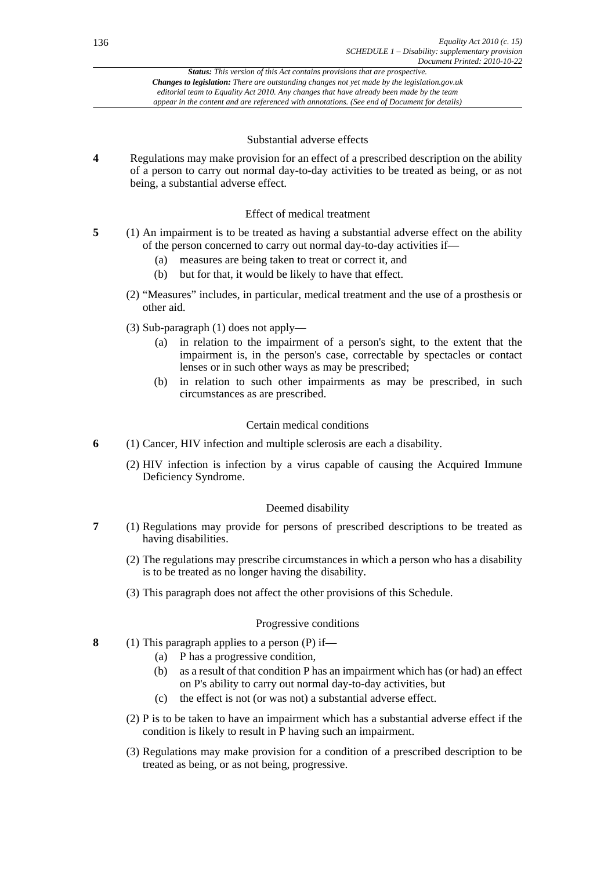| <b>Status:</b> This version of this Act contains provisions that are prospective.                   |  |
|-----------------------------------------------------------------------------------------------------|--|
| <b>Changes to legislation:</b> There are outstanding changes not yet made by the legislation gov.uk |  |
| editorial team to Equality Act 2010. Any changes that have already been made by the team            |  |
| appear in the content and are referenced with annotations. (See end of Document for details)        |  |
|                                                                                                     |  |

# Substantial adverse effects

**4** Regulations may make provision for an effect of a prescribed description on the ability of a person to carry out normal day-to-day activities to be treated as being, or as not being, a substantial adverse effect.

#### Effect of medical treatment

- **5** (1) An impairment is to be treated as having a substantial adverse effect on the ability of the person concerned to carry out normal day-to-day activities if—
	- (a) measures are being taken to treat or correct it, and
	- (b) but for that, it would be likely to have that effect.
	- (2) "Measures" includes, in particular, medical treatment and the use of a prosthesis or other aid.
	- (3) Sub-paragraph (1) does not apply—
		- (a) in relation to the impairment of a person's sight, to the extent that the impairment is, in the person's case, correctable by spectacles or contact lenses or in such other ways as may be prescribed;
		- (b) in relation to such other impairments as may be prescribed, in such circumstances as are prescribed.

#### Certain medical conditions

- **6** (1) Cancer, HIV infection and multiple sclerosis are each a disability.
	- (2) HIV infection is infection by a virus capable of causing the Acquired Immune Deficiency Syndrome.

#### Deemed disability

- **7** (1) Regulations may provide for persons of prescribed descriptions to be treated as having disabilities.
	- (2) The regulations may prescribe circumstances in which a person who has a disability is to be treated as no longer having the disability.
	- (3) This paragraph does not affect the other provisions of this Schedule.

#### Progressive conditions

- **8** (1) This paragraph applies to a person (P) if—
	- (a) P has a progressive condition,
	- (b) as a result of that condition P has an impairment which has (or had) an effect on P's ability to carry out normal day-to-day activities, but
	- (c) the effect is not (or was not) a substantial adverse effect.
	- (2) P is to be taken to have an impairment which has a substantial adverse effect if the condition is likely to result in P having such an impairment.
	- (3) Regulations may make provision for a condition of a prescribed description to be treated as being, or as not being, progressive.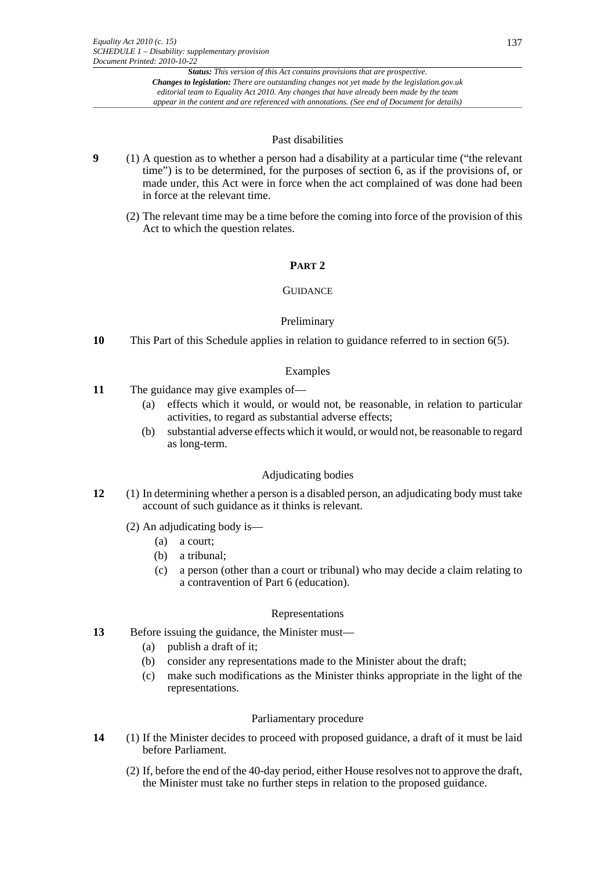## Past disabilities

- **9** (1) A question as to whether a person had a disability at a particular time ("the relevant time") is to be determined, for the purposes of section 6, as if the provisions of, or made under, this Act were in force when the act complained of was done had been in force at the relevant time.
	- (2) The relevant time may be a time before the coming into force of the provision of this Act to which the question relates.

# **PART 2**

# **GUIDANCE**

## Preliminary

**10** This Part of this Schedule applies in relation to guidance referred to in section 6(5).

## Examples

- **11** The guidance may give examples of—
	- (a) effects which it would, or would not, be reasonable, in relation to particular activities, to regard as substantial adverse effects;
	- (b) substantial adverse effects which it would, or would not, be reasonable to regard as long-term.

## Adjudicating bodies

- **12** (1) In determining whether a person is a disabled person, an adjudicating body must take account of such guidance as it thinks is relevant.
	- (2) An adjudicating body is—
		- (a) a court;
		- (b) a tribunal;
		- (c) a person (other than a court or tribunal) who may decide a claim relating to a contravention of Part 6 (education).

## Representations

- 13 Before issuing the guidance, the Minister must—
	- (a) publish a draft of it;
	- (b) consider any representations made to the Minister about the draft;
	- (c) make such modifications as the Minister thinks appropriate in the light of the representations.

## Parliamentary procedure

- **14** (1) If the Minister decides to proceed with proposed guidance, a draft of it must be laid before Parliament.
	- (2) If, before the end of the 40-day period, either House resolves not to approve the draft, the Minister must take no further steps in relation to the proposed guidance.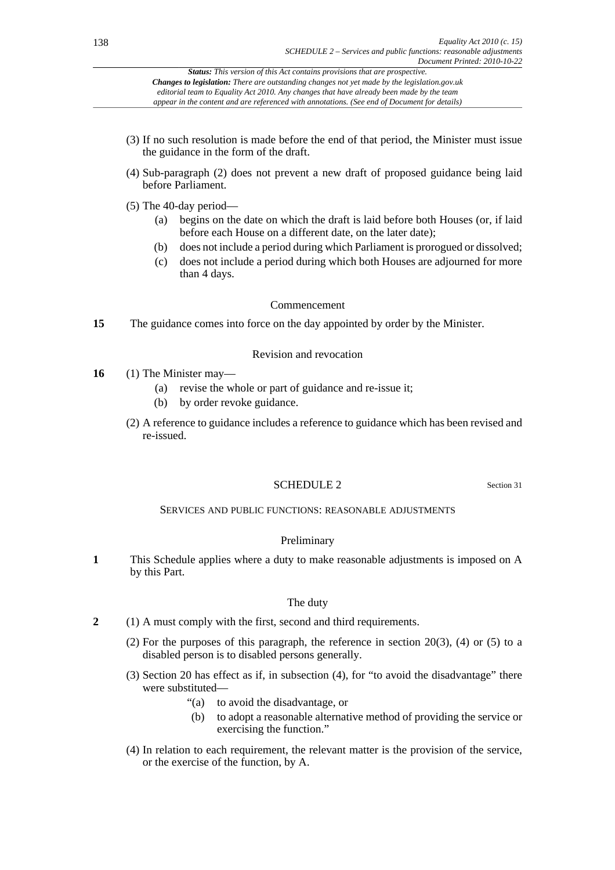- (3) If no such resolution is made before the end of that period, the Minister must issue the guidance in the form of the draft.
- (4) Sub-paragraph (2) does not prevent a new draft of proposed guidance being laid before Parliament.
- (5) The 40-day period—
	- (a) begins on the date on which the draft is laid before both Houses (or, if laid before each House on a different date, on the later date);
	- (b) does not include a period during which Parliament is prorogued or dissolved;
	- (c) does not include a period during which both Houses are adjourned for more than 4 days.

## Commencement

**15** The guidance comes into force on the day appointed by order by the Minister.

# Revision and revocation

- **16** (1) The Minister may—
	- (a) revise the whole or part of guidance and re-issue it;
	- (b) by order revoke guidance.
	- (2) A reference to guidance includes a reference to guidance which has been revised and re-issued.

# SCHEDULE 2 Section 31

## SERVICES AND PUBLIC FUNCTIONS: REASONABLE ADJUSTMENTS

# Preliminary

**1** This Schedule applies where a duty to make reasonable adjustments is imposed on A by this Part.

## The duty

- **2** (1) A must comply with the first, second and third requirements.
	- (2) For the purposes of this paragraph, the reference in section  $20(3)$ , (4) or (5) to a disabled person is to disabled persons generally.
	- (3) Section 20 has effect as if, in subsection (4), for "to avoid the disadvantage" there were substituted—
		- "(a) to avoid the disadvantage, or
		- (b) to adopt a reasonable alternative method of providing the service or exercising the function."
	- (4) In relation to each requirement, the relevant matter is the provision of the service, or the exercise of the function, by A.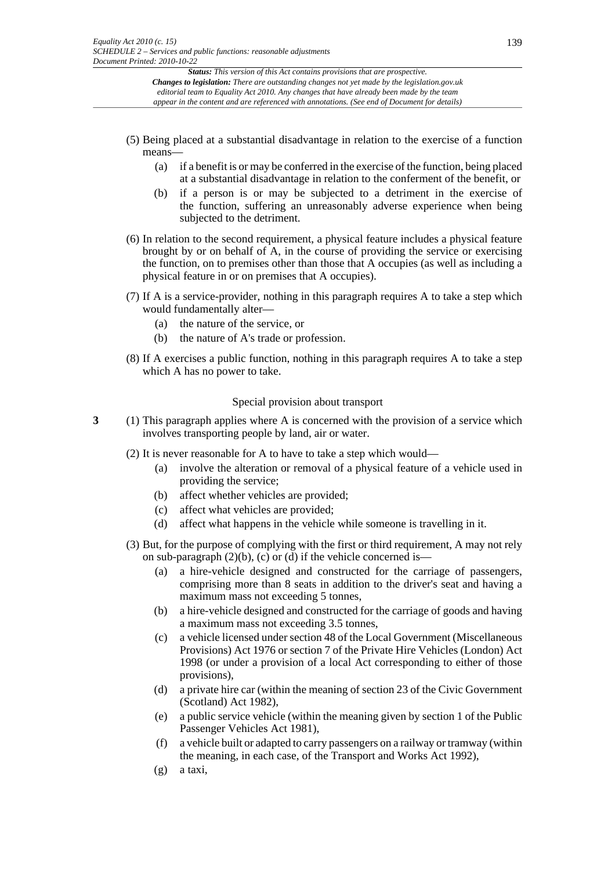- (5) Being placed at a substantial disadvantage in relation to the exercise of a function means—
	- (a) if a benefit is or may be conferred in the exercise of the function, being placed at a substantial disadvantage in relation to the conferment of the benefit, or
	- (b) if a person is or may be subjected to a detriment in the exercise of the function, suffering an unreasonably adverse experience when being subjected to the detriment.
- (6) In relation to the second requirement, a physical feature includes a physical feature brought by or on behalf of A, in the course of providing the service or exercising the function, on to premises other than those that A occupies (as well as including a physical feature in or on premises that A occupies).
- (7) If A is a service-provider, nothing in this paragraph requires A to take a step which would fundamentally alter—
	- (a) the nature of the service, or
	- (b) the nature of A's trade or profession.
- (8) If A exercises a public function, nothing in this paragraph requires A to take a step which A has no power to take.

## Special provision about transport

- **3** (1) This paragraph applies where A is concerned with the provision of a service which involves transporting people by land, air or water.
	- (2) It is never reasonable for A to have to take a step which would—
		- (a) involve the alteration or removal of a physical feature of a vehicle used in providing the service;
		- (b) affect whether vehicles are provided;
		- (c) affect what vehicles are provided;
		- (d) affect what happens in the vehicle while someone is travelling in it.
	- (3) But, for the purpose of complying with the first or third requirement, A may not rely on sub-paragraph (2)(b), (c) or (d) if the vehicle concerned is—
		- (a) a hire-vehicle designed and constructed for the carriage of passengers, comprising more than 8 seats in addition to the driver's seat and having a maximum mass not exceeding 5 tonnes,
		- (b) a hire-vehicle designed and constructed for the carriage of goods and having a maximum mass not exceeding 3.5 tonnes,
		- (c) a vehicle licensed under section 48 of the Local Government (Miscellaneous Provisions) Act 1976 or section 7 of the Private Hire Vehicles (London) Act 1998 (or under a provision of a local Act corresponding to either of those provisions),
		- (d) a private hire car (within the meaning of section 23 of the Civic Government (Scotland) Act 1982),
		- (e) a public service vehicle (within the meaning given by section 1 of the Public Passenger Vehicles Act 1981),
		- (f) a vehicle built or adapted to carry passengers on a railway or tramway (within the meaning, in each case, of the Transport and Works Act 1992),
		- (g) a taxi,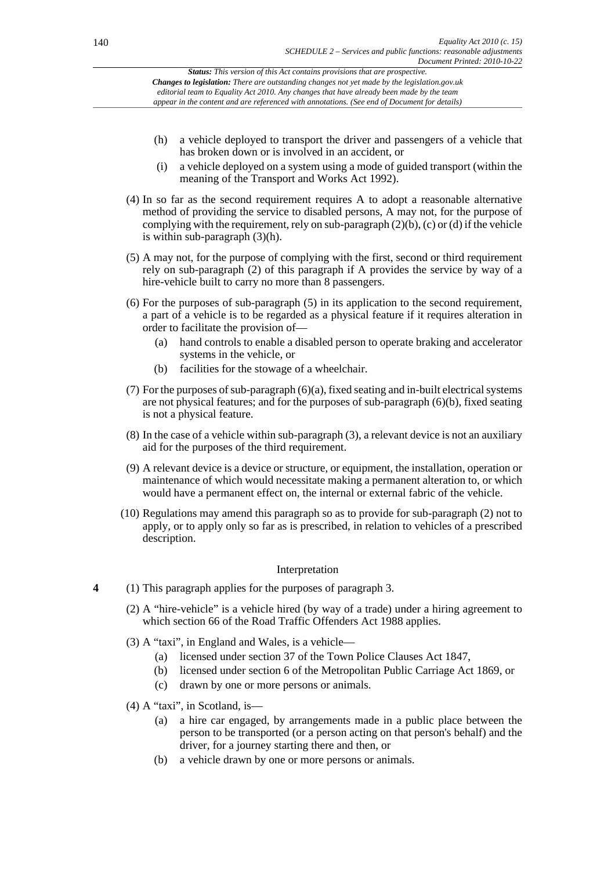- (h) a vehicle deployed to transport the driver and passengers of a vehicle that has broken down or is involved in an accident, or
- (i) a vehicle deployed on a system using a mode of guided transport (within the meaning of the Transport and Works Act 1992).
- (4) In so far as the second requirement requires A to adopt a reasonable alternative method of providing the service to disabled persons, A may not, for the purpose of complying with the requirement, rely on sub-paragraph  $(2)(b)$ ,  $(c)$  or  $(d)$  if the vehicle is within sub-paragraph (3)(h).
- (5) A may not, for the purpose of complying with the first, second or third requirement rely on sub-paragraph (2) of this paragraph if A provides the service by way of a hire-vehicle built to carry no more than 8 passengers.
- (6) For the purposes of sub-paragraph (5) in its application to the second requirement, a part of a vehicle is to be regarded as a physical feature if it requires alteration in order to facilitate the provision of—
	- (a) hand controls to enable a disabled person to operate braking and accelerator systems in the vehicle, or
	- (b) facilities for the stowage of a wheelchair.
- (7) For the purposes of sub-paragraph (6)(a), fixed seating and in-built electrical systems are not physical features; and for the purposes of sub-paragraph (6)(b), fixed seating is not a physical feature.
- (8) In the case of a vehicle within sub-paragraph (3), a relevant device is not an auxiliary aid for the purposes of the third requirement.
- (9) A relevant device is a device or structure, or equipment, the installation, operation or maintenance of which would necessitate making a permanent alteration to, or which would have a permanent effect on, the internal or external fabric of the vehicle.
- (10) Regulations may amend this paragraph so as to provide for sub-paragraph (2) not to apply, or to apply only so far as is prescribed, in relation to vehicles of a prescribed description.

## Interpretation

- **4** (1) This paragraph applies for the purposes of paragraph 3.
	- (2) A "hire-vehicle" is a vehicle hired (by way of a trade) under a hiring agreement to which section 66 of the Road Traffic Offenders Act 1988 applies.
	- (3) A "taxi", in England and Wales, is a vehicle—
		- (a) licensed under section 37 of the Town Police Clauses Act 1847,
		- (b) licensed under section 6 of the Metropolitan Public Carriage Act 1869, or
		- (c) drawn by one or more persons or animals.
	- (4) A "taxi", in Scotland, is—
		- (a) a hire car engaged, by arrangements made in a public place between the person to be transported (or a person acting on that person's behalf) and the driver, for a journey starting there and then, or
		- (b) a vehicle drawn by one or more persons or animals.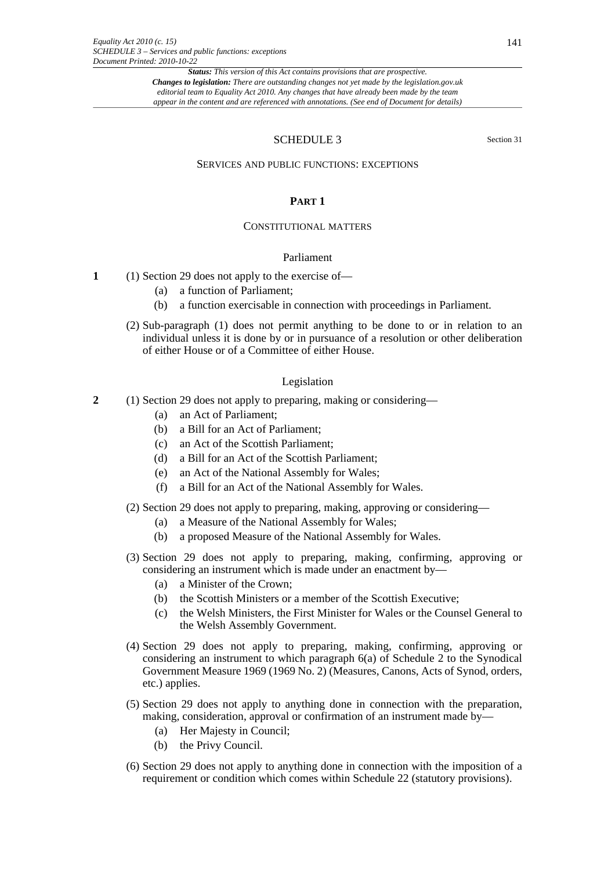#### SCHEDULE 3 Section 31

#### SERVICES AND PUBLIC FUNCTIONS: EXCEPTIONS

## **PART 1**

#### CONSTITUTIONAL MATTERS

#### Parliament

- **1** (1) Section 29 does not apply to the exercise of—
	- (a) a function of Parliament;
	- (b) a function exercisable in connection with proceedings in Parliament.
	- (2) Sub-paragraph (1) does not permit anything to be done to or in relation to an individual unless it is done by or in pursuance of a resolution or other deliberation of either House or of a Committee of either House.

## Legislation

- **2** (1) Section 29 does not apply to preparing, making or considering—
	- (a) an Act of Parliament;
	- (b) a Bill for an Act of Parliament;
	- (c) an Act of the Scottish Parliament;
	- (d) a Bill for an Act of the Scottish Parliament;
	- (e) an Act of the National Assembly for Wales;
	- (f) a Bill for an Act of the National Assembly for Wales.
	- (2) Section 29 does not apply to preparing, making, approving or considering—
		- (a) a Measure of the National Assembly for Wales;
		- (b) a proposed Measure of the National Assembly for Wales.
	- (3) Section 29 does not apply to preparing, making, confirming, approving or considering an instrument which is made under an enactment by—
		- (a) a Minister of the Crown;
		- (b) the Scottish Ministers or a member of the Scottish Executive;
		- (c) the Welsh Ministers, the First Minister for Wales or the Counsel General to the Welsh Assembly Government.
	- (4) Section 29 does not apply to preparing, making, confirming, approving or considering an instrument to which paragraph 6(a) of Schedule 2 to the Synodical Government Measure 1969 (1969 No. 2) (Measures, Canons, Acts of Synod, orders, etc.) applies.
	- (5) Section 29 does not apply to anything done in connection with the preparation, making, consideration, approval or confirmation of an instrument made by—
		- (a) Her Majesty in Council;
		- (b) the Privy Council.
	- (6) Section 29 does not apply to anything done in connection with the imposition of a requirement or condition which comes within Schedule 22 (statutory provisions).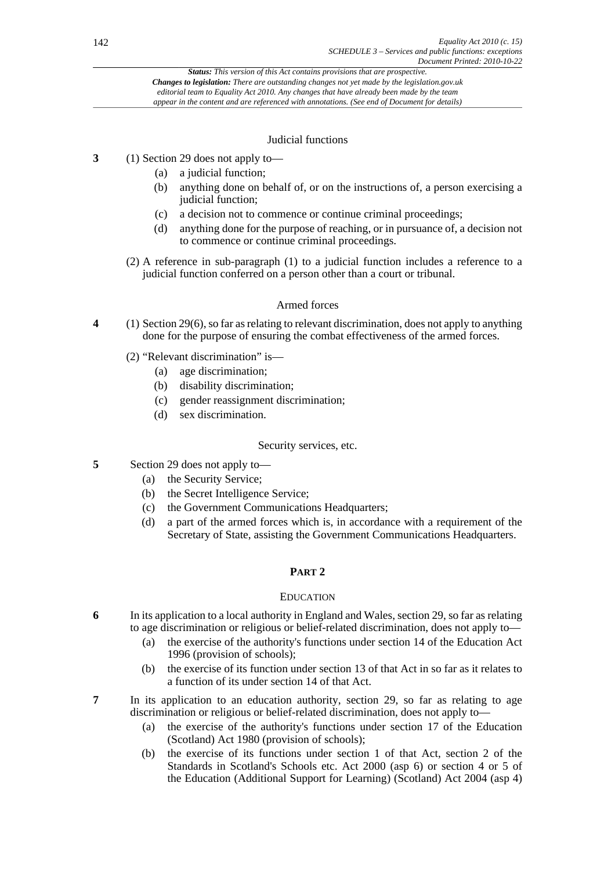*Status: This version of this Act contains provisions that are prospective.*

*Changes to legislation: There are outstanding changes not yet made by the legislation.gov.uk editorial team to Equality Act 2010. Any changes that have already been made by the team*

*appear in the content and are referenced with annotations. (See end of Document for details)*

# Judicial functions

- **3** (1) Section 29 does not apply to—
	- (a) a judicial function;
	- (b) anything done on behalf of, or on the instructions of, a person exercising a judicial function;
	- (c) a decision not to commence or continue criminal proceedings;
	- (d) anything done for the purpose of reaching, or in pursuance of, a decision not to commence or continue criminal proceedings.
	- (2) A reference in sub-paragraph (1) to a judicial function includes a reference to a judicial function conferred on a person other than a court or tribunal.

# Armed forces

- **4** (1) Section 29(6), so far as relating to relevant discrimination, does not apply to anything done for the purpose of ensuring the combat effectiveness of the armed forces.
	- (2) "Relevant discrimination" is—
		- (a) age discrimination;
		- (b) disability discrimination;
		- (c) gender reassignment discrimination;
		- (d) sex discrimination.

## Security services, etc.

- **5** Section 29 does not apply to—
	- (a) the Security Service;
	- (b) the Secret Intelligence Service;
	- (c) the Government Communications Headquarters;
	- (d) a part of the armed forces which is, in accordance with a requirement of the Secretary of State, assisting the Government Communications Headquarters.

# **PART 2**

# EDUCATION

- **6** In its application to a local authority in England and Wales, section 29, so far as relating to age discrimination or religious or belief-related discrimination, does not apply to—
	- (a) the exercise of the authority's functions under section 14 of the Education Act 1996 (provision of schools);
	- (b) the exercise of its function under section 13 of that Act in so far as it relates to a function of its under section 14 of that Act.
- **7** In its application to an education authority, section 29, so far as relating to age discrimination or religious or belief-related discrimination, does not apply to—
	- (a) the exercise of the authority's functions under section 17 of the Education (Scotland) Act 1980 (provision of schools);
	- (b) the exercise of its functions under section 1 of that Act, section 2 of the Standards in Scotland's Schools etc. Act 2000 (asp 6) or section 4 or 5 of the Education (Additional Support for Learning) (Scotland) Act 2004 (asp 4)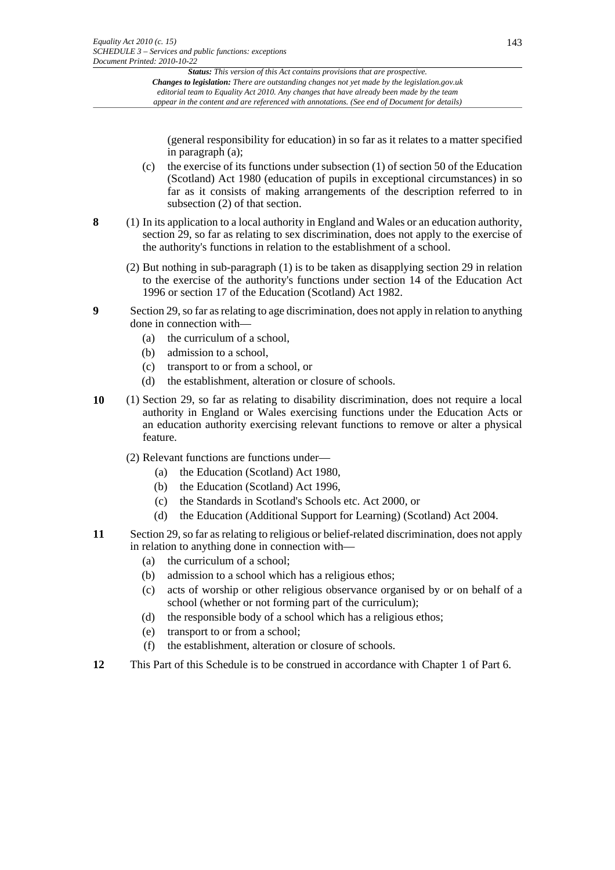(general responsibility for education) in so far as it relates to a matter specified in paragraph (a);

- (c) the exercise of its functions under subsection (1) of section 50 of the Education (Scotland) Act 1980 (education of pupils in exceptional circumstances) in so far as it consists of making arrangements of the description referred to in subsection (2) of that section.
- **8** (1) In its application to a local authority in England and Wales or an education authority, section 29, so far as relating to sex discrimination, does not apply to the exercise of the authority's functions in relation to the establishment of a school.
	- (2) But nothing in sub-paragraph (1) is to be taken as disapplying section 29 in relation to the exercise of the authority's functions under section 14 of the Education Act 1996 or section 17 of the Education (Scotland) Act 1982.
- **9** Section 29, so far as relating to age discrimination, does not apply in relation to anything done in connection with—
	- (a) the curriculum of a school,
	- (b) admission to a school,
	- (c) transport to or from a school, or
	- (d) the establishment, alteration or closure of schools.
- **10** (1) Section 29, so far as relating to disability discrimination, does not require a local authority in England or Wales exercising functions under the Education Acts or an education authority exercising relevant functions to remove or alter a physical feature.
	- (2) Relevant functions are functions under—
		- (a) the Education (Scotland) Act 1980,
		- (b) the Education (Scotland) Act 1996,
		- (c) the Standards in Scotland's Schools etc. Act 2000, or
		- (d) the Education (Additional Support for Learning) (Scotland) Act 2004.
- **11** Section 29, so far as relating to religious or belief-related discrimination, does not apply in relation to anything done in connection with—
	- (a) the curriculum of a school;
	- (b) admission to a school which has a religious ethos;
	- (c) acts of worship or other religious observance organised by or on behalf of a school (whether or not forming part of the curriculum);
	- (d) the responsible body of a school which has a religious ethos;
	- (e) transport to or from a school;
	- (f) the establishment, alteration or closure of schools.
- **12** This Part of this Schedule is to be construed in accordance with Chapter 1 of Part 6.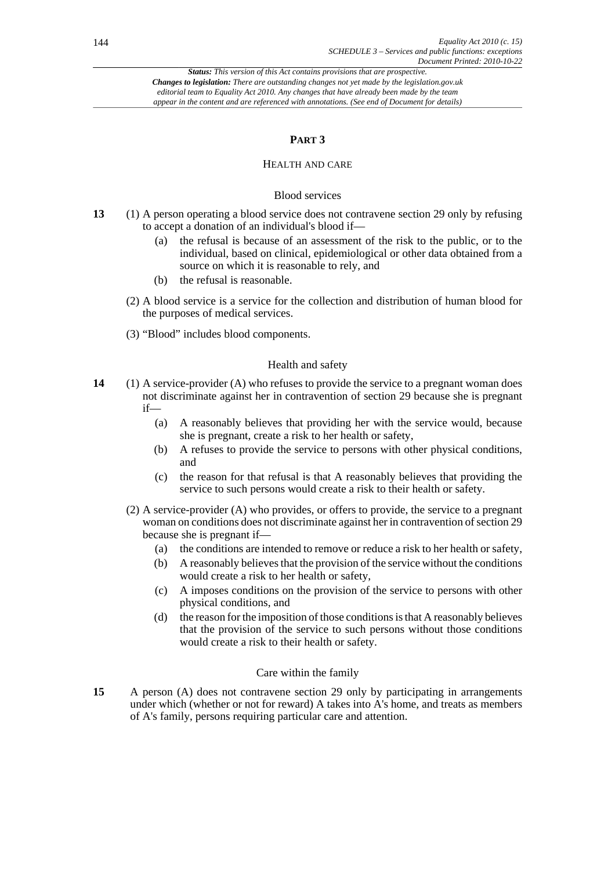# **PART 3**

## HEALTH AND CARE

#### Blood services

- **13** (1) A person operating a blood service does not contravene section 29 only by refusing to accept a donation of an individual's blood if—
	- (a) the refusal is because of an assessment of the risk to the public, or to the individual, based on clinical, epidemiological or other data obtained from a source on which it is reasonable to rely, and
	- (b) the refusal is reasonable.
	- (2) A blood service is a service for the collection and distribution of human blood for the purposes of medical services.
	- (3) "Blood" includes blood components.

#### Health and safety

- **14** (1) A service-provider (A) who refuses to provide the service to a pregnant woman does not discriminate against her in contravention of section 29 because she is pregnant if—
	- (a) A reasonably believes that providing her with the service would, because she is pregnant, create a risk to her health or safety,
	- (b) A refuses to provide the service to persons with other physical conditions, and
	- (c) the reason for that refusal is that A reasonably believes that providing the service to such persons would create a risk to their health or safety.
	- (2) A service-provider (A) who provides, or offers to provide, the service to a pregnant woman on conditions does not discriminate against her in contravention of section 29 because she is pregnant if—
		- (a) the conditions are intended to remove or reduce a risk to her health or safety,
		- (b) A reasonably believes that the provision of the service without the conditions would create a risk to her health or safety,
		- (c) A imposes conditions on the provision of the service to persons with other physical conditions, and
		- (d) the reason for the imposition of those conditions is that A reasonably believes that the provision of the service to such persons without those conditions would create a risk to their health or safety.

## Care within the family

**15** A person (A) does not contravene section 29 only by participating in arrangements under which (whether or not for reward) A takes into A's home, and treats as members of A's family, persons requiring particular care and attention.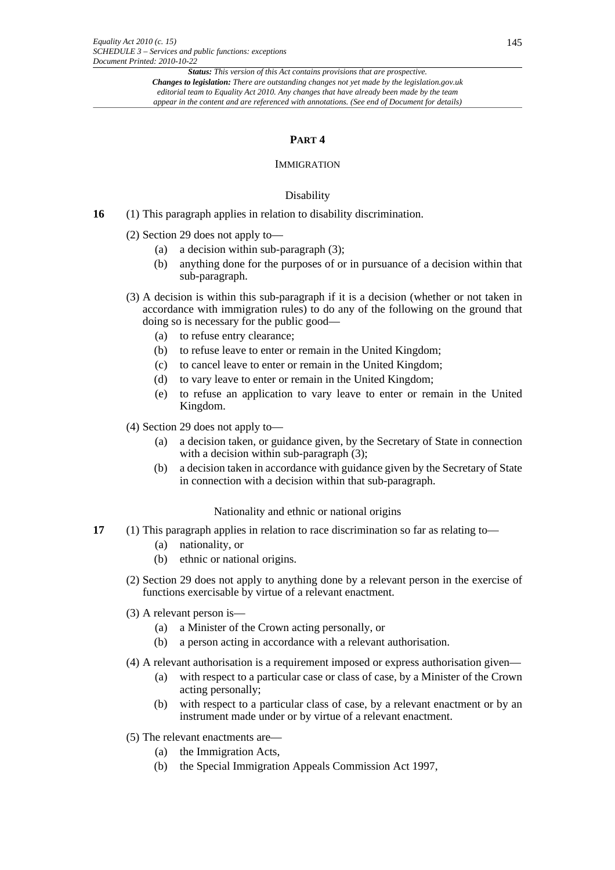## **PART 4**

# IMMIGRATION

## **Disability**

- **16** (1) This paragraph applies in relation to disability discrimination.
	- (2) Section 29 does not apply to—
		- (a) a decision within sub-paragraph (3);
		- (b) anything done for the purposes of or in pursuance of a decision within that sub-paragraph.
	- (3) A decision is within this sub-paragraph if it is a decision (whether or not taken in accordance with immigration rules) to do any of the following on the ground that doing so is necessary for the public good—
		- (a) to refuse entry clearance;
		- (b) to refuse leave to enter or remain in the United Kingdom;
		- (c) to cancel leave to enter or remain in the United Kingdom;
		- (d) to vary leave to enter or remain in the United Kingdom;
		- (e) to refuse an application to vary leave to enter or remain in the United Kingdom.
	- (4) Section 29 does not apply to—
		- (a) a decision taken, or guidance given, by the Secretary of State in connection with a decision within sub-paragraph (3);
		- (b) a decision taken in accordance with guidance given by the Secretary of State in connection with a decision within that sub-paragraph.

## Nationality and ethnic or national origins

- **17** (1) This paragraph applies in relation to race discrimination so far as relating to—
	- (a) nationality, or
	- (b) ethnic or national origins.
	- (2) Section 29 does not apply to anything done by a relevant person in the exercise of functions exercisable by virtue of a relevant enactment.
	- (3) A relevant person is—
		- (a) a Minister of the Crown acting personally, or
		- (b) a person acting in accordance with a relevant authorisation.
	- (4) A relevant authorisation is a requirement imposed or express authorisation given—
		- (a) with respect to a particular case or class of case, by a Minister of the Crown acting personally;
		- (b) with respect to a particular class of case, by a relevant enactment or by an instrument made under or by virtue of a relevant enactment.
	- (5) The relevant enactments are—
		- (a) the Immigration Acts,
		- (b) the Special Immigration Appeals Commission Act 1997,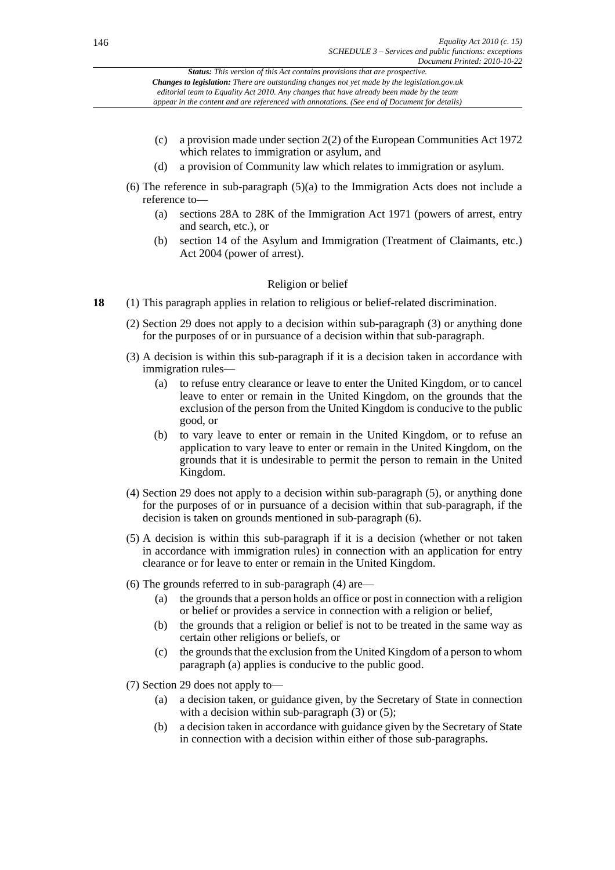- (c) a provision made under section 2(2) of the European Communities Act 1972 which relates to immigration or asylum, and
- (d) a provision of Community law which relates to immigration or asylum.
- (6) The reference in sub-paragraph  $(5)(a)$  to the Immigration Acts does not include a reference to—
	- (a) sections 28A to 28K of the Immigration Act 1971 (powers of arrest, entry and search, etc.), or
	- (b) section 14 of the Asylum and Immigration (Treatment of Claimants, etc.) Act 2004 (power of arrest).

# Religion or belief

- **18** (1) This paragraph applies in relation to religious or belief-related discrimination.
	- (2) Section 29 does not apply to a decision within sub-paragraph (3) or anything done for the purposes of or in pursuance of a decision within that sub-paragraph.
	- (3) A decision is within this sub-paragraph if it is a decision taken in accordance with immigration rules—
		- (a) to refuse entry clearance or leave to enter the United Kingdom, or to cancel leave to enter or remain in the United Kingdom, on the grounds that the exclusion of the person from the United Kingdom is conducive to the public good, or
		- (b) to vary leave to enter or remain in the United Kingdom, or to refuse an application to vary leave to enter or remain in the United Kingdom, on the grounds that it is undesirable to permit the person to remain in the United Kingdom.
	- (4) Section 29 does not apply to a decision within sub-paragraph (5), or anything done for the purposes of or in pursuance of a decision within that sub-paragraph, if the decision is taken on grounds mentioned in sub-paragraph (6).
	- (5) A decision is within this sub-paragraph if it is a decision (whether or not taken in accordance with immigration rules) in connection with an application for entry clearance or for leave to enter or remain in the United Kingdom.
	- (6) The grounds referred to in sub-paragraph (4) are—
		- (a) the grounds that a person holds an office or post in connection with a religion or belief or provides a service in connection with a religion or belief,
		- (b) the grounds that a religion or belief is not to be treated in the same way as certain other religions or beliefs, or
		- (c) the grounds that the exclusion from the United Kingdom of a person to whom paragraph (a) applies is conducive to the public good.
	- (7) Section 29 does not apply to—
		- (a) a decision taken, or guidance given, by the Secretary of State in connection with a decision within sub-paragraph (3) or (5);
		- (b) a decision taken in accordance with guidance given by the Secretary of State in connection with a decision within either of those sub-paragraphs.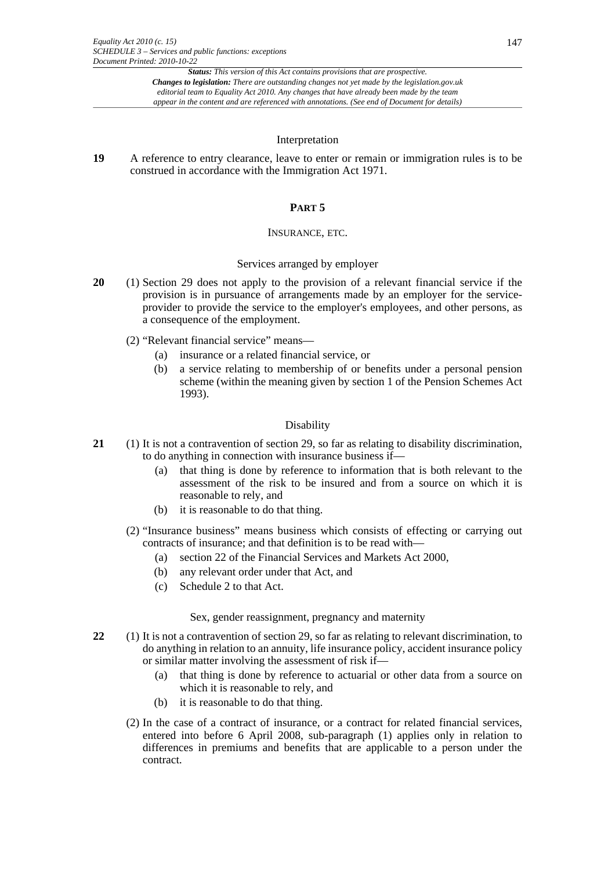#### Interpretation

**19** A reference to entry clearance, leave to enter or remain or immigration rules is to be construed in accordance with the Immigration Act 1971.

## **PART 5**

## INSURANCE, ETC.

# Services arranged by employer

- **20** (1) Section 29 does not apply to the provision of a relevant financial service if the provision is in pursuance of arrangements made by an employer for the serviceprovider to provide the service to the employer's employees, and other persons, as a consequence of the employment.
	- (2) "Relevant financial service" means—
		- (a) insurance or a related financial service, or
		- (b) a service relating to membership of or benefits under a personal pension scheme (within the meaning given by section 1 of the Pension Schemes Act 1993).

#### **Disability**

- **21** (1) It is not a contravention of section 29, so far as relating to disability discrimination, to do anything in connection with insurance business if—
	- (a) that thing is done by reference to information that is both relevant to the assessment of the risk to be insured and from a source on which it is reasonable to rely, and
	- (b) it is reasonable to do that thing.
	- (2) "Insurance business" means business which consists of effecting or carrying out contracts of insurance; and that definition is to be read with—
		- (a) section 22 of the Financial Services and Markets Act 2000,
		- (b) any relevant order under that Act, and
		- (c) Schedule 2 to that Act.

Sex, gender reassignment, pregnancy and maternity

- **22** (1) It is not a contravention of section 29, so far as relating to relevant discrimination, to do anything in relation to an annuity, life insurance policy, accident insurance policy or similar matter involving the assessment of risk if—
	- (a) that thing is done by reference to actuarial or other data from a source on which it is reasonable to rely, and
	- (b) it is reasonable to do that thing.
	- (2) In the case of a contract of insurance, or a contract for related financial services, entered into before 6 April 2008, sub-paragraph (1) applies only in relation to differences in premiums and benefits that are applicable to a person under the contract.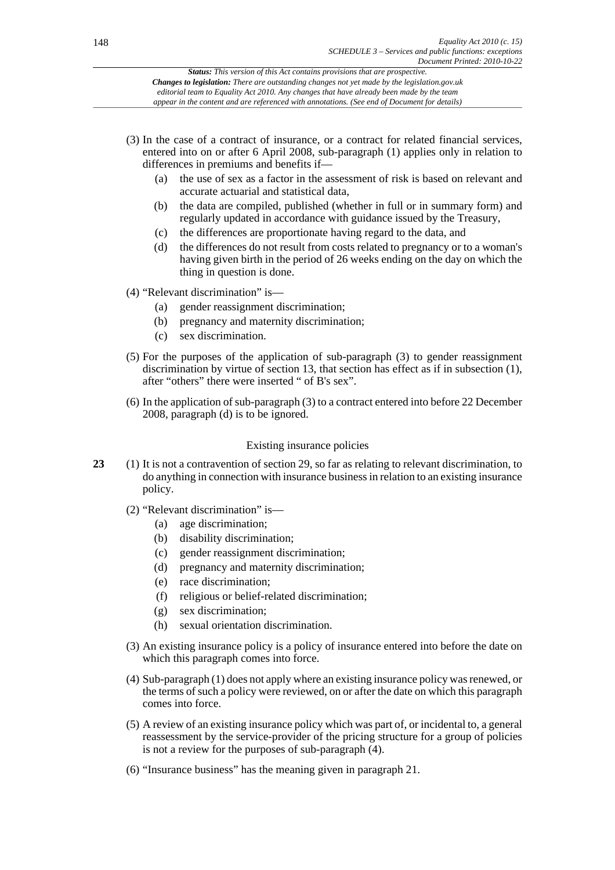- (3) In the case of a contract of insurance, or a contract for related financial services, entered into on or after 6 April 2008, sub-paragraph (1) applies only in relation to differences in premiums and benefits if—
	- (a) the use of sex as a factor in the assessment of risk is based on relevant and accurate actuarial and statistical data,
	- (b) the data are compiled, published (whether in full or in summary form) and regularly updated in accordance with guidance issued by the Treasury,
	- (c) the differences are proportionate having regard to the data, and
	- (d) the differences do not result from costs related to pregnancy or to a woman's having given birth in the period of 26 weeks ending on the day on which the thing in question is done.

# (4) "Relevant discrimination" is—

- (a) gender reassignment discrimination;
- (b) pregnancy and maternity discrimination;
- (c) sex discrimination.
- (5) For the purposes of the application of sub-paragraph (3) to gender reassignment discrimination by virtue of section 13, that section has effect as if in subsection (1), after "others" there were inserted " of B's sex".
- (6) In the application of sub-paragraph (3) to a contract entered into before 22 December 2008, paragraph (d) is to be ignored.

# Existing insurance policies

- **23** (1) It is not a contravention of section 29, so far as relating to relevant discrimination, to do anything in connection with insurance business in relation to an existing insurance policy.
	- (2) "Relevant discrimination" is—
		- (a) age discrimination;
		- (b) disability discrimination;
		- (c) gender reassignment discrimination;
		- (d) pregnancy and maternity discrimination;
		- (e) race discrimination;
		- (f) religious or belief-related discrimination;
		- (g) sex discrimination;
		- (h) sexual orientation discrimination.
	- (3) An existing insurance policy is a policy of insurance entered into before the date on which this paragraph comes into force.
	- (4) Sub-paragraph (1) does not apply where an existing insurance policy was renewed, or the terms of such a policy were reviewed, on or after the date on which this paragraph comes into force.
	- (5) A review of an existing insurance policy which was part of, or incidental to, a general reassessment by the service-provider of the pricing structure for a group of policies is not a review for the purposes of sub-paragraph (4).
	- (6) "Insurance business" has the meaning given in paragraph 21.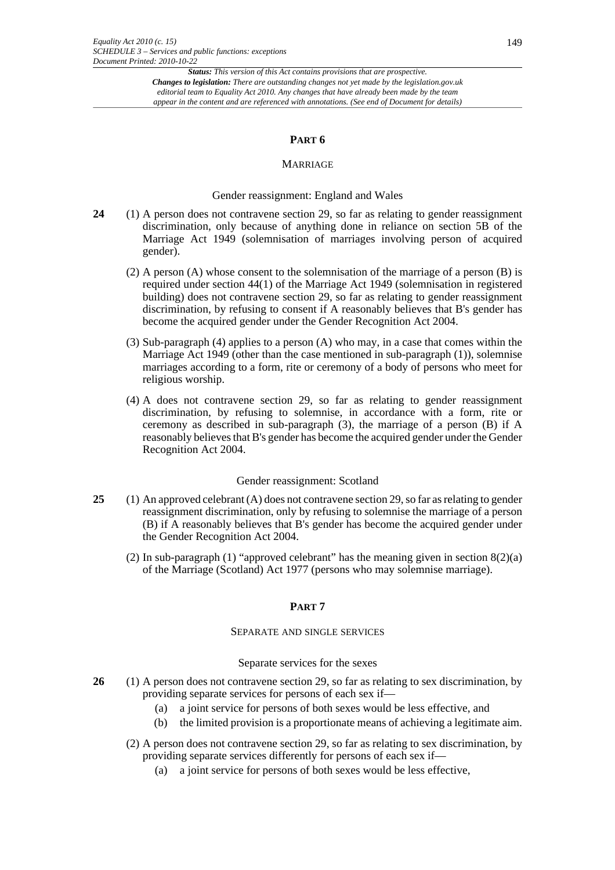## **PART 6**

#### MARRIAGE

### Gender reassignment: England and Wales

- **24** (1) A person does not contravene section 29, so far as relating to gender reassignment discrimination, only because of anything done in reliance on section 5B of the Marriage Act 1949 (solemnisation of marriages involving person of acquired gender).
	- (2) A person (A) whose consent to the solemnisation of the marriage of a person (B) is required under section 44(1) of the Marriage Act 1949 (solemnisation in registered building) does not contravene section 29, so far as relating to gender reassignment discrimination, by refusing to consent if A reasonably believes that B's gender has become the acquired gender under the Gender Recognition Act 2004.
	- (3) Sub-paragraph (4) applies to a person (A) who may, in a case that comes within the Marriage Act 1949 (other than the case mentioned in sub-paragraph (1)), solemnise marriages according to a form, rite or ceremony of a body of persons who meet for religious worship.
	- (4) A does not contravene section 29, so far as relating to gender reassignment discrimination, by refusing to solemnise, in accordance with a form, rite or ceremony as described in sub-paragraph (3), the marriage of a person (B) if A reasonably believes that B's gender has become the acquired gender under the Gender Recognition Act 2004.

#### Gender reassignment: Scotland

- **25** (1) An approved celebrant (A) does not contravene section 29, so far as relating to gender reassignment discrimination, only by refusing to solemnise the marriage of a person (B) if A reasonably believes that B's gender has become the acquired gender under the Gender Recognition Act 2004.
	- (2) In sub-paragraph (1) "approved celebrant" has the meaning given in section 8(2)(a) of the Marriage (Scotland) Act 1977 (persons who may solemnise marriage).

## **PART 7**

#### SEPARATE AND SINGLE SERVICES

#### Separate services for the sexes

- **26** (1) A person does not contravene section 29, so far as relating to sex discrimination, by providing separate services for persons of each sex if—
	- (a) a joint service for persons of both sexes would be less effective, and
	- (b) the limited provision is a proportionate means of achieving a legitimate aim.
	- (2) A person does not contravene section 29, so far as relating to sex discrimination, by providing separate services differently for persons of each sex if—
		- (a) a joint service for persons of both sexes would be less effective,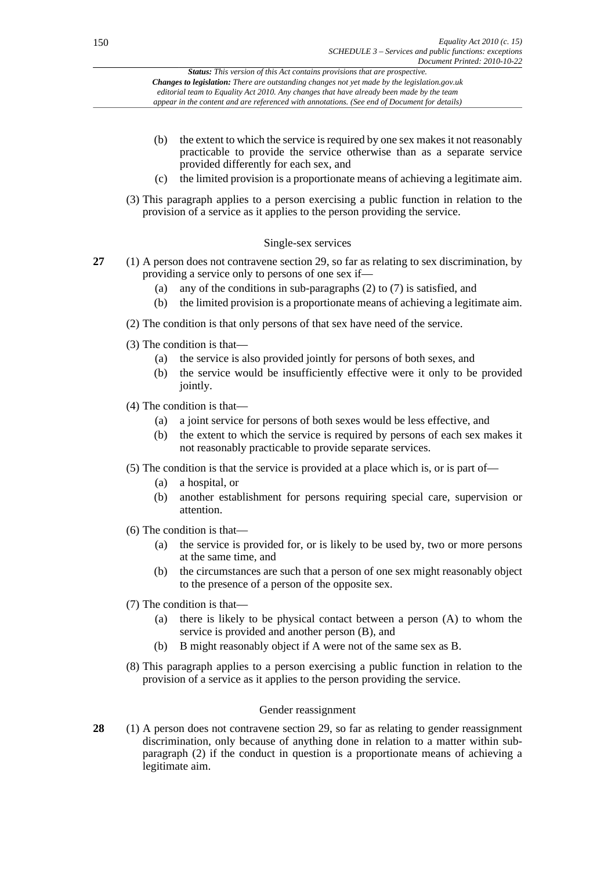- (b) the extent to which the service is required by one sex makes it not reasonably practicable to provide the service otherwise than as a separate service provided differently for each sex, and
- (c) the limited provision is a proportionate means of achieving a legitimate aim.
- (3) This paragraph applies to a person exercising a public function in relation to the provision of a service as it applies to the person providing the service.

# Single-sex services

- **27** (1) A person does not contravene section 29, so far as relating to sex discrimination, by providing a service only to persons of one sex if—
	- (a) any of the conditions in sub-paragraphs (2) to (7) is satisfied, and
	- (b) the limited provision is a proportionate means of achieving a legitimate aim.
	- (2) The condition is that only persons of that sex have need of the service.
	- (3) The condition is that—
		- (a) the service is also provided jointly for persons of both sexes, and
		- (b) the service would be insufficiently effective were it only to be provided jointly.
	- (4) The condition is that—
		- (a) a joint service for persons of both sexes would be less effective, and
		- (b) the extent to which the service is required by persons of each sex makes it not reasonably practicable to provide separate services.
	- (5) The condition is that the service is provided at a place which is, or is part of—
		- (a) a hospital, or
		- (b) another establishment for persons requiring special care, supervision or attention.
	- (6) The condition is that—
		- (a) the service is provided for, or is likely to be used by, two or more persons at the same time, and
		- (b) the circumstances are such that a person of one sex might reasonably object to the presence of a person of the opposite sex.
	- (7) The condition is that—
		- (a) there is likely to be physical contact between a person (A) to whom the service is provided and another person (B), and
		- (b) B might reasonably object if A were not of the same sex as B.
	- (8) This paragraph applies to a person exercising a public function in relation to the provision of a service as it applies to the person providing the service.

# Gender reassignment

**28** (1) A person does not contravene section 29, so far as relating to gender reassignment discrimination, only because of anything done in relation to a matter within subparagraph (2) if the conduct in question is a proportionate means of achieving a legitimate aim.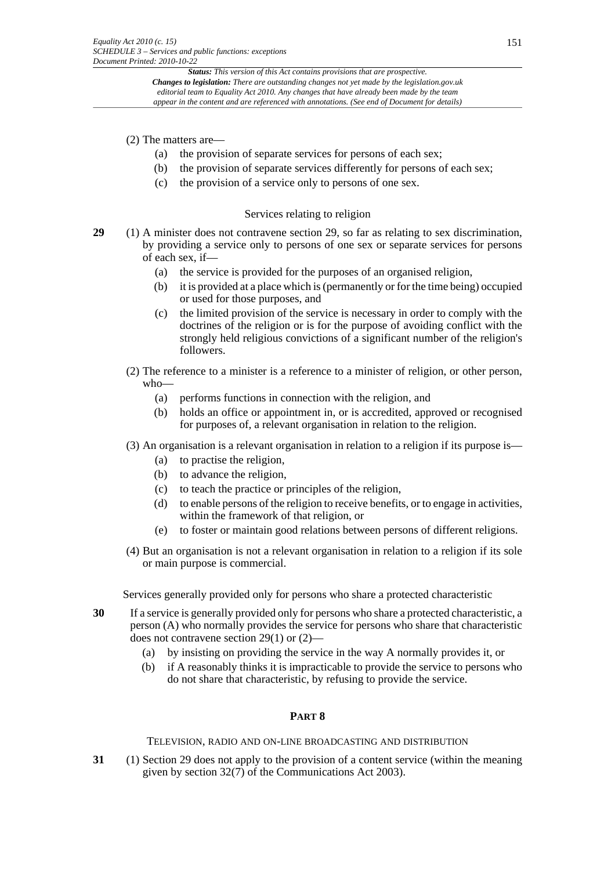*Status: This version of this Act contains provisions that are prospective.*

*Changes to legislation: There are outstanding changes not yet made by the legislation.gov.uk editorial team to Equality Act 2010. Any changes that have already been made by the team appear in the content and are referenced with annotations. (See end of Document for details)*

## (2) The matters are—

- (a) the provision of separate services for persons of each sex;
- (b) the provision of separate services differently for persons of each sex;
- (c) the provision of a service only to persons of one sex.

#### Services relating to religion

**29** (1) A minister does not contravene section 29, so far as relating to sex discrimination, by providing a service only to persons of one sex or separate services for persons of each sex, if—

- (a) the service is provided for the purposes of an organised religion,
- (b) it is provided at a place which is (permanently or for the time being) occupied or used for those purposes, and
- (c) the limited provision of the service is necessary in order to comply with the doctrines of the religion or is for the purpose of avoiding conflict with the strongly held religious convictions of a significant number of the religion's followers.
- (2) The reference to a minister is a reference to a minister of religion, or other person, who—
	- (a) performs functions in connection with the religion, and
	- (b) holds an office or appointment in, or is accredited, approved or recognised for purposes of, a relevant organisation in relation to the religion.
- (3) An organisation is a relevant organisation in relation to a religion if its purpose is—
	- (a) to practise the religion,
	- (b) to advance the religion,
	- (c) to teach the practice or principles of the religion,
	- (d) to enable persons of the religion to receive benefits, or to engage in activities, within the framework of that religion, or
	- (e) to foster or maintain good relations between persons of different religions.
- (4) But an organisation is not a relevant organisation in relation to a religion if its sole or main purpose is commercial.

Services generally provided only for persons who share a protected characteristic

- **30** If a service is generally provided only for persons who share a protected characteristic, a person (A) who normally provides the service for persons who share that characteristic does not contravene section 29(1) or (2)—
	- (a) by insisting on providing the service in the way A normally provides it, or
	- (b) if A reasonably thinks it is impracticable to provide the service to persons who do not share that characteristic, by refusing to provide the service.

# **PART 8**

TELEVISION, RADIO AND ON-LINE BROADCASTING AND DISTRIBUTION

**31** (1) Section 29 does not apply to the provision of a content service (within the meaning given by section 32(7) of the Communications Act 2003).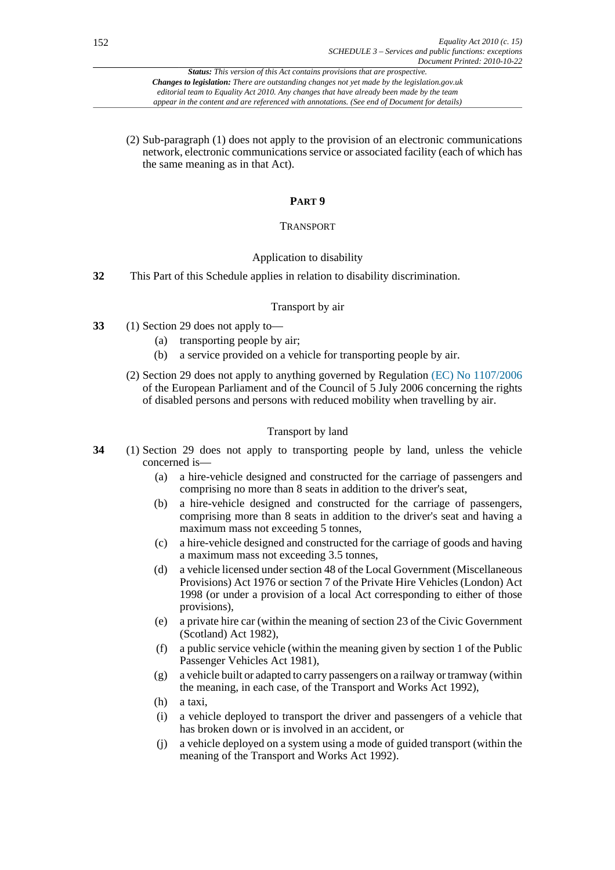(2) Sub-paragraph (1) does not apply to the provision of an electronic communications network, electronic communications service or associated facility (each of which has the same meaning as in that Act).

# **PART 9**

# TRANSPORT

# Application to disability

**32** This Part of this Schedule applies in relation to disability discrimination.

# Transport by air

- **33** (1) Section 29 does not apply to—
	- (a) transporting people by air;
	- (b) a service provided on a vehicle for transporting people by air.
	- (2) Section 29 does not apply to anything governed by Regulation [\(EC\) No 1107/2006](http://www.opsi.gov.uk/legislation/european/regulation/2006/1107) of the European Parliament and of the Council of 5 July 2006 concerning the rights of disabled persons and persons with reduced mobility when travelling by air.

# Transport by land

- **34** (1) Section 29 does not apply to transporting people by land, unless the vehicle concerned is—
	- (a) a hire-vehicle designed and constructed for the carriage of passengers and comprising no more than 8 seats in addition to the driver's seat,
	- (b) a hire-vehicle designed and constructed for the carriage of passengers, comprising more than 8 seats in addition to the driver's seat and having a maximum mass not exceeding 5 tonnes,
	- (c) a hire-vehicle designed and constructed for the carriage of goods and having a maximum mass not exceeding 3.5 tonnes,
	- (d) a vehicle licensed under section 48 of the Local Government (Miscellaneous Provisions) Act 1976 or section 7 of the Private Hire Vehicles (London) Act 1998 (or under a provision of a local Act corresponding to either of those provisions),
	- (e) a private hire car (within the meaning of section 23 of the Civic Government (Scotland) Act 1982),
	- (f) a public service vehicle (within the meaning given by section 1 of the Public Passenger Vehicles Act 1981),
	- (g) a vehicle built or adapted to carry passengers on a railway or tramway (within the meaning, in each case, of the Transport and Works Act 1992),
	- (h) a taxi,
	- (i) a vehicle deployed to transport the driver and passengers of a vehicle that has broken down or is involved in an accident, or
	- (j) a vehicle deployed on a system using a mode of guided transport (within the meaning of the Transport and Works Act 1992).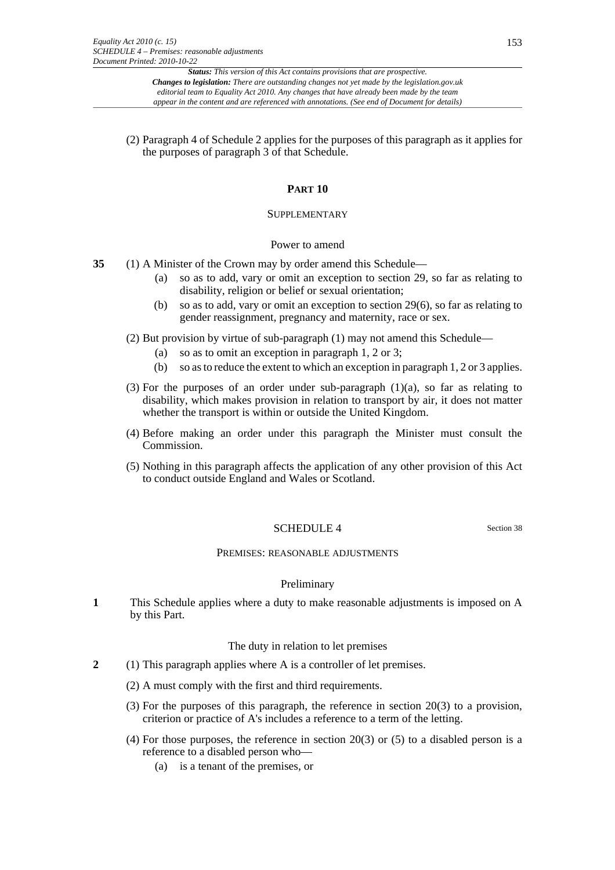(2) Paragraph 4 of Schedule 2 applies for the purposes of this paragraph as it applies for the purposes of paragraph 3 of that Schedule.

# **PART 10**

## **SUPPLEMENTARY**

# Power to amend

- **35** (1) A Minister of the Crown may by order amend this Schedule—
	- (a) so as to add, vary or omit an exception to section 29, so far as relating to disability, religion or belief or sexual orientation;
	- (b) so as to add, vary or omit an exception to section 29(6), so far as relating to gender reassignment, pregnancy and maternity, race or sex.

(2) But provision by virtue of sub-paragraph (1) may not amend this Schedule—

- (a) so as to omit an exception in paragraph 1, 2 or 3;
- (b) so as to reduce the extent to which an exception in paragraph 1, 2 or 3 applies.
- (3) For the purposes of an order under sub-paragraph  $(1)(a)$ , so far as relating to disability, which makes provision in relation to transport by air, it does not matter whether the transport is within or outside the United Kingdom.
- (4) Before making an order under this paragraph the Minister must consult the Commission.
- (5) Nothing in this paragraph affects the application of any other provision of this Act to conduct outside England and Wales or Scotland.

# SCHEDULE 4 Section 38

# PREMISES: REASONABLE ADJUSTMENTS

# Preliminary

**1** This Schedule applies where a duty to make reasonable adjustments is imposed on A by this Part.

#### The duty in relation to let premises

- **2** (1) This paragraph applies where A is a controller of let premises.
	- (2) A must comply with the first and third requirements.
	- (3) For the purposes of this paragraph, the reference in section 20(3) to a provision, criterion or practice of A's includes a reference to a term of the letting.
	- (4) For those purposes, the reference in section 20(3) or (5) to a disabled person is a reference to a disabled person who—
		- (a) is a tenant of the premises, or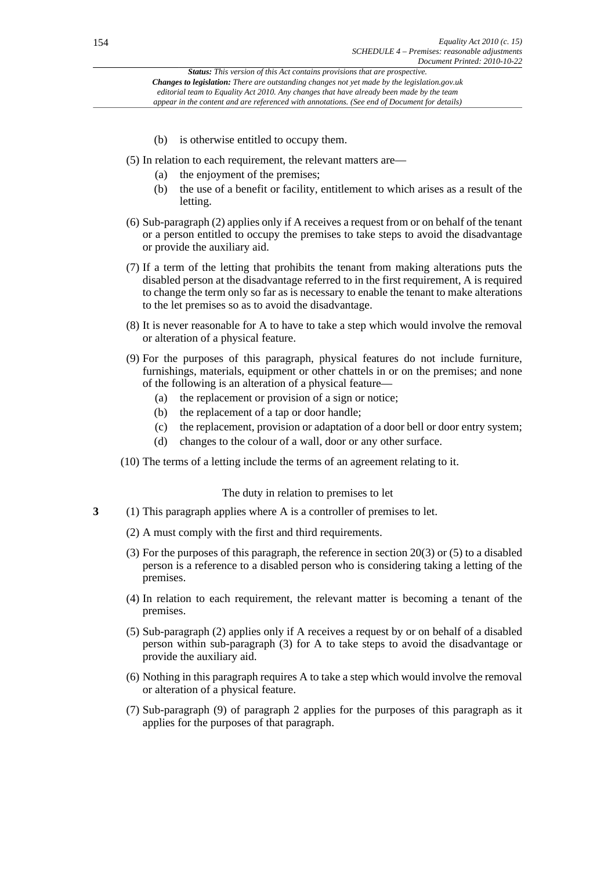- (b) is otherwise entitled to occupy them.
- (5) In relation to each requirement, the relevant matters are—
	- (a) the enjoyment of the premises;
	- (b) the use of a benefit or facility, entitlement to which arises as a result of the letting.
- (6) Sub-paragraph (2) applies only if A receives a request from or on behalf of the tenant or a person entitled to occupy the premises to take steps to avoid the disadvantage or provide the auxiliary aid.
- (7) If a term of the letting that prohibits the tenant from making alterations puts the disabled person at the disadvantage referred to in the first requirement, A is required to change the term only so far as is necessary to enable the tenant to make alterations to the let premises so as to avoid the disadvantage.
- (8) It is never reasonable for A to have to take a step which would involve the removal or alteration of a physical feature.
- (9) For the purposes of this paragraph, physical features do not include furniture, furnishings, materials, equipment or other chattels in or on the premises; and none of the following is an alteration of a physical feature—
	- (a) the replacement or provision of a sign or notice;
	- (b) the replacement of a tap or door handle;
	- (c) the replacement, provision or adaptation of a door bell or door entry system;
	- (d) changes to the colour of a wall, door or any other surface.
- (10) The terms of a letting include the terms of an agreement relating to it.

The duty in relation to premises to let

- **3** (1) This paragraph applies where A is a controller of premises to let.
	- (2) A must comply with the first and third requirements.
	- (3) For the purposes of this paragraph, the reference in section 20(3) or (5) to a disabled person is a reference to a disabled person who is considering taking a letting of the premises.
	- (4) In relation to each requirement, the relevant matter is becoming a tenant of the premises.
	- (5) Sub-paragraph (2) applies only if A receives a request by or on behalf of a disabled person within sub-paragraph (3) for A to take steps to avoid the disadvantage or provide the auxiliary aid.
	- (6) Nothing in this paragraph requires A to take a step which would involve the removal or alteration of a physical feature.
	- (7) Sub-paragraph (9) of paragraph 2 applies for the purposes of this paragraph as it applies for the purposes of that paragraph.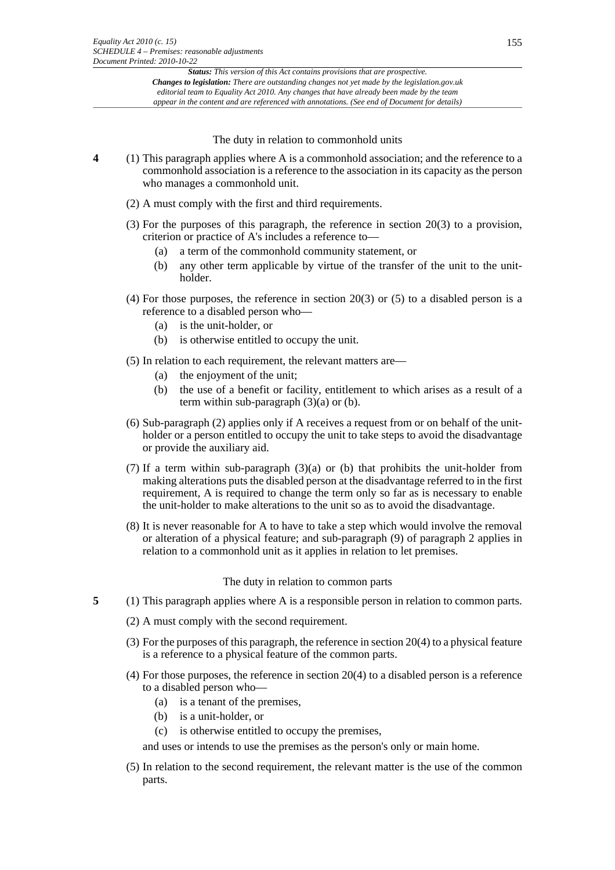The duty in relation to commonhold units

- **4** (1) This paragraph applies where A is a commonhold association; and the reference to a commonhold association is a reference to the association in its capacity as the person who manages a commonhold unit.
	- (2) A must comply with the first and third requirements.
	- (3) For the purposes of this paragraph, the reference in section 20(3) to a provision, criterion or practice of A's includes a reference to—
		- (a) a term of the commonhold community statement, or
		- (b) any other term applicable by virtue of the transfer of the unit to the unitholder.
	- (4) For those purposes, the reference in section 20(3) or (5) to a disabled person is a reference to a disabled person who—
		- (a) is the unit-holder, or
		- (b) is otherwise entitled to occupy the unit.
	- (5) In relation to each requirement, the relevant matters are—
		- (a) the enjoyment of the unit;
		- (b) the use of a benefit or facility, entitlement to which arises as a result of a term within sub-paragraph  $(3)(a)$  or  $(b)$ .
	- (6) Sub-paragraph (2) applies only if A receives a request from or on behalf of the unitholder or a person entitled to occupy the unit to take steps to avoid the disadvantage or provide the auxiliary aid.
	- (7) If a term within sub-paragraph (3)(a) or (b) that prohibits the unit-holder from making alterations puts the disabled person at the disadvantage referred to in the first requirement, A is required to change the term only so far as is necessary to enable the unit-holder to make alterations to the unit so as to avoid the disadvantage.
	- (8) It is never reasonable for A to have to take a step which would involve the removal or alteration of a physical feature; and sub-paragraph (9) of paragraph 2 applies in relation to a commonhold unit as it applies in relation to let premises.

# The duty in relation to common parts

- **5** (1) This paragraph applies where A is a responsible person in relation to common parts.
	- (2) A must comply with the second requirement.
	- (3) For the purposes of this paragraph, the reference in section 20(4) to a physical feature is a reference to a physical feature of the common parts.
	- (4) For those purposes, the reference in section 20(4) to a disabled person is a reference to a disabled person who—
		- (a) is a tenant of the premises,
		- (b) is a unit-holder, or
		- (c) is otherwise entitled to occupy the premises,

and uses or intends to use the premises as the person's only or main home.

(5) In relation to the second requirement, the relevant matter is the use of the common parts.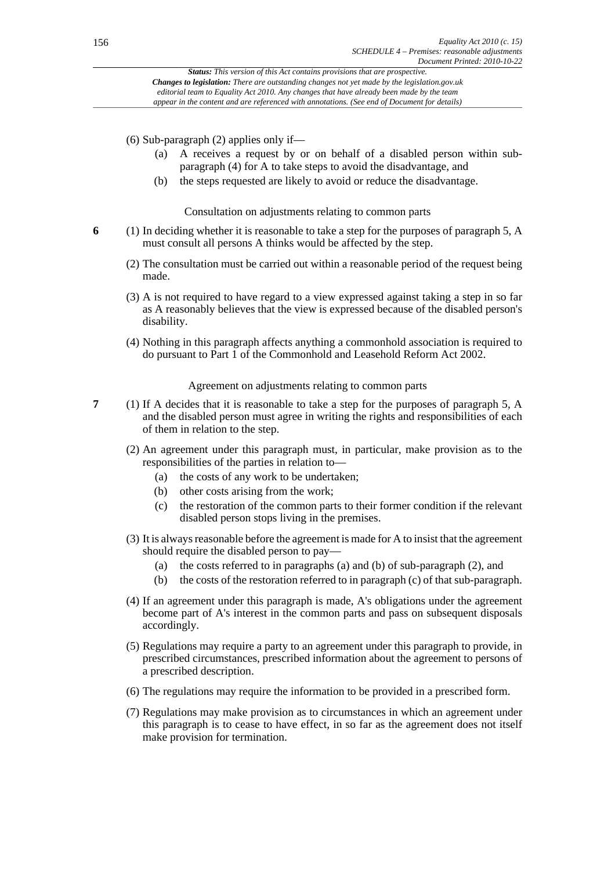(6) Sub-paragraph (2) applies only if—

- (a) A receives a request by or on behalf of a disabled person within subparagraph (4) for A to take steps to avoid the disadvantage, and
- (b) the steps requested are likely to avoid or reduce the disadvantage.

Consultation on adjustments relating to common parts

- **6** (1) In deciding whether it is reasonable to take a step for the purposes of paragraph 5, A must consult all persons A thinks would be affected by the step.
	- (2) The consultation must be carried out within a reasonable period of the request being made.
	- (3) A is not required to have regard to a view expressed against taking a step in so far as A reasonably believes that the view is expressed because of the disabled person's disability.
	- (4) Nothing in this paragraph affects anything a commonhold association is required to do pursuant to Part 1 of the Commonhold and Leasehold Reform Act 2002.

Agreement on adjustments relating to common parts

- **7** (1) If A decides that it is reasonable to take a step for the purposes of paragraph 5, A and the disabled person must agree in writing the rights and responsibilities of each of them in relation to the step.
	- (2) An agreement under this paragraph must, in particular, make provision as to the responsibilities of the parties in relation to—
		- (a) the costs of any work to be undertaken;
		- (b) other costs arising from the work;
		- (c) the restoration of the common parts to their former condition if the relevant disabled person stops living in the premises.
	- (3) It is always reasonable before the agreement is made for A to insist that the agreement should require the disabled person to pay—
		- (a) the costs referred to in paragraphs (a) and (b) of sub-paragraph (2), and
		- (b) the costs of the restoration referred to in paragraph (c) of that sub-paragraph.
	- (4) If an agreement under this paragraph is made, A's obligations under the agreement become part of A's interest in the common parts and pass on subsequent disposals accordingly.
	- (5) Regulations may require a party to an agreement under this paragraph to provide, in prescribed circumstances, prescribed information about the agreement to persons of a prescribed description.
	- (6) The regulations may require the information to be provided in a prescribed form.
	- (7) Regulations may make provision as to circumstances in which an agreement under this paragraph is to cease to have effect, in so far as the agreement does not itself make provision for termination.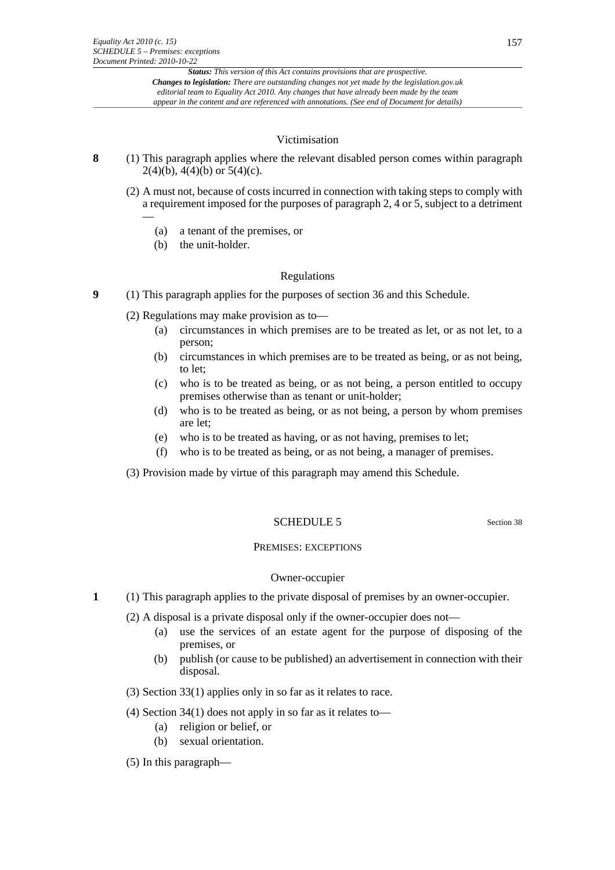$\overline{\phantom{a}}$ 

*Status: This version of this Act contains provisions that are prospective. Changes to legislation: There are outstanding changes not yet made by the legislation.gov.uk editorial team to Equality Act 2010. Any changes that have already been made by the team appear in the content and are referenced with annotations. (See end of Document for details)*

# Victimisation

- **8** (1) This paragraph applies where the relevant disabled person comes within paragraph  $2(4)(b)$ ,  $4(4)(b)$  or  $5(4)(c)$ .
	- (2) A must not, because of costs incurred in connection with taking steps to comply with a requirement imposed for the purposes of paragraph 2, 4 or 5, subject to a detriment
		- (a) a tenant of the premises, or
		- (b) the unit-holder.

# Regulations

**9** (1) This paragraph applies for the purposes of section 36 and this Schedule.

(2) Regulations may make provision as to—

- (a) circumstances in which premises are to be treated as let, or as not let, to a person;
- (b) circumstances in which premises are to be treated as being, or as not being, to let;
- (c) who is to be treated as being, or as not being, a person entitled to occupy premises otherwise than as tenant or unit-holder;
- (d) who is to be treated as being, or as not being, a person by whom premises are let;
- (e) who is to be treated as having, or as not having, premises to let;
- (f) who is to be treated as being, or as not being, a manager of premises.

(3) Provision made by virtue of this paragraph may amend this Schedule.

# SCHEDULE 5 Section 38

# PREMISES: EXCEPTIONS

# Owner-occupier

**1** (1) This paragraph applies to the private disposal of premises by an owner-occupier.

(2) A disposal is a private disposal only if the owner-occupier does not—

- (a) use the services of an estate agent for the purpose of disposing of the premises, or
- (b) publish (or cause to be published) an advertisement in connection with their disposal.
- (3) Section 33(1) applies only in so far as it relates to race.
- (4) Section 34(1) does not apply in so far as it relates to—
	- (a) religion or belief, or
	- (b) sexual orientation.
- (5) In this paragraph—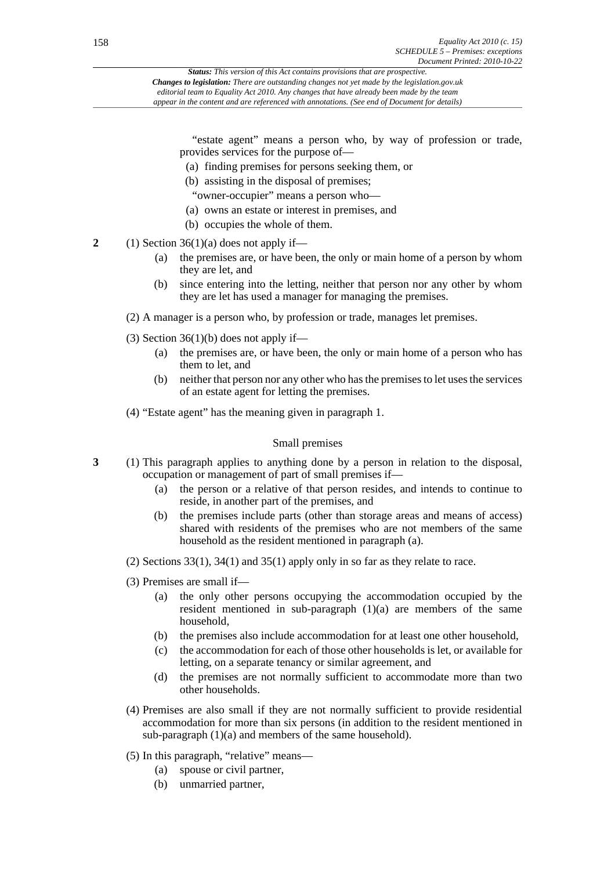*Status: This version of this Act contains provisions that are prospective.*

*Changes to legislation: There are outstanding changes not yet made by the legislation.gov.uk editorial team to Equality Act 2010. Any changes that have already been made by the team*

*appear in the content and are referenced with annotations. (See end of Document for details)*

"estate agent" means a person who, by way of profession or trade, provides services for the purpose of—

- (a) finding premises for persons seeking them, or
- (b) assisting in the disposal of premises;
	- "owner-occupier" means a person who—
- (a) owns an estate or interest in premises, and
- (b) occupies the whole of them.
- 2 (1) Section  $36(1)(a)$  does not apply if—
	- (a) the premises are, or have been, the only or main home of a person by whom they are let, and
	- (b) since entering into the letting, neither that person nor any other by whom they are let has used a manager for managing the premises.
	- (2) A manager is a person who, by profession or trade, manages let premises.
	- (3) Section  $36(1)(b)$  does not apply if—
		- (a) the premises are, or have been, the only or main home of a person who has them to let, and
		- (b) neither that person nor any other who has the premises to let uses the services of an estate agent for letting the premises.
	- (4) "Estate agent" has the meaning given in paragraph 1.

# Small premises

- **3** (1) This paragraph applies to anything done by a person in relation to the disposal, occupation or management of part of small premises if—
	- (a) the person or a relative of that person resides, and intends to continue to reside, in another part of the premises, and
	- (b) the premises include parts (other than storage areas and means of access) shared with residents of the premises who are not members of the same household as the resident mentioned in paragraph (a).
	- (2) Sections 33(1), 34(1) and 35(1) apply only in so far as they relate to race.
	- (3) Premises are small if—
		- (a) the only other persons occupying the accommodation occupied by the resident mentioned in sub-paragraph (1)(a) are members of the same household,
		- (b) the premises also include accommodation for at least one other household,
		- (c) the accommodation for each of those other households is let, or available for letting, on a separate tenancy or similar agreement, and
		- (d) the premises are not normally sufficient to accommodate more than two other households.
	- (4) Premises are also small if they are not normally sufficient to provide residential accommodation for more than six persons (in addition to the resident mentioned in sub-paragraph (1)(a) and members of the same household).
	- (5) In this paragraph, "relative" means—
		- (a) spouse or civil partner,
		- (b) unmarried partner,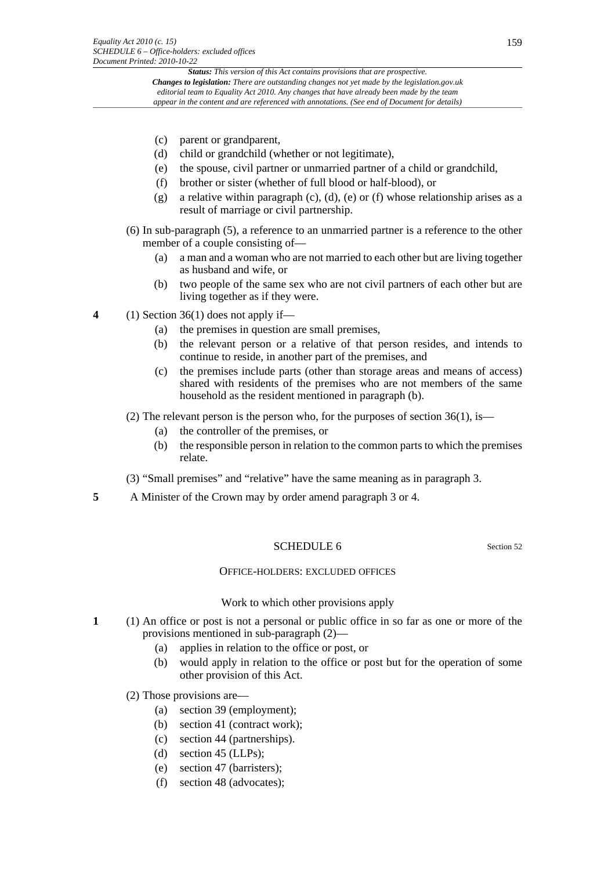*Status: This version of this Act contains provisions that are prospective.*

*Changes to legislation: There are outstanding changes not yet made by the legislation.gov.uk editorial team to Equality Act 2010. Any changes that have already been made by the team appear in the content and are referenced with annotations. (See end of Document for details)*

- (c) parent or grandparent,
- (d) child or grandchild (whether or not legitimate),
- (e) the spouse, civil partner or unmarried partner of a child or grandchild,
- (f) brother or sister (whether of full blood or half-blood), or
- (g) a relative within paragraph (c), (d), (e) or (f) whose relationship arises as a result of marriage or civil partnership.
- (6) In sub-paragraph (5), a reference to an unmarried partner is a reference to the other member of a couple consisting of—
	- (a) a man and a woman who are not married to each other but are living together as husband and wife, or
	- (b) two people of the same sex who are not civil partners of each other but are living together as if they were.
- **4** (1) Section 36(1) does not apply if—
	- (a) the premises in question are small premises,
	- (b) the relevant person or a relative of that person resides, and intends to continue to reside, in another part of the premises, and
	- (c) the premises include parts (other than storage areas and means of access) shared with residents of the premises who are not members of the same household as the resident mentioned in paragraph (b).
	- (2) The relevant person is the person who, for the purposes of section  $36(1)$ , is—
		- (a) the controller of the premises, or
		- (b) the responsible person in relation to the common parts to which the premises relate.
	- (3) "Small premises" and "relative" have the same meaning as in paragraph 3.
- **5** A Minister of the Crown may by order amend paragraph 3 or 4.

# SCHEDULE 6 Section 52

## OFFICE-HOLDERS: EXCLUDED OFFICES

## Work to which other provisions apply

- **1** (1) An office or post is not a personal or public office in so far as one or more of the provisions mentioned in sub-paragraph (2)—
	- (a) applies in relation to the office or post, or
	- (b) would apply in relation to the office or post but for the operation of some other provision of this Act.

# (2) Those provisions are—

- (a) section 39 (employment);
- (b) section 41 (contract work);
- (c) section 44 (partnerships).
- (d) section 45 (LLPs);
- (e) section 47 (barristers);
- (f) section 48 (advocates);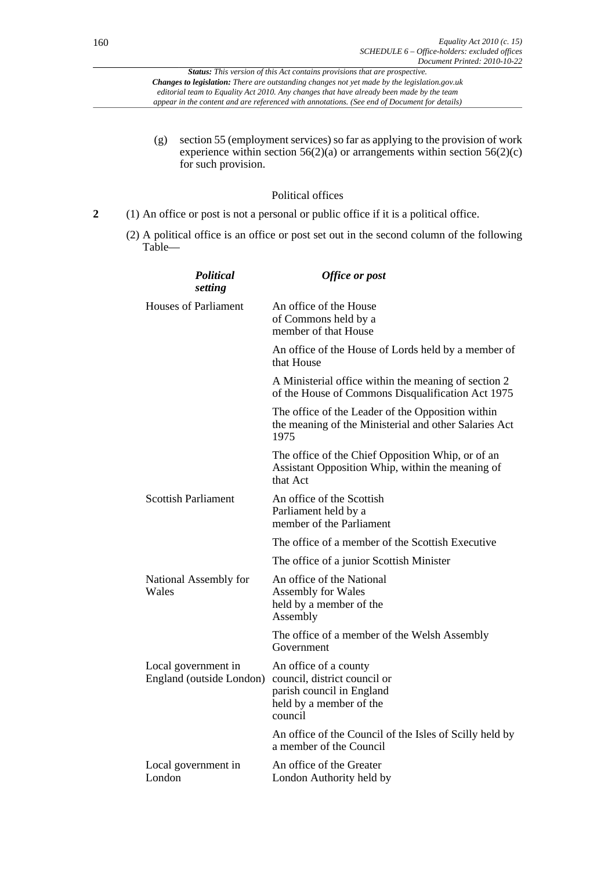|                |                                                 | Document Frinted, 2010-10-22<br><b>Status:</b> This version of this Act contains provisions that are prospective.<br><b>Changes to legislation:</b> There are outstanding changes not yet made by the legislation.gov.uk<br>editorial team to Equality Act 2010. Any changes that have already been made by the team<br>appear in the content and are referenced with annotations. (See end of Document for details) |
|----------------|-------------------------------------------------|----------------------------------------------------------------------------------------------------------------------------------------------------------------------------------------------------------------------------------------------------------------------------------------------------------------------------------------------------------------------------------------------------------------------|
|                | (g)<br>for such provision.                      | section 55 (employment services) so far as applying to the provision of work<br>experience within section $56(2)(a)$ or arrangements within section $56(2)(c)$                                                                                                                                                                                                                                                       |
|                |                                                 | Political offices                                                                                                                                                                                                                                                                                                                                                                                                    |
| $\overline{2}$ |                                                 | (1) An office or post is not a personal or public office if it is a political office.                                                                                                                                                                                                                                                                                                                                |
|                | Table—                                          | (2) A political office is an office or post set out in the second column of the following                                                                                                                                                                                                                                                                                                                            |
|                | Political<br>setting                            | Office or post                                                                                                                                                                                                                                                                                                                                                                                                       |
|                | <b>Houses of Parliament</b>                     | An office of the House<br>of Commons held by a<br>member of that House                                                                                                                                                                                                                                                                                                                                               |
|                |                                                 | An office of the House of Lords held by a member of<br>that House                                                                                                                                                                                                                                                                                                                                                    |
|                |                                                 | A Ministerial office within the meaning of section 2<br>of the House of Commons Disqualification Act 1975                                                                                                                                                                                                                                                                                                            |
|                |                                                 | The office of the Leader of the Opposition within<br>the meaning of the Ministerial and other Salaries Act<br>1975                                                                                                                                                                                                                                                                                                   |
|                |                                                 | The office of the Chief Opposition Whip, or of an<br>Assistant Opposition Whip, within the meaning of<br>that Act                                                                                                                                                                                                                                                                                                    |
|                | <b>Scottish Parliament</b>                      | An office of the Scottish<br>Parliament held by a<br>member of the Parliament                                                                                                                                                                                                                                                                                                                                        |
|                |                                                 | The office of a member of the Scottish Executive                                                                                                                                                                                                                                                                                                                                                                     |
|                |                                                 | The office of a junior Scottish Minister                                                                                                                                                                                                                                                                                                                                                                             |
|                | National Assembly for<br>Wales                  | An office of the National<br>Assembly for Wales<br>held by a member of the<br>Assembly                                                                                                                                                                                                                                                                                                                               |
|                |                                                 | The office of a member of the Welsh Assembly<br>Government                                                                                                                                                                                                                                                                                                                                                           |
|                | Local government in<br>England (outside London) | An office of a county<br>council, district council or<br>parish council in England<br>held by a member of the<br>council                                                                                                                                                                                                                                                                                             |
|                |                                                 | An office of the Council of the Isles of Scilly held by<br>a member of the Council                                                                                                                                                                                                                                                                                                                                   |
|                | Local government in<br>London                   | An office of the Greater<br>London Authority held by                                                                                                                                                                                                                                                                                                                                                                 |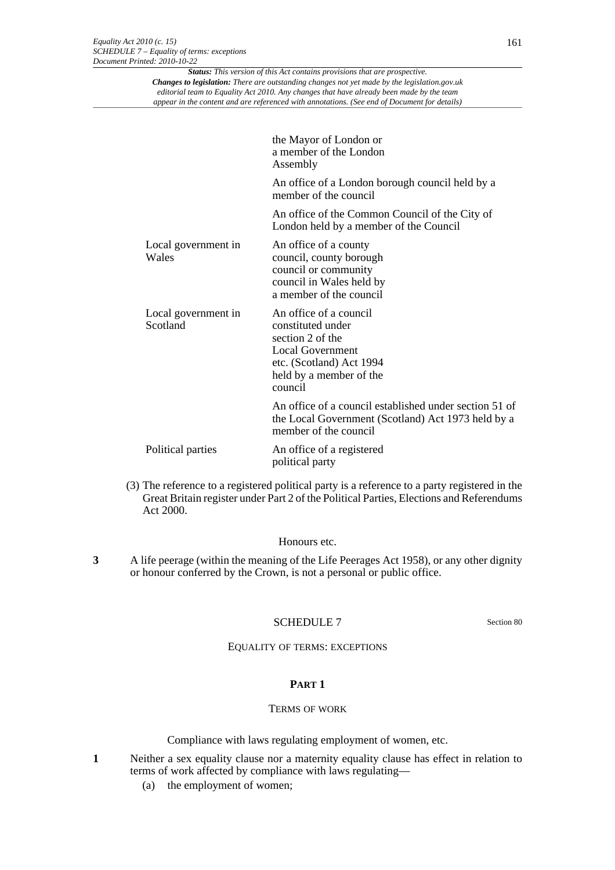|                                 | the Mayor of London or<br>a member of the London<br>Assembly                                                                                                 |
|---------------------------------|--------------------------------------------------------------------------------------------------------------------------------------------------------------|
|                                 | An office of a London borough council held by a<br>member of the council                                                                                     |
|                                 | An office of the Common Council of the City of<br>London held by a member of the Council                                                                     |
| Local government in<br>Wales    | An office of a county<br>council, county borough<br>council or community<br>council in Wales held by<br>a member of the council                              |
| Local government in<br>Scotland | An office of a council<br>constituted under<br>section 2 of the<br><b>Local Government</b><br>etc. (Scotland) Act 1994<br>held by a member of the<br>council |
|                                 | An office of a council established under section 51 of<br>the Local Government (Scotland) Act 1973 held by a<br>member of the council                        |
| Political parties               | An office of a registered<br>political party                                                                                                                 |

(3) The reference to a registered political party is a reference to a party registered in the Great Britain register under Part 2 of the Political Parties, Elections and Referendums Act 2000.

#### Honours etc.

**3** A life peerage (within the meaning of the Life Peerages Act 1958), or any other dignity or honour conferred by the Crown, is not a personal or public office.

# SCHEDULE 7 Section 80

# EQUALITY OF TERMS: EXCEPTIONS

# **PART 1**

# TERMS OF WORK

Compliance with laws regulating employment of women, etc.

- **1** Neither a sex equality clause nor a maternity equality clause has effect in relation to terms of work affected by compliance with laws regulating—
	- (a) the employment of women;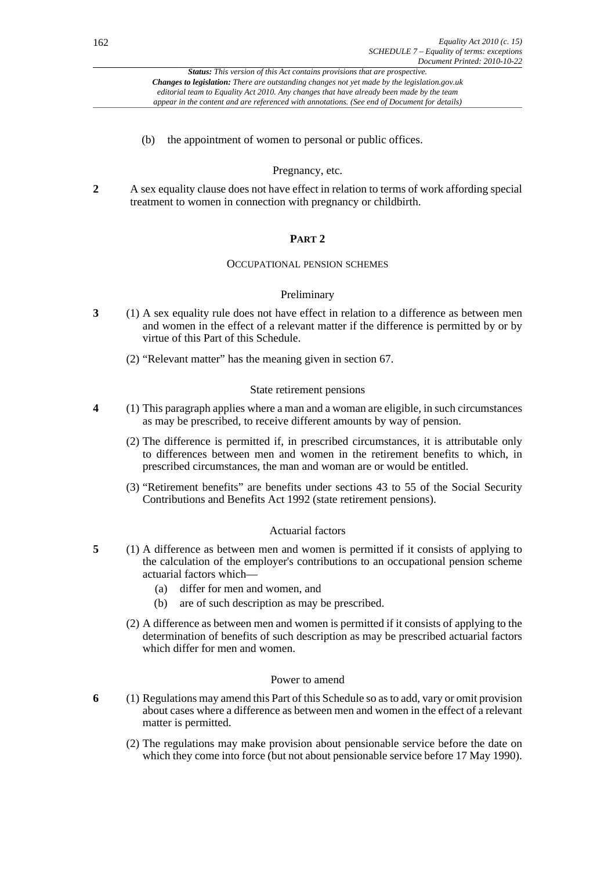| <b>Status:</b> This version of this Act contains provisions that are prospective.                   |  |
|-----------------------------------------------------------------------------------------------------|--|
| <b>Changes to legislation:</b> There are outstanding changes not yet made by the legislation gov.uk |  |
| editorial team to Equality Act 2010. Any changes that have already been made by the team            |  |
| appear in the content and are referenced with annotations. (See end of Document for details)        |  |
|                                                                                                     |  |

(b) the appointment of women to personal or public offices.

# Pregnancy, etc.

**2** A sex equality clause does not have effect in relation to terms of work affording special treatment to women in connection with pregnancy or childbirth.

# **PART 2**

# OCCUPATIONAL PENSION SCHEMES

# Preliminary

- **3** (1) A sex equality rule does not have effect in relation to a difference as between men and women in the effect of a relevant matter if the difference is permitted by or by virtue of this Part of this Schedule.
	- (2) "Relevant matter" has the meaning given in section 67.

# State retirement pensions

- **4** (1) This paragraph applies where a man and a woman are eligible, in such circumstances as may be prescribed, to receive different amounts by way of pension.
	- (2) The difference is permitted if, in prescribed circumstances, it is attributable only to differences between men and women in the retirement benefits to which, in prescribed circumstances, the man and woman are or would be entitled.
	- (3) "Retirement benefits" are benefits under sections 43 to 55 of the Social Security Contributions and Benefits Act 1992 (state retirement pensions).

# Actuarial factors

- **5** (1) A difference as between men and women is permitted if it consists of applying to the calculation of the employer's contributions to an occupational pension scheme actuarial factors which—
	- (a) differ for men and women, and
	- (b) are of such description as may be prescribed.
	- (2) A difference as between men and women is permitted if it consists of applying to the determination of benefits of such description as may be prescribed actuarial factors which differ for men and women.

# Power to amend

- **6** (1) Regulations may amend this Part of this Schedule so as to add, vary or omit provision about cases where a difference as between men and women in the effect of a relevant matter is permitted.
	- (2) The regulations may make provision about pensionable service before the date on which they come into force (but not about pensionable service before 17 May 1990).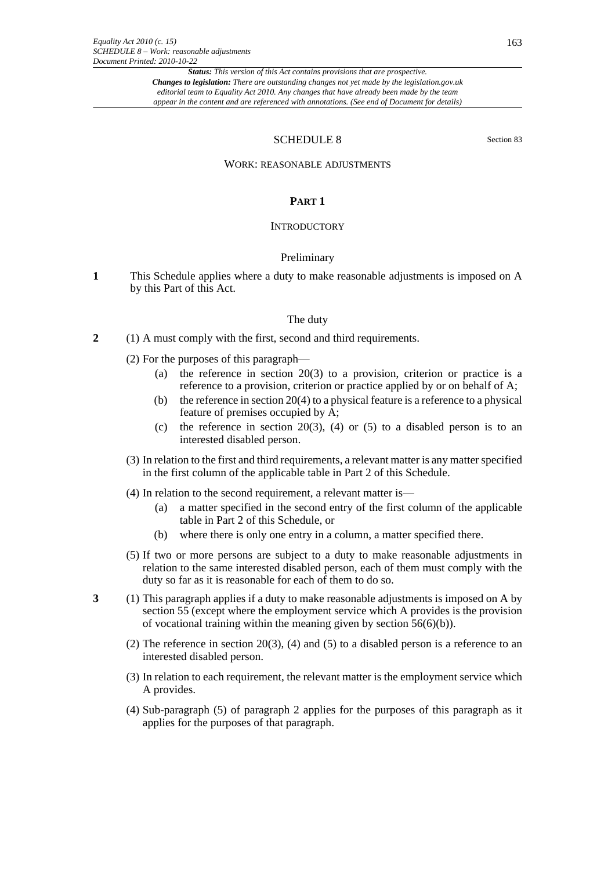#### SCHEDULE 8 Section 83

#### WORK: REASONABLE ADJUSTMENTS

# **PART 1**

## **INTRODUCTORY**

#### Preliminary

**1** This Schedule applies where a duty to make reasonable adjustments is imposed on A by this Part of this Act.

#### The duty

- **2** (1) A must comply with the first, second and third requirements.
	- (2) For the purposes of this paragraph—
		- (a) the reference in section 20(3) to a provision, criterion or practice is a reference to a provision, criterion or practice applied by or on behalf of A;
		- (b) the reference in section 20(4) to a physical feature is a reference to a physical feature of premises occupied by A;
		- (c) the reference in section 20(3), (4) or (5) to a disabled person is to an interested disabled person.
	- (3) In relation to the first and third requirements, a relevant matter is any matter specified in the first column of the applicable table in Part 2 of this Schedule.
	- (4) In relation to the second requirement, a relevant matter is—
		- (a) a matter specified in the second entry of the first column of the applicable table in Part 2 of this Schedule, or
		- (b) where there is only one entry in a column, a matter specified there.
	- (5) If two or more persons are subject to a duty to make reasonable adjustments in relation to the same interested disabled person, each of them must comply with the duty so far as it is reasonable for each of them to do so.
- **3** (1) This paragraph applies if a duty to make reasonable adjustments is imposed on A by section 55 (except where the employment service which A provides is the provision of vocational training within the meaning given by section  $56(6)(b)$ ).
	- (2) The reference in section 20(3), (4) and (5) to a disabled person is a reference to an interested disabled person.
	- (3) In relation to each requirement, the relevant matter is the employment service which A provides.
	- (4) Sub-paragraph (5) of paragraph 2 applies for the purposes of this paragraph as it applies for the purposes of that paragraph.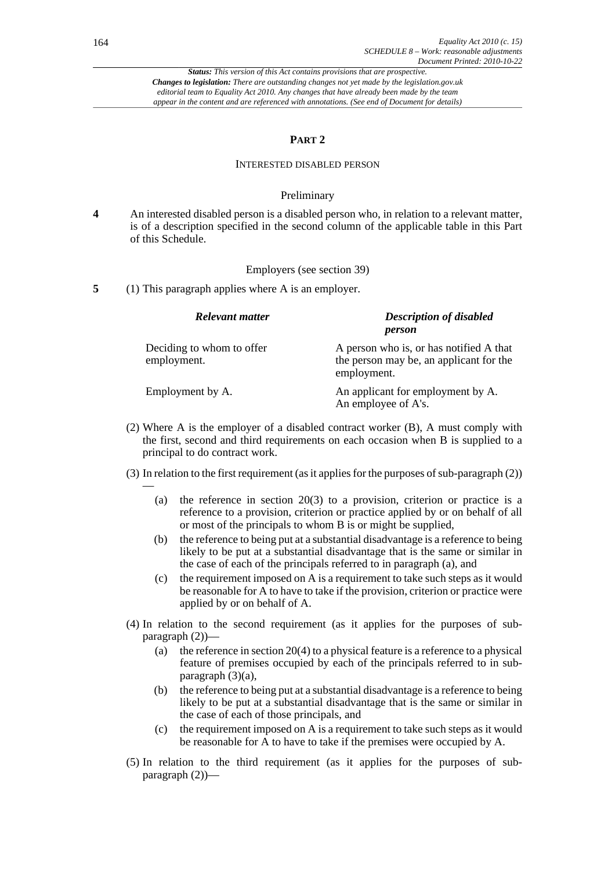# **PART 2**

## INTERESTED DISABLED PERSON

# Preliminary

**4** An interested disabled person is a disabled person who, in relation to a relevant matter, is of a description specified in the second column of the applicable table in this Part of this Schedule.

Employers (see section 39)

**5** (1) This paragraph applies where A is an employer.

—

| <b>Relevant matter</b>                   | <b>Description of disabled</b><br>person                                                          |
|------------------------------------------|---------------------------------------------------------------------------------------------------|
| Deciding to whom to offer<br>employment. | A person who is, or has notified A that<br>the person may be, an applicant for the<br>employment. |
| Employment by A.                         | An applicant for employment by A.<br>An employee of A's.                                          |

- (2) Where A is the employer of a disabled contract worker (B), A must comply with the first, second and third requirements on each occasion when B is supplied to a principal to do contract work.
- (3) In relation to the first requirement (as it applies for the purposes of sub-paragraph (2))
	- (a) the reference in section 20(3) to a provision, criterion or practice is a reference to a provision, criterion or practice applied by or on behalf of all or most of the principals to whom B is or might be supplied,
	- (b) the reference to being put at a substantial disadvantage is a reference to being likely to be put at a substantial disadvantage that is the same or similar in the case of each of the principals referred to in paragraph (a), and
	- (c) the requirement imposed on A is a requirement to take such steps as it would be reasonable for A to have to take if the provision, criterion or practice were applied by or on behalf of A.
- (4) In relation to the second requirement (as it applies for the purposes of subparagraph (2))—
	- (a) the reference in section  $20(4)$  to a physical feature is a reference to a physical feature of premises occupied by each of the principals referred to in subparagraph (3)(a),
	- (b) the reference to being put at a substantial disadvantage is a reference to being likely to be put at a substantial disadvantage that is the same or similar in the case of each of those principals, and
	- (c) the requirement imposed on A is a requirement to take such steps as it would be reasonable for  $\overline{A}$  to have to take if the premises were occupied by  $A$ .
- (5) In relation to the third requirement (as it applies for the purposes of subparagraph (2))—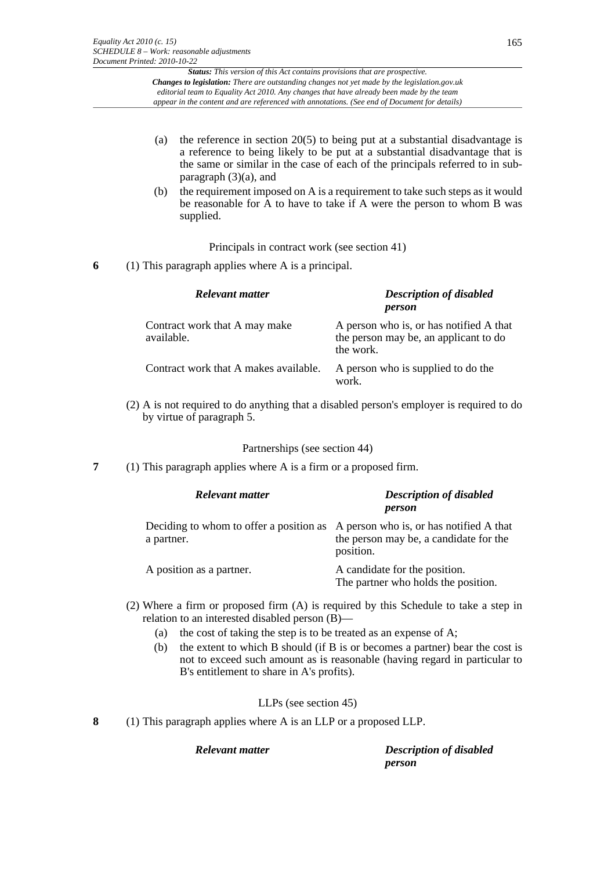- (a) the reference in section 20(5) to being put at a substantial disadvantage is a reference to being likely to be put at a substantial disadvantage that is the same or similar in the case of each of the principals referred to in subparagraph (3)(a), and
- (b) the requirement imposed on A is a requirement to take such steps as it would be reasonable for A to have to take if A were the person to whom B was supplied.

Principals in contract work (see section 41)

**6** (1) This paragraph applies where A is a principal.

| <b>Relevant matter</b>                      | <b>Description of disabled</b><br>person                                                      |
|---------------------------------------------|-----------------------------------------------------------------------------------------------|
| Contract work that A may make<br>available. | A person who is, or has notified A that<br>the person may be, an applicant to do<br>the work. |
| Contract work that A makes available.       | A person who is supplied to do the<br>work.                                                   |

(2) A is not required to do anything that a disabled person's employer is required to do by virtue of paragraph 5.

# Partnerships (see section 44)

**7** (1) This paragraph applies where A is a firm or a proposed firm.

| <b>Relevant matter</b>                                | <b>Description of disabled</b><br>person                                                       |
|-------------------------------------------------------|------------------------------------------------------------------------------------------------|
| Deciding to whom to offer a position as<br>a partner. | A person who is, or has notified A that<br>the person may be, a candidate for the<br>position. |
| A position as a partner.                              | A candidate for the position.<br>The partner who holds the position.                           |

- (2) Where a firm or proposed firm (A) is required by this Schedule to take a step in relation to an interested disabled person (B)—
	- (a) the cost of taking the step is to be treated as an expense of A;
	- (b) the extent to which B should (if B is or becomes a partner) bear the cost is not to exceed such amount as is reasonable (having regard in particular to B's entitlement to share in A's profits).

LLPs (see section 45)

**8** (1) This paragraph applies where A is an LLP or a proposed LLP.

*Relevant matter Description of disabled person*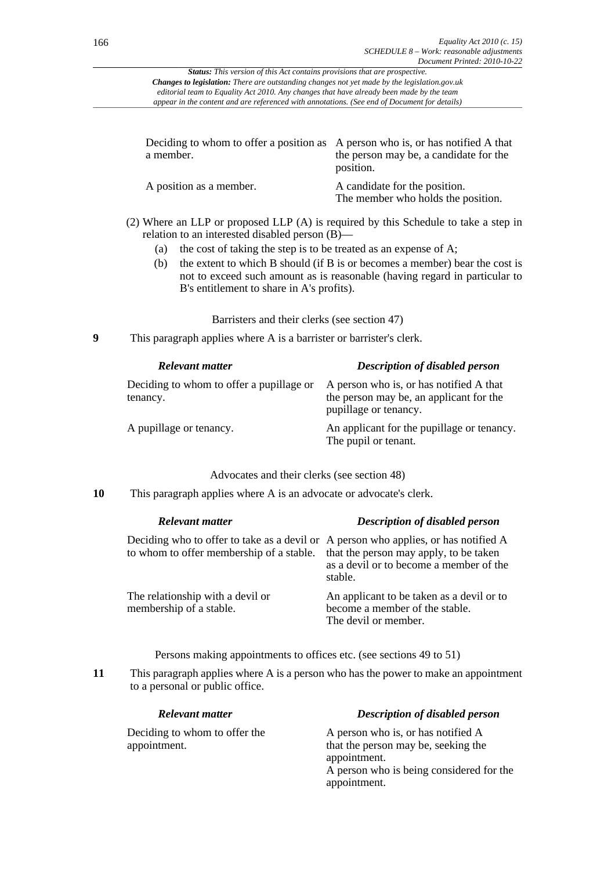| Deciding to whom to offer a position as A person who is, or has notified A that |                                                                     |
|---------------------------------------------------------------------------------|---------------------------------------------------------------------|
| a member.                                                                       | the person may be, a candidate for the<br>position.                 |
| A position as a member.                                                         | A candidate for the position.<br>The member who holds the position. |

- (2) Where an LLP or proposed LLP (A) is required by this Schedule to take a step in relation to an interested disabled person (B)—
	- (a) the cost of taking the step is to be treated as an expense of A;
	- (b) the extent to which B should (if B is or becomes a member) bear the cost is not to exceed such amount as is reasonable (having regard in particular to B's entitlement to share in A's profits).

Barristers and their clerks (see section 47)

**9** This paragraph applies where A is a barrister or barrister's clerk.

| Relevant matter                                      | <b>Description of disabled person</b>                                                                       |
|------------------------------------------------------|-------------------------------------------------------------------------------------------------------------|
| Deciding to whom to offer a pupillage or<br>tenancy. | A person who is, or has notified A that<br>the person may be, an applicant for the<br>pupillage or tenancy. |
| A pupillage or tenancy.                              | An applicant for the pupillage or tenancy.<br>The pupil or tenant.                                          |

Advocates and their clerks (see section 48)

10 This paragraph applies where A is an advocate or advocate's clerk.

| <b>Relevant matter</b>                                                                                                          | <b>Description of disabled person</b>                                                               |
|---------------------------------------------------------------------------------------------------------------------------------|-----------------------------------------------------------------------------------------------------|
| Deciding who to offer to take as a devil or A person who applies, or has notified A<br>to whom to offer membership of a stable. | that the person may apply, to be taken<br>as a devil or to become a member of the<br>stable.        |
| The relationship with a devil or<br>membership of a stable.                                                                     | An applicant to be taken as a devil or to<br>become a member of the stable.<br>The devil or member. |

Persons making appointments to offices etc. (see sections 49 to 51)

**11** This paragraph applies where A is a person who has the power to make an appointment to a personal or public office.

# Deciding to whom to offer the appointment.

*Relevant matter Description of disabled person*

A person who is, or has notified A that the person may be, seeking the appointment. A person who is being considered for the appointment.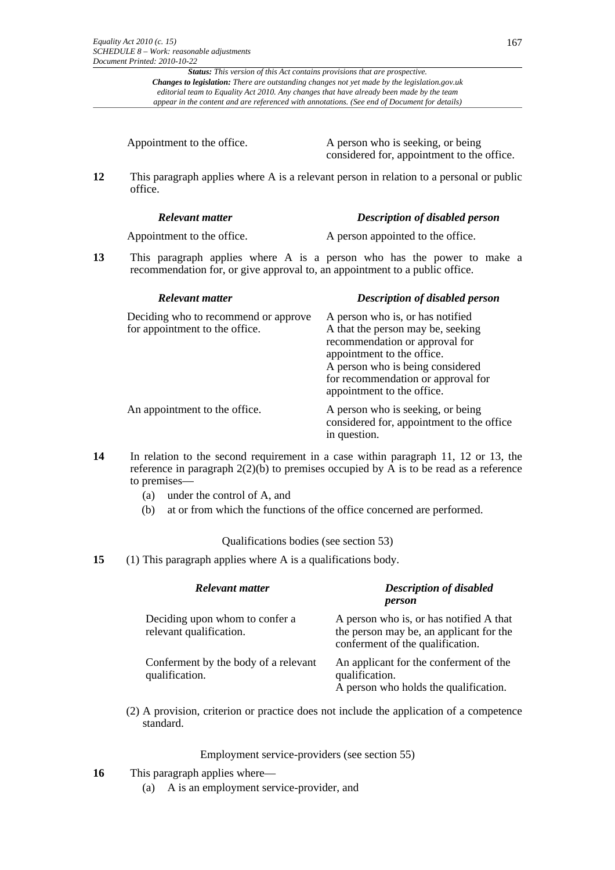| Appointment to the office. | A person who is seeking, or being          |
|----------------------------|--------------------------------------------|
|                            | considered for, appointment to the office. |

**12** This paragraph applies where A is a relevant person in relation to a personal or public office.

# *Relevant matter Description of disabled person*

Appointment to the office. A person appointed to the office.

**13** This paragraph applies where A is a person who has the power to make a recommendation for, or give approval to, an appointment to a public office.

| <b>Relevant matter</b>                                                 | <b>Description of disabled person</b>                                                                                                                                                                                                         |
|------------------------------------------------------------------------|-----------------------------------------------------------------------------------------------------------------------------------------------------------------------------------------------------------------------------------------------|
| Deciding who to recommend or approve<br>for appointment to the office. | A person who is, or has notified<br>A that the person may be, seeking<br>recommendation or approval for<br>appointment to the office.<br>A person who is being considered<br>for recommendation or approval for<br>appointment to the office. |
| An appointment to the office.                                          | A person who is seeking, or being<br>considered for, appointment to the office<br>in question.                                                                                                                                                |

- **14** In relation to the second requirement in a case within paragraph 11, 12 or 13, the reference in paragraph  $2(2)(b)$  to premises occupied by A is to be read as a reference to premises—
	- (a) under the control of A, and
	- (b) at or from which the functions of the office concerned are performed.

# Qualifications bodies (see section 53)

**15** (1) This paragraph applies where A is a qualifications body.

| <b>Relevant matter</b>                                    | <b>Description of disabled</b><br>person                                                                               |
|-----------------------------------------------------------|------------------------------------------------------------------------------------------------------------------------|
| Deciding upon whom to confer a<br>relevant qualification. | A person who is, or has notified A that<br>the person may be, an applicant for the<br>conferment of the qualification. |
| Conferment by the body of a relevant<br>qualification.    | An applicant for the conferment of the<br>qualification.<br>A person who holds the qualification.                      |

(2) A provision, criterion or practice does not include the application of a competence standard.

Employment service-providers (see section 55)

- **16** This paragraph applies where—
	- (a) A is an employment service-provider, and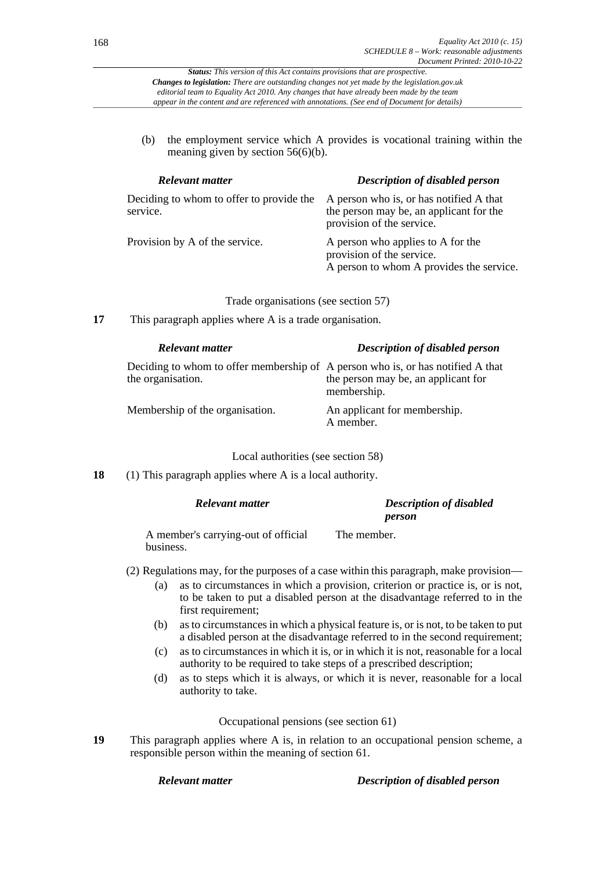(b) the employment service which A provides is vocational training within the meaning given by section 56(6)(b).

| <b>Relevant matter</b>                               | <b>Description of disabled person</b>                                                                           |
|------------------------------------------------------|-----------------------------------------------------------------------------------------------------------------|
| Deciding to whom to offer to provide the<br>service. | A person who is, or has notified A that<br>the person may be, an applicant for the<br>provision of the service. |
| Provision by A of the service.                       | A person who applies to A for the<br>provision of the service.<br>A person to whom A provides the service.      |

Trade organisations (see section 57)

**17** This paragraph applies where A is a trade organisation.

| <b>Relevant matter</b>                                                                               | <b>Description of disabled person</b>              |
|------------------------------------------------------------------------------------------------------|----------------------------------------------------|
| Deciding to whom to offer membership of A person who is, or has notified A that<br>the organisation. | the person may be, an applicant for<br>membership. |
| Membership of the organisation.                                                                      | An applicant for membership.<br>A member.          |

Local authorities (see section 58)

**18** (1) This paragraph applies where A is a local authority.

| <b>Relevant matter</b>              | <b>Description of disabled</b><br>person |
|-------------------------------------|------------------------------------------|
| A member's carrying-out of official | The member.                              |
| business.                           |                                          |

(2) Regulations may, for the purposes of a case within this paragraph, make provision—

- (a) as to circumstances in which a provision, criterion or practice is, or is not, to be taken to put a disabled person at the disadvantage referred to in the first requirement;
- (b) as to circumstances in which a physical feature is, or is not, to be taken to put a disabled person at the disadvantage referred to in the second requirement;
- (c) as to circumstances in which it is, or in which it is not, reasonable for a local authority to be required to take steps of a prescribed description;
- (d) as to steps which it is always, or which it is never, reasonable for a local authority to take.

Occupational pensions (see section 61)

**19** This paragraph applies where A is, in relation to an occupational pension scheme, a responsible person within the meaning of section 61.

*Relevant matter Description of disabled person*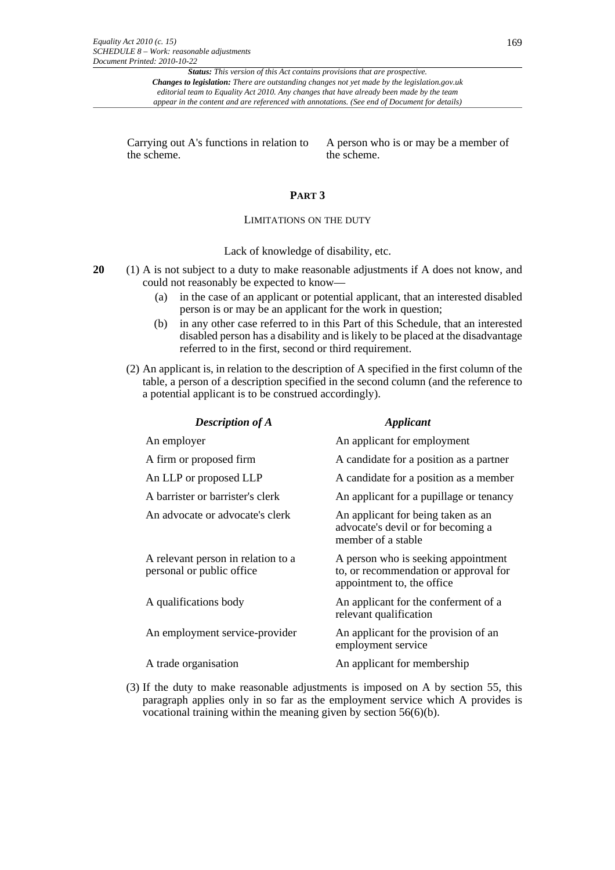Carrying out A's functions in relation to the scheme.

A person who is or may be a member of the scheme.

### **PART 3**

# LIMITATIONS ON THE DUTY

Lack of knowledge of disability, etc.

- **20** (1) A is not subject to a duty to make reasonable adjustments if A does not know, and could not reasonably be expected to know—
	- (a) in the case of an applicant or potential applicant, that an interested disabled person is or may be an applicant for the work in question;
	- (b) in any other case referred to in this Part of this Schedule, that an interested disabled person has a disability and is likely to be placed at the disadvantage referred to in the first, second or third requirement.
	- (2) An applicant is, in relation to the description of A specified in the first column of the table, a person of a description specified in the second column (and the reference to a potential applicant is to be construed accordingly).

| <b>Description of A</b>                                         | Applicant                                                                                                   |
|-----------------------------------------------------------------|-------------------------------------------------------------------------------------------------------------|
| An employer                                                     | An applicant for employment                                                                                 |
| A firm or proposed firm                                         | A candidate for a position as a partner                                                                     |
| An LLP or proposed LLP                                          | A candidate for a position as a member                                                                      |
| A barrister or barrister's clerk                                | An applicant for a pupillage or tenancy                                                                     |
| An advocate or advocate's clerk                                 | An applicant for being taken as an<br>advocate's devil or for becoming a<br>member of a stable              |
| A relevant person in relation to a<br>personal or public office | A person who is seeking appointment<br>to, or recommendation or approval for<br>appointment to, the office. |
| A qualifications body                                           | An applicant for the conferment of a<br>relevant qualification                                              |
| An employment service-provider                                  | An applicant for the provision of an<br>employment service                                                  |
| A trade organisation                                            | An applicant for membership                                                                                 |

(3) If the duty to make reasonable adjustments is imposed on A by section 55, this paragraph applies only in so far as the employment service which A provides is vocational training within the meaning given by section 56(6)(b).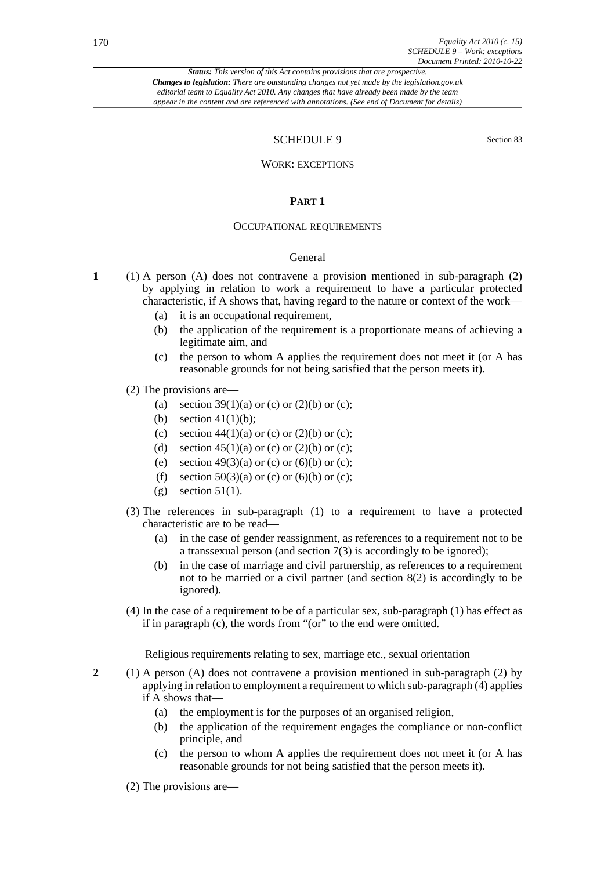#### SCHEDULE 9 Section 83

#### WORK: EXCEPTIONS

# **PART 1**

#### OCCUPATIONAL REQUIREMENTS

#### General

- **1** (1) A person (A) does not contravene a provision mentioned in sub-paragraph (2) by applying in relation to work a requirement to have a particular protected characteristic, if A shows that, having regard to the nature or context of the work—
	- (a) it is an occupational requirement,
	- (b) the application of the requirement is a proportionate means of achieving a legitimate aim, and
	- (c) the person to whom A applies the requirement does not meet it (or A has reasonable grounds for not being satisfied that the person meets it).

# (2) The provisions are—

- (a) section  $39(1)(a)$  or (c) or  $(2)(b)$  or (c);
- (b) section  $41(1)(b)$ ;
- (c) section  $44(1)(a)$  or (c) or  $(2)(b)$  or (c);
- (d) section  $45(1)(a)$  or (c) or  $(2)(b)$  or (c);
- (e) section  $49(3)(a)$  or (c) or (6)(b) or (c);
- (f) section 50(3)(a) or (c) or (6)(b) or (c);
- $(g)$  section 51(1).
- (3) The references in sub-paragraph (1) to a requirement to have a protected characteristic are to be read—
	- (a) in the case of gender reassignment, as references to a requirement not to be a transsexual person (and section 7(3) is accordingly to be ignored);
	- (b) in the case of marriage and civil partnership, as references to a requirement not to be married or a civil partner (and section 8(2) is accordingly to be ignored).
- (4) In the case of a requirement to be of a particular sex, sub-paragraph (1) has effect as if in paragraph (c), the words from "(or" to the end were omitted.

Religious requirements relating to sex, marriage etc., sexual orientation

- **2** (1) A person (A) does not contravene a provision mentioned in sub-paragraph (2) by applying in relation to employment a requirement to which sub-paragraph (4) applies if A shows that—
	- (a) the employment is for the purposes of an organised religion,
	- (b) the application of the requirement engages the compliance or non-conflict principle, and
	- (c) the person to whom A applies the requirement does not meet it (or A has reasonable grounds for not being satisfied that the person meets it).
	- (2) The provisions are—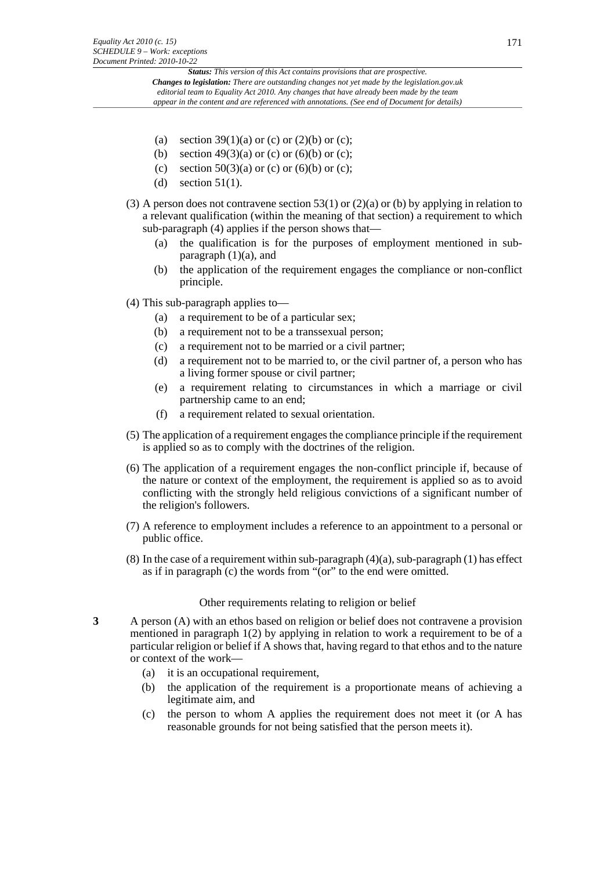- (a) section  $39(1)(a)$  or (c) or  $(2)(b)$  or (c);
- (b) section  $49(3)(a)$  or (c) or (6)(b) or (c);
- (c) section  $50(3)(a)$  or (c) or  $(6)(b)$  or (c);
- (d) section  $51(1)$ .
- (3) A person does not contravene section 53(1) or (2)(a) or (b) by applying in relation to a relevant qualification (within the meaning of that section) a requirement to which sub-paragraph (4) applies if the person shows that—
	- (a) the qualification is for the purposes of employment mentioned in subparagraph  $(1)(a)$ , and
	- (b) the application of the requirement engages the compliance or non-conflict principle.

(4) This sub-paragraph applies to—

- (a) a requirement to be of a particular sex;
- (b) a requirement not to be a transsexual person;
- (c) a requirement not to be married or a civil partner;
- (d) a requirement not to be married to, or the civil partner of, a person who has a living former spouse or civil partner;
- (e) a requirement relating to circumstances in which a marriage or civil partnership came to an end;
- (f) a requirement related to sexual orientation.
- (5) The application of a requirement engages the compliance principle if the requirement is applied so as to comply with the doctrines of the religion.
- (6) The application of a requirement engages the non-conflict principle if, because of the nature or context of the employment, the requirement is applied so as to avoid conflicting with the strongly held religious convictions of a significant number of the religion's followers.
- (7) A reference to employment includes a reference to an appointment to a personal or public office.
- (8) In the case of a requirement within sub-paragraph  $(4)(a)$ , sub-paragraph (1) has effect as if in paragraph (c) the words from "(or" to the end were omitted.

## Other requirements relating to religion or belief

- **3** A person (A) with an ethos based on religion or belief does not contravene a provision mentioned in paragraph 1(2) by applying in relation to work a requirement to be of a particular religion or belief if A shows that, having regard to that ethos and to the nature or context of the work—
	- (a) it is an occupational requirement,
	- (b) the application of the requirement is a proportionate means of achieving a legitimate aim, and
	- (c) the person to whom A applies the requirement does not meet it (or A has reasonable grounds for not being satisfied that the person meets it).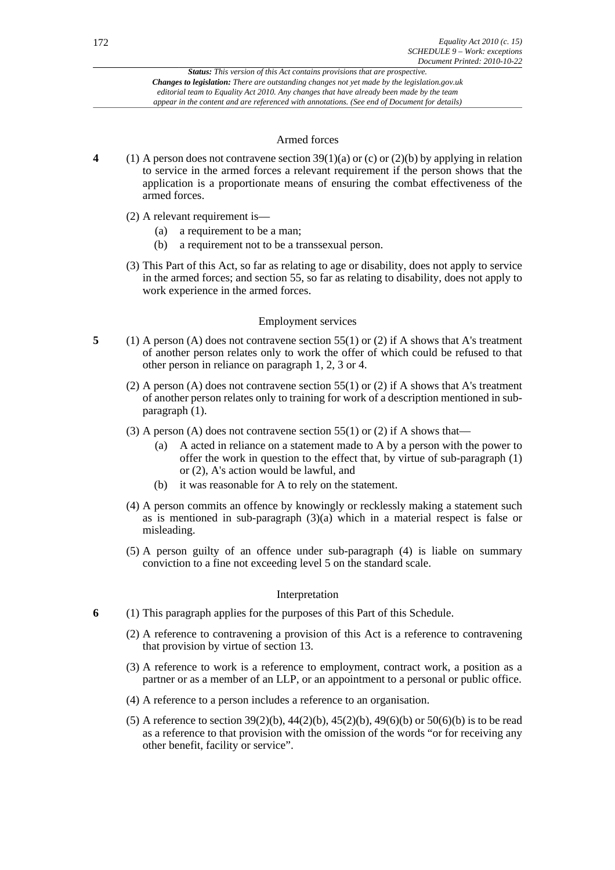# Armed forces

- **4** (1) A person does not contravene section 39(1)(a) or (c) or (2)(b) by applying in relation to service in the armed forces a relevant requirement if the person shows that the application is a proportionate means of ensuring the combat effectiveness of the armed forces.
	- (2) A relevant requirement is—
		- (a) a requirement to be a man;
		- (b) a requirement not to be a transsexual person.
	- (3) This Part of this Act, so far as relating to age or disability, does not apply to service in the armed forces; and section 55, so far as relating to disability, does not apply to work experience in the armed forces.

#### Employment services

- **5** (1) A person (A) does not contravene section 55(1) or (2) if A shows that A's treatment of another person relates only to work the offer of which could be refused to that other person in reliance on paragraph 1, 2, 3 or 4.
	- (2) A person (A) does not contravene section 55(1) or (2) if A shows that A's treatment of another person relates only to training for work of a description mentioned in subparagraph (1).
	- (3) A person (A) does not contravene section  $55(1)$  or (2) if A shows that—
		- A acted in reliance on a statement made to A by a person with the power to offer the work in question to the effect that, by virtue of sub-paragraph (1) or (2), A's action would be lawful, and
		- (b) it was reasonable for A to rely on the statement.
	- (4) A person commits an offence by knowingly or recklessly making a statement such as is mentioned in sub-paragraph  $(3)(a)$  which in a material respect is false or misleading.
	- (5) A person guilty of an offence under sub-paragraph (4) is liable on summary conviction to a fine not exceeding level 5 on the standard scale.

#### Interpretation

- **6** (1) This paragraph applies for the purposes of this Part of this Schedule.
	- (2) A reference to contravening a provision of this Act is a reference to contravening that provision by virtue of section 13.
	- (3) A reference to work is a reference to employment, contract work, a position as a partner or as a member of an LLP, or an appointment to a personal or public office.
	- (4) A reference to a person includes a reference to an organisation.
	- (5) A reference to section  $39(2)(b)$ ,  $44(2)(b)$ ,  $45(2)(b)$ ,  $49(6)(b)$  or  $50(6)(b)$  is to be read as a reference to that provision with the omission of the words "or for receiving any other benefit, facility or service".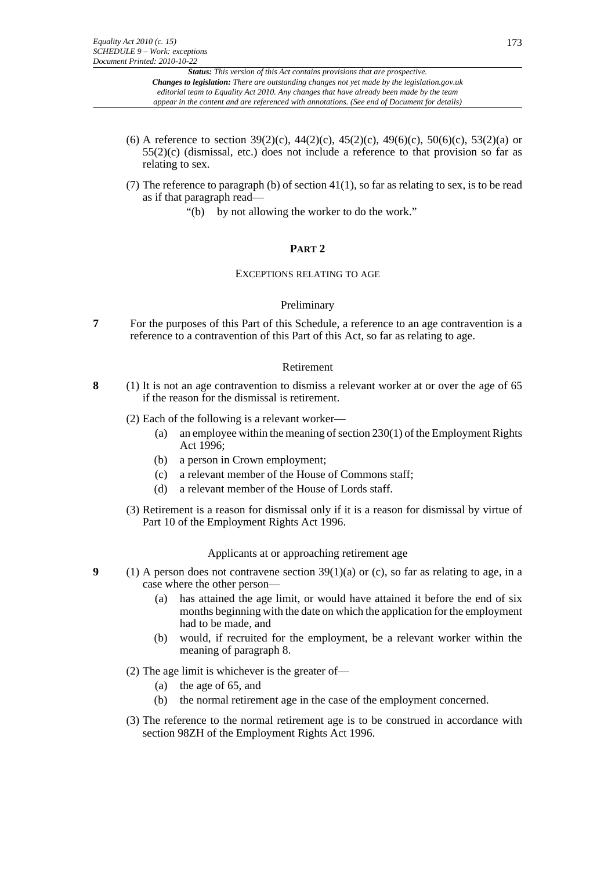- (6) A reference to section 39(2)(c), 44(2)(c), 45(2)(c), 49(6)(c), 50(6)(c), 53(2)(a) or  $55(2)(c)$  (dismissal, etc.) does not include a reference to that provision so far as relating to sex.
- (7) The reference to paragraph (b) of section  $41(1)$ , so far as relating to sex, is to be read as if that paragraph read—
	- "(b) by not allowing the worker to do the work."

## **PART 2**

### EXCEPTIONS RELATING TO AGE

## Preliminary

**7** For the purposes of this Part of this Schedule, a reference to an age contravention is a reference to a contravention of this Part of this Act, so far as relating to age.

# Retirement

- **8** (1) It is not an age contravention to dismiss a relevant worker at or over the age of 65 if the reason for the dismissal is retirement.
	- (2) Each of the following is a relevant worker—
		- (a) an employee within the meaning of section 230(1) of the Employment Rights Act 1996;
		- (b) a person in Crown employment;
		- (c) a relevant member of the House of Commons staff;
		- (d) a relevant member of the House of Lords staff.
	- (3) Retirement is a reason for dismissal only if it is a reason for dismissal by virtue of Part 10 of the Employment Rights Act 1996.

# Applicants at or approaching retirement age

- **9** (1) A person does not contravene section 39(1)(a) or (c), so far as relating to age, in a case where the other person—
	- (a) has attained the age limit, or would have attained it before the end of six months beginning with the date on which the application for the employment had to be made, and
	- (b) would, if recruited for the employment, be a relevant worker within the meaning of paragraph 8.
	- (2) The age limit is whichever is the greater of—
		- (a) the age of 65, and
		- (b) the normal retirement age in the case of the employment concerned.
	- (3) The reference to the normal retirement age is to be construed in accordance with section 98ZH of the Employment Rights Act 1996.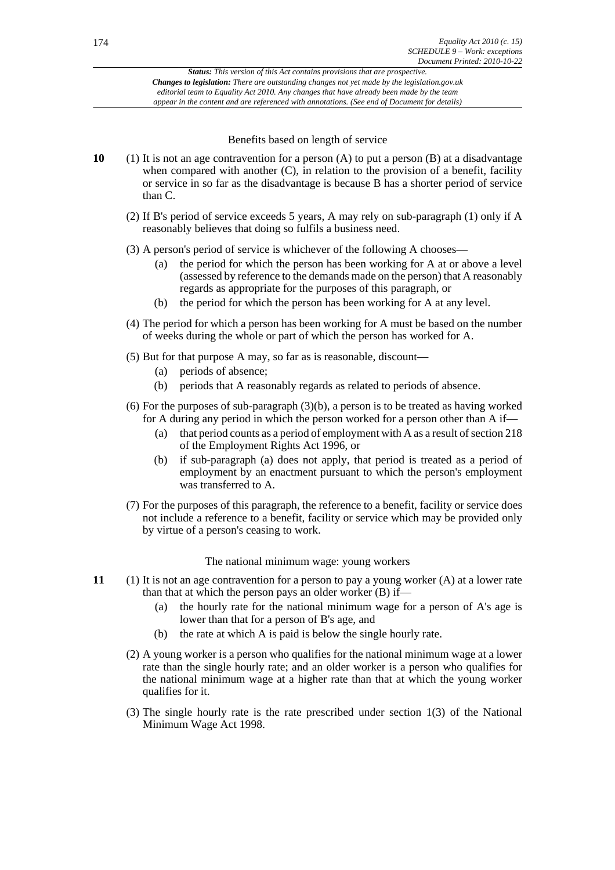Benefits based on length of service

- **10** (1) It is not an age contravention for a person (A) to put a person (B) at a disadvantage when compared with another  $(C)$ , in relation to the provision of a benefit, facility or service in so far as the disadvantage is because B has a shorter period of service than C.
	- (2) If B's period of service exceeds 5 years, A may rely on sub-paragraph (1) only if A reasonably believes that doing so fulfils a business need.
	- (3) A person's period of service is whichever of the following A chooses—
		- (a) the period for which the person has been working for A at or above a level (assessed by reference to the demands made on the person) that A reasonably regards as appropriate for the purposes of this paragraph, or
		- (b) the period for which the person has been working for A at any level.
	- (4) The period for which a person has been working for A must be based on the number of weeks during the whole or part of which the person has worked for A.

(5) But for that purpose A may, so far as is reasonable, discount—

- (a) periods of absence;
- (b) periods that A reasonably regards as related to periods of absence.
- (6) For the purposes of sub-paragraph (3)(b), a person is to be treated as having worked for A during any period in which the person worked for a person other than A if—
	- (a) that period counts as a period of employment with A as a result of section 218 of the Employment Rights Act 1996, or
	- (b) if sub-paragraph (a) does not apply, that period is treated as a period of employment by an enactment pursuant to which the person's employment was transferred to A.
- (7) For the purposes of this paragraph, the reference to a benefit, facility or service does not include a reference to a benefit, facility or service which may be provided only by virtue of a person's ceasing to work.

The national minimum wage: young workers

- **11** (1) It is not an age contravention for a person to pay a young worker (A) at a lower rate than that at which the person pays an older worker (B) if—
	- (a) the hourly rate for the national minimum wage for a person of A's age is lower than that for a person of B's age, and
	- (b) the rate at which A is paid is below the single hourly rate.
	- (2) A young worker is a person who qualifies for the national minimum wage at a lower rate than the single hourly rate; and an older worker is a person who qualifies for the national minimum wage at a higher rate than that at which the young worker qualifies for it.
	- (3) The single hourly rate is the rate prescribed under section 1(3) of the National Minimum Wage Act 1998.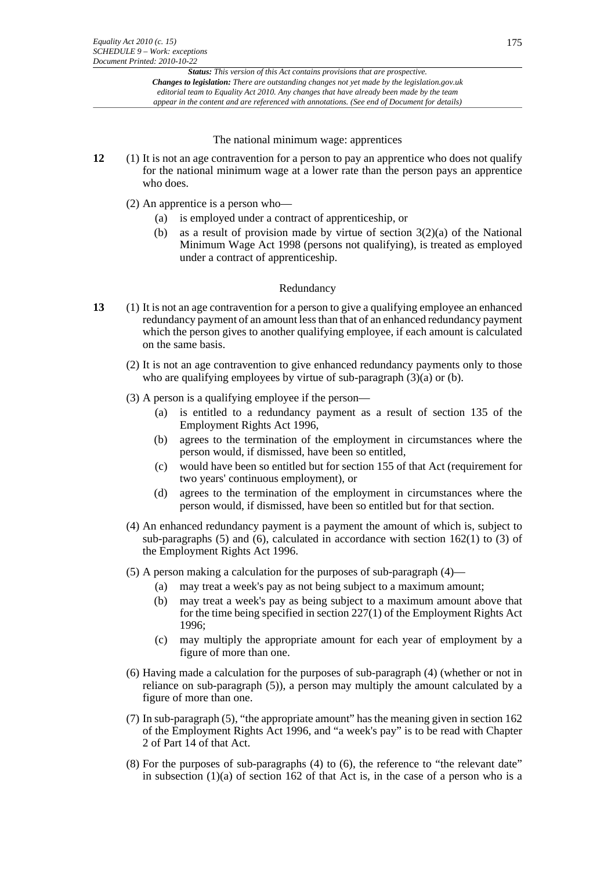## The national minimum wage: apprentices

- **12** (1) It is not an age contravention for a person to pay an apprentice who does not qualify for the national minimum wage at a lower rate than the person pays an apprentice who does.
	- (2) An apprentice is a person who—
		- (a) is employed under a contract of apprenticeship, or
		- (b) as a result of provision made by virtue of section  $3(2)(a)$  of the National Minimum Wage Act 1998 (persons not qualifying), is treated as employed under a contract of apprenticeship.

# Redundancy

- **13** (1) It is not an age contravention for a person to give a qualifying employee an enhanced redundancy payment of an amount less than that of an enhanced redundancy payment which the person gives to another qualifying employee, if each amount is calculated on the same basis.
	- (2) It is not an age contravention to give enhanced redundancy payments only to those who are qualifying employees by virtue of sub-paragraph  $(3)(a)$  or  $(b)$ .
	- (3) A person is a qualifying employee if the person—
		- (a) is entitled to a redundancy payment as a result of section 135 of the Employment Rights Act 1996,
		- (b) agrees to the termination of the employment in circumstances where the person would, if dismissed, have been so entitled,
		- (c) would have been so entitled but for section 155 of that Act (requirement for two years' continuous employment), or
		- (d) agrees to the termination of the employment in circumstances where the person would, if dismissed, have been so entitled but for that section.
	- (4) An enhanced redundancy payment is a payment the amount of which is, subject to sub-paragraphs  $(5)$  and  $(6)$ , calculated in accordance with section  $162(1)$  to  $(3)$  of the Employment Rights Act 1996.
	- (5) A person making a calculation for the purposes of sub-paragraph (4)—
		- (a) may treat a week's pay as not being subject to a maximum amount;
		- (b) may treat a week's pay as being subject to a maximum amount above that for the time being specified in section 227(1) of the Employment Rights Act 1996;
		- (c) may multiply the appropriate amount for each year of employment by a figure of more than one.
	- (6) Having made a calculation for the purposes of sub-paragraph (4) (whether or not in reliance on sub-paragraph (5)), a person may multiply the amount calculated by a figure of more than one.
	- (7) In sub-paragraph (5), "the appropriate amount" has the meaning given in section 162 of the Employment Rights Act 1996, and "a week's pay" is to be read with Chapter 2 of Part 14 of that Act.
	- (8) For the purposes of sub-paragraphs (4) to (6), the reference to "the relevant date" in subsection  $(1)(a)$  of section 162 of that Act is, in the case of a person who is a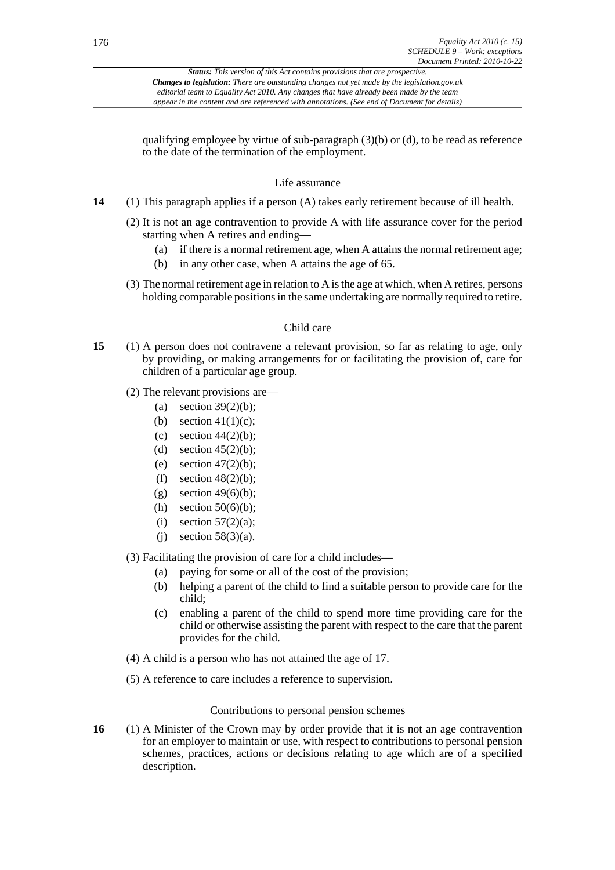qualifying employee by virtue of sub-paragraph  $(3)(b)$  or  $(d)$ , to be read as reference to the date of the termination of the employment.

# Life assurance

- **14** (1) This paragraph applies if a person (A) takes early retirement because of ill health.
	- (2) It is not an age contravention to provide A with life assurance cover for the period starting when A retires and ending—
		- (a) if there is a normal retirement age, when A attains the normal retirement age;
		- (b) in any other case, when A attains the age of 65.
	- (3) The normal retirement age in relation to A is the age at which, when A retires, persons holding comparable positions in the same undertaking are normally required to retire.

# Child care

- **15** (1) A person does not contravene a relevant provision, so far as relating to age, only by providing, or making arrangements for or facilitating the provision of, care for children of a particular age group.
	- (2) The relevant provisions are—
		- (a) section  $39(2)(b)$ ;
		- (b) section  $41(1)(c)$ ;
		- (c) section  $44(2)(b)$ ;
		- (d) section  $45(2)(b)$ ;
		- (e) section  $47(2)(b)$ ;
		- (f) section  $48(2)(b)$ ;
		- $(g)$  section 49(6)(b);
		- (h) section  $50(6)(b)$ ;
		- (i) section  $57(2)(a)$ ;
		- (i) section  $58(3)(a)$ .

(3) Facilitating the provision of care for a child includes—

- (a) paying for some or all of the cost of the provision;
- (b) helping a parent of the child to find a suitable person to provide care for the child;
- (c) enabling a parent of the child to spend more time providing care for the child or otherwise assisting the parent with respect to the care that the parent provides for the child.
- (4) A child is a person who has not attained the age of 17.
- (5) A reference to care includes a reference to supervision.

Contributions to personal pension schemes

**16** (1) A Minister of the Crown may by order provide that it is not an age contravention for an employer to maintain or use, with respect to contributions to personal pension schemes, practices, actions or decisions relating to age which are of a specified description.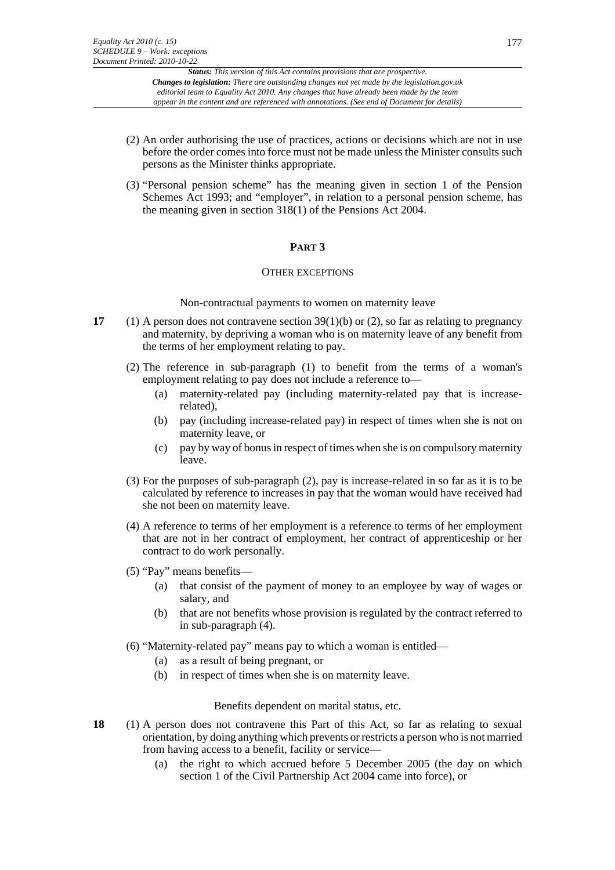- (2) An order authorising the use of practices, actions or decisions which are not in use before the order comes into force must not be made unless the Minister consults such persons as the Minister thinks appropriate.
- (3) "Personal pension scheme" has the meaning given in section 1 of the Pension Schemes Act 1993; and "employer", in relation to a personal pension scheme, has the meaning given in section 318(1) of the Pensions Act 2004.

# **PART 3**

# OTHER EXCEPTIONS

Non-contractual payments to women on maternity leave

- **17** (1) A person does not contravene section 39(1)(b) or (2), so far as relating to pregnancy and maternity, by depriving a woman who is on maternity leave of any benefit from the terms of her employment relating to pay.
	- (2) The reference in sub-paragraph (1) to benefit from the terms of a woman's employment relating to pay does not include a reference to—
		- (a) maternity-related pay (including maternity-related pay that is increaserelated),
		- (b) pay (including increase-related pay) in respect of times when she is not on maternity leave, or
		- (c) pay by way of bonus in respect of times when she is on compulsory maternity leave.
	- (3) For the purposes of sub-paragraph (2), pay is increase-related in so far as it is to be calculated by reference to increases in pay that the woman would have received had she not been on maternity leave.
	- (4) A reference to terms of her employment is a reference to terms of her employment that are not in her contract of employment, her contract of apprenticeship or her contract to do work personally.
	- (5) "Pay" means benefits—
		- (a) that consist of the payment of money to an employee by way of wages or salary, and
		- (b) that are not benefits whose provision is regulated by the contract referred to in sub-paragraph (4).
	- (6) "Maternity-related pay" means pay to which a woman is entitled—
		- (a) as a result of being pregnant, or
		- (b) in respect of times when she is on maternity leave.

Benefits dependent on marital status, etc.

- **18** (1) A person does not contravene this Part of this Act, so far as relating to sexual orientation, by doing anything which prevents or restricts a person who is not married from having access to a benefit, facility or service—
	- (a) the right to which accrued before 5 December 2005 (the day on which section 1 of the Civil Partnership Act 2004 came into force), or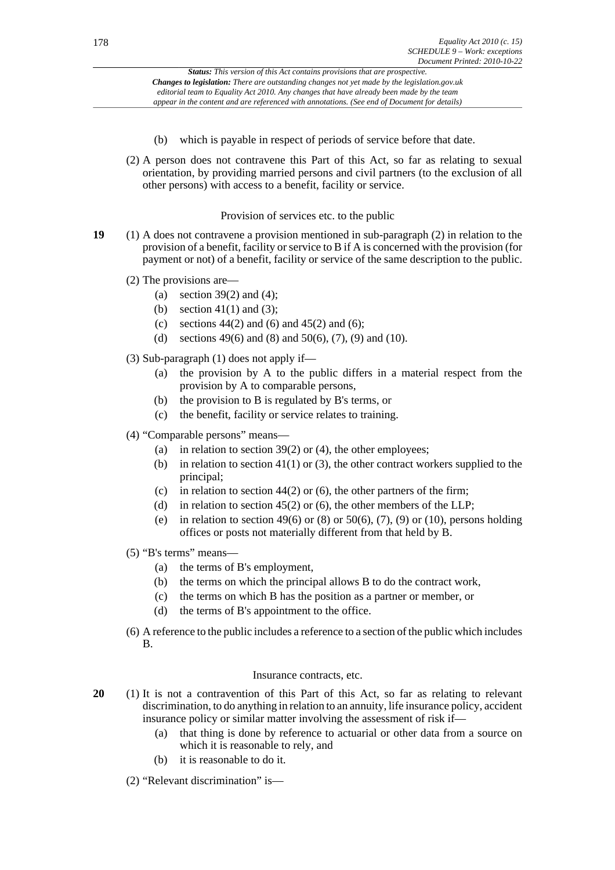- (b) which is payable in respect of periods of service before that date.
- (2) A person does not contravene this Part of this Act, so far as relating to sexual orientation, by providing married persons and civil partners (to the exclusion of all other persons) with access to a benefit, facility or service.

Provision of services etc. to the public

**19** (1) A does not contravene a provision mentioned in sub-paragraph (2) in relation to the provision of a benefit, facility or service to B if A is concerned with the provision (for payment or not) of a benefit, facility or service of the same description to the public.

- (2) The provisions are—
	- (a) section 39(2) and (4);
	- (b) section 41(1) and (3);
	- (c) sections  $44(2)$  and (6) and  $45(2)$  and (6);
	- (d) sections 49(6) and (8) and 50(6), (7), (9) and (10).
- (3) Sub-paragraph (1) does not apply if—
	- (a) the provision by A to the public differs in a material respect from the provision by A to comparable persons,
	- (b) the provision to B is regulated by B's terms, or
	- (c) the benefit, facility or service relates to training.
- (4) "Comparable persons" means—
	- (a) in relation to section 39(2) or (4), the other employees;
	- (b) in relation to section  $41(1)$  or (3), the other contract workers supplied to the principal;
	- (c) in relation to section  $44(2)$  or (6), the other partners of the firm;
	- (d) in relation to section  $45(2)$  or (6), the other members of the LLP:
	- (e) in relation to section 49(6) or (8) or 50(6), (7), (9) or (10), persons holding offices or posts not materially different from that held by B.
- (5) "B's terms" means—
	- (a) the terms of B's employment,
	- (b) the terms on which the principal allows B to do the contract work,
	- (c) the terms on which B has the position as a partner or member, or
	- (d) the terms of B's appointment to the office.
- (6) A reference to the public includes a reference to a section of the public which includes B.

#### Insurance contracts, etc.

- **20** (1) It is not a contravention of this Part of this Act, so far as relating to relevant discrimination, to do anything in relation to an annuity, life insurance policy, accident insurance policy or similar matter involving the assessment of risk if—
	- (a) that thing is done by reference to actuarial or other data from a source on which it is reasonable to rely, and
	- (b) it is reasonable to do it.
	- (2) "Relevant discrimination" is—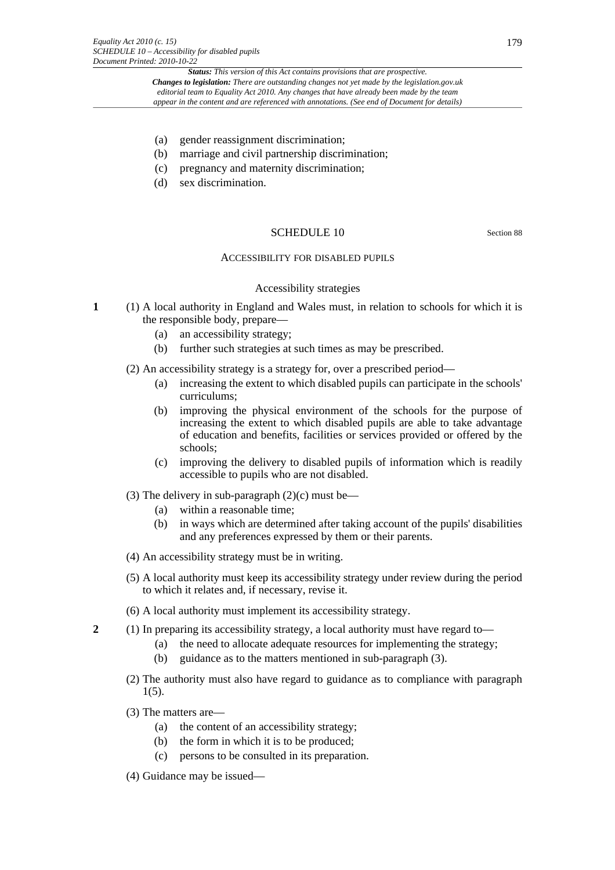*Status: This version of this Act contains provisions that are prospective.*

*Changes to legislation: There are outstanding changes not yet made by the legislation.gov.uk editorial team to Equality Act 2010. Any changes that have already been made by the team appear in the content and are referenced with annotations. (See end of Document for details)*

- (a) gender reassignment discrimination;
- (b) marriage and civil partnership discrimination;
- (c) pregnancy and maternity discrimination;
- (d) sex discrimination.

# SCHEDULE 10 Section 88

# ACCESSIBILITY FOR DISABLED PUPILS

# Accessibility strategies

- **1** (1) A local authority in England and Wales must, in relation to schools for which it is the responsible body, prepare—
	- (a) an accessibility strategy;
	- (b) further such strategies at such times as may be prescribed.
	- (2) An accessibility strategy is a strategy for, over a prescribed period—
		- (a) increasing the extent to which disabled pupils can participate in the schools' curriculums;
		- (b) improving the physical environment of the schools for the purpose of increasing the extent to which disabled pupils are able to take advantage of education and benefits, facilities or services provided or offered by the schools;
		- (c) improving the delivery to disabled pupils of information which is readily accessible to pupils who are not disabled.
	- (3) The delivery in sub-paragraph  $(2)(c)$  must be—
		- (a) within a reasonable time;
		- (b) in ways which are determined after taking account of the pupils' disabilities and any preferences expressed by them or their parents.
	- (4) An accessibility strategy must be in writing.
	- (5) A local authority must keep its accessibility strategy under review during the period to which it relates and, if necessary, revise it.
	- (6) A local authority must implement its accessibility strategy.
- **2** (1) In preparing its accessibility strategy, a local authority must have regard to—
	- (a) the need to allocate adequate resources for implementing the strategy;
	- (b) guidance as to the matters mentioned in sub-paragraph (3).
	- (2) The authority must also have regard to guidance as to compliance with paragraph  $1(5)$ .
	- (3) The matters are—
		- (a) the content of an accessibility strategy;
		- (b) the form in which it is to be produced;
		- (c) persons to be consulted in its preparation.
	- (4) Guidance may be issued—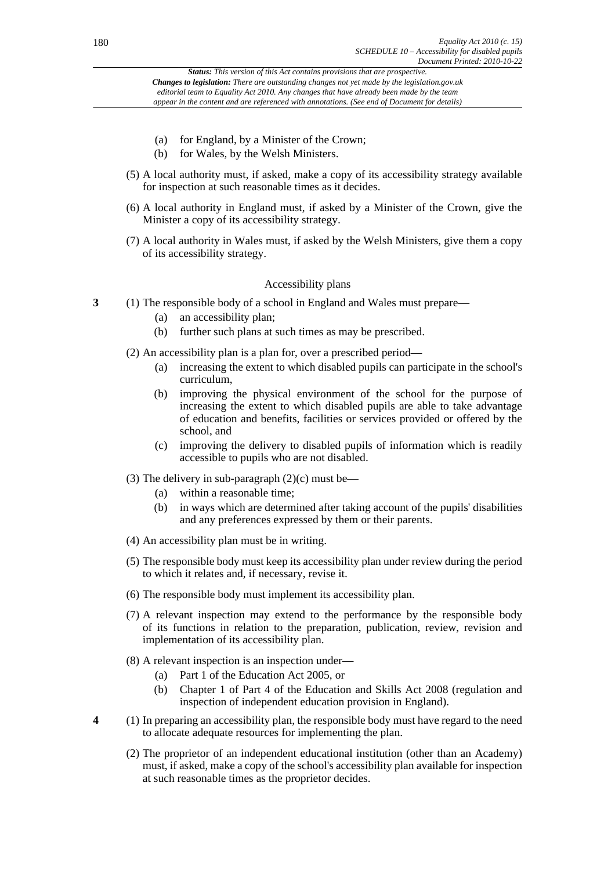- (a) for England, by a Minister of the Crown;
- (b) for Wales, by the Welsh Ministers.
- (5) A local authority must, if asked, make a copy of its accessibility strategy available for inspection at such reasonable times as it decides.
- (6) A local authority in England must, if asked by a Minister of the Crown, give the Minister a copy of its accessibility strategy.
- (7) A local authority in Wales must, if asked by the Welsh Ministers, give them a copy of its accessibility strategy.

# Accessibility plans

- **3** (1) The responsible body of a school in England and Wales must prepare—
	- (a) an accessibility plan;
	- (b) further such plans at such times as may be prescribed.
	- (2) An accessibility plan is a plan for, over a prescribed period—
		- (a) increasing the extent to which disabled pupils can participate in the school's curriculum,
		- (b) improving the physical environment of the school for the purpose of increasing the extent to which disabled pupils are able to take advantage of education and benefits, facilities or services provided or offered by the school, and
		- (c) improving the delivery to disabled pupils of information which is readily accessible to pupils who are not disabled.
	- (3) The delivery in sub-paragraph  $(2)(c)$  must be—
		- (a) within a reasonable time;
		- (b) in ways which are determined after taking account of the pupils' disabilities and any preferences expressed by them or their parents.
	- (4) An accessibility plan must be in writing.
	- (5) The responsible body must keep its accessibility plan under review during the period to which it relates and, if necessary, revise it.
	- (6) The responsible body must implement its accessibility plan.
	- (7) A relevant inspection may extend to the performance by the responsible body of its functions in relation to the preparation, publication, review, revision and implementation of its accessibility plan.
	- (8) A relevant inspection is an inspection under—
		- (a) Part 1 of the Education Act 2005, or
		- (b) Chapter 1 of Part 4 of the Education and Skills Act 2008 (regulation and inspection of independent education provision in England).
- **4** (1) In preparing an accessibility plan, the responsible body must have regard to the need to allocate adequate resources for implementing the plan.
	- (2) The proprietor of an independent educational institution (other than an Academy) must, if asked, make a copy of the school's accessibility plan available for inspection at such reasonable times as the proprietor decides.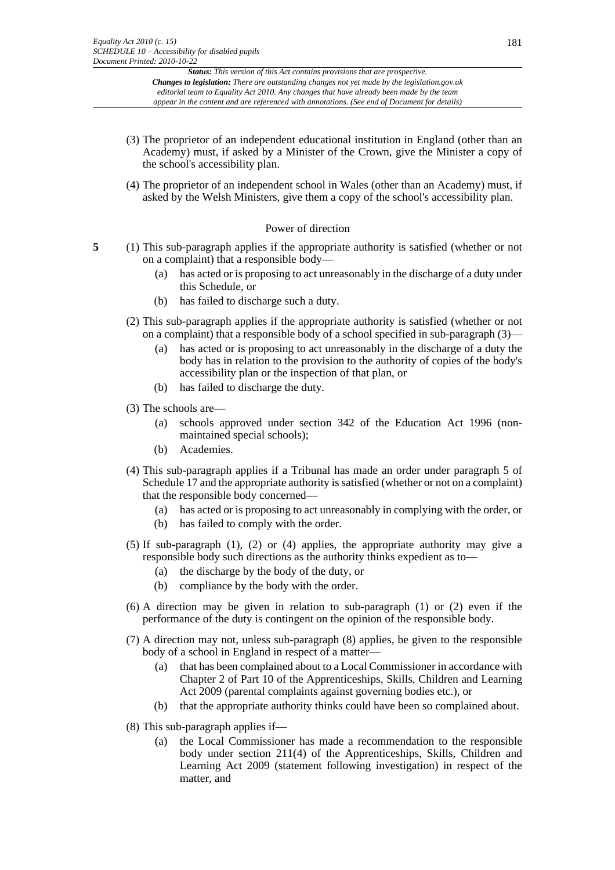- (3) The proprietor of an independent educational institution in England (other than an Academy) must, if asked by a Minister of the Crown, give the Minister a copy of the school's accessibility plan.
- (4) The proprietor of an independent school in Wales (other than an Academy) must, if asked by the Welsh Ministers, give them a copy of the school's accessibility plan.

### Power of direction

- **5** (1) This sub-paragraph applies if the appropriate authority is satisfied (whether or not on a complaint) that a responsible body—
	- (a) has acted or is proposing to act unreasonably in the discharge of a duty under this Schedule, or
	- (b) has failed to discharge such a duty.
	- (2) This sub-paragraph applies if the appropriate authority is satisfied (whether or not on a complaint) that a responsible body of a school specified in sub-paragraph (3)—
		- (a) has acted or is proposing to act unreasonably in the discharge of a duty the body has in relation to the provision to the authority of copies of the body's accessibility plan or the inspection of that plan, or
		- (b) has failed to discharge the duty.
	- (3) The schools are—
		- (a) schools approved under section 342 of the Education Act 1996 (nonmaintained special schools);
		- (b) Academies.
	- (4) This sub-paragraph applies if a Tribunal has made an order under paragraph 5 of Schedule 17 and the appropriate authority is satisfied (whether or not on a complaint) that the responsible body concerned—
		- (a) has acted or is proposing to act unreasonably in complying with the order, or
		- (b) has failed to comply with the order.
	- (5) If sub-paragraph (1), (2) or (4) applies, the appropriate authority may give a responsible body such directions as the authority thinks expedient as to—
		- (a) the discharge by the body of the duty, or
		- (b) compliance by the body with the order.
	- (6) A direction may be given in relation to sub-paragraph (1) or (2) even if the performance of the duty is contingent on the opinion of the responsible body.
	- (7) A direction may not, unless sub-paragraph (8) applies, be given to the responsible body of a school in England in respect of a matter—
		- (a) that has been complained about to a Local Commissioner in accordance with Chapter 2 of Part 10 of the Apprenticeships, Skills, Children and Learning Act 2009 (parental complaints against governing bodies etc.), or
		- (b) that the appropriate authority thinks could have been so complained about.
	- (8) This sub-paragraph applies if—
		- (a) the Local Commissioner has made a recommendation to the responsible body under section 211(4) of the Apprenticeships, Skills, Children and Learning Act 2009 (statement following investigation) in respect of the matter, and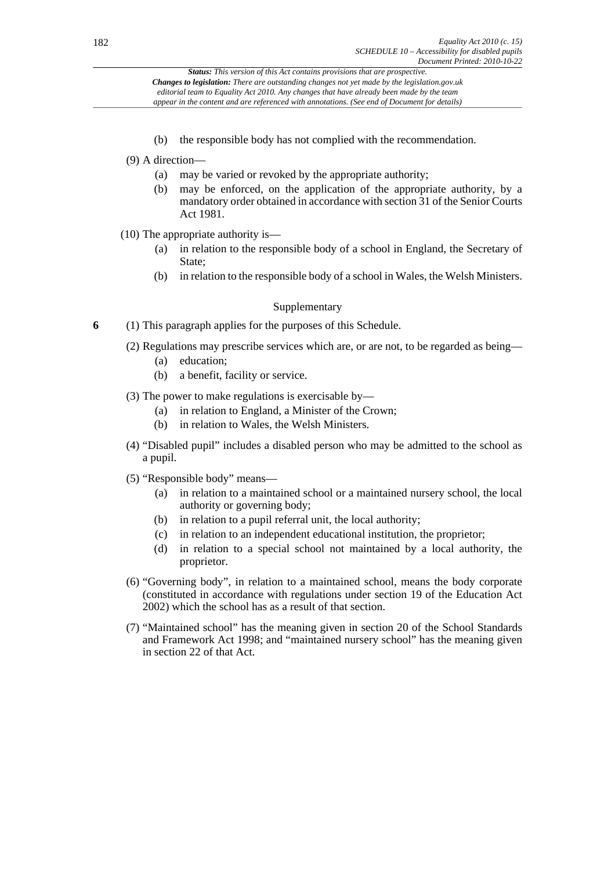- (b) the responsible body has not complied with the recommendation.
- (9) A direction—
	- (a) may be varied or revoked by the appropriate authority;
	- (b) may be enforced, on the application of the appropriate authority, by a mandatory order obtained in accordance with section 31 of the Senior Courts Act 1981.
- (10) The appropriate authority is—
	- (a) in relation to the responsible body of a school in England, the Secretary of State;
	- (b) in relation to the responsible body of a school in Wales, the Welsh Ministers.

#### Supplementary

- **6** (1) This paragraph applies for the purposes of this Schedule.
	- (2) Regulations may prescribe services which are, or are not, to be regarded as being—
		- (a) education;
		- (b) a benefit, facility or service.
	- (3) The power to make regulations is exercisable by—
		- (a) in relation to England, a Minister of the Crown;
		- (b) in relation to Wales, the Welsh Ministers.
	- (4) "Disabled pupil" includes a disabled person who may be admitted to the school as a pupil.
	- (5) "Responsible body" means—
		- (a) in relation to a maintained school or a maintained nursery school, the local authority or governing body;
		- (b) in relation to a pupil referral unit, the local authority;
		- (c) in relation to an independent educational institution, the proprietor;
		- (d) in relation to a special school not maintained by a local authority, the proprietor.
	- (6) "Governing body", in relation to a maintained school, means the body corporate (constituted in accordance with regulations under section 19 of the Education Act 2002) which the school has as a result of that section.
	- (7) "Maintained school" has the meaning given in section 20 of the School Standards and Framework Act 1998; and "maintained nursery school" has the meaning given in section 22 of that Act.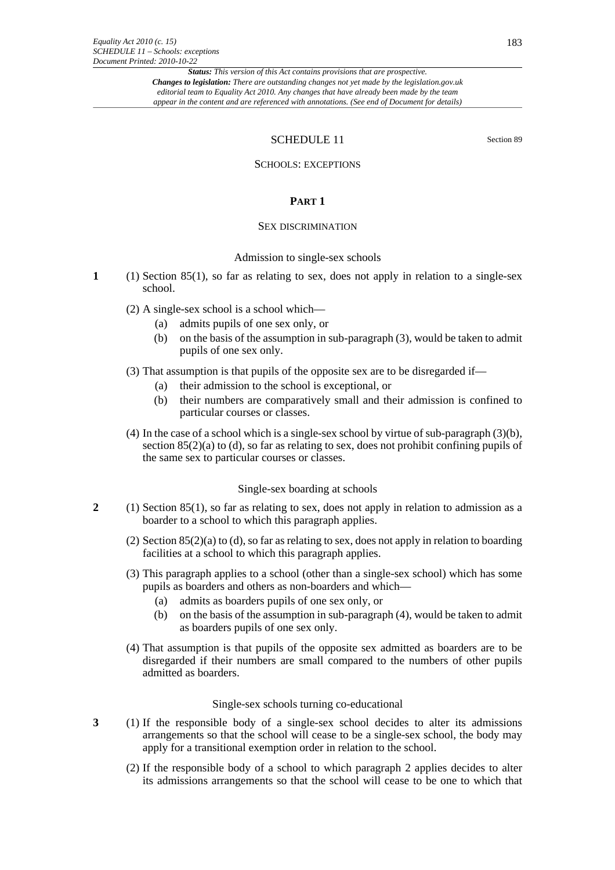#### SCHEDULE 11 Section 89

#### SCHOOLS: EXCEPTIONS

## **PART 1**

#### SEX DISCRIMINATION

Admission to single-sex schools

- **1** (1) Section 85(1), so far as relating to sex, does not apply in relation to a single-sex school.
	- (2) A single-sex school is a school which—
		- (a) admits pupils of one sex only, or
		- (b) on the basis of the assumption in sub-paragraph (3), would be taken to admit pupils of one sex only.
	- (3) That assumption is that pupils of the opposite sex are to be disregarded if—
		- (a) their admission to the school is exceptional, or
		- (b) their numbers are comparatively small and their admission is confined to particular courses or classes.
	- (4) In the case of a school which is a single-sex school by virtue of sub-paragraph (3)(b), section  $85(2)(a)$  to (d), so far as relating to sex, does not prohibit confining pupils of the same sex to particular courses or classes.

#### Single-sex boarding at schools

- **2** (1) Section 85(1), so far as relating to sex, does not apply in relation to admission as a boarder to a school to which this paragraph applies.
	- (2) Section 85(2)(a) to (d), so far as relating to sex, does not apply in relation to boarding facilities at a school to which this paragraph applies.
	- (3) This paragraph applies to a school (other than a single-sex school) which has some pupils as boarders and others as non-boarders and which—
		- (a) admits as boarders pupils of one sex only, or
		- (b) on the basis of the assumption in sub-paragraph (4), would be taken to admit as boarders pupils of one sex only.
	- (4) That assumption is that pupils of the opposite sex admitted as boarders are to be disregarded if their numbers are small compared to the numbers of other pupils admitted as boarders.

#### Single-sex schools turning co-educational

- **3** (1) If the responsible body of a single-sex school decides to alter its admissions arrangements so that the school will cease to be a single-sex school, the body may apply for a transitional exemption order in relation to the school.
	- (2) If the responsible body of a school to which paragraph 2 applies decides to alter its admissions arrangements so that the school will cease to be one to which that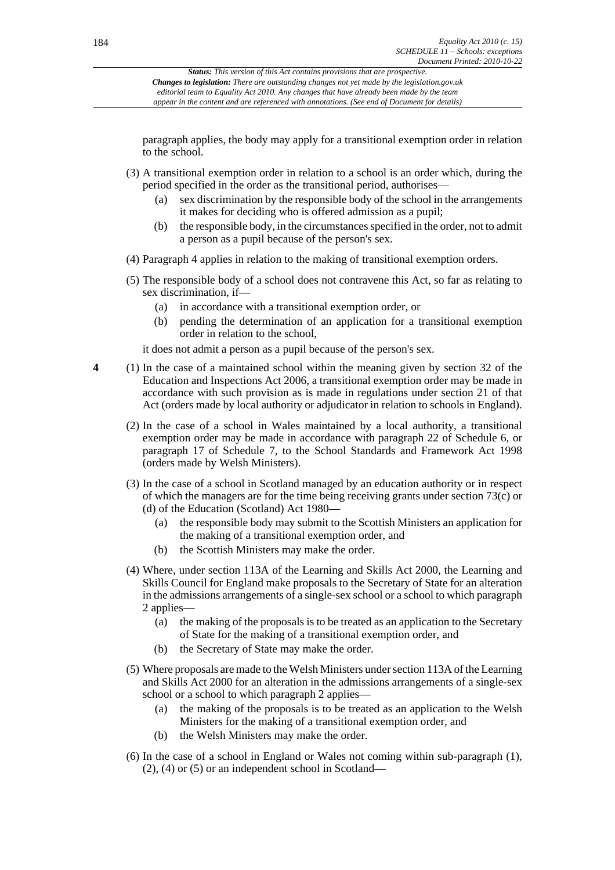paragraph applies, the body may apply for a transitional exemption order in relation to the school.

- (3) A transitional exemption order in relation to a school is an order which, during the period specified in the order as the transitional period, authorises—
	- (a) sex discrimination by the responsible body of the school in the arrangements it makes for deciding who is offered admission as a pupil;
	- (b) the responsible body, in the circumstances specified in the order, not to admit a person as a pupil because of the person's sex.
- (4) Paragraph 4 applies in relation to the making of transitional exemption orders.
- (5) The responsible body of a school does not contravene this Act, so far as relating to sex discrimination, if—
	- (a) in accordance with a transitional exemption order, or
	- (b) pending the determination of an application for a transitional exemption order in relation to the school,

it does not admit a person as a pupil because of the person's sex.

**4** (1) In the case of a maintained school within the meaning given by section 32 of the Education and Inspections Act 2006, a transitional exemption order may be made in accordance with such provision as is made in regulations under section 21 of that Act (orders made by local authority or adjudicator in relation to schools in England).

- (2) In the case of a school in Wales maintained by a local authority, a transitional exemption order may be made in accordance with paragraph 22 of Schedule 6, or paragraph 17 of Schedule 7, to the School Standards and Framework Act 1998 (orders made by Welsh Ministers).
- (3) In the case of a school in Scotland managed by an education authority or in respect of which the managers are for the time being receiving grants under section 73(c) or (d) of the Education (Scotland) Act 1980—
	- (a) the responsible body may submit to the Scottish Ministers an application for the making of a transitional exemption order, and
	- (b) the Scottish Ministers may make the order.
- (4) Where, under section 113A of the Learning and Skills Act 2000, the Learning and Skills Council for England make proposals to the Secretary of State for an alteration in the admissions arrangements of a single-sex school or a school to which paragraph 2 applies—
	- (a) the making of the proposals is to be treated as an application to the Secretary of State for the making of a transitional exemption order, and
	- (b) the Secretary of State may make the order.
- (5) Where proposals are made to the Welsh Ministers under section 113A of the Learning and Skills Act 2000 for an alteration in the admissions arrangements of a single-sex school or a school to which paragraph 2 applies—
	- (a) the making of the proposals is to be treated as an application to the Welsh Ministers for the making of a transitional exemption order, and
	- (b) the Welsh Ministers may make the order.
- (6) In the case of a school in England or Wales not coming within sub-paragraph (1), (2), (4) or (5) or an independent school in Scotland—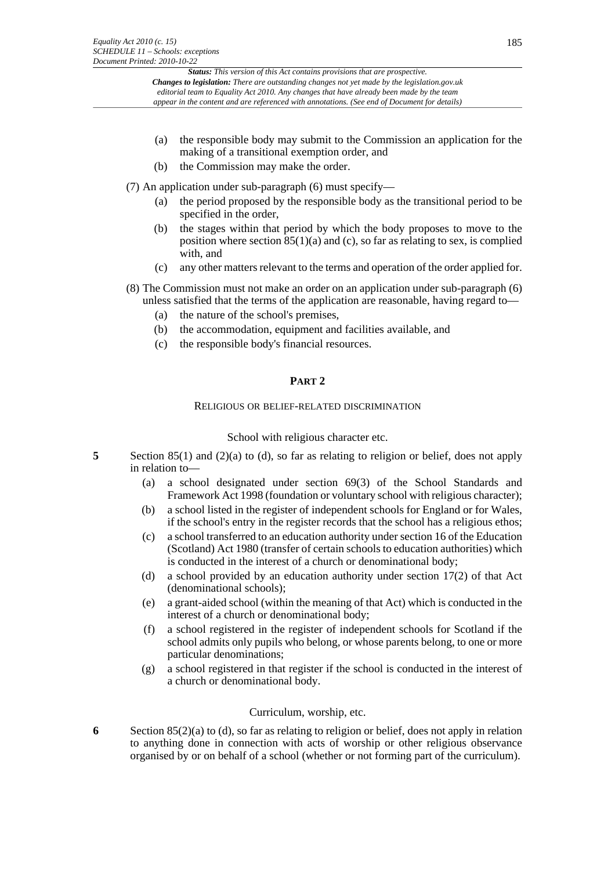(b) the Commission may make the order.

(7) An application under sub-paragraph (6) must specify—

- (a) the period proposed by the responsible body as the transitional period to be specified in the order,
- (b) the stages within that period by which the body proposes to move to the position where section  $85(1)(a)$  and (c), so far as relating to sex, is complied with, and
- (c) any other matters relevant to the terms and operation of the order applied for.
- (8) The Commission must not make an order on an application under sub-paragraph (6) unless satisfied that the terms of the application are reasonable, having regard to—
	- (a) the nature of the school's premises,
	- (b) the accommodation, equipment and facilities available, and
	- (c) the responsible body's financial resources.

# **PART 2**

## RELIGIOUS OR BELIEF-RELATED DISCRIMINATION

School with religious character etc.

- **5** Section 85(1) and (2)(a) to (d), so far as relating to religion or belief, does not apply in relation to—
	- (a) a school designated under section 69(3) of the School Standards and Framework Act 1998 (foundation or voluntary school with religious character);
	- (b) a school listed in the register of independent schools for England or for Wales, if the school's entry in the register records that the school has a religious ethos;
	- (c) a school transferred to an education authority under section 16 of the Education (Scotland) Act 1980 (transfer of certain schools to education authorities) which is conducted in the interest of a church or denominational body;
	- (d) a school provided by an education authority under section 17(2) of that Act (denominational schools);
	- (e) a grant-aided school (within the meaning of that Act) which is conducted in the interest of a church or denominational body;
	- (f) a school registered in the register of independent schools for Scotland if the school admits only pupils who belong, or whose parents belong, to one or more particular denominations;
	- (g) a school registered in that register if the school is conducted in the interest of a church or denominational body.

### Curriculum, worship, etc.

**6** Section 85(2)(a) to (d), so far as relating to religion or belief, does not apply in relation to anything done in connection with acts of worship or other religious observance organised by or on behalf of a school (whether or not forming part of the curriculum).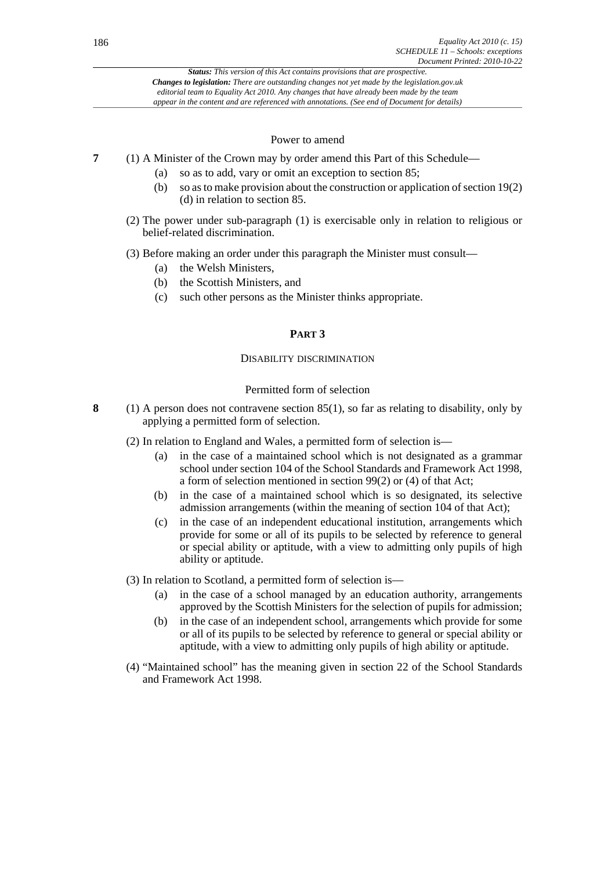| <b>Status:</b> This version of this Act contains provisions that are prospective.                   |  |
|-----------------------------------------------------------------------------------------------------|--|
| <b>Changes to legislation:</b> There are outstanding changes not yet made by the legislation gov.uk |  |
| editorial team to Equality Act 2010. Any changes that have already been made by the team            |  |
| appear in the content and are referenced with annotations. (See end of Document for details)        |  |
|                                                                                                     |  |

### Power to amend

- **7** (1) A Minister of the Crown may by order amend this Part of this Schedule—
	- (a) so as to add, vary or omit an exception to section 85;
	- (b) so as to make provision about the construction or application of section 19(2) (d) in relation to section 85.
	- (2) The power under sub-paragraph (1) is exercisable only in relation to religious or belief-related discrimination.
	- (3) Before making an order under this paragraph the Minister must consult—
		- (a) the Welsh Ministers,
		- (b) the Scottish Ministers, and
		- (c) such other persons as the Minister thinks appropriate.

## **PART 3**

#### DISABILITY DISCRIMINATION

## Permitted form of selection

- **8** (1) A person does not contravene section 85(1), so far as relating to disability, only by applying a permitted form of selection.
	- (2) In relation to England and Wales, a permitted form of selection is—
		- (a) in the case of a maintained school which is not designated as a grammar school under section 104 of the School Standards and Framework Act 1998, a form of selection mentioned in section 99(2) or (4) of that Act;
		- (b) in the case of a maintained school which is so designated, its selective admission arrangements (within the meaning of section 104 of that Act);
		- (c) in the case of an independent educational institution, arrangements which provide for some or all of its pupils to be selected by reference to general or special ability or aptitude, with a view to admitting only pupils of high ability or aptitude.

(3) In relation to Scotland, a permitted form of selection is—

- (a) in the case of a school managed by an education authority, arrangements approved by the Scottish Ministers for the selection of pupils for admission;
- (b) in the case of an independent school, arrangements which provide for some or all of its pupils to be selected by reference to general or special ability or aptitude, with a view to admitting only pupils of high ability or aptitude.
- (4) "Maintained school" has the meaning given in section 22 of the School Standards and Framework Act 1998.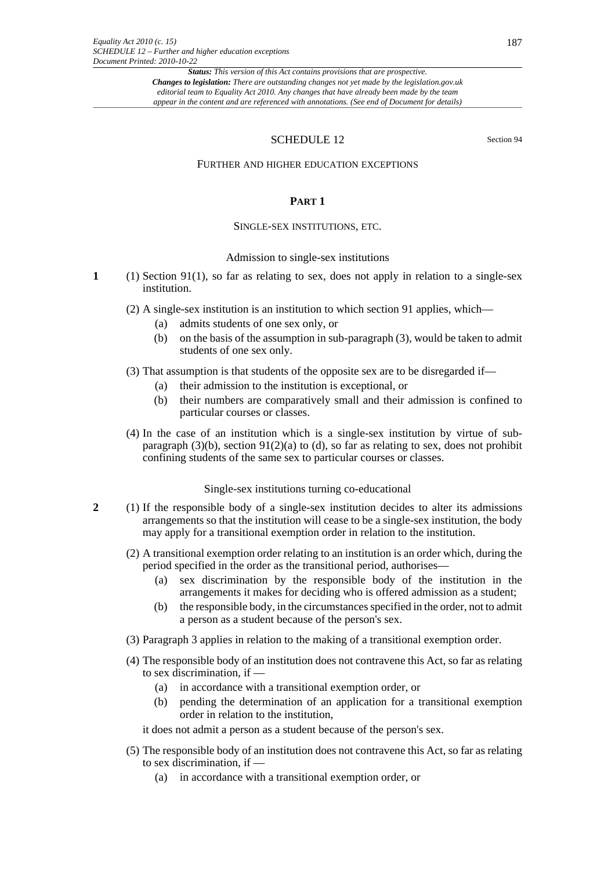#### FURTHER AND HIGHER EDUCATION EXCEPTIONS

## **PART 1**

#### SINGLE-SEX INSTITUTIONS, ETC.

Admission to single-sex institutions

- **1** (1) Section 91(1), so far as relating to sex, does not apply in relation to a single-sex institution.
	- (2) A single-sex institution is an institution to which section 91 applies, which—
		- (a) admits students of one sex only, or
		- (b) on the basis of the assumption in sub-paragraph (3), would be taken to admit students of one sex only.
	- (3) That assumption is that students of the opposite sex are to be disregarded if—
		- (a) their admission to the institution is exceptional, or
		- (b) their numbers are comparatively small and their admission is confined to particular courses or classes.
	- (4) In the case of an institution which is a single-sex institution by virtue of subparagraph  $(3)(b)$ , section  $91(2)(a)$  to  $(d)$ , so far as relating to sex, does not prohibit confining students of the same sex to particular courses or classes.

#### Single-sex institutions turning co-educational

- **2** (1) If the responsible body of a single-sex institution decides to alter its admissions arrangements so that the institution will cease to be a single-sex institution, the body may apply for a transitional exemption order in relation to the institution.
	- (2) A transitional exemption order relating to an institution is an order which, during the period specified in the order as the transitional period, authorises—
		- (a) sex discrimination by the responsible body of the institution in the arrangements it makes for deciding who is offered admission as a student;
		- (b) the responsible body, in the circumstances specified in the order, not to admit a person as a student because of the person's sex.
	- (3) Paragraph 3 applies in relation to the making of a transitional exemption order.
	- (4) The responsible body of an institution does not contravene this Act, so far as relating to sex discrimination, if —
		- (a) in accordance with a transitional exemption order, or
		- (b) pending the determination of an application for a transitional exemption order in relation to the institution,

it does not admit a person as a student because of the person's sex.

- (5) The responsible body of an institution does not contravene this Act, so far as relating to sex discrimination, if —
	- (a) in accordance with a transitional exemption order, or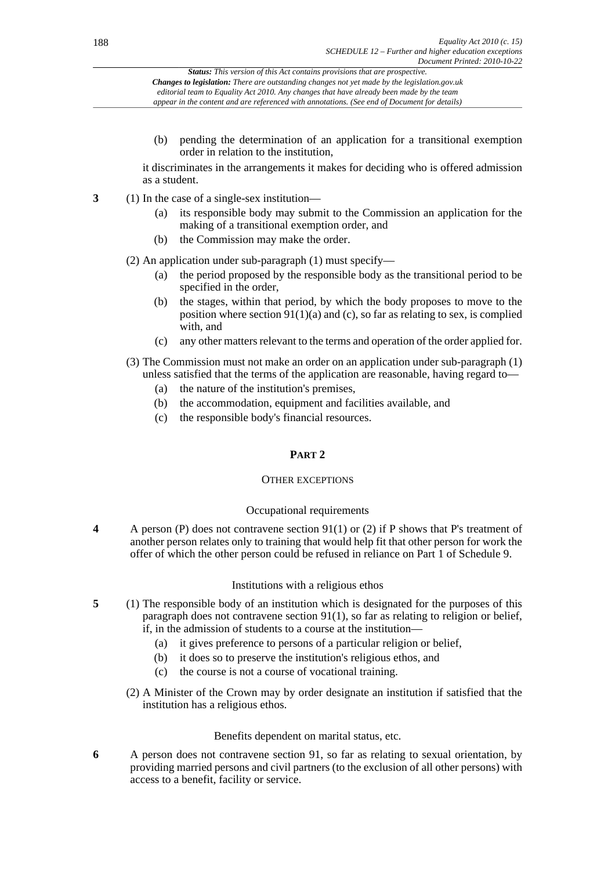(b) pending the determination of an application for a transitional exemption order in relation to the institution,

it discriminates in the arrangements it makes for deciding who is offered admission as a student.

- **3** (1) In the case of a single-sex institution—
	- (a) its responsible body may submit to the Commission an application for the making of a transitional exemption order, and
	- (b) the Commission may make the order.

(2) An application under sub-paragraph (1) must specify—

- (a) the period proposed by the responsible body as the transitional period to be specified in the order,
- (b) the stages, within that period, by which the body proposes to move to the position where section  $91(1)(a)$  and (c), so far as relating to sex, is complied with, and
- (c) any other matters relevant to the terms and operation of the order applied for.
- (3) The Commission must not make an order on an application under sub-paragraph (1) unless satisfied that the terms of the application are reasonable, having regard to—
	- (a) the nature of the institution's premises,
	- (b) the accommodation, equipment and facilities available, and
	- (c) the responsible body's financial resources.

# **PART 2**

# OTHER EXCEPTIONS

### Occupational requirements

**4** A person (P) does not contravene section 91(1) or (2) if P shows that P's treatment of another person relates only to training that would help fit that other person for work the offer of which the other person could be refused in reliance on Part 1 of Schedule 9.

### Institutions with a religious ethos

- **5** (1) The responsible body of an institution which is designated for the purposes of this paragraph does not contravene section 91(1), so far as relating to religion or belief, if, in the admission of students to a course at the institution—
	- (a) it gives preference to persons of a particular religion or belief,
	- (b) it does so to preserve the institution's religious ethos, and
	- (c) the course is not a course of vocational training.
	- (2) A Minister of the Crown may by order designate an institution if satisfied that the institution has a religious ethos.

### Benefits dependent on marital status, etc.

**6** A person does not contravene section 91, so far as relating to sexual orientation, by providing married persons and civil partners (to the exclusion of all other persons) with access to a benefit, facility or service.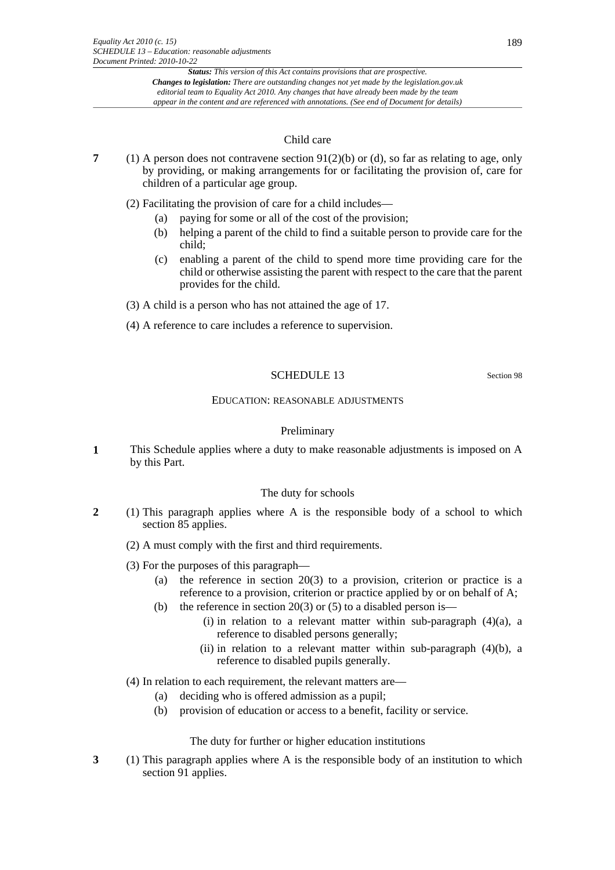## Child care

**7** (1) A person does not contravene section 91(2)(b) or (d), so far as relating to age, only by providing, or making arrangements for or facilitating the provision of, care for children of a particular age group.

(2) Facilitating the provision of care for a child includes—

- (a) paying for some or all of the cost of the provision;
- (b) helping a parent of the child to find a suitable person to provide care for the child;
- (c) enabling a parent of the child to spend more time providing care for the child or otherwise assisting the parent with respect to the care that the parent provides for the child.

(3) A child is a person who has not attained the age of 17.

(4) A reference to care includes a reference to supervision.

# SCHEDULE 13 Section 98

## EDUCATION: REASONABLE ADJUSTMENTS

### Preliminary

**1** This Schedule applies where a duty to make reasonable adjustments is imposed on A by this Part.

## The duty for schools

- **2** (1) This paragraph applies where A is the responsible body of a school to which section 85 applies.
	- (2) A must comply with the first and third requirements.
	- (3) For the purposes of this paragraph—
		- (a) the reference in section 20(3) to a provision, criterion or practice is a reference to a provision, criterion or practice applied by or on behalf of A;
		- (b) the reference in section 20(3) or (5) to a disabled person is—
			- (i) in relation to a relevant matter within sub-paragraph  $(4)(a)$ , a reference to disabled persons generally;
			- (ii) in relation to a relevant matter within sub-paragraph  $(4)(b)$ , a reference to disabled pupils generally.

### (4) In relation to each requirement, the relevant matters are—

- (a) deciding who is offered admission as a pupil;
- (b) provision of education or access to a benefit, facility or service.

The duty for further or higher education institutions

**3** (1) This paragraph applies where A is the responsible body of an institution to which section 91 applies.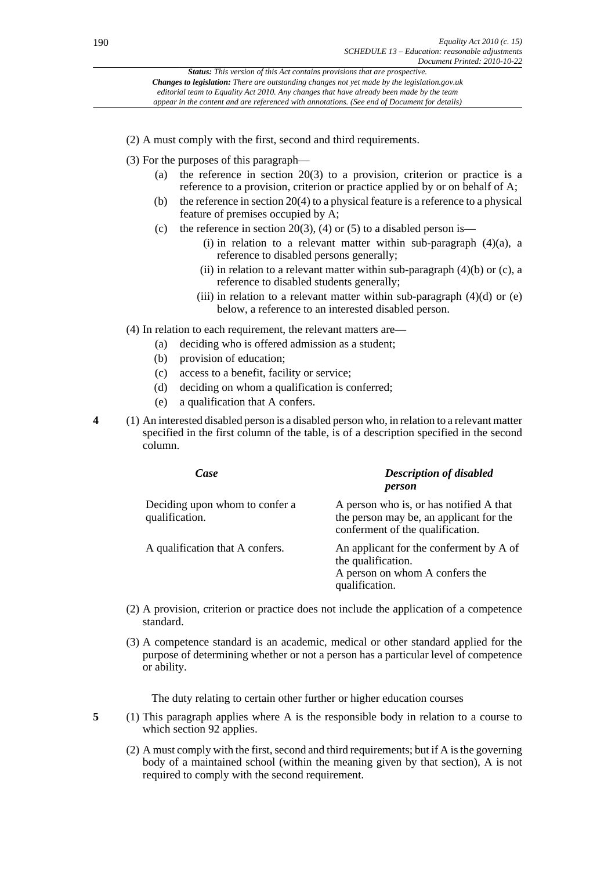- (2) A must comply with the first, second and third requirements.
- (3) For the purposes of this paragraph—
	- (a) the reference in section 20(3) to a provision, criterion or practice is a reference to a provision, criterion or practice applied by or on behalf of A;
	- (b) the reference in section  $20(4)$  to a physical feature is a reference to a physical feature of premises occupied by A;
	- (c) the reference in section 20(3), (4) or (5) to a disabled person is—
		- (i) in relation to a relevant matter within sub-paragraph  $(4)(a)$ , a reference to disabled persons generally;
		- (ii) in relation to a relevant matter within sub-paragraph  $(4)(b)$  or  $(c)$ , a reference to disabled students generally;
		- (iii) in relation to a relevant matter within sub-paragraph  $(4)(d)$  or  $(e)$ below, a reference to an interested disabled person.

(4) In relation to each requirement, the relevant matters are—

- (a) deciding who is offered admission as a student;
- (b) provision of education;
- (c) access to a benefit, facility or service;
- (d) deciding on whom a qualification is conferred;
- (e) a qualification that A confers.
- **4** (1) An interested disabled person is a disabled person who, in relation to a relevant matter specified in the first column of the table, is of a description specified in the second column.

| Case                                             | <b>Description of disabled</b><br>person                                                                               |
|--------------------------------------------------|------------------------------------------------------------------------------------------------------------------------|
| Deciding upon whom to confer a<br>qualification. | A person who is, or has notified A that<br>the person may be, an applicant for the<br>conferment of the qualification. |
| A qualification that A confers.                  | An applicant for the conferment by A of<br>the qualification.<br>A person on whom A confers the<br>qualification.      |

- (2) A provision, criterion or practice does not include the application of a competence standard.
- (3) A competence standard is an academic, medical or other standard applied for the purpose of determining whether or not a person has a particular level of competence or ability.

The duty relating to certain other further or higher education courses

**5** (1) This paragraph applies where A is the responsible body in relation to a course to which section 92 applies.

(2) A must comply with the first, second and third requirements; but if A is the governing body of a maintained school (within the meaning given by that section), A is not required to comply with the second requirement.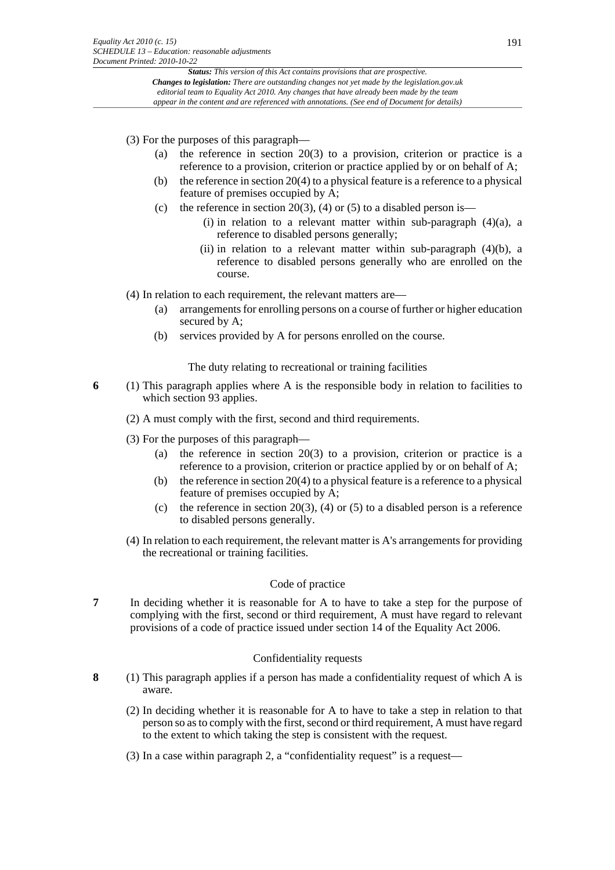(3) For the purposes of this paragraph—

- (a) the reference in section 20(3) to a provision, criterion or practice is a reference to a provision, criterion or practice applied by or on behalf of A;
- (b) the reference in section 20(4) to a physical feature is a reference to a physical feature of premises occupied by A;
- (c) the reference in section 20(3), (4) or (5) to a disabled person is—
	- (i) in relation to a relevant matter within sub-paragraph  $(4)(a)$ , a reference to disabled persons generally;
	- (ii) in relation to a relevant matter within sub-paragraph  $(4)(b)$ , a reference to disabled persons generally who are enrolled on the course.

(4) In relation to each requirement, the relevant matters are—

- (a) arrangements for enrolling persons on a course of further or higher education secured by A;
- (b) services provided by A for persons enrolled on the course.

The duty relating to recreational or training facilities

- **6** (1) This paragraph applies where A is the responsible body in relation to facilities to which section 93 applies.
	- (2) A must comply with the first, second and third requirements.
	- (3) For the purposes of this paragraph—
		- (a) the reference in section 20(3) to a provision, criterion or practice is a reference to a provision, criterion or practice applied by or on behalf of A;
		- (b) the reference in section  $20(4)$  to a physical feature is a reference to a physical feature of premises occupied by A;
		- (c) the reference in section 20(3), (4) or (5) to a disabled person is a reference to disabled persons generally.
	- (4) In relation to each requirement, the relevant matter is A's arrangements for providing the recreational or training facilities.

# Code of practice

**7** In deciding whether it is reasonable for A to have to take a step for the purpose of complying with the first, second or third requirement, A must have regard to relevant provisions of a code of practice issued under section 14 of the Equality Act 2006.

# Confidentiality requests

- **8** (1) This paragraph applies if a person has made a confidentiality request of which A is aware.
	- (2) In deciding whether it is reasonable for A to have to take a step in relation to that person so as to comply with the first, second or third requirement, A must have regard to the extent to which taking the step is consistent with the request.
	- (3) In a case within paragraph 2, a "confidentiality request" is a request—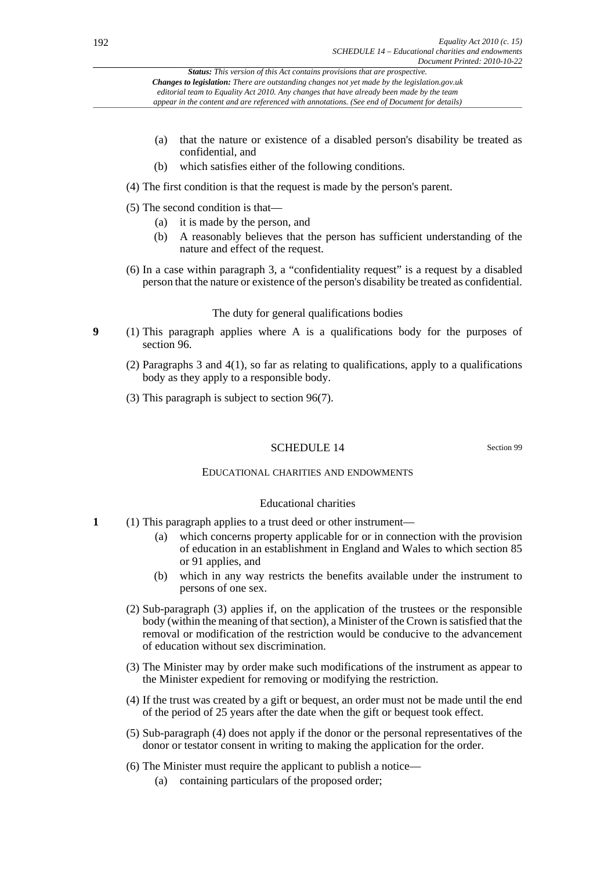|   | <b>Status:</b> This version of this Act contains provisions that are prospective.                                                                                                      |  |
|---|----------------------------------------------------------------------------------------------------------------------------------------------------------------------------------------|--|
|   | Changes to legislation: There are outstanding changes not yet made by the legislation.gov.uk                                                                                           |  |
|   | editorial team to Equality Act 2010. Any changes that have already been made by the team                                                                                               |  |
|   | appear in the content and are referenced with annotations. (See end of Document for details)                                                                                           |  |
|   | that the nature or existence of a disabled person's disability be treated as<br>(a)<br>confidential, and                                                                               |  |
|   | which satisfies either of the following conditions.<br>(b)                                                                                                                             |  |
|   | (4) The first condition is that the request is made by the person's parent.                                                                                                            |  |
|   | $(5)$ The second condition is that—                                                                                                                                                    |  |
|   | it is made by the person, and<br>(a)                                                                                                                                                   |  |
|   | (b)<br>A reasonably believes that the person has sufficient understanding of the<br>nature and effect of the request.                                                                  |  |
|   | (6) In a case within paragraph 3, a "confidentiality request" is a request by a disabled<br>person that the nature or existence of the person's disability be treated as confidential. |  |
|   | The duty for general qualifications bodies                                                                                                                                             |  |
| 9 | (1) This paragraph applies where A is a qualifications body for the purposes of<br>section 96.                                                                                         |  |
|   | (2) Paragraphs 3 and 4(1), so far as relating to qualifications, apply to a qualifications<br>body as they apply to a responsible body.                                                |  |
|   | $(3)$ This paragraph is subject to section 96(7).                                                                                                                                      |  |
|   |                                                                                                                                                                                        |  |
|   | <b>SCHEDULE 14</b><br>Section 99                                                                                                                                                       |  |
|   | EDUCATIONAL CHADITIES AND ENDOWMENTS                                                                                                                                                   |  |

# EDUCATIONAL CHARITIES AND ENDOWMENTS

# Educational charities

- **1** (1) This paragraph applies to a trust deed or other instrument—
	- (a) which concerns property applicable for or in connection with the provision of education in an establishment in England and Wales to which section 85 or 91 applies, and
	- (b) which in any way restricts the benefits available under the instrument to persons of one sex.
	- (2) Sub-paragraph (3) applies if, on the application of the trustees or the responsible body (within the meaning of that section), a Minister of the Crown is satisfied that the removal or modification of the restriction would be conducive to the advancement of education without sex discrimination.
	- (3) The Minister may by order make such modifications of the instrument as appear to the Minister expedient for removing or modifying the restriction.
	- (4) If the trust was created by a gift or bequest, an order must not be made until the end of the period of 25 years after the date when the gift or bequest took effect.
	- (5) Sub-paragraph (4) does not apply if the donor or the personal representatives of the donor or testator consent in writing to making the application for the order.
	- (6) The Minister must require the applicant to publish a notice—
		- (a) containing particulars of the proposed order;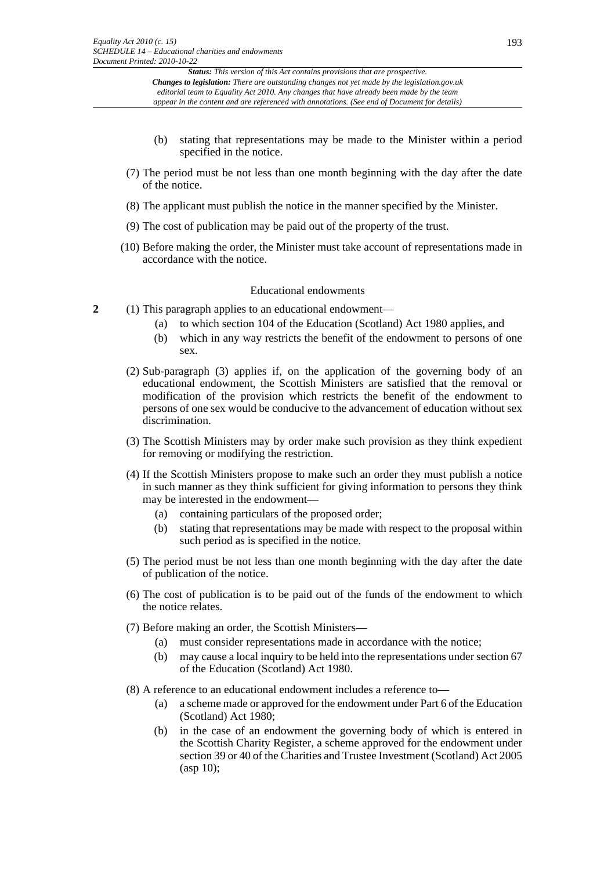- (b) stating that representations may be made to the Minister within a period specified in the notice.
- (7) The period must be not less than one month beginning with the day after the date of the notice.
- (8) The applicant must publish the notice in the manner specified by the Minister.
- (9) The cost of publication may be paid out of the property of the trust.
- (10) Before making the order, the Minister must take account of representations made in accordance with the notice.

### Educational endowments

- **2** (1) This paragraph applies to an educational endowment—
	- (a) to which section 104 of the Education (Scotland) Act 1980 applies, and
	- (b) which in any way restricts the benefit of the endowment to persons of one sex.
	- (2) Sub-paragraph (3) applies if, on the application of the governing body of an educational endowment, the Scottish Ministers are satisfied that the removal or modification of the provision which restricts the benefit of the endowment to persons of one sex would be conducive to the advancement of education without sex discrimination.
	- (3) The Scottish Ministers may by order make such provision as they think expedient for removing or modifying the restriction.
	- (4) If the Scottish Ministers propose to make such an order they must publish a notice in such manner as they think sufficient for giving information to persons they think may be interested in the endowment—
		- (a) containing particulars of the proposed order;
		- (b) stating that representations may be made with respect to the proposal within such period as is specified in the notice.
	- (5) The period must be not less than one month beginning with the day after the date of publication of the notice.
	- (6) The cost of publication is to be paid out of the funds of the endowment to which the notice relates.
	- (7) Before making an order, the Scottish Ministers—
		- (a) must consider representations made in accordance with the notice;
		- (b) may cause a local inquiry to be held into the representations under section 67 of the Education (Scotland) Act 1980.
	- (8) A reference to an educational endowment includes a reference to—
		- (a) a scheme made or approved for the endowment under Part 6 of the Education (Scotland) Act 1980;
		- (b) in the case of an endowment the governing body of which is entered in the Scottish Charity Register, a scheme approved for the endowment under section 39 or 40 of the Charities and Trustee Investment (Scotland) Act 2005  $(\text{asp }10)$ ;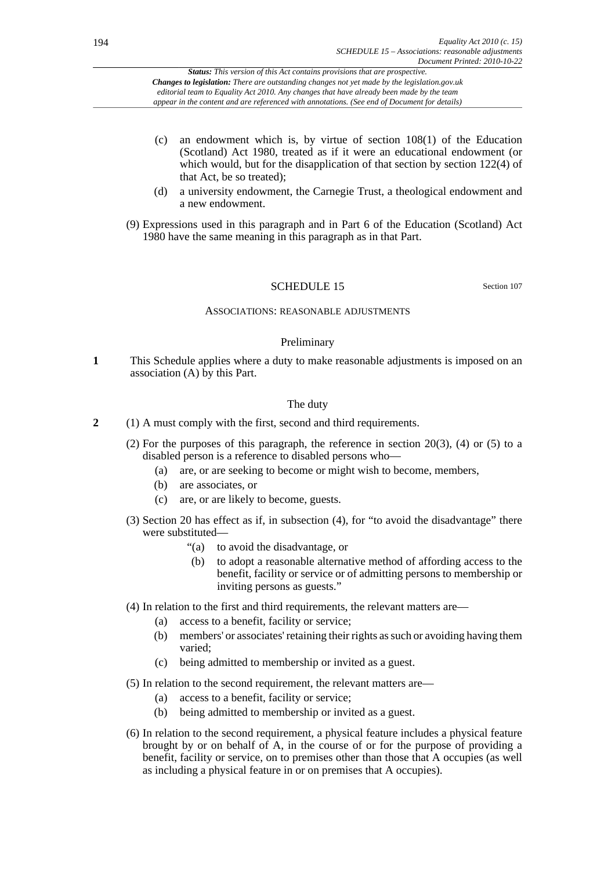- (c) an endowment which is, by virtue of section 108(1) of the Education (Scotland) Act 1980, treated as if it were an educational endowment (or which would, but for the disapplication of that section by section 122(4) of that Act, be so treated);
- (d) a university endowment, the Carnegie Trust, a theological endowment and a new endowment.
- (9) Expressions used in this paragraph and in Part 6 of the Education (Scotland) Act 1980 have the same meaning in this paragraph as in that Part.

### SCHEDULE 15 Section 107

### ASSOCIATIONS: REASONABLE ADJUSTMENTS

#### Preliminary

**1** This Schedule applies where a duty to make reasonable adjustments is imposed on an association (A) by this Part.

## The duty

- **2** (1) A must comply with the first, second and third requirements.
	- (2) For the purposes of this paragraph, the reference in section  $20(3)$ , (4) or (5) to a disabled person is a reference to disabled persons who—
		- (a) are, or are seeking to become or might wish to become, members,
		- (b) are associates, or
		- (c) are, or are likely to become, guests.
	- (3) Section 20 has effect as if, in subsection (4), for "to avoid the disadvantage" there were substituted—
		- "(a) to avoid the disadvantage, or
		- (b) to adopt a reasonable alternative method of affording access to the benefit, facility or service or of admitting persons to membership or inviting persons as guests."
	- (4) In relation to the first and third requirements, the relevant matters are—
		- (a) access to a benefit, facility or service;
		- (b) members' or associates' retaining their rights as such or avoiding having them varied;
		- (c) being admitted to membership or invited as a guest.
	- (5) In relation to the second requirement, the relevant matters are—
		- (a) access to a benefit, facility or service;
		- (b) being admitted to membership or invited as a guest.
	- (6) In relation to the second requirement, a physical feature includes a physical feature brought by or on behalf of A, in the course of or for the purpose of providing a benefit, facility or service, on to premises other than those that A occupies (as well as including a physical feature in or on premises that A occupies).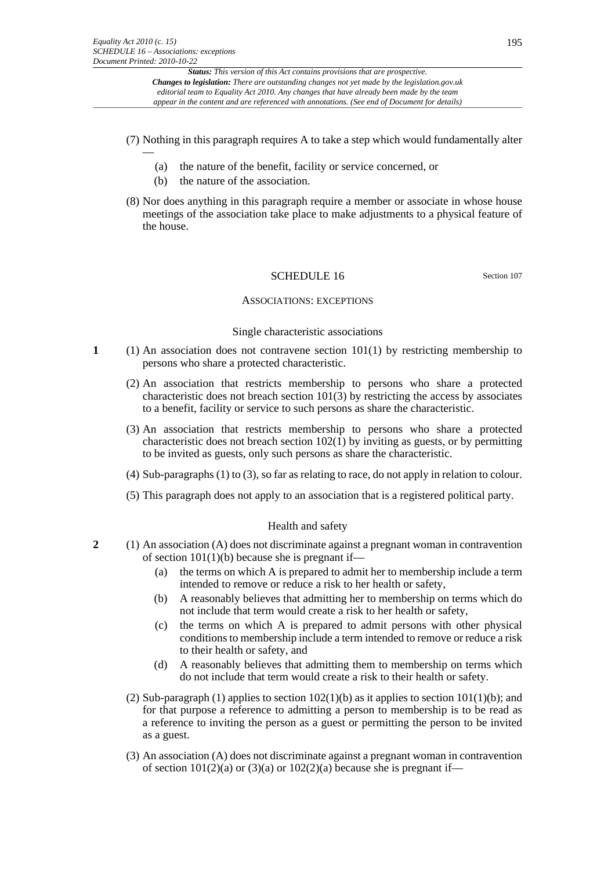—

*Status: This version of this Act contains provisions that are prospective. Changes to legislation: There are outstanding changes not yet made by the legislation.gov.uk editorial team to Equality Act 2010. Any changes that have already been made by the team appear in the content and are referenced with annotations. (See end of Document for details)*

- (7) Nothing in this paragraph requires A to take a step which would fundamentally alter
	- (a) the nature of the benefit, facility or service concerned, or
	- (b) the nature of the association.
- (8) Nor does anything in this paragraph require a member or associate in whose house meetings of the association take place to make adjustments to a physical feature of the house.

#### SCHEDULE 16 Section 107

#### ASSOCIATIONS: EXCEPTIONS

#### Single characteristic associations

- **1** (1) An association does not contravene section 101(1) by restricting membership to persons who share a protected characteristic.
	- (2) An association that restricts membership to persons who share a protected characteristic does not breach section 101(3) by restricting the access by associates to a benefit, facility or service to such persons as share the characteristic.
	- (3) An association that restricts membership to persons who share a protected characteristic does not breach section 102(1) by inviting as guests, or by permitting to be invited as guests, only such persons as share the characteristic.
	- (4) Sub-paragraphs (1) to (3), so far as relating to race, do not apply in relation to colour.
	- (5) This paragraph does not apply to an association that is a registered political party.

#### Health and safety

- **2** (1) An association (A) does not discriminate against a pregnant woman in contravention of section  $101(1)(b)$  because she is pregnant if—
	- (a) the terms on which A is prepared to admit her to membership include a term intended to remove or reduce a risk to her health or safety,
	- (b) A reasonably believes that admitting her to membership on terms which do not include that term would create a risk to her health or safety,
	- (c) the terms on which A is prepared to admit persons with other physical conditions to membership include a term intended to remove or reduce a risk to their health or safety, and
	- (d) A reasonably believes that admitting them to membership on terms which do not include that term would create a risk to their health or safety.
	- (2) Sub-paragraph (1) applies to section  $102(1)(b)$  as it applies to section  $101(1)(b)$ ; and for that purpose a reference to admitting a person to membership is to be read as a reference to inviting the person as a guest or permitting the person to be invited as a guest.
	- (3) An association (A) does not discriminate against a pregnant woman in contravention of section  $101(2)(a)$  or  $(3)(a)$  or  $102(2)(a)$  because she is pregnant if—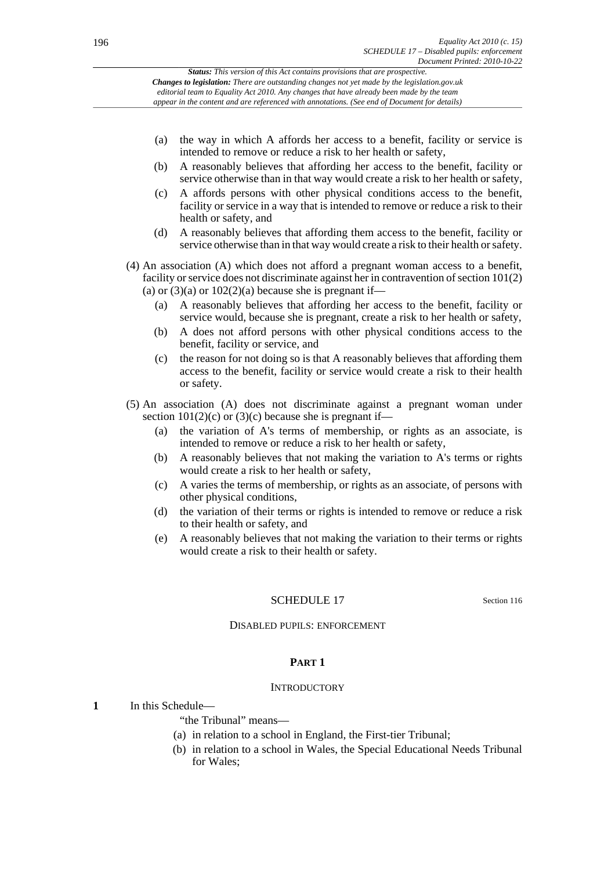*Status: This version of this Act contains provisions that are prospective. Changes to legislation: There are outstanding changes not yet made by the legislation.gov.uk editorial team to Equality Act 2010. Any changes that have already been made by the team appear in the content and are referenced with annotations. (See end of Document for details)* (a) the way in which A affords her access to a benefit, facility or service is intended to remove or reduce a risk to her health or safety, (b) A reasonably believes that affording her access to the benefit, facility or service otherwise than in that way would create a risk to her health or safety, (c) A affords persons with other physical conditions access to the benefit, facility or service in a way that is intended to remove or reduce a risk to their health or safety, and (d) A reasonably believes that affording them access to the benefit, facility or service otherwise than in that way would create a risk to their health or safety. (4) An association (A) which does not afford a pregnant woman access to a benefit, facility or service does not discriminate against her in contravention of section 101(2) (a) or  $(3)(a)$  or  $102(2)(a)$  because she is pregnant if— (a) A reasonably believes that affording her access to the benefit, facility or service would, because she is pregnant, create a risk to her health or safety, (b) A does not afford persons with other physical conditions access to the benefit, facility or service, and (c) the reason for not doing so is that A reasonably believes that affording them access to the benefit, facility or service would create a risk to their health or safety. (5) An association (A) does not discriminate against a pregnant woman under section  $101(2)(c)$  or  $(3)(c)$  because she is pregnant if— (a) the variation of A's terms of membership, or rights as an associate, is intended to remove or reduce a risk to her health or safety, (b) A reasonably believes that not making the variation to A's terms or rights would create a risk to her health or safety, (c) A varies the terms of membership, or rights as an associate, of persons with other physical conditions, (d) the variation of their terms or rights is intended to remove or reduce a risk to their health or safety, and (e) A reasonably believes that not making the variation to their terms or rights would create a risk to their health or safety. SCHEDULE 17 Section 116 DISABLED PUPILS: ENFORCEMENT **PART 1 INTRODUCTORY 1** In this Schedule— "the Tribunal" means—

- (a) in relation to a school in England, the First-tier Tribunal;
- (b) in relation to a school in Wales, the Special Educational Needs Tribunal for Wales;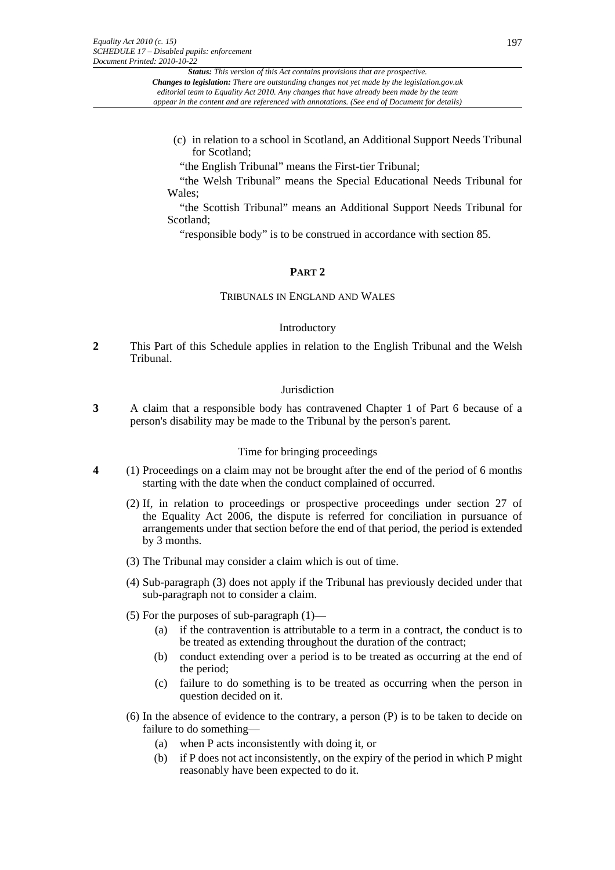*Status: This version of this Act contains provisions that are prospective.*

*Changes to legislation: There are outstanding changes not yet made by the legislation.gov.uk editorial team to Equality Act 2010. Any changes that have already been made by the team appear in the content and are referenced with annotations. (See end of Document for details)*

(c) in relation to a school in Scotland, an Additional Support Needs Tribunal for Scotland;

"the English Tribunal" means the First-tier Tribunal;

"the Welsh Tribunal" means the Special Educational Needs Tribunal for Wales;

"the Scottish Tribunal" means an Additional Support Needs Tribunal for Scotland;

"responsible body" is to be construed in accordance with section 85.

### **PART 2**

#### TRIBUNALS IN ENGLAND AND WALES

#### Introductory

**2** This Part of this Schedule applies in relation to the English Tribunal and the Welsh Tribunal.

### Jurisdiction

**3** A claim that a responsible body has contravened Chapter 1 of Part 6 because of a person's disability may be made to the Tribunal by the person's parent.

#### Time for bringing proceedings

- **4** (1) Proceedings on a claim may not be brought after the end of the period of 6 months starting with the date when the conduct complained of occurred.
	- (2) If, in relation to proceedings or prospective proceedings under section 27 of the Equality Act 2006, the dispute is referred for conciliation in pursuance of arrangements under that section before the end of that period, the period is extended by 3 months.
	- (3) The Tribunal may consider a claim which is out of time.
	- (4) Sub-paragraph (3) does not apply if the Tribunal has previously decided under that sub-paragraph not to consider a claim.
	- (5) For the purposes of sub-paragraph (1)—
		- (a) if the contravention is attributable to a term in a contract, the conduct is to be treated as extending throughout the duration of the contract;
		- (b) conduct extending over a period is to be treated as occurring at the end of the period;
		- (c) failure to do something is to be treated as occurring when the person in question decided on it.
	- (6) In the absence of evidence to the contrary, a person (P) is to be taken to decide on failure to do something—
		- (a) when P acts inconsistently with doing it, or
		- (b) if P does not act inconsistently, on the expiry of the period in which P might reasonably have been expected to do it.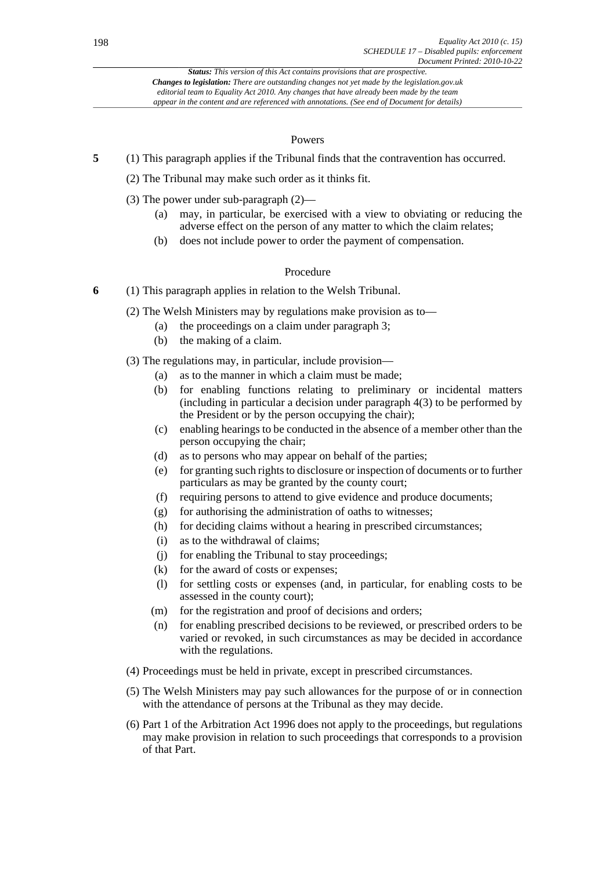### Powers

**5** (1) This paragraph applies if the Tribunal finds that the contravention has occurred.

(2) The Tribunal may make such order as it thinks fit.

- (3) The power under sub-paragraph (2)—
	- (a) may, in particular, be exercised with a view to obviating or reducing the adverse effect on the person of any matter to which the claim relates;
	- (b) does not include power to order the payment of compensation.

### Procedure

**6** (1) This paragraph applies in relation to the Welsh Tribunal.

(2) The Welsh Ministers may by regulations make provision as to—

- (a) the proceedings on a claim under paragraph 3;
- (b) the making of a claim.

(3) The regulations may, in particular, include provision—

- (a) as to the manner in which a claim must be made;
- (b) for enabling functions relating to preliminary or incidental matters (including in particular a decision under paragraph 4(3) to be performed by the President or by the person occupying the chair);
- (c) enabling hearings to be conducted in the absence of a member other than the person occupying the chair;
- (d) as to persons who may appear on behalf of the parties;
- (e) for granting such rights to disclosure or inspection of documents or to further particulars as may be granted by the county court;
- (f) requiring persons to attend to give evidence and produce documents;
- $(g)$  for authorising the administration of oaths to witnesses;
- (h) for deciding claims without a hearing in prescribed circumstances;
- (i) as to the withdrawal of claims;
- (j) for enabling the Tribunal to stay proceedings;
- (k) for the award of costs or expenses;
- (l) for settling costs or expenses (and, in particular, for enabling costs to be assessed in the county court);
- (m) for the registration and proof of decisions and orders;
- (n) for enabling prescribed decisions to be reviewed, or prescribed orders to be varied or revoked, in such circumstances as may be decided in accordance with the regulations.
- (4) Proceedings must be held in private, except in prescribed circumstances.
- (5) The Welsh Ministers may pay such allowances for the purpose of or in connection with the attendance of persons at the Tribunal as they may decide.
- (6) Part 1 of the Arbitration Act 1996 does not apply to the proceedings, but regulations may make provision in relation to such proceedings that corresponds to a provision of that Part.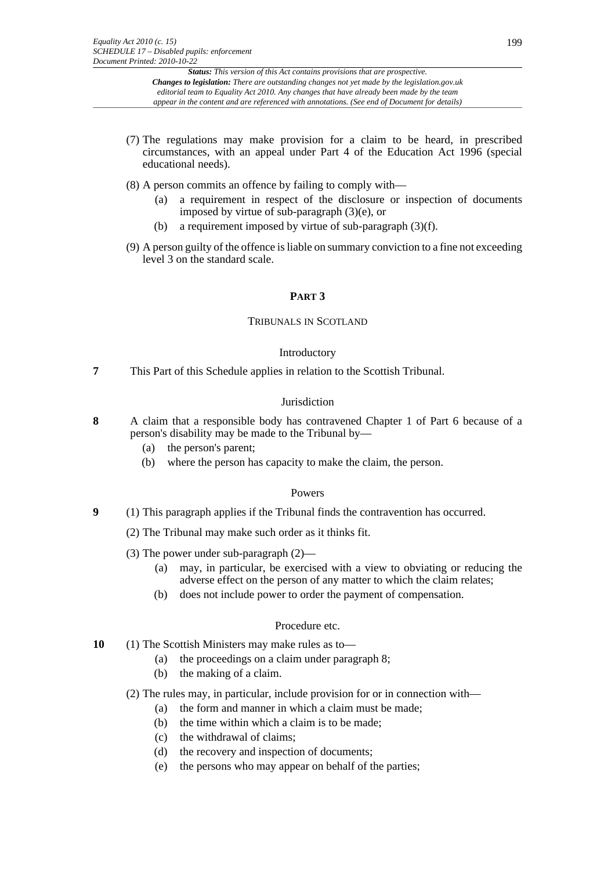- (7) The regulations may make provision for a claim to be heard, in prescribed circumstances, with an appeal under Part 4 of the Education Act 1996 (special educational needs).
- (8) A person commits an offence by failing to comply with—
	- (a) a requirement in respect of the disclosure or inspection of documents imposed by virtue of sub-paragraph (3)(e), or
	- (b) a requirement imposed by virtue of sub-paragraph (3)(f).
- (9) A person guilty of the offence is liable on summary conviction to a fine not exceeding level 3 on the standard scale.

# **PART 3**

## TRIBUNALS IN SCOTLAND

## Introductory

**7** This Part of this Schedule applies in relation to the Scottish Tribunal.

## **Jurisdiction**

- **8** A claim that a responsible body has contravened Chapter 1 of Part 6 because of a person's disability may be made to the Tribunal by—
	- (a) the person's parent;
	- (b) where the person has capacity to make the claim, the person.

## Powers

- **9** (1) This paragraph applies if the Tribunal finds the contravention has occurred.
	- (2) The Tribunal may make such order as it thinks fit.
	- (3) The power under sub-paragraph (2)—
		- (a) may, in particular, be exercised with a view to obviating or reducing the adverse effect on the person of any matter to which the claim relates;
		- (b) does not include power to order the payment of compensation.

### Procedure etc.

- **10** (1) The Scottish Ministers may make rules as to—
	- (a) the proceedings on a claim under paragraph 8;
	- (b) the making of a claim.

# (2) The rules may, in particular, include provision for or in connection with—

- (a) the form and manner in which a claim must be made;
- (b) the time within which a claim is to be made;
- (c) the withdrawal of claims;
- (d) the recovery and inspection of documents;
- (e) the persons who may appear on behalf of the parties;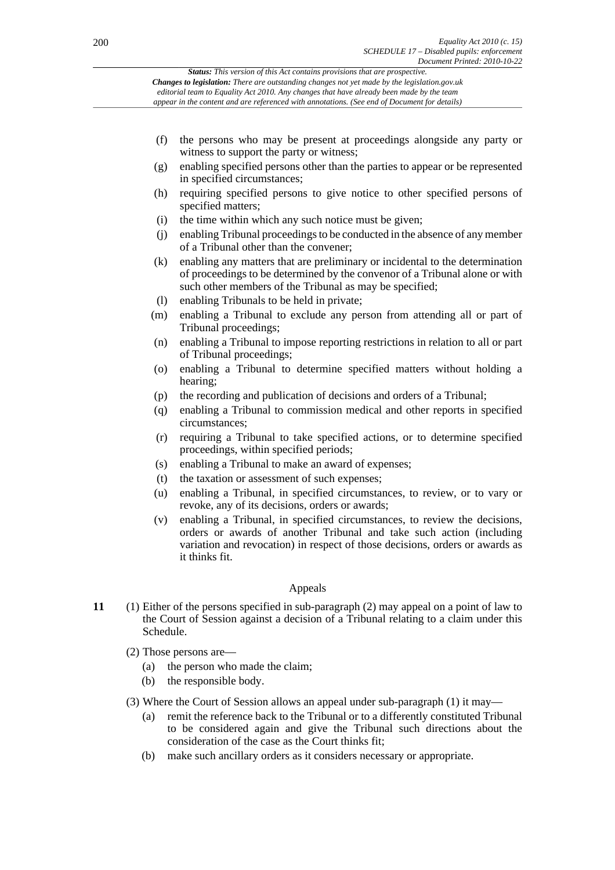

- (a) remit the reference back to the Tribunal or to a differently constituted Tribunal to be considered again and give the Tribunal such directions about the consideration of the case as the Court thinks fit;
- (b) make such ancillary orders as it considers necessary or appropriate.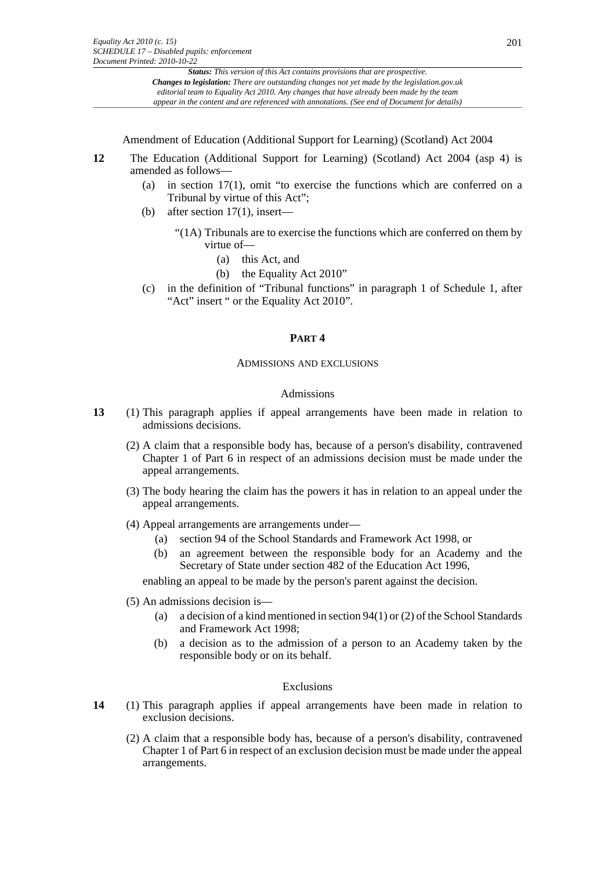Amendment of Education (Additional Support for Learning) (Scotland) Act 2004

- **12** The Education (Additional Support for Learning) (Scotland) Act 2004 (asp 4) is amended as follows—
	- (a) in section 17(1), omit "to exercise the functions which are conferred on a Tribunal by virtue of this Act";
	- (b) after section  $17(1)$ , insert—
		- "(1A) Tribunals are to exercise the functions which are conferred on them by virtue of—
			- (a) this Act, and
			- (b) the Equality Act 2010"
	- (c) in the definition of "Tribunal functions" in paragraph 1 of Schedule 1, after "Act" insert " or the Equality Act 2010".

## **PART 4**

#### ADMISSIONS AND EXCLUSIONS

### Admissions

- **13** (1) This paragraph applies if appeal arrangements have been made in relation to admissions decisions.
	- (2) A claim that a responsible body has, because of a person's disability, contravened Chapter 1 of Part 6 in respect of an admissions decision must be made under the appeal arrangements.
	- (3) The body hearing the claim has the powers it has in relation to an appeal under the appeal arrangements.
	- (4) Appeal arrangements are arrangements under—
		- (a) section 94 of the School Standards and Framework Act 1998, or
		- (b) an agreement between the responsible body for an Academy and the Secretary of State under section 482 of the Education Act 1996,

enabling an appeal to be made by the person's parent against the decision.

- (5) An admissions decision is—
	- (a) a decision of a kind mentioned in section 94(1) or (2) of the School Standards and Framework Act 1998;
	- (b) a decision as to the admission of a person to an Academy taken by the responsible body or on its behalf.

#### Exclusions

- **14** (1) This paragraph applies if appeal arrangements have been made in relation to exclusion decisions.
	- (2) A claim that a responsible body has, because of a person's disability, contravened Chapter 1 of Part 6 in respect of an exclusion decision must be made under the appeal arrangements.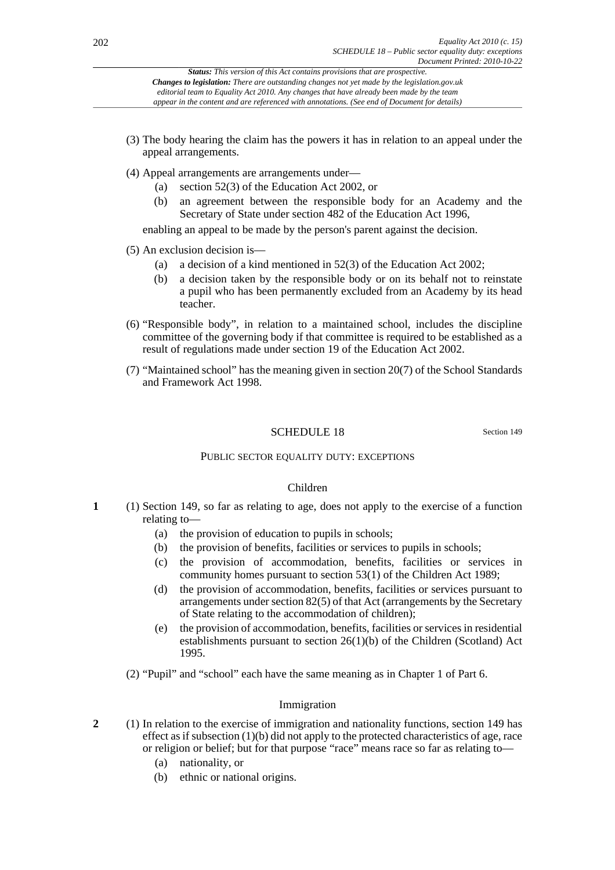- (3) The body hearing the claim has the powers it has in relation to an appeal under the appeal arrangements.
- (4) Appeal arrangements are arrangements under—
	- (a) section 52(3) of the Education Act 2002, or
	- (b) an agreement between the responsible body for an Academy and the Secretary of State under section 482 of the Education Act 1996,

enabling an appeal to be made by the person's parent against the decision.

- (5) An exclusion decision is—
	- (a) a decision of a kind mentioned in 52(3) of the Education Act 2002;
	- (b) a decision taken by the responsible body or on its behalf not to reinstate a pupil who has been permanently excluded from an Academy by its head teacher.
- (6) "Responsible body", in relation to a maintained school, includes the discipline committee of the governing body if that committee is required to be established as a result of regulations made under section 19 of the Education Act 2002.
- (7) "Maintained school" has the meaning given in section 20(7) of the School Standards and Framework Act 1998.

## SCHEDULE 18 Section 149

### PUBLIC SECTOR EQUALITY DUTY: EXCEPTIONS

### Children

- **1** (1) Section 149, so far as relating to age, does not apply to the exercise of a function relating to—
	- (a) the provision of education to pupils in schools;
	- (b) the provision of benefits, facilities or services to pupils in schools;
	- (c) the provision of accommodation, benefits, facilities or services in community homes pursuant to section 53(1) of the Children Act 1989;
	- (d) the provision of accommodation, benefits, facilities or services pursuant to arrangements under section 82(5) of that Act (arrangements by the Secretary of State relating to the accommodation of children);
	- (e) the provision of accommodation, benefits, facilities or services in residential establishments pursuant to section 26(1)(b) of the Children (Scotland) Act 1995.
	- (2) "Pupil" and "school" each have the same meaning as in Chapter 1 of Part 6.

### Immigration

- **2** (1) In relation to the exercise of immigration and nationality functions, section 149 has effect as if subsection (1)(b) did not apply to the protected characteristics of age, race or religion or belief; but for that purpose "race" means race so far as relating to—
	- (a) nationality, or
	- (b) ethnic or national origins.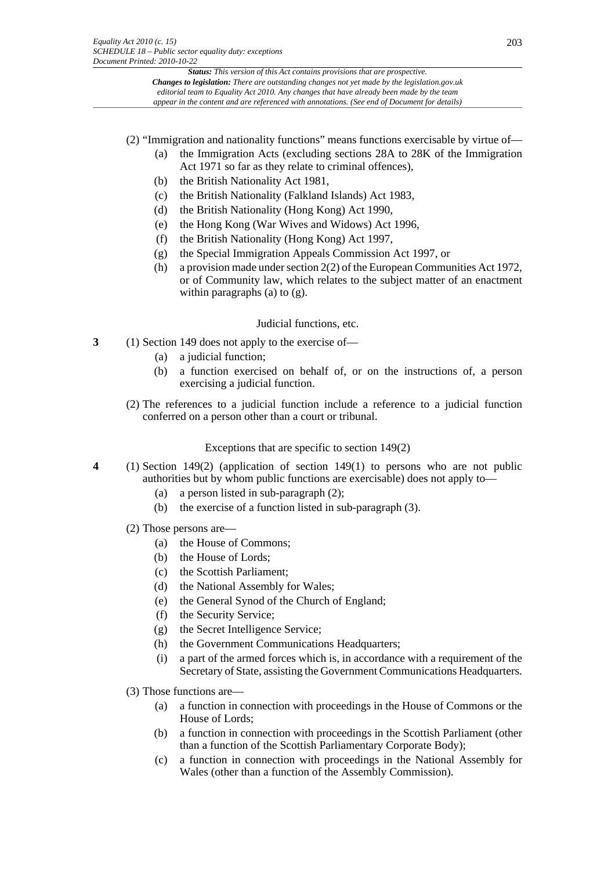*Status: This version of this Act contains provisions that are prospective.*

*Changes to legislation: There are outstanding changes not yet made by the legislation.gov.uk editorial team to Equality Act 2010. Any changes that have already been made by the team*

*appear in the content and are referenced with annotations. (See end of Document for details)*

# (2) "Immigration and nationality functions" means functions exercisable by virtue of—

- (a) the Immigration Acts (excluding sections 28A to 28K of the Immigration Act 1971 so far as they relate to criminal offences),
- (b) the British Nationality Act 1981,
- (c) the British Nationality (Falkland Islands) Act 1983,
- (d) the British Nationality (Hong Kong) Act 1990,
- (e) the Hong Kong (War Wives and Widows) Act 1996,
- (f) the British Nationality (Hong Kong) Act 1997,
- (g) the Special Immigration Appeals Commission Act 1997, or
- (h) a provision made under section 2(2) of the European Communities Act 1972, or of Community law, which relates to the subject matter of an enactment within paragraphs (a) to (g).

## Judicial functions, etc.

- **3** (1) Section 149 does not apply to the exercise of—
	- (a) a judicial function;
	- (b) a function exercised on behalf of, or on the instructions of, a person exercising a judicial function.
	- (2) The references to a judicial function include a reference to a judicial function conferred on a person other than a court or tribunal.

# Exceptions that are specific to section 149(2)

- **4** (1) Section 149(2) (application of section 149(1) to persons who are not public authorities but by whom public functions are exercisable) does not apply to—
	- (a) a person listed in sub-paragraph (2);
	- (b) the exercise of a function listed in sub-paragraph (3).
	- (2) Those persons are—
		- (a) the House of Commons;
		- (b) the House of Lords;
		- (c) the Scottish Parliament;
		- (d) the National Assembly for Wales;
		- (e) the General Synod of the Church of England;
		- (f) the Security Service;
		- (g) the Secret Intelligence Service;
		- (h) the Government Communications Headquarters;
		- (i) a part of the armed forces which is, in accordance with a requirement of the Secretary of State, assisting the Government Communications Headquarters.
	- (3) Those functions are—
		- (a) a function in connection with proceedings in the House of Commons or the House of Lords;
		- (b) a function in connection with proceedings in the Scottish Parliament (other than a function of the Scottish Parliamentary Corporate Body);
		- (c) a function in connection with proceedings in the National Assembly for Wales (other than a function of the Assembly Commission).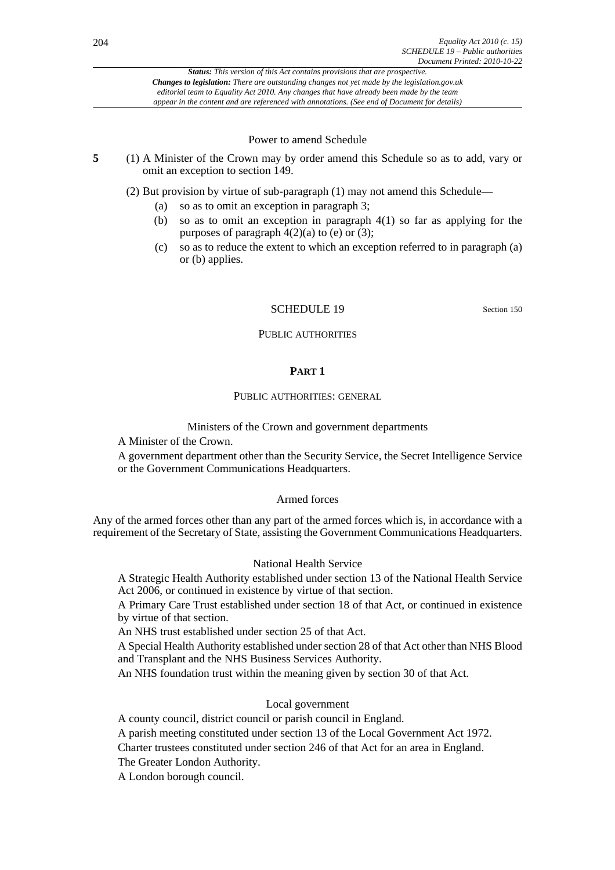| <b>Status:</b> This version of this Act contains provisions that are prospective.                   |  |
|-----------------------------------------------------------------------------------------------------|--|
| <b>Changes to legislation:</b> There are outstanding changes not yet made by the legislation.gov.uk |  |
| editorial team to Equality Act 2010. Any changes that have already been made by the team            |  |
| appear in the content and are referenced with annotations. (See end of Document for details)        |  |
|                                                                                                     |  |

Power to amend Schedule

**5** (1) A Minister of the Crown may by order amend this Schedule so as to add, vary or omit an exception to section 149.

(2) But provision by virtue of sub-paragraph (1) may not amend this Schedule—

- (a) so as to omit an exception in paragraph 3;
- (b) so as to omit an exception in paragraph 4(1) so far as applying for the purposes of paragraph  $4(2)(a)$  to (e) or (3);
- (c) so as to reduce the extent to which an exception referred to in paragraph (a) or (b) applies.

SCHEDULE 19 Section 150

# PUBLIC AUTHORITIES

# **PART 1**

### PUBLIC AUTHORITIES: GENERAL

Ministers of the Crown and government departments

A Minister of the Crown.

A government department other than the Security Service, the Secret Intelligence Service or the Government Communications Headquarters.

# Armed forces

Any of the armed forces other than any part of the armed forces which is, in accordance with a requirement of the Secretary of State, assisting the Government Communications Headquarters.

# National Health Service

A Strategic Health Authority established under section 13 of the National Health Service Act 2006, or continued in existence by virtue of that section.

A Primary Care Trust established under section 18 of that Act, or continued in existence by virtue of that section.

An NHS trust established under section 25 of that Act.

A Special Health Authority established under section 28 of that Act other than NHS Blood and Transplant and the NHS Business Services Authority.

An NHS foundation trust within the meaning given by section 30 of that Act.

# Local government

A county council, district council or parish council in England.

A parish meeting constituted under section 13 of the Local Government Act 1972.

Charter trustees constituted under section 246 of that Act for an area in England.

The Greater London Authority.

A London borough council.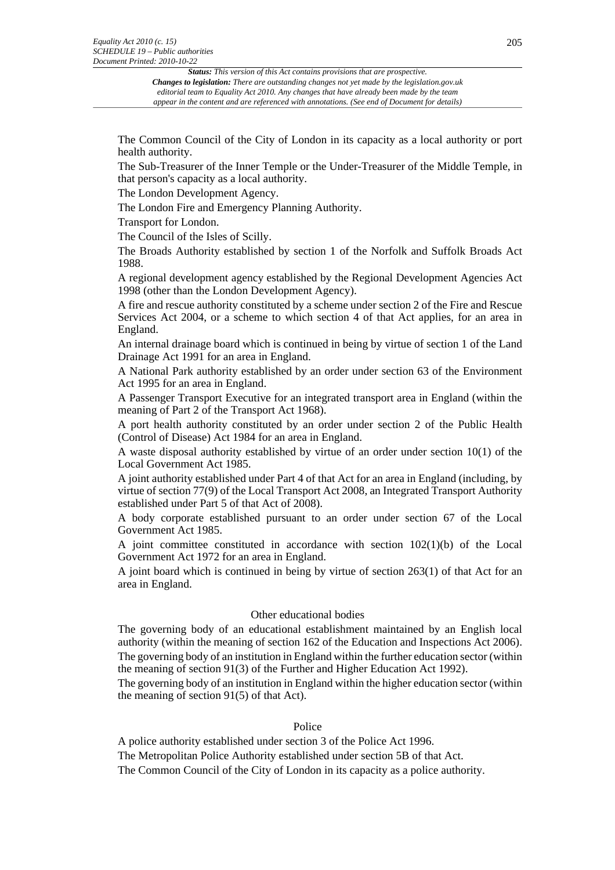The Common Council of the City of London in its capacity as a local authority or port health authority.

The Sub-Treasurer of the Inner Temple or the Under-Treasurer of the Middle Temple, in that person's capacity as a local authority.

The London Development Agency.

The London Fire and Emergency Planning Authority.

Transport for London.

The Council of the Isles of Scilly.

The Broads Authority established by section 1 of the Norfolk and Suffolk Broads Act 1988.

A regional development agency established by the Regional Development Agencies Act 1998 (other than the London Development Agency).

A fire and rescue authority constituted by a scheme under section 2 of the Fire and Rescue Services Act 2004, or a scheme to which section 4 of that Act applies, for an area in England.

An internal drainage board which is continued in being by virtue of section 1 of the Land Drainage Act 1991 for an area in England.

A National Park authority established by an order under section 63 of the Environment Act 1995 for an area in England.

A Passenger Transport Executive for an integrated transport area in England (within the meaning of Part 2 of the Transport Act 1968).

A port health authority constituted by an order under section 2 of the Public Health (Control of Disease) Act 1984 for an area in England.

A waste disposal authority established by virtue of an order under section 10(1) of the Local Government Act 1985.

A joint authority established under Part 4 of that Act for an area in England (including, by virtue of section 77(9) of the Local Transport Act 2008, an Integrated Transport Authority established under Part 5 of that Act of 2008).

A body corporate established pursuant to an order under section 67 of the Local Government Act 1985.

A joint committee constituted in accordance with section 102(1)(b) of the Local Government Act 1972 for an area in England.

A joint board which is continued in being by virtue of section 263(1) of that Act for an area in England.

## Other educational bodies

The governing body of an educational establishment maintained by an English local authority (within the meaning of section 162 of the Education and Inspections Act 2006). The governing body of an institution in England within the further education sector (within the meaning of section 91(3) of the Further and Higher Education Act 1992).

The governing body of an institution in England within the higher education sector (within the meaning of section 91(5) of that Act).

# Police

A police authority established under section 3 of the Police Act 1996.

The Metropolitan Police Authority established under section 5B of that Act.

The Common Council of the City of London in its capacity as a police authority.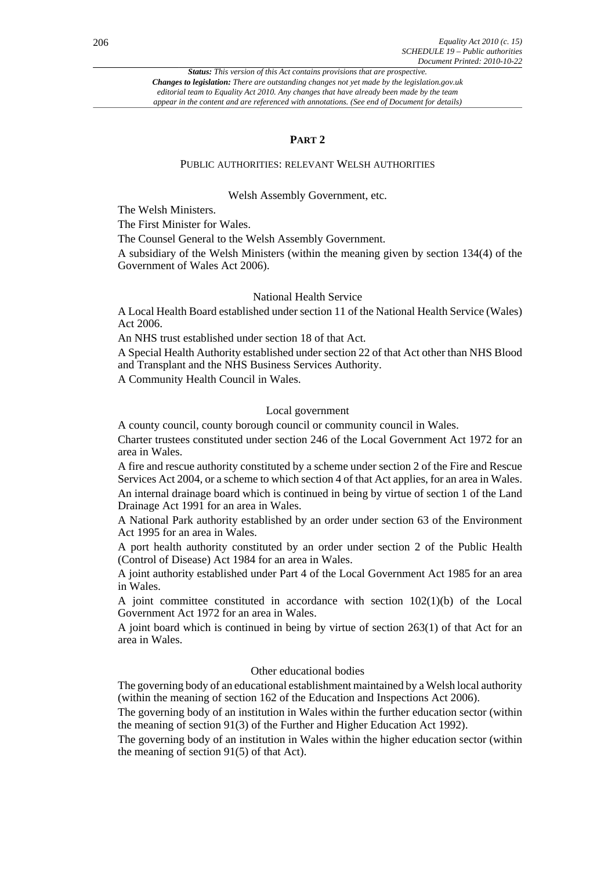### **PART 2**

#### PUBLIC AUTHORITIES: RELEVANT WELSH AUTHORITIES

#### Welsh Assembly Government, etc.

The Welsh Ministers.

The First Minister for Wales.

The Counsel General to the Welsh Assembly Government.

A subsidiary of the Welsh Ministers (within the meaning given by section 134(4) of the Government of Wales Act 2006).

#### National Health Service

A Local Health Board established under section 11 of the National Health Service (Wales) Act 2006.

An NHS trust established under section 18 of that Act.

A Special Health Authority established under section 22 of that Act other than NHS Blood and Transplant and the NHS Business Services Authority.

A Community Health Council in Wales.

#### Local government

A county council, county borough council or community council in Wales.

Charter trustees constituted under section 246 of the Local Government Act 1972 for an area in Wales.

A fire and rescue authority constituted by a scheme under section 2 of the Fire and Rescue Services Act 2004, or a scheme to which section 4 of that Act applies, for an area in Wales. An internal drainage board which is continued in being by virtue of section 1 of the Land

Drainage Act 1991 for an area in Wales.

A National Park authority established by an order under section 63 of the Environment Act 1995 for an area in Wales.

A port health authority constituted by an order under section 2 of the Public Health (Control of Disease) Act 1984 for an area in Wales.

A joint authority established under Part 4 of the Local Government Act 1985 for an area in Wales.

A joint committee constituted in accordance with section  $102(1)(b)$  of the Local Government Act 1972 for an area in Wales.

A joint board which is continued in being by virtue of section 263(1) of that Act for an area in Wales.

## Other educational bodies

The governing body of an educational establishment maintained by a Welsh local authority (within the meaning of section 162 of the Education and Inspections Act 2006).

The governing body of an institution in Wales within the further education sector (within the meaning of section 91(3) of the Further and Higher Education Act 1992).

The governing body of an institution in Wales within the higher education sector (within the meaning of section 91(5) of that Act).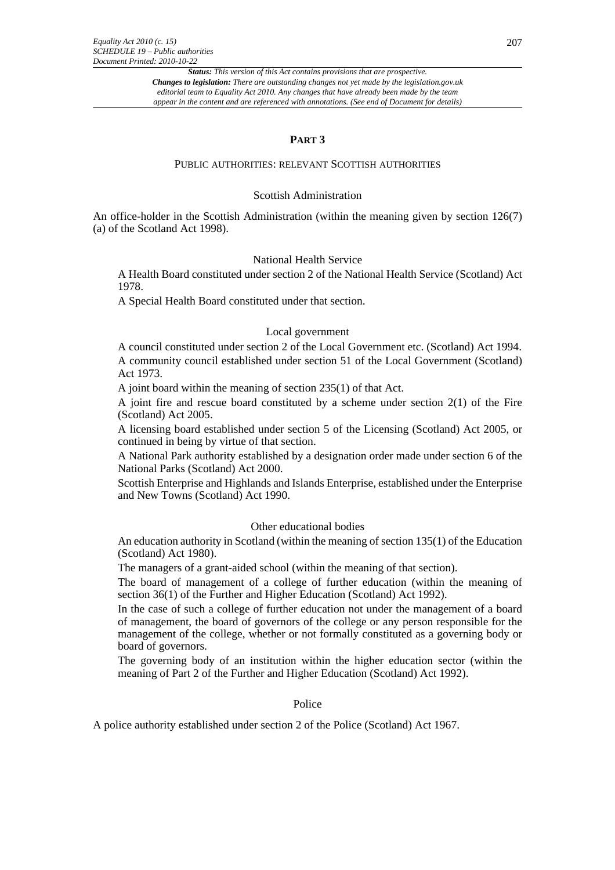## **PART 3**

#### PUBLIC AUTHORITIES: RELEVANT SCOTTISH AUTHORITIES

#### Scottish Administration

An office-holder in the Scottish Administration (within the meaning given by section 126(7) (a) of the Scotland Act 1998).

#### National Health Service

A Health Board constituted under section 2 of the National Health Service (Scotland) Act 1978.

A Special Health Board constituted under that section.

#### Local government

A council constituted under section 2 of the Local Government etc. (Scotland) Act 1994. A community council established under section 51 of the Local Government (Scotland) Act 1973.

A joint board within the meaning of section 235(1) of that Act.

A joint fire and rescue board constituted by a scheme under section 2(1) of the Fire (Scotland) Act 2005.

A licensing board established under section 5 of the Licensing (Scotland) Act 2005, or continued in being by virtue of that section.

A National Park authority established by a designation order made under section 6 of the National Parks (Scotland) Act 2000.

Scottish Enterprise and Highlands and Islands Enterprise, established under the Enterprise and New Towns (Scotland) Act 1990.

## Other educational bodies

An education authority in Scotland (within the meaning of section 135(1) of the Education (Scotland) Act 1980).

The managers of a grant-aided school (within the meaning of that section).

The board of management of a college of further education (within the meaning of section 36(1) of the Further and Higher Education (Scotland) Act 1992).

In the case of such a college of further education not under the management of a board of management, the board of governors of the college or any person responsible for the management of the college, whether or not formally constituted as a governing body or board of governors.

The governing body of an institution within the higher education sector (within the meaning of Part 2 of the Further and Higher Education (Scotland) Act 1992).

#### Police

A police authority established under section 2 of the Police (Scotland) Act 1967.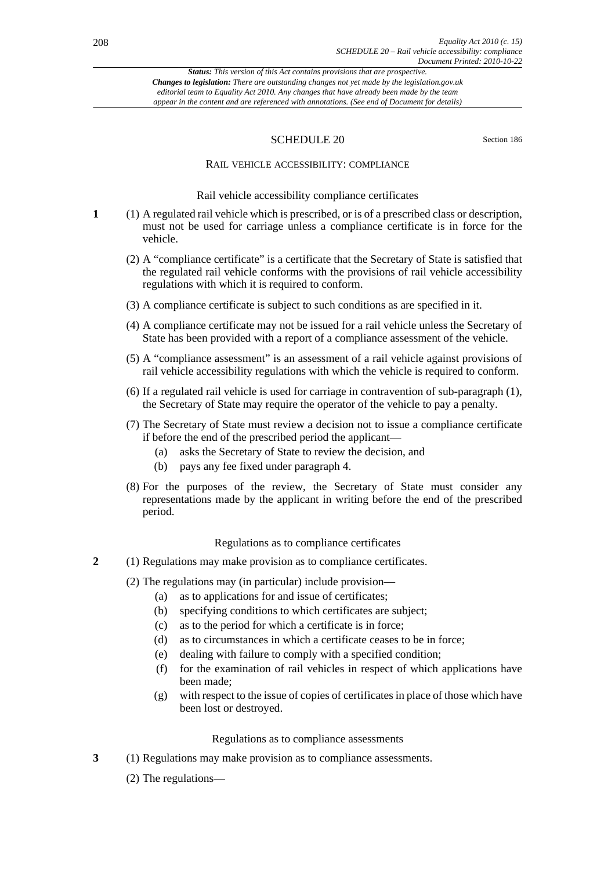### SCHEDULE 20 Section 186

#### RAIL VEHICLE ACCESSIBILITY: COMPLIANCE

#### Rail vehicle accessibility compliance certificates

- **1** (1) A regulated rail vehicle which is prescribed, or is of a prescribed class or description, must not be used for carriage unless a compliance certificate is in force for the vehicle.
	- (2) A "compliance certificate" is a certificate that the Secretary of State is satisfied that the regulated rail vehicle conforms with the provisions of rail vehicle accessibility regulations with which it is required to conform.
	- (3) A compliance certificate is subject to such conditions as are specified in it.
	- (4) A compliance certificate may not be issued for a rail vehicle unless the Secretary of State has been provided with a report of a compliance assessment of the vehicle.
	- (5) A "compliance assessment" is an assessment of a rail vehicle against provisions of rail vehicle accessibility regulations with which the vehicle is required to conform.
	- (6) If a regulated rail vehicle is used for carriage in contravention of sub-paragraph (1), the Secretary of State may require the operator of the vehicle to pay a penalty.
	- (7) The Secretary of State must review a decision not to issue a compliance certificate if before the end of the prescribed period the applicant—
		- (a) asks the Secretary of State to review the decision, and
		- (b) pays any fee fixed under paragraph 4.
	- (8) For the purposes of the review, the Secretary of State must consider any representations made by the applicant in writing before the end of the prescribed period.

#### Regulations as to compliance certificates

- **2** (1) Regulations may make provision as to compliance certificates.
	- (2) The regulations may (in particular) include provision—
		- (a) as to applications for and issue of certificates;
		- (b) specifying conditions to which certificates are subject;
		- (c) as to the period for which a certificate is in force;
		- (d) as to circumstances in which a certificate ceases to be in force;
		- (e) dealing with failure to comply with a specified condition;
		- (f) for the examination of rail vehicles in respect of which applications have been made;
		- (g) with respect to the issue of copies of certificates in place of those which have been lost or destroyed.

#### Regulations as to compliance assessments

- **3** (1) Regulations may make provision as to compliance assessments.
	- (2) The regulations—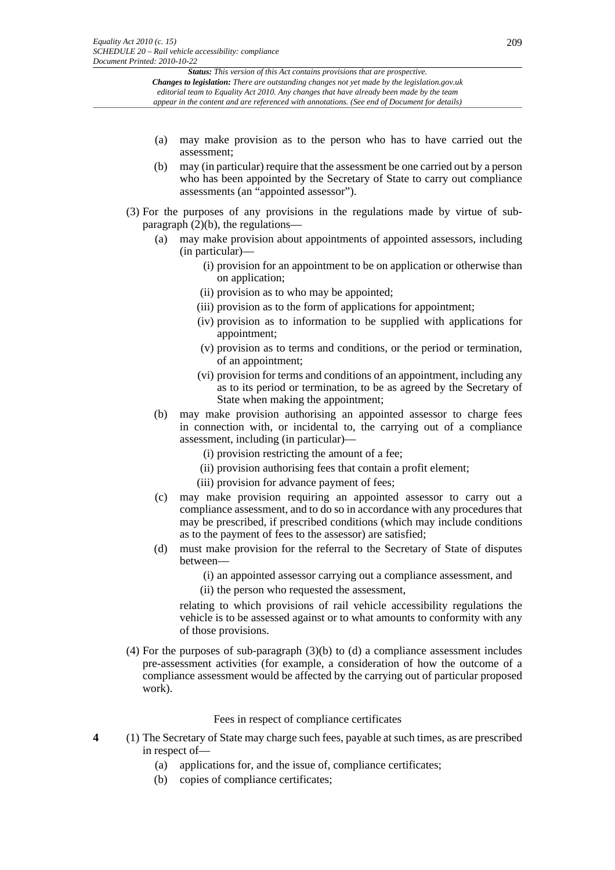*Status: This version of this Act contains provisions that are prospective. Changes to legislation: There are outstanding changes not yet made by the legislation.gov.uk editorial team to Equality Act 2010. Any changes that have already been made by the team*

*appear in the content and are referenced with annotations. (See end of Document for details)*

- (a) may make provision as to the person who has to have carried out the assessment;
- (b) may (in particular) require that the assessment be one carried out by a person who has been appointed by the Secretary of State to carry out compliance assessments (an "appointed assessor").
- (3) For the purposes of any provisions in the regulations made by virtue of subparagraph  $(2)(b)$ , the regulations—
	- (a) may make provision about appointments of appointed assessors, including (in particular)—
		- (i) provision for an appointment to be on application or otherwise than on application;
		- (ii) provision as to who may be appointed;
		- (iii) provision as to the form of applications for appointment;
		- (iv) provision as to information to be supplied with applications for appointment;
		- (v) provision as to terms and conditions, or the period or termination, of an appointment;
		- (vi) provision for terms and conditions of an appointment, including any as to its period or termination, to be as agreed by the Secretary of State when making the appointment;
	- (b) may make provision authorising an appointed assessor to charge fees in connection with, or incidental to, the carrying out of a compliance assessment, including (in particular)—
		- (i) provision restricting the amount of a fee;
		- (ii) provision authorising fees that contain a profit element;
		- (iii) provision for advance payment of fees;
	- (c) may make provision requiring an appointed assessor to carry out a compliance assessment, and to do so in accordance with any procedures that may be prescribed, if prescribed conditions (which may include conditions as to the payment of fees to the assessor) are satisfied;
	- (d) must make provision for the referral to the Secretary of State of disputes between—
		- (i) an appointed assessor carrying out a compliance assessment, and
		- (ii) the person who requested the assessment,

relating to which provisions of rail vehicle accessibility regulations the vehicle is to be assessed against or to what amounts to conformity with any of those provisions.

(4) For the purposes of sub-paragraph (3)(b) to (d) a compliance assessment includes pre-assessment activities (for example, a consideration of how the outcome of a compliance assessment would be affected by the carrying out of particular proposed work).

#### Fees in respect of compliance certificates

- **4** (1) The Secretary of State may charge such fees, payable at such times, as are prescribed in respect of—
	- (a) applications for, and the issue of, compliance certificates;
	- (b) copies of compliance certificates;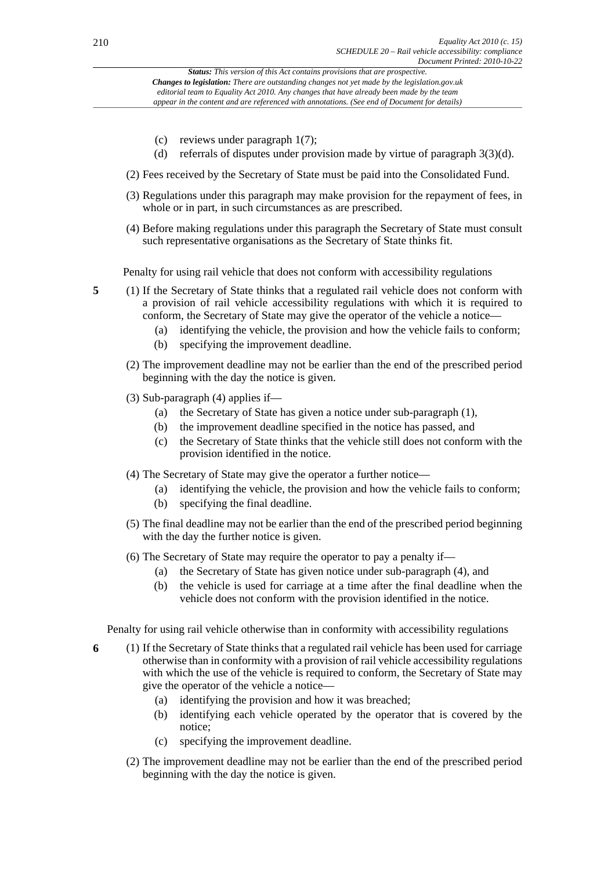- (c) reviews under paragraph 1(7);
- (d) referrals of disputes under provision made by virtue of paragraph 3(3)(d).
- (2) Fees received by the Secretary of State must be paid into the Consolidated Fund.
- (3) Regulations under this paragraph may make provision for the repayment of fees, in whole or in part, in such circumstances as are prescribed.
- (4) Before making regulations under this paragraph the Secretary of State must consult such representative organisations as the Secretary of State thinks fit.

Penalty for using rail vehicle that does not conform with accessibility regulations

**5** (1) If the Secretary of State thinks that a regulated rail vehicle does not conform with a provision of rail vehicle accessibility regulations with which it is required to conform, the Secretary of State may give the operator of the vehicle a notice—

- (a) identifying the vehicle, the provision and how the vehicle fails to conform;
- (b) specifying the improvement deadline.
- (2) The improvement deadline may not be earlier than the end of the prescribed period beginning with the day the notice is given.
- (3) Sub-paragraph (4) applies if—
	- (a) the Secretary of State has given a notice under sub-paragraph (1),
	- (b) the improvement deadline specified in the notice has passed, and
	- (c) the Secretary of State thinks that the vehicle still does not conform with the provision identified in the notice.
- (4) The Secretary of State may give the operator a further notice—
	- (a) identifying the vehicle, the provision and how the vehicle fails to conform;
	- (b) specifying the final deadline.
- (5) The final deadline may not be earlier than the end of the prescribed period beginning with the day the further notice is given.
- (6) The Secretary of State may require the operator to pay a penalty if—
	- (a) the Secretary of State has given notice under sub-paragraph (4), and
	- (b) the vehicle is used for carriage at a time after the final deadline when the vehicle does not conform with the provision identified in the notice.

Penalty for using rail vehicle otherwise than in conformity with accessibility regulations

**6** (1) If the Secretary of State thinks that a regulated rail vehicle has been used for carriage otherwise than in conformity with a provision of rail vehicle accessibility regulations with which the use of the vehicle is required to conform, the Secretary of State may give the operator of the vehicle a notice—

- (a) identifying the provision and how it was breached;
- (b) identifying each vehicle operated by the operator that is covered by the notice;
- (c) specifying the improvement deadline.
- (2) The improvement deadline may not be earlier than the end of the prescribed period beginning with the day the notice is given.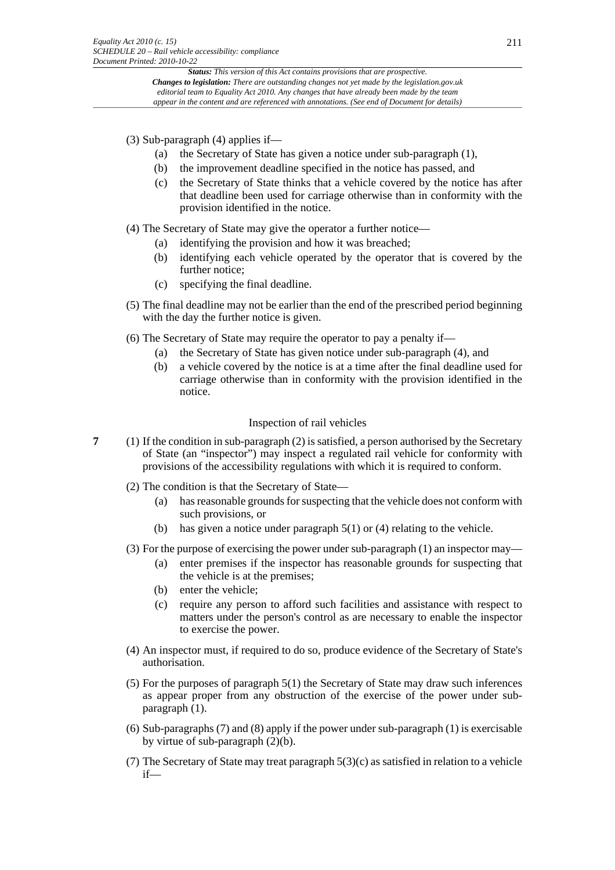(3) Sub-paragraph (4) applies if—

- (a) the Secretary of State has given a notice under sub-paragraph (1),
- (b) the improvement deadline specified in the notice has passed, and
- (c) the Secretary of State thinks that a vehicle covered by the notice has after that deadline been used for carriage otherwise than in conformity with the provision identified in the notice.
- (4) The Secretary of State may give the operator a further notice—
	- (a) identifying the provision and how it was breached;
	- (b) identifying each vehicle operated by the operator that is covered by the further notice;
	- (c) specifying the final deadline.
- (5) The final deadline may not be earlier than the end of the prescribed period beginning with the day the further notice is given.
- (6) The Secretary of State may require the operator to pay a penalty if—
	- (a) the Secretary of State has given notice under sub-paragraph (4), and
	- (b) a vehicle covered by the notice is at a time after the final deadline used for carriage otherwise than in conformity with the provision identified in the notice.

#### Inspection of rail vehicles

- **7** (1) If the condition in sub-paragraph (2) is satisfied, a person authorised by the Secretary of State (an "inspector") may inspect a regulated rail vehicle for conformity with provisions of the accessibility regulations with which it is required to conform.
	- (2) The condition is that the Secretary of State—
		- (a) has reasonable grounds for suspecting that the vehicle does not conform with such provisions, or
		- (b) has given a notice under paragraph 5(1) or (4) relating to the vehicle.
	- (3) For the purpose of exercising the power under sub-paragraph (1) an inspector may—
		- (a) enter premises if the inspector has reasonable grounds for suspecting that the vehicle is at the premises;
		- (b) enter the vehicle;
		- (c) require any person to afford such facilities and assistance with respect to matters under the person's control as are necessary to enable the inspector to exercise the power.
	- (4) An inspector must, if required to do so, produce evidence of the Secretary of State's authorisation.
	- (5) For the purposes of paragraph 5(1) the Secretary of State may draw such inferences as appear proper from any obstruction of the exercise of the power under subparagraph (1).
	- (6) Sub-paragraphs (7) and (8) apply if the power under sub-paragraph (1) is exercisable by virtue of sub-paragraph  $(2)(b)$ .
	- (7) The Secretary of State may treat paragraph 5(3)(c) as satisfied in relation to a vehicle if—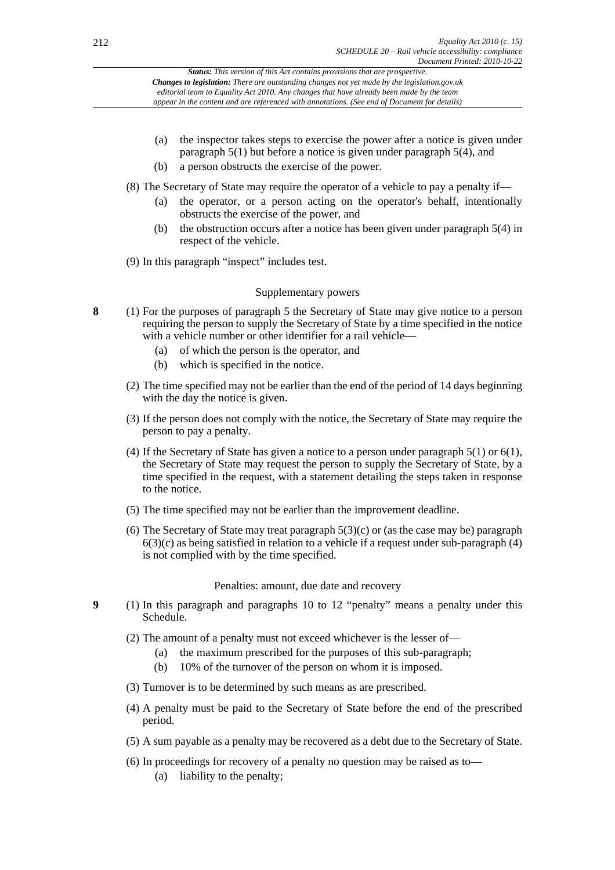- (a) the inspector takes steps to exercise the power after a notice is given under paragraph 5(1) but before a notice is given under paragraph 5(4), and
- (b) a person obstructs the exercise of the power.

(8) The Secretary of State may require the operator of a vehicle to pay a penalty if—

- (a) the operator, or a person acting on the operator's behalf, intentionally obstructs the exercise of the power, and
- (b) the obstruction occurs after a notice has been given under paragraph 5(4) in respect of the vehicle.
- (9) In this paragraph "inspect" includes test.

## Supplementary powers

- **8** (1) For the purposes of paragraph 5 the Secretary of State may give notice to a person requiring the person to supply the Secretary of State by a time specified in the notice with a vehicle number or other identifier for a rail vehicle—
	- (a) of which the person is the operator, and
	- (b) which is specified in the notice.
	- (2) The time specified may not be earlier than the end of the period of 14 days beginning with the day the notice is given.
	- (3) If the person does not comply with the notice, the Secretary of State may require the person to pay a penalty.
	- (4) If the Secretary of State has given a notice to a person under paragraph 5(1) or 6(1), the Secretary of State may request the person to supply the Secretary of State, by a time specified in the request, with a statement detailing the steps taken in response to the notice.
	- (5) The time specified may not be earlier than the improvement deadline.
	- (6) The Secretary of State may treat paragraph  $5(3)(c)$  or (as the case may be) paragraph  $6(3)(c)$  as being satisfied in relation to a vehicle if a request under sub-paragraph  $(4)$ is not complied with by the time specified.

Penalties: amount, due date and recovery

- **9** (1) In this paragraph and paragraphs 10 to 12 "penalty" means a penalty under this Schedule.
	- (2) The amount of a penalty must not exceed whichever is the lesser of—
		- (a) the maximum prescribed for the purposes of this sub-paragraph;
		- (b) 10% of the turnover of the person on whom it is imposed.
	- (3) Turnover is to be determined by such means as are prescribed.
	- (4) A penalty must be paid to the Secretary of State before the end of the prescribed period.
	- (5) A sum payable as a penalty may be recovered as a debt due to the Secretary of State.
	- (6) In proceedings for recovery of a penalty no question may be raised as to—
		- (a) liability to the penalty;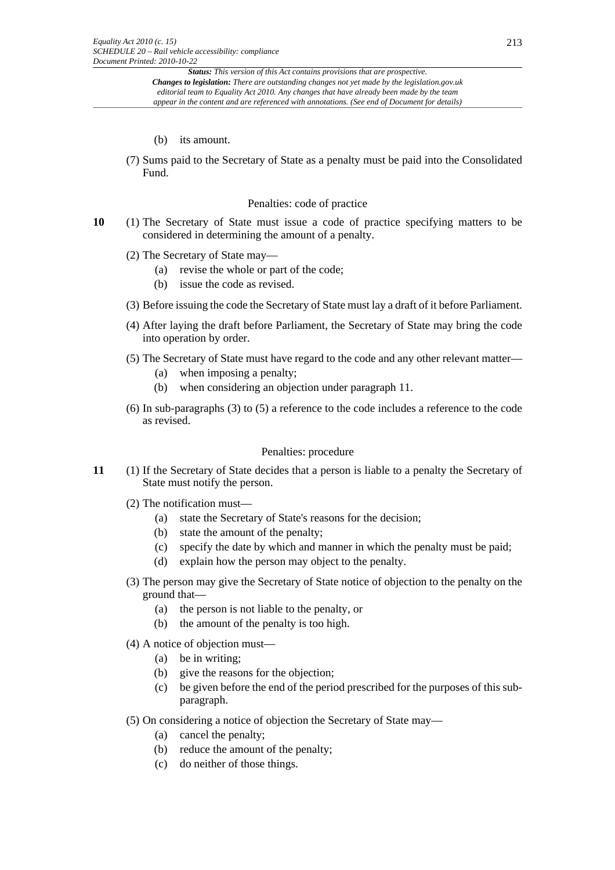#### (b) its amount.

(7) Sums paid to the Secretary of State as a penalty must be paid into the Consolidated Fund.

#### Penalties: code of practice

- **10** (1) The Secretary of State must issue a code of practice specifying matters to be considered in determining the amount of a penalty.
	- (2) The Secretary of State may—
		- (a) revise the whole or part of the code;
		- (b) issue the code as revised.
	- (3) Before issuing the code the Secretary of State must lay a draft of it before Parliament.
	- (4) After laying the draft before Parliament, the Secretary of State may bring the code into operation by order.
	- (5) The Secretary of State must have regard to the code and any other relevant matter—
		- (a) when imposing a penalty;
		- (b) when considering an objection under paragraph 11.
	- (6) In sub-paragraphs (3) to (5) a reference to the code includes a reference to the code as revised.

#### Penalties: procedure

- **11** (1) If the Secretary of State decides that a person is liable to a penalty the Secretary of State must notify the person.
	- (2) The notification must—
		- (a) state the Secretary of State's reasons for the decision;
		- (b) state the amount of the penalty;
		- (c) specify the date by which and manner in which the penalty must be paid;
		- (d) explain how the person may object to the penalty.
	- (3) The person may give the Secretary of State notice of objection to the penalty on the ground that—
		- (a) the person is not liable to the penalty, or
		- (b) the amount of the penalty is too high.
	- (4) A notice of objection must—
		- (a) be in writing;
		- (b) give the reasons for the objection;
		- (c) be given before the end of the period prescribed for the purposes of this subparagraph.
	- (5) On considering a notice of objection the Secretary of State may—
		- (a) cancel the penalty;
		- (b) reduce the amount of the penalty;
		- (c) do neither of those things.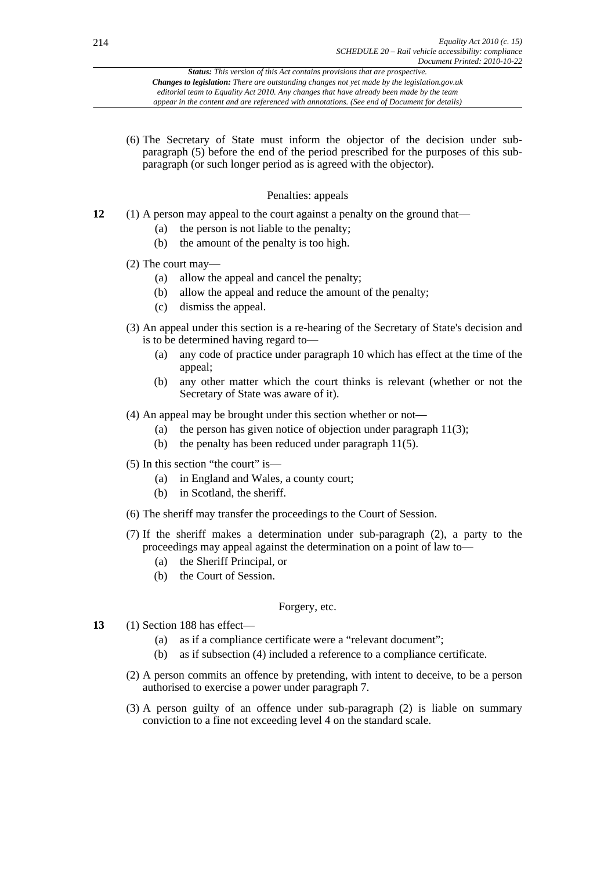(6) The Secretary of State must inform the objector of the decision under subparagraph (5) before the end of the period prescribed for the purposes of this subparagraph (or such longer period as is agreed with the objector).

# Penalties: appeals

- **12** (1) A person may appeal to the court against a penalty on the ground that—
	- (a) the person is not liable to the penalty;
	- (b) the amount of the penalty is too high.
	- (2) The court may—
		- (a) allow the appeal and cancel the penalty;
		- (b) allow the appeal and reduce the amount of the penalty;
		- (c) dismiss the appeal.
	- (3) An appeal under this section is a re-hearing of the Secretary of State's decision and is to be determined having regard to—
		- (a) any code of practice under paragraph 10 which has effect at the time of the appeal;
		- (b) any other matter which the court thinks is relevant (whether or not the Secretary of State was aware of it).
	- (4) An appeal may be brought under this section whether or not—
		- (a) the person has given notice of objection under paragraph  $11(3)$ ;
		- (b) the penalty has been reduced under paragraph 11(5).
	- (5) In this section "the court" is—
		- (a) in England and Wales, a county court;
		- (b) in Scotland, the sheriff.
	- (6) The sheriff may transfer the proceedings to the Court of Session.
	- (7) If the sheriff makes a determination under sub-paragraph (2), a party to the proceedings may appeal against the determination on a point of law to—
		- (a) the Sheriff Principal, or
		- (b) the Court of Session.

# Forgery, etc.

- **13** (1) Section 188 has effect—
	- (a) as if a compliance certificate were a "relevant document";
	- (b) as if subsection (4) included a reference to a compliance certificate.
	- (2) A person commits an offence by pretending, with intent to deceive, to be a person authorised to exercise a power under paragraph 7.
	- (3) A person guilty of an offence under sub-paragraph (2) is liable on summary conviction to a fine not exceeding level 4 on the standard scale.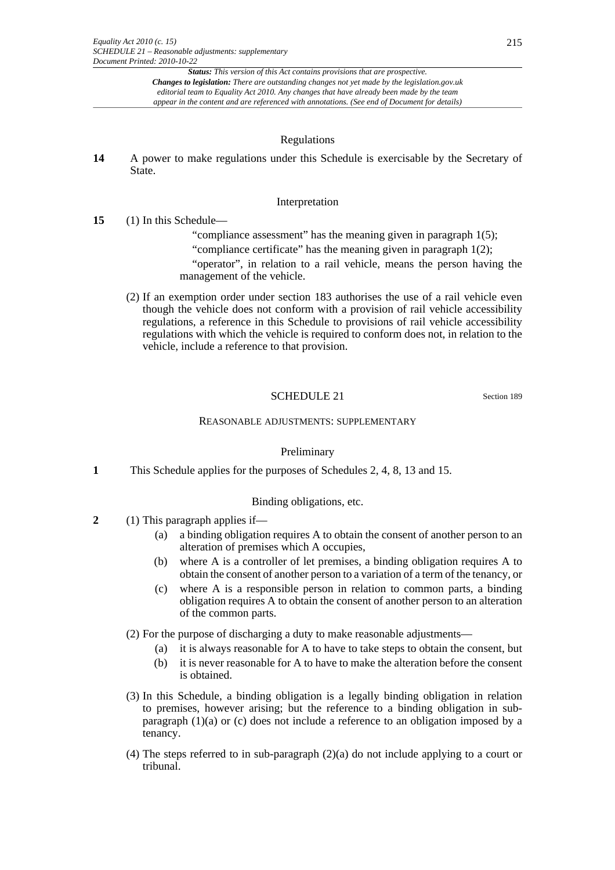## Regulations

**14** A power to make regulations under this Schedule is exercisable by the Secretary of State.

#### Interpretation

- **15** (1) In this Schedule—
	- "compliance assessment" has the meaning given in paragraph 1(5); "compliance certificate" has the meaning given in paragraph 1(2); "operator", in relation to a rail vehicle, means the person having the management of the vehicle.
	- (2) If an exemption order under section 183 authorises the use of a rail vehicle even though the vehicle does not conform with a provision of rail vehicle accessibility regulations, a reference in this Schedule to provisions of rail vehicle accessibility regulations with which the vehicle is required to conform does not, in relation to the vehicle, include a reference to that provision.

## SCHEDULE 21 Section 189

#### REASONABLE ADJUSTMENTS: SUPPLEMENTARY

#### Preliminary

**1** This Schedule applies for the purposes of Schedules 2, 4, 8, 13 and 15.

### Binding obligations, etc.

- **2** (1) This paragraph applies if—
	- (a) a binding obligation requires A to obtain the consent of another person to an alteration of premises which A occupies,
	- (b) where A is a controller of let premises, a binding obligation requires A to obtain the consent of another person to a variation of a term of the tenancy, or
	- (c) where A is a responsible person in relation to common parts, a binding obligation requires A to obtain the consent of another person to an alteration of the common parts.
	- (2) For the purpose of discharging a duty to make reasonable adjustments—
		- (a) it is always reasonable for A to have to take steps to obtain the consent, but
		- (b) it is never reasonable for A to have to make the alteration before the consent is obtained.
	- (3) In this Schedule, a binding obligation is a legally binding obligation in relation to premises, however arising; but the reference to a binding obligation in subparagraph (1)(a) or (c) does not include a reference to an obligation imposed by a tenancy.
	- (4) The steps referred to in sub-paragraph (2)(a) do not include applying to a court or tribunal.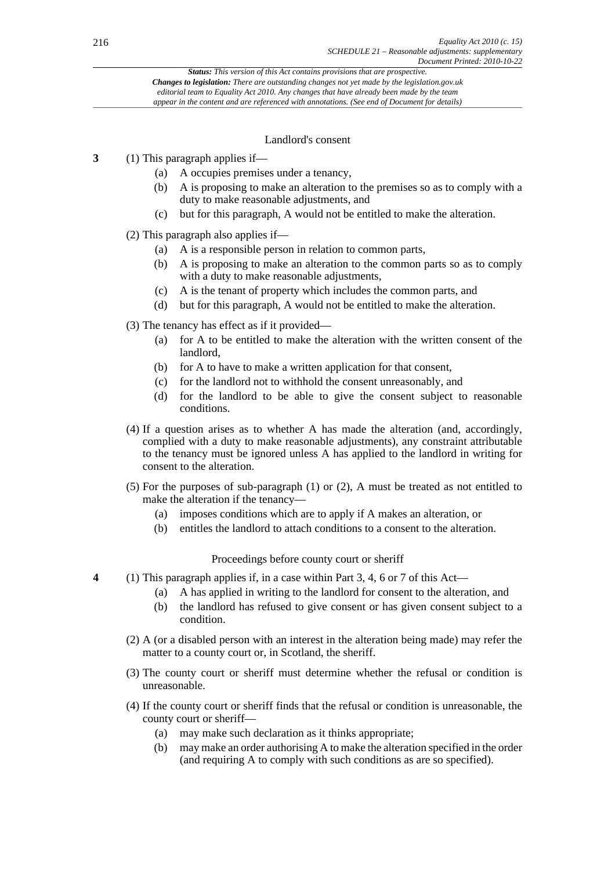## Landlord's consent

- **3** (1) This paragraph applies if—
	- (a) A occupies premises under a tenancy,
	- (b) A is proposing to make an alteration to the premises so as to comply with a duty to make reasonable adjustments, and
	- (c) but for this paragraph, A would not be entitled to make the alteration.
	- (2) This paragraph also applies if—
		- (a) A is a responsible person in relation to common parts,
		- (b) A is proposing to make an alteration to the common parts so as to comply with a duty to make reasonable adjustments,
		- (c) A is the tenant of property which includes the common parts, and
		- (d) but for this paragraph, A would not be entitled to make the alteration.
	- (3) The tenancy has effect as if it provided—
		- (a) for A to be entitled to make the alteration with the written consent of the landlord,
		- (b) for A to have to make a written application for that consent,
		- (c) for the landlord not to withhold the consent unreasonably, and
		- (d) for the landlord to be able to give the consent subject to reasonable conditions.
	- (4) If a question arises as to whether A has made the alteration (and, accordingly, complied with a duty to make reasonable adjustments), any constraint attributable to the tenancy must be ignored unless A has applied to the landlord in writing for consent to the alteration.
	- (5) For the purposes of sub-paragraph (1) or (2), A must be treated as not entitled to make the alteration if the tenancy—
		- (a) imposes conditions which are to apply if A makes an alteration, or
		- (b) entitles the landlord to attach conditions to a consent to the alteration.

Proceedings before county court or sheriff

- **4** (1) This paragraph applies if, in a case within Part 3, 4, 6 or 7 of this Act—
	- (a) A has applied in writing to the landlord for consent to the alteration, and
	- (b) the landlord has refused to give consent or has given consent subject to a condition.
	- (2) A (or a disabled person with an interest in the alteration being made) may refer the matter to a county court or, in Scotland, the sheriff.
	- (3) The county court or sheriff must determine whether the refusal or condition is unreasonable.
	- (4) If the county court or sheriff finds that the refusal or condition is unreasonable, the county court or sheriff—
		- (a) may make such declaration as it thinks appropriate;
		- (b) may make an order authorising A to make the alteration specified in the order (and requiring A to comply with such conditions as are so specified).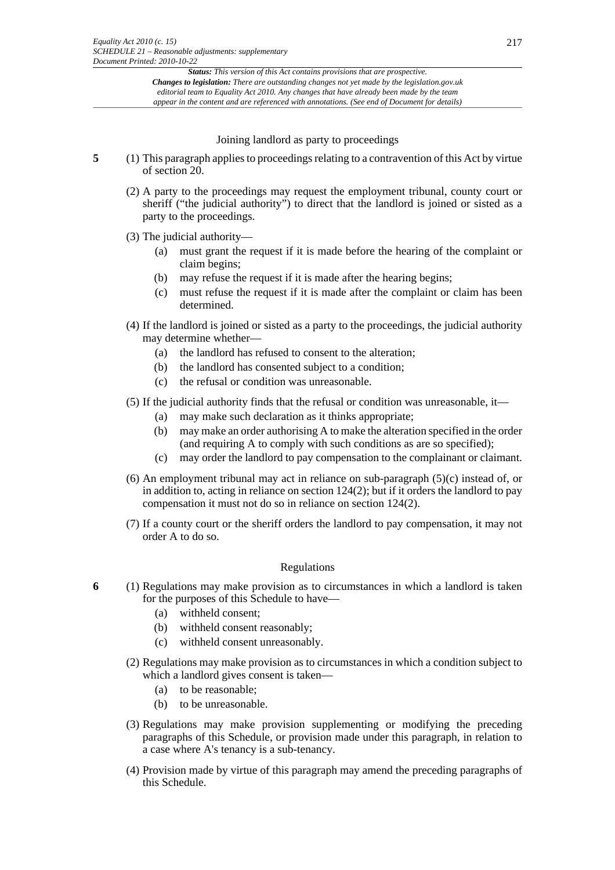### Joining landlord as party to proceedings

- **5** (1) This paragraph applies to proceedings relating to a contravention of this Act by virtue of section 20.
	- (2) A party to the proceedings may request the employment tribunal, county court or sheriff ("the judicial authority") to direct that the landlord is joined or sisted as a party to the proceedings.

(3) The judicial authority—

- (a) must grant the request if it is made before the hearing of the complaint or claim begins;
- (b) may refuse the request if it is made after the hearing begins;
- (c) must refuse the request if it is made after the complaint or claim has been determined.
- (4) If the landlord is joined or sisted as a party to the proceedings, the judicial authority may determine whether—
	- (a) the landlord has refused to consent to the alteration;
	- (b) the landlord has consented subject to a condition;
	- (c) the refusal or condition was unreasonable.
- (5) If the judicial authority finds that the refusal or condition was unreasonable, it—
	- (a) may make such declaration as it thinks appropriate;
	- (b) may make an order authorising A to make the alteration specified in the order (and requiring A to comply with such conditions as are so specified);
	- (c) may order the landlord to pay compensation to the complainant or claimant.
- (6) An employment tribunal may act in reliance on sub-paragraph (5)(c) instead of, or in addition to, acting in reliance on section 124(2); but if it orders the landlord to pay compensation it must not do so in reliance on section 124(2).
- (7) If a county court or the sheriff orders the landlord to pay compensation, it may not order A to do so.

### Regulations

- **6** (1) Regulations may make provision as to circumstances in which a landlord is taken for the purposes of this Schedule to have—
	- (a) withheld consent;
	- (b) withheld consent reasonably;
	- (c) withheld consent unreasonably.
	- (2) Regulations may make provision as to circumstances in which a condition subject to which a landlord gives consent is taken—
		- (a) to be reasonable;
		- (b) to be unreasonable.
	- (3) Regulations may make provision supplementing or modifying the preceding paragraphs of this Schedule, or provision made under this paragraph, in relation to a case where A's tenancy is a sub-tenancy.
	- (4) Provision made by virtue of this paragraph may amend the preceding paragraphs of this Schedule.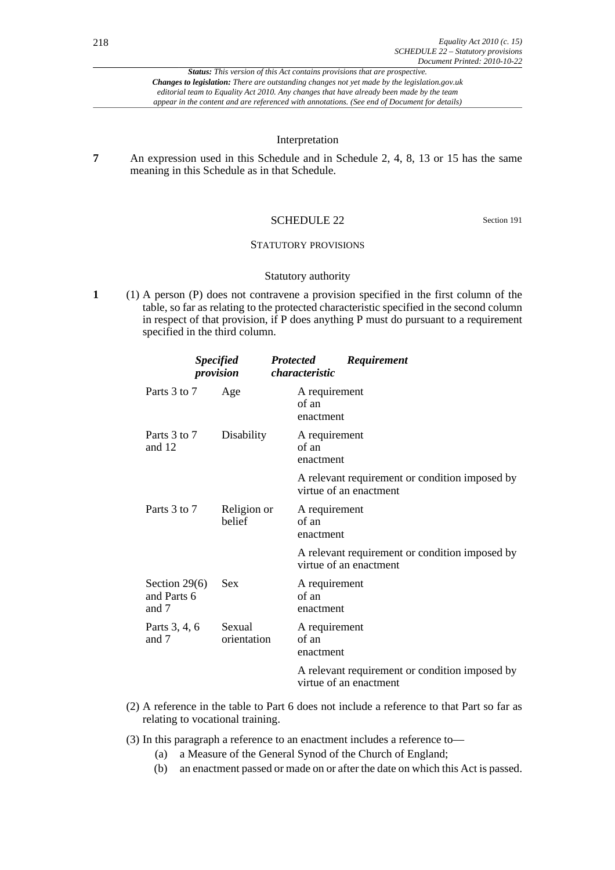### Interpretation

**7** An expression used in this Schedule and in Schedule 2, 4, 8, 13 or 15 has the same meaning in this Schedule as in that Schedule.

### SCHEDULE 22 Section 191

# STATUTORY PROVISIONS

#### Statutory authority

**1** (1) A person (P) does not contravene a provision specified in the first column of the table, so far as relating to the protected characteristic specified in the second column in respect of that provision, if P does anything P must do pursuant to a requirement specified in the third column.

|                                         | <b>Specified</b><br>provision | <b>Protected</b><br>characteristic  | Requirement                                                              |
|-----------------------------------------|-------------------------------|-------------------------------------|--------------------------------------------------------------------------|
| Parts 3 to 7                            | Age                           | A requirement<br>of an<br>enactment |                                                                          |
| Parts 3 to 7<br>and $12$                | Disability                    | A requirement<br>of an<br>enactment |                                                                          |
|                                         |                               |                                     | A relevant requirement or condition imposed by<br>virtue of an enactment |
| Parts 3 to 7                            | Religion or<br>belief         | A requirement<br>of an<br>enactment |                                                                          |
|                                         |                               |                                     | A relevant requirement or condition imposed by<br>virtue of an enactment |
| Section $29(6)$<br>and Parts 6<br>and 7 | <b>Sex</b>                    | A requirement<br>of an<br>enactment |                                                                          |
| Parts 3, 4, 6<br>and 7                  | Sexual<br>orientation         | A requirement<br>of an<br>enactment |                                                                          |
|                                         |                               |                                     | A relevant requirement or condition imposed by<br>virtue of an enactment |

- (2) A reference in the table to Part 6 does not include a reference to that Part so far as relating to vocational training.
- (3) In this paragraph a reference to an enactment includes a reference to—
	- (a) a Measure of the General Synod of the Church of England;
	- (b) an enactment passed or made on or after the date on which this Act is passed.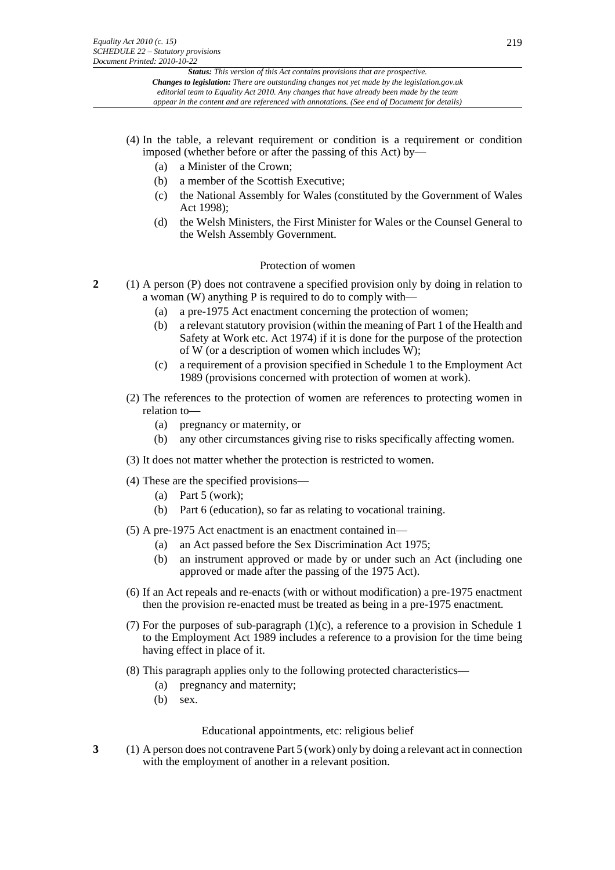*Status: This version of this Act contains provisions that are prospective. Changes to legislation: There are outstanding changes not yet made by the legislation.gov.uk editorial team to Equality Act 2010. Any changes that have already been made by the team*

*appear in the content and are referenced with annotations. (See end of Document for details)*

- (4) In the table, a relevant requirement or condition is a requirement or condition imposed (whether before or after the passing of this Act) by—
	- (a) a Minister of the Crown;
	- (b) a member of the Scottish Executive;
	- (c) the National Assembly for Wales (constituted by the Government of Wales Act 1998);
	- (d) the Welsh Ministers, the First Minister for Wales or the Counsel General to the Welsh Assembly Government.

# Protection of women

- **2** (1) A person (P) does not contravene a specified provision only by doing in relation to a woman (W) anything P is required to do to comply with—
	- (a) a pre-1975 Act enactment concerning the protection of women;
	- (b) a relevant statutory provision (within the meaning of Part 1 of the Health and Safety at Work etc. Act 1974) if it is done for the purpose of the protection of W (or a description of women which includes W);
	- (c) a requirement of a provision specified in Schedule 1 to the Employment Act 1989 (provisions concerned with protection of women at work).
	- (2) The references to the protection of women are references to protecting women in relation to—
		- (a) pregnancy or maternity, or
		- (b) any other circumstances giving rise to risks specifically affecting women.
	- (3) It does not matter whether the protection is restricted to women.
	- (4) These are the specified provisions—
		- (a) Part  $5$  (work);
		- (b) Part 6 (education), so far as relating to vocational training.
	- (5) A pre-1975 Act enactment is an enactment contained in—
		- (a) an Act passed before the Sex Discrimination Act 1975;
		- (b) an instrument approved or made by or under such an Act (including one approved or made after the passing of the 1975 Act).
	- (6) If an Act repeals and re-enacts (with or without modification) a pre-1975 enactment then the provision re-enacted must be treated as being in a pre-1975 enactment.
	- (7) For the purposes of sub-paragraph  $(1)(c)$ , a reference to a provision in Schedule 1 to the Employment Act 1989 includes a reference to a provision for the time being having effect in place of it.
	- (8) This paragraph applies only to the following protected characteristics—
		- (a) pregnancy and maternity;
		- (b) sex.

Educational appointments, etc: religious belief

**3** (1) A person does not contravene Part 5 (work) only by doing a relevant act in connection with the employment of another in a relevant position.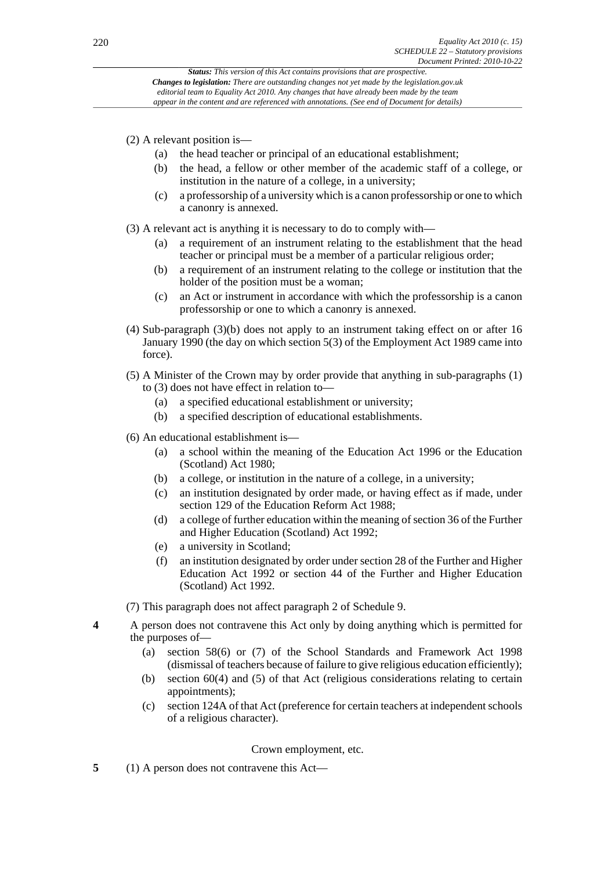(2) A relevant position is—

- (a) the head teacher or principal of an educational establishment;
- (b) the head, a fellow or other member of the academic staff of a college, or institution in the nature of a college, in a university;
- (c) a professorship of a university which is a canon professorship or one to which a canonry is annexed.
- (3) A relevant act is anything it is necessary to do to comply with—
	- (a) a requirement of an instrument relating to the establishment that the head teacher or principal must be a member of a particular religious order;
	- (b) a requirement of an instrument relating to the college or institution that the holder of the position must be a woman;
	- (c) an Act or instrument in accordance with which the professorship is a canon professorship or one to which a canonry is annexed.
- (4) Sub-paragraph (3)(b) does not apply to an instrument taking effect on or after 16 January 1990 (the day on which section 5(3) of the Employment Act 1989 came into force).
- (5) A Minister of the Crown may by order provide that anything in sub-paragraphs (1) to (3) does not have effect in relation to—
	- (a) a specified educational establishment or university;
	- (b) a specified description of educational establishments.
- (6) An educational establishment is—
	- (a) a school within the meaning of the Education Act 1996 or the Education (Scotland) Act 1980;
	- (b) a college, or institution in the nature of a college, in a university;
	- (c) an institution designated by order made, or having effect as if made, under section 129 of the Education Reform Act 1988;
	- (d) a college of further education within the meaning of section 36 of the Further and Higher Education (Scotland) Act 1992;
	- (e) a university in Scotland;
	- (f) an institution designated by order under section 28 of the Further and Higher Education Act 1992 or section 44 of the Further and Higher Education (Scotland) Act 1992.

(7) This paragraph does not affect paragraph 2 of Schedule 9.

- **4** A person does not contravene this Act only by doing anything which is permitted for the purposes of—
	- (a) section 58(6) or (7) of the School Standards and Framework Act 1998 (dismissal of teachers because of failure to give religious education efficiently);
	- (b) section 60(4) and (5) of that Act (religious considerations relating to certain appointments);
	- (c) section 124A of that Act (preference for certain teachers at independent schools of a religious character).

#### Crown employment, etc.

**5** (1) A person does not contravene this Act—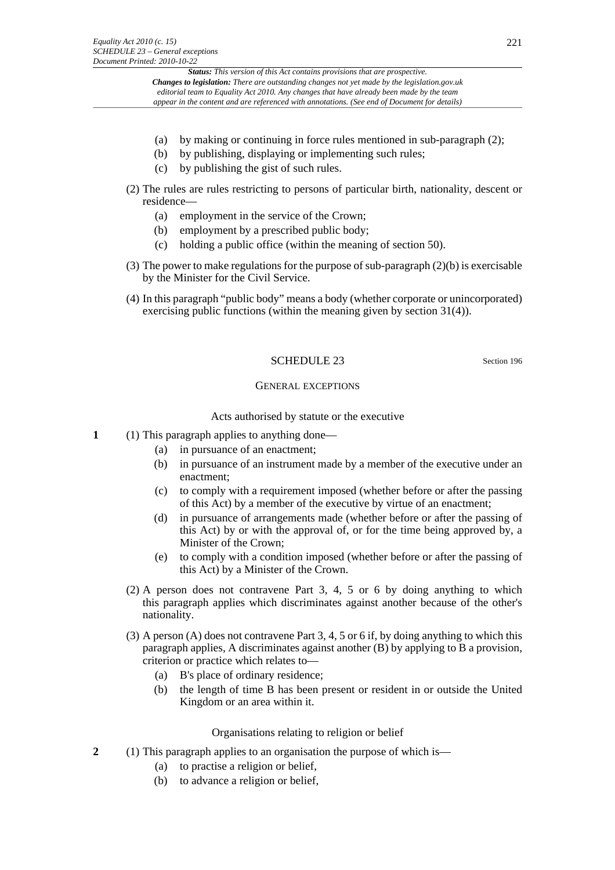- (a) by making or continuing in force rules mentioned in sub-paragraph (2);
- (b) by publishing, displaying or implementing such rules;
- (c) by publishing the gist of such rules.
- (2) The rules are rules restricting to persons of particular birth, nationality, descent or residence—
	- (a) employment in the service of the Crown;
	- (b) employment by a prescribed public body;
	- (c) holding a public office (within the meaning of section 50).
- (3) The power to make regulations for the purpose of sub-paragraph (2)(b) is exercisable by the Minister for the Civil Service.
- (4) In this paragraph "public body" means a body (whether corporate or unincorporated) exercising public functions (within the meaning given by section 31(4)).

### SCHEDULE 23 Section 196

#### GENERAL EXCEPTIONS

Acts authorised by statute or the executive

- **1** (1) This paragraph applies to anything done—
	- (a) in pursuance of an enactment;
	- (b) in pursuance of an instrument made by a member of the executive under an enactment;
	- (c) to comply with a requirement imposed (whether before or after the passing of this Act) by a member of the executive by virtue of an enactment;
	- (d) in pursuance of arrangements made (whether before or after the passing of this Act) by or with the approval of, or for the time being approved by, a Minister of the Crown;
	- (e) to comply with a condition imposed (whether before or after the passing of this Act) by a Minister of the Crown.
	- (2) A person does not contravene Part 3, 4, 5 or 6 by doing anything to which this paragraph applies which discriminates against another because of the other's nationality.
	- (3) A person (A) does not contravene Part 3, 4, 5 or 6 if, by doing anything to which this paragraph applies, A discriminates against another (B) by applying to B a provision, criterion or practice which relates to—
		- (a) B's place of ordinary residence;
		- (b) the length of time B has been present or resident in or outside the United Kingdom or an area within it.

#### Organisations relating to religion or belief

- **2** (1) This paragraph applies to an organisation the purpose of which is—
	- (a) to practise a religion or belief,
	- (b) to advance a religion or belief,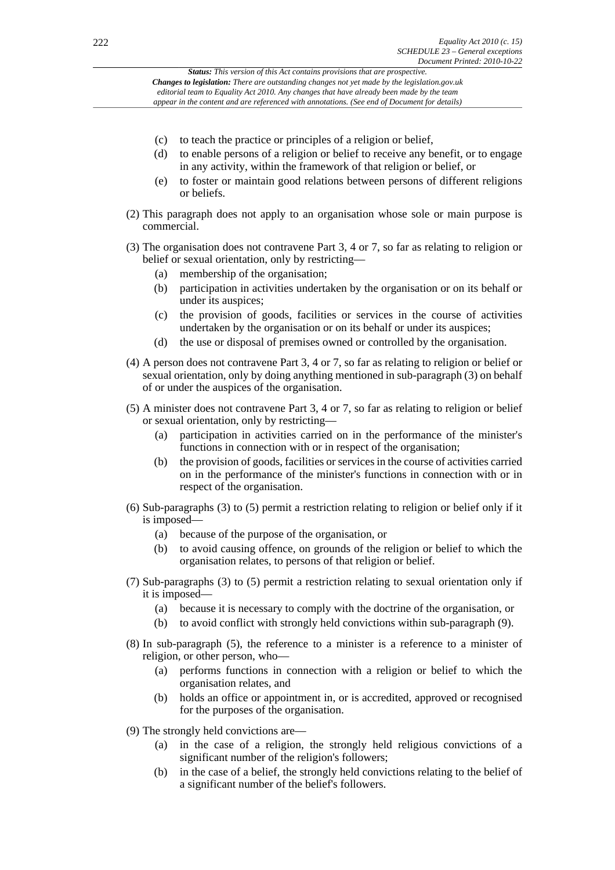

(b) in the case of a belief, the strongly held convictions relating to the belief of a significant number of the belief's followers.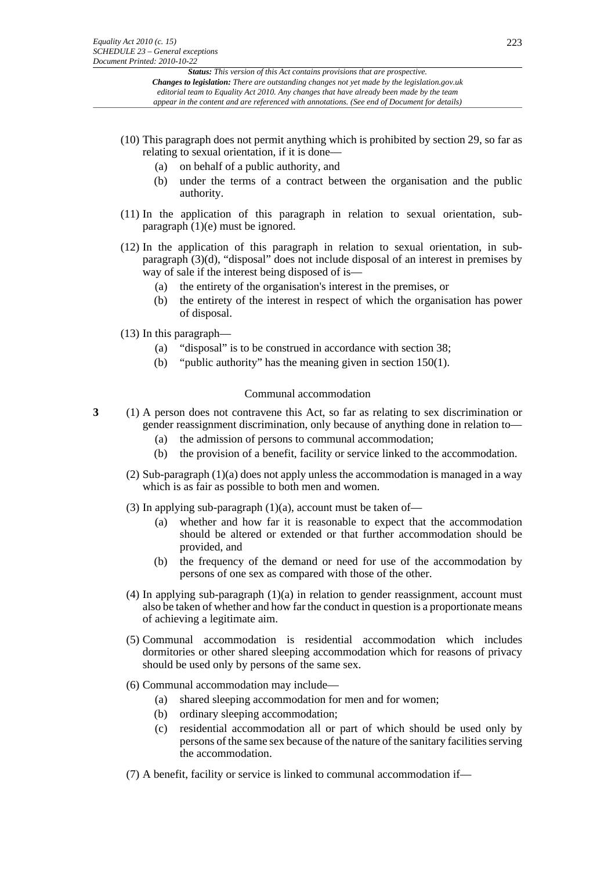*Status: This version of this Act contains provisions that are prospective. Changes to legislation: There are outstanding changes not yet made by the legislation.gov.uk*

*editorial team to Equality Act 2010. Any changes that have already been made by the team*

*appear in the content and are referenced with annotations. (See end of Document for details)*

- (10) This paragraph does not permit anything which is prohibited by section 29, so far as relating to sexual orientation, if it is done—
	- (a) on behalf of a public authority, and
	- (b) under the terms of a contract between the organisation and the public authority.
- (11) In the application of this paragraph in relation to sexual orientation, subparagraph (1)(e) must be ignored.
- (12) In the application of this paragraph in relation to sexual orientation, in subparagraph (3)(d), "disposal" does not include disposal of an interest in premises by way of sale if the interest being disposed of is—
	- (a) the entirety of the organisation's interest in the premises, or
	- (b) the entirety of the interest in respect of which the organisation has power of disposal.
- (13) In this paragraph—
	- (a) "disposal" is to be construed in accordance with section 38;
	- (b) "public authority" has the meaning given in section 150(1).

### Communal accommodation

- **3** (1) A person does not contravene this Act, so far as relating to sex discrimination or gender reassignment discrimination, only because of anything done in relation to—
	- (a) the admission of persons to communal accommodation;
	- (b) the provision of a benefit, facility or service linked to the accommodation.
	- (2) Sub-paragraph (1)(a) does not apply unless the accommodation is managed in a way which is as fair as possible to both men and women.
	- (3) In applying sub-paragraph  $(1)(a)$ , account must be taken of-
		- (a) whether and how far it is reasonable to expect that the accommodation should be altered or extended or that further accommodation should be provided, and
		- (b) the frequency of the demand or need for use of the accommodation by persons of one sex as compared with those of the other.
	- (4) In applying sub-paragraph  $(1)(a)$  in relation to gender reassignment, account must also be taken of whether and how far the conduct in question is a proportionate means of achieving a legitimate aim.
	- (5) Communal accommodation is residential accommodation which includes dormitories or other shared sleeping accommodation which for reasons of privacy should be used only by persons of the same sex.
	- (6) Communal accommodation may include—
		- (a) shared sleeping accommodation for men and for women;
		- (b) ordinary sleeping accommodation;
		- (c) residential accommodation all or part of which should be used only by persons of the same sex because of the nature of the sanitary facilities serving the accommodation.
	- (7) A benefit, facility or service is linked to communal accommodation if—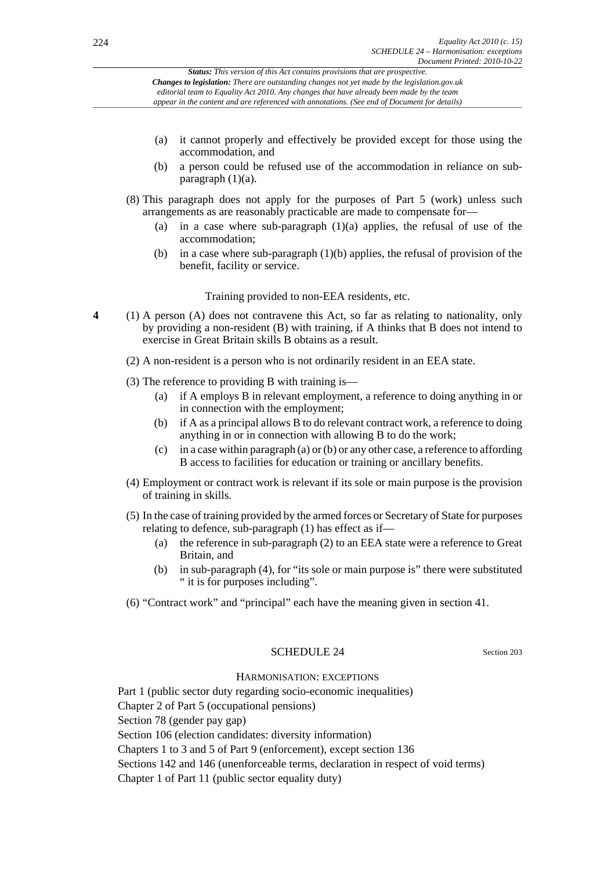- (a) it cannot properly and effectively be provided except for those using the accommodation, and
- (b) a person could be refused use of the accommodation in reliance on subparagraph  $(1)(a)$ .
- (8) This paragraph does not apply for the purposes of Part 5 (work) unless such arrangements as are reasonably practicable are made to compensate for—
	- (a) in a case where sub-paragraph  $(1)(a)$  applies, the refusal of use of the accommodation;
	- (b) in a case where sub-paragraph (1)(b) applies, the refusal of provision of the benefit, facility or service.

Training provided to non-EEA residents, etc.

- **4** (1) A person (A) does not contravene this Act, so far as relating to nationality, only by providing a non-resident (B) with training, if A thinks that B does not intend to exercise in Great Britain skills B obtains as a result.
	- (2) A non-resident is a person who is not ordinarily resident in an EEA state.
	- (3) The reference to providing B with training is—
		- (a) if A employs B in relevant employment, a reference to doing anything in or in connection with the employment;
		- (b) if A as a principal allows B to do relevant contract work, a reference to doing anything in or in connection with allowing B to do the work;
		- (c) in a case within paragraph (a) or (b) or any other case, a reference to affording B access to facilities for education or training or ancillary benefits.
	- (4) Employment or contract work is relevant if its sole or main purpose is the provision of training in skills.
	- (5) In the case of training provided by the armed forces or Secretary of State for purposes relating to defence, sub-paragraph (1) has effect as if—
		- (a) the reference in sub-paragraph (2) to an EEA state were a reference to Great Britain, and
		- (b) in sub-paragraph (4), for "its sole or main purpose is" there were substituted " it is for purposes including".
	- (6) "Contract work" and "principal" each have the meaning given in section 41.

# SCHEDULE 24 Section 203

# HARMONISATION: EXCEPTIONS

Part 1 (public sector duty regarding socio-economic inequalities) Chapter 2 of Part 5 (occupational pensions) Section 78 (gender pay gap) Section 106 (election candidates: diversity information) Chapters 1 to 3 and 5 of Part 9 (enforcement), except section 136 Sections 142 and 146 (unenforceable terms, declaration in respect of void terms) Chapter 1 of Part 11 (public sector equality duty)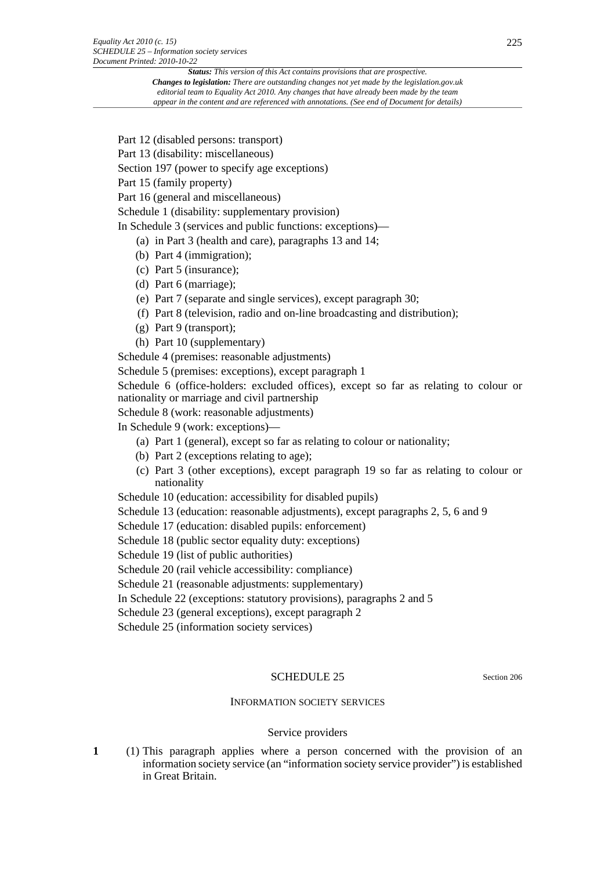*Status: This version of this Act contains provisions that are prospective.*

*Changes to legislation: There are outstanding changes not yet made by the legislation.gov.uk editorial team to Equality Act 2010. Any changes that have already been made by the team*

*appear in the content and are referenced with annotations. (See end of Document for details)*

Part 12 (disabled persons: transport) Part 13 (disability: miscellaneous) Section 197 (power to specify age exceptions) Part 15 (family property) Part 16 (general and miscellaneous) Schedule 1 (disability: supplementary provision) In Schedule 3 (services and public functions: exceptions)— (a) in Part 3 (health and care), paragraphs 13 and 14; (b) Part 4 (immigration); (c) Part 5 (insurance); (d) Part 6 (marriage); (e) Part 7 (separate and single services), except paragraph 30; (f) Part 8 (television, radio and on-line broadcasting and distribution); (g) Part 9 (transport); (h) Part 10 (supplementary) Schedule 4 (premises: reasonable adjustments) Schedule 5 (premises: exceptions), except paragraph 1 Schedule 6 (office-holders: excluded offices), except so far as relating to colour or nationality or marriage and civil partnership Schedule 8 (work: reasonable adjustments) In Schedule 9 (work: exceptions)— (a) Part 1 (general), except so far as relating to colour or nationality; (b) Part 2 (exceptions relating to age); (c) Part 3 (other exceptions), except paragraph 19 so far as relating to colour or nationality Schedule 10 (education: accessibility for disabled pupils) Schedule 13 (education: reasonable adjustments), except paragraphs 2, 5, 6 and 9 Schedule 17 (education: disabled pupils: enforcement)

Schedule 18 (public sector equality duty: exceptions)

Schedule 19 (list of public authorities)

Schedule 20 (rail vehicle accessibility: compliance)

Schedule 21 (reasonable adjustments: supplementary)

In Schedule 22 (exceptions: statutory provisions), paragraphs 2 and 5

Schedule 23 (general exceptions), except paragraph 2

Schedule 25 (information society services)

# SCHEDULE 25 Section 206

#### INFORMATION SOCIETY SERVICES

#### Service providers

**1** (1) This paragraph applies where a person concerned with the provision of an information society service (an "information society service provider") is established in Great Britain.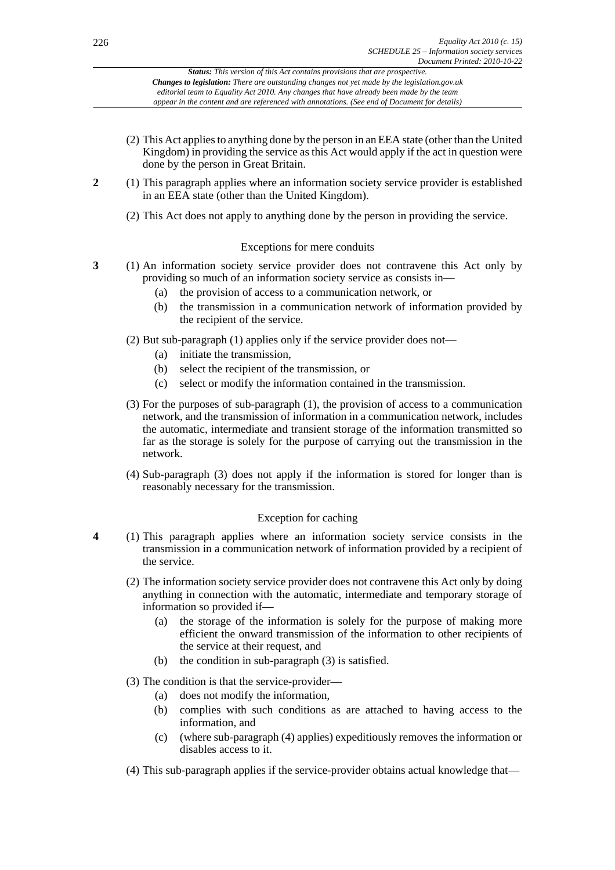- (2) This Act applies to anything done by the person in an EEA state (other than the United Kingdom) in providing the service as this Act would apply if the act in question were done by the person in Great Britain.
- **2** (1) This paragraph applies where an information society service provider is established in an EEA state (other than the United Kingdom).
	- (2) This Act does not apply to anything done by the person in providing the service.

# Exceptions for mere conduits

- **3** (1) An information society service provider does not contravene this Act only by providing so much of an information society service as consists in—
	- (a) the provision of access to a communication network, or
	- (b) the transmission in a communication network of information provided by the recipient of the service.
	- (2) But sub-paragraph (1) applies only if the service provider does not—
		- (a) initiate the transmission,
		- (b) select the recipient of the transmission, or
		- (c) select or modify the information contained in the transmission.
	- (3) For the purposes of sub-paragraph (1), the provision of access to a communication network, and the transmission of information in a communication network, includes the automatic, intermediate and transient storage of the information transmitted so far as the storage is solely for the purpose of carrying out the transmission in the network.
	- (4) Sub-paragraph (3) does not apply if the information is stored for longer than is reasonably necessary for the transmission.

# Exception for caching

- **4** (1) This paragraph applies where an information society service consists in the transmission in a communication network of information provided by a recipient of the service.
	- (2) The information society service provider does not contravene this Act only by doing anything in connection with the automatic, intermediate and temporary storage of information so provided if—
		- (a) the storage of the information is solely for the purpose of making more efficient the onward transmission of the information to other recipients of the service at their request, and
		- (b) the condition in sub-paragraph (3) is satisfied.
	- (3) The condition is that the service-provider—
		- (a) does not modify the information,
		- (b) complies with such conditions as are attached to having access to the information, and
		- (c) (where sub-paragraph (4) applies) expeditiously removes the information or disables access to it.
	- (4) This sub-paragraph applies if the service-provider obtains actual knowledge that—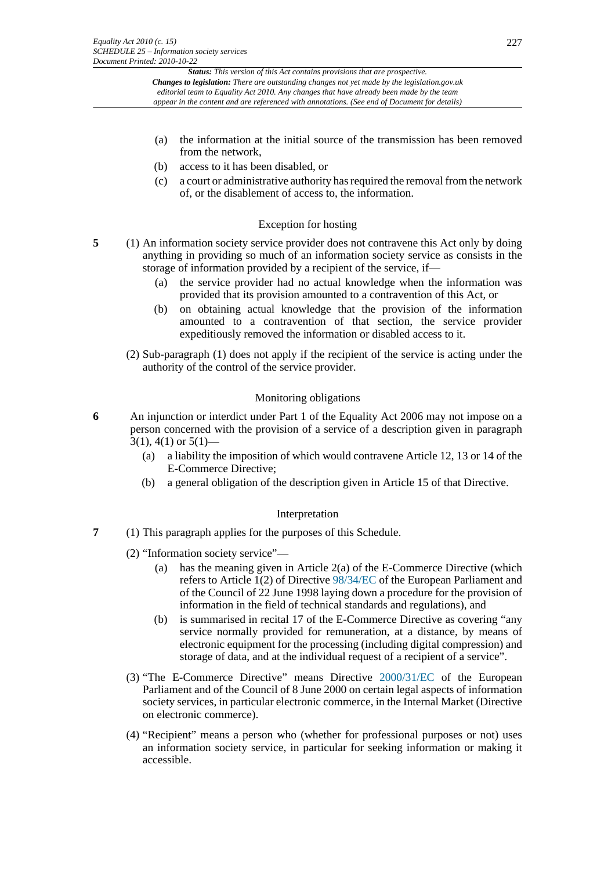*Status: This version of this Act contains provisions that are prospective.*

*Changes to legislation: There are outstanding changes not yet made by the legislation.gov.uk editorial team to Equality Act 2010. Any changes that have already been made by the team appear in the content and are referenced with annotations. (See end of Document for details)*

- (a) the information at the initial source of the transmission has been removed from the network,
- (b) access to it has been disabled, or
- (c) a court or administrative authority has required the removal from the network of, or the disablement of access to, the information.

# Exception for hosting

**5** (1) An information society service provider does not contravene this Act only by doing anything in providing so much of an information society service as consists in the storage of information provided by a recipient of the service, if—

- (a) the service provider had no actual knowledge when the information was provided that its provision amounted to a contravention of this Act, or
- (b) on obtaining actual knowledge that the provision of the information amounted to a contravention of that section, the service provider expeditiously removed the information or disabled access to it.
- (2) Sub-paragraph (1) does not apply if the recipient of the service is acting under the authority of the control of the service provider.

## Monitoring obligations

- **6** An injunction or interdict under Part 1 of the Equality Act 2006 may not impose on a person concerned with the provision of a service of a description given in paragraph  $3(1)$ , 4(1) or  $5(1)$ —
	- (a) a liability the imposition of which would contravene Article 12, 13 or 14 of the E-Commerce Directive;
	- (b) a general obligation of the description given in Article 15 of that Directive.

### Interpretation

- **7** (1) This paragraph applies for the purposes of this Schedule.
	- (2) "Information society service"—
		- (a) has the meaning given in Article 2(a) of the E-Commerce Directive (which refers to Article 1(2) of Directive [98/34/EC](http://www.opsi.gov.uk/legislation/european/directive/1998/0034) of the European Parliament and of the Council of 22 June 1998 laying down a procedure for the provision of information in the field of technical standards and regulations), and
		- (b) is summarised in recital 17 of the E-Commerce Directive as covering "any service normally provided for remuneration, at a distance, by means of electronic equipment for the processing (including digital compression) and storage of data, and at the individual request of a recipient of a service".
	- (3) "The E-Commerce Directive" means Directive [2000/31/EC](http://www.opsi.gov.uk/legislation/european/directive/2000/0031) of the European Parliament and of the Council of 8 June 2000 on certain legal aspects of information society services, in particular electronic commerce, in the Internal Market (Directive on electronic commerce).
	- (4) "Recipient" means a person who (whether for professional purposes or not) uses an information society service, in particular for seeking information or making it accessible.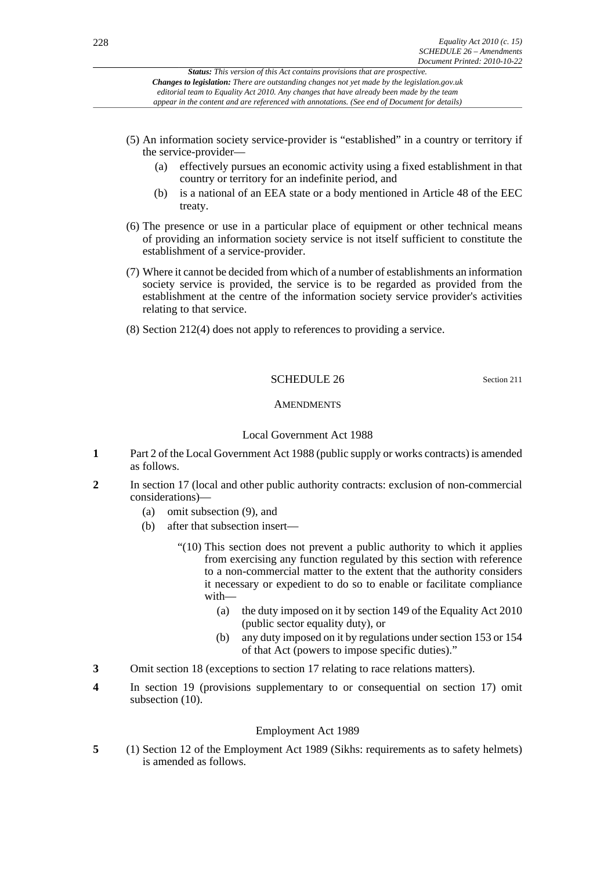| <b>Status:</b> This version of this Act contains provisions that are prospective.                   |  |
|-----------------------------------------------------------------------------------------------------|--|
| <b>Changes to legislation:</b> There are outstanding changes not yet made by the legislation gov.uk |  |
| editorial team to Equality Act 2010. Any changes that have already been made by the team            |  |
| appear in the content and are referenced with annotations. (See end of Document for details)        |  |
|                                                                                                     |  |

- (5) An information society service-provider is "established" in a country or territory if the service-provider—
	- (a) effectively pursues an economic activity using a fixed establishment in that country or territory for an indefinite period, and
	- (b) is a national of an EEA state or a body mentioned in Article 48 of the EEC treaty.
- (6) The presence or use in a particular place of equipment or other technical means of providing an information society service is not itself sufficient to constitute the establishment of a service-provider.
- (7) Where it cannot be decided from which of a number of establishments an information society service is provided, the service is to be regarded as provided from the establishment at the centre of the information society service provider's activities relating to that service.
- (8) Section 212(4) does not apply to references to providing a service.

## SCHEDULE 26 Section 211

# **AMENDMENTS**

#### Local Government Act 1988

- **1** Part 2 of the Local Government Act 1988 (public supply or works contracts) is amended as follows.
- **2** In section 17 (local and other public authority contracts: exclusion of non-commercial considerations)—
	- (a) omit subsection (9), and
	- (b) after that subsection insert—
		- "(10) This section does not prevent a public authority to which it applies from exercising any function regulated by this section with reference to a non-commercial matter to the extent that the authority considers it necessary or expedient to do so to enable or facilitate compliance with—
			- (a) the duty imposed on it by section 149 of the Equality Act 2010 (public sector equality duty), or
			- (b) any duty imposed on it by regulations under section 153 or 154 of that Act (powers to impose specific duties)."
- **3** Omit section 18 (exceptions to section 17 relating to race relations matters).
- **4** In section 19 (provisions supplementary to or consequential on section 17) omit subsection (10).

### Employment Act 1989

**5** (1) Section 12 of the Employment Act 1989 (Sikhs: requirements as to safety helmets) is amended as follows.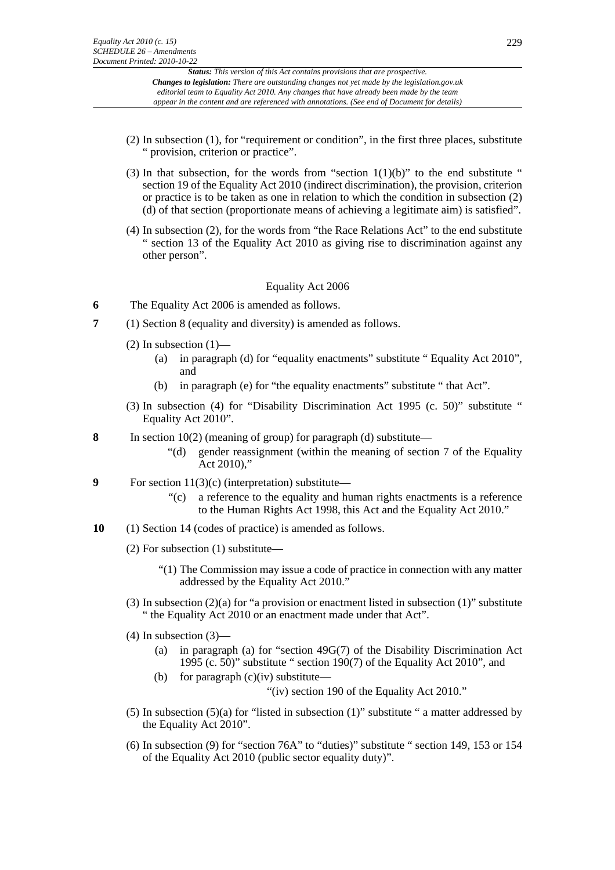- (2) In subsection (1), for "requirement or condition", in the first three places, substitute " provision, criterion or practice".
- (3) In that subsection, for the words from "section  $1(1)(b)$ " to the end substitute " section 19 of the Equality Act 2010 (indirect discrimination), the provision, criterion or practice is to be taken as one in relation to which the condition in subsection (2) (d) of that section (proportionate means of achieving a legitimate aim) is satisfied".
- (4) In subsection (2), for the words from "the Race Relations Act" to the end substitute " section 13 of the Equality Act 2010 as giving rise to discrimination against any other person".

## Equality Act 2006

- **6** The Equality Act 2006 is amended as follows.
- **7** (1) Section 8 (equality and diversity) is amended as follows.
	- $(2)$  In subsection  $(1)$ 
		- (a) in paragraph (d) for "equality enactments" substitute " Equality Act 2010", and
		- (b) in paragraph (e) for "the equality enactments" substitute " that Act".
	- (3) In subsection (4) for "Disability Discrimination Act 1995 (c. 50)" substitute " Equality Act 2010".
- **8** In section 10(2) (meaning of group) for paragraph (d) substitute—
	- "(d) gender reassignment (within the meaning of section 7 of the Equality Act 2010),"
- **9** For section 11(3)(c) (interpretation) substitute—
	- "(c) a reference to the equality and human rights enactments is a reference to the Human Rights Act 1998, this Act and the Equality Act 2010."
- **10** (1) Section 14 (codes of practice) is amended as follows.
	- (2) For subsection (1) substitute—
		- "(1) The Commission may issue a code of practice in connection with any matter addressed by the Equality Act 2010."
	- (3) In subsection  $(2)(a)$  for "a provision or enactment listed in subsection  $(1)$ " substitute " the Equality Act 2010 or an enactment made under that Act".
	- (4) In subsection (3)—
		- (a) in paragraph (a) for "section 49G(7) of the Disability Discrimination Act 1995 (c. 50)" substitute " section 190(7) of the Equality Act 2010", and
		- (b) for paragraph (c)(iv) substitute—

"(iv) section 190 of the Equality Act 2010."

- (5) In subsection  $(5)(a)$  for "listed in subsection  $(1)$ " substitute " a matter addressed by the Equality Act 2010".
- (6) In subsection (9) for "section 76A" to "duties)" substitute " section 149, 153 or 154 of the Equality Act 2010 (public sector equality duty)".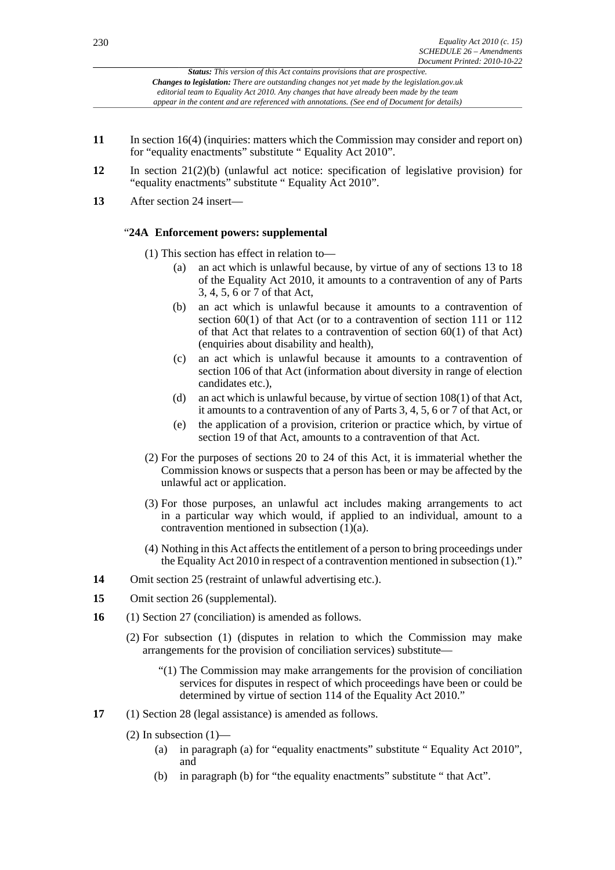| <b>Status:</b> This version of this Act contains provisions that are prospective.                   |  |
|-----------------------------------------------------------------------------------------------------|--|
| <b>Changes to legislation:</b> There are outstanding changes not yet made by the legislation gov.uk |  |
| editorial team to Equality Act 2010. Any changes that have already been made by the team            |  |
| appear in the content and are referenced with annotations. (See end of Document for details)        |  |

- **11** In section 16(4) (inquiries: matters which the Commission may consider and report on) for "equality enactments" substitute " Equality Act 2010".
- **12** In section 21(2)(b) (unlawful act notice: specification of legislative provision) for "equality enactments" substitute " Equality Act 2010".
- **13** After section 24 insert—

# "**24A Enforcement powers: supplemental**

- (1) This section has effect in relation to—
	- (a) an act which is unlawful because, by virtue of any of sections 13 to 18 of the Equality Act 2010, it amounts to a contravention of any of Parts 3, 4, 5, 6 or 7 of that Act,
	- (b) an act which is unlawful because it amounts to a contravention of section 60(1) of that Act (or to a contravention of section 111 or 112 of that Act that relates to a contravention of section  $60(1)$  of that Act) (enquiries about disability and health),
	- (c) an act which is unlawful because it amounts to a contravention of section 106 of that Act (information about diversity in range of election candidates etc.),
	- (d) an act which is unlawful because, by virtue of section 108(1) of that Act, it amounts to a contravention of any of Parts 3, 4, 5, 6 or 7 of that Act, or
	- (e) the application of a provision, criterion or practice which, by virtue of section 19 of that Act, amounts to a contravention of that Act.
- (2) For the purposes of sections 20 to 24 of this Act, it is immaterial whether the Commission knows or suspects that a person has been or may be affected by the unlawful act or application.
- (3) For those purposes, an unlawful act includes making arrangements to act in a particular way which would, if applied to an individual, amount to a contravention mentioned in subsection  $(\tilde{1})(a)$ .
- (4) Nothing in this Act affects the entitlement of a person to bring proceedings under the Equality Act 2010 in respect of a contravention mentioned in subsection (1)."
- 14 Omit section 25 (restraint of unlawful advertising etc.).
- **15** Omit section 26 (supplemental).
- **16** (1) Section 27 (conciliation) is amended as follows.
	- (2) For subsection (1) (disputes in relation to which the Commission may make arrangements for the provision of conciliation services) substitute—
		- "(1) The Commission may make arrangements for the provision of conciliation services for disputes in respect of which proceedings have been or could be determined by virtue of section 114 of the Equality Act 2010."
- **17** (1) Section 28 (legal assistance) is amended as follows.
	- $(2)$  In subsection  $(1)$ 
		- (a) in paragraph (a) for "equality enactments" substitute " Equality Act 2010", and
		- (b) in paragraph (b) for "the equality enactments" substitute " that Act".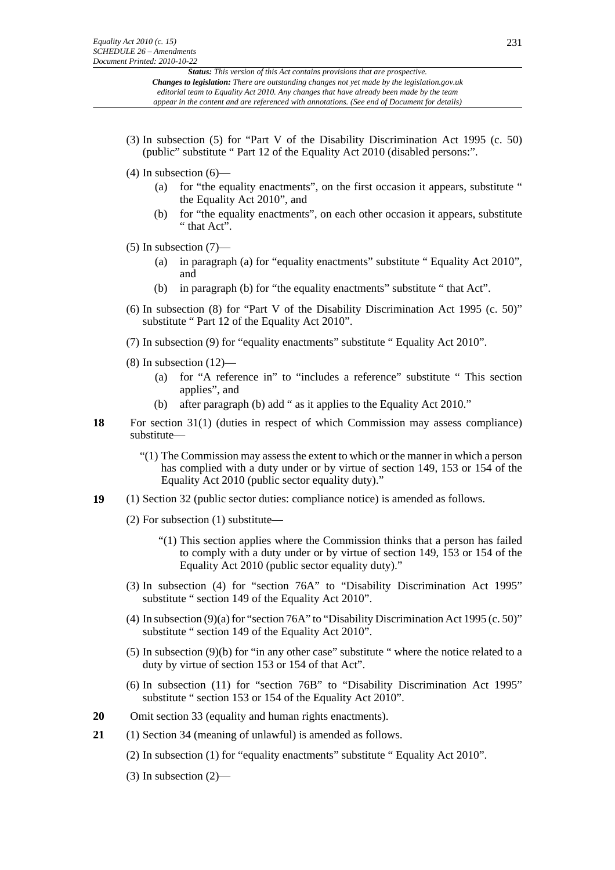- (3) In subsection (5) for "Part V of the Disability Discrimination Act 1995 (c. 50) (public" substitute " Part 12 of the Equality Act 2010 (disabled persons:".
- $(4)$  In subsection  $(6)$ 
	- (a) for "the equality enactments", on the first occasion it appears, substitute " the Equality Act 2010", and
	- (b) for "the equality enactments", on each other occasion it appears, substitute " that Act".
- $(5)$  In subsection  $(7)$ 
	- (a) in paragraph (a) for "equality enactments" substitute " Equality Act 2010", and
	- (b) in paragraph (b) for "the equality enactments" substitute " that Act".
- (6) In subsection (8) for "Part V of the Disability Discrimination Act 1995 (c. 50)" substitute " Part 12 of the Equality Act 2010".
- (7) In subsection (9) for "equality enactments" substitute " Equality Act 2010".
- $(8)$  In subsection  $(12)$ 
	- (a) for "A reference in" to "includes a reference" substitute " This section applies", and
	- (b) after paragraph (b) add " as it applies to the Equality Act 2010."
- **18** For section 31(1) (duties in respect of which Commission may assess compliance) substitute—
	- "(1) The Commission may assess the extent to which or the manner in which a person has complied with a duty under or by virtue of section 149, 153 or 154 of the Equality Act 2010 (public sector equality duty)."
- **19** (1) Section 32 (public sector duties: compliance notice) is amended as follows.
	- (2) For subsection (1) substitute—
		- "(1) This section applies where the Commission thinks that a person has failed to comply with a duty under or by virtue of section 149, 153 or 154 of the Equality Act 2010 (public sector equality duty)."
	- (3) In subsection (4) for "section 76A" to "Disability Discrimination Act 1995" substitute " section 149 of the Equality Act 2010".
	- (4) In subsection (9)(a) for "section 76A" to "Disability Discrimination Act 1995 (c. 50)" substitute " section 149 of the Equality Act 2010".
	- (5) In subsection (9)(b) for "in any other case" substitute " where the notice related to a duty by virtue of section 153 or 154 of that Act".
	- (6) In subsection (11) for "section 76B" to "Disability Discrimination Act 1995" substitute " section 153 or 154 of the Equality Act 2010".
- **20** Omit section 33 (equality and human rights enactments).
- **21** (1) Section 34 (meaning of unlawful) is amended as follows.

(2) In subsection (1) for "equality enactments" substitute " Equality Act 2010".

(3) In subsection (2)—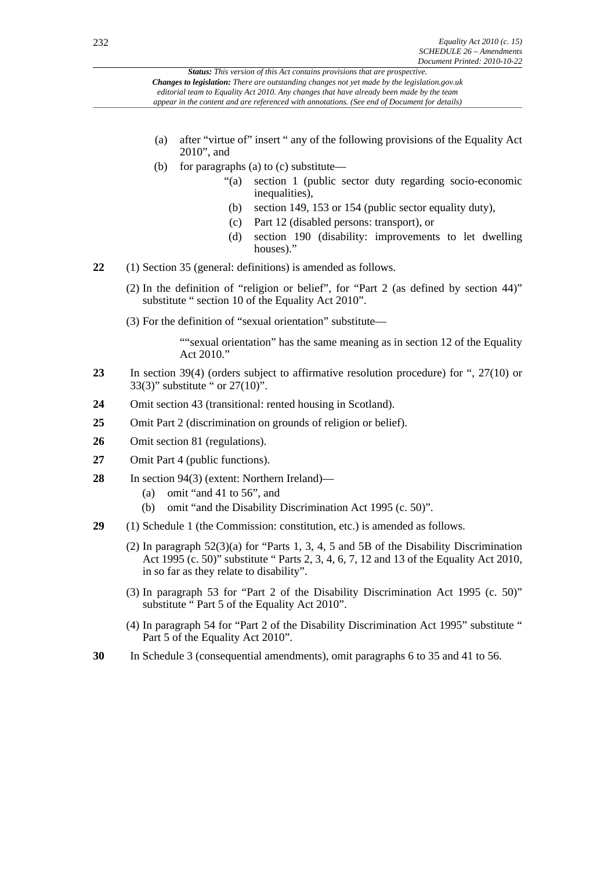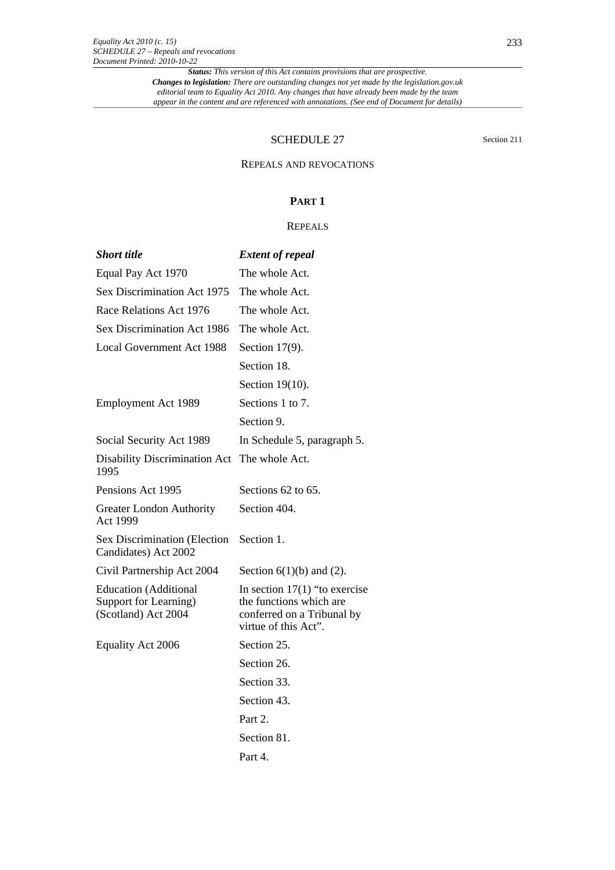### SCHEDULE 27 Section 211

## REPEALS AND REVOCATIONS

# **PART 1**

### REPEALS

| <b>Short title</b>                                                           | <b>Extent of repeal</b>                                                                                          |
|------------------------------------------------------------------------------|------------------------------------------------------------------------------------------------------------------|
| Equal Pay Act 1970                                                           | The whole Act.                                                                                                   |
| Sex Discrimination Act 1975                                                  | The whole Act.                                                                                                   |
| Race Relations Act 1976                                                      | The whole Act.                                                                                                   |
| Sex Discrimination Act 1986                                                  | The whole Act.                                                                                                   |
| Local Government Act 1988                                                    | Section $17(9)$ .                                                                                                |
|                                                                              | Section 18.                                                                                                      |
|                                                                              | Section 19(10).                                                                                                  |
| <b>Employment Act 1989</b>                                                   | Sections 1 to 7.                                                                                                 |
|                                                                              | Section 9.                                                                                                       |
| Social Security Act 1989                                                     | In Schedule 5, paragraph 5.                                                                                      |
| Disability Discrimination Act<br>1995                                        | The whole Act.                                                                                                   |
| Pensions Act 1995                                                            | Sections 62 to 65.                                                                                               |
| Greater London Authority<br>Act 1999                                         | Section 404.                                                                                                     |
| Sex Discrimination (Election)<br>Candidates) Act 2002                        | Section 1.                                                                                                       |
| Civil Partnership Act 2004                                                   | Section $6(1)(b)$ and $(2)$ .                                                                                    |
| <b>Education</b> (Additional<br>Support for Learning)<br>(Scotland) Act 2004 | In section $17(1)$ "to exercise<br>the functions which are<br>conferred on a Tribunal by<br>virtue of this Act". |
| Equality Act 2006                                                            | Section 25.                                                                                                      |
|                                                                              | Section 26.                                                                                                      |
|                                                                              | Section 33.                                                                                                      |
|                                                                              | Section 43.                                                                                                      |
|                                                                              | Part 2.                                                                                                          |
|                                                                              | Section 81.                                                                                                      |
|                                                                              | Part 4.                                                                                                          |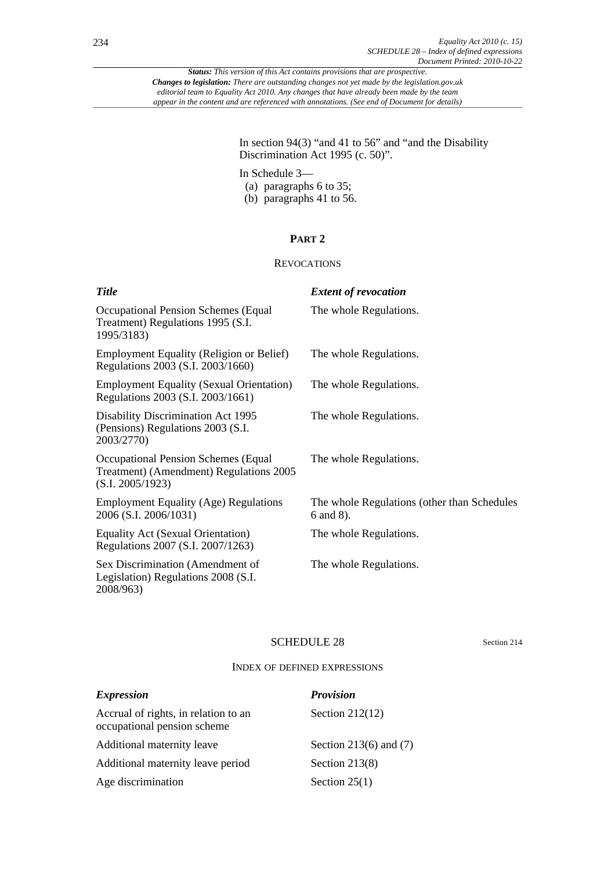> In section 94(3) "and 41 to 56" and "and the Disability Discrimination Act 1995 (c. 50)".

In Schedule 3—

- (a) paragraphs 6 to 35;
- (b) paragraphs 41 to 56.

# **PART 2**

### **REVOCATIONS**

| <b>Title</b>                                                                                              | <b>Extent of revocation</b>                              |
|-----------------------------------------------------------------------------------------------------------|----------------------------------------------------------|
| Occupational Pension Schemes (Equal<br>Treatment) Regulations 1995 (S.I.<br>1995/3183)                    | The whole Regulations.                                   |
| Employment Equality (Religion or Belief)<br>Regulations 2003 (S.I. 2003/1660)                             | The whole Regulations.                                   |
| <b>Employment Equality (Sexual Orientation)</b><br>Regulations 2003 (S.I. 2003/1661)                      | The whole Regulations.                                   |
| <b>Disability Discrimination Act 1995</b><br>(Pensions) Regulations 2003 (S.I.<br>2003/2770)              | The whole Regulations.                                   |
| <b>Occupational Pension Schemes (Equal</b><br>Treatment) (Amendment) Regulations 2005<br>(S.I. 2005/1923) | The whole Regulations.                                   |
| <b>Employment Equality (Age) Regulations</b><br>2006 (S.I. 2006/1031)                                     | The whole Regulations (other than Schedules<br>6 and 8). |
| Equality Act (Sexual Orientation)<br>Regulations 2007 (S.I. 2007/1263)                                    | The whole Regulations.                                   |
| Sex Discrimination (Amendment of<br>Legislation) Regulations 2008 (S.I.<br>2008/963)                      | The whole Regulations.                                   |

### SCHEDULE 28 Section 214

### INDEX OF DEFINED EXPRESSIONS

| <i><b>Expression</b></i>                                            | <b>Provision</b>         |
|---------------------------------------------------------------------|--------------------------|
| Accrual of rights, in relation to an<br>occupational pension scheme | Section $212(12)$        |
| Additional maternity leave                                          | Section 213(6) and $(7)$ |
| Additional maternity leave period                                   | Section $213(8)$         |
| Age discrimination                                                  | Section $25(1)$          |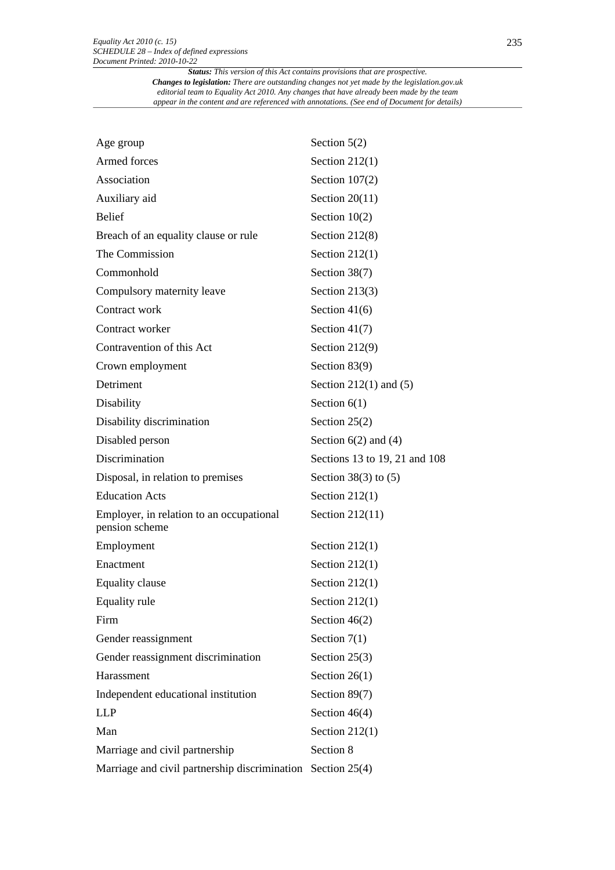| Age group                                                   | Section $5(2)$                |
|-------------------------------------------------------------|-------------------------------|
| Armed forces                                                | Section $212(1)$              |
| Association                                                 | Section $107(2)$              |
| Auxiliary aid                                               | Section $20(11)$              |
| <b>Belief</b>                                               | Section $10(2)$               |
| Breach of an equality clause or rule                        | Section $212(8)$              |
| The Commission                                              | Section $212(1)$              |
| Commonhold                                                  | Section $38(7)$               |
| Compulsory maternity leave                                  | Section $213(3)$              |
| Contract work                                               | Section $41(6)$               |
| Contract worker                                             | Section $41(7)$               |
| Contravention of this Act                                   | Section $212(9)$              |
| Crown employment                                            | Section $83(9)$               |
| Detriment                                                   | Section $212(1)$ and $(5)$    |
| Disability                                                  | Section $6(1)$                |
| Disability discrimination                                   | Section $25(2)$               |
| Disabled person                                             | Section $6(2)$ and $(4)$      |
| Discrimination                                              | Sections 13 to 19, 21 and 108 |
| Disposal, in relation to premises                           | Section $38(3)$ to $(5)$      |
| <b>Education Acts</b>                                       | Section $212(1)$              |
| Employer, in relation to an occupational<br>pension scheme  | Section $212(11)$             |
| Employment                                                  | Section $212(1)$              |
| Enactment                                                   | Section $212(1)$              |
| Equality clause                                             | Section $212(1)$              |
| Equality rule                                               | Section $212(1)$              |
| Firm                                                        | Section $46(2)$               |
| Gender reassignment                                         | Section $7(1)$                |
| Gender reassignment discrimination                          | Section $25(3)$               |
| Harassment                                                  | Section $26(1)$               |
| Independent educational institution                         | Section $89(7)$               |
| <b>LLP</b>                                                  | Section $46(4)$               |
| Man                                                         | Section $212(1)$              |
| Marriage and civil partnership                              | Section 8                     |
| Marriage and civil partnership discrimination Section 25(4) |                               |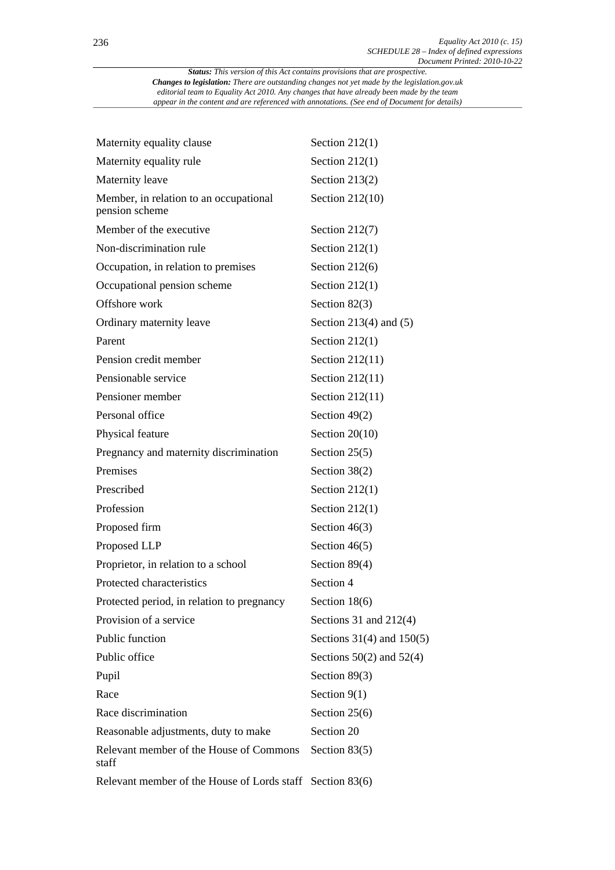| Maternity equality clause                                 | Section $212(1)$              |
|-----------------------------------------------------------|-------------------------------|
| Maternity equality rule                                   | Section $212(1)$              |
| Maternity leave                                           | Section $213(2)$              |
| Member, in relation to an occupational<br>pension scheme  | Section $212(10)$             |
| Member of the executive                                   | Section $212(7)$              |
| Non-discrimination rule                                   | Section $212(1)$              |
| Occupation, in relation to premises                       | Section $212(6)$              |
| Occupational pension scheme                               | Section $212(1)$              |
| Offshore work                                             | Section $82(3)$               |
| Ordinary maternity leave                                  | Section 213(4) and $(5)$      |
| Parent                                                    | Section $212(1)$              |
| Pension credit member                                     | Section $212(11)$             |
| Pensionable service                                       | Section $212(11)$             |
| Pensioner member                                          | Section $212(11)$             |
| Personal office                                           | Section $49(2)$               |
| Physical feature                                          | Section $20(10)$              |
| Pregnancy and maternity discrimination                    | Section $25(5)$               |
| Premises                                                  | Section $38(2)$               |
| Prescribed                                                | Section $212(1)$              |
| Profession                                                | Section $212(1)$              |
| Proposed firm                                             | Section $46(3)$               |
| Proposed LLP                                              | Section $46(5)$               |
| Proprietor, in relation to a school                       | Section $89(4)$               |
| Protected characteristics                                 | Section 4                     |
| Protected period, in relation to pregnancy                | Section $18(6)$               |
| Provision of a service                                    | Sections 31 and $212(4)$      |
| Public function                                           | Sections $31(4)$ and $150(5)$ |
| Public office                                             | Sections $50(2)$ and $52(4)$  |
| Pupil                                                     | Section $89(3)$               |
| Race                                                      | Section $9(1)$                |
| Race discrimination                                       | Section $25(6)$               |
| Reasonable adjustments, duty to make                      | Section 20                    |
| Relevant member of the House of Commons<br>staff          | Section $83(5)$               |
| Relevant member of the House of Lords staff Section 83(6) |                               |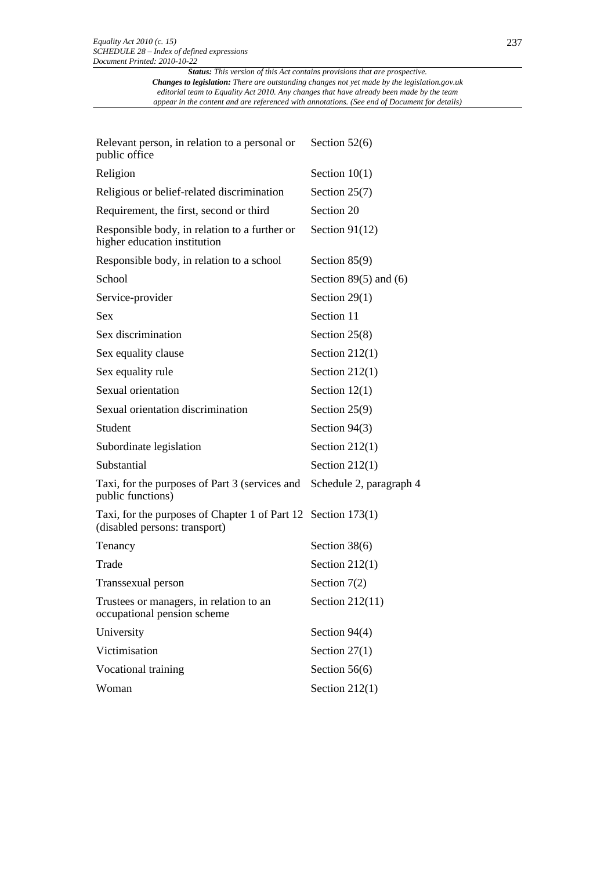| Relevant person, in relation to a personal or<br>public office                                 | Section $52(6)$           |
|------------------------------------------------------------------------------------------------|---------------------------|
| Religion                                                                                       | Section $10(1)$           |
| Religious or belief-related discrimination                                                     | Section $25(7)$           |
| Requirement, the first, second or third                                                        | Section 20                |
| Responsible body, in relation to a further or<br>higher education institution                  | Section $91(12)$          |
| Responsible body, in relation to a school                                                      | Section $85(9)$           |
| School                                                                                         | Section $89(5)$ and $(6)$ |
| Service-provider                                                                               | Section $29(1)$           |
| <b>Sex</b>                                                                                     | Section 11                |
| Sex discrimination                                                                             | Section $25(8)$           |
| Sex equality clause                                                                            | Section $212(1)$          |
| Sex equality rule                                                                              | Section $212(1)$          |
| Sexual orientation                                                                             | Section $12(1)$           |
| Sexual orientation discrimination                                                              | Section $25(9)$           |
| Student                                                                                        | Section $94(3)$           |
| Subordinate legislation                                                                        | Section $212(1)$          |
| Substantial                                                                                    | Section $212(1)$          |
| Taxi, for the purposes of Part 3 (services and<br>public functions)                            | Schedule 2, paragraph 4   |
| Taxi, for the purposes of Chapter 1 of Part 12 Section 173(1)<br>(disabled persons: transport) |                           |
| Tenancy                                                                                        | Section $38(6)$           |
| Trade                                                                                          | Section $212(1)$          |
| Transsexual person                                                                             | Section $7(2)$            |
| Trustees or managers, in relation to an<br>occupational pension scheme                         | Section $212(11)$         |
| University                                                                                     | Section $94(4)$           |
| Victimisation                                                                                  | Section $27(1)$           |
| Vocational training                                                                            | Section $56(6)$           |
| Woman                                                                                          | Section $212(1)$          |